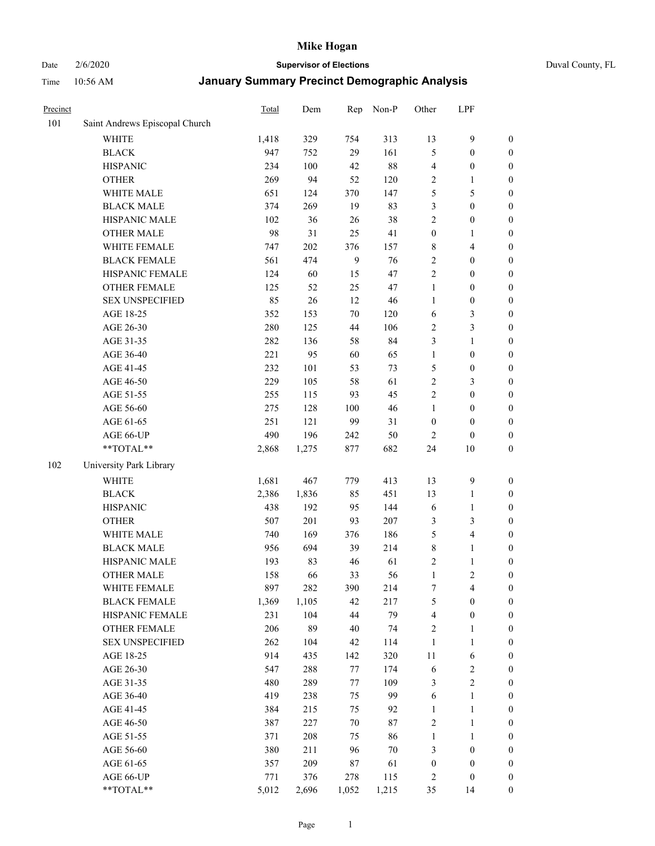# Date 2/6/2020 **Supervisor of Elections** Duval County, FL

| Precinct |                                | Total | Dem   | Rep          | Non-P  | Other            | LPF                     |                  |
|----------|--------------------------------|-------|-------|--------------|--------|------------------|-------------------------|------------------|
| 101      | Saint Andrews Episcopal Church |       |       |              |        |                  |                         |                  |
|          | <b>WHITE</b>                   | 1,418 | 329   | 754          | 313    | 13               | $\mathbf{9}$            | 0                |
|          | <b>BLACK</b>                   | 947   | 752   | 29           | 161    | 5                | $\boldsymbol{0}$        | 0                |
|          | <b>HISPANIC</b>                | 234   | 100   | 42           | $88\,$ | 4                | $\boldsymbol{0}$        | $\boldsymbol{0}$ |
|          | <b>OTHER</b>                   | 269   | 94    | 52           | 120    | 2                | 1                       | $\boldsymbol{0}$ |
|          | WHITE MALE                     | 651   | 124   | 370          | 147    | 5                | $\mathfrak s$           | $\boldsymbol{0}$ |
|          | <b>BLACK MALE</b>              | 374   | 269   | 19           | 83     | 3                | $\boldsymbol{0}$        | $\boldsymbol{0}$ |
|          | HISPANIC MALE                  | 102   | 36    | 26           | 38     | 2                | $\boldsymbol{0}$        | $\boldsymbol{0}$ |
|          | <b>OTHER MALE</b>              | 98    | 31    | 25           | 41     | $\boldsymbol{0}$ | $\mathbf{1}$            | $\boldsymbol{0}$ |
|          | WHITE FEMALE                   | 747   | 202   | 376          | 157    | 8                | $\overline{\mathbf{4}}$ | $\boldsymbol{0}$ |
|          | <b>BLACK FEMALE</b>            | 561   | 474   | $\mathbf{9}$ | 76     | 2                | $\boldsymbol{0}$        | $\boldsymbol{0}$ |
|          | HISPANIC FEMALE                | 124   | 60    | 15           | 47     | $\overline{2}$   | $\boldsymbol{0}$        | $\boldsymbol{0}$ |
|          | <b>OTHER FEMALE</b>            | 125   | 52    | 25           | 47     | $\mathbf{1}$     | $\boldsymbol{0}$        | $\boldsymbol{0}$ |
|          | <b>SEX UNSPECIFIED</b>         | 85    | 26    | 12           | $46\,$ | $\mathbf{1}$     | $\boldsymbol{0}$        | $\boldsymbol{0}$ |
|          | AGE 18-25                      | 352   | 153   | 70           | 120    | 6                | $\mathfrak{Z}$          | $\boldsymbol{0}$ |
|          | AGE 26-30                      | 280   | 125   | 44           | 106    | 2                | $\mathfrak{Z}$          | $\boldsymbol{0}$ |
|          | AGE 31-35                      | 282   | 136   | 58           | 84     | 3                | $\mathbf{1}$            | $\boldsymbol{0}$ |
|          | AGE 36-40                      | 221   | 95    | 60           | 65     | $\mathbf{1}$     | $\boldsymbol{0}$        | $\boldsymbol{0}$ |
|          | AGE 41-45                      | 232   | 101   | 53           | 73     | 5                | $\boldsymbol{0}$        | $\boldsymbol{0}$ |
|          | AGE 46-50                      | 229   | 105   | 58           | 61     | $\overline{c}$   | $\mathfrak{Z}$          | $\boldsymbol{0}$ |
|          | AGE 51-55                      | 255   | 115   | 93           | 45     | 2                | $\boldsymbol{0}$        | $\boldsymbol{0}$ |
|          | AGE 56-60                      | 275   | 128   | 100          | 46     | $\mathbf{1}$     | $\boldsymbol{0}$        | $\boldsymbol{0}$ |
|          | AGE 61-65                      | 251   | 121   | 99           | 31     | $\boldsymbol{0}$ | $\boldsymbol{0}$        | $\boldsymbol{0}$ |
|          | AGE 66-UP                      | 490   | 196   | 242          | 50     | $\overline{2}$   | $\boldsymbol{0}$        | $\boldsymbol{0}$ |
|          | **TOTAL**                      | 2,868 | 1,275 | 877          | 682    | 24               | $10\,$                  | $\boldsymbol{0}$ |
| 102      | University Park Library        |       |       |              |        |                  |                         |                  |
|          | <b>WHITE</b>                   | 1,681 | 467   | 779          | 413    | 13               | $\mathbf{9}$            | $\boldsymbol{0}$ |
|          | <b>BLACK</b>                   | 2,386 | 1,836 | 85           | 451    | 13               | $\mathbf{1}$            | $\boldsymbol{0}$ |
|          | <b>HISPANIC</b>                | 438   | 192   | 95           | 144    | 6                | $\mathbf{1}$            | $\boldsymbol{0}$ |
|          | <b>OTHER</b>                   | 507   | 201   | 93           | 207    | 3                | $\mathfrak{Z}$          | $\boldsymbol{0}$ |
|          | WHITE MALE                     | 740   | 169   | 376          | 186    | 5                | $\overline{\mathbf{4}}$ | $\boldsymbol{0}$ |
|          | <b>BLACK MALE</b>              | 956   | 694   | 39           | 214    | $\,$ $\,$        | $\mathbf{1}$            | $\boldsymbol{0}$ |
|          | HISPANIC MALE                  | 193   | 83    | 46           | 61     | 2                | $\mathbf{1}$            | 0                |
|          | <b>OTHER MALE</b>              | 158   | 66    | 33           | 56     | $\mathbf{1}$     | $\overline{2}$          | $\boldsymbol{0}$ |
|          | WHITE FEMALE                   | 897   | 282   | 390          | 214    | 7                | 4                       | 0                |
|          | <b>BLACK FEMALE</b>            | 1,369 | 1,105 | 42           | 217    | 5                | $\boldsymbol{0}$        | $\boldsymbol{0}$ |
|          | HISPANIC FEMALE                | 231   | 104   | 44           | 79     | 4                | $\boldsymbol{0}$        | $\overline{0}$   |
|          | <b>OTHER FEMALE</b>            | 206   | 89    | 40           | 74     | 2                | $\mathbf{1}$            | 0                |
|          | <b>SEX UNSPECIFIED</b>         | 262   | 104   | 42           | 114    | $\mathbf{1}$     | $\mathbf{1}$            | 0                |
|          | AGE 18-25                      | 914   | 435   | 142          | 320    | 11               | 6                       | 0                |
|          | AGE 26-30                      | 547   | 288   | 77           | 174    | 6                | $\boldsymbol{2}$        | 0                |
|          | AGE 31-35                      | 480   | 289   | 77           | 109    | 3                | $\overline{2}$          | 0                |
|          | AGE 36-40                      | 419   | 238   | 75           | 99     | 6                | $\mathbf{1}$            | 0                |
|          | AGE 41-45                      | 384   | 215   | 75           | 92     | $\mathbf{1}$     | $\mathbf{1}$            | 0                |
|          | AGE 46-50                      | 387   | 227   | $70\,$       | $87\,$ | 2                | $\mathbf{1}$            | 0                |
|          | AGE 51-55                      | 371   | 208   | 75           | 86     | $\mathbf{1}$     | $\mathbf{1}$            | 0                |
|          | AGE 56-60                      | 380   | 211   | 96           | $70\,$ | 3                | $\boldsymbol{0}$        | 0                |
|          | AGE 61-65                      | 357   | 209   | 87           | 61     | $\boldsymbol{0}$ | $\boldsymbol{0}$        | 0                |
|          | AGE 66-UP                      | 771   | 376   | 278          | 115    | 2                | $\boldsymbol{0}$        | 0                |
|          | **TOTAL**                      | 5,012 | 2,696 | 1,052        | 1,215  | 35               | 14                      | $\boldsymbol{0}$ |
|          |                                |       |       |              |        |                  |                         |                  |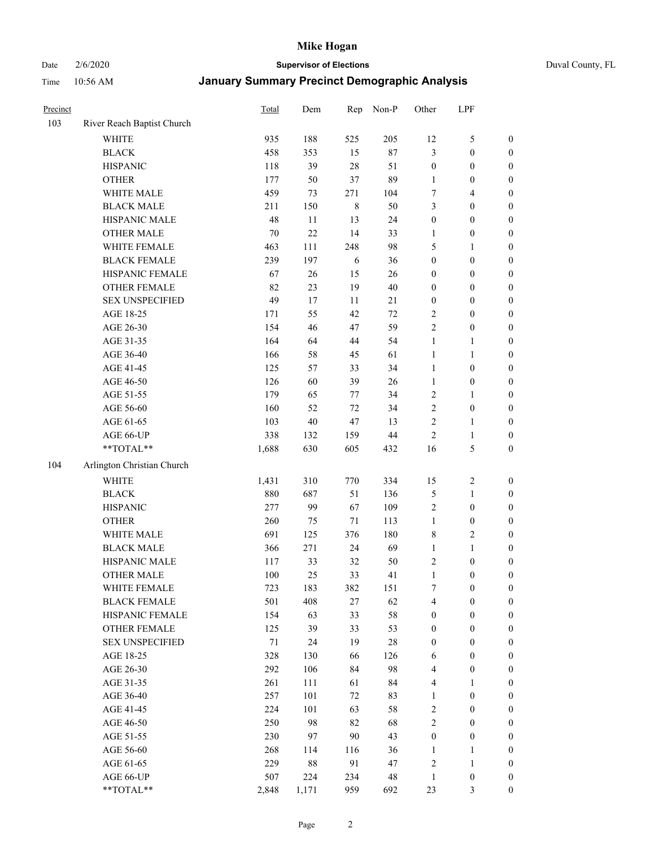Date 2/6/2020 **Supervisor of Elections** Duval County, FL

| Precinct |                            | Total  | Dem   | Rep     | Non-P  | Other            | LPF              |                  |
|----------|----------------------------|--------|-------|---------|--------|------------------|------------------|------------------|
| 103      | River Reach Baptist Church |        |       |         |        |                  |                  |                  |
|          | <b>WHITE</b>               | 935    | 188   | 525     | 205    | 12               | $\sqrt{5}$       | 0                |
|          | <b>BLACK</b>               | 458    | 353   | 15      | $87\,$ | 3                | $\boldsymbol{0}$ | $\boldsymbol{0}$ |
|          | <b>HISPANIC</b>            | 118    | 39    | $28\,$  | 51     | $\boldsymbol{0}$ | $\boldsymbol{0}$ | $\boldsymbol{0}$ |
|          | <b>OTHER</b>               | 177    | 50    | 37      | 89     | 1                | $\boldsymbol{0}$ | $\boldsymbol{0}$ |
|          | WHITE MALE                 | 459    | 73    | 271     | 104    | 7                | $\overline{4}$   | $\boldsymbol{0}$ |
|          | <b>BLACK MALE</b>          | 211    | 150   | $\,8\,$ | 50     | 3                | $\boldsymbol{0}$ | $\boldsymbol{0}$ |
|          | HISPANIC MALE              | 48     | 11    | 13      | 24     | $\boldsymbol{0}$ | $\boldsymbol{0}$ | $\boldsymbol{0}$ |
|          | <b>OTHER MALE</b>          | $70\,$ | 22    | 14      | 33     | $\mathbf{1}$     | $\boldsymbol{0}$ | $\boldsymbol{0}$ |
|          | WHITE FEMALE               | 463    | 111   | 248     | 98     | 5                | $\mathbf{1}$     | $\boldsymbol{0}$ |
|          | <b>BLACK FEMALE</b>        | 239    | 197   | 6       | 36     | $\boldsymbol{0}$ | $\boldsymbol{0}$ | $\boldsymbol{0}$ |
|          | HISPANIC FEMALE            | 67     | 26    | 15      | 26     | $\boldsymbol{0}$ | $\boldsymbol{0}$ | 0                |
|          | OTHER FEMALE               | 82     | 23    | 19      | $40\,$ | $\boldsymbol{0}$ | $\boldsymbol{0}$ | $\boldsymbol{0}$ |
|          | <b>SEX UNSPECIFIED</b>     | 49     | 17    | 11      | $21\,$ | $\boldsymbol{0}$ | $\boldsymbol{0}$ | $\boldsymbol{0}$ |
|          | AGE 18-25                  | 171    | 55    | 42      | $72\,$ | $\overline{c}$   | $\boldsymbol{0}$ | $\boldsymbol{0}$ |
|          | AGE 26-30                  | 154    | 46    | 47      | 59     | $\sqrt{2}$       | $\boldsymbol{0}$ | $\boldsymbol{0}$ |
|          | AGE 31-35                  | 164    | 64    | 44      | 54     | $\mathbf{1}$     | $\mathbf{1}$     | $\boldsymbol{0}$ |
|          | AGE 36-40                  | 166    | 58    | 45      | 61     | $\mathbf{1}$     | $\mathbf{1}$     | $\boldsymbol{0}$ |
|          | AGE 41-45                  | 125    | 57    | 33      | 34     | $\mathbf{1}$     | $\boldsymbol{0}$ | $\boldsymbol{0}$ |
|          | AGE 46-50                  | 126    | 60    | 39      | 26     | $\mathbf{1}$     | $\boldsymbol{0}$ | $\boldsymbol{0}$ |
|          | AGE 51-55                  | 179    | 65    | 77      | 34     | $\sqrt{2}$       | 1                | $\boldsymbol{0}$ |
|          | AGE 56-60                  | 160    | 52    | 72      | 34     | $\sqrt{2}$       | $\boldsymbol{0}$ | 0                |
|          | AGE 61-65                  | 103    | 40    | $47\,$  | 13     | $\overline{c}$   | 1                | 0                |
|          | AGE 66-UP                  | 338    | 132   | 159     | $44\,$ | $\sqrt{2}$       | $\mathbf{1}$     | $\boldsymbol{0}$ |
|          | **TOTAL**                  | 1,688  | 630   | 605     | 432    | 16               | $\mathfrak s$    | $\boldsymbol{0}$ |
| 104      | Arlington Christian Church |        |       |         |        |                  |                  |                  |
|          | <b>WHITE</b>               | 1,431  | 310   | 770     | 334    | 15               | $\boldsymbol{2}$ | $\boldsymbol{0}$ |
|          | <b>BLACK</b>               | 880    | 687   | 51      | 136    | 5                | $\mathbf{1}$     | $\boldsymbol{0}$ |
|          | <b>HISPANIC</b>            | 277    | 99    | 67      | 109    | $\overline{c}$   | $\boldsymbol{0}$ | $\boldsymbol{0}$ |
|          | <b>OTHER</b>               | 260    | 75    | 71      | 113    | $\mathbf{1}$     | $\boldsymbol{0}$ | $\boldsymbol{0}$ |
|          | WHITE MALE                 | 691    | 125   | 376     | 180    | 8                | $\overline{c}$   | $\boldsymbol{0}$ |
|          | <b>BLACK MALE</b>          | 366    | 271   | 24      | 69     | $\mathbf{1}$     | $\mathbf{1}$     | $\boldsymbol{0}$ |
|          | HISPANIC MALE              | 117    | 33    | 32      | 50     | $\overline{c}$   | $\boldsymbol{0}$ | $\boldsymbol{0}$ |
|          | <b>OTHER MALE</b>          | 100    | 25    | 33      | 41     | $\mathbf{1}$     | $\boldsymbol{0}$ | $\boldsymbol{0}$ |
|          | WHITE FEMALE               | 723    | 183   | 382     | 151    | 7                | $\boldsymbol{0}$ | 0                |
|          | <b>BLACK FEMALE</b>        | 501    | 408   | 27      | 62     | 4                | $\boldsymbol{0}$ | $\boldsymbol{0}$ |
|          | HISPANIC FEMALE            | 154    | 63    | 33      | 58     | $\boldsymbol{0}$ | $\boldsymbol{0}$ | $\overline{0}$   |
|          | OTHER FEMALE               | 125    | 39    | 33      | 53     | $\boldsymbol{0}$ | $\boldsymbol{0}$ | $\overline{0}$   |
|          | <b>SEX UNSPECIFIED</b>     | $71\,$ | 24    | 19      | 28     | $\boldsymbol{0}$ | $\boldsymbol{0}$ | $\overline{0}$   |
|          | AGE 18-25                  | 328    | 130   | 66      | 126    | 6                | $\boldsymbol{0}$ | $\theta$         |
|          | AGE 26-30                  | 292    | 106   | 84      | 98     | 4                | $\boldsymbol{0}$ | 0                |
|          | AGE 31-35                  | 261    | 111   | 61      | 84     | 4                | 1                | 0                |
|          | AGE 36-40                  | 257    | 101   | 72      | 83     | $\mathbf{1}$     | $\boldsymbol{0}$ | 0                |
|          | AGE 41-45                  | 224    | 101   | 63      | 58     | $\sqrt{2}$       | $\boldsymbol{0}$ | 0                |
|          | AGE 46-50                  | 250    | 98    | 82      | 68     | $\overline{c}$   | $\boldsymbol{0}$ | 0                |
|          | AGE 51-55                  | 230    | 97    | 90      | 43     | $\boldsymbol{0}$ | $\boldsymbol{0}$ | $\overline{0}$   |
|          | AGE 56-60                  | 268    | 114   | 116     | 36     | 1                | 1                | $\overline{0}$   |
|          | AGE 61-65                  | 229    | 88    | 91      | 47     | $\overline{c}$   | $\mathbf{1}$     | $\overline{0}$   |
|          | AGE 66-UP                  | 507    | 224   | 234     | 48     | $\mathbf{1}$     | $\boldsymbol{0}$ | $\boldsymbol{0}$ |
|          | **TOTAL**                  | 2,848  | 1,171 | 959     | 692    | 23               | 3                | $\boldsymbol{0}$ |
|          |                            |        |       |         |        |                  |                  |                  |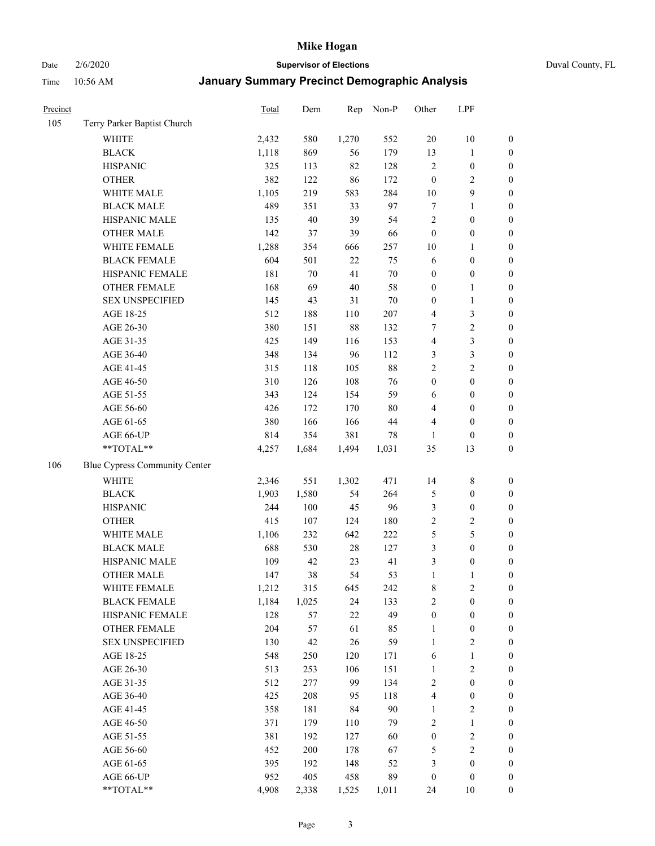Date 2/6/2020 **Supervisor of Elections** Duval County, FL

| Precinct |                               | Total | Dem   | Rep    | Non-P   | Other            | LPF              |                  |
|----------|-------------------------------|-------|-------|--------|---------|------------------|------------------|------------------|
| 105      | Terry Parker Baptist Church   |       |       |        |         |                  |                  |                  |
|          | <b>WHITE</b>                  | 2,432 | 580   | 1,270  | 552     | 20               | $10\,$           | 0                |
|          | <b>BLACK</b>                  | 1,118 | 869   | 56     | 179     | 13               | $\mathbf{1}$     | $\boldsymbol{0}$ |
|          | <b>HISPANIC</b>               | 325   | 113   | 82     | 128     | $\sqrt{2}$       | $\boldsymbol{0}$ | $\boldsymbol{0}$ |
|          | <b>OTHER</b>                  | 382   | 122   | 86     | 172     | $\boldsymbol{0}$ | $\sqrt{2}$       | $\boldsymbol{0}$ |
|          | WHITE MALE                    | 1,105 | 219   | 583    | 284     | 10               | $\mathbf{9}$     | $\boldsymbol{0}$ |
|          | <b>BLACK MALE</b>             | 489   | 351   | 33     | 97      | $\boldsymbol{7}$ | $\mathbf{1}$     | $\boldsymbol{0}$ |
|          | HISPANIC MALE                 | 135   | 40    | 39     | 54      | $\overline{c}$   | $\boldsymbol{0}$ | $\boldsymbol{0}$ |
|          | <b>OTHER MALE</b>             | 142   | 37    | 39     | 66      | $\boldsymbol{0}$ | $\boldsymbol{0}$ | $\boldsymbol{0}$ |
|          | WHITE FEMALE                  | 1,288 | 354   | 666    | 257     | $10\,$           | 1                | $\boldsymbol{0}$ |
|          | <b>BLACK FEMALE</b>           | 604   | 501   | $22\,$ | 75      | 6                | $\boldsymbol{0}$ | 0                |
|          | HISPANIC FEMALE               | 181   | 70    | 41     | $70\,$  | $\boldsymbol{0}$ | $\boldsymbol{0}$ | 0                |
|          | OTHER FEMALE                  | 168   | 69    | $40\,$ | 58      | $\boldsymbol{0}$ | $\mathbf{1}$     | $\boldsymbol{0}$ |
|          | <b>SEX UNSPECIFIED</b>        | 145   | 43    | 31     | $70\,$  | $\boldsymbol{0}$ | $\mathbf{1}$     | $\boldsymbol{0}$ |
|          | AGE 18-25                     | 512   | 188   | 110    | $207\,$ | 4                | $\mathfrak{Z}$   | $\boldsymbol{0}$ |
|          | AGE 26-30                     | 380   | 151   | 88     | 132     | 7                | $\sqrt{2}$       | $\boldsymbol{0}$ |
|          | AGE 31-35                     | 425   | 149   | 116    | 153     | $\overline{4}$   | $\mathfrak{Z}$   | $\boldsymbol{0}$ |
|          | AGE 36-40                     | 348   | 134   | 96     | 112     | 3                | $\mathfrak{Z}$   | $\boldsymbol{0}$ |
|          | AGE 41-45                     | 315   | 118   | 105    | $88\,$  | $\overline{2}$   | $\overline{2}$   | $\boldsymbol{0}$ |
|          | AGE 46-50                     | 310   | 126   | 108    | 76      | $\boldsymbol{0}$ | $\boldsymbol{0}$ | $\boldsymbol{0}$ |
|          | AGE 51-55                     | 343   | 124   | 154    | 59      | 6                | $\boldsymbol{0}$ | $\boldsymbol{0}$ |
|          | AGE 56-60                     | 426   | 172   | 170    | $80\,$  | 4                | $\boldsymbol{0}$ | 0                |
|          | AGE 61-65                     | 380   | 166   | 166    | 44      | 4                | $\boldsymbol{0}$ | 0                |
|          | AGE 66-UP                     | 814   | 354   | 381    | 78      | 1                | $\boldsymbol{0}$ | $\boldsymbol{0}$ |
|          | **TOTAL**                     | 4,257 | 1,684 | 1,494  | 1,031   | 35               | 13               | $\boldsymbol{0}$ |
| 106      | Blue Cypress Community Center |       |       |        |         |                  |                  |                  |
|          | <b>WHITE</b>                  | 2,346 | 551   | 1,302  | 471     | 14               | $\,$ 8 $\,$      | $\boldsymbol{0}$ |
|          | <b>BLACK</b>                  | 1,903 | 1,580 | 54     | 264     | 5                | $\boldsymbol{0}$ | $\boldsymbol{0}$ |
|          | <b>HISPANIC</b>               | 244   | 100   | 45     | 96      | 3                | $\boldsymbol{0}$ | $\boldsymbol{0}$ |
|          | <b>OTHER</b>                  | 415   | 107   | 124    | 180     | $\overline{c}$   | $\sqrt{2}$       | $\boldsymbol{0}$ |
|          | WHITE MALE                    | 1,106 | 232   | 642    | 222     | 5                | $\sqrt{5}$       | $\boldsymbol{0}$ |
|          | <b>BLACK MALE</b>             | 688   | 530   | $28\,$ | 127     | 3                | $\boldsymbol{0}$ | $\boldsymbol{0}$ |
|          | HISPANIC MALE                 | 109   | 42    | 23     | 41      | $\mathfrak{Z}$   | $\boldsymbol{0}$ | $\boldsymbol{0}$ |
|          | <b>OTHER MALE</b>             | 147   | 38    | 54     | 53      | $\mathbf{1}$     | $\mathbf{1}$     | $\boldsymbol{0}$ |
|          | WHITE FEMALE                  | 1,212 | 315   | 645    | 242     | 8                | 2                | 0                |
|          | <b>BLACK FEMALE</b>           | 1,184 | 1,025 | 24     | 133     | 2                | $\boldsymbol{0}$ | $\boldsymbol{0}$ |
|          | HISPANIC FEMALE               | 128   | 57    | $22\,$ | 49      | $\boldsymbol{0}$ | $\boldsymbol{0}$ | $\boldsymbol{0}$ |
|          | OTHER FEMALE                  | 204   | 57    | 61     | 85      | $\mathbf{1}$     | $\boldsymbol{0}$ | $\overline{0}$   |
|          | <b>SEX UNSPECIFIED</b>        | 130   | 42    | 26     | 59      | $\mathbf{1}$     | $\overline{2}$   | 0                |
|          | AGE 18-25                     | 548   | 250   | 120    | 171     | 6                | $\mathbf{1}$     | 0                |
|          | AGE 26-30                     | 513   | 253   | 106    | 151     | $\mathbf{1}$     | $\sqrt{2}$       | 0                |
|          | AGE 31-35                     | 512   | 277   | 99     | 134     | $\sqrt{2}$       | $\boldsymbol{0}$ | 0                |
|          | AGE 36-40                     | 425   | 208   | 95     | 118     | 4                | $\boldsymbol{0}$ | 0                |
|          | AGE 41-45                     | 358   | 181   | 84     | 90      | $\mathbf{1}$     | $\sqrt{2}$       | 0                |
|          | AGE 46-50                     | 371   | 179   | 110    | 79      | $\overline{c}$   | $\mathbf{1}$     | 0                |
|          | AGE 51-55                     | 381   | 192   | 127    | 60      | $\boldsymbol{0}$ | $\sqrt{2}$       | $\boldsymbol{0}$ |
|          | AGE 56-60                     | 452   | 200   | 178    | 67      | 5                | $\sqrt{2}$       | $\boldsymbol{0}$ |
|          | AGE 61-65                     | 395   | 192   | 148    | 52      | 3                | $\boldsymbol{0}$ | $\boldsymbol{0}$ |
|          | AGE 66-UP                     | 952   | 405   | 458    | 89      | $\boldsymbol{0}$ | $\boldsymbol{0}$ | $\boldsymbol{0}$ |
|          | **TOTAL**                     | 4,908 | 2,338 | 1,525  | 1,011   | 24               | 10               | $\boldsymbol{0}$ |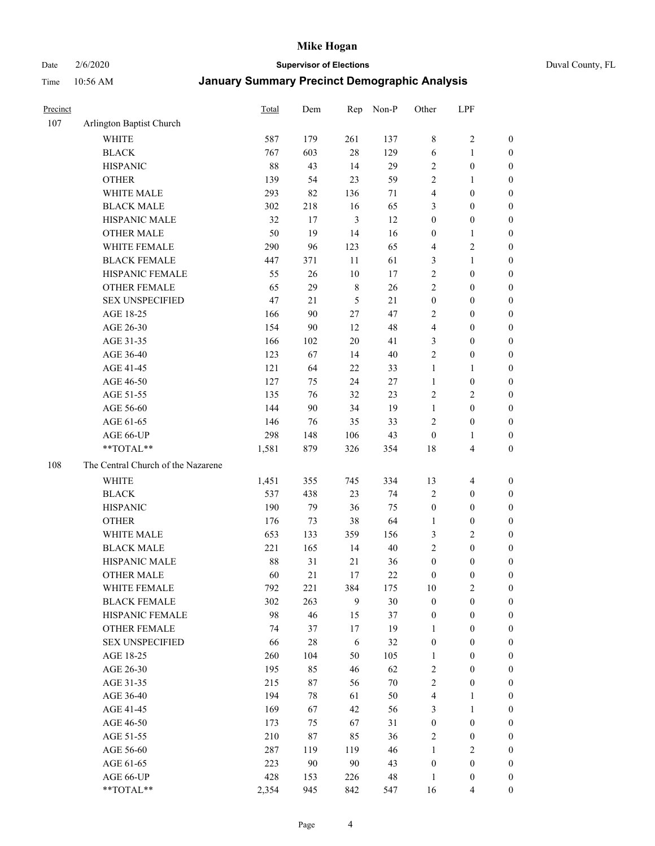Date 2/6/2020 **Supervisor of Elections** Duval County, FL

| Precinct |                                    | Total | Dem    | Rep            | Non-P  | Other                   | LPF                     |                  |
|----------|------------------------------------|-------|--------|----------------|--------|-------------------------|-------------------------|------------------|
| 107      | Arlington Baptist Church           |       |        |                |        |                         |                         |                  |
|          | <b>WHITE</b>                       | 587   | 179    | 261            | 137    | 8                       | $\sqrt{2}$              | 0                |
|          | <b>BLACK</b>                       | 767   | 603    | 28             | 129    | 6                       | $\mathbf{1}$            | 0                |
|          | <b>HISPANIC</b>                    | 88    | 43     | 14             | 29     | $\overline{c}$          | $\boldsymbol{0}$        | $\boldsymbol{0}$ |
|          | <b>OTHER</b>                       | 139   | 54     | 23             | 59     | 2                       | 1                       | $\boldsymbol{0}$ |
|          | WHITE MALE                         | 293   | 82     | 136            | 71     | 4                       | $\boldsymbol{0}$        | $\boldsymbol{0}$ |
|          | <b>BLACK MALE</b>                  | 302   | 218    | 16             | 65     | 3                       | $\boldsymbol{0}$        | $\boldsymbol{0}$ |
|          | HISPANIC MALE                      | 32    | 17     | $\mathfrak{Z}$ | 12     | $\boldsymbol{0}$        | $\boldsymbol{0}$        | $\boldsymbol{0}$ |
|          | <b>OTHER MALE</b>                  | 50    | 19     | 14             | 16     | $\boldsymbol{0}$        | $\mathbf{1}$            | $\boldsymbol{0}$ |
|          | WHITE FEMALE                       | 290   | 96     | 123            | 65     | 4                       | $\sqrt{2}$              | $\boldsymbol{0}$ |
|          | <b>BLACK FEMALE</b>                | 447   | 371    | 11             | 61     | 3                       | $\mathbf{1}$            | $\boldsymbol{0}$ |
|          | HISPANIC FEMALE                    | 55    | $26\,$ | 10             | 17     | $\sqrt{2}$              | $\boldsymbol{0}$        | $\boldsymbol{0}$ |
|          | <b>OTHER FEMALE</b>                | 65    | 29     | $\,$ 8 $\,$    | 26     | $\overline{c}$          | $\boldsymbol{0}$        | $\boldsymbol{0}$ |
|          | <b>SEX UNSPECIFIED</b>             | 47    | 21     | 5              | 21     | $\boldsymbol{0}$        | $\boldsymbol{0}$        | $\boldsymbol{0}$ |
|          | AGE 18-25                          | 166   | 90     | $27\,$         | 47     | $\overline{c}$          | $\boldsymbol{0}$        | $\boldsymbol{0}$ |
|          | AGE 26-30                          | 154   | 90     | 12             | 48     | 4                       | $\boldsymbol{0}$        | $\boldsymbol{0}$ |
|          | AGE 31-35                          | 166   | 102    | 20             | 41     | 3                       | $\boldsymbol{0}$        | $\boldsymbol{0}$ |
|          | AGE 36-40                          | 123   | 67     | 14             | $40\,$ | $\overline{c}$          | $\boldsymbol{0}$        | $\boldsymbol{0}$ |
|          | AGE 41-45                          | 121   | 64     | 22             | 33     | $\mathbf{1}$            | $\mathbf{1}$            | $\boldsymbol{0}$ |
|          | AGE 46-50                          | 127   | 75     | 24             | 27     | $\mathbf{1}$            | $\boldsymbol{0}$        | $\boldsymbol{0}$ |
|          | AGE 51-55                          | 135   | 76     | 32             | 23     | $\sqrt{2}$              | $\sqrt{2}$              | $\boldsymbol{0}$ |
|          | AGE 56-60                          | 144   | 90     | 34             | 19     | $\mathbf{1}$            | $\boldsymbol{0}$        | 0                |
|          | AGE 61-65                          | 146   | 76     | 35             | 33     | $\overline{2}$          | $\boldsymbol{0}$        | $\boldsymbol{0}$ |
|          | AGE 66-UP                          | 298   | 148    | 106            | 43     | $\boldsymbol{0}$        | 1                       | $\boldsymbol{0}$ |
|          | **TOTAL**                          | 1,581 | 879    | 326            | 354    | 18                      | $\overline{\mathbf{4}}$ | $\boldsymbol{0}$ |
| 108      | The Central Church of the Nazarene |       |        |                |        |                         |                         |                  |
|          | <b>WHITE</b>                       | 1,451 | 355    | 745            | 334    | 13                      | $\overline{4}$          | $\boldsymbol{0}$ |
|          | <b>BLACK</b>                       | 537   | 438    | 23             | 74     | $\overline{c}$          | $\boldsymbol{0}$        | $\boldsymbol{0}$ |
|          | <b>HISPANIC</b>                    | 190   | 79     | 36             | 75     | $\boldsymbol{0}$        | $\boldsymbol{0}$        | $\boldsymbol{0}$ |
|          | <b>OTHER</b>                       | 176   | 73     | 38             | 64     | $\mathbf{1}$            | $\boldsymbol{0}$        | $\boldsymbol{0}$ |
|          | WHITE MALE                         | 653   | 133    | 359            | 156    | 3                       | $\overline{c}$          | $\boldsymbol{0}$ |
|          | <b>BLACK MALE</b>                  | 221   | 165    | 14             | $40\,$ | $\overline{2}$          | $\boldsymbol{0}$        | $\boldsymbol{0}$ |
|          | HISPANIC MALE                      | 88    | 31     | 21             | 36     | $\boldsymbol{0}$        | $\boldsymbol{0}$        | $\boldsymbol{0}$ |
|          | <b>OTHER MALE</b>                  | 60    | 21     | 17             | 22     | $\boldsymbol{0}$        | $\boldsymbol{0}$        | $\boldsymbol{0}$ |
|          | WHITE FEMALE                       | 792   | 221    | 384            | 175    | 10                      | $\overline{c}$          | 0                |
|          | <b>BLACK FEMALE</b>                | 302   | 263    | 9              | 30     | $\boldsymbol{0}$        | $\boldsymbol{0}$        | $\boldsymbol{0}$ |
|          | HISPANIC FEMALE                    | 98    | 46     | 15             | 37     | $\boldsymbol{0}$        | $\boldsymbol{0}$        | $\overline{0}$   |
|          | OTHER FEMALE                       | 74    | 37     | 17             | 19     | $\mathbf{1}$            | $\boldsymbol{0}$        | $\overline{0}$   |
|          | <b>SEX UNSPECIFIED</b>             | 66    | $28\,$ | 6              | 32     | $\boldsymbol{0}$        | $\boldsymbol{0}$        | $\overline{0}$   |
|          | AGE 18-25                          | 260   | 104    | 50             | 105    | $\mathbf{1}$            | $\boldsymbol{0}$        | $\theta$         |
|          | AGE 26-30                          | 195   | 85     | 46             | 62     | 2                       | $\boldsymbol{0}$        | 0                |
|          | AGE 31-35                          | 215   | 87     | 56             | $70\,$ | $\overline{c}$          | $\boldsymbol{0}$        | 0                |
|          | AGE 36-40                          | 194   | 78     | 61             | 50     | $\overline{\mathbf{4}}$ | 1                       | 0                |
|          | AGE 41-45                          | 169   | 67     | 42             | 56     | 3                       | $\mathbf{1}$            | 0                |
|          | AGE 46-50                          | 173   | 75     | 67             | 31     | $\boldsymbol{0}$        | $\boldsymbol{0}$        | 0                |
|          | AGE 51-55                          | 210   | 87     | 85             | 36     | $\sqrt{2}$              | $\boldsymbol{0}$        | 0                |
|          | AGE 56-60                          | 287   | 119    | 119            | 46     | 1                       | $\overline{2}$          | $\overline{0}$   |
|          | AGE 61-65                          | 223   | 90     | 90             | 43     | $\boldsymbol{0}$        | $\boldsymbol{0}$        | $\overline{0}$   |
|          | AGE 66-UP                          | 428   | 153    | 226            | 48     | $\mathbf{1}$            | $\boldsymbol{0}$        | $\boldsymbol{0}$ |
|          | **TOTAL**                          | 2,354 | 945    | 842            | 547    | 16                      | $\overline{4}$          | $\boldsymbol{0}$ |
|          |                                    |       |        |                |        |                         |                         |                  |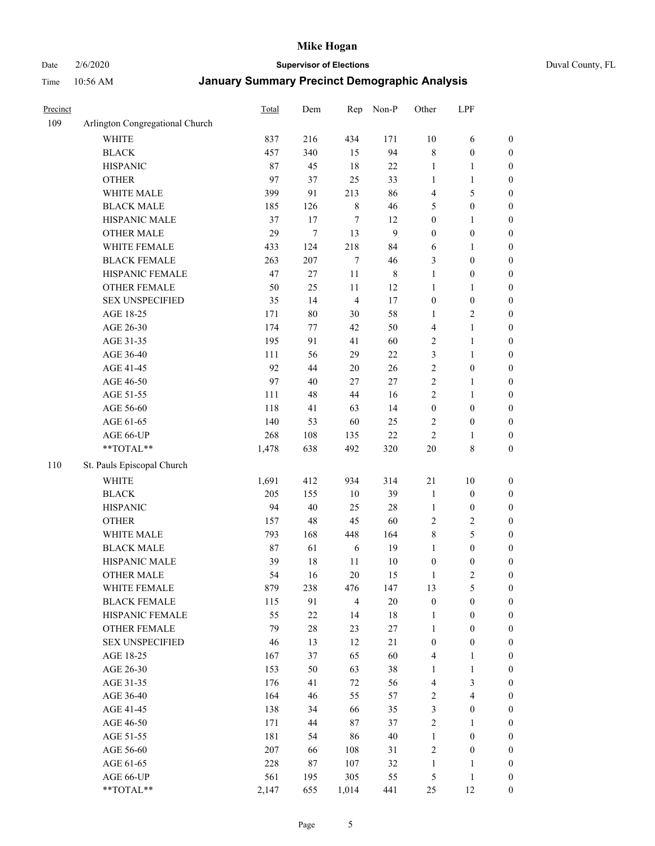Date 2/6/2020 **Supervisor of Elections** Duval County, FL

| Precinct |                                 | Total | Dem    | Rep            | Non-P          | Other                   | LPF                     |                  |
|----------|---------------------------------|-------|--------|----------------|----------------|-------------------------|-------------------------|------------------|
| 109      | Arlington Congregational Church |       |        |                |                |                         |                         |                  |
|          | <b>WHITE</b>                    | 837   | 216    | 434            | 171            | $10\,$                  | 6                       | 0                |
|          | <b>BLACK</b>                    | 457   | 340    | 15             | 94             | $\,$ 8 $\,$             | $\boldsymbol{0}$        | $\boldsymbol{0}$ |
|          | <b>HISPANIC</b>                 | 87    | 45     | 18             | 22             | $\mathbf{1}$            | $\mathbf{1}$            | $\boldsymbol{0}$ |
|          | <b>OTHER</b>                    | 97    | 37     | 25             | 33             | 1                       | 1                       | $\boldsymbol{0}$ |
|          | WHITE MALE                      | 399   | 91     | 213            | 86             | 4                       | $\mathfrak s$           | $\boldsymbol{0}$ |
|          | <b>BLACK MALE</b>               | 185   | 126    | $\,8\,$        | 46             | 5                       | $\boldsymbol{0}$        | $\boldsymbol{0}$ |
|          | HISPANIC MALE                   | 37    | 17     | 7              | 12             | $\boldsymbol{0}$        | $\mathbf{1}$            | $\boldsymbol{0}$ |
|          | <b>OTHER MALE</b>               | 29    | $\tau$ | 13             | $\overline{9}$ | $\boldsymbol{0}$        | $\boldsymbol{0}$        | $\boldsymbol{0}$ |
|          | WHITE FEMALE                    | 433   | 124    | 218            | 84             | 6                       | 1                       | $\boldsymbol{0}$ |
|          | <b>BLACK FEMALE</b>             | 263   | 207    | $\tau$         | 46             | 3                       | $\boldsymbol{0}$        | $\boldsymbol{0}$ |
|          | HISPANIC FEMALE                 | 47    | 27     | 11             | $\,$ 8 $\,$    | $\mathbf{1}$            | $\boldsymbol{0}$        | 0                |
|          | OTHER FEMALE                    | 50    | 25     | 11             | 12             | $\mathbf{1}$            | 1                       | $\boldsymbol{0}$ |
|          | <b>SEX UNSPECIFIED</b>          | 35    | 14     | $\overline{4}$ | 17             | $\boldsymbol{0}$        | $\boldsymbol{0}$        | $\boldsymbol{0}$ |
|          | AGE 18-25                       | 171   | $80\,$ | 30             | 58             | 1                       | $\sqrt{2}$              | $\boldsymbol{0}$ |
|          | AGE 26-30                       | 174   | 77     | 42             | 50             | 4                       | $\mathbf{1}$            | $\boldsymbol{0}$ |
|          | AGE 31-35                       | 195   | 91     | 41             | 60             | $\sqrt{2}$              | $\mathbf{1}$            | $\boldsymbol{0}$ |
|          | AGE 36-40                       | 111   | 56     | 29             | 22             | 3                       | $\mathbf{1}$            | $\boldsymbol{0}$ |
|          | AGE 41-45                       | 92    | 44     | 20             | 26             | $\sqrt{2}$              | $\boldsymbol{0}$        | $\boldsymbol{0}$ |
|          | AGE 46-50                       | 97    | 40     | 27             | 27             | $\overline{c}$          | $\mathbf{1}$            | $\boldsymbol{0}$ |
|          | AGE 51-55                       | 111   | 48     | 44             | 16             | $\overline{2}$          | 1                       | $\boldsymbol{0}$ |
|          | AGE 56-60                       | 118   | 41     | 63             | 14             | $\boldsymbol{0}$        | $\boldsymbol{0}$        | 0                |
|          | AGE 61-65                       | 140   | 53     | 60             | 25             | $\overline{2}$          | $\boldsymbol{0}$        | 0                |
|          | AGE 66-UP                       | 268   | 108    | 135            | $22\,$         | $\sqrt{2}$              | 1                       | $\boldsymbol{0}$ |
|          | **TOTAL**                       | 1,478 | 638    | 492            | 320            | $20\,$                  | 8                       | $\boldsymbol{0}$ |
| 110      | St. Pauls Episcopal Church      |       |        |                |                |                         |                         |                  |
|          | <b>WHITE</b>                    | 1,691 | 412    | 934            | 314            | $21\,$                  | $10\,$                  | $\boldsymbol{0}$ |
|          | <b>BLACK</b>                    | 205   | 155    | 10             | 39             | $\mathbf{1}$            | $\boldsymbol{0}$        | $\boldsymbol{0}$ |
|          | <b>HISPANIC</b>                 | 94    | 40     | 25             | 28             | $\mathbf{1}$            | $\boldsymbol{0}$        | $\boldsymbol{0}$ |
|          | <b>OTHER</b>                    | 157   | 48     | 45             | 60             | $\sqrt{2}$              | $\sqrt{2}$              | $\boldsymbol{0}$ |
|          | WHITE MALE                      | 793   | 168    | 448            | 164            | 8                       | $\mathfrak s$           | $\boldsymbol{0}$ |
|          | <b>BLACK MALE</b>               | 87    | 61     | 6              | 19             | $\mathbf{1}$            | $\boldsymbol{0}$        | $\boldsymbol{0}$ |
|          | HISPANIC MALE                   | 39    | $18\,$ | $11\,$         | $10\,$         | $\boldsymbol{0}$        | $\boldsymbol{0}$        | $\boldsymbol{0}$ |
|          | <b>OTHER MALE</b>               | 54    | 16     | 20             | 15             | $\mathbf{1}$            | $\overline{c}$          | $\boldsymbol{0}$ |
|          | WHITE FEMALE                    | 879   | 238    | 476            | 147            | 13                      | 5                       | 0                |
|          | <b>BLACK FEMALE</b>             | 115   | 91     | $\overline{4}$ | $20\,$         | $\boldsymbol{0}$        | $\boldsymbol{0}$        | $\overline{0}$   |
|          | HISPANIC FEMALE                 | 55    | 22     | 14             | $18\,$         | $\mathbf{1}$            | $\boldsymbol{0}$        | $\overline{0}$   |
|          | OTHER FEMALE                    | 79    | $28\,$ | 23             | 27             | $\mathbf{1}$            | $\boldsymbol{0}$        | $\overline{0}$   |
|          | <b>SEX UNSPECIFIED</b>          | 46    | 13     | 12             | 21             | $\boldsymbol{0}$        | $\boldsymbol{0}$        | 0                |
|          | AGE 18-25                       | 167   | 37     | 65             | 60             | 4                       | $\mathbf{1}$            | 0                |
|          | AGE 26-30                       | 153   | 50     | 63             | 38             | $\mathbf{1}$            | $\mathbf{1}$            | 0                |
|          | AGE 31-35                       | 176   | 41     | 72             | 56             | 4                       | $\mathfrak{Z}$          | 0                |
|          | AGE 36-40                       | 164   | 46     | 55             | 57             | $\overline{\mathbf{c}}$ | $\overline{\mathbf{4}}$ | 0                |
|          | AGE 41-45                       | 138   | 34     | 66             | 35             | 3                       | $\boldsymbol{0}$        | 0                |
|          | AGE 46-50                       | 171   | 44     | 87             | 37             | $\sqrt{2}$              | 1                       | 0                |
|          | AGE 51-55                       | 181   | 54     | 86             | 40             | $\mathbf{1}$            | $\boldsymbol{0}$        | 0                |
|          | AGE 56-60                       | 207   | 66     | 108            | 31             | $\sqrt{2}$              | $\boldsymbol{0}$        | $\overline{0}$   |
|          | AGE 61-65                       | 228   | $87\,$ | 107            | 32             | $\mathbf{1}$            | 1                       | $\boldsymbol{0}$ |
|          | AGE 66-UP                       | 561   | 195    | 305            | 55             | $\sqrt{5}$              | $\mathbf{1}$            | $\boldsymbol{0}$ |
|          | **TOTAL**                       | 2,147 | 655    | 1,014          | 441            | 25                      | 12                      | $\boldsymbol{0}$ |
|          |                                 |       |        |                |                |                         |                         |                  |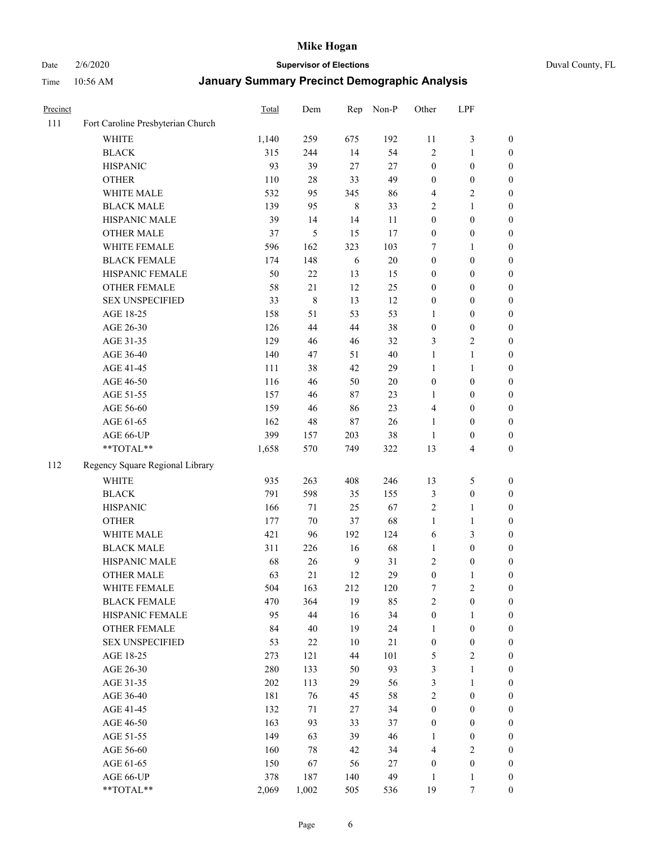Date 2/6/2020 **Supervisor of Elections** Duval County, FL

| Precinct |                                   | Total | Dem    | Rep            | Non-P  | Other            | LPF                     |                  |
|----------|-----------------------------------|-------|--------|----------------|--------|------------------|-------------------------|------------------|
| 111      | Fort Caroline Presbyterian Church |       |        |                |        |                  |                         |                  |
|          | <b>WHITE</b>                      | 1,140 | 259    | 675            | 192    | 11               | $\mathfrak{Z}$          | 0                |
|          | <b>BLACK</b>                      | 315   | 244    | 14             | 54     | $\overline{2}$   | $\mathbf{1}$            | $\boldsymbol{0}$ |
|          | <b>HISPANIC</b>                   | 93    | 39     | 27             | 27     | $\boldsymbol{0}$ | $\boldsymbol{0}$        | $\boldsymbol{0}$ |
|          | <b>OTHER</b>                      | 110   | $28\,$ | 33             | 49     | $\boldsymbol{0}$ | $\boldsymbol{0}$        | $\boldsymbol{0}$ |
|          | WHITE MALE                        | 532   | 95     | 345            | 86     | 4                | $\sqrt{2}$              | $\boldsymbol{0}$ |
|          | <b>BLACK MALE</b>                 | 139   | 95     | $\,8\,$        | 33     | 2                | $\mathbf{1}$            | $\boldsymbol{0}$ |
|          | HISPANIC MALE                     | 39    | 14     | 14             | 11     | $\boldsymbol{0}$ | $\boldsymbol{0}$        | $\boldsymbol{0}$ |
|          | <b>OTHER MALE</b>                 | 37    | 5      | 15             | 17     | $\boldsymbol{0}$ | $\boldsymbol{0}$        | $\boldsymbol{0}$ |
|          | WHITE FEMALE                      | 596   | 162    | 323            | 103    | 7                | 1                       | $\boldsymbol{0}$ |
|          | <b>BLACK FEMALE</b>               | 174   | 148    | 6              | $20\,$ | $\boldsymbol{0}$ | $\boldsymbol{0}$        | 0                |
|          | HISPANIC FEMALE                   | 50    | 22     | 13             | 15     | 0                | $\boldsymbol{0}$        | 0                |
|          | <b>OTHER FEMALE</b>               | 58    | 21     | 12             | 25     | $\boldsymbol{0}$ | $\boldsymbol{0}$        | $\boldsymbol{0}$ |
|          | <b>SEX UNSPECIFIED</b>            | 33    | 8      | 13             | 12     | $\boldsymbol{0}$ | $\boldsymbol{0}$        | $\boldsymbol{0}$ |
|          | AGE 18-25                         | 158   | 51     | 53             | 53     | 1                | $\boldsymbol{0}$        | $\boldsymbol{0}$ |
|          | AGE 26-30                         | 126   | 44     | 44             | 38     | $\boldsymbol{0}$ | $\boldsymbol{0}$        | $\boldsymbol{0}$ |
|          | AGE 31-35                         | 129   | 46     | 46             | 32     | 3                | $\sqrt{2}$              | $\boldsymbol{0}$ |
|          | AGE 36-40                         | 140   | 47     | 51             | 40     | $\mathbf{1}$     | $\mathbf{1}$            | $\boldsymbol{0}$ |
|          | AGE 41-45                         | 111   | 38     | 42             | 29     | $\mathbf{1}$     | $\mathbf{1}$            | $\boldsymbol{0}$ |
|          | AGE 46-50                         | 116   | 46     | 50             | $20\,$ | $\boldsymbol{0}$ | $\boldsymbol{0}$        | $\boldsymbol{0}$ |
|          | AGE 51-55                         | 157   | 46     | 87             | 23     | 1                | $\boldsymbol{0}$        | $\boldsymbol{0}$ |
|          | AGE 56-60                         | 159   | 46     | 86             | 23     | 4                | $\boldsymbol{0}$        | 0                |
|          | AGE 61-65                         | 162   | 48     | $87\,$         | 26     | $\mathbf{1}$     | $\boldsymbol{0}$        | 0                |
|          | AGE 66-UP                         | 399   | 157    | 203            | 38     | $\mathbf{1}$     | $\boldsymbol{0}$        | $\boldsymbol{0}$ |
|          | **TOTAL**                         | 1,658 | 570    | 749            | 322    | 13               | $\overline{\mathbf{4}}$ | $\boldsymbol{0}$ |
| 112      | Regency Square Regional Library   |       |        |                |        |                  |                         |                  |
|          |                                   |       |        |                |        |                  |                         |                  |
|          | <b>WHITE</b>                      | 935   | 263    | 408            | 246    | 13               | $\mathfrak s$           | $\boldsymbol{0}$ |
|          | <b>BLACK</b>                      | 791   | 598    | 35             | 155    | 3                | $\boldsymbol{0}$        | $\boldsymbol{0}$ |
|          | <b>HISPANIC</b>                   | 166   | 71     | 25             | 67     | 2                | $\mathbf{1}$            | $\boldsymbol{0}$ |
|          | <b>OTHER</b>                      | 177   | $70\,$ | 37             | 68     | $\mathbf{1}$     | $\mathbf{1}$            | $\boldsymbol{0}$ |
|          | WHITE MALE                        | 421   | 96     | 192            | 124    | 6                | 3                       | $\boldsymbol{0}$ |
|          | <b>BLACK MALE</b>                 | 311   | 226    | 16             | 68     | $\mathbf{1}$     | $\boldsymbol{0}$        | $\boldsymbol{0}$ |
|          | HISPANIC MALE                     | 68    | 26     | $\overline{9}$ | 31     | 2                | $\boldsymbol{0}$        | 0                |
|          | <b>OTHER MALE</b>                 | 63    | 21     | 12             | 29     | $\boldsymbol{0}$ | $\mathbf{1}$            | $\boldsymbol{0}$ |
|          | WHITE FEMALE                      | 504   | 163    | 212            | 120    | 7                | 2                       | 0                |
|          | <b>BLACK FEMALE</b>               | 470   | 364    | 19             | 85     | $\overline{c}$   | $\boldsymbol{0}$        | $\boldsymbol{0}$ |
|          | HISPANIC FEMALE                   | 95    | 44     | 16             | 34     | $\boldsymbol{0}$ | 1                       | $\overline{0}$   |
|          | <b>OTHER FEMALE</b>               | 84    | 40     | 19             | 24     | $\mathbf{1}$     | $\boldsymbol{0}$        | 0                |
|          | <b>SEX UNSPECIFIED</b>            | 53    | 22     | 10             | 21     | $\boldsymbol{0}$ | $\boldsymbol{0}$        | 0                |
|          | AGE 18-25                         | 273   | 121    | 44             | 101    | 5                | $\sqrt{2}$              | 0                |
|          | AGE 26-30                         | 280   | 133    | 50             | 93     | 3                | $\mathbf{1}$            | 0                |
|          | AGE 31-35                         | 202   | 113    | 29             | 56     | 3                | $\mathbf{1}$            | 0                |
|          | AGE 36-40                         | 181   | 76     | 45             | 58     | 2                | $\boldsymbol{0}$        | 0                |
|          | AGE 41-45                         | 132   | 71     | 27             | 34     | $\boldsymbol{0}$ | $\boldsymbol{0}$        | 0                |
|          | AGE 46-50                         | 163   | 93     | 33             | 37     | $\boldsymbol{0}$ | $\boldsymbol{0}$        | 0                |
|          | AGE 51-55                         | 149   | 63     | 39             | 46     | 1                | $\boldsymbol{0}$        | 0                |
|          | AGE 56-60                         | 160   | 78     | 42             | 34     | 4                | $\sqrt{2}$              | 0                |
|          | AGE 61-65                         | 150   | 67     | 56             | 27     | $\boldsymbol{0}$ | $\boldsymbol{0}$        | 0                |
|          | AGE 66-UP                         | 378   | 187    | 140            | 49     | $\mathbf{1}$     | $\mathbf{1}$            | 0                |
|          | **TOTAL**                         | 2,069 | 1,002  | 505            | 536    | 19               | 7                       | $\boldsymbol{0}$ |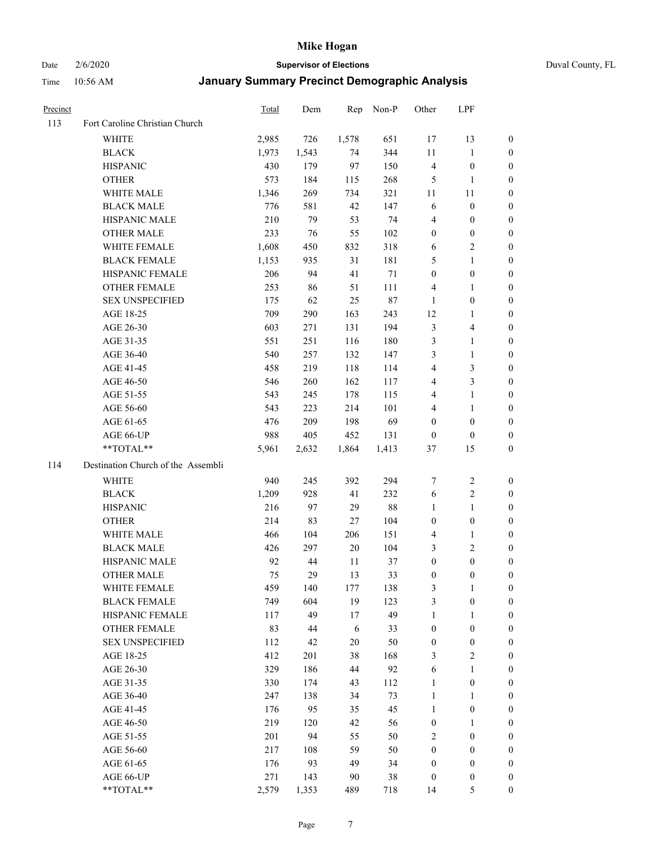Date 2/6/2020 **Supervisor of Elections** Duval County, FL

| Precinct |                                    | <b>Total</b> | Dem   | Rep    | Non-P  | Other                   | LPF              |                  |
|----------|------------------------------------|--------------|-------|--------|--------|-------------------------|------------------|------------------|
| 113      | Fort Caroline Christian Church     |              |       |        |        |                         |                  |                  |
|          | <b>WHITE</b>                       | 2,985        | 726   | 1,578  | 651    | 17                      | 13               | 0                |
|          | <b>BLACK</b>                       | 1,973        | 1,543 | 74     | 344    | 11                      | $\mathbf{1}$     | 0                |
|          | <b>HISPANIC</b>                    | 430          | 179   | 97     | 150    | 4                       | $\boldsymbol{0}$ | 0                |
|          | <b>OTHER</b>                       | 573          | 184   | 115    | 268    | 5                       | 1                | $\boldsymbol{0}$ |
|          | WHITE MALE                         | 1,346        | 269   | 734    | 321    | 11                      | 11               | $\boldsymbol{0}$ |
|          | <b>BLACK MALE</b>                  | 776          | 581   | 42     | 147    | 6                       | $\boldsymbol{0}$ | 0                |
|          | HISPANIC MALE                      | 210          | 79    | 53     | 74     | 4                       | $\boldsymbol{0}$ | $\boldsymbol{0}$ |
|          | <b>OTHER MALE</b>                  | 233          | 76    | 55     | 102    | $\boldsymbol{0}$        | $\boldsymbol{0}$ | $\boldsymbol{0}$ |
|          | WHITE FEMALE                       | 1,608        | 450   | 832    | 318    | 6                       | $\overline{c}$   | 0                |
|          | <b>BLACK FEMALE</b>                | 1,153        | 935   | 31     | 181    | 5                       | $\mathbf{1}$     | 0                |
|          | HISPANIC FEMALE                    | 206          | 94    | 41     | 71     | $\boldsymbol{0}$        | $\boldsymbol{0}$ | 0                |
|          | OTHER FEMALE                       | 253          | 86    | 51     | 111    | 4                       | 1                | 0                |
|          | <b>SEX UNSPECIFIED</b>             | 175          | 62    | 25     | $87\,$ | $\mathbf{1}$            | $\boldsymbol{0}$ | $\boldsymbol{0}$ |
|          | AGE 18-25                          | 709          | 290   | 163    | 243    | 12                      | 1                | $\boldsymbol{0}$ |
|          | AGE 26-30                          | 603          | 271   | 131    | 194    | 3                       | $\overline{4}$   | $\boldsymbol{0}$ |
|          | AGE 31-35                          | 551          | 251   | 116    | 180    | 3                       | $\mathbf{1}$     | $\boldsymbol{0}$ |
|          | AGE 36-40                          | 540          | 257   | 132    | 147    | 3                       | $\mathbf{1}$     | $\boldsymbol{0}$ |
|          | AGE 41-45                          | 458          | 219   | 118    | 114    | $\overline{\mathbf{4}}$ | $\mathfrak{Z}$   | $\overline{0}$   |
|          | AGE 46-50                          | 546          | 260   | 162    | 117    | 4                       | $\mathfrak{Z}$   | 0                |
|          | AGE 51-55                          | 543          | 245   | 178    | 115    | 4                       | $\mathbf{1}$     | 0                |
|          | AGE 56-60                          | 543          | 223   | 214    | 101    | 4                       | 1                | 0                |
|          | AGE 61-65                          | 476          | 209   | 198    | 69     | $\boldsymbol{0}$        | $\boldsymbol{0}$ | 0                |
|          | AGE 66-UP                          | 988          | 405   | 452    | 131    | $\boldsymbol{0}$        | $\boldsymbol{0}$ | 0                |
|          | **TOTAL**                          | 5,961        | 2,632 | 1,864  | 1,413  | 37                      | 15               | $\boldsymbol{0}$ |
| 114      | Destination Church of the Assembli |              |       |        |        |                         |                  |                  |
|          | <b>WHITE</b>                       | 940          | 245   | 392    | 294    | 7                       | $\boldsymbol{2}$ | $\boldsymbol{0}$ |
|          | <b>BLACK</b>                       | 1,209        | 928   | 41     | 232    | 6                       | $\sqrt{2}$       | $\boldsymbol{0}$ |
|          | <b>HISPANIC</b>                    | 216          | 97    | 29     | $88\,$ | $\mathbf{1}$            | $\mathbf{1}$     | $\boldsymbol{0}$ |
|          | <b>OTHER</b>                       | 214          | 83    | 27     | 104    | $\boldsymbol{0}$        | $\boldsymbol{0}$ | $\boldsymbol{0}$ |
|          | WHITE MALE                         | 466          | 104   | 206    | 151    | 4                       | $\mathbf{1}$     | $\overline{0}$   |
|          | <b>BLACK MALE</b>                  | 426          | 297   | $20\,$ | 104    | 3                       | $\overline{2}$   | $\boldsymbol{0}$ |
|          | HISPANIC MALE                      | 92           | 44    | 11     | 37     | $\boldsymbol{0}$        | $\boldsymbol{0}$ | 0                |
|          | <b>OTHER MALE</b>                  | 75           | 29    | 13     | 33     | $\boldsymbol{0}$        | $\boldsymbol{0}$ | 0                |
|          | WHITE FEMALE                       | 459          | 140   | 177    | 138    | 3                       | 1                | 0                |
|          | <b>BLACK FEMALE</b>                | 749          | 604   | 19     | 123    | 3                       | $\boldsymbol{0}$ | $\boldsymbol{0}$ |
|          | HISPANIC FEMALE                    | 117          | 49    | 17     | 49     | $\mathbf{1}$            | $\mathbf{1}$     | $\overline{0}$   |
|          | OTHER FEMALE                       | 83           | 44    | 6      | 33     | $\boldsymbol{0}$        | $\boldsymbol{0}$ | $\overline{0}$   |
|          | <b>SEX UNSPECIFIED</b>             | 112          | 42    | 20     | 50     | $\boldsymbol{0}$        | $\boldsymbol{0}$ | 0                |
|          | AGE 18-25                          | 412          | 201   | 38     | 168    | 3                       | $\sqrt{2}$       | $\theta$         |
|          | AGE 26-30                          | 329          | 186   | 44     | 92     | 6                       | $\mathbf{1}$     | 0                |
|          | AGE 31-35                          | 330          | 174   | 43     | 112    | $\mathbf{1}$            | $\boldsymbol{0}$ | 0                |
|          | AGE 36-40                          | 247          | 138   | 34     | 73     | $\mathbf{1}$            | $\mathbf{1}$     | 0                |
|          | AGE 41-45                          | 176          | 95    | 35     | 45     | $\mathbf{1}$            | $\boldsymbol{0}$ | 0                |
|          | AGE 46-50                          | 219          | 120   | 42     | 56     | $\boldsymbol{0}$        | 1                | 0                |
|          | AGE 51-55                          | 201          | 94    | 55     | 50     | 2                       | $\boldsymbol{0}$ | $\overline{0}$   |
|          | AGE 56-60                          | 217          | 108   | 59     | 50     | $\boldsymbol{0}$        | $\boldsymbol{0}$ | $\overline{0}$   |
|          | AGE 61-65                          | 176          | 93    | 49     | 34     | $\boldsymbol{0}$        | $\boldsymbol{0}$ | $\overline{0}$   |
|          | AGE 66-UP                          | 271          | 143   | 90     | 38     | $\boldsymbol{0}$        | $\boldsymbol{0}$ | $\boldsymbol{0}$ |
|          | **TOTAL**                          | 2,579        | 1,353 | 489    | 718    | 14                      | 5                | $\boldsymbol{0}$ |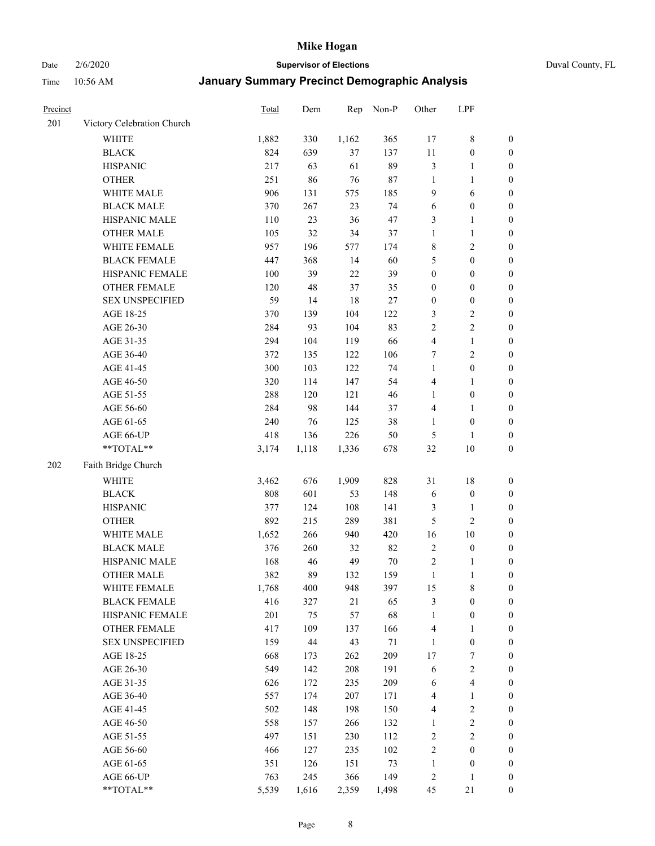Date 2/6/2020 **Supervisor of Elections** Duval County, FL

| Precinct |                            | Total | Dem   | Rep    | Non-P  | Other            | LPF                     |                  |
|----------|----------------------------|-------|-------|--------|--------|------------------|-------------------------|------------------|
| 201      | Victory Celebration Church |       |       |        |        |                  |                         |                  |
|          | <b>WHITE</b>               | 1,882 | 330   | 1,162  | 365    | 17               | $\,$ 8 $\,$             | 0                |
|          | <b>BLACK</b>               | 824   | 639   | 37     | 137    | $11\,$           | $\boldsymbol{0}$        | 0                |
|          | <b>HISPANIC</b>            | 217   | 63    | 61     | 89     | 3                | $\mathbf{1}$            | $\boldsymbol{0}$ |
|          | <b>OTHER</b>               | 251   | 86    | 76     | 87     | $\mathbf{1}$     | 1                       | $\boldsymbol{0}$ |
|          | WHITE MALE                 | 906   | 131   | 575    | 185    | 9                | 6                       | $\boldsymbol{0}$ |
|          | <b>BLACK MALE</b>          | 370   | 267   | 23     | 74     | 6                | $\boldsymbol{0}$        | $\boldsymbol{0}$ |
|          | HISPANIC MALE              | 110   | 23    | 36     | 47     | 3                | $\mathbf{1}$            | $\boldsymbol{0}$ |
|          | <b>OTHER MALE</b>          | 105   | 32    | 34     | 37     | $\mathbf{1}$     | $\mathbf{1}$            | $\boldsymbol{0}$ |
|          | WHITE FEMALE               | 957   | 196   | 577    | 174    | 8                | $\sqrt{2}$              | $\boldsymbol{0}$ |
|          | <b>BLACK FEMALE</b>        | 447   | 368   | 14     | 60     | 5                | $\boldsymbol{0}$        | $\boldsymbol{0}$ |
|          | HISPANIC FEMALE            | 100   | 39    | $22\,$ | 39     | $\boldsymbol{0}$ | $\boldsymbol{0}$        | 0                |
|          | OTHER FEMALE               | 120   | 48    | 37     | 35     | $\boldsymbol{0}$ | $\boldsymbol{0}$        | $\boldsymbol{0}$ |
|          | <b>SEX UNSPECIFIED</b>     | 59    | 14    | 18     | $27\,$ | $\boldsymbol{0}$ | $\boldsymbol{0}$        | $\boldsymbol{0}$ |
|          | AGE 18-25                  | 370   | 139   | 104    | 122    | 3                | $\sqrt{2}$              | $\boldsymbol{0}$ |
|          | AGE 26-30                  | 284   | 93    | 104    | 83     | $\sqrt{2}$       | $\sqrt{2}$              | $\boldsymbol{0}$ |
|          | AGE 31-35                  | 294   | 104   | 119    | 66     | 4                | $\mathbf{1}$            | $\boldsymbol{0}$ |
|          | AGE 36-40                  | 372   | 135   | 122    | 106    | 7                | $\sqrt{2}$              | $\boldsymbol{0}$ |
|          | AGE 41-45                  | 300   | 103   | 122    | 74     | $\mathbf{1}$     | $\boldsymbol{0}$        | $\boldsymbol{0}$ |
|          | AGE 46-50                  | 320   | 114   | 147    | 54     | 4                | $\mathbf{1}$            | $\boldsymbol{0}$ |
|          | AGE 51-55                  | 288   | 120   | 121    | 46     | 1                | $\boldsymbol{0}$        | $\boldsymbol{0}$ |
|          | AGE 56-60                  | 284   | 98    | 144    | 37     | $\overline{4}$   | 1                       | 0                |
|          | AGE 61-65                  | 240   | 76    | 125    | 38     | $\mathbf{1}$     | $\boldsymbol{0}$        | 0                |
|          | AGE 66-UP                  | 418   | 136   | 226    | 50     | $\mathfrak{S}$   | 1                       | $\boldsymbol{0}$ |
|          | **TOTAL**                  | 3,174 | 1,118 | 1,336  | 678    | 32               | $10\,$                  | $\boldsymbol{0}$ |
| 202      | Faith Bridge Church        |       |       |        |        |                  |                         |                  |
|          |                            |       |       |        |        |                  |                         |                  |
|          | <b>WHITE</b>               | 3,462 | 676   | 1,909  | 828    | 31               | $18\,$                  | $\boldsymbol{0}$ |
|          | <b>BLACK</b>               | 808   | 601   | 53     | 148    | 6                | $\boldsymbol{0}$        | $\boldsymbol{0}$ |
|          | <b>HISPANIC</b>            | 377   | 124   | 108    | 141    | 3                | $\mathbf{1}$            | $\boldsymbol{0}$ |
|          | <b>OTHER</b>               | 892   | 215   | 289    | 381    | 5                | $\overline{2}$          | $\boldsymbol{0}$ |
|          | WHITE MALE                 | 1,652 | 266   | 940    | 420    | 16               | $10\,$                  | $\boldsymbol{0}$ |
|          | <b>BLACK MALE</b>          | 376   | 260   | 32     | 82     | $\overline{2}$   | $\boldsymbol{0}$        | $\boldsymbol{0}$ |
|          | HISPANIC MALE              | 168   | 46    | 49     | $70\,$ | $\overline{c}$   | 1                       | 0                |
|          | <b>OTHER MALE</b>          | 382   | 89    | 132    | 159    | $\mathbf{1}$     | $\mathbf{1}$            | $\boldsymbol{0}$ |
|          | WHITE FEMALE               | 1,768 | 400   | 948    | 397    | 15               | 8                       | 0                |
|          | <b>BLACK FEMALE</b>        | 416   | 327   | 21     | 65     | 3                | $\boldsymbol{0}$        | $\boldsymbol{0}$ |
|          | HISPANIC FEMALE            | 201   | 75    | 57     | 68     | $\mathbf{1}$     | $\boldsymbol{0}$        | $\overline{0}$   |
|          | <b>OTHER FEMALE</b>        | 417   | 109   | 137    | 166    | 4                | $\mathbf{1}$            | $\overline{0}$   |
|          | <b>SEX UNSPECIFIED</b>     | 159   | 44    | 43     | 71     | $\mathbf{1}$     | $\boldsymbol{0}$        | 0                |
|          | AGE 18-25                  | 668   | 173   | 262    | 209    | 17               | 7                       | 0                |
|          | AGE 26-30                  | 549   | 142   | 208    | 191    | 6                | $\overline{2}$          | 0                |
|          | AGE 31-35                  | 626   | 172   | 235    | 209    | 6                | $\overline{\mathbf{4}}$ | 0                |
|          | AGE 36-40                  | 557   | 174   | 207    | 171    | 4                | $\mathbf{1}$            | 0                |
|          | AGE 41-45                  | 502   | 148   | 198    | 150    | $\overline{4}$   | $\sqrt{2}$              | 0                |
|          | AGE 46-50                  | 558   | 157   | 266    | 132    | $\mathbf{1}$     | $\sqrt{2}$              | 0                |
|          | AGE 51-55                  | 497   | 151   | 230    | 112    | $\sqrt{2}$       | $\boldsymbol{2}$        | 0                |
|          | AGE 56-60                  | 466   | 127   | 235    | 102    | $\overline{c}$   | $\boldsymbol{0}$        | $\overline{0}$   |
|          | AGE 61-65                  | 351   | 126   | 151    | 73     | $\mathbf{1}$     | $\boldsymbol{0}$        | $\boldsymbol{0}$ |
|          | AGE 66-UP                  | 763   | 245   | 366    | 149    | $\overline{c}$   | $\mathbf{1}$            | $\boldsymbol{0}$ |
|          | **TOTAL**                  | 5,539 | 1,616 | 2,359  | 1,498  | 45               | 21                      | $\boldsymbol{0}$ |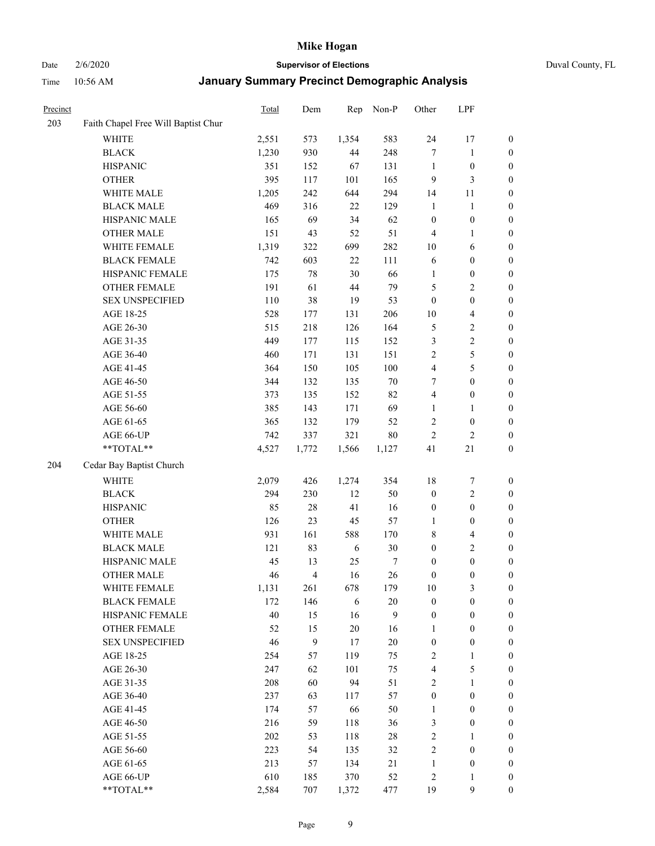Date 2/6/2020 **Supervisor of Elections** Duval County, FL

| Precinct |                                     | Total | Dem   | Rep    | Non-P  | Other                   | LPF                     |                  |
|----------|-------------------------------------|-------|-------|--------|--------|-------------------------|-------------------------|------------------|
| 203      | Faith Chapel Free Will Baptist Chur |       |       |        |        |                         |                         |                  |
|          | <b>WHITE</b>                        | 2,551 | 573   | 1,354  | 583    | 24                      | 17                      | 0                |
|          | <b>BLACK</b>                        | 1,230 | 930   | 44     | 248    | $\tau$                  | $\mathbf{1}$            | 0                |
|          | <b>HISPANIC</b>                     | 351   | 152   | 67     | 131    | $\mathbf{1}$            | $\boldsymbol{0}$        | $\boldsymbol{0}$ |
|          | <b>OTHER</b>                        | 395   | 117   | 101    | 165    | 9                       | 3                       | $\boldsymbol{0}$ |
|          | WHITE MALE                          | 1,205 | 242   | 644    | 294    | 14                      | 11                      | $\boldsymbol{0}$ |
|          | <b>BLACK MALE</b>                   | 469   | 316   | 22     | 129    | $\mathbf{1}$            | $\mathbf{1}$            | $\boldsymbol{0}$ |
|          | HISPANIC MALE                       | 165   | 69    | 34     | 62     | $\boldsymbol{0}$        | $\boldsymbol{0}$        | $\boldsymbol{0}$ |
|          | <b>OTHER MALE</b>                   | 151   | 43    | 52     | 51     | $\overline{4}$          | $\mathbf{1}$            | $\boldsymbol{0}$ |
|          | WHITE FEMALE                        | 1,319 | 322   | 699    | 282    | $10\,$                  | 6                       | $\boldsymbol{0}$ |
|          | <b>BLACK FEMALE</b>                 | 742   | 603   | $22\,$ | 111    | 6                       | $\boldsymbol{0}$        | $\boldsymbol{0}$ |
|          | HISPANIC FEMALE                     | 175   | 78    | 30     | 66     | 1                       | $\boldsymbol{0}$        | 0                |
|          | OTHER FEMALE                        | 191   | 61    | 44     | 79     | 5                       | $\sqrt{2}$              | $\boldsymbol{0}$ |
|          | <b>SEX UNSPECIFIED</b>              | 110   | 38    | 19     | 53     | $\boldsymbol{0}$        | $\boldsymbol{0}$        | $\boldsymbol{0}$ |
|          | AGE 18-25                           | 528   | 177   | 131    | 206    | $10\,$                  | $\overline{\mathbf{4}}$ | $\boldsymbol{0}$ |
|          | AGE 26-30                           | 515   | 218   | 126    | 164    | 5                       | $\sqrt{2}$              | $\boldsymbol{0}$ |
|          | AGE 31-35                           | 449   | 177   | 115    | 152    | 3                       | $\sqrt{2}$              | $\boldsymbol{0}$ |
|          | AGE 36-40                           | 460   | 171   | 131    | 151    | $\overline{c}$          | $\sqrt{5}$              | $\boldsymbol{0}$ |
|          | AGE 41-45                           | 364   | 150   | 105    | 100    | $\overline{\mathbf{4}}$ | $\sqrt{5}$              | $\boldsymbol{0}$ |
|          | AGE 46-50                           | 344   | 132   | 135    | $70\,$ | 7                       | $\boldsymbol{0}$        | $\boldsymbol{0}$ |
|          | AGE 51-55                           | 373   | 135   | 152    | 82     | 4                       | $\boldsymbol{0}$        | $\boldsymbol{0}$ |
|          | AGE 56-60                           | 385   | 143   | 171    | 69     | 1                       | 1                       | 0                |
|          | AGE 61-65                           | 365   | 132   | 179    | 52     | $\overline{c}$          | $\boldsymbol{0}$        | 0                |
|          | AGE 66-UP                           | 742   | 337   | 321    | 80     | $\sqrt{2}$              | $\sqrt{2}$              | $\boldsymbol{0}$ |
|          | **TOTAL**                           | 4,527 | 1,772 | 1,566  | 1,127  | 41                      | $21\,$                  | $\boldsymbol{0}$ |
| 204      | Cedar Bay Baptist Church            |       |       |        |        |                         |                         |                  |
|          | <b>WHITE</b>                        | 2,079 | 426   | 1,274  | 354    | 18                      | $\boldsymbol{7}$        | $\boldsymbol{0}$ |
|          | <b>BLACK</b>                        | 294   | 230   | 12     | 50     | $\boldsymbol{0}$        | $\sqrt{2}$              | $\boldsymbol{0}$ |
|          | <b>HISPANIC</b>                     | 85    | 28    | 41     | 16     | $\boldsymbol{0}$        | $\boldsymbol{0}$        | $\boldsymbol{0}$ |
|          | <b>OTHER</b>                        | 126   | 23    | 45     | 57     | $\mathbf{1}$            | $\boldsymbol{0}$        | $\boldsymbol{0}$ |
|          | WHITE MALE                          | 931   | 161   | 588    | 170    | 8                       | $\overline{4}$          | $\boldsymbol{0}$ |
|          | <b>BLACK MALE</b>                   | 121   | 83    | 6      | 30     | $\boldsymbol{0}$        | $\overline{c}$          | $\boldsymbol{0}$ |
|          | HISPANIC MALE                       | 45    | 13    | 25     | 7      | $\boldsymbol{0}$        | $\boldsymbol{0}$        | $\boldsymbol{0}$ |
|          | <b>OTHER MALE</b>                   | 46    | 4     | 16     | 26     | $\boldsymbol{0}$        | $\boldsymbol{0}$        | $\boldsymbol{0}$ |
|          | WHITE FEMALE                        | 1,131 | 261   | 678    | 179    | 10                      | 3                       | 0                |
|          | <b>BLACK FEMALE</b>                 | 172   | 146   | 6      | $20\,$ | $\boldsymbol{0}$        | $\boldsymbol{0}$        | $\boldsymbol{0}$ |
|          | HISPANIC FEMALE                     | 40    | 15    | 16     | 9      | $\boldsymbol{0}$        | $\boldsymbol{0}$        | $\overline{0}$   |
|          | OTHER FEMALE                        | 52    | 15    | $20\,$ | 16     | $\mathbf{1}$            | $\boldsymbol{0}$        | $\overline{0}$   |
|          | <b>SEX UNSPECIFIED</b>              | 46    | 9     | 17     | $20\,$ | $\boldsymbol{0}$        | $\boldsymbol{0}$        | 0                |
|          | AGE 18-25                           | 254   | 57    | 119    | 75     | $\overline{c}$          | $\mathbf{1}$            | 0                |
|          | AGE 26-30                           | 247   | 62    | 101    | 75     | $\overline{\mathbf{4}}$ | $\mathfrak s$           | 0                |
|          | AGE 31-35                           | 208   | 60    | 94     | 51     | $\overline{2}$          | $\mathbf{1}$            | 0                |
|          | AGE 36-40                           | 237   | 63    | 117    | 57     | $\boldsymbol{0}$        | $\boldsymbol{0}$        | 0                |
|          | AGE 41-45                           | 174   | 57    | 66     | 50     | $\mathbf{1}$            | $\boldsymbol{0}$        | 0                |
|          | AGE 46-50                           | 216   | 59    | 118    | 36     | 3                       | $\boldsymbol{0}$        | 0                |
|          | AGE 51-55                           | 202   | 53    | 118    | $28\,$ | $\sqrt{2}$              | 1                       | 0                |
|          | AGE 56-60                           | 223   | 54    | 135    | 32     | $\overline{c}$          | $\boldsymbol{0}$        | $\overline{0}$   |
|          | AGE 61-65                           | 213   | 57    | 134    | 21     | $\mathbf{1}$            | $\boldsymbol{0}$        | $\boldsymbol{0}$ |
|          | AGE 66-UP                           | 610   | 185   | 370    | 52     | $\overline{c}$          | $\mathbf{1}$            | $\boldsymbol{0}$ |
|          | **TOTAL**                           | 2,584 | 707   | 1,372  | 477    | 19                      | 9                       | $\boldsymbol{0}$ |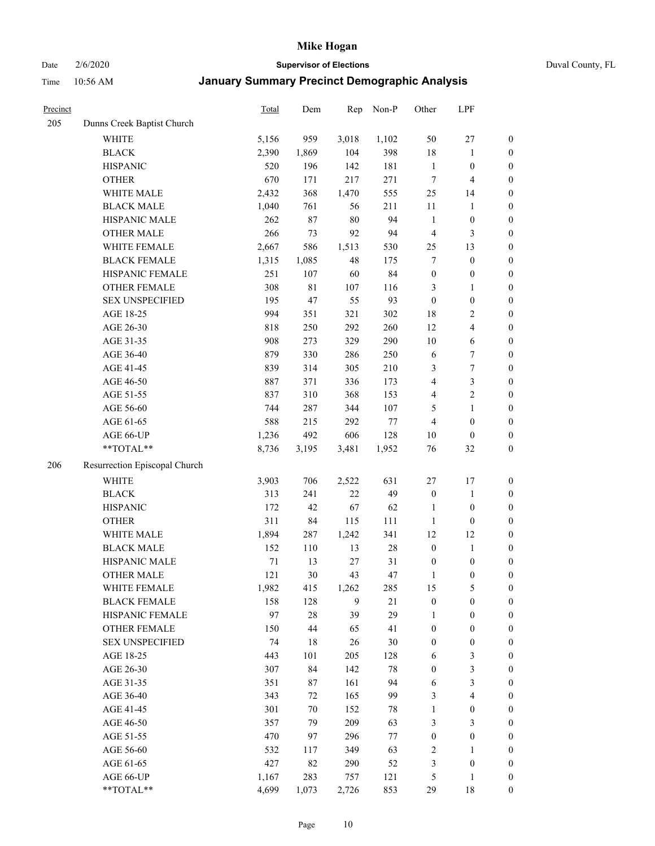Date 2/6/2020 **Supervisor of Elections** Duval County, FL

| Precinct |                               | <b>Total</b> | Dem    | Rep    | Non-P  | Other            | LPF                     |                  |
|----------|-------------------------------|--------------|--------|--------|--------|------------------|-------------------------|------------------|
| 205      | Dunns Creek Baptist Church    |              |        |        |        |                  |                         |                  |
|          | <b>WHITE</b>                  | 5,156        | 959    | 3,018  | 1,102  | 50               | $27\,$                  | $\boldsymbol{0}$ |
|          | <b>BLACK</b>                  | 2,390        | 1,869  | 104    | 398    | 18               | $\mathbf{1}$            | $\boldsymbol{0}$ |
|          | <b>HISPANIC</b>               | 520          | 196    | 142    | 181    | $\mathbf{1}$     | $\boldsymbol{0}$        | $\boldsymbol{0}$ |
|          | <b>OTHER</b>                  | 670          | 171    | 217    | 271    | 7                | $\overline{\mathbf{4}}$ | $\boldsymbol{0}$ |
|          | WHITE MALE                    | 2,432        | 368    | 1,470  | 555    | 25               | 14                      | $\boldsymbol{0}$ |
|          | <b>BLACK MALE</b>             | 1,040        | 761    | 56     | 211    | 11               | 1                       | $\boldsymbol{0}$ |
|          | HISPANIC MALE                 | 262          | 87     | $80\,$ | 94     | $\mathbf{1}$     | $\boldsymbol{0}$        | $\boldsymbol{0}$ |
|          | <b>OTHER MALE</b>             | 266          | 73     | 92     | 94     | $\overline{4}$   | $\mathfrak{Z}$          | $\boldsymbol{0}$ |
|          | WHITE FEMALE                  | 2,667        | 586    | 1,513  | 530    | 25               | 13                      | $\boldsymbol{0}$ |
|          | <b>BLACK FEMALE</b>           | 1,315        | 1,085  | 48     | 175    | 7                | $\boldsymbol{0}$        | $\boldsymbol{0}$ |
|          | HISPANIC FEMALE               | 251          | 107    | 60     | 84     | $\boldsymbol{0}$ | $\boldsymbol{0}$        | 0                |
|          | OTHER FEMALE                  | 308          | 81     | 107    | 116    | 3                | $\mathbf{1}$            | $\boldsymbol{0}$ |
|          | <b>SEX UNSPECIFIED</b>        | 195          | 47     | 55     | 93     | $\boldsymbol{0}$ | $\boldsymbol{0}$        | $\boldsymbol{0}$ |
|          | AGE 18-25                     | 994          | 351    | 321    | 302    | 18               | $\sqrt{2}$              | $\boldsymbol{0}$ |
|          | AGE 26-30                     | 818          | 250    | 292    | 260    | 12               | $\overline{\mathbf{4}}$ | $\boldsymbol{0}$ |
|          | AGE 31-35                     | 908          | 273    | 329    | 290    | 10               | 6                       | $\boldsymbol{0}$ |
|          | AGE 36-40                     | 879          | 330    | 286    | 250    | 6                | $\boldsymbol{7}$        | $\boldsymbol{0}$ |
|          | AGE 41-45                     | 839          | 314    | 305    | 210    | 3                | $\boldsymbol{7}$        | $\boldsymbol{0}$ |
|          | AGE 46-50                     | 887          | 371    | 336    | 173    | 4                | $\mathfrak{Z}$          | $\boldsymbol{0}$ |
|          | AGE 51-55                     | 837          | 310    | 368    | 153    | 4                | $\sqrt{2}$              | $\boldsymbol{0}$ |
|          | AGE 56-60                     | 744          | 287    | 344    | 107    | 5                | $\mathbf{1}$            | 0                |
|          | AGE 61-65                     | 588          | 215    | 292    | $77\,$ | $\overline{4}$   | $\boldsymbol{0}$        | $\boldsymbol{0}$ |
|          | AGE 66-UP                     | 1,236        | 492    | 606    | 128    | 10               | $\boldsymbol{0}$        | $\boldsymbol{0}$ |
|          | **TOTAL**                     | 8,736        | 3,195  | 3,481  | 1,952  | 76               | $32\,$                  | $\boldsymbol{0}$ |
| 206      | Resurrection Episcopal Church |              |        |        |        |                  |                         |                  |
|          | <b>WHITE</b>                  | 3,903        | 706    | 2,522  | 631    | $27\,$           | 17                      | $\boldsymbol{0}$ |
|          | <b>BLACK</b>                  | 313          | 241    | $22\,$ | 49     | $\boldsymbol{0}$ | $\mathbf{1}$            | $\boldsymbol{0}$ |
|          | <b>HISPANIC</b>               | 172          | 42     | 67     | 62     | $\mathbf{1}$     | $\boldsymbol{0}$        | $\boldsymbol{0}$ |
|          | <b>OTHER</b>                  | 311          | 84     | 115    | 111    | $\mathbf{1}$     | $\boldsymbol{0}$        | $\boldsymbol{0}$ |
|          | WHITE MALE                    | 1,894        | 287    | 1,242  | 341    | 12               | 12                      | $\boldsymbol{0}$ |
|          | <b>BLACK MALE</b>             | 152          | 110    | 13     | $28\,$ | $\boldsymbol{0}$ | $\mathbf{1}$            | $\boldsymbol{0}$ |
|          | HISPANIC MALE                 | 71           | 13     | 27     | 31     | $\boldsymbol{0}$ | $\boldsymbol{0}$        | $\boldsymbol{0}$ |
|          | <b>OTHER MALE</b>             | 121          | 30     | 43     | 47     | $\mathbf{1}$     | $\boldsymbol{0}$        | $\boldsymbol{0}$ |
|          | WHITE FEMALE                  | 1,982        | 415    | 1,262  | 285    | 15               | 5                       | 0                |
|          | <b>BLACK FEMALE</b>           | 158          | 128    | 9      | 21     | $\boldsymbol{0}$ | $\boldsymbol{0}$        | $\boldsymbol{0}$ |
|          | HISPANIC FEMALE               | 97           | $28\,$ | 39     | 29     | $\mathbf{1}$     | $\boldsymbol{0}$        | $\overline{0}$   |
|          | OTHER FEMALE                  | 150          | 44     | 65     | 41     | $\boldsymbol{0}$ | $\boldsymbol{0}$        | $\overline{0}$   |
|          | <b>SEX UNSPECIFIED</b>        | 74           | 18     | 26     | 30     | $\boldsymbol{0}$ | $\boldsymbol{0}$        | 0                |
|          | AGE 18-25                     | 443          | 101    | 205    | 128    | 6                | $\mathfrak{Z}$          | 0                |
|          | AGE 26-30                     | 307          | 84     | 142    | $78\,$ | $\boldsymbol{0}$ | $\mathfrak{Z}$          | 0                |
|          | AGE 31-35                     | 351          | 87     | 161    | 94     | 6                | $\mathfrak{Z}$          | 0                |
|          | AGE 36-40                     | 343          | 72     | 165    | 99     | 3                | $\overline{\mathbf{4}}$ | 0                |
|          | AGE 41-45                     | 301          | 70     | 152    | 78     | $\mathbf{1}$     | $\boldsymbol{0}$        | 0                |
|          | AGE 46-50                     | 357          | 79     | 209    | 63     | 3                | 3                       | 0                |
|          | AGE 51-55                     | 470          | 97     | 296    | 77     | $\boldsymbol{0}$ | $\boldsymbol{0}$        | $\boldsymbol{0}$ |
|          | AGE 56-60                     | 532          | 117    | 349    | 63     | 2                | 1                       | $\boldsymbol{0}$ |
|          | AGE 61-65                     | 427          | 82     | 290    | 52     | 3                | $\boldsymbol{0}$        | $\boldsymbol{0}$ |
|          | AGE 66-UP                     | 1,167        | 283    | 757    | 121    | 5                | $\mathbf{1}$            | $\boldsymbol{0}$ |
|          | **TOTAL**                     | 4,699        | 1,073  | 2,726  | 853    | 29               | 18                      | $\boldsymbol{0}$ |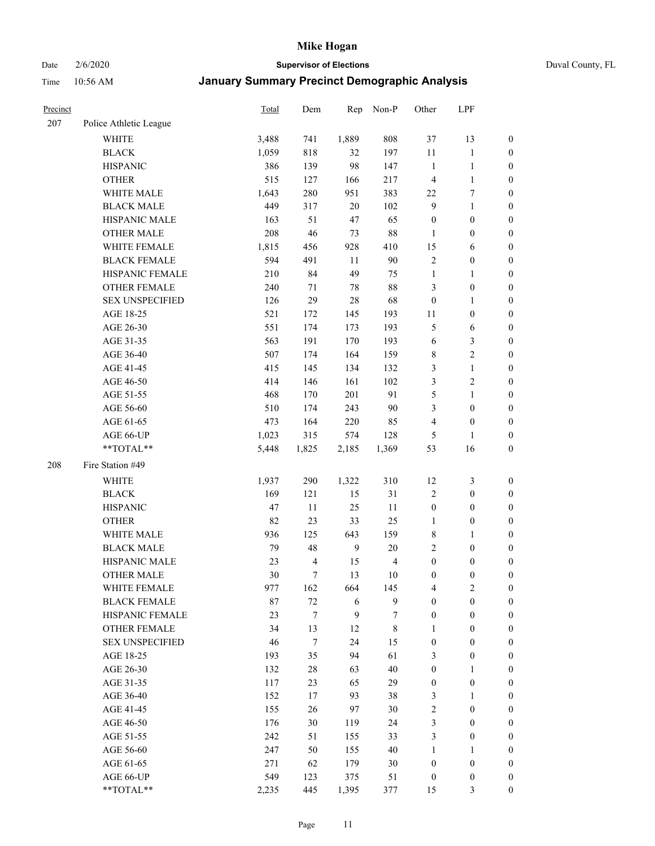# Date 2/6/2020 **Supervisor of Elections** Duval County, FL

| Precinct |                                     | <b>Total</b> | Dem                          | Rep          | Non-P                | Other                                | LPF                   |                                    |
|----------|-------------------------------------|--------------|------------------------------|--------------|----------------------|--------------------------------------|-----------------------|------------------------------------|
| 207      | Police Athletic League              |              |                              |              |                      |                                      |                       |                                    |
|          | <b>WHITE</b>                        | 3,488        | 741                          | 1,889        | 808                  | 37                                   | 13                    | 0                                  |
|          | <b>BLACK</b>                        | 1,059        | 818                          | 32           | 197                  | $11\,$                               | $\mathbf{1}$          | 0                                  |
|          | <b>HISPANIC</b>                     | 386          | 139                          | 98           | 147                  | $\mathbf{1}$                         | $\mathbf{1}$          | $\boldsymbol{0}$                   |
|          | <b>OTHER</b>                        | 515          | 127                          | 166          | 217                  | $\overline{4}$                       | $\mathbf{1}$          | $\boldsymbol{0}$                   |
|          | WHITE MALE                          | 1,643        | 280                          | 951          | 383                  | 22                                   | 7                     | $\boldsymbol{0}$                   |
|          | <b>BLACK MALE</b>                   | 449          | 317                          | 20           | 102                  | $\mathbf{9}$                         | $\mathbf{1}$          | $\boldsymbol{0}$                   |
|          | HISPANIC MALE                       | 163          | 51                           | 47           | 65                   | $\boldsymbol{0}$                     | $\boldsymbol{0}$      | $\boldsymbol{0}$                   |
|          | <b>OTHER MALE</b>                   | 208          | 46                           | 73           | 88                   | $\mathbf{1}$                         | $\boldsymbol{0}$      | $\boldsymbol{0}$                   |
|          | <b>WHITE FEMALE</b>                 | 1,815        | 456                          | 928          | 410                  | 15                                   | 6                     | $\boldsymbol{0}$                   |
|          | <b>BLACK FEMALE</b>                 | 594          | 491                          | 11           | 90                   | $\sqrt{2}$                           | $\boldsymbol{0}$      | 0                                  |
|          | HISPANIC FEMALE                     | 210          | 84                           | 49           | 75                   | $\mathbf{1}$                         | 1                     | 0                                  |
|          | <b>OTHER FEMALE</b>                 | 240          | 71                           | 78           | 88                   | 3                                    | $\boldsymbol{0}$      | $\boldsymbol{0}$                   |
|          | <b>SEX UNSPECIFIED</b>              | 126          | 29                           | 28           | 68                   | $\boldsymbol{0}$                     | $\mathbf{1}$          | $\boldsymbol{0}$                   |
|          | AGE 18-25                           | 521          | 172                          | 145          | 193                  | 11                                   | $\boldsymbol{0}$      | $\boldsymbol{0}$                   |
|          | AGE 26-30                           | 551          | 174                          | 173          | 193                  | 5                                    | 6                     | $\boldsymbol{0}$                   |
|          | AGE 31-35                           | 563          | 191                          | 170          | 193                  | 6                                    | $\mathfrak z$         | $\boldsymbol{0}$                   |
|          | AGE 36-40                           | 507          | 174                          | 164          | 159                  | $\,$ 8 $\,$                          | $\sqrt{2}$            | $\boldsymbol{0}$                   |
|          | AGE 41-45                           | 415          | 145                          | 134          | 132                  | 3                                    | $\mathbf{1}$          | $\boldsymbol{0}$                   |
|          | AGE 46-50                           | 414          | 146                          | 161          | 102                  | 3                                    | $\sqrt{2}$            | $\boldsymbol{0}$                   |
|          | AGE 51-55                           | 468          | 170                          | 201          | 91                   | 5                                    | $\mathbf{1}$          | $\boldsymbol{0}$                   |
|          | AGE 56-60                           | 510          | 174                          | 243          | 90                   | 3                                    | $\boldsymbol{0}$      | 0                                  |
|          | AGE 61-65                           | 473          | 164                          | 220          | 85                   | 4                                    | $\boldsymbol{0}$      | $\boldsymbol{0}$                   |
|          | AGE 66-UP                           | 1,023        | 315                          | 574          | 128                  | 5                                    | $\mathbf{1}$          | $\boldsymbol{0}$                   |
|          | **TOTAL**                           | 5,448        | 1,825                        | 2,185        | 1,369                | 53                                   | 16                    | $\boldsymbol{0}$                   |
| 208      | Fire Station #49                    |              |                              |              |                      |                                      |                       |                                    |
|          | <b>WHITE</b>                        |              | 290                          | 1,322        | 310                  |                                      | $\mathfrak{Z}$        |                                    |
|          |                                     | 1,937        |                              |              |                      | 12                                   |                       | $\boldsymbol{0}$                   |
|          | <b>BLACK</b>                        | 169          | 121                          | 15           | 31                   | $\overline{c}$                       | $\boldsymbol{0}$      | $\boldsymbol{0}$                   |
|          | <b>HISPANIC</b>                     | 47           | 11                           | 25           | 11                   | $\boldsymbol{0}$                     | $\boldsymbol{0}$      | $\boldsymbol{0}$                   |
|          | <b>OTHER</b>                        | 82           | 23                           | 33           | 25                   | $\mathbf{1}$                         | $\boldsymbol{0}$      | $\boldsymbol{0}$                   |
|          | WHITE MALE                          | 936          | 125                          | 643          | 159                  | 8<br>$\overline{2}$                  | $\mathbf{1}$          | $\boldsymbol{0}$                   |
|          | <b>BLACK MALE</b>                   | 79           | 48                           | $\mathbf{9}$ | $20\,$               |                                      | $\boldsymbol{0}$      | $\boldsymbol{0}$                   |
|          | HISPANIC MALE<br><b>OTHER MALE</b>  | 23<br>30     | $\overline{\mathbf{4}}$<br>7 | 15<br>13     | $\overline{4}$<br>10 | $\boldsymbol{0}$<br>$\boldsymbol{0}$ | $\boldsymbol{0}$      | 0                                  |
|          |                                     |              |                              |              |                      |                                      | $\boldsymbol{0}$      | $\boldsymbol{0}$                   |
|          | WHITE FEMALE<br><b>BLACK FEMALE</b> | 977          | 162<br>$72\,$                | 664<br>6     | 145<br>9             | 4<br>$\boldsymbol{0}$                | 2<br>$\boldsymbol{0}$ | 0                                  |
|          | HISPANIC FEMALE                     | 87<br>23     | 7                            | 9            | 7                    | $\boldsymbol{0}$                     | $\boldsymbol{0}$      | $\boldsymbol{0}$<br>$\overline{0}$ |
|          | <b>OTHER FEMALE</b>                 | 34           | 13                           | 12           |                      | 1                                    | $\boldsymbol{0}$      | $\overline{0}$                     |
|          | <b>SEX UNSPECIFIED</b>              | 46           | $\tau$                       | 24           | 8<br>15              | $\boldsymbol{0}$                     | $\boldsymbol{0}$      | $\overline{0}$                     |
|          | AGE 18-25                           | 193          | 35                           | 94           | 61                   | 3                                    | $\boldsymbol{0}$      | $\overline{0}$                     |
|          | AGE 26-30                           | 132          | $28\,$                       | 63           | 40                   | $\boldsymbol{0}$                     | $\mathbf{1}$          | $\overline{0}$                     |
|          | AGE 31-35                           | 117          | 23                           | 65           | 29                   | $\boldsymbol{0}$                     | $\boldsymbol{0}$      | 0                                  |
|          | AGE 36-40                           | 152          | 17                           | 93           | 38                   | 3                                    | $\mathbf{1}$          | 0                                  |
|          | AGE 41-45                           | 155          | 26                           | 97           | 30                   | $\sqrt{2}$                           | $\boldsymbol{0}$      | 0                                  |
|          | AGE 46-50                           | 176          | 30                           | 119          | 24                   | 3                                    | $\boldsymbol{0}$      | 0                                  |
|          |                                     |              |                              |              |                      |                                      |                       |                                    |
|          | AGE 51-55<br>AGE 56-60              | 242<br>247   | 51<br>50                     | 155<br>155   | 33<br>40             | 3<br>1                               | $\boldsymbol{0}$<br>1 | $\overline{0}$<br>$\overline{0}$   |
|          | AGE 61-65                           |              | 62                           |              |                      | $\boldsymbol{0}$                     | $\boldsymbol{0}$      | $\overline{0}$                     |
|          | AGE 66-UP                           | 271<br>549   | 123                          | 179<br>375   | 30<br>51             | $\boldsymbol{0}$                     | $\boldsymbol{0}$      | $\boldsymbol{0}$                   |
|          | **TOTAL**                           | 2,235        | 445                          | 1,395        | 377                  | 15                                   | $\mathfrak{Z}$        | $\boldsymbol{0}$                   |
|          |                                     |              |                              |              |                      |                                      |                       |                                    |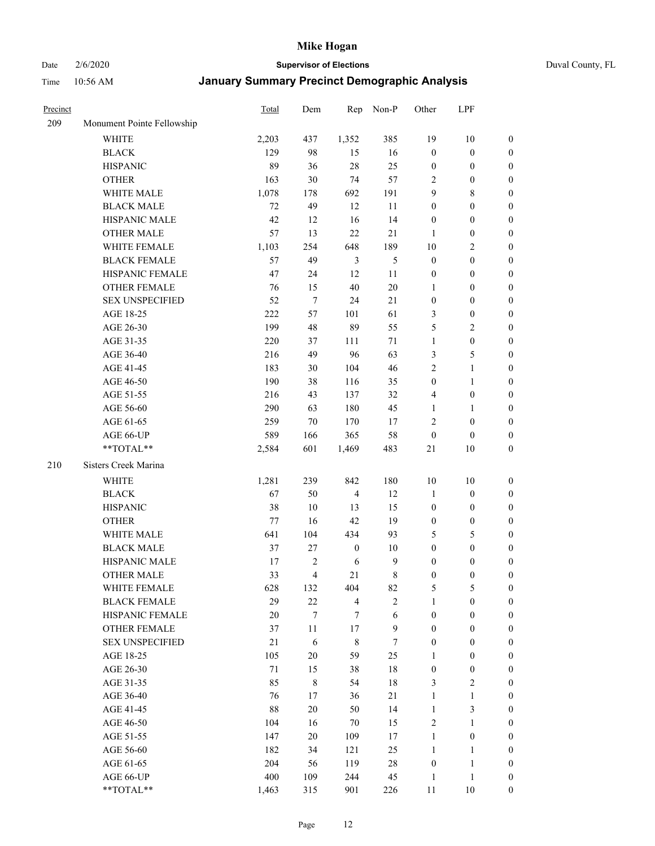Date 2/6/2020 **Supervisor of Elections** Duval County, FL

| Precinct |                            | Total | Dem                     | Rep              | Non-P          | Other            | LPF              |                  |
|----------|----------------------------|-------|-------------------------|------------------|----------------|------------------|------------------|------------------|
| 209      | Monument Pointe Fellowship |       |                         |                  |                |                  |                  |                  |
|          | <b>WHITE</b>               | 2,203 | 437                     | 1,352            | 385            | 19               | $10\,$           | 0                |
|          | <b>BLACK</b>               | 129   | 98                      | 15               | 16             | $\boldsymbol{0}$ | $\boldsymbol{0}$ | 0                |
|          | <b>HISPANIC</b>            | 89    | 36                      | 28               | 25             | $\boldsymbol{0}$ | $\boldsymbol{0}$ | $\boldsymbol{0}$ |
|          | <b>OTHER</b>               | 163   | 30                      | 74               | 57             | 2                | $\boldsymbol{0}$ | $\boldsymbol{0}$ |
|          | WHITE MALE                 | 1,078 | 178                     | 692              | 191            | 9                | $\,8\,$          | $\boldsymbol{0}$ |
|          | <b>BLACK MALE</b>          | 72    | 49                      | 12               | 11             | $\boldsymbol{0}$ | $\boldsymbol{0}$ | $\boldsymbol{0}$ |
|          | HISPANIC MALE              | 42    | 12                      | 16               | 14             | $\boldsymbol{0}$ | $\boldsymbol{0}$ | $\boldsymbol{0}$ |
|          | <b>OTHER MALE</b>          | 57    | 13                      | 22               | $21\,$         | 1                | $\boldsymbol{0}$ | $\boldsymbol{0}$ |
|          | WHITE FEMALE               | 1,103 | 254                     | 648              | 189            | $10\,$           | $\overline{2}$   | $\boldsymbol{0}$ |
|          | <b>BLACK FEMALE</b>        | 57    | 49                      | $\mathfrak{Z}$   | $\mathfrak s$  | $\boldsymbol{0}$ | $\boldsymbol{0}$ | $\boldsymbol{0}$ |
|          | HISPANIC FEMALE            | 47    | 24                      | 12               | $11\,$         | $\boldsymbol{0}$ | $\boldsymbol{0}$ | 0                |
|          | OTHER FEMALE               | 76    | 15                      | 40               | $20\,$         | 1                | $\boldsymbol{0}$ | $\boldsymbol{0}$ |
|          | <b>SEX UNSPECIFIED</b>     | 52    | $\tau$                  | 24               | 21             | $\boldsymbol{0}$ | $\boldsymbol{0}$ | $\boldsymbol{0}$ |
|          | AGE 18-25                  | 222   | 57                      | 101              | 61             | 3                | $\boldsymbol{0}$ | $\boldsymbol{0}$ |
|          | AGE 26-30                  | 199   | 48                      | 89               | 55             | 5                | $\sqrt{2}$       | $\boldsymbol{0}$ |
|          | AGE 31-35                  | 220   | 37                      | 111              | 71             | $\mathbf{1}$     | $\boldsymbol{0}$ | $\boldsymbol{0}$ |
|          | AGE 36-40                  | 216   | 49                      | 96               | 63             | 3                | $\mathfrak s$    | $\boldsymbol{0}$ |
|          | AGE 41-45                  | 183   | 30                      | 104              | 46             | 2                | $\mathbf{1}$     | $\boldsymbol{0}$ |
|          | AGE 46-50                  | 190   | 38                      | 116              | 35             | $\boldsymbol{0}$ | $\mathbf{1}$     | $\boldsymbol{0}$ |
|          | AGE 51-55                  | 216   | 43                      | 137              | 32             | 4                |                  |                  |
|          |                            |       |                         | 180              |                |                  | $\boldsymbol{0}$ | 0                |
|          | AGE 56-60                  | 290   | 63                      |                  | 45             | 1                | 1                | 0                |
|          | AGE 61-65                  | 259   | 70                      | 170              | 17             | 2                | $\boldsymbol{0}$ | 0                |
|          | AGE 66-UP<br>**TOTAL**     | 589   | 166                     | 365              | 58             | $\boldsymbol{0}$ | $\boldsymbol{0}$ | $\boldsymbol{0}$ |
|          |                            | 2,584 | 601                     | 1,469            | 483            | 21               | $10\,$           | $\boldsymbol{0}$ |
| 210      | Sisters Creek Marina       |       |                         |                  |                |                  |                  |                  |
|          | <b>WHITE</b>               | 1,281 | 239                     | 842              | 180            | $10\,$           | 10               | $\boldsymbol{0}$ |
|          | <b>BLACK</b>               | 67    | 50                      | $\overline{4}$   | 12             | $\mathbf{1}$     | $\boldsymbol{0}$ | $\boldsymbol{0}$ |
|          | <b>HISPANIC</b>            | 38    | 10                      | 13               | 15             | $\boldsymbol{0}$ | $\boldsymbol{0}$ | $\boldsymbol{0}$ |
|          | <b>OTHER</b>               | 77    | 16                      | 42               | 19             | $\boldsymbol{0}$ | $\boldsymbol{0}$ | $\boldsymbol{0}$ |
|          | WHITE MALE                 | 641   | 104                     | 434              | 93             | 5                | $\mathfrak s$    | $\boldsymbol{0}$ |
|          | <b>BLACK MALE</b>          | 37    | $27\,$                  | $\boldsymbol{0}$ | $10\,$         | $\boldsymbol{0}$ | $\boldsymbol{0}$ | $\boldsymbol{0}$ |
|          | HISPANIC MALE              | 17    | 2                       | 6                | $\mathbf{9}$   | $\boldsymbol{0}$ | $\boldsymbol{0}$ | $\boldsymbol{0}$ |
|          | <b>OTHER MALE</b>          | 33    | $\overline{\mathbf{4}}$ | 21               | $\,$ 8 $\,$    | $\boldsymbol{0}$ | $\boldsymbol{0}$ | $\boldsymbol{0}$ |
|          | WHITE FEMALE               | 628   | 132                     | 404              | 82             | 5                | 5                | 0                |
|          | <b>BLACK FEMALE</b>        | 29    | 22                      | $\overline{4}$   | $\overline{c}$ | $\mathbf{1}$     | $\boldsymbol{0}$ | $\overline{0}$   |
|          | HISPANIC FEMALE            | 20    | $\boldsymbol{7}$        | 7                | $\sqrt{6}$     | $\boldsymbol{0}$ | $\boldsymbol{0}$ | $\overline{0}$   |
|          | OTHER FEMALE               | 37    | 11                      | 17               | $\mathbf{9}$   | $\boldsymbol{0}$ | $\boldsymbol{0}$ | $\overline{0}$   |
|          | <b>SEX UNSPECIFIED</b>     | 21    | 6                       | $\,$ 8 $\,$      | $\tau$         | $\boldsymbol{0}$ | $\boldsymbol{0}$ | 0                |
|          | AGE 18-25                  | 105   | $20\,$                  | 59               | 25             | 1                | $\boldsymbol{0}$ | $\theta$         |
|          | AGE 26-30                  | 71    | 15                      | 38               | 18             | $\boldsymbol{0}$ | $\boldsymbol{0}$ | 0                |
|          | AGE 31-35                  | 85    | $\,$ 8 $\,$             | 54               | 18             | 3                | $\overline{2}$   | 0                |
|          | AGE 36-40                  | 76    | 17                      | 36               | $21\,$         | $\mathbf{1}$     | $\mathbf{1}$     | 0                |
|          | AGE 41-45                  | 88    | 20                      | 50               | 14             | $\mathbf{1}$     | $\mathfrak{Z}$   | 0                |
|          | AGE 46-50                  | 104   | 16                      | 70               | 15             | 2                | $\mathbf{1}$     | 0                |
|          | AGE 51-55                  | 147   | 20                      | 109              | 17             | $\mathbf{1}$     | $\boldsymbol{0}$ | 0                |
|          | AGE 56-60                  | 182   | 34                      | 121              | 25             | $\mathbf{1}$     | 1                | $\overline{0}$   |
|          | AGE 61-65                  | 204   | 56                      | 119              | $28\,$         | $\boldsymbol{0}$ | $\mathbf{1}$     | $\overline{0}$   |
|          | AGE 66-UP                  | 400   | 109                     | 244              | 45             | $\mathbf{1}$     | $\mathbf{1}$     | 0                |
|          | **TOTAL**                  | 1,463 | 315                     | 901              | 226            | 11               | $10\,$           | $\boldsymbol{0}$ |
|          |                            |       |                         |                  |                |                  |                  |                  |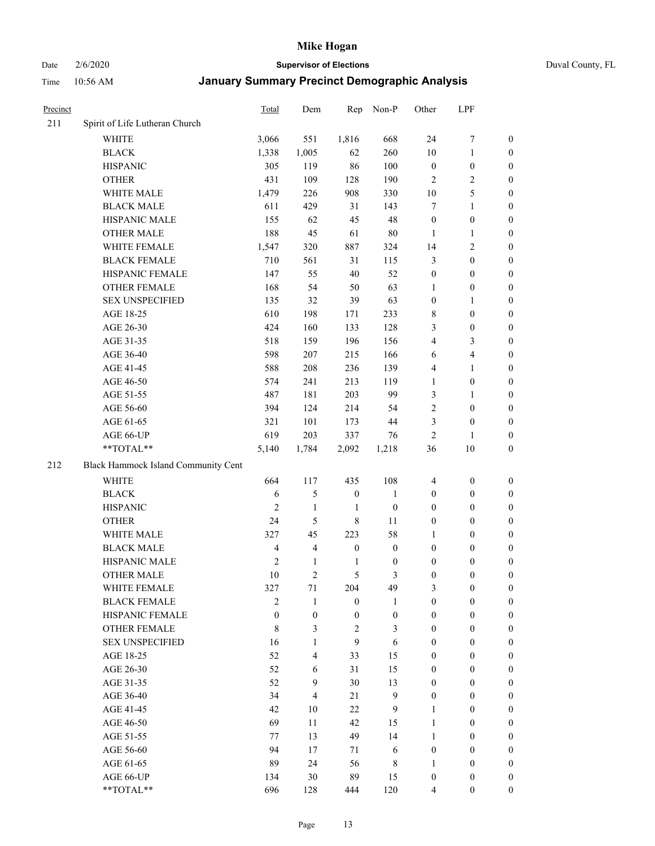Date 2/6/2020 **Supervisor of Elections** Duval County, FL

| Precinct |                                     | Total                          | Dem                            | Rep                     | Non-P                  | Other                                | LPF                                  |                                      |
|----------|-------------------------------------|--------------------------------|--------------------------------|-------------------------|------------------------|--------------------------------------|--------------------------------------|--------------------------------------|
| 211      | Spirit of Life Lutheran Church      |                                |                                |                         |                        |                                      |                                      |                                      |
|          | <b>WHITE</b>                        | 3,066                          | 551                            | 1,816                   | 668                    | 24                                   | $\boldsymbol{7}$                     | 0                                    |
|          | <b>BLACK</b>                        | 1,338                          | 1,005                          | 62                      | 260                    | 10                                   | $\mathbf{1}$                         | 0                                    |
|          | <b>HISPANIC</b>                     | 305                            | 119                            | 86                      | 100                    | $\boldsymbol{0}$                     | $\boldsymbol{0}$                     | $\boldsymbol{0}$                     |
|          | <b>OTHER</b>                        | 431                            | 109                            | 128                     | 190                    | 2                                    | $\sqrt{2}$                           | $\boldsymbol{0}$                     |
|          | WHITE MALE                          | 1,479                          | 226                            | 908                     | 330                    | 10                                   | $\mathfrak s$                        | $\boldsymbol{0}$                     |
|          | <b>BLACK MALE</b>                   | 611                            | 429                            | 31                      | 143                    | 7                                    | $\mathbf{1}$                         | $\boldsymbol{0}$                     |
|          | HISPANIC MALE                       | 155                            | 62                             | 45                      | 48                     | $\boldsymbol{0}$                     | $\boldsymbol{0}$                     | $\boldsymbol{0}$                     |
|          | <b>OTHER MALE</b>                   | 188                            | 45                             | 61                      | $80\,$                 | 1                                    | $\mathbf{1}$                         | $\boldsymbol{0}$                     |
|          | WHITE FEMALE                        | 1,547                          | 320                            | 887                     | 324                    | 14                                   | $\overline{2}$                       | $\boldsymbol{0}$                     |
|          | <b>BLACK FEMALE</b>                 | 710                            | 561                            | 31                      | 115                    | 3                                    | $\boldsymbol{0}$                     | $\boldsymbol{0}$                     |
|          | HISPANIC FEMALE                     | 147                            | 55                             | 40                      | 52                     | $\boldsymbol{0}$                     | $\boldsymbol{0}$                     | 0                                    |
|          | OTHER FEMALE                        | 168                            | 54                             | 50                      | 63                     | 1                                    | $\boldsymbol{0}$                     | $\boldsymbol{0}$                     |
|          | <b>SEX UNSPECIFIED</b>              | 135                            | 32                             | 39                      | 63                     | $\boldsymbol{0}$                     | $\mathbf{1}$                         | $\boldsymbol{0}$                     |
|          | AGE 18-25                           | 610                            | 198                            | 171                     | 233                    | 8                                    | $\boldsymbol{0}$                     | $\boldsymbol{0}$                     |
|          | AGE 26-30                           | 424                            | 160                            | 133                     | 128                    | 3                                    | $\boldsymbol{0}$                     | $\boldsymbol{0}$                     |
|          | AGE 31-35                           | 518                            | 159                            | 196                     | 156                    | 4                                    | $\mathfrak{Z}$                       | $\boldsymbol{0}$                     |
|          | AGE 36-40                           | 598                            | 207                            | 215                     | 166                    | 6                                    | $\overline{4}$                       | $\boldsymbol{0}$                     |
|          | AGE 41-45                           | 588                            | 208                            | 236                     | 139                    | 4                                    | $\mathbf{1}$                         | $\boldsymbol{0}$                     |
|          | AGE 46-50                           | 574                            | 241                            | 213                     | 119                    | $\mathbf{1}$                         | $\boldsymbol{0}$                     | $\boldsymbol{0}$                     |
|          | AGE 51-55                           | 487                            | 181                            | 203                     | 99                     | 3                                    | 1                                    | $\boldsymbol{0}$                     |
|          | AGE 56-60                           | 394                            | 124                            | 214                     | 54                     | $\sqrt{2}$                           | $\boldsymbol{0}$                     | 0                                    |
|          | AGE 61-65                           | 321                            | 101                            | 173                     | 44                     | 3                                    | $\boldsymbol{0}$                     | 0                                    |
|          | AGE 66-UP                           | 619                            | 203                            | 337                     | 76                     | $\overline{2}$                       | $\mathbf{1}$                         | $\boldsymbol{0}$                     |
|          | **TOTAL**                           | 5,140                          | 1,784                          | 2,092                   | 1,218                  | 36                                   | $10\,$                               | $\boldsymbol{0}$                     |
| 212      | Black Hammock Island Community Cent |                                |                                |                         |                        |                                      |                                      |                                      |
|          | <b>WHITE</b>                        | 664                            | 117                            | 435                     | 108                    | $\overline{4}$                       | $\boldsymbol{0}$                     | $\boldsymbol{0}$                     |
|          | <b>BLACK</b>                        | 6                              | 5                              | $\boldsymbol{0}$        | $\mathbf{1}$           | $\boldsymbol{0}$                     | $\boldsymbol{0}$                     | $\boldsymbol{0}$                     |
|          | <b>HISPANIC</b>                     | $\mathfrak{2}$                 | $\mathbf{1}$                   | 1                       | $\boldsymbol{0}$       | $\boldsymbol{0}$                     | $\boldsymbol{0}$                     | $\boldsymbol{0}$                     |
|          | <b>OTHER</b>                        | 24                             | 5                              | $\,$ 8 $\,$             | 11                     |                                      | $\boldsymbol{0}$                     | $\boldsymbol{0}$                     |
|          | WHITE MALE                          |                                |                                |                         |                        | $\boldsymbol{0}$                     |                                      |                                      |
|          | <b>BLACK MALE</b>                   | 327<br>$\overline{\mathbf{4}}$ | 45<br>$\overline{\mathbf{4}}$  | 223<br>$\boldsymbol{0}$ | 58<br>$\boldsymbol{0}$ | $\mathbf{1}$<br>$\boldsymbol{0}$     | $\boldsymbol{0}$<br>$\boldsymbol{0}$ | $\boldsymbol{0}$<br>$\boldsymbol{0}$ |
|          | HISPANIC MALE                       | $\sqrt{2}$                     |                                |                         |                        |                                      |                                      |                                      |
|          | <b>OTHER MALE</b>                   | 10                             | $\mathbf{1}$<br>$\overline{2}$ | 1<br>5                  | $\boldsymbol{0}$<br>3  | $\boldsymbol{0}$<br>$\boldsymbol{0}$ | $\boldsymbol{0}$                     | 0                                    |
|          |                                     |                                |                                |                         |                        |                                      | $\boldsymbol{0}$                     | $\boldsymbol{0}$                     |
|          | WHITE FEMALE<br><b>BLACK FEMALE</b> | 327<br>$\overline{2}$          | 71<br>1                        | 204<br>$\boldsymbol{0}$ | 49<br>1                | 3<br>$\boldsymbol{0}$                | $\boldsymbol{0}$<br>$\boldsymbol{0}$ | 0<br>$\overline{0}$                  |
|          | HISPANIC FEMALE                     | $\mathbf{0}$                   | $\boldsymbol{0}$               | $\boldsymbol{0}$        | $\boldsymbol{0}$       | $\boldsymbol{0}$                     | $\boldsymbol{0}$                     | $\overline{0}$                       |
|          | <b>OTHER FEMALE</b>                 | $\,$ 8 $\,$                    | 3                              | $\sqrt{2}$              |                        | $\boldsymbol{0}$                     | $\boldsymbol{0}$                     | $\overline{0}$                       |
|          | <b>SEX UNSPECIFIED</b>              | 16                             | $\mathbf{1}$                   | 9                       | 3<br>6                 | $\boldsymbol{0}$                     | $\boldsymbol{0}$                     | $\overline{0}$                       |
|          | AGE 18-25                           | 52                             | 4                              | 33                      | 15                     | $\boldsymbol{0}$                     | $\boldsymbol{0}$                     | $\theta$                             |
|          | AGE 26-30                           | 52                             | 6                              | 31                      | 15                     | $\boldsymbol{0}$                     | $\boldsymbol{0}$                     | $\overline{0}$                       |
|          | AGE 31-35                           | 52                             | 9                              | 30                      | 13                     | $\boldsymbol{0}$                     | $\boldsymbol{0}$                     | $\overline{0}$                       |
|          | AGE 36-40                           | 34                             | $\overline{\mathcal{L}}$       | 21                      | $\mathbf{9}$           | $\boldsymbol{0}$                     | $\boldsymbol{0}$                     | 0                                    |
|          | AGE 41-45                           | 42                             | 10                             | 22                      | 9                      | 1                                    | $\boldsymbol{0}$                     | 0                                    |
|          | AGE 46-50                           | 69                             | 11                             | 42                      | 15                     | 1                                    | $\boldsymbol{0}$                     | $\overline{0}$                       |
|          |                                     |                                |                                |                         |                        |                                      |                                      |                                      |
|          | AGE 51-55<br>AGE 56-60              | 77<br>94                       | 13<br>17                       | 49<br>71                | 14<br>6                | $\mathbf{1}$<br>$\boldsymbol{0}$     | $\boldsymbol{0}$<br>$\boldsymbol{0}$ | $\overline{0}$<br>$\overline{0}$     |
|          | AGE 61-65                           | 89                             | 24                             | 56                      |                        | 1                                    | $\boldsymbol{0}$                     | $\overline{0}$                       |
|          | AGE 66-UP                           | 134                            | 30                             | 89                      | 8<br>15                | $\boldsymbol{0}$                     | $\boldsymbol{0}$                     | $\boldsymbol{0}$                     |
|          | **TOTAL**                           | 696                            | 128                            | 444                     | 120                    | $\overline{4}$                       | $\boldsymbol{0}$                     | $\boldsymbol{0}$                     |
|          |                                     |                                |                                |                         |                        |                                      |                                      |                                      |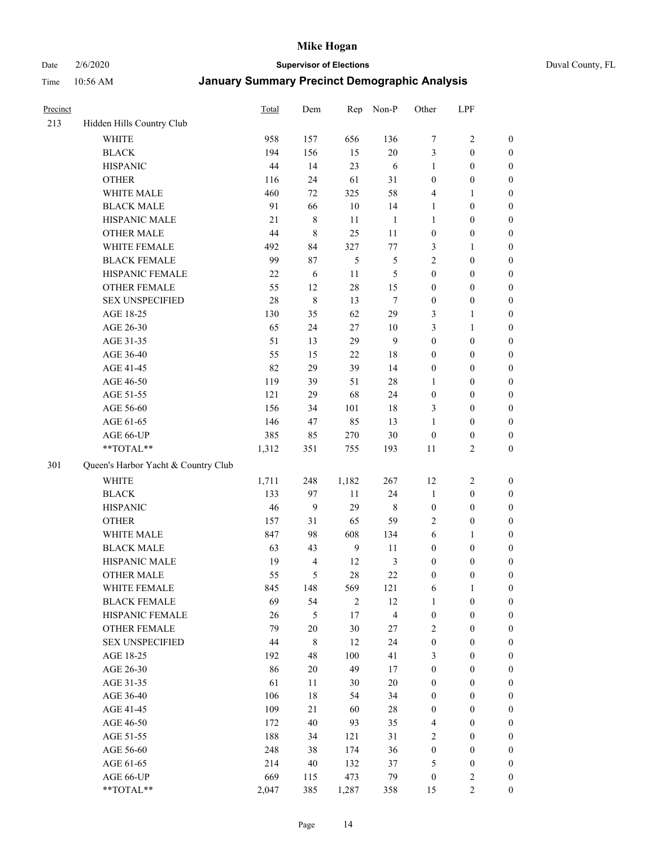Date 2/6/2020 **Supervisor of Elections** Duval County, FL

| Precinct |                                     | Total | Dem                     | Rep            | Non-P          | Other            | LPF              |                  |
|----------|-------------------------------------|-------|-------------------------|----------------|----------------|------------------|------------------|------------------|
| 213      | Hidden Hills Country Club           |       |                         |                |                |                  |                  |                  |
|          | <b>WHITE</b>                        | 958   | 157                     | 656            | 136            | 7                | $\sqrt{2}$       | $\boldsymbol{0}$ |
|          | <b>BLACK</b>                        | 194   | 156                     | 15             | $20\,$         | 3                | $\boldsymbol{0}$ | $\boldsymbol{0}$ |
|          | <b>HISPANIC</b>                     | 44    | 14                      | 23             | 6              | $\mathbf{1}$     | $\boldsymbol{0}$ | $\boldsymbol{0}$ |
|          | <b>OTHER</b>                        | 116   | 24                      | 61             | 31             | $\boldsymbol{0}$ | $\boldsymbol{0}$ | $\boldsymbol{0}$ |
|          | WHITE MALE                          | 460   | 72                      | 325            | 58             | 4                | 1                | $\boldsymbol{0}$ |
|          | <b>BLACK MALE</b>                   | 91    | 66                      | 10             | 14             | 1                | $\boldsymbol{0}$ | $\boldsymbol{0}$ |
|          | HISPANIC MALE                       | 21    | 8                       | 11             | $\mathbf{1}$   | 1                | $\boldsymbol{0}$ | $\boldsymbol{0}$ |
|          | <b>OTHER MALE</b>                   | 44    | 8                       | 25             | 11             | $\boldsymbol{0}$ | $\boldsymbol{0}$ | $\boldsymbol{0}$ |
|          | WHITE FEMALE                        | 492   | 84                      | 327            | 77             | 3                | 1                | $\boldsymbol{0}$ |
|          | <b>BLACK FEMALE</b>                 | 99    | 87                      | 5              | 5              | $\overline{c}$   | $\boldsymbol{0}$ | $\boldsymbol{0}$ |
|          | HISPANIC FEMALE                     | 22    | 6                       | 11             | 5              | $\boldsymbol{0}$ | $\boldsymbol{0}$ | 0                |
|          | <b>OTHER FEMALE</b>                 | 55    | 12                      | 28             | 15             | $\boldsymbol{0}$ | $\boldsymbol{0}$ | $\boldsymbol{0}$ |
|          | <b>SEX UNSPECIFIED</b>              | 28    | 8                       | 13             | $\tau$         | $\boldsymbol{0}$ | $\boldsymbol{0}$ | $\boldsymbol{0}$ |
|          | AGE 18-25                           | 130   | 35                      | 62             | 29             | 3                | $\mathbf{1}$     | $\boldsymbol{0}$ |
|          | AGE 26-30                           | 65    | 24                      | $27\,$         | 10             | 3                | $\mathbf{1}$     | $\boldsymbol{0}$ |
|          | AGE 31-35                           | 51    | 13                      | 29             | 9              | $\boldsymbol{0}$ | $\boldsymbol{0}$ | $\boldsymbol{0}$ |
|          | AGE 36-40                           | 55    | 15                      | 22             | 18             | $\boldsymbol{0}$ | $\boldsymbol{0}$ | $\boldsymbol{0}$ |
|          | AGE 41-45                           | 82    | 29                      | 39             | 14             | $\boldsymbol{0}$ | $\boldsymbol{0}$ | $\boldsymbol{0}$ |
|          | AGE 46-50                           | 119   | 39                      | 51             | $28\,$         | 1                | $\boldsymbol{0}$ | $\boldsymbol{0}$ |
|          | AGE 51-55                           | 121   | 29                      | 68             | 24             | $\boldsymbol{0}$ | $\boldsymbol{0}$ | $\boldsymbol{0}$ |
|          | AGE 56-60                           | 156   | 34                      | 101            | 18             | 3                | $\boldsymbol{0}$ | 0                |
|          | AGE 61-65                           | 146   | 47                      | 85             | 13             | 1                | $\boldsymbol{0}$ | 0                |
|          | AGE 66-UP                           | 385   | 85                      | 270            | $30\,$         | $\boldsymbol{0}$ | $\boldsymbol{0}$ | $\boldsymbol{0}$ |
|          | **TOTAL**                           | 1,312 | 351                     | 755            | 193            | 11               | $\sqrt{2}$       | $\boldsymbol{0}$ |
| 301      | Queen's Harbor Yacht & Country Club |       |                         |                |                |                  |                  |                  |
|          | <b>WHITE</b>                        | 1,711 | 248                     | 1,182          | 267            | 12               | $\sqrt{2}$       | $\boldsymbol{0}$ |
|          | <b>BLACK</b>                        | 133   | 97                      | 11             | 24             | $\mathbf{1}$     | $\boldsymbol{0}$ | $\boldsymbol{0}$ |
|          | <b>HISPANIC</b>                     | 46    | 9                       | 29             | 8              | $\boldsymbol{0}$ | $\boldsymbol{0}$ | $\boldsymbol{0}$ |
|          | <b>OTHER</b>                        | 157   | 31                      | 65             | 59             | $\overline{2}$   | $\boldsymbol{0}$ | $\boldsymbol{0}$ |
|          | WHITE MALE                          | 847   | 98                      | 608            | 134            | 6                | $\mathbf{1}$     | $\boldsymbol{0}$ |
|          | <b>BLACK MALE</b>                   | 63    | 43                      | $\mathbf{9}$   | 11             | $\boldsymbol{0}$ | $\boldsymbol{0}$ | $\boldsymbol{0}$ |
|          | HISPANIC MALE                       | 19    | $\overline{\mathbf{4}}$ | 12             | $\mathfrak{Z}$ | $\boldsymbol{0}$ | $\boldsymbol{0}$ | $\boldsymbol{0}$ |
|          | <b>OTHER MALE</b>                   | 55    | 5                       | 28             | 22             | $\boldsymbol{0}$ | $\boldsymbol{0}$ | $\boldsymbol{0}$ |
|          | WHITE FEMALE                        | 845   | 148                     | 569            | 121            | 6                | 1                | 0                |
|          | <b>BLACK FEMALE</b>                 | 69    | 54                      | $\overline{2}$ | 12             | $\mathbf{1}$     | $\boldsymbol{0}$ | $\boldsymbol{0}$ |
|          | HISPANIC FEMALE                     | 26    | 5                       | $17\,$         | $\overline{4}$ | $\boldsymbol{0}$ | $\boldsymbol{0}$ | $\overline{0}$   |
|          | <b>OTHER FEMALE</b>                 | 79    | $20\,$                  | $30\,$         | 27             | $\overline{c}$   | $\boldsymbol{0}$ | $\overline{0}$   |
|          | <b>SEX UNSPECIFIED</b>              | 44    | 8                       | 12             | 24             | $\boldsymbol{0}$ | $\boldsymbol{0}$ | $\overline{0}$   |
|          | AGE 18-25                           | 192   | 48                      | 100            | 41             | 3                | $\boldsymbol{0}$ | $\theta$         |
|          | AGE 26-30                           | 86    | $20\,$                  | 49             | 17             | $\boldsymbol{0}$ | $\boldsymbol{0}$ | $\overline{0}$   |
|          | AGE 31-35                           | 61    | 11                      | 30             | $20\,$         | $\boldsymbol{0}$ | $\boldsymbol{0}$ | 0                |
|          | AGE 36-40                           | 106   | 18                      | 54             | 34             | $\boldsymbol{0}$ | $\boldsymbol{0}$ | 0                |
|          | AGE 41-45                           | 109   | 21                      | 60             | $28\,$         | $\boldsymbol{0}$ | $\boldsymbol{0}$ | 0                |
|          | AGE 46-50                           | 172   | 40                      | 93             | 35             | 4                | $\boldsymbol{0}$ | 0                |
|          | AGE 51-55                           | 188   | 34                      | 121            | 31             | 2                | $\boldsymbol{0}$ | $\overline{0}$   |
|          | AGE 56-60                           | 248   | 38                      | 174            | 36             | $\boldsymbol{0}$ | $\boldsymbol{0}$ | $\overline{0}$   |
|          | AGE 61-65                           | 214   | 40                      | 132            | 37             | 5                | $\boldsymbol{0}$ | $\overline{0}$   |
|          | AGE 66-UP                           | 669   | 115                     | 473            | 79             | $\boldsymbol{0}$ | $\overline{c}$   | $\boldsymbol{0}$ |
|          | **TOTAL**                           | 2,047 | 385                     | 1,287          | 358            | 15               | $\overline{2}$   | $\boldsymbol{0}$ |
|          |                                     |       |                         |                |                |                  |                  |                  |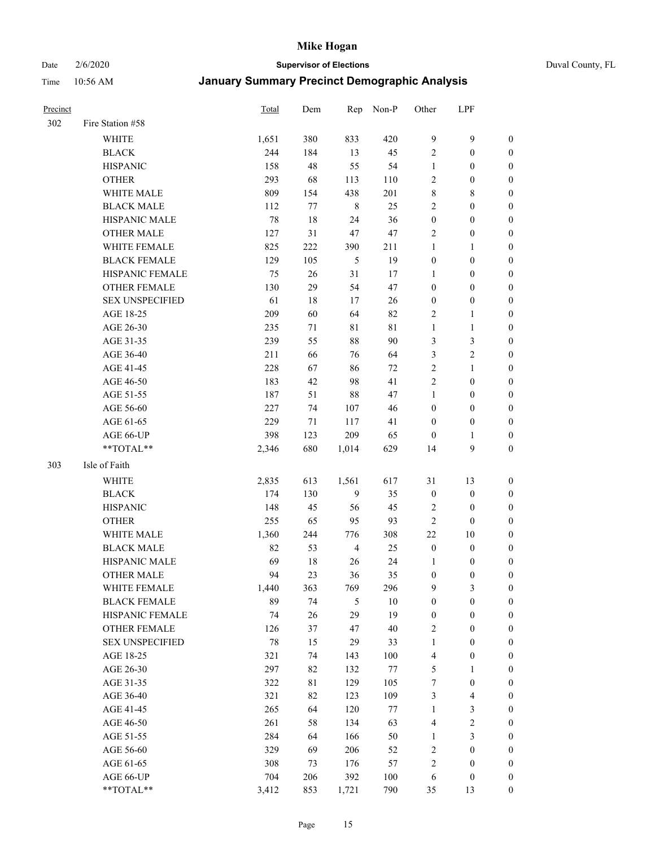## Date 2/6/2020 **Supervisor of Elections** Duval County, FL

| Precinct |                        | <b>Total</b> | Dem | Rep            | Non-P   | Other            | LPF              |                  |
|----------|------------------------|--------------|-----|----------------|---------|------------------|------------------|------------------|
| 302      | Fire Station #58       |              |     |                |         |                  |                  |                  |
|          | <b>WHITE</b>           | 1,651        | 380 | 833            | 420     | 9                | $\mathbf{9}$     | $\boldsymbol{0}$ |
|          | <b>BLACK</b>           | 244          | 184 | 13             | 45      | $\sqrt{2}$       | $\boldsymbol{0}$ | 0                |
|          | <b>HISPANIC</b>        | 158          | 48  | 55             | 54      | $\mathbf{1}$     | $\boldsymbol{0}$ | $\boldsymbol{0}$ |
|          | <b>OTHER</b>           | 293          | 68  | 113            | 110     | $\overline{c}$   | $\boldsymbol{0}$ | $\boldsymbol{0}$ |
|          | WHITE MALE             | 809          | 154 | 438            | 201     | 8                | $\,$ 8 $\,$      | $\boldsymbol{0}$ |
|          | <b>BLACK MALE</b>      | 112          | 77  | $\,8\,$        | 25      | $\sqrt{2}$       | $\boldsymbol{0}$ | $\boldsymbol{0}$ |
|          | HISPANIC MALE          | 78           | 18  | 24             | 36      | $\boldsymbol{0}$ | $\boldsymbol{0}$ | $\boldsymbol{0}$ |
|          | <b>OTHER MALE</b>      | 127          | 31  | 47             | 47      | $\overline{2}$   | $\boldsymbol{0}$ | $\boldsymbol{0}$ |
|          | <b>WHITE FEMALE</b>    | 825          | 222 | 390            | 211     | $\mathbf{1}$     | 1                | $\boldsymbol{0}$ |
|          | <b>BLACK FEMALE</b>    | 129          | 105 | 5              | 19      | $\boldsymbol{0}$ | $\boldsymbol{0}$ | 0                |
|          | HISPANIC FEMALE        | 75           | 26  | 31             | 17      | 1                | $\boldsymbol{0}$ | 0                |
|          | <b>OTHER FEMALE</b>    | 130          | 29  | 54             | 47      | $\boldsymbol{0}$ | $\boldsymbol{0}$ | $\boldsymbol{0}$ |
|          | <b>SEX UNSPECIFIED</b> | 61           | 18  | 17             | 26      | $\boldsymbol{0}$ | $\boldsymbol{0}$ | $\boldsymbol{0}$ |
|          | AGE 18-25              | 209          | 60  | 64             | 82      | $\overline{c}$   | $\mathbf{1}$     | $\boldsymbol{0}$ |
|          | AGE 26-30              | 235          | 71  | $8\sqrt{1}$    | 81      | $\mathbf{1}$     | $\mathbf{1}$     | $\boldsymbol{0}$ |
|          | AGE 31-35              | 239          | 55  | 88             | 90      | 3                | $\mathfrak{Z}$   | $\boldsymbol{0}$ |
|          | AGE 36-40              | 211          | 66  | 76             | 64      | 3                | $\sqrt{2}$       | $\boldsymbol{0}$ |
|          | AGE 41-45              | 228          | 67  | 86             | 72      | $\sqrt{2}$       | $\mathbf{1}$     | $\boldsymbol{0}$ |
|          | AGE 46-50              | 183          | 42  | 98             | 41      | $\overline{c}$   | $\boldsymbol{0}$ | $\boldsymbol{0}$ |
|          | AGE 51-55              | 187          | 51  | 88             | 47      | $\mathbf{1}$     | $\boldsymbol{0}$ | 0                |
|          | AGE 56-60              | 227          | 74  | 107            | 46      | $\boldsymbol{0}$ | $\boldsymbol{0}$ | 0                |
|          | AGE 61-65              | 229          | 71  | 117            | 41      | $\boldsymbol{0}$ | $\boldsymbol{0}$ | 0                |
|          | AGE 66-UP              | 398          | 123 | 209            | 65      | $\boldsymbol{0}$ | 1                | $\boldsymbol{0}$ |
|          | **TOTAL**              | 2,346        | 680 | 1,014          | 629     | 14               | $\mathbf{9}$     | $\boldsymbol{0}$ |
| 303      | Isle of Faith          |              |     |                |         |                  |                  |                  |
|          | WHITE                  | 2,835        | 613 | 1,561          | 617     | 31               | 13               | $\boldsymbol{0}$ |
|          | <b>BLACK</b>           | 174          | 130 | 9              | 35      | $\boldsymbol{0}$ | $\boldsymbol{0}$ | $\boldsymbol{0}$ |
|          | <b>HISPANIC</b>        | 148          | 45  | 56             | 45      | $\overline{c}$   | $\boldsymbol{0}$ | $\boldsymbol{0}$ |
|          | <b>OTHER</b>           | 255          | 65  | 95             | 93      | $\sqrt{2}$       | $\boldsymbol{0}$ | $\boldsymbol{0}$ |
|          | <b>WHITE MALE</b>      | 1,360        | 244 | 776            | 308     | 22               | $10\,$           | $\boldsymbol{0}$ |
|          | <b>BLACK MALE</b>      | 82           | 53  | $\overline{4}$ | 25      | $\boldsymbol{0}$ | $\boldsymbol{0}$ | $\boldsymbol{0}$ |
|          | HISPANIC MALE          | 69           | 18  | 26             | 24      | 1                | $\boldsymbol{0}$ | 0                |
|          | <b>OTHER MALE</b>      | 94           | 23  | 36             | 35      | $\boldsymbol{0}$ | $\boldsymbol{0}$ | 0                |
|          | WHITE FEMALE           | 1,440        | 363 | 769            | 296     | 9                | 3                | 0                |
|          | <b>BLACK FEMALE</b>    | 89           | 74  | 5              | $10\,$  | $\boldsymbol{0}$ | $\boldsymbol{0}$ | $\boldsymbol{0}$ |
|          | HISPANIC FEMALE        | 74           | 26  | 29             | 19      | $\boldsymbol{0}$ | $\boldsymbol{0}$ | $\overline{0}$   |
|          | <b>OTHER FEMALE</b>    | 126          | 37  | 47             | 40      | $\overline{c}$   | $\boldsymbol{0}$ | $\overline{0}$   |
|          | <b>SEX UNSPECIFIED</b> | 78           | 15  | 29             | 33      | $\mathbf{1}$     | $\boldsymbol{0}$ | $\overline{0}$   |
|          | AGE 18-25              | 321          | 74  | 143            | 100     | 4                | $\boldsymbol{0}$ | $\overline{0}$   |
|          | AGE 26-30              | 297          | 82  | 132            | 77      | 5                | $\mathbf{1}$     | 0                |
|          | AGE 31-35              | 322          | 81  | 129            | 105     | 7                | $\boldsymbol{0}$ | 0                |
|          | AGE 36-40              | 321          | 82  | 123            | 109     | 3                | $\overline{4}$   | 0                |
|          | AGE 41-45              | 265          | 64  | 120            | $77\,$  | $\mathbf{1}$     | $\mathfrak{Z}$   | 0                |
|          | AGE 46-50              | 261          | 58  | 134            | 63      | $\overline{4}$   | $\sqrt{2}$       | 0                |
|          | AGE 51-55              | 284          | 64  | 166            | 50      | $\mathbf{1}$     | $\mathfrak{Z}$   | $\boldsymbol{0}$ |
|          | AGE 56-60              | 329          | 69  | 206            | 52      | $\overline{c}$   | $\boldsymbol{0}$ | $\overline{0}$   |
|          | AGE 61-65              | 308          | 73  | 176            | 57      | $\overline{c}$   | $\boldsymbol{0}$ | $\overline{0}$   |
|          | AGE 66-UP              | 704          | 206 | 392            | $100\,$ | 6                | $\boldsymbol{0}$ | $\boldsymbol{0}$ |
|          | **TOTAL**              | 3,412        | 853 | 1,721          | 790     | 35               | 13               | $\boldsymbol{0}$ |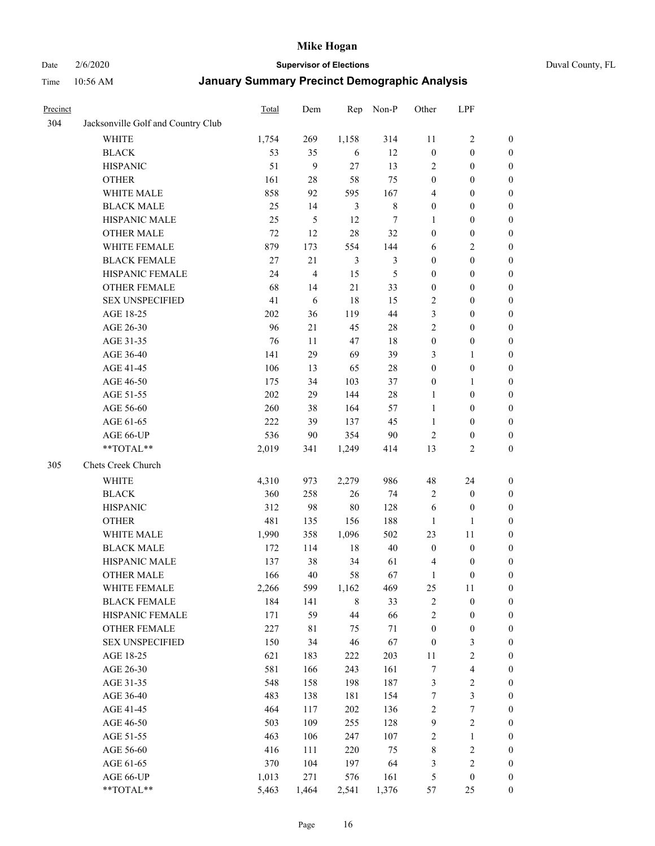Date 2/6/2020 **Supervisor of Elections** Duval County, FL

| Precinct |                                    | <b>Total</b> | Dem   | Rep            | Non-P   | Other            | LPF                     |                  |
|----------|------------------------------------|--------------|-------|----------------|---------|------------------|-------------------------|------------------|
| 304      | Jacksonville Golf and Country Club |              |       |                |         |                  |                         |                  |
|          | <b>WHITE</b>                       | 1,754        | 269   | 1,158          | 314     | 11               | $\sqrt{2}$              | 0                |
|          | <b>BLACK</b>                       | 53           | 35    | 6              | 12      | $\boldsymbol{0}$ | $\boldsymbol{0}$        | 0                |
|          | <b>HISPANIC</b>                    | 51           | 9     | 27             | 13      | 2                | $\boldsymbol{0}$        | $\boldsymbol{0}$ |
|          | <b>OTHER</b>                       | 161          | 28    | 58             | 75      | $\boldsymbol{0}$ | $\boldsymbol{0}$        | $\boldsymbol{0}$ |
|          | WHITE MALE                         | 858          | 92    | 595            | 167     | 4                | $\boldsymbol{0}$        | $\boldsymbol{0}$ |
|          | <b>BLACK MALE</b>                  | 25           | 14    | $\mathfrak{Z}$ | $\,8\,$ | $\boldsymbol{0}$ | $\boldsymbol{0}$        | $\boldsymbol{0}$ |
|          | HISPANIC MALE                      | 25           | 5     | 12             | $\tau$  | 1                | $\boldsymbol{0}$        | $\boldsymbol{0}$ |
|          | <b>OTHER MALE</b>                  | 72           | 12    | 28             | 32      | $\boldsymbol{0}$ | $\boldsymbol{0}$        | $\boldsymbol{0}$ |
|          | WHITE FEMALE                       | 879          | 173   | 554            | 144     | 6                | $\overline{2}$          | $\boldsymbol{0}$ |
|          | <b>BLACK FEMALE</b>                | $27\,$       | 21    | $\mathfrak{Z}$ | 3       | $\boldsymbol{0}$ | $\boldsymbol{0}$        | 0                |
|          | HISPANIC FEMALE                    | 24           | 4     | 15             | 5       | $\boldsymbol{0}$ | $\boldsymbol{0}$        | 0                |
|          | <b>OTHER FEMALE</b>                | 68           | 14    | 21             | 33      | $\boldsymbol{0}$ | $\boldsymbol{0}$        | $\boldsymbol{0}$ |
|          | <b>SEX UNSPECIFIED</b>             | 41           | 6     | 18             | 15      | $\sqrt{2}$       | $\boldsymbol{0}$        | $\boldsymbol{0}$ |
|          | AGE 18-25                          | 202          | 36    | 119            | 44      | 3                | $\boldsymbol{0}$        | $\boldsymbol{0}$ |
|          | AGE 26-30                          | 96           | 21    | 45             | 28      | $\sqrt{2}$       | $\boldsymbol{0}$        | $\boldsymbol{0}$ |
|          | AGE 31-35                          | 76           | 11    | 47             | 18      | $\boldsymbol{0}$ | $\boldsymbol{0}$        | $\boldsymbol{0}$ |
|          | AGE 36-40                          | 141          | 29    | 69             | 39      | 3                | $\mathbf{1}$            | $\boldsymbol{0}$ |
|          | AGE 41-45                          | 106          | 13    | 65             | 28      | $\boldsymbol{0}$ | $\boldsymbol{0}$        | $\boldsymbol{0}$ |
|          | AGE 46-50                          | 175          | 34    | 103            | 37      | $\boldsymbol{0}$ | 1                       | $\boldsymbol{0}$ |
|          | AGE 51-55                          | 202          | 29    | 144            | $28\,$  | $\mathbf{1}$     | $\boldsymbol{0}$        | $\boldsymbol{0}$ |
|          | AGE 56-60                          | 260          | 38    | 164            | 57      | $\mathbf{1}$     | $\boldsymbol{0}$        | 0                |
|          | AGE 61-65                          | 222          | 39    | 137            | 45      | $\mathbf{1}$     | $\boldsymbol{0}$        | 0                |
|          | AGE 66-UP                          | 536          | 90    | 354            | 90      | $\overline{2}$   | $\boldsymbol{0}$        | $\boldsymbol{0}$ |
|          | **TOTAL**                          | 2,019        | 341   | 1,249          | 414     | 13               | $\sqrt{2}$              | $\boldsymbol{0}$ |
| 305      | Chets Creek Church                 |              |       |                |         |                  |                         |                  |
|          | <b>WHITE</b>                       | 4,310        | 973   | 2,279          | 986     | 48               | 24                      | $\boldsymbol{0}$ |
|          | <b>BLACK</b>                       | 360          | 258   | 26             | 74      | $\overline{c}$   | $\boldsymbol{0}$        | $\boldsymbol{0}$ |
|          | <b>HISPANIC</b>                    | 312          | 98    | $80\,$         | 128     | 6                | $\boldsymbol{0}$        | $\boldsymbol{0}$ |
|          | <b>OTHER</b>                       | 481          | 135   | 156            | 188     | $\mathbf{1}$     | 1                       | $\boldsymbol{0}$ |
|          | WHITE MALE                         | 1,990        | 358   | 1,096          | 502     | 23               | 11                      | $\boldsymbol{0}$ |
|          | <b>BLACK MALE</b>                  | 172          | 114   | 18             | $40\,$  | $\boldsymbol{0}$ | $\boldsymbol{0}$        | $\boldsymbol{0}$ |
|          | HISPANIC MALE                      | 137          | 38    | 34             | 61      | $\overline{4}$   | $\boldsymbol{0}$        | 0                |
|          | <b>OTHER MALE</b>                  | 166          | 40    | 58             | 67      | $\mathbf{1}$     | $\boldsymbol{0}$        | $\boldsymbol{0}$ |
|          | WHITE FEMALE                       | 2,266        | 599   | 1,162          | 469     | 25               | 11                      | 0                |
|          | <b>BLACK FEMALE</b>                | 184          | 141   | $\,$ 8 $\,$    | 33      | $\sqrt{2}$       | $\boldsymbol{0}$        | $\boldsymbol{0}$ |
|          | HISPANIC FEMALE                    | 171          | 59    | $44\,$         | 66      | $\sqrt{2}$       | $\boldsymbol{0}$        | $\boldsymbol{0}$ |
|          | OTHER FEMALE                       | 227          | 81    | 75             | 71      | $\boldsymbol{0}$ | $\boldsymbol{0}$        | $\overline{0}$   |
|          | <b>SEX UNSPECIFIED</b>             | 150          | 34    | 46             | 67      | $\boldsymbol{0}$ | $\mathfrak{Z}$          | 0                |
|          | AGE 18-25                          | 621          | 183   | 222            | 203     | $11\,$           | $\sqrt{2}$              | 0                |
|          | AGE 26-30                          | 581          | 166   | 243            | 161     | $\boldsymbol{7}$ | $\overline{\mathbf{4}}$ | 0                |
|          | AGE 31-35                          | 548          | 158   | 198            | 187     | 3                | $\sqrt{2}$              | 0                |
|          | AGE 36-40                          | 483          | 138   | 181            | 154     | 7                | $\mathfrak{Z}$          | 0                |
|          | AGE 41-45                          | 464          | 117   | 202            | 136     | $\sqrt{2}$       | $\boldsymbol{7}$        | 0                |
|          | AGE 46-50                          | 503          | 109   | 255            | 128     | 9                | $\sqrt{2}$              | 0                |
|          | AGE 51-55                          | 463          | 106   | 247            | 107     | $\overline{c}$   | $\mathbf{1}$            | 0                |
|          | AGE 56-60                          | 416          | 111   | 220            | 75      | $\,$ 8 $\,$      | $\sqrt{2}$              | $\boldsymbol{0}$ |
|          | AGE 61-65                          | 370          | 104   | 197            | 64      | 3                | $\sqrt{2}$              | $\boldsymbol{0}$ |
|          | AGE 66-UP                          | 1,013        | 271   | 576            | 161     | 5                | $\boldsymbol{0}$        | $\boldsymbol{0}$ |
|          | **TOTAL**                          | 5,463        | 1,464 | 2,541          | 1,376   | 57               | 25                      | $\boldsymbol{0}$ |
|          |                                    |              |       |                |         |                  |                         |                  |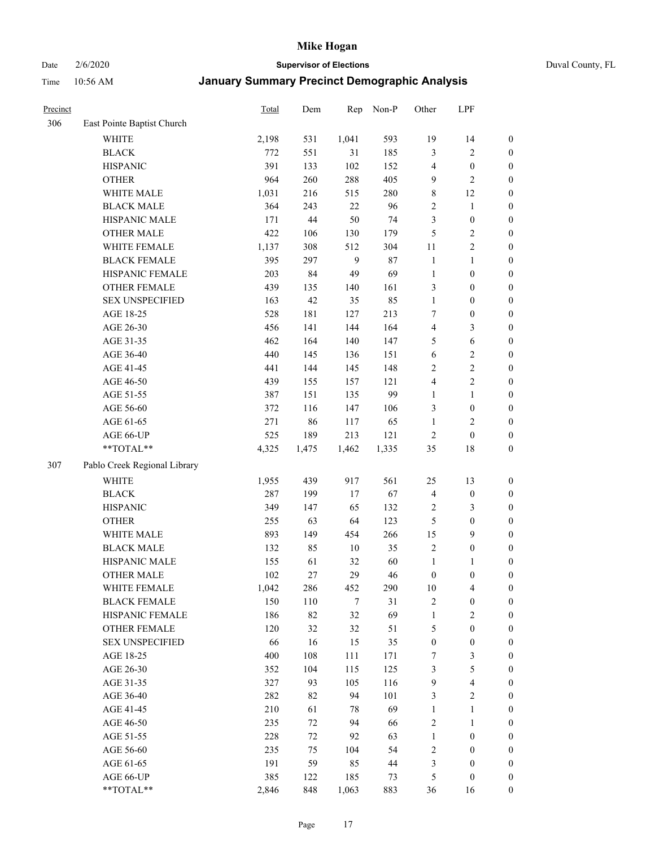Date 2/6/2020 **Supervisor of Elections** Duval County, FL

| Precinct |                                        | Total        | Dem       | Rep      | Non-P      | Other                            | LPF                                   |                                      |
|----------|----------------------------------------|--------------|-----------|----------|------------|----------------------------------|---------------------------------------|--------------------------------------|
| 306      | East Pointe Baptist Church             |              |           |          |            |                                  |                                       |                                      |
|          | <b>WHITE</b>                           | 2,198        | 531       | 1,041    | 593        | 19                               | 14                                    | 0                                    |
|          | <b>BLACK</b>                           | 772          | 551       | 31       | 185        | 3                                | $\sqrt{2}$                            | $\boldsymbol{0}$                     |
|          | <b>HISPANIC</b>                        | 391          | 133       | 102      | 152        | 4                                | $\boldsymbol{0}$                      | $\boldsymbol{0}$                     |
|          | <b>OTHER</b>                           | 964          | 260       | 288      | 405        | 9                                | $\overline{2}$                        | $\boldsymbol{0}$                     |
|          | WHITE MALE                             | 1,031        | 216       | 515      | 280        | 8                                | 12                                    | $\boldsymbol{0}$                     |
|          | <b>BLACK MALE</b>                      | 364          | 243       | 22       | 96         | $\sqrt{2}$                       | $\mathbf{1}$                          | $\boldsymbol{0}$                     |
|          | HISPANIC MALE                          | 171          | 44        | 50       | 74         | $\mathfrak{Z}$                   | $\boldsymbol{0}$                      | $\boldsymbol{0}$                     |
|          | <b>OTHER MALE</b>                      | 422          | 106       | 130      | 179        | 5                                | $\overline{c}$                        | $\boldsymbol{0}$                     |
|          | WHITE FEMALE                           | 1,137        | 308       | 512      | 304        | $11\,$                           | $\overline{2}$                        | $\boldsymbol{0}$                     |
|          | <b>BLACK FEMALE</b>                    | 395          | 297       | 9        | 87         | $\mathbf{1}$                     | $\mathbf{1}$                          | $\boldsymbol{0}$                     |
|          | HISPANIC FEMALE                        | 203          | 84        | 49       | 69         | $\mathbf{1}$                     | $\boldsymbol{0}$                      | 0                                    |
|          | OTHER FEMALE                           | 439          | 135       | 140      | 161        | 3                                | $\boldsymbol{0}$                      | $\boldsymbol{0}$                     |
|          | <b>SEX UNSPECIFIED</b>                 | 163          | 42        | 35       | 85         | $\mathbf{1}$                     | $\boldsymbol{0}$                      | $\boldsymbol{0}$                     |
|          | AGE 18-25                              | 528          | 181       | 127      | 213        | 7                                | $\boldsymbol{0}$                      | $\boldsymbol{0}$                     |
|          | AGE 26-30                              | 456          | 141       | 144      | 164        | 4                                | $\mathfrak{Z}$                        | $\boldsymbol{0}$                     |
|          | AGE 31-35                              | 462          | 164       | 140      | 147        | 5                                | $\sqrt{6}$                            | $\boldsymbol{0}$                     |
|          | AGE 36-40                              | 440          | 145       | 136      | 151        | 6                                | $\sqrt{2}$                            | $\boldsymbol{0}$                     |
|          | AGE 41-45                              | 441          | 144       | 145      | 148        | $\overline{c}$                   | $\sqrt{2}$                            | $\boldsymbol{0}$                     |
|          | AGE 46-50                              | 439          | 155       | 157      | 121        | 4                                | $\overline{2}$                        | $\boldsymbol{0}$                     |
|          | AGE 51-55                              | 387          | 151       | 135      | 99         | $\mathbf{1}$                     | $\mathbf{1}$                          | $\boldsymbol{0}$                     |
|          | AGE 56-60                              | 372          | 116       | 147      | 106        | 3                                | $\boldsymbol{0}$                      | 0                                    |
|          | AGE 61-65                              | 271          | 86        | 117      | 65         | $\mathbf{1}$                     | $\sqrt{2}$                            | 0                                    |
|          | AGE 66-UP                              | 525          | 189       | 213      | 121        | $\sqrt{2}$                       | $\boldsymbol{0}$                      | $\boldsymbol{0}$                     |
|          | **TOTAL**                              | 4,325        | 1,475     | 1,462    | 1,335      | 35                               | $18\,$                                | $\boldsymbol{0}$                     |
| 307      | Pablo Creek Regional Library           |              |           |          |            |                                  |                                       |                                      |
|          | <b>WHITE</b>                           | 1,955        | 439       | 917      | 561        | 25                               | 13                                    | $\boldsymbol{0}$                     |
|          | <b>BLACK</b>                           | 287          | 199       | $17\,$   | 67         |                                  | $\boldsymbol{0}$                      |                                      |
|          | <b>HISPANIC</b>                        | 349          | 147       | 65       | 132        | 4<br>$\overline{c}$              | $\mathfrak{Z}$                        | $\boldsymbol{0}$<br>$\boldsymbol{0}$ |
|          | <b>OTHER</b>                           | 255          | 63        | 64       | 123        | 5                                | $\boldsymbol{0}$                      | $\boldsymbol{0}$                     |
|          | WHITE MALE                             | 893          | 149       | 454      | 266        |                                  | 9                                     |                                      |
|          | <b>BLACK MALE</b>                      | 132          | 85        | $10\,$   | 35         | 15<br>$\overline{2}$             | $\boldsymbol{0}$                      | $\boldsymbol{0}$<br>$\boldsymbol{0}$ |
|          | HISPANIC MALE                          |              | 61        | 32       | 60         |                                  |                                       |                                      |
|          | <b>OTHER MALE</b>                      | 155<br>102   | 27        | 29       | 46         | $\mathbf{1}$<br>$\boldsymbol{0}$ | 1<br>$\boldsymbol{0}$                 | $\boldsymbol{0}$<br>$\boldsymbol{0}$ |
|          |                                        |              |           |          |            |                                  |                                       | 0                                    |
|          | WHITE FEMALE<br><b>BLACK FEMALE</b>    | 1,042<br>150 | 286       | 452<br>7 | 290        | 10<br>$\sqrt{2}$                 | 4                                     | $\overline{0}$                       |
|          | HISPANIC FEMALE                        | 186          | 110<br>82 | 32       | 31<br>69   | $\mathbf{1}$                     | $\boldsymbol{0}$<br>$\sqrt{2}$        | $\overline{0}$                       |
|          |                                        |              |           |          |            |                                  |                                       |                                      |
|          | OTHER FEMALE<br><b>SEX UNSPECIFIED</b> | 120<br>66    | 32<br>16  | 32       | 51         | 5<br>$\boldsymbol{0}$            | $\boldsymbol{0}$<br>$\boldsymbol{0}$  | $\overline{0}$<br>0                  |
|          |                                        | 400          | 108       | 15       | 35         |                                  | $\mathfrak{Z}$                        | $\theta$                             |
|          | AGE 18-25                              |              |           | 111      | 171        | 7                                |                                       |                                      |
|          | AGE 26-30                              | 352<br>327   | 104       | 115      | 125<br>116 | 3                                | $\sqrt{5}$<br>$\overline{\mathbf{4}}$ | 0<br>0                               |
|          | AGE 31-35                              |              | 93        | 105      |            | 9                                |                                       |                                      |
|          | AGE 36-40                              | 282<br>210   | 82        | 94<br>78 | 101<br>69  | 3<br>$\mathbf{1}$                | $\sqrt{2}$<br>$\mathbf{1}$            | 0                                    |
|          | AGE 41-45                              |              | 61        |          |            |                                  |                                       | 0                                    |
|          | AGE 46-50                              | 235          | 72        | 94       | 66         | $\overline{c}$                   | $\mathbf{1}$                          | 0                                    |
|          | AGE 51-55                              | 228          | 72        | 92       | 63         | $\mathbf{1}$                     | $\boldsymbol{0}$                      | 0                                    |
|          | AGE 56-60                              | 235          | 75        | 104      | 54         | $\overline{c}$                   | $\boldsymbol{0}$                      | $\overline{0}$                       |
|          | AGE 61-65                              | 191          | 59        | 85       | 44         | 3                                | $\boldsymbol{0}$                      | $\overline{0}$                       |
|          | AGE 66-UP                              | 385          | 122       | 185      | 73         | 5                                | $\boldsymbol{0}$                      | 0                                    |
|          | **TOTAL**                              | 2,846        | 848       | 1,063    | 883        | 36                               | 16                                    | $\boldsymbol{0}$                     |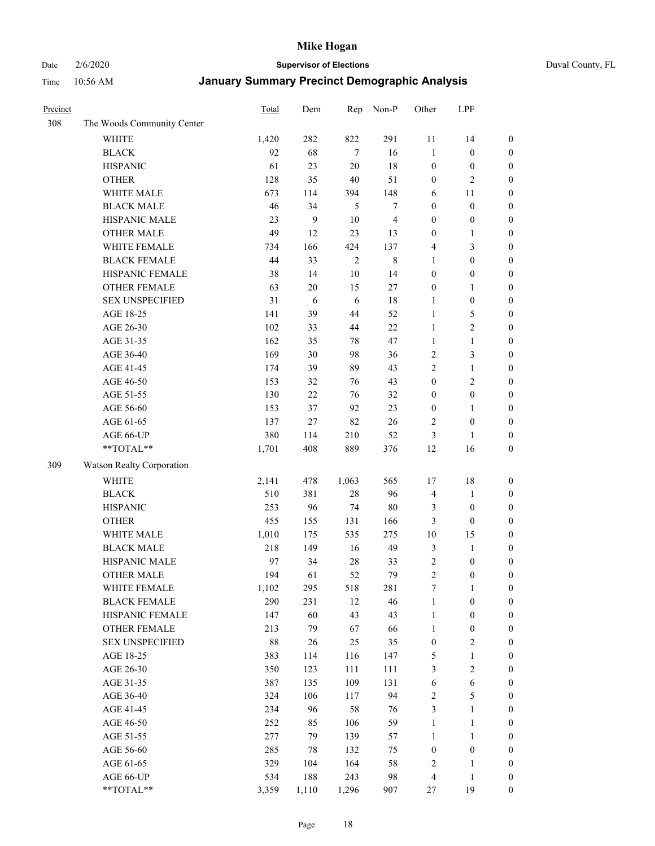Date 2/6/2020 **Supervisor of Elections** Duval County, FL

| Precinct |                            | Total | Dem              | Rep        | Non-P                    | Other            | LPF              |                  |
|----------|----------------------------|-------|------------------|------------|--------------------------|------------------|------------------|------------------|
| 308      | The Woods Community Center |       |                  |            |                          |                  |                  |                  |
|          | <b>WHITE</b>               | 1,420 | 282              | 822        | 291                      | 11               | 14               | $\boldsymbol{0}$ |
|          | <b>BLACK</b>               | 92    | 68               | $\tau$     | 16                       | $\mathbf{1}$     | $\boldsymbol{0}$ | $\boldsymbol{0}$ |
|          | <b>HISPANIC</b>            | 61    | 23               | $20\,$     | 18                       | $\boldsymbol{0}$ | $\boldsymbol{0}$ | $\boldsymbol{0}$ |
|          | <b>OTHER</b>               | 128   | 35               | 40         | 51                       | $\boldsymbol{0}$ | $\overline{2}$   | $\boldsymbol{0}$ |
|          | WHITE MALE                 | 673   | 114              | 394        | 148                      | 6                | 11               | $\boldsymbol{0}$ |
|          | <b>BLACK MALE</b>          | 46    | 34               | 5          | 7                        | $\boldsymbol{0}$ | $\boldsymbol{0}$ | $\boldsymbol{0}$ |
|          | HISPANIC MALE              | 23    | $\boldsymbol{9}$ | 10         | $\overline{\mathcal{A}}$ | $\boldsymbol{0}$ | $\boldsymbol{0}$ | $\boldsymbol{0}$ |
|          | <b>OTHER MALE</b>          | 49    | 12               | 23         | 13                       | $\boldsymbol{0}$ | $\mathbf{1}$     | $\boldsymbol{0}$ |
|          | WHITE FEMALE               | 734   | 166              | 424        | 137                      | 4                | $\mathfrak{Z}$   | $\boldsymbol{0}$ |
|          | <b>BLACK FEMALE</b>        | 44    | 33               | $\sqrt{2}$ | $\,$ 8 $\,$              | $\mathbf{1}$     | $\boldsymbol{0}$ | $\boldsymbol{0}$ |
|          | HISPANIC FEMALE            | 38    | 14               | $10\,$     | 14                       | $\boldsymbol{0}$ | $\boldsymbol{0}$ | 0                |
|          | <b>OTHER FEMALE</b>        | 63    | $20\,$           | 15         | 27                       | $\boldsymbol{0}$ | 1                | $\boldsymbol{0}$ |
|          | <b>SEX UNSPECIFIED</b>     | 31    | 6                | 6          | 18                       | $\mathbf{1}$     | $\boldsymbol{0}$ | $\boldsymbol{0}$ |
|          | AGE 18-25                  | 141   | 39               | 44         | 52                       | $\mathbf{1}$     | $\sqrt{5}$       | $\boldsymbol{0}$ |
|          | AGE 26-30                  | 102   | 33               | 44         | 22                       | $\mathbf{1}$     | $\sqrt{2}$       | $\boldsymbol{0}$ |
|          | AGE 31-35                  | 162   | 35               | 78         | 47                       | $\mathbf{1}$     | $\mathbf{1}$     | $\boldsymbol{0}$ |
|          | AGE 36-40                  | 169   | 30               | 98         | 36                       | $\overline{c}$   | $\mathfrak{Z}$   | $\boldsymbol{0}$ |
|          | AGE 41-45                  | 174   | 39               | 89         | 43                       | $\overline{2}$   | $\mathbf{1}$     | $\boldsymbol{0}$ |
|          | AGE 46-50                  | 153   | 32               | 76         | 43                       | $\boldsymbol{0}$ | $\overline{2}$   | $\boldsymbol{0}$ |
|          | AGE 51-55                  | 130   | $22\,$           | 76         | 32                       | $\boldsymbol{0}$ | $\boldsymbol{0}$ | $\boldsymbol{0}$ |
|          | AGE 56-60                  | 153   | 37               | 92         | 23                       | $\boldsymbol{0}$ | 1                | 0                |
|          | AGE 61-65                  | 137   | 27               | 82         | 26                       | 2                | $\boldsymbol{0}$ | $\boldsymbol{0}$ |
|          | AGE 66-UP                  | 380   | 114              | 210        | 52                       | 3                | $\mathbf{1}$     | $\boldsymbol{0}$ |
|          | **TOTAL**                  | 1,701 | 408              | 889        | 376                      | 12               | 16               | $\boldsymbol{0}$ |
| 309      | Watson Realty Corporation  |       |                  |            |                          |                  |                  |                  |
|          | <b>WHITE</b>               | 2,141 | 478              | 1,063      | 565                      | 17               | $18\,$           | $\boldsymbol{0}$ |
|          | <b>BLACK</b>               | 510   | 381              | 28         | 96                       | 4                | $\mathbf{1}$     | $\boldsymbol{0}$ |
|          | <b>HISPANIC</b>            | 253   | 96               | 74         | 80                       | 3                | $\boldsymbol{0}$ | $\boldsymbol{0}$ |
|          | <b>OTHER</b>               | 455   | 155              | 131        | 166                      | 3                | $\boldsymbol{0}$ | $\boldsymbol{0}$ |
|          | WHITE MALE                 | 1,010 | 175              | 535        | 275                      | $10\,$           | 15               | $\boldsymbol{0}$ |
|          | <b>BLACK MALE</b>          | 218   | 149              | 16         | 49                       | 3                | $\mathbf{1}$     | $\boldsymbol{0}$ |
|          | HISPANIC MALE              | 97    | 34               | $28\,$     | 33                       | $\overline{c}$   | $\boldsymbol{0}$ | 0                |
|          | <b>OTHER MALE</b>          | 194   | 61               | 52         | 79                       | $\overline{2}$   | $\boldsymbol{0}$ | $\boldsymbol{0}$ |
|          | WHITE FEMALE               | 1,102 | 295              | 518        | 281                      | 7                | 1                | 0                |
|          | <b>BLACK FEMALE</b>        | 290   | 231              | 12         | 46                       | $\mathbf{1}$     | $\boldsymbol{0}$ | $\boldsymbol{0}$ |
|          | HISPANIC FEMALE            | 147   | 60               | 43         | 43                       | $\mathbf{1}$     | $\boldsymbol{0}$ | $\overline{0}$   |
|          | OTHER FEMALE               | 213   | 79               | 67         | 66                       | $\mathbf{1}$     | $\boldsymbol{0}$ | $\overline{0}$   |
|          | <b>SEX UNSPECIFIED</b>     | 88    | 26               | 25         | 35                       | $\boldsymbol{0}$ | $\overline{2}$   | 0                |
|          | AGE 18-25                  | 383   | 114              | 116        | 147                      | 5                | $\mathbf{1}$     | 0                |
|          | AGE 26-30                  | 350   | 123              | 111        | 111                      | 3                | $\overline{c}$   | 0                |
|          | AGE 31-35                  | 387   | 135              | 109        | 131                      | 6                | $\sqrt{6}$       | 0                |
|          | AGE 36-40                  | 324   | 106              | 117        | 94                       | $\overline{c}$   | $\mathfrak s$    | 0                |
|          | AGE 41-45                  | 234   | 96               | 58         | 76                       | 3                | $\mathbf{1}$     | 0                |
|          | AGE 46-50                  | 252   | 85               | 106        | 59                       | $\mathbf{1}$     | $\mathbf{1}$     | 0                |
|          | AGE 51-55                  | 277   | 79               | 139        | 57                       | $\mathbf{1}$     | $\mathbf{1}$     | 0                |
|          | AGE 56-60                  | 285   | 78               | 132        | 75                       | $\boldsymbol{0}$ | $\boldsymbol{0}$ | $\boldsymbol{0}$ |
|          | AGE 61-65                  | 329   | 104              | 164        | 58                       | $\overline{c}$   | $\mathbf{1}$     | $\boldsymbol{0}$ |
|          | AGE 66-UP                  | 534   | 188              | 243        | 98                       | $\overline{4}$   | $\mathbf{1}$     | $\boldsymbol{0}$ |
|          | **TOTAL**                  | 3,359 | 1,110            | 1,296      | 907                      | 27               | 19               | $\boldsymbol{0}$ |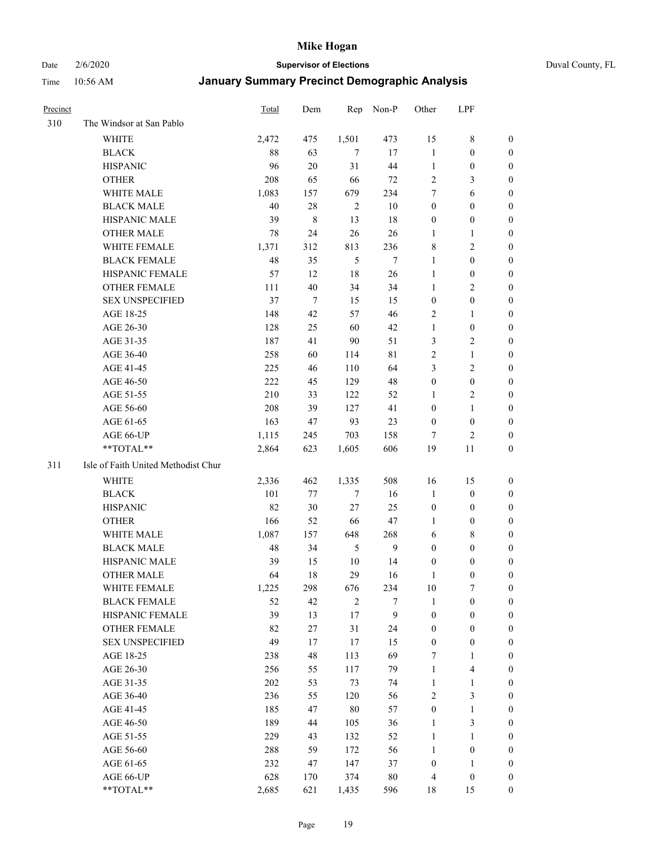# Date 2/6/2020 **Supervisor of Elections** Duval County, FL

| Precinct |                                     | <b>Total</b> | Dem            | Rep            | Non-P          | Other              | LPF                     |                                      |
|----------|-------------------------------------|--------------|----------------|----------------|----------------|--------------------|-------------------------|--------------------------------------|
| 310      | The Windsor at San Pablo            |              |                |                |                |                    |                         |                                      |
|          | <b>WHITE</b>                        | 2,472        | 475            | 1,501          | 473            | 15                 | $\,$ 8 $\,$             | 0                                    |
|          | <b>BLACK</b>                        | 88           | 63             | $\overline{7}$ | 17             | $\mathbf{1}$       | $\boldsymbol{0}$        | 0                                    |
|          | <b>HISPANIC</b>                     | 96           | 20             | 31             | 44             | $\mathbf{1}$       | $\boldsymbol{0}$        | 0                                    |
|          | <b>OTHER</b>                        | 208          | 65             | 66             | 72             | $\overline{c}$     | $\mathfrak{Z}$          | $\boldsymbol{0}$                     |
|          | WHITE MALE                          | 1,083        | 157            | 679            | 234            | 7                  | 6                       | $\boldsymbol{0}$                     |
|          | <b>BLACK MALE</b>                   | 40           | $28\,$         | $\overline{2}$ | $10\,$         | $\boldsymbol{0}$   | $\boldsymbol{0}$        | $\boldsymbol{0}$                     |
|          | HISPANIC MALE                       | 39           | $\,$ 8 $\,$    | 13             | 18             | $\boldsymbol{0}$   | $\boldsymbol{0}$        | $\boldsymbol{0}$                     |
|          | <b>OTHER MALE</b>                   | 78           | 24             | 26             | 26             | $\mathbf{1}$       | $\mathbf{1}$            | $\boldsymbol{0}$                     |
|          | WHITE FEMALE                        | 1,371        | 312            | 813            | 236            | 8                  | $\overline{c}$          | $\boldsymbol{0}$                     |
|          | <b>BLACK FEMALE</b>                 | 48           | 35             | 5              | $\overline{7}$ | $\mathbf{1}$       | $\boldsymbol{0}$        | 0                                    |
|          | HISPANIC FEMALE                     | 57           | 12             | 18             | 26             | $\mathbf{1}$       | $\boldsymbol{0}$        | 0                                    |
|          | OTHER FEMALE                        | 111          | 40             | 34             | 34             | $\mathbf{1}$       | $\sqrt{2}$              | 0                                    |
|          | <b>SEX UNSPECIFIED</b>              | 37           | $\overline{7}$ | 15             | 15             | $\boldsymbol{0}$   | $\boldsymbol{0}$        | $\boldsymbol{0}$                     |
|          | AGE 18-25                           | 148          | 42             | 57             | 46             | $\sqrt{2}$         | 1                       | $\boldsymbol{0}$                     |
|          | AGE 26-30                           | 128          | 25             | 60             | 42             | $\mathbf{1}$       | $\boldsymbol{0}$        | $\boldsymbol{0}$                     |
|          | AGE 31-35                           | 187          | 41             | 90             | 51             | 3                  | $\sqrt{2}$              | $\boldsymbol{0}$                     |
|          | AGE 36-40                           | 258          | 60             | 114            | 81             | $\overline{c}$     | $\mathbf{1}$            | $\boldsymbol{0}$                     |
|          | AGE 41-45                           | 225          | 46             | 110            | 64             | 3                  | $\overline{2}$          | $\boldsymbol{0}$                     |
|          | AGE 46-50                           | 222          | 45             | 129            | 48             | $\boldsymbol{0}$   | $\boldsymbol{0}$        | $\boldsymbol{0}$                     |
|          | AGE 51-55                           | 210          | 33             | 122            | 52             | 1                  | $\sqrt{2}$              | 0                                    |
|          | AGE 56-60                           | 208          | 39             | 127            | 41             | $\boldsymbol{0}$   | $\mathbf{1}$            | 0                                    |
|          | AGE 61-65                           | 163          | 47             | 93             | 23             | $\boldsymbol{0}$   | $\boldsymbol{0}$        | 0                                    |
|          | AGE 66-UP                           | 1,115        | 245            | 703            | 158            | 7                  | $\overline{c}$          | 0                                    |
|          | **TOTAL**                           | 2,864        | 623            | 1,605          | 606            | 19                 | 11                      | $\boldsymbol{0}$                     |
| 311      | Isle of Faith United Methodist Chur |              |                |                |                |                    |                         |                                      |
|          | <b>WHITE</b>                        |              |                |                |                |                    |                         |                                      |
|          | <b>BLACK</b>                        | 2,336<br>101 | 462<br>77      | 1,335          | 508<br>16      | 16<br>$\mathbf{1}$ | 15<br>$\boldsymbol{0}$  | $\boldsymbol{0}$<br>$\boldsymbol{0}$ |
|          | <b>HISPANIC</b>                     | 82           | 30             | 7<br>$27\,$    | 25             | $\boldsymbol{0}$   | $\boldsymbol{0}$        | $\boldsymbol{0}$                     |
|          | <b>OTHER</b>                        | 166          | 52             | 66             | 47             | 1                  | $\boldsymbol{0}$        | $\boldsymbol{0}$                     |
|          | WHITE MALE                          | 1,087        | 157            | 648            | 268            | 6                  | 8                       | $\boldsymbol{0}$                     |
|          | <b>BLACK MALE</b>                   | 48           | 34             | 5              | $\overline{9}$ | $\boldsymbol{0}$   | $\boldsymbol{0}$        | $\boldsymbol{0}$                     |
|          | HISPANIC MALE                       | 39           | 15             | 10             | 14             | $\boldsymbol{0}$   | $\boldsymbol{0}$        | 0                                    |
|          | <b>OTHER MALE</b>                   | 64           | 18             | 29             | 16             | 1                  | $\boldsymbol{0}$        | 0                                    |
|          | WHITE FEMALE                        | 1,225        | 298            | 676            | 234            | 10                 | 7                       | 0                                    |
|          | <b>BLACK FEMALE</b>                 | 52           | 42             | $\mathfrak{2}$ | 7              | $\mathbf{1}$       | $\boldsymbol{0}$        | $\boldsymbol{0}$                     |
|          | HISPANIC FEMALE                     | 39           | 13             | 17             | 9              | $\boldsymbol{0}$   | $\boldsymbol{0}$        | $\overline{0}$                       |
|          | <b>OTHER FEMALE</b>                 | 82           | 27             | 31             | 24             | $\boldsymbol{0}$   | $\boldsymbol{0}$        | $\overline{0}$                       |
|          | <b>SEX UNSPECIFIED</b>              | 49           | 17             | 17             | 15             | $\boldsymbol{0}$   | $\boldsymbol{0}$        | 0                                    |
|          | AGE 18-25                           | 238          | 48             | 113            | 69             | 7                  | $\mathbf{1}$            | $\theta$                             |
|          | AGE 26-30                           | 256          | 55             | 117            | 79             | $\mathbf{1}$       | $\overline{\mathbf{4}}$ | 0                                    |
|          | AGE 31-35                           | 202          | 53             | 73             | 74             | $\mathbf{1}$       | $\mathbf{1}$            | 0                                    |
|          | AGE 36-40                           | 236          | 55             | 120            | 56             | 2                  | $\mathfrak{Z}$          | 0                                    |
|          | AGE 41-45                           | 185          | 47             | 80             | 57             | $\boldsymbol{0}$   | $\mathbf{1}$            | 0                                    |
|          | AGE 46-50                           | 189          | 44             | 105            | 36             | 1                  | $\mathfrak{Z}$          | 0                                    |
|          | AGE 51-55                           | 229          | 43             | 132            | 52             | $\mathbf{1}$       | $\mathbf{1}$            | 0                                    |
|          | AGE 56-60                           | 288          | 59             | 172            | 56             | $\mathbf{1}$       | $\boldsymbol{0}$        | $\overline{0}$                       |
|          | AGE 61-65                           | 232          | 47             | 147            | 37             | $\boldsymbol{0}$   | 1                       | $\overline{0}$                       |
|          | AGE 66-UP                           | 628          | 170            | 374            | $80\,$         | 4                  | $\boldsymbol{0}$        | $\boldsymbol{0}$                     |
|          | **TOTAL**                           | 2,685        | 621            | 1,435          | 596            | 18                 | 15                      | $\boldsymbol{0}$                     |
|          |                                     |              |                |                |                |                    |                         |                                      |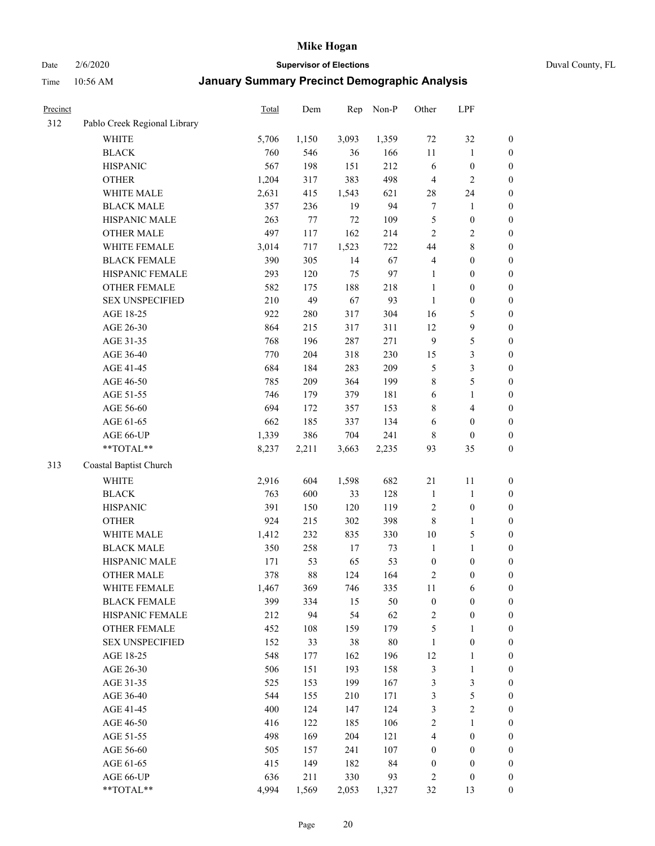Date 2/6/2020 **Supervisor of Elections** Duval County, FL

| Precinct |                              | Total | Dem   | Rep    | Non-P  | Other            | LPF              |                  |
|----------|------------------------------|-------|-------|--------|--------|------------------|------------------|------------------|
| 312      | Pablo Creek Regional Library |       |       |        |        |                  |                  |                  |
|          | <b>WHITE</b>                 | 5,706 | 1,150 | 3,093  | 1,359  | $72\,$           | 32               | 0                |
|          | <b>BLACK</b>                 | 760   | 546   | 36     | 166    | $11\,$           | $\mathbf{1}$     | $\boldsymbol{0}$ |
|          | <b>HISPANIC</b>              | 567   | 198   | 151    | 212    | 6                | $\boldsymbol{0}$ | $\boldsymbol{0}$ |
|          | <b>OTHER</b>                 | 1,204 | 317   | 383    | 498    | 4                | $\overline{2}$   | $\boldsymbol{0}$ |
|          | WHITE MALE                   | 2,631 | 415   | 1,543  | 621    | 28               | 24               | $\boldsymbol{0}$ |
|          | <b>BLACK MALE</b>            | 357   | 236   | 19     | 94     | $\boldsymbol{7}$ | 1                | $\boldsymbol{0}$ |
|          | HISPANIC MALE                | 263   | 77    | $72\,$ | 109    | 5                | $\boldsymbol{0}$ | $\boldsymbol{0}$ |
|          | <b>OTHER MALE</b>            | 497   | 117   | 162    | 214    | $\overline{2}$   | $\overline{c}$   | $\boldsymbol{0}$ |
|          | WHITE FEMALE                 | 3,014 | 717   | 1,523  | 722    | 44               | $\,$ 8 $\,$      | $\boldsymbol{0}$ |
|          | <b>BLACK FEMALE</b>          | 390   | 305   | 14     | 67     | $\overline{4}$   | $\boldsymbol{0}$ | $\boldsymbol{0}$ |
|          | HISPANIC FEMALE              | 293   | 120   | 75     | 97     | $\mathbf{1}$     | $\boldsymbol{0}$ | 0                |
|          | <b>OTHER FEMALE</b>          | 582   | 175   | 188    | 218    | $\mathbf{1}$     | $\boldsymbol{0}$ | $\boldsymbol{0}$ |
|          | <b>SEX UNSPECIFIED</b>       | 210   | 49    | 67     | 93     | $\mathbf{1}$     | $\boldsymbol{0}$ | $\boldsymbol{0}$ |
|          | AGE 18-25                    | 922   | 280   | 317    | 304    | 16               | $\sqrt{5}$       | $\boldsymbol{0}$ |
|          | AGE 26-30                    | 864   | 215   | 317    | 311    | 12               | $\mathbf{9}$     | $\boldsymbol{0}$ |
|          | AGE 31-35                    | 768   | 196   | 287    | 271    | $\mathbf{9}$     | $\sqrt{5}$       | $\boldsymbol{0}$ |
|          | AGE 36-40                    | 770   | 204   | 318    | 230    | 15               | $\mathfrak{Z}$   | $\boldsymbol{0}$ |
|          | AGE 41-45                    | 684   | 184   | 283    | 209    | 5                | $\mathfrak{Z}$   | $\boldsymbol{0}$ |
|          | AGE 46-50                    | 785   | 209   | 364    | 199    | $\,$ 8 $\,$      | $\sqrt{5}$       | $\boldsymbol{0}$ |
|          | AGE 51-55                    | 746   | 179   | 379    | 181    | 6                | $\mathbf{1}$     | $\boldsymbol{0}$ |
|          | AGE 56-60                    | 694   | 172   | 357    | 153    | 8                | $\overline{4}$   | 0                |
|          | AGE 61-65                    | 662   | 185   | 337    | 134    | 6                | $\boldsymbol{0}$ | 0                |
|          | AGE 66-UP                    | 1,339 | 386   | 704    | 241    | 8                | $\boldsymbol{0}$ | $\boldsymbol{0}$ |
|          | **TOTAL**                    | 8,237 | 2,211 | 3,663  | 2,235  | 93               | 35               | $\boldsymbol{0}$ |
| 313      | Coastal Baptist Church       |       |       |        |        |                  |                  |                  |
|          | <b>WHITE</b>                 | 2,916 | 604   | 1,598  | 682    | $21\,$           | 11               | $\boldsymbol{0}$ |
|          | <b>BLACK</b>                 | 763   | 600   | 33     | 128    | $\mathbf{1}$     | $\mathbf{1}$     | $\boldsymbol{0}$ |
|          | <b>HISPANIC</b>              | 391   | 150   | 120    | 119    | $\overline{c}$   | $\boldsymbol{0}$ | $\boldsymbol{0}$ |
|          | <b>OTHER</b>                 | 924   | 215   | 302    | 398    | $\,$ 8 $\,$      | $\mathbf{1}$     | $\boldsymbol{0}$ |
|          | WHITE MALE                   | 1,412 | 232   | 835    | 330    | $10\,$           | $\mathfrak s$    | $\boldsymbol{0}$ |
|          | <b>BLACK MALE</b>            | 350   | 258   | 17     | 73     | $\mathbf{1}$     | $\mathbf{1}$     | $\boldsymbol{0}$ |
|          | HISPANIC MALE                | 171   | 53    | 65     | 53     | $\boldsymbol{0}$ | $\boldsymbol{0}$ | $\boldsymbol{0}$ |
|          | <b>OTHER MALE</b>            | 378   | 88    | 124    | 164    | $\overline{c}$   | $\boldsymbol{0}$ | $\boldsymbol{0}$ |
|          | WHITE FEMALE                 | 1,467 | 369   | 746    | 335    | 11               | 6                | 0                |
|          | <b>BLACK FEMALE</b>          | 399   | 334   | 15     | 50     | $\boldsymbol{0}$ | $\boldsymbol{0}$ | $\boldsymbol{0}$ |
|          | HISPANIC FEMALE              | 212   | 94    | 54     | 62     | $\sqrt{2}$       | $\boldsymbol{0}$ | $\boldsymbol{0}$ |
|          | OTHER FEMALE                 | 452   | 108   | 159    | 179    | 5                | $\mathbf{1}$     | $\overline{0}$   |
|          | <b>SEX UNSPECIFIED</b>       | 152   | 33    | 38     | $80\,$ | $\mathbf{1}$     | $\boldsymbol{0}$ | 0                |
|          | AGE 18-25                    | 548   | 177   | 162    | 196    | 12               | $\mathbf{1}$     | 0                |
|          | AGE 26-30                    | 506   | 151   | 193    | 158    | $\mathfrak{Z}$   | $\mathbf{1}$     | 0                |
|          | AGE 31-35                    | 525   | 153   | 199    | 167    | 3                | $\mathfrak{Z}$   | 0                |
|          | AGE 36-40                    | 544   | 155   | 210    | 171    | 3                | $\sqrt{5}$       | 0                |
|          | AGE 41-45                    | 400   | 124   | 147    | 124    | 3                | $\sqrt{2}$       | 0                |
|          | AGE 46-50                    | 416   | 122   | 185    | 106    | $\sqrt{2}$       | $\mathbf{1}$     | 0                |
|          | AGE 51-55                    | 498   | 169   | 204    | 121    | 4                | $\boldsymbol{0}$ | $\boldsymbol{0}$ |
|          | AGE 56-60                    | 505   | 157   | 241    | 107    | $\boldsymbol{0}$ | $\boldsymbol{0}$ | $\boldsymbol{0}$ |
|          | AGE 61-65                    | 415   | 149   | 182    | 84     | $\boldsymbol{0}$ | $\boldsymbol{0}$ | $\boldsymbol{0}$ |
|          | AGE 66-UP                    | 636   | 211   | 330    | 93     | $\overline{c}$   | $\boldsymbol{0}$ | $\boldsymbol{0}$ |
|          | **TOTAL**                    | 4,994 | 1,569 | 2,053  | 1,327  | 32               | 13               | $\boldsymbol{0}$ |
|          |                              |       |       |        |        |                  |                  |                  |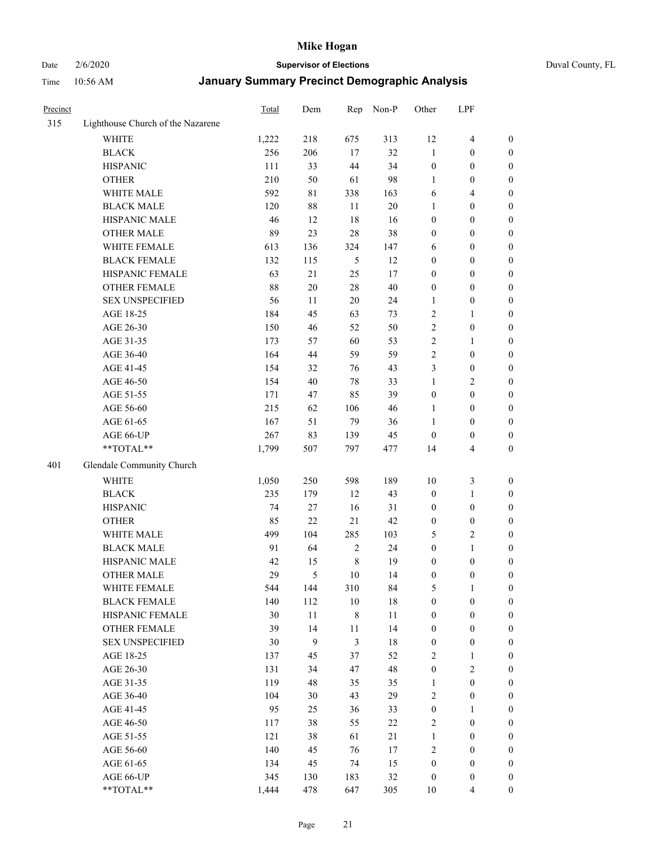# Date 2/6/2020 **Supervisor of Elections** Duval County, FL

| Precinct |                                   | Total | Dem         | Rep            | Non-P  | Other            | LPF                     |                  |
|----------|-----------------------------------|-------|-------------|----------------|--------|------------------|-------------------------|------------------|
| 315      | Lighthouse Church of the Nazarene |       |             |                |        |                  |                         |                  |
|          | <b>WHITE</b>                      | 1,222 | 218         | 675            | 313    | 12               | $\overline{4}$          | 0                |
|          | <b>BLACK</b>                      | 256   | 206         | 17             | 32     | $\mathbf{1}$     | $\boldsymbol{0}$        | 0                |
|          | <b>HISPANIC</b>                   | 111   | 33          | 44             | 34     | $\boldsymbol{0}$ | $\boldsymbol{0}$        | $\boldsymbol{0}$ |
|          | <b>OTHER</b>                      | 210   | 50          | 61             | 98     | 1                | $\boldsymbol{0}$        | $\boldsymbol{0}$ |
|          | WHITE MALE                        | 592   | $8\sqrt{1}$ | 338            | 163    | 6                | $\overline{4}$          | $\boldsymbol{0}$ |
|          | <b>BLACK MALE</b>                 | 120   | 88          | 11             | 20     | 1                | $\boldsymbol{0}$        | $\boldsymbol{0}$ |
|          | HISPANIC MALE                     | 46    | 12          | 18             | 16     | $\boldsymbol{0}$ | $\boldsymbol{0}$        | $\boldsymbol{0}$ |
|          | <b>OTHER MALE</b>                 | 89    | 23          | 28             | 38     | $\boldsymbol{0}$ | $\boldsymbol{0}$        | $\boldsymbol{0}$ |
|          | WHITE FEMALE                      | 613   | 136         | 324            | 147    | 6                | $\boldsymbol{0}$        | $\boldsymbol{0}$ |
|          | <b>BLACK FEMALE</b>               | 132   | 115         | 5              | 12     | $\boldsymbol{0}$ | $\boldsymbol{0}$        | 0                |
|          | HISPANIC FEMALE                   | 63    | $21\,$      | 25             | 17     | $\boldsymbol{0}$ | $\boldsymbol{0}$        | 0                |
|          | <b>OTHER FEMALE</b>               | 88    | $20\,$      | 28             | 40     | $\boldsymbol{0}$ | $\boldsymbol{0}$        | $\boldsymbol{0}$ |
|          | <b>SEX UNSPECIFIED</b>            | 56    | 11          | 20             | 24     | $\mathbf{1}$     | $\boldsymbol{0}$        | $\boldsymbol{0}$ |
|          | AGE 18-25                         | 184   | 45          | 63             | 73     | 2                | 1                       | $\boldsymbol{0}$ |
|          | AGE 26-30                         | 150   | 46          | 52             | 50     | $\overline{c}$   | $\boldsymbol{0}$        | $\boldsymbol{0}$ |
|          | AGE 31-35                         | 173   | 57          | 60             | 53     | $\sqrt{2}$       | $\mathbf{1}$            | $\boldsymbol{0}$ |
|          | AGE 36-40                         | 164   | 44          | 59             | 59     | $\overline{c}$   | $\boldsymbol{0}$        | $\boldsymbol{0}$ |
|          | AGE 41-45                         | 154   | 32          | 76             | 43     | 3                | $\boldsymbol{0}$        | $\boldsymbol{0}$ |
|          | AGE 46-50                         | 154   | 40          | 78             | 33     | $\mathbf{1}$     | $\overline{2}$          | $\overline{0}$   |
|          | AGE 51-55                         | 171   | 47          | 85             | 39     | $\boldsymbol{0}$ | $\boldsymbol{0}$        | $\boldsymbol{0}$ |
|          | AGE 56-60                         | 215   | 62          | 106            | 46     | 1                | $\boldsymbol{0}$        | 0                |
|          | AGE 61-65                         | 167   | 51          | 79             | 36     | 1                | $\boldsymbol{0}$        | $\boldsymbol{0}$ |
|          | AGE 66-UP                         | 267   | 83          | 139            | 45     | $\boldsymbol{0}$ | $\boldsymbol{0}$        | $\boldsymbol{0}$ |
|          | **TOTAL**                         | 1,799 | 507         | 797            | 477    | 14               | $\overline{\mathbf{4}}$ | $\boldsymbol{0}$ |
| 401      | Glendale Community Church         |       |             |                |        |                  |                         |                  |
|          | <b>WHITE</b>                      | 1,050 | 250         | 598            | 189    | 10               | $\mathfrak{Z}$          | $\boldsymbol{0}$ |
|          | <b>BLACK</b>                      | 235   | 179         | 12             | 43     | $\boldsymbol{0}$ | $\mathbf{1}$            | $\boldsymbol{0}$ |
|          | <b>HISPANIC</b>                   | 74    | 27          | 16             | 31     | $\boldsymbol{0}$ | $\boldsymbol{0}$        | $\boldsymbol{0}$ |
|          | <b>OTHER</b>                      | 85    | 22          | 21             | 42     | $\boldsymbol{0}$ | $\boldsymbol{0}$        | $\boldsymbol{0}$ |
|          | WHITE MALE                        | 499   | 104         | 285            | 103    | 5                | $\overline{2}$          | $\boldsymbol{0}$ |
|          | <b>BLACK MALE</b>                 | 91    | 64          | $\sqrt{2}$     | 24     | $\boldsymbol{0}$ | $\mathbf{1}$            | $\boldsymbol{0}$ |
|          | HISPANIC MALE                     | 42    | 15          | $\,$ 8 $\,$    | 19     | $\boldsymbol{0}$ | $\boldsymbol{0}$        | 0                |
|          | <b>OTHER MALE</b>                 | 29    | 5           | 10             | 14     | $\boldsymbol{0}$ | $\boldsymbol{0}$        | $\boldsymbol{0}$ |
|          | WHITE FEMALE                      | 544   | 144         | 310            | 84     | 5                | 1                       | 0                |
|          | <b>BLACK FEMALE</b>               | 140   | 112         | 10             | $18\,$ | $\boldsymbol{0}$ | $\boldsymbol{0}$        | $\boldsymbol{0}$ |
|          | HISPANIC FEMALE                   | 30    | $11\,$      | 8              | $11\,$ | $\boldsymbol{0}$ | $\boldsymbol{0}$        | $\overline{0}$   |
|          | <b>OTHER FEMALE</b>               | 39    | 14          | $11\,$         | 14     | $\boldsymbol{0}$ | $\boldsymbol{0}$        | $\overline{0}$   |
|          | <b>SEX UNSPECIFIED</b>            | 30    | 9           | $\mathfrak{Z}$ | $18\,$ | $\boldsymbol{0}$ | $\boldsymbol{0}$        | $\overline{0}$   |
|          | AGE 18-25                         | 137   | 45          | 37             | 52     | 2                | $\mathbf{1}$            | $\overline{0}$   |
|          | AGE 26-30                         | 131   | 34          | 47             | 48     | $\boldsymbol{0}$ | $\overline{c}$          | 0                |
|          | AGE 31-35                         | 119   | 48          | 35             | 35     | $\mathbf{1}$     | $\boldsymbol{0}$        | 0                |
|          | AGE 36-40                         | 104   | 30          | 43             | 29     | 2                | $\boldsymbol{0}$        | 0                |
|          | AGE 41-45                         | 95    | 25          | 36             | 33     | $\boldsymbol{0}$ | $\mathbf{1}$            | 0                |
|          | AGE 46-50                         | 117   | 38          | 55             | 22     | $\overline{c}$   | $\boldsymbol{0}$        | 0                |
|          | AGE 51-55                         | 121   | 38          | 61             | 21     | $\mathbf{1}$     | $\boldsymbol{0}$        | $\overline{0}$   |
|          | AGE 56-60                         | 140   | 45          | 76             | $17\,$ | $\overline{c}$   | $\boldsymbol{0}$        | $\overline{0}$   |
|          | AGE 61-65                         | 134   | 45          | 74             | 15     | $\boldsymbol{0}$ | $\boldsymbol{0}$        | $\overline{0}$   |
|          | AGE 66-UP                         | 345   | 130         | 183            | 32     | $\boldsymbol{0}$ | $\boldsymbol{0}$        | $\boldsymbol{0}$ |
|          | **TOTAL**                         | 1,444 | 478         | 647            | 305    | 10               | $\overline{4}$          | $\boldsymbol{0}$ |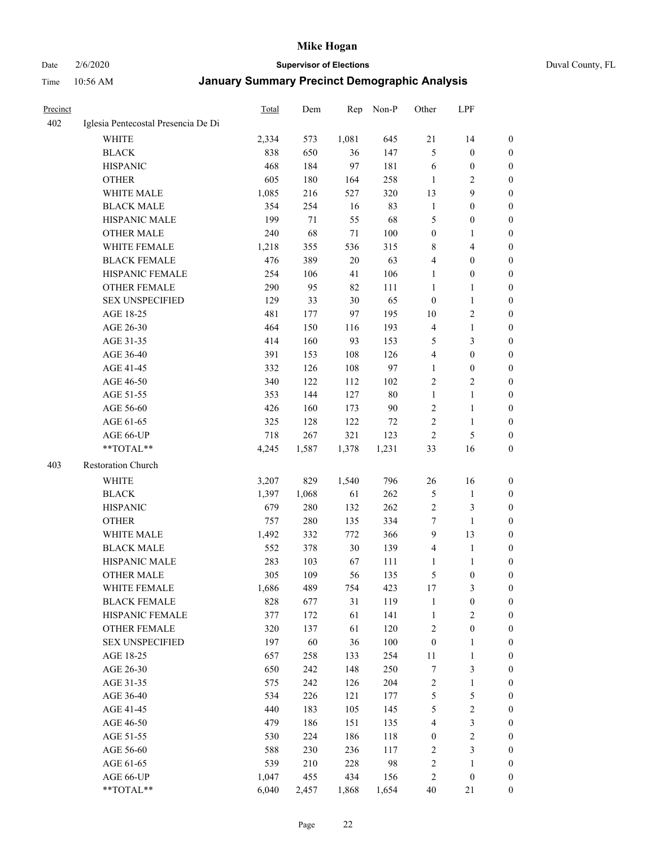Date 2/6/2020 **Supervisor of Elections** Duval County, FL

| <b>Precinct</b> |                                     | <b>Total</b> | Dem   | Rep    | Non-P  | Other            | LPF                     |                  |
|-----------------|-------------------------------------|--------------|-------|--------|--------|------------------|-------------------------|------------------|
| 402             | Iglesia Pentecostal Presencia De Di |              |       |        |        |                  |                         |                  |
|                 | <b>WHITE</b>                        | 2,334        | 573   | 1,081  | 645    | 21               | 14                      | 0                |
|                 | <b>BLACK</b>                        | 838          | 650   | 36     | 147    | 5                | $\boldsymbol{0}$        | 0                |
|                 | <b>HISPANIC</b>                     | 468          | 184   | 97     | 181    | 6                | $\boldsymbol{0}$        | 0                |
|                 | <b>OTHER</b>                        | 605          | 180   | 164    | 258    | 1                | $\overline{c}$          | $\boldsymbol{0}$ |
|                 | WHITE MALE                          | 1,085        | 216   | 527    | 320    | 13               | 9                       | $\boldsymbol{0}$ |
|                 | <b>BLACK MALE</b>                   | 354          | 254   | 16     | 83     | $\mathbf{1}$     | $\boldsymbol{0}$        | $\boldsymbol{0}$ |
|                 | HISPANIC MALE                       | 199          | 71    | 55     | 68     | 5                | $\boldsymbol{0}$        | $\boldsymbol{0}$ |
|                 | <b>OTHER MALE</b>                   | 240          | 68    | 71     | 100    | $\boldsymbol{0}$ | $\mathbf{1}$            | $\boldsymbol{0}$ |
|                 | <b>WHITE FEMALE</b>                 | 1,218        | 355   | 536    | 315    | 8                | $\overline{\mathbf{4}}$ | $\boldsymbol{0}$ |
|                 | <b>BLACK FEMALE</b>                 | 476          | 389   | $20\,$ | 63     | 4                | $\boldsymbol{0}$        | 0                |
|                 | HISPANIC FEMALE                     | 254          | 106   | 41     | 106    | $\mathbf{1}$     | $\boldsymbol{0}$        | 0                |
|                 | <b>OTHER FEMALE</b>                 | 290          | 95    | 82     | 111    | $\mathbf{1}$     | 1                       | 0                |
|                 | <b>SEX UNSPECIFIED</b>              | 129          | 33    | $30\,$ | 65     | $\boldsymbol{0}$ | $\mathbf{1}$            | $\boldsymbol{0}$ |
|                 | AGE 18-25                           | 481          | 177   | 97     | 195    | 10               | $\sqrt{2}$              | $\boldsymbol{0}$ |
|                 | AGE 26-30                           | 464          | 150   | 116    | 193    | 4                | $\mathbf{1}$            | $\boldsymbol{0}$ |
|                 | AGE 31-35                           | 414          | 160   | 93     | 153    | 5                | $\mathfrak{Z}$          | $\boldsymbol{0}$ |
|                 | AGE 36-40                           | 391          | 153   | 108    | 126    | 4                | $\boldsymbol{0}$        | $\boldsymbol{0}$ |
|                 | AGE 41-45                           | 332          | 126   | 108    | 97     | $\mathbf{1}$     | $\boldsymbol{0}$        | $\boldsymbol{0}$ |
|                 | AGE 46-50                           | 340          | 122   | 112    | 102    | $\overline{c}$   | $\overline{2}$          | 0                |
|                 | AGE 51-55                           | 353          | 144   | 127    | $80\,$ | $\mathbf{1}$     | $\mathbf{1}$            | 0                |
|                 | AGE 56-60                           | 426          | 160   | 173    | 90     | $\overline{c}$   | $\mathbf{1}$            | 0                |
|                 | AGE 61-65                           | 325          | 128   | 122    | 72     | $\overline{c}$   | $\mathbf{1}$            | 0                |
|                 | AGE 66-UP                           | 718          | 267   | 321    | 123    | $\sqrt{2}$       | $\sqrt{5}$              | 0                |
|                 | **TOTAL**                           | 4,245        | 1,587 | 1,378  | 1,231  | 33               | 16                      | $\boldsymbol{0}$ |
| 403             | Restoration Church                  |              |       |        |        |                  |                         |                  |
|                 | <b>WHITE</b>                        | 3,207        | 829   | 1,540  | 796    | 26               | 16                      | $\boldsymbol{0}$ |
|                 | <b>BLACK</b>                        | 1,397        | 1,068 | 61     | 262    | 5                | $\mathbf{1}$            | $\boldsymbol{0}$ |
|                 | <b>HISPANIC</b>                     | 679          | 280   | 132    | 262    | $\overline{c}$   | 3                       | $\boldsymbol{0}$ |
|                 | <b>OTHER</b>                        | 757          | 280   | 135    | 334    | 7                | $\mathbf{1}$            | $\overline{0}$   |
|                 | WHITE MALE                          | 1,492        | 332   | 772    | 366    | $\overline{9}$   | 13                      | $\boldsymbol{0}$ |
|                 | <b>BLACK MALE</b>                   | 552          | 378   | $30\,$ | 139    | 4                | $\mathbf{1}$            | $\boldsymbol{0}$ |
|                 | HISPANIC MALE                       | 283          | 103   | 67     | 111    | 1                | 1                       | 0                |
|                 | <b>OTHER MALE</b>                   | 305          | 109   | 56     | 135    | 5                | $\boldsymbol{0}$        | 0                |
|                 | WHITE FEMALE                        | 1,686        | 489   | 754    | 423    | 17               | 3                       | 0                |
|                 | <b>BLACK FEMALE</b>                 | 828          | 677   | 31     | 119    | $\mathbf{1}$     | $\boldsymbol{0}$        | $\boldsymbol{0}$ |
|                 | HISPANIC FEMALE                     | 377          | 172   | 61     | 141    | $\mathbf{1}$     | $\sqrt{2}$              | $\overline{0}$   |
|                 | OTHER FEMALE                        | 320          | 137   | 61     | 120    | $\sqrt{2}$       | $\boldsymbol{0}$        | $\overline{0}$   |
|                 | <b>SEX UNSPECIFIED</b>              | 197          | 60    | 36     | 100    | $\boldsymbol{0}$ | $\mathbf{1}$            | 0                |
|                 | AGE 18-25                           | 657          | 258   | 133    | 254    | $11\,$           | $\mathbf{1}$            | 0                |
|                 | AGE 26-30                           | 650          | 242   | 148    | 250    | $\boldsymbol{7}$ | $\mathfrak{Z}$          | 0                |
|                 | AGE 31-35                           | 575          | 242   | 126    | 204    | $\sqrt{2}$       | $\mathbf{1}$            | 0                |
|                 | AGE 36-40                           | 534          | 226   | 121    | 177    | 5                | $\mathfrak s$           | 0                |
|                 | AGE 41-45                           | 440          | 183   | 105    | 145    | 5                | $\sqrt{2}$              | 0                |
|                 | AGE 46-50                           | 479          | 186   | 151    | 135    | 4                | $\mathfrak{Z}$          | 0                |
|                 | AGE 51-55                           | 530          | 224   | 186    | 118    | $\boldsymbol{0}$ | $\sqrt{2}$              | 0                |
|                 | AGE 56-60                           | 588          | 230   | 236    | 117    | $\overline{c}$   | $\mathfrak{Z}$          | $\boldsymbol{0}$ |
|                 | AGE 61-65                           | 539          | 210   | 228    | 98     | $\overline{c}$   | $\mathbf{1}$            | $\boldsymbol{0}$ |
|                 | AGE 66-UP                           | 1,047        | 455   | 434    | 156    | $\overline{c}$   | $\boldsymbol{0}$        | $\boldsymbol{0}$ |
|                 | **TOTAL**                           | 6,040        | 2,457 | 1,868  | 1,654  | 40               | 21                      | $\boldsymbol{0}$ |
|                 |                                     |              |       |        |        |                  |                         |                  |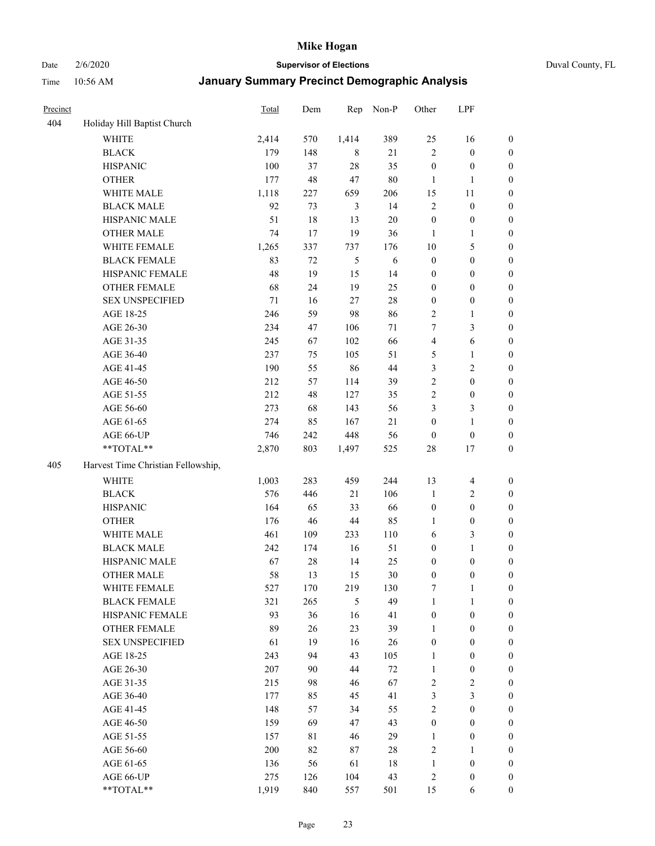Date 2/6/2020 **Supervisor of Elections** Duval County, FL

| Precinct |                                    | Total      | Dem      | Rep            | Non-P        | Other            | LPF                            |                                  |
|----------|------------------------------------|------------|----------|----------------|--------------|------------------|--------------------------------|----------------------------------|
| 404      | Holiday Hill Baptist Church        |            |          |                |              |                  |                                |                                  |
|          | <b>WHITE</b>                       | 2,414      | 570      | 1,414          | 389          | 25               | 16                             | 0                                |
|          | <b>BLACK</b>                       | 179        | 148      | 8              | 21           | $\overline{2}$   | $\boldsymbol{0}$               | 0                                |
|          | <b>HISPANIC</b>                    | 100        | 37       | 28             | 35           | $\boldsymbol{0}$ | $\boldsymbol{0}$               | $\boldsymbol{0}$                 |
|          | <b>OTHER</b>                       | 177        | 48       | 47             | $80\,$       | 1                | 1                              | $\boldsymbol{0}$                 |
|          | WHITE MALE                         | 1,118      | 227      | 659            | 206          | 15               | 11                             | $\boldsymbol{0}$                 |
|          | <b>BLACK MALE</b>                  | 92         | 73       | $\mathfrak{Z}$ | 14           | $\overline{c}$   | $\boldsymbol{0}$               | $\boldsymbol{0}$                 |
|          | HISPANIC MALE                      | 51         | 18       | 13             | 20           | $\boldsymbol{0}$ | $\boldsymbol{0}$               | $\boldsymbol{0}$                 |
|          | <b>OTHER MALE</b>                  | 74         | 17       | 19             | 36           | $\mathbf{1}$     | $\mathbf{1}$                   | $\boldsymbol{0}$                 |
|          | WHITE FEMALE                       | 1,265      | 337      | 737            | 176          | 10               | $\mathfrak s$                  | $\boldsymbol{0}$                 |
|          | <b>BLACK FEMALE</b>                | 83         | 72       | $\sqrt{5}$     | 6            | $\boldsymbol{0}$ | $\boldsymbol{0}$               | $\boldsymbol{0}$                 |
|          | HISPANIC FEMALE                    | 48         | 19       | 15             | 14           | $\boldsymbol{0}$ | $\boldsymbol{0}$               | 0                                |
|          | <b>OTHER FEMALE</b>                | 68         | 24       | 19             | 25           | $\boldsymbol{0}$ | $\boldsymbol{0}$               | $\boldsymbol{0}$                 |
|          | <b>SEX UNSPECIFIED</b>             | 71         | 16       | 27             | 28           | $\boldsymbol{0}$ | $\boldsymbol{0}$               | $\boldsymbol{0}$                 |
|          | AGE 18-25                          | 246        | 59       | 98             | 86           | $\sqrt{2}$       | $\mathbf{1}$                   | $\boldsymbol{0}$                 |
|          | AGE 26-30                          | 234        | 47       | 106            | 71           | 7                | $\mathfrak{Z}$                 | $\boldsymbol{0}$                 |
|          | AGE 31-35                          | 245        | 67       | 102            | 66           | $\overline{4}$   | 6                              | $\boldsymbol{0}$                 |
|          | AGE 36-40                          | 237        | 75       | 105            | 51           | 5                | $\mathbf{1}$                   | $\boldsymbol{0}$                 |
|          | AGE 41-45                          | 190        | 55       | 86             | 44           | 3                | $\overline{c}$                 | $\boldsymbol{0}$                 |
|          | AGE 46-50                          | 212        | 57       | 114            | 39           | $\sqrt{2}$       | $\boldsymbol{0}$               | $\boldsymbol{0}$                 |
|          | AGE 51-55                          | 212        | 48       | 127            | 35           | $\sqrt{2}$       | $\boldsymbol{0}$               | $\boldsymbol{0}$                 |
|          | AGE 56-60                          | 273        | 68       | 143            | 56           | 3                | $\mathfrak{Z}$                 | 0                                |
|          | AGE 61-65                          | 274        | 85       | 167            | 21           | $\boldsymbol{0}$ | $\mathbf{1}$                   | 0                                |
|          | AGE 66-UP                          | 746        | 242      | 448            | 56           | $\boldsymbol{0}$ | $\boldsymbol{0}$               | $\boldsymbol{0}$                 |
|          | **TOTAL**                          | 2,870      | 803      | 1,497          | 525          | 28               | 17                             | $\boldsymbol{0}$                 |
| 405      | Harvest Time Christian Fellowship, |            |          |                |              |                  |                                |                                  |
|          |                                    |            |          |                |              |                  |                                |                                  |
|          | <b>WHITE</b>                       | 1,003      | 283      | 459            | 244          | 13               | $\overline{4}$                 | $\boldsymbol{0}$                 |
|          | <b>BLACK</b>                       | 576        | 446      | 21             | 106          | $\mathbf{1}$     | $\sqrt{2}$                     | $\boldsymbol{0}$                 |
|          | <b>HISPANIC</b>                    | 164        | 65       | 33             | 66           | $\boldsymbol{0}$ | $\boldsymbol{0}$               | $\boldsymbol{0}$                 |
|          | <b>OTHER</b>                       | 176        | 46       | $44\,$         | 85           | 1                | $\boldsymbol{0}$               | $\boldsymbol{0}$                 |
|          | WHITE MALE                         | 461        | 109      | 233            | 110          | 6                | $\mathfrak{Z}$                 | $\boldsymbol{0}$                 |
|          | <b>BLACK MALE</b>                  | 242        | 174      | 16             | 51           | $\boldsymbol{0}$ | $\mathbf{1}$                   | $\boldsymbol{0}$                 |
|          | HISPANIC MALE                      | 67         | 28       | 14             | 25           | $\boldsymbol{0}$ | $\boldsymbol{0}$               | 0                                |
|          | <b>OTHER MALE</b>                  | 58         | 13       | 15             | 30           | $\boldsymbol{0}$ | $\boldsymbol{0}$               | $\boldsymbol{0}$                 |
|          | WHITE FEMALE                       | 527        | 170      | 219            | 130          | 7                | 1                              | 0                                |
|          | <b>BLACK FEMALE</b>                | 321        | 265      | 5              | 49           | $\mathbf{1}$     | $\mathbf{1}$                   | $\boldsymbol{0}$                 |
|          | HISPANIC FEMALE                    | 93         | 36       | 16             | 41           | $\boldsymbol{0}$ | $\boldsymbol{0}$               | $\overline{0}$                   |
|          | OTHER FEMALE                       | 89         | 26       | 23             | 39           | $\mathbf{1}$     | $\boldsymbol{0}$               | $\overline{0}$                   |
|          | <b>SEX UNSPECIFIED</b>             | 61         | 19       | 16             | 26           | $\boldsymbol{0}$ | $\boldsymbol{0}$               | $\overline{0}$                   |
|          | AGE 18-25                          | 243        | 94       | 43             | 105          | $\mathbf{1}$     | $\boldsymbol{0}$               | $\overline{0}$                   |
|          | AGE 26-30                          | 207<br>215 | 90<br>98 | 44<br>46       | $72\,$<br>67 | $\mathbf{1}$     | $\boldsymbol{0}$<br>$\sqrt{2}$ | 0                                |
|          | AGE 31-35<br>AGE 36-40             |            |          |                |              | $\overline{c}$   | $\mathfrak{Z}$                 | 0                                |
|          |                                    | 177<br>148 | 85<br>57 | 45<br>34       | 41<br>55     | 3<br>$\sqrt{2}$  | $\boldsymbol{0}$               | 0                                |
|          | AGE 41-45                          |            |          |                |              |                  |                                | 0                                |
|          | AGE 46-50                          | 159        | 69       | 47             | 43           | $\boldsymbol{0}$ | $\boldsymbol{0}$               | 0                                |
|          | AGE 51-55                          | 157<br>200 | 81<br>82 | 46<br>$87\,$   | 29           | $\mathbf{1}$     | $\boldsymbol{0}$               | $\overline{0}$<br>$\overline{0}$ |
|          | AGE 56-60                          |            |          |                | 28           | $\overline{c}$   | 1                              |                                  |
|          | AGE 61-65                          | 136        | 56       | 61             | $18\,$       | $\mathbf{1}$     | $\boldsymbol{0}$               | $\overline{0}$                   |
|          | AGE 66-UP                          | 275        | 126      | 104            | 43           | $\overline{c}$   | $\boldsymbol{0}$               | $\boldsymbol{0}$                 |
|          | **TOTAL**                          | 1,919      | 840      | 557            | 501          | 15               | 6                              | $\boldsymbol{0}$                 |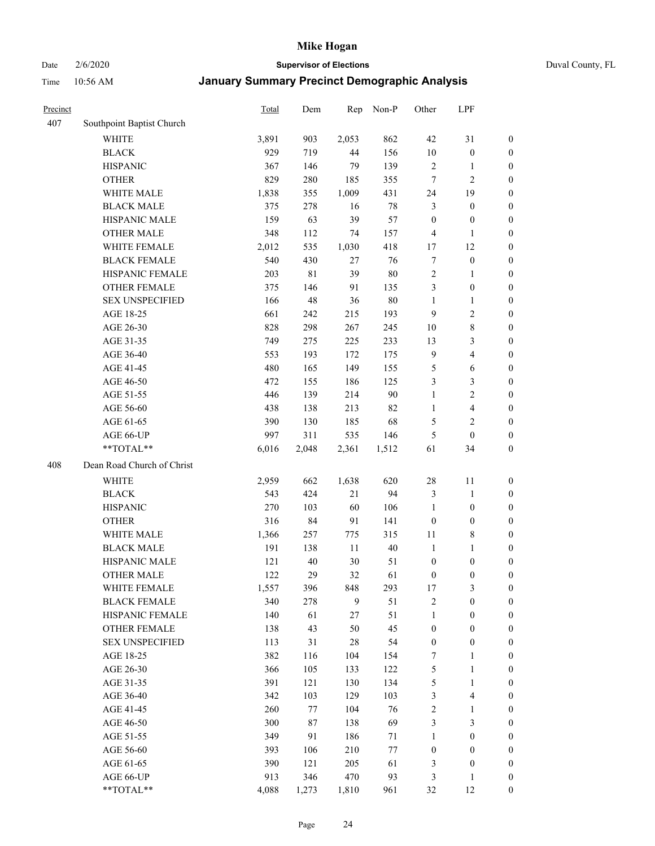# Date 2/6/2020 **Supervisor of Elections** Duval County, FL

| Precinct |                            | <b>Total</b> | Dem   | Rep    | Non-P  | Other            | LPF                     |                  |
|----------|----------------------------|--------------|-------|--------|--------|------------------|-------------------------|------------------|
| 407      | Southpoint Baptist Church  |              |       |        |        |                  |                         |                  |
|          | <b>WHITE</b>               | 3,891        | 903   | 2,053  | 862    | 42               | 31                      | 0                |
|          | <b>BLACK</b>               | 929          | 719   | 44     | 156    | 10               | $\boldsymbol{0}$        | 0                |
|          | <b>HISPANIC</b>            | 367          | 146   | 79     | 139    | $\sqrt{2}$       | $\mathbf{1}$            | $\boldsymbol{0}$ |
|          | <b>OTHER</b>               | 829          | 280   | 185    | 355    | 7                | $\overline{2}$          | $\boldsymbol{0}$ |
|          | WHITE MALE                 | 1,838        | 355   | 1,009  | 431    | 24               | 19                      | $\boldsymbol{0}$ |
|          | <b>BLACK MALE</b>          | 375          | 278   | 16     | $78\,$ | 3                | $\boldsymbol{0}$        | $\boldsymbol{0}$ |
|          | HISPANIC MALE              | 159          | 63    | 39     | 57     | $\boldsymbol{0}$ | $\boldsymbol{0}$        | $\boldsymbol{0}$ |
|          | <b>OTHER MALE</b>          | 348          | 112   | 74     | 157    | $\overline{4}$   | $\mathbf{1}$            | $\boldsymbol{0}$ |
|          | WHITE FEMALE               | 2,012        | 535   | 1,030  | 418    | 17               | 12                      | $\boldsymbol{0}$ |
|          | <b>BLACK FEMALE</b>        | 540          | 430   | 27     | 76     | 7                | $\boldsymbol{0}$        | 0                |
|          | HISPANIC FEMALE            | 203          | 81    | 39     | $80\,$ | $\overline{c}$   | 1                       | 0                |
|          | <b>OTHER FEMALE</b>        | 375          | 146   | 91     | 135    | 3                | $\boldsymbol{0}$        | $\boldsymbol{0}$ |
|          | <b>SEX UNSPECIFIED</b>     | 166          | 48    | 36     | 80     | $\mathbf{1}$     | $\mathbf{1}$            | $\boldsymbol{0}$ |
|          | AGE 18-25                  | 661          | 242   | 215    | 193    | 9                | $\sqrt{2}$              | $\boldsymbol{0}$ |
|          | AGE 26-30                  | 828          | 298   | 267    | 245    | 10               | $\,$ 8 $\,$             | $\boldsymbol{0}$ |
|          | AGE 31-35                  | 749          | 275   | 225    | 233    | 13               | $\mathfrak{Z}$          | $\boldsymbol{0}$ |
|          | AGE 36-40                  | 553          | 193   | 172    | 175    | $\overline{9}$   | $\overline{4}$          | $\boldsymbol{0}$ |
|          | AGE 41-45                  | 480          | 165   | 149    | 155    | 5                | $\sqrt{6}$              | $\boldsymbol{0}$ |
|          | AGE 46-50                  | 472          | 155   | 186    | 125    | 3                | $\mathfrak{Z}$          | $\boldsymbol{0}$ |
|          | AGE 51-55                  | 446          | 139   | 214    | 90     | $\mathbf{1}$     | $\sqrt{2}$              | $\boldsymbol{0}$ |
|          | AGE 56-60                  | 438          | 138   | 213    | 82     | $\mathbf{1}$     | $\overline{\mathbf{4}}$ | 0                |
|          | AGE 61-65                  | 390          | 130   | 185    | 68     | 5                | $\overline{2}$          | $\boldsymbol{0}$ |
|          | AGE 66-UP                  | 997          | 311   | 535    | 146    | 5                | $\boldsymbol{0}$        | $\boldsymbol{0}$ |
|          | **TOTAL**                  | 6,016        | 2,048 | 2,361  | 1,512  | 61               | 34                      | $\boldsymbol{0}$ |
| 408      | Dean Road Church of Christ |              |       |        |        |                  |                         |                  |
|          | <b>WHITE</b>               | 2,959        | 662   | 1,638  | 620    | $28\,$           | 11                      | $\boldsymbol{0}$ |
|          | <b>BLACK</b>               | 543          | 424   | 21     | 94     | 3                | $\mathbf{1}$            | $\boldsymbol{0}$ |
|          | <b>HISPANIC</b>            | 270          | 103   | 60     | 106    | $\mathbf{1}$     | $\boldsymbol{0}$        | $\boldsymbol{0}$ |
|          | <b>OTHER</b>               | 316          | 84    | 91     | 141    | $\boldsymbol{0}$ | $\boldsymbol{0}$        | $\boldsymbol{0}$ |
|          | WHITE MALE                 | 1,366        | 257   | 775    | 315    | $11\,$           | $\,$ 8 $\,$             | $\boldsymbol{0}$ |
|          | <b>BLACK MALE</b>          | 191          | 138   | 11     | $40\,$ | $\mathbf{1}$     | $\mathbf{1}$            | $\boldsymbol{0}$ |
|          | HISPANIC MALE              | 121          | 40    | 30     | 51     | $\boldsymbol{0}$ | $\boldsymbol{0}$        | 0                |
|          | <b>OTHER MALE</b>          | 122          | 29    | 32     | 61     | $\boldsymbol{0}$ | $\boldsymbol{0}$        | $\boldsymbol{0}$ |
|          | WHITE FEMALE               | 1,557        | 396   | 848    | 293    | 17               | 3                       | 0                |
|          | <b>BLACK FEMALE</b>        | 340          | 278   | 9      | 51     | $\overline{c}$   | $\boldsymbol{0}$        | $\boldsymbol{0}$ |
|          | HISPANIC FEMALE            | 140          | 61    | $27\,$ | 51     | $\mathbf{1}$     | $\boldsymbol{0}$        | $\overline{0}$   |
|          | <b>OTHER FEMALE</b>        | 138          | 43    | 50     | 45     | $\boldsymbol{0}$ | $\boldsymbol{0}$        | $\overline{0}$   |
|          | <b>SEX UNSPECIFIED</b>     | 113          | 31    | $28\,$ | 54     | $\boldsymbol{0}$ | $\boldsymbol{0}$        | 0                |
|          | AGE 18-25                  | 382          | 116   | 104    | 154    | 7                | $\mathbf{1}$            | 0                |
|          | AGE 26-30                  | 366          | 105   | 133    | 122    | 5                | $\mathbf{1}$            | 0                |
|          | AGE 31-35                  | 391          | 121   | 130    | 134    | 5                | $\mathbf{1}$            | 0                |
|          | AGE 36-40                  | 342          | 103   | 129    | 103    | 3                | $\overline{\mathbf{4}}$ | 0                |
|          | AGE 41-45                  | 260          | 77    | 104    | 76     | $\sqrt{2}$       | $\mathbf{1}$            | 0                |
|          | AGE 46-50                  | 300          | 87    | 138    | 69     | $\mathfrak{Z}$   | $\mathfrak{Z}$          | 0                |
|          | AGE 51-55                  | 349          | 91    | 186    | 71     | $\mathbf{1}$     | $\boldsymbol{0}$        | $\boldsymbol{0}$ |
|          | AGE 56-60                  | 393          | 106   | 210    | $77\,$ | $\boldsymbol{0}$ | $\boldsymbol{0}$        | $\boldsymbol{0}$ |
|          | AGE 61-65                  | 390          | 121   | 205    | 61     | 3                | $\boldsymbol{0}$        | $\boldsymbol{0}$ |
|          | AGE 66-UP                  | 913          | 346   | 470    | 93     | 3                | $\mathbf{1}$            | $\boldsymbol{0}$ |
|          | **TOTAL**                  | 4,088        | 1,273 | 1,810  | 961    | 32               | 12                      | $\boldsymbol{0}$ |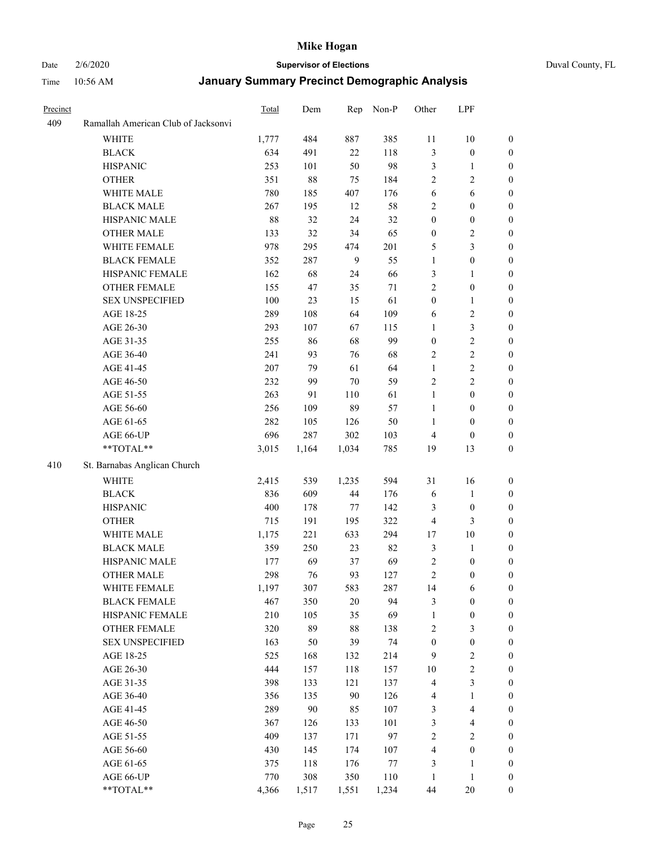## Date 2/6/2020 **Supervisor of Elections** Duval County, FL

| Precinct |                                     | <b>Total</b> | Dem   | Rep    | Non-P | Other            | LPF                     |                  |
|----------|-------------------------------------|--------------|-------|--------|-------|------------------|-------------------------|------------------|
| 409      | Ramallah American Club of Jacksonvi |              |       |        |       |                  |                         |                  |
|          | <b>WHITE</b>                        | 1,777        | 484   | 887    | 385   | 11               | $10\,$                  | 0                |
|          | <b>BLACK</b>                        | 634          | 491   | 22     | 118   | $\mathfrak{Z}$   | $\boldsymbol{0}$        | 0                |
|          | <b>HISPANIC</b>                     | 253          | 101   | 50     | 98    | 3                | $\mathbf{1}$            | $\boldsymbol{0}$ |
|          | <b>OTHER</b>                        | 351          | 88    | 75     | 184   | $\overline{2}$   | $\sqrt{2}$              | $\boldsymbol{0}$ |
|          | WHITE MALE                          | 780          | 185   | 407    | 176   | 6                | 6                       | $\boldsymbol{0}$ |
|          | <b>BLACK MALE</b>                   | 267          | 195   | 12     | 58    | $\overline{c}$   | $\boldsymbol{0}$        | $\boldsymbol{0}$ |
|          | HISPANIC MALE                       | 88           | 32    | 24     | 32    | $\boldsymbol{0}$ | $\boldsymbol{0}$        | $\boldsymbol{0}$ |
|          | <b>OTHER MALE</b>                   | 133          | 32    | 34     | 65    | $\boldsymbol{0}$ | $\overline{c}$          | $\boldsymbol{0}$ |
|          | WHITE FEMALE                        | 978          | 295   | 474    | 201   | 5                | $\mathfrak{Z}$          | $\boldsymbol{0}$ |
|          | <b>BLACK FEMALE</b>                 | 352          | 287   | 9      | 55    | $\mathbf{1}$     | $\boldsymbol{0}$        | 0                |
|          | HISPANIC FEMALE                     | 162          | 68    | 24     | 66    | 3                | 1                       | 0                |
|          | <b>OTHER FEMALE</b>                 | 155          | 47    | 35     | 71    | $\overline{2}$   | $\boldsymbol{0}$        | 0                |
|          | <b>SEX UNSPECIFIED</b>              | 100          | 23    | 15     | 61    | $\boldsymbol{0}$ | $\mathbf{1}$            | $\boldsymbol{0}$ |
|          | AGE 18-25                           | 289          | 108   | 64     | 109   | 6                | $\sqrt{2}$              | $\boldsymbol{0}$ |
|          | AGE 26-30                           | 293          | 107   | 67     | 115   | $\mathbf{1}$     | $\mathfrak{Z}$          | $\boldsymbol{0}$ |
|          | AGE 31-35                           | 255          | 86    | 68     | 99    | $\boldsymbol{0}$ | $\sqrt{2}$              | $\boldsymbol{0}$ |
|          | AGE 36-40                           | 241          | 93    | 76     | 68    | $\overline{2}$   | $\sqrt{2}$              | $\boldsymbol{0}$ |
|          | AGE 41-45                           | 207          | 79    | 61     | 64    | $\mathbf{1}$     | $\overline{2}$          | $\boldsymbol{0}$ |
|          | AGE 46-50                           | 232          | 99    | 70     | 59    | $\overline{c}$   | $\overline{2}$          | $\boldsymbol{0}$ |
|          | AGE 51-55                           | 263          | 91    | 110    | 61    | $\mathbf{1}$     | $\boldsymbol{0}$        | 0                |
|          | AGE 56-60                           | 256          | 109   | 89     | 57    | $\mathbf{1}$     | $\boldsymbol{0}$        | 0                |
|          | AGE 61-65                           | 282          | 105   | 126    | 50    | 1                | $\boldsymbol{0}$        | 0                |
|          | AGE 66-UP                           | 696          | 287   | 302    | 103   | $\overline{4}$   | $\boldsymbol{0}$        | $\boldsymbol{0}$ |
|          | **TOTAL**                           | 3,015        | 1,164 | 1,034  | 785   | 19               | 13                      | $\boldsymbol{0}$ |
| 410      | St. Barnabas Anglican Church        |              |       |        |       |                  |                         |                  |
|          | <b>WHITE</b>                        | 2,415        | 539   | 1,235  | 594   | 31               | 16                      | $\boldsymbol{0}$ |
|          | <b>BLACK</b>                        | 836          | 609   | 44     | 176   | 6                | $\mathbf{1}$            | $\boldsymbol{0}$ |
|          | <b>HISPANIC</b>                     | 400          | 178   | 77     | 142   | 3                | $\boldsymbol{0}$        | $\boldsymbol{0}$ |
|          | <b>OTHER</b>                        | 715          | 191   | 195    | 322   | 4                | $\mathfrak{Z}$          | $\boldsymbol{0}$ |
|          | WHITE MALE                          | 1,175        | 221   | 633    | 294   | 17               | $10\,$                  | $\boldsymbol{0}$ |
|          | <b>BLACK MALE</b>                   | 359          | 250   | 23     | 82    | 3                | $\mathbf{1}$            | $\boldsymbol{0}$ |
|          | HISPANIC MALE                       | 177          | 69    | 37     | 69    | $\overline{c}$   | $\boldsymbol{0}$        | 0                |
|          | <b>OTHER MALE</b>                   | 298          | 76    | 93     | 127   | $\overline{2}$   | $\boldsymbol{0}$        | 0                |
|          | WHITE FEMALE                        | 1,197        | 307   | 583    | 287   | 14               | 6                       | 0                |
|          | <b>BLACK FEMALE</b>                 | 467          | 350   | $20\,$ | 94    | 3                | $\boldsymbol{0}$        | $\boldsymbol{0}$ |
|          | HISPANIC FEMALE                     | 210          | 105   | 35     | 69    | $\mathbf{1}$     | $\boldsymbol{0}$        | $\boldsymbol{0}$ |
|          | OTHER FEMALE                        | 320          | 89    | $88\,$ | 138   | $\sqrt{2}$       | $\mathfrak{Z}$          | $\overline{0}$   |
|          | <b>SEX UNSPECIFIED</b>              | 163          | 50    | 39     | 74    | $\boldsymbol{0}$ | $\boldsymbol{0}$        | 0                |
|          | AGE 18-25                           | 525          | 168   | 132    | 214   | 9                | $\sqrt{2}$              | 0                |
|          | AGE 26-30                           | 444          | 157   | 118    | 157   | $10\,$           | $\sqrt{2}$              | 0                |
|          | AGE 31-35                           | 398          | 133   | 121    | 137   | $\overline{4}$   | $\mathfrak{Z}$          | 0                |
|          | AGE 36-40                           | 356          | 135   | 90     | 126   | 4                | $\mathbf{1}$            | 0                |
|          | AGE 41-45                           | 289          | 90    | 85     | 107   | 3                | $\overline{\mathbf{4}}$ | 0                |
|          | AGE 46-50                           | 367          | 126   | 133    | 101   | 3                | $\overline{4}$          | 0                |
|          | AGE 51-55                           | 409          | 137   | 171    | 97    | $\sqrt{2}$       | $\boldsymbol{2}$        | 0                |
|          | AGE 56-60                           | 430          | 145   | 174    | 107   | 4                | $\boldsymbol{0}$        | $\boldsymbol{0}$ |
|          | AGE 61-65                           | 375          | 118   | 176    | 77    | 3                | 1                       | $\boldsymbol{0}$ |
|          | AGE 66-UP                           | 770          | 308   | 350    | 110   | $\mathbf{1}$     | $\mathbf{1}$            | $\boldsymbol{0}$ |
|          | **TOTAL**                           | 4,366        | 1,517 | 1,551  | 1,234 | 44               | 20                      | $\boldsymbol{0}$ |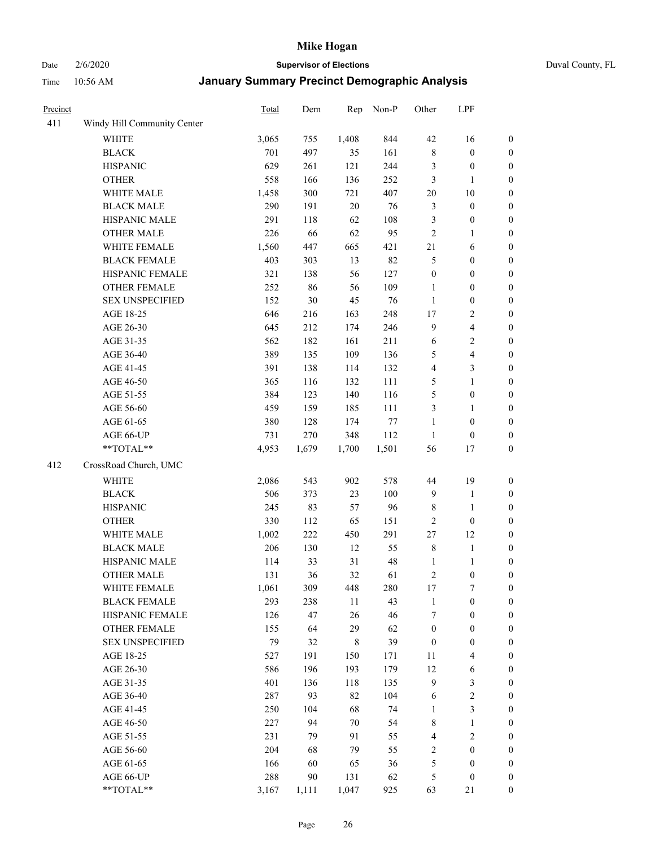Date 2/6/2020 **Supervisor of Elections** Duval County, FL

| Precinct |                             | Total | Dem   | Rep         | Non-P  | Other                   | LPF                     |                  |
|----------|-----------------------------|-------|-------|-------------|--------|-------------------------|-------------------------|------------------|
| 411      | Windy Hill Community Center |       |       |             |        |                         |                         |                  |
|          | <b>WHITE</b>                | 3,065 | 755   | 1,408       | 844    | 42                      | 16                      | 0                |
|          | <b>BLACK</b>                | 701   | 497   | 35          | 161    | $\,$ 8 $\,$             | $\boldsymbol{0}$        | 0                |
|          | <b>HISPANIC</b>             | 629   | 261   | 121         | 244    | 3                       | $\boldsymbol{0}$        | $\boldsymbol{0}$ |
|          | <b>OTHER</b>                | 558   | 166   | 136         | 252    | 3                       | 1                       | $\boldsymbol{0}$ |
|          | WHITE MALE                  | 1,458 | 300   | 721         | 407    | $20\,$                  | $10\,$                  | $\boldsymbol{0}$ |
|          | <b>BLACK MALE</b>           | 290   | 191   | 20          | 76     | 3                       | $\boldsymbol{0}$        | $\boldsymbol{0}$ |
|          | HISPANIC MALE               | 291   | 118   | 62          | 108    | 3                       | $\boldsymbol{0}$        | $\boldsymbol{0}$ |
|          | <b>OTHER MALE</b>           | 226   | 66    | 62          | 95     | $\overline{2}$          | $\mathbf{1}$            | $\boldsymbol{0}$ |
|          | WHITE FEMALE                | 1,560 | 447   | 665         | 421    | 21                      | 6                       | $\boldsymbol{0}$ |
|          | <b>BLACK FEMALE</b>         | 403   | 303   | 13          | 82     | 5                       | $\boldsymbol{0}$        | $\boldsymbol{0}$ |
|          | HISPANIC FEMALE             | 321   | 138   | 56          | 127    | $\boldsymbol{0}$        | $\boldsymbol{0}$        | $\boldsymbol{0}$ |
|          | <b>OTHER FEMALE</b>         | 252   | 86    | 56          | 109    | $\mathbf{1}$            | $\boldsymbol{0}$        | $\boldsymbol{0}$ |
|          | <b>SEX UNSPECIFIED</b>      | 152   | 30    | 45          | 76     | $\mathbf{1}$            | $\boldsymbol{0}$        | $\boldsymbol{0}$ |
|          | AGE 18-25                   | 646   | 216   | 163         | 248    | $17$                    | $\boldsymbol{2}$        | $\boldsymbol{0}$ |
|          | AGE 26-30                   | 645   | 212   | 174         | 246    | 9                       | $\overline{\mathbf{4}}$ | $\boldsymbol{0}$ |
|          | AGE 31-35                   | 562   | 182   | 161         | 211    | 6                       | $\sqrt{2}$              | $\boldsymbol{0}$ |
|          | AGE 36-40                   | 389   | 135   | 109         | 136    | 5                       | $\overline{\mathbf{4}}$ | $\boldsymbol{0}$ |
|          | AGE 41-45                   | 391   | 138   | 114         | 132    | $\overline{\mathbf{4}}$ | $\mathfrak{Z}$          | $\boldsymbol{0}$ |
|          | AGE 46-50                   | 365   | 116   | 132         | 111    | 5                       | $\mathbf{1}$            | $\boldsymbol{0}$ |
|          | AGE 51-55                   | 384   | 123   | 140         | 116    | 5                       | $\boldsymbol{0}$        | $\boldsymbol{0}$ |
|          | AGE 56-60                   | 459   | 159   | 185         | 111    | 3                       | 1                       | 0                |
|          | AGE 61-65                   | 380   | 128   | 174         | $77\,$ | $\mathbf{1}$            | $\boldsymbol{0}$        | $\boldsymbol{0}$ |
|          | AGE 66-UP                   | 731   | 270   | 348         | 112    | $\mathbf{1}$            | $\boldsymbol{0}$        | $\boldsymbol{0}$ |
|          | $**TOTAL**$                 | 4,953 | 1,679 | 1,700       | 1,501  | 56                      | 17                      | $\boldsymbol{0}$ |
| 412      | CrossRoad Church, UMC       |       |       |             |        |                         |                         |                  |
|          | <b>WHITE</b>                | 2,086 | 543   | 902         | 578    | 44                      | 19                      | $\boldsymbol{0}$ |
|          | <b>BLACK</b>                | 506   | 373   | 23          | 100    | $\overline{9}$          | $\mathbf{1}$            | $\boldsymbol{0}$ |
|          | <b>HISPANIC</b>             | 245   | 83    | 57          | 96     | 8                       | $\mathbf{1}$            | $\boldsymbol{0}$ |
|          | <b>OTHER</b>                | 330   | 112   | 65          | 151    | $\overline{c}$          | $\boldsymbol{0}$        | $\boldsymbol{0}$ |
|          | WHITE MALE                  | 1,002 | 222   | 450         | 291    | 27                      | 12                      | $\boldsymbol{0}$ |
|          | <b>BLACK MALE</b>           | 206   | 130   | 12          | 55     | $\,$ 8 $\,$             | $\mathbf{1}$            | $\boldsymbol{0}$ |
|          | HISPANIC MALE               | 114   | 33    | 31          | 48     | $\mathbf{1}$            | 1                       | 0                |
|          | <b>OTHER MALE</b>           | 131   | 36    | 32          | 61     | $\sqrt{2}$              | $\boldsymbol{0}$        | $\boldsymbol{0}$ |
|          | WHITE FEMALE                | 1,061 | 309   | 448         | 280    | 17                      | 7                       | 0                |
|          | <b>BLACK FEMALE</b>         | 293   | 238   | 11          | 43     | $\mathbf{1}$            | $\boldsymbol{0}$        | $\boldsymbol{0}$ |
|          | HISPANIC FEMALE             | 126   | 47    | 26          | 46     | 7                       | $\boldsymbol{0}$        | $\overline{0}$   |
|          | <b>OTHER FEMALE</b>         | 155   | 64    | 29          | 62     | $\boldsymbol{0}$        | $\boldsymbol{0}$        | $\overline{0}$   |
|          | <b>SEX UNSPECIFIED</b>      | 79    | 32    | $\,$ 8 $\,$ | 39     | $\boldsymbol{0}$        | $\boldsymbol{0}$        | 0                |
|          | AGE 18-25                   | 527   | 191   | 150         | 171    | 11                      | $\overline{4}$          | 0                |
|          | AGE 26-30                   | 586   | 196   | 193         | 179    | 12                      | $\sqrt{6}$              | 0                |
|          | AGE 31-35                   | 401   | 136   | 118         | 135    | 9                       | $\mathfrak z$           | 0                |
|          | AGE 36-40                   | 287   | 93    | 82          | 104    | 6                       | $\sqrt{2}$              | 0                |
|          | AGE 41-45                   | 250   | 104   | 68          | 74     | 1                       | $\mathfrak{Z}$          | 0                |
|          | AGE 46-50                   | 227   | 94    | 70          | 54     | 8                       | $\mathbf{1}$            | 0                |
|          | AGE 51-55                   | 231   | 79    | 91          | 55     | 4                       | $\sqrt{2}$              | 0                |
|          | AGE 56-60                   | 204   | 68    | 79          | 55     | 2                       | $\boldsymbol{0}$        | $\overline{0}$   |
|          | AGE 61-65                   | 166   | 60    | 65          | 36     | 5                       | $\boldsymbol{0}$        | $\overline{0}$   |
|          | AGE 66-UP                   | 288   | 90    | 131         | 62     | 5                       | $\boldsymbol{0}$        | 0                |
|          | **TOTAL**                   | 3,167 | 1,111 | 1,047       | 925    | 63                      | 21                      | $\boldsymbol{0}$ |
|          |                             |       |       |             |        |                         |                         |                  |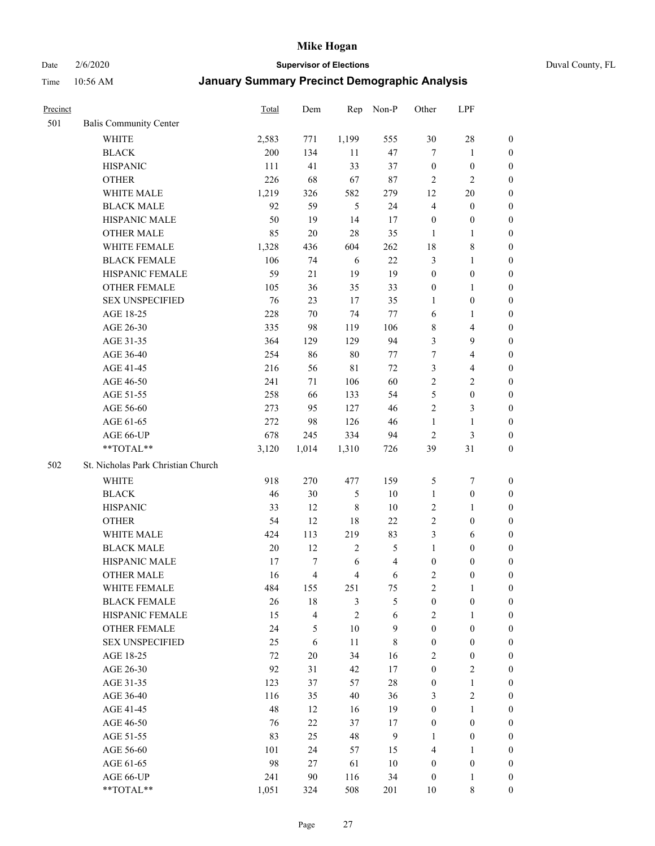Date 2/6/2020 **Supervisor of Elections** Duval County, FL

| Precinct |                                        | <b>Total</b> | Dem      | Rep                 | Non-P                    | Other                 | LPF                        |                  |
|----------|----------------------------------------|--------------|----------|---------------------|--------------------------|-----------------------|----------------------------|------------------|
| 501      | <b>Balis Community Center</b>          |              |          |                     |                          |                       |                            |                  |
|          | <b>WHITE</b>                           | 2,583        | 771      | 1,199               | 555                      | 30                    | $28\,$                     | $\boldsymbol{0}$ |
|          | <b>BLACK</b>                           | 200          | 134      | 11                  | 47                       | $\tau$                | $\mathbf{1}$               | $\boldsymbol{0}$ |
|          | <b>HISPANIC</b>                        | 111          | 41       | 33                  | 37                       | $\boldsymbol{0}$      | $\boldsymbol{0}$           | $\boldsymbol{0}$ |
|          | <b>OTHER</b>                           | 226          | 68       | 67                  | $87\,$                   | 2                     | $\overline{2}$             | $\boldsymbol{0}$ |
|          | WHITE MALE                             | 1,219        | 326      | 582                 | 279                      | 12                    | $20\,$                     | $\boldsymbol{0}$ |
|          | <b>BLACK MALE</b>                      | 92           | 59       | 5                   | 24                       | 4                     | $\boldsymbol{0}$           | $\boldsymbol{0}$ |
|          | HISPANIC MALE                          | 50           | 19       | 14                  | 17                       | $\boldsymbol{0}$      | $\boldsymbol{0}$           | $\boldsymbol{0}$ |
|          | <b>OTHER MALE</b>                      | 85           | 20       | 28                  | 35                       | $\mathbf{1}$          | $\mathbf{1}$               | $\boldsymbol{0}$ |
|          | WHITE FEMALE                           | 1,328        | 436      | 604                 | 262                      | 18                    | $\,$ 8 $\,$                | $\boldsymbol{0}$ |
|          | <b>BLACK FEMALE</b>                    | 106          | 74       | 6                   | 22                       | 3                     | $\mathbf{1}$               | 0                |
|          | HISPANIC FEMALE                        | 59           | 21       | 19                  | 19                       | $\boldsymbol{0}$      | $\boldsymbol{0}$           | 0                |
|          | <b>OTHER FEMALE</b>                    | 105          | 36       | 35                  | 33                       | $\boldsymbol{0}$      | $\mathbf{1}$               | 0                |
|          | <b>SEX UNSPECIFIED</b>                 | 76           | 23       | 17                  | 35                       | $\mathbf{1}$          | $\boldsymbol{0}$           | $\boldsymbol{0}$ |
|          | AGE 18-25                              | 228          | 70       | 74                  | 77                       | 6                     | 1                          | $\boldsymbol{0}$ |
|          | AGE 26-30                              | 335          | 98       | 119                 | 106                      | 8                     | $\overline{4}$             | $\boldsymbol{0}$ |
|          | AGE 31-35                              | 364          | 129      | 129                 | 94                       | 3                     | $\mathbf{9}$               | $\boldsymbol{0}$ |
|          | AGE 36-40                              | 254          | 86       | $80\,$              | 77                       | 7                     | $\overline{4}$             | $\boldsymbol{0}$ |
|          | AGE 41-45                              | 216          | 56       | $8\sqrt{1}$         | 72                       | 3                     | $\overline{\mathbf{4}}$    | $\boldsymbol{0}$ |
|          | AGE 46-50                              | 241          | 71       | 106                 | 60                       | $\overline{2}$        | $\overline{c}$             | $\boldsymbol{0}$ |
|          | AGE 51-55                              | 258          | 66       | 133                 | 54                       | 5                     | $\boldsymbol{0}$           | $\boldsymbol{0}$ |
|          | AGE 56-60                              | 273          | 95       | 127                 | 46                       | $\sqrt{2}$            | $\mathfrak{Z}$             | 0                |
|          | AGE 61-65                              | 272          | 98       | 126                 | 46                       | $\mathbf{1}$          | $\mathbf{1}$               | 0                |
|          | AGE 66-UP                              | 678          | 245      | 334                 | 94                       | $\overline{c}$        | 3                          | $\boldsymbol{0}$ |
|          | **TOTAL**                              | 3,120        | 1,014    | 1,310               | 726                      | 39                    | 31                         | $\boldsymbol{0}$ |
| 502      | St. Nicholas Park Christian Church     |              |          |                     |                          |                       |                            |                  |
|          |                                        |              |          |                     |                          |                       |                            |                  |
|          | <b>WHITE</b>                           | 918          | 270      | 477                 | 159                      | 5                     | $\boldsymbol{7}$           | $\boldsymbol{0}$ |
|          | <b>BLACK</b>                           | 46           | 30       | $\mathfrak s$       | 10                       | $\mathbf{1}$          | $\boldsymbol{0}$           | $\boldsymbol{0}$ |
|          | <b>HISPANIC</b>                        | 33           | 12       | $\,$ 8 $\,$         | 10                       | $\overline{c}$        | $\mathbf{1}$               | $\boldsymbol{0}$ |
|          | <b>OTHER</b>                           | 54           | 12       | 18                  | 22                       | $\sqrt{2}$            | $\boldsymbol{0}$           | $\boldsymbol{0}$ |
|          | WHITE MALE                             | 424          | 113      | 219                 | 83                       | 3                     | 6                          | $\boldsymbol{0}$ |
|          | <b>BLACK MALE</b>                      | 20           | 12       | $\sqrt{2}$          | 5                        | $\mathbf{1}$          | $\boldsymbol{0}$           | $\boldsymbol{0}$ |
|          | HISPANIC MALE<br><b>OTHER MALE</b>     | 17           | 7        | 6                   | $\overline{\mathcal{L}}$ | $\boldsymbol{0}$      | $\boldsymbol{0}$           | 0                |
|          |                                        | 16           | 4        | $\overline{4}$      | 6                        | $\overline{c}$        | $\boldsymbol{0}$           | $\boldsymbol{0}$ |
|          | WHITE FEMALE                           | 484          | 155      | 251                 | 75                       | 2                     | 1                          | 0                |
|          | <b>BLACK FEMALE</b><br>HISPANIC FEMALE | 26           | 18       | 3<br>$\overline{2}$ | 5                        | $\boldsymbol{0}$      | $\boldsymbol{0}$           | $\overline{0}$   |
|          | <b>OTHER FEMALE</b>                    | 15           | 4        |                     | $\sqrt{6}$               | $\overline{2}$        | $\mathbf{1}$               | $\overline{0}$   |
|          |                                        | 24           | 5        | $10\,$              | 9                        | $\boldsymbol{0}$      | $\boldsymbol{0}$           | $\overline{0}$   |
|          | <b>SEX UNSPECIFIED</b>                 | 25           | 6        | 11                  | 8                        | $\boldsymbol{0}$      | $\boldsymbol{0}$           | 0<br>$\theta$    |
|          | AGE 18-25                              | 72           | $20\,$   | 34                  | 16                       | $\overline{c}$        | $\boldsymbol{0}$           |                  |
|          | AGE 26-30                              | 92<br>123    | 31       | 42<br>57            | $17\,$<br>$28\,$         | $\boldsymbol{0}$      | $\overline{c}$             | 0                |
|          | AGE 31-35                              |              | 37       |                     |                          | $\boldsymbol{0}$      | $\mathbf{1}$               | 0                |
|          | AGE 36-40                              | 116<br>48    | 35<br>12 | 40<br>16            | 36<br>19                 | 3<br>$\boldsymbol{0}$ | $\sqrt{2}$<br>$\mathbf{1}$ | 0                |
|          | AGE 41-45                              |              |          |                     |                          |                       |                            | 0                |
|          | AGE 46-50                              | 76           | 22       | 37                  | 17                       | $\boldsymbol{0}$      | $\boldsymbol{0}$           | 0                |
|          | AGE 51-55                              | 83           | 25       | 48                  | 9                        | 1                     | $\boldsymbol{0}$           | $\overline{0}$   |
|          | AGE 56-60                              | 101          | 24       | 57                  | 15                       | $\overline{4}$        | 1                          | $\overline{0}$   |
|          | AGE 61-65                              | 98           | 27       | 61                  | $10\,$                   | $\boldsymbol{0}$      | $\boldsymbol{0}$           | $\overline{0}$   |
|          | AGE 66-UP                              | 241          | 90       | 116                 | 34                       | $\boldsymbol{0}$      | $\mathbf{1}$               | $\boldsymbol{0}$ |
|          | **TOTAL**                              | 1,051        | 324      | 508                 | 201                      | 10                    | $\,$ 8 $\,$                | $\boldsymbol{0}$ |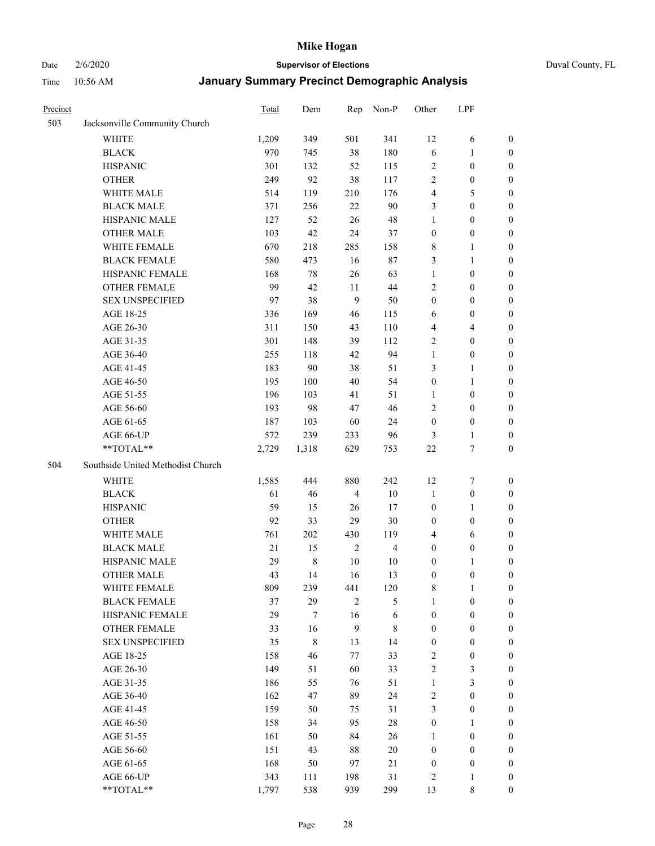# Date 2/6/2020 **Supervisor of Elections** Duval County, FL

| Precinct |                                   | Total | Dem         | Rep            | Non-P          | Other            | LPF              |                  |
|----------|-----------------------------------|-------|-------------|----------------|----------------|------------------|------------------|------------------|
| 503      | Jacksonville Community Church     |       |             |                |                |                  |                  |                  |
|          | <b>WHITE</b>                      | 1,209 | 349         | 501            | 341            | 12               | 6                | 0                |
|          | <b>BLACK</b>                      | 970   | 745         | 38             | 180            | 6                | 1                | 0                |
|          | <b>HISPANIC</b>                   | 301   | 132         | 52             | 115            | $\sqrt{2}$       | $\boldsymbol{0}$ | $\boldsymbol{0}$ |
|          | <b>OTHER</b>                      | 249   | 92          | 38             | 117            | $\overline{2}$   | $\boldsymbol{0}$ | $\boldsymbol{0}$ |
|          | WHITE MALE                        | 514   | 119         | 210            | 176            | 4                | 5                | $\boldsymbol{0}$ |
|          | <b>BLACK MALE</b>                 | 371   | 256         | 22             | 90             | 3                | $\boldsymbol{0}$ | $\boldsymbol{0}$ |
|          | HISPANIC MALE                     | 127   | 52          | 26             | 48             | 1                | $\boldsymbol{0}$ | $\boldsymbol{0}$ |
|          | <b>OTHER MALE</b>                 | 103   | 42          | 24             | 37             | $\boldsymbol{0}$ | $\boldsymbol{0}$ | $\boldsymbol{0}$ |
|          | WHITE FEMALE                      | 670   | 218         | 285            | 158            | 8                | 1                | $\boldsymbol{0}$ |
|          | <b>BLACK FEMALE</b>               | 580   | 473         | 16             | 87             | 3                | $\mathbf{1}$     | 0                |
|          | HISPANIC FEMALE                   | 168   | $78\,$      | 26             | 63             | $\mathbf{1}$     | $\boldsymbol{0}$ | 0                |
|          | <b>OTHER FEMALE</b>               | 99    | 42          | 11             | 44             | $\overline{2}$   | $\boldsymbol{0}$ | $\boldsymbol{0}$ |
|          | <b>SEX UNSPECIFIED</b>            | 97    | 38          | 9              | 50             | $\boldsymbol{0}$ | $\boldsymbol{0}$ | $\boldsymbol{0}$ |
|          | AGE 18-25                         | 336   | 169         | 46             | 115            | 6                | $\boldsymbol{0}$ | $\boldsymbol{0}$ |
|          | AGE 26-30                         | 311   | 150         | 43             | 110            | 4                | $\overline{4}$   | $\boldsymbol{0}$ |
|          | AGE 31-35                         | 301   | 148         | 39             | 112            | $\sqrt{2}$       | $\boldsymbol{0}$ | $\boldsymbol{0}$ |
|          | AGE 36-40                         | 255   | 118         | 42             | 94             | $\mathbf{1}$     | $\boldsymbol{0}$ | $\boldsymbol{0}$ |
|          | AGE 41-45                         | 183   | 90          | 38             | 51             | 3                | $\mathbf{1}$     | $\boldsymbol{0}$ |
|          | AGE 46-50                         | 195   | 100         | 40             | 54             | $\boldsymbol{0}$ | $\mathbf{1}$     | $\boldsymbol{0}$ |
|          | AGE 51-55                         | 196   | 103         | 41             | 51             | 1                | $\boldsymbol{0}$ | 0                |
|          | AGE 56-60                         | 193   | 98          | 47             | 46             | $\overline{2}$   | $\boldsymbol{0}$ | 0                |
|          | AGE 61-65                         | 187   | 103         | 60             | 24             | $\boldsymbol{0}$ | $\boldsymbol{0}$ | 0                |
|          | AGE 66-UP                         | 572   | 239         | 233            | 96             | 3                | $\mathbf{1}$     | $\boldsymbol{0}$ |
|          | **TOTAL**                         | 2,729 | 1,318       | 629            | 753            | 22               | $\boldsymbol{7}$ | $\boldsymbol{0}$ |
| 504      | Southside United Methodist Church |       |             |                |                |                  |                  |                  |
|          | <b>WHITE</b>                      | 1,585 | 444         | 880            | 242            | 12               | $\boldsymbol{7}$ | $\boldsymbol{0}$ |
|          | <b>BLACK</b>                      | 61    | 46          | $\overline{4}$ | $10\,$         | $\mathbf{1}$     | $\boldsymbol{0}$ | $\boldsymbol{0}$ |
|          | <b>HISPANIC</b>                   | 59    | 15          | 26             | $17\,$         | $\boldsymbol{0}$ | $\mathbf{1}$     | $\boldsymbol{0}$ |
|          | <b>OTHER</b>                      | 92    | 33          | 29             | 30             | $\boldsymbol{0}$ | $\boldsymbol{0}$ | $\boldsymbol{0}$ |
|          | <b>WHITE MALE</b>                 | 761   | 202         | 430            | 119            | $\overline{4}$   | 6                | $\boldsymbol{0}$ |
|          | <b>BLACK MALE</b>                 | 21    | 15          | $\sqrt{2}$     | $\overline{4}$ | $\boldsymbol{0}$ | $\boldsymbol{0}$ | $\boldsymbol{0}$ |
|          | HISPANIC MALE                     | 29    | $\,$ 8 $\,$ | 10             | 10             | $\boldsymbol{0}$ | 1                | 0                |
|          | <b>OTHER MALE</b>                 | 43    | 14          | 16             | 13             | $\boldsymbol{0}$ | $\boldsymbol{0}$ | $\boldsymbol{0}$ |
|          | WHITE FEMALE                      | 809   | 239         | 441            | 120            | 8                | 1                | 0                |
|          | <b>BLACK FEMALE</b>               | 37    | 29          | $\mathfrak{2}$ | 5              | $\mathbf{1}$     | $\boldsymbol{0}$ | $\overline{0}$   |
|          | HISPANIC FEMALE                   | 29    | 7           | 16             | 6              | $\boldsymbol{0}$ | $\boldsymbol{0}$ | $\overline{0}$   |
|          | <b>OTHER FEMALE</b>               | 33    | 16          | 9              | $\,$ 8 $\,$    | $\boldsymbol{0}$ | $\boldsymbol{0}$ | $\overline{0}$   |
|          | <b>SEX UNSPECIFIED</b>            | 35    | 8           | 13             | 14             | $\boldsymbol{0}$ | $\boldsymbol{0}$ | $\overline{0}$   |
|          | AGE 18-25                         | 158   | 46          | 77             | 33             | 2                | $\boldsymbol{0}$ | $\theta$         |
|          | AGE 26-30                         | 149   | 51          | 60             | 33             | 2                | $\mathfrak{Z}$   | 0                |
|          | AGE 31-35                         | 186   | 55          | 76             | 51             | $\mathbf{1}$     | $\mathfrak{Z}$   | 0                |
|          | AGE 36-40                         | 162   | 47          | 89             | 24             | 2                | $\boldsymbol{0}$ | 0                |
|          | AGE 41-45                         | 159   | 50          | 75             | 31             | 3                | $\boldsymbol{0}$ | 0                |
|          | AGE 46-50                         | 158   | 34          | 95             | 28             | $\boldsymbol{0}$ | 1                | 0                |
|          | AGE 51-55                         | 161   | 50          | 84             | 26             | 1                | $\boldsymbol{0}$ | 0                |
|          | AGE 56-60                         | 151   | 43          | 88             | $20\,$         | $\boldsymbol{0}$ | $\boldsymbol{0}$ | $\overline{0}$   |
|          | AGE 61-65                         | 168   | 50          | 97             | 21             | $\boldsymbol{0}$ | $\boldsymbol{0}$ | $\overline{0}$   |
|          | AGE 66-UP                         | 343   | 111         | 198            | 31             | 2                | $\mathbf{1}$     | $\boldsymbol{0}$ |
|          | **TOTAL**                         | 1,797 | 538         | 939            | 299            | 13               | $\,$ 8 $\,$      | $\boldsymbol{0}$ |
|          |                                   |       |             |                |                |                  |                  |                  |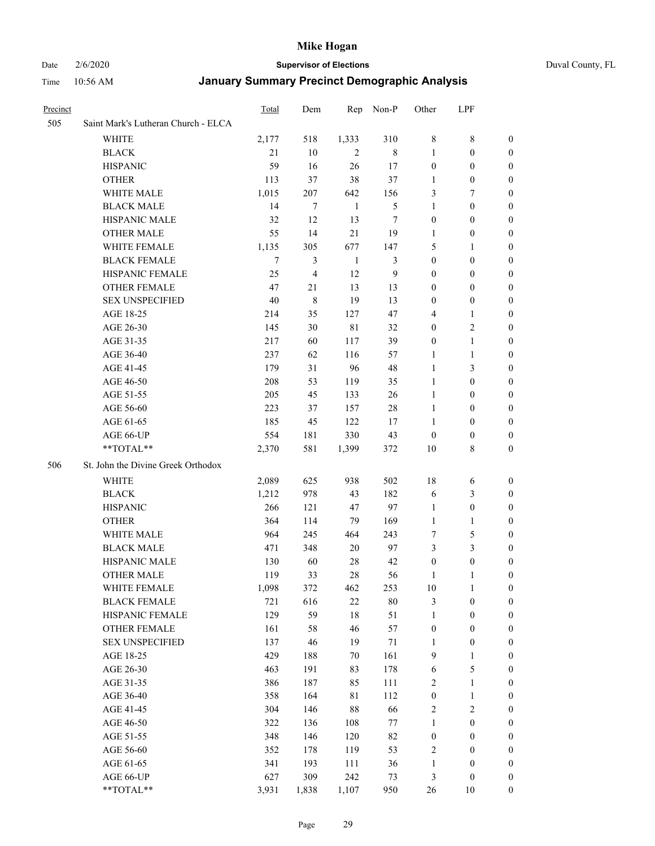#### Date 2/6/2020 **Supervisor of Elections** Duval County, FL

| <b>Precinct</b> |                                     | Total | Dem            | Rep            | Non-P        | Other            | LPF              |                  |
|-----------------|-------------------------------------|-------|----------------|----------------|--------------|------------------|------------------|------------------|
| 505             | Saint Mark's Lutheran Church - ELCA |       |                |                |              |                  |                  |                  |
|                 | <b>WHITE</b>                        | 2,177 | 518            | 1,333          | 310          | $\,$ 8 $\,$      | $\,$ 8 $\,$      | 0                |
|                 | <b>BLACK</b>                        | 21    | 10             | $\overline{c}$ | 8            | 1                | $\boldsymbol{0}$ | 0                |
|                 | <b>HISPANIC</b>                     | 59    | 16             | 26             | 17           | $\boldsymbol{0}$ | $\boldsymbol{0}$ | 0                |
|                 | <b>OTHER</b>                        | 113   | 37             | 38             | 37           | 1                | $\boldsymbol{0}$ | $\boldsymbol{0}$ |
|                 | WHITE MALE                          | 1,015 | 207            | 642            | 156          | 3                | 7                | $\boldsymbol{0}$ |
|                 | <b>BLACK MALE</b>                   | 14    | 7              | $\mathbf{1}$   | 5            | 1                | $\boldsymbol{0}$ | 0                |
|                 | HISPANIC MALE                       | 32    | 12             | 13             | $\tau$       | $\boldsymbol{0}$ | $\boldsymbol{0}$ | 0                |
|                 | <b>OTHER MALE</b>                   | 55    | 14             | 21             | 19           | $\mathbf{1}$     | $\boldsymbol{0}$ | 0                |
|                 | WHITE FEMALE                        | 1,135 | 305            | 677            | 147          | 5                | 1                | 0                |
|                 | <b>BLACK FEMALE</b>                 | 7     | 3              | $\mathbf{1}$   | 3            | $\boldsymbol{0}$ | $\boldsymbol{0}$ | 0                |
|                 | HISPANIC FEMALE                     | 25    | $\overline{4}$ | 12             | $\mathbf{9}$ | $\boldsymbol{0}$ | $\boldsymbol{0}$ | 0                |
|                 | <b>OTHER FEMALE</b>                 | 47    | 21             | 13             | 13           | $\boldsymbol{0}$ | $\boldsymbol{0}$ | 0                |
|                 | <b>SEX UNSPECIFIED</b>              | 40    | 8              | 19             | 13           | $\boldsymbol{0}$ | $\boldsymbol{0}$ | 0                |
|                 | AGE 18-25                           | 214   | 35             | 127            | 47           | 4                | 1                | $\boldsymbol{0}$ |
|                 | AGE 26-30                           | 145   | 30             | $8\sqrt{1}$    | 32           | $\boldsymbol{0}$ | $\sqrt{2}$       | $\boldsymbol{0}$ |
|                 | AGE 31-35                           | 217   | 60             | 117            | 39           | $\boldsymbol{0}$ | $\mathbf{1}$     | $\boldsymbol{0}$ |
|                 | AGE 36-40                           | 237   | 62             | 116            | 57           | 1                | $\mathbf{1}$     | $\boldsymbol{0}$ |
|                 | AGE 41-45                           | 179   | 31             | 96             | 48           | $\mathbf{1}$     | 3                | $\boldsymbol{0}$ |
|                 | AGE 46-50                           | 208   | 53             | 119            | 35           | $\mathbf{1}$     | $\boldsymbol{0}$ | $\boldsymbol{0}$ |
|                 | AGE 51-55                           | 205   | 45             | 133            | 26           | $\mathbf{1}$     | $\boldsymbol{0}$ | 0                |
|                 | AGE 56-60                           | 223   | 37             | 157            | 28           | $\mathbf{1}$     | $\boldsymbol{0}$ | 0                |
|                 | AGE 61-65                           | 185   | 45             | 122            | 17           | 1                | $\boldsymbol{0}$ | 0                |
|                 | AGE 66-UP                           | 554   | 181            | 330            | 43           | $\boldsymbol{0}$ | $\boldsymbol{0}$ | 0                |
|                 | **TOTAL**                           | 2,370 | 581            | 1,399          | 372          | 10               | $\,$ 8 $\,$      | $\boldsymbol{0}$ |
| 506             | St. John the Divine Greek Orthodox  |       |                |                |              |                  |                  |                  |
|                 | <b>WHITE</b>                        | 2,089 | 625            | 938            | 502          | 18               | 6                | $\boldsymbol{0}$ |
|                 | <b>BLACK</b>                        | 1,212 | 978            | 43             | 182          | 6                | $\mathfrak{Z}$   | $\boldsymbol{0}$ |
|                 | <b>HISPANIC</b>                     | 266   | 121            | 47             | 97           | $\mathbf{1}$     | $\boldsymbol{0}$ | $\boldsymbol{0}$ |
|                 | <b>OTHER</b>                        | 364   | 114            | 79             | 169          | $\mathbf{1}$     | $\mathbf{1}$     | $\boldsymbol{0}$ |
|                 | <b>WHITE MALE</b>                   | 964   | 245            | 464            | 243          | $\tau$           | $\mathfrak s$    | 0                |
|                 | <b>BLACK MALE</b>                   | 471   | 348            | 20             | 97           | 3                | $\mathfrak{Z}$   | 0                |
|                 | HISPANIC MALE                       | 130   | 60             | 28             | 42           | $\boldsymbol{0}$ | $\boldsymbol{0}$ | 0                |
|                 | <b>OTHER MALE</b>                   | 119   | 33             | 28             | 56           | 1                | 1                | 0                |
|                 | WHITE FEMALE                        | 1,098 | 372            | 462            | 253          | 10               | 1                | 0                |
|                 | <b>BLACK FEMALE</b>                 | 721   | 616            | 22             | $80\,$       | 3                | $\boldsymbol{0}$ | $\boldsymbol{0}$ |
|                 | HISPANIC FEMALE                     | 129   | 59             | $18\,$         | 51           | $\mathbf{1}$     | $\boldsymbol{0}$ | $\overline{0}$   |
|                 | <b>OTHER FEMALE</b>                 | 161   | 58             | 46             | 57           | $\boldsymbol{0}$ | $\boldsymbol{0}$ | $\overline{0}$   |
|                 | <b>SEX UNSPECIFIED</b>              | 137   | 46             | 19             | 71           | $\mathbf{1}$     | $\boldsymbol{0}$ | 0                |
|                 | AGE 18-25                           | 429   | 188            | 70             | 161          | 9                | $\mathbf{1}$     | $\theta$         |
|                 | AGE 26-30                           | 463   | 191            | 83             | 178          | 6                | $\mathfrak s$    | 0                |
|                 | AGE 31-35                           | 386   | 187            | 85             | 111          | $\overline{2}$   | $\mathbf{1}$     | 0                |
|                 | AGE 36-40                           | 358   | 164            | $8\sqrt{1}$    | 112          | $\boldsymbol{0}$ | $\mathbf{1}$     | 0                |
|                 | AGE 41-45                           | 304   | 146            | 88             | 66           | $\sqrt{2}$       | $\sqrt{2}$       | 0                |
|                 | AGE 46-50                           | 322   | 136            | 108            | $77\,$       | $\mathbf{1}$     | $\boldsymbol{0}$ | 0                |
|                 | AGE 51-55                           | 348   | 146            | 120            | 82           | $\boldsymbol{0}$ | $\boldsymbol{0}$ | 0                |
|                 | AGE 56-60                           | 352   | 178            | 119            | 53           | $\overline{c}$   | $\boldsymbol{0}$ | $\overline{0}$   |
|                 | AGE 61-65                           | 341   | 193            | 111            | 36           | $\mathbf{1}$     | $\boldsymbol{0}$ | $\overline{0}$   |
|                 | AGE 66-UP                           | 627   | 309            | 242            | 73           | 3                | $\boldsymbol{0}$ | $\boldsymbol{0}$ |
|                 | **TOTAL**                           | 3,931 | 1,838          | 1,107          | 950          | 26               | 10               | $\boldsymbol{0}$ |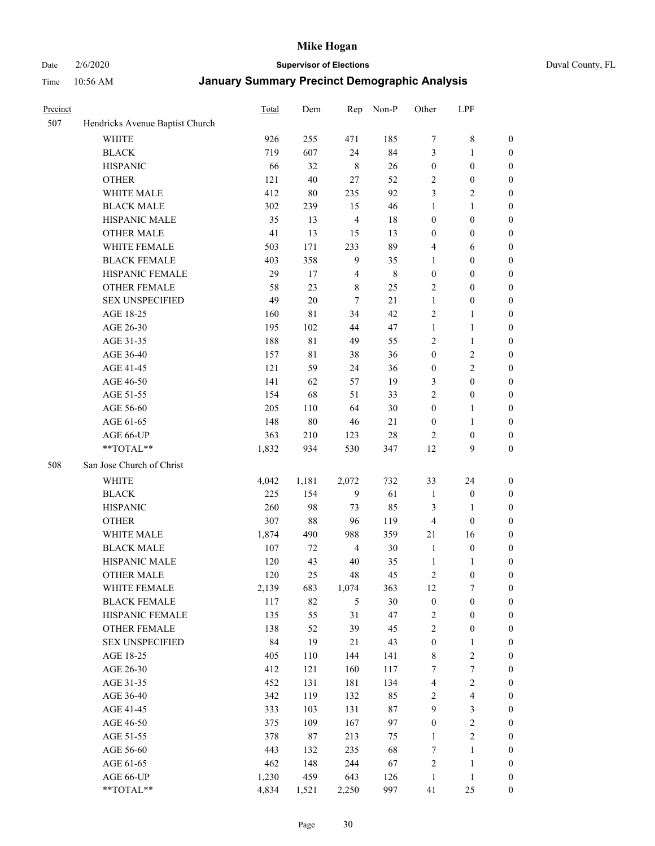# Date 2/6/2020 **Supervisor of Elections** Duval County, FL

| Precinct |                                 | <b>Total</b> | Dem    | Rep            | Non-P       | Other            | LPF                     |                  |
|----------|---------------------------------|--------------|--------|----------------|-------------|------------------|-------------------------|------------------|
| 507      | Hendricks Avenue Baptist Church |              |        |                |             |                  |                         |                  |
|          | <b>WHITE</b>                    | 926          | 255    | 471            | 185         | 7                | $\,$ 8 $\,$             | 0                |
|          | <b>BLACK</b>                    | 719          | 607    | 24             | 84          | 3                | $\mathbf{1}$            | $\boldsymbol{0}$ |
|          | <b>HISPANIC</b>                 | 66           | 32     | $\,$ 8 $\,$    | 26          | $\boldsymbol{0}$ | $\boldsymbol{0}$        | $\boldsymbol{0}$ |
|          | <b>OTHER</b>                    | 121          | 40     | 27             | 52          | $\overline{c}$   | $\boldsymbol{0}$        | $\boldsymbol{0}$ |
|          | WHITE MALE                      | 412          | 80     | 235            | 92          | 3                | $\sqrt{2}$              | $\boldsymbol{0}$ |
|          | <b>BLACK MALE</b>               | 302          | 239    | 15             | 46          | 1                | $\mathbf{1}$            | $\boldsymbol{0}$ |
|          | HISPANIC MALE                   | 35           | 13     | $\overline{4}$ | 18          | $\boldsymbol{0}$ | $\boldsymbol{0}$        | $\boldsymbol{0}$ |
|          | <b>OTHER MALE</b>               | 41           | 13     | 15             | 13          | $\boldsymbol{0}$ | $\boldsymbol{0}$        | $\boldsymbol{0}$ |
|          | WHITE FEMALE                    | 503          | 171    | 233            | 89          | 4                | 6                       | $\boldsymbol{0}$ |
|          | <b>BLACK FEMALE</b>             | 403          | 358    | 9              | 35          | $\mathbf{1}$     | $\boldsymbol{0}$        | $\boldsymbol{0}$ |
|          | HISPANIC FEMALE                 | 29           | 17     | $\overline{4}$ | $\,$ 8 $\,$ | $\boldsymbol{0}$ | $\boldsymbol{0}$        | $\boldsymbol{0}$ |
|          | <b>OTHER FEMALE</b>             | 58           | 23     | $\,$ 8 $\,$    | 25          | $\overline{c}$   | $\boldsymbol{0}$        | $\boldsymbol{0}$ |
|          | <b>SEX UNSPECIFIED</b>          | 49           | 20     | $\overline{7}$ | 21          | $\mathbf{1}$     | $\boldsymbol{0}$        | $\boldsymbol{0}$ |
|          | AGE 18-25                       | 160          | 81     | 34             | 42          | $\overline{c}$   | $\mathbf{1}$            | $\boldsymbol{0}$ |
|          | AGE 26-30                       | 195          | 102    | 44             | 47          | $\mathbf{1}$     | $\mathbf{1}$            | $\boldsymbol{0}$ |
|          | AGE 31-35                       | 188          | 81     | 49             | 55          | $\sqrt{2}$       | $\mathbf{1}$            | $\boldsymbol{0}$ |
|          | AGE 36-40                       | 157          | 81     | 38             | 36          | $\boldsymbol{0}$ | $\sqrt{2}$              | $\boldsymbol{0}$ |
|          | AGE 41-45                       | 121          | 59     | 24             | 36          | $\boldsymbol{0}$ | $\overline{c}$          | $\boldsymbol{0}$ |
|          | AGE 46-50                       | 141          | 62     | 57             | 19          | 3                | $\boldsymbol{0}$        | $\boldsymbol{0}$ |
|          | AGE 51-55                       | 154          | 68     | 51             | 33          | $\overline{2}$   | $\boldsymbol{0}$        | $\boldsymbol{0}$ |
|          | AGE 56-60                       | 205          | 110    | 64             | 30          | $\boldsymbol{0}$ | 1                       | 0                |
|          | AGE 61-65                       | 148          | $80\,$ | 46             | 21          | $\boldsymbol{0}$ | $\mathbf{1}$            | 0                |
|          | AGE 66-UP                       | 363          | 210    | 123            | $28\,$      | $\overline{2}$   | $\boldsymbol{0}$        | $\boldsymbol{0}$ |
|          | **TOTAL**                       | 1,832        | 934    | 530            | 347         | 12               | 9                       | $\boldsymbol{0}$ |
| 508      | San Jose Church of Christ       |              |        |                |             |                  |                         |                  |
|          | <b>WHITE</b>                    | 4,042        | 1,181  | 2,072          | 732         | 33               | 24                      | $\boldsymbol{0}$ |
|          | <b>BLACK</b>                    | 225          | 154    | 9              | 61          | $\mathbf{1}$     | $\boldsymbol{0}$        | $\boldsymbol{0}$ |
|          | <b>HISPANIC</b>                 | 260          | 98     | 73             | 85          | 3                | $\mathbf{1}$            | $\boldsymbol{0}$ |
|          | <b>OTHER</b>                    | 307          | 88     | 96             | 119         | $\overline{4}$   | $\boldsymbol{0}$        | $\boldsymbol{0}$ |
|          | WHITE MALE                      | 1,874        | 490    | 988            | 359         | $21\,$           | 16                      | $\boldsymbol{0}$ |
|          | <b>BLACK MALE</b>               | 107          | 72     | $\overline{4}$ | 30          | $\mathbf{1}$     | $\boldsymbol{0}$        | $\boldsymbol{0}$ |
|          | HISPANIC MALE                   | 120          | 43     | $40\,$         | 35          | $\mathbf{1}$     | 1                       | 0                |
|          | <b>OTHER MALE</b>               | 120          | 25     | 48             | 45          | $\overline{c}$   | $\boldsymbol{0}$        | $\boldsymbol{0}$ |
|          | WHITE FEMALE                    | 2,139        | 683    | 1,074          | 363         | 12               | 7                       | 0                |
|          | <b>BLACK FEMALE</b>             | 117          | 82     | 5              | 30          | $\boldsymbol{0}$ | $\boldsymbol{0}$        | $\boldsymbol{0}$ |
|          | HISPANIC FEMALE                 | 135          | 55     | 31             | 47          | $\sqrt{2}$       | $\boldsymbol{0}$        | $\overline{0}$   |
|          | OTHER FEMALE                    | 138          | 52     | 39             | 45          | $\sqrt{2}$       | $\boldsymbol{0}$        | $\overline{0}$   |
|          | <b>SEX UNSPECIFIED</b>          | 84           | 19     | 21             | 43          | $\boldsymbol{0}$ | $\mathbf{1}$            | 0                |
|          | AGE 18-25                       | 405          | 110    | 144            | 141         | $\,$ 8 $\,$      | $\sqrt{2}$              | 0                |
|          | AGE 26-30                       | 412          | 121    | 160            | 117         | 7                | $\boldsymbol{7}$        | 0                |
|          | AGE 31-35                       | 452          | 131    | 181            | 134         | 4                | $\sqrt{2}$              | 0                |
|          | AGE 36-40                       | 342          | 119    | 132            | 85          | $\sqrt{2}$       | $\overline{\mathbf{4}}$ | 0                |
|          | AGE 41-45                       | 333          | 103    | 131            | $87\,$      | $\mathbf{9}$     | $\mathfrak{Z}$          | 0                |
|          | AGE 46-50                       | 375          | 109    | 167            | 97          | $\boldsymbol{0}$ | $\sqrt{2}$              | 0                |
|          | AGE 51-55                       | 378          | 87     | 213            | 75          | $\mathbf{1}$     | $\boldsymbol{2}$        | $\boldsymbol{0}$ |
|          | AGE 56-60                       | 443          | 132    | 235            | 68          | 7                | 1                       | $\boldsymbol{0}$ |
|          | AGE 61-65                       | 462          | 148    | 244            | 67          | $\overline{c}$   | $\mathbf{1}$            | $\boldsymbol{0}$ |
|          | AGE 66-UP                       | 1,230        | 459    | 643            | 126         | $\mathbf{1}$     | $\mathbf{1}$            | $\boldsymbol{0}$ |
|          | **TOTAL**                       | 4,834        | 1,521  | 2,250          | 997         | 41               | 25                      | $\boldsymbol{0}$ |
|          |                                 |              |        |                |             |                  |                         |                  |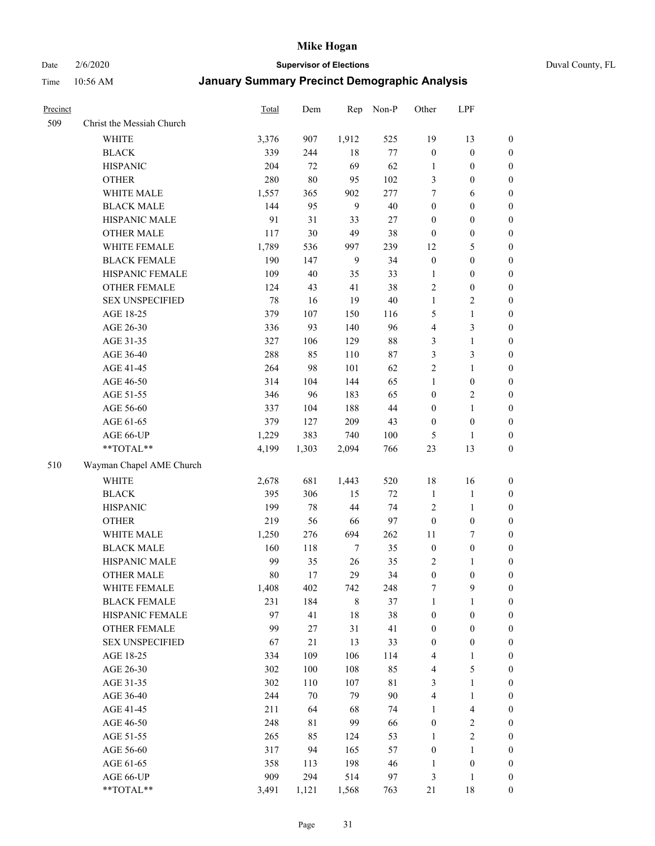Date 2/6/2020 **Supervisor of Elections** Duval County, FL

| Precinct |                           | <b>Total</b> | Dem     | Rep         | Non-P  | Other            | LPF                     |                  |
|----------|---------------------------|--------------|---------|-------------|--------|------------------|-------------------------|------------------|
| 509      | Christ the Messiah Church |              |         |             |        |                  |                         |                  |
|          | <b>WHITE</b>              | 3,376        | 907     | 1,912       | 525    | 19               | 13                      | 0                |
|          | <b>BLACK</b>              | 339          | 244     | 18          | $77\,$ | $\boldsymbol{0}$ | $\boldsymbol{0}$        | 0                |
|          | <b>HISPANIC</b>           | 204          | 72      | 69          | 62     | $\mathbf{1}$     | $\boldsymbol{0}$        | $\boldsymbol{0}$ |
|          | <b>OTHER</b>              | 280          | 80      | 95          | 102    | 3                | $\boldsymbol{0}$        | $\boldsymbol{0}$ |
|          | WHITE MALE                | 1,557        | 365     | 902         | 277    | 7                | 6                       | $\boldsymbol{0}$ |
|          | <b>BLACK MALE</b>         | 144          | 95      | 9           | 40     | $\boldsymbol{0}$ | $\boldsymbol{0}$        | $\boldsymbol{0}$ |
|          | HISPANIC MALE             | 91           | 31      | 33          | 27     | $\boldsymbol{0}$ | $\boldsymbol{0}$        | $\boldsymbol{0}$ |
|          | <b>OTHER MALE</b>         | 117          | 30      | 49          | 38     | $\boldsymbol{0}$ | $\boldsymbol{0}$        | $\boldsymbol{0}$ |
|          | WHITE FEMALE              | 1,789        | 536     | 997         | 239    | 12               | $\mathfrak s$           | $\boldsymbol{0}$ |
|          | <b>BLACK FEMALE</b>       | 190          | 147     | 9           | 34     | $\boldsymbol{0}$ | $\boldsymbol{0}$        | $\boldsymbol{0}$ |
|          | HISPANIC FEMALE           | 109          | 40      | 35          | 33     | 1                | $\boldsymbol{0}$        | 0                |
|          | <b>OTHER FEMALE</b>       | 124          | 43      | 41          | 38     | $\sqrt{2}$       | $\boldsymbol{0}$        | $\boldsymbol{0}$ |
|          | <b>SEX UNSPECIFIED</b>    | 78           | 16      | 19          | $40\,$ | $\mathbf{1}$     | $\boldsymbol{2}$        | $\boldsymbol{0}$ |
|          | AGE 18-25                 | 379          | 107     | 150         | 116    | 5                | $\mathbf{1}$            | $\boldsymbol{0}$ |
|          | AGE 26-30                 | 336          | 93      | 140         | 96     | 4                | $\mathfrak{Z}$          | $\boldsymbol{0}$ |
|          | AGE 31-35                 | 327          | 106     | 129         | $88\,$ | 3                | $\mathbf{1}$            | $\boldsymbol{0}$ |
|          | AGE 36-40                 | 288          | 85      | 110         | $87\,$ | 3                | $\mathfrak{Z}$          | $\boldsymbol{0}$ |
|          | AGE 41-45                 | 264          | 98      | 101         | 62     | $\overline{2}$   | $\mathbf{1}$            | $\boldsymbol{0}$ |
|          | AGE 46-50                 | 314          | 104     | 144         | 65     | $\mathbf{1}$     | $\boldsymbol{0}$        | $\boldsymbol{0}$ |
|          | AGE 51-55                 | 346          | 96      | 183         | 65     | $\boldsymbol{0}$ | $\sqrt{2}$              | $\boldsymbol{0}$ |
|          | AGE 56-60                 | 337          | 104     | 188         | 44     | $\boldsymbol{0}$ | $\mathbf{1}$            | 0                |
|          | AGE 61-65                 | 379          | 127     | 209         | 43     | $\boldsymbol{0}$ | $\boldsymbol{0}$        | 0                |
|          | AGE 66-UP                 | 1,229        | 383     | 740         | 100    | 5                | 1                       | $\boldsymbol{0}$ |
|          | **TOTAL**                 | 4,199        | 1,303   | 2,094       | 766    | 23               | 13                      | $\boldsymbol{0}$ |
| 510      | Wayman Chapel AME Church  |              |         |             |        |                  |                         |                  |
|          | <b>WHITE</b>              | 2,678        | 681     | 1,443       | 520    | 18               | 16                      | $\boldsymbol{0}$ |
|          | <b>BLACK</b>              | 395          | 306     | 15          | $72\,$ | $\mathbf{1}$     | $\mathbf{1}$            | $\boldsymbol{0}$ |
|          | <b>HISPANIC</b>           | 199          | 78      | 44          | 74     | $\overline{c}$   | $\mathbf{1}$            | $\boldsymbol{0}$ |
|          | <b>OTHER</b>              | 219          | 56      | 66          | 97     | $\boldsymbol{0}$ | $\boldsymbol{0}$        | $\boldsymbol{0}$ |
|          | WHITE MALE                | 1,250        | 276     | 694         | 262    | $11\,$           | $\tau$                  | $\boldsymbol{0}$ |
|          | <b>BLACK MALE</b>         | 160          | 118     | 7           | 35     | $\boldsymbol{0}$ | $\boldsymbol{0}$        | $\boldsymbol{0}$ |
|          | HISPANIC MALE             | 99           | 35      | 26          | 35     | 2                | 1                       | 0                |
|          | <b>OTHER MALE</b>         | 80           | 17      | 29          | 34     | $\boldsymbol{0}$ | $\boldsymbol{0}$        | $\boldsymbol{0}$ |
|          | WHITE FEMALE              | 1,408        | 402     | 742         | 248    | 7                | 9                       | 0                |
|          | <b>BLACK FEMALE</b>       | 231          | 184     | $\,$ 8 $\,$ | 37     | $\mathbf{1}$     | $\mathbf{1}$            | $\boldsymbol{0}$ |
|          | HISPANIC FEMALE           | 97           | 41      | $18\,$      | 38     | $\boldsymbol{0}$ | $\boldsymbol{0}$        | $\overline{0}$   |
|          | OTHER FEMALE              | 99           | 27      | 31          | 41     | $\boldsymbol{0}$ | $\boldsymbol{0}$        | $\overline{0}$   |
|          | <b>SEX UNSPECIFIED</b>    | 67           | 21      | 13          | 33     | $\boldsymbol{0}$ | $\boldsymbol{0}$        | 0                |
|          | AGE 18-25                 | 334          | 109     | 106         | 114    | 4                | $\mathbf{1}$            | 0                |
|          | AGE 26-30                 | 302          | 100     | 108         | 85     | 4                | $\mathfrak s$           | 0                |
|          | AGE 31-35                 | 302          | $110\,$ | 107         | 81     | 3                | $\mathbf{1}$            | 0                |
|          | AGE 36-40                 | 244          | $70\,$  | 79          | 90     | 4                | $\mathbf{1}$            | 0                |
|          | AGE 41-45                 | 211          | 64      | 68          | 74     | $\mathbf{1}$     | $\overline{\mathbf{4}}$ | 0                |
|          | AGE 46-50                 | 248          | 81      | 99          | 66     | $\boldsymbol{0}$ | $\sqrt{2}$              | 0                |
|          | AGE 51-55                 | 265          | 85      | 124         | 53     | $\mathbf{1}$     | $\boldsymbol{2}$        | $\boldsymbol{0}$ |
|          | AGE 56-60                 | 317          | 94      | 165         | 57     | $\boldsymbol{0}$ | 1                       | $\boldsymbol{0}$ |
|          | AGE 61-65                 | 358          | 113     | 198         | 46     | $\mathbf{1}$     | $\boldsymbol{0}$        | $\boldsymbol{0}$ |
|          | AGE 66-UP                 | 909          | 294     | 514         | 97     | 3                | $\mathbf{1}$            | $\boldsymbol{0}$ |
|          | **TOTAL**                 | 3,491        | 1,121   | 1,568       | 763    | $21\,$           | 18                      | $\boldsymbol{0}$ |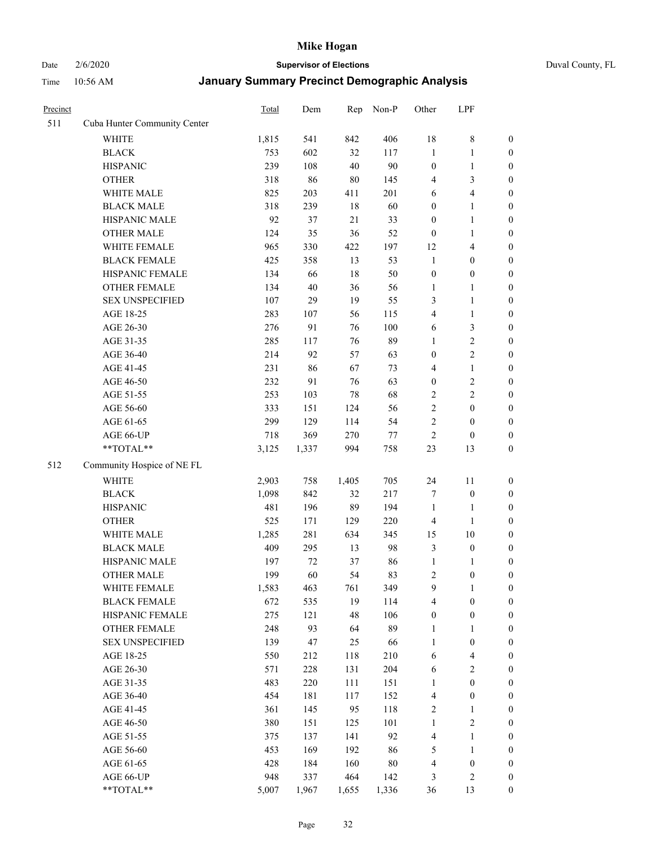Date 2/6/2020 **Supervisor of Elections** Duval County, FL

| Precinct |                              | Total | Dem    | Rep    | Non-P  | Other            | LPF                      |                  |
|----------|------------------------------|-------|--------|--------|--------|------------------|--------------------------|------------------|
| 511      | Cuba Hunter Community Center |       |        |        |        |                  |                          |                  |
|          | <b>WHITE</b>                 | 1,815 | 541    | 842    | 406    | 18               | $\,$ 8 $\,$              | 0                |
|          | <b>BLACK</b>                 | 753   | 602    | 32     | 117    | $\mathbf{1}$     | $\mathbf{1}$             | $\boldsymbol{0}$ |
|          | <b>HISPANIC</b>              | 239   | 108    | 40     | 90     | $\boldsymbol{0}$ | $\mathbf{1}$             | $\boldsymbol{0}$ |
|          | <b>OTHER</b>                 | 318   | 86     | $80\,$ | 145    | 4                | $\mathfrak{Z}$           | $\boldsymbol{0}$ |
|          | WHITE MALE                   | 825   | 203    | 411    | 201    | 6                | $\overline{\mathcal{A}}$ | $\boldsymbol{0}$ |
|          | <b>BLACK MALE</b>            | 318   | 239    | 18     | 60     | $\boldsymbol{0}$ | $\mathbf{1}$             | $\boldsymbol{0}$ |
|          | HISPANIC MALE                | 92    | 37     | 21     | 33     | $\boldsymbol{0}$ | $\mathbf{1}$             | $\boldsymbol{0}$ |
|          | <b>OTHER MALE</b>            | 124   | 35     | 36     | 52     | $\boldsymbol{0}$ | $\mathbf{1}$             | $\boldsymbol{0}$ |
|          | WHITE FEMALE                 | 965   | 330    | 422    | 197    | 12               | $\overline{\mathbf{4}}$  | $\boldsymbol{0}$ |
|          | <b>BLACK FEMALE</b>          | 425   | 358    | 13     | 53     | $\mathbf{1}$     | $\boldsymbol{0}$         | $\boldsymbol{0}$ |
|          | HISPANIC FEMALE              | 134   | 66     | 18     | 50     | $\boldsymbol{0}$ | $\boldsymbol{0}$         | $\boldsymbol{0}$ |
|          | <b>OTHER FEMALE</b>          | 134   | $40\,$ | 36     | 56     | $\mathbf{1}$     | 1                        | $\boldsymbol{0}$ |
|          | <b>SEX UNSPECIFIED</b>       | 107   | 29     | 19     | 55     | 3                | $\mathbf{1}$             | $\boldsymbol{0}$ |
|          | AGE 18-25                    | 283   | 107    | 56     | 115    | 4                | $\mathbf{1}$             | $\boldsymbol{0}$ |
|          | AGE 26-30                    | 276   | 91     | 76     | 100    | 6                | $\mathfrak{Z}$           | $\boldsymbol{0}$ |
|          | AGE 31-35                    | 285   | 117    | 76     | 89     | $\mathbf{1}$     | $\sqrt{2}$               | $\boldsymbol{0}$ |
|          | AGE 36-40                    | 214   | 92     | 57     | 63     | $\boldsymbol{0}$ | $\sqrt{2}$               | $\boldsymbol{0}$ |
|          | AGE 41-45                    | 231   | 86     | 67     | 73     | 4                | $\mathbf{1}$             | $\boldsymbol{0}$ |
|          | AGE 46-50                    | 232   | 91     | 76     | 63     | $\boldsymbol{0}$ | $\sqrt{2}$               | $\boldsymbol{0}$ |
|          | AGE 51-55                    | 253   | 103    | 78     | 68     | $\overline{c}$   | $\sqrt{2}$               | $\boldsymbol{0}$ |
|          | AGE 56-60                    | 333   | 151    | 124    | 56     | $\overline{c}$   | $\boldsymbol{0}$         | $\boldsymbol{0}$ |
|          | AGE 61-65                    | 299   | 129    | 114    | 54     | $\overline{c}$   | $\boldsymbol{0}$         | $\boldsymbol{0}$ |
|          | AGE 66-UP                    | 718   | 369    | 270    | $77\,$ | $\boldsymbol{2}$ | $\boldsymbol{0}$         | $\boldsymbol{0}$ |
|          | **TOTAL**                    | 3,125 | 1,337  | 994    | 758    | 23               | 13                       | $\boldsymbol{0}$ |
| 512      | Community Hospice of NE FL   |       |        |        |        |                  |                          |                  |
|          | <b>WHITE</b>                 | 2,903 | 758    | 1,405  | 705    | 24               | 11                       | $\boldsymbol{0}$ |
|          | <b>BLACK</b>                 | 1,098 | 842    | 32     | 217    | 7                | $\boldsymbol{0}$         | $\boldsymbol{0}$ |
|          | <b>HISPANIC</b>              | 481   | 196    | 89     | 194    | $\mathbf{1}$     | $\mathbf{1}$             | $\boldsymbol{0}$ |
|          | <b>OTHER</b>                 | 525   | 171    | 129    | 220    | 4                | $\mathbf{1}$             | $\boldsymbol{0}$ |
|          | WHITE MALE                   | 1,285 | 281    | 634    | 345    | 15               | 10                       | $\boldsymbol{0}$ |
|          | <b>BLACK MALE</b>            | 409   | 295    | 13     | 98     | 3                | $\boldsymbol{0}$         | $\boldsymbol{0}$ |
|          | HISPANIC MALE                | 197   | $72\,$ | 37     | 86     | $\mathbf{1}$     | 1                        | $\boldsymbol{0}$ |
|          | <b>OTHER MALE</b>            | 199   | 60     | 54     | 83     | 2                | $\boldsymbol{0}$         | $\boldsymbol{0}$ |
|          | WHITE FEMALE                 | 1,583 | 463    | 761    | 349    | 9                | 1                        | 0                |
|          | <b>BLACK FEMALE</b>          | 672   | 535    | 19     | 114    | 4                | $\boldsymbol{0}$         | $\boldsymbol{0}$ |
|          | HISPANIC FEMALE              | 275   | 121    | 48     | 106    | $\boldsymbol{0}$ | $\boldsymbol{0}$         | $\overline{0}$   |
|          | <b>OTHER FEMALE</b>          | 248   | 93     | 64     | 89     | 1                | $\mathbf{1}$             | $\overline{0}$   |
|          | <b>SEX UNSPECIFIED</b>       | 139   | 47     | 25     | 66     | $\mathbf{1}$     | $\boldsymbol{0}$         | 0                |
|          | AGE 18-25                    | 550   | 212    | 118    | 210    | 6                | $\overline{4}$           | 0                |
|          | AGE 26-30                    | 571   | 228    | 131    | 204    | 6                | $\sqrt{2}$               | 0                |
|          | AGE 31-35                    | 483   | 220    | 111    | 151    | $\mathbf{1}$     | $\boldsymbol{0}$         | 0                |
|          | AGE 36-40                    | 454   | 181    | 117    | 152    | 4                | $\boldsymbol{0}$         | 0                |
|          | AGE 41-45                    | 361   | 145    | 95     | 118    | 2                | 1                        | 0                |
|          | AGE 46-50                    | 380   | 151    | 125    | 101    | $\mathbf{1}$     | $\sqrt{2}$               | 0                |
|          | AGE 51-55                    | 375   | 137    | 141    | 92     | 4                | $\mathbf{1}$             | 0                |
|          | AGE 56-60                    | 453   | 169    | 192    | 86     | 5                | $\mathbf{1}$             | 0                |
|          | AGE 61-65                    | 428   | 184    | 160    | $80\,$ | 4                | $\boldsymbol{0}$         | $\boldsymbol{0}$ |
|          | AGE 66-UP                    | 948   | 337    | 464    | 142    | 3                | $\sqrt{2}$               | 0                |
|          | **TOTAL**                    | 5,007 | 1,967  | 1,655  | 1,336  | 36               | 13                       | $\boldsymbol{0}$ |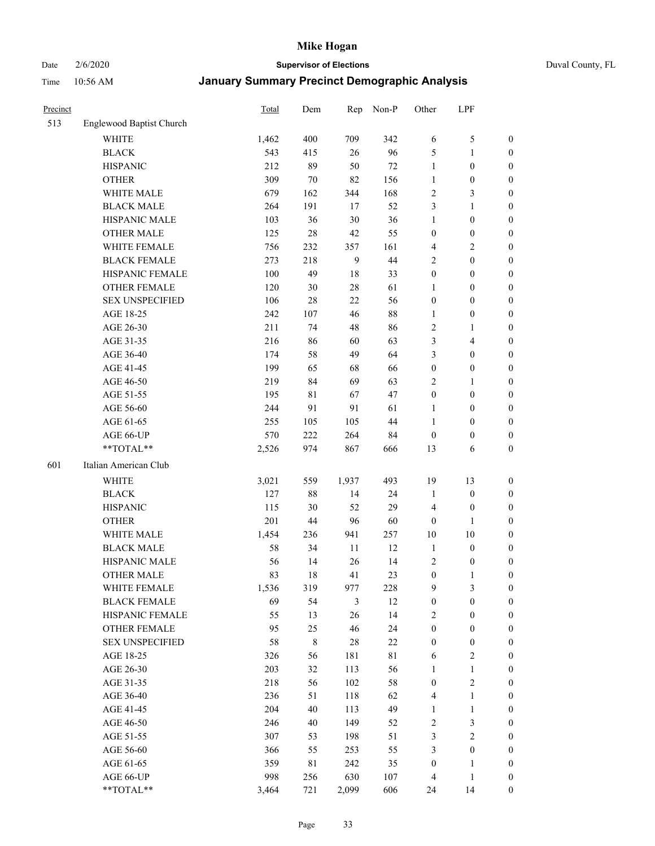# Date 2/6/2020 **Supervisor of Elections** Duval County, FL

| Precinct |                          | <b>Total</b> | Dem         | Rep            | Non-P       | Other            | LPF              |                  |
|----------|--------------------------|--------------|-------------|----------------|-------------|------------------|------------------|------------------|
| 513      | Englewood Baptist Church |              |             |                |             |                  |                  |                  |
|          | <b>WHITE</b>             | 1,462        | 400         | 709            | 342         | 6                | $\mathfrak s$    | 0                |
|          | <b>BLACK</b>             | 543          | 415         | 26             | 96          | 5                | $\mathbf{1}$     | 0                |
|          | <b>HISPANIC</b>          | 212          | 89          | 50             | 72          | $\mathbf{1}$     | $\boldsymbol{0}$ | $\boldsymbol{0}$ |
|          | <b>OTHER</b>             | 309          | 70          | 82             | 156         | 1                | $\boldsymbol{0}$ | $\boldsymbol{0}$ |
|          | WHITE MALE               | 679          | 162         | 344            | 168         | 2                | $\mathfrak{Z}$   | $\boldsymbol{0}$ |
|          | <b>BLACK MALE</b>        | 264          | 191         | 17             | 52          | 3                | $\mathbf{1}$     | $\boldsymbol{0}$ |
|          | HISPANIC MALE            | 103          | 36          | 30             | 36          | $\mathbf{1}$     | $\boldsymbol{0}$ | $\boldsymbol{0}$ |
|          | <b>OTHER MALE</b>        | 125          | $28\,$      | 42             | 55          | $\boldsymbol{0}$ | $\boldsymbol{0}$ | $\boldsymbol{0}$ |
|          | WHITE FEMALE             | 756          | 232         | 357            | 161         | 4                | $\overline{c}$   | $\boldsymbol{0}$ |
|          | <b>BLACK FEMALE</b>      | 273          | 218         | $\overline{9}$ | 44          | 2                | $\boldsymbol{0}$ | $\boldsymbol{0}$ |
|          | HISPANIC FEMALE          | 100          | 49          | 18             | 33          | $\boldsymbol{0}$ | $\boldsymbol{0}$ | $\boldsymbol{0}$ |
|          | <b>OTHER FEMALE</b>      | 120          | 30          | 28             | 61          | 1                | $\boldsymbol{0}$ | $\boldsymbol{0}$ |
|          | <b>SEX UNSPECIFIED</b>   | 106          | $28\,$      | 22             | 56          | $\boldsymbol{0}$ | $\boldsymbol{0}$ | $\boldsymbol{0}$ |
|          | AGE 18-25                | 242          | 107         | 46             | $88\,$      | 1                | $\boldsymbol{0}$ | $\boldsymbol{0}$ |
|          | AGE 26-30                | 211          | 74          | 48             | 86          | 2                | $\mathbf{1}$     | $\boldsymbol{0}$ |
|          | AGE 31-35                | 216          | 86          | 60             | 63          | 3                | $\overline{4}$   | $\boldsymbol{0}$ |
|          | AGE 36-40                | 174          | 58          | 49             | 64          | 3                | $\boldsymbol{0}$ | $\boldsymbol{0}$ |
|          | AGE 41-45                | 199          | 65          | 68             | 66          | $\boldsymbol{0}$ | $\boldsymbol{0}$ | $\boldsymbol{0}$ |
|          | AGE 46-50                | 219          | 84          | 69             | 63          | 2                | 1                | $\boldsymbol{0}$ |
|          | AGE 51-55                | 195          | 81          | 67             | 47          | $\boldsymbol{0}$ | $\boldsymbol{0}$ | $\boldsymbol{0}$ |
|          | AGE 56-60                | 244          | 91          | 91             | 61          | 1                | $\boldsymbol{0}$ | 0                |
|          | AGE 61-65                | 255          | 105         | 105            | 44          | 1                | $\boldsymbol{0}$ | $\boldsymbol{0}$ |
|          | AGE 66-UP                | 570          | 222         | 264            | 84          | $\boldsymbol{0}$ | $\boldsymbol{0}$ | $\boldsymbol{0}$ |
|          | **TOTAL**                | 2,526        | 974         | 867            | 666         | 13               | 6                | $\boldsymbol{0}$ |
| 601      | Italian American Club    |              |             |                |             |                  |                  |                  |
|          | <b>WHITE</b>             | 3,021        | 559         | 1,937          | 493         | 19               | 13               | $\boldsymbol{0}$ |
|          | <b>BLACK</b>             | 127          | 88          | 14             | 24          | $\mathbf{1}$     | $\boldsymbol{0}$ | $\boldsymbol{0}$ |
|          | <b>HISPANIC</b>          | 115          | 30          | 52             | 29          | 4                | $\boldsymbol{0}$ | $\boldsymbol{0}$ |
|          | <b>OTHER</b>             | 201          | 44          | 96             | 60          | $\boldsymbol{0}$ | 1                | $\boldsymbol{0}$ |
|          | WHITE MALE               | 1,454        | 236         | 941            | 257         | $10\,$           | $10\,$           | $\boldsymbol{0}$ |
|          | <b>BLACK MALE</b>        | 58           | 34          | 11             | 12          | $\mathbf{1}$     | $\boldsymbol{0}$ | $\boldsymbol{0}$ |
|          | HISPANIC MALE            | 56           | 14          | 26             | 14          | $\sqrt{2}$       | $\boldsymbol{0}$ | 0                |
|          | <b>OTHER MALE</b>        | 83           | 18          | 41             | 23          | $\boldsymbol{0}$ | $\mathbf{1}$     | $\boldsymbol{0}$ |
|          | WHITE FEMALE             | 1,536        | 319         | 977            | 228         | 9                | 3                | 0                |
|          | <b>BLACK FEMALE</b>      | 69           | 54          | 3              | 12          | $\boldsymbol{0}$ | $\boldsymbol{0}$ | $\boldsymbol{0}$ |
|          | HISPANIC FEMALE          | 55           | 13          | 26             | 14          | 2                | $\boldsymbol{0}$ | $\overline{0}$   |
|          | OTHER FEMALE             | 95           | 25          | 46             | 24          | $\boldsymbol{0}$ | $\boldsymbol{0}$ | $\overline{0}$   |
|          | <b>SEX UNSPECIFIED</b>   | 58           | $\,$ 8 $\,$ | 28             | $22\,$      | $\boldsymbol{0}$ | $\boldsymbol{0}$ | 0                |
|          | AGE 18-25                | 326          | 56          | 181            | $8\sqrt{1}$ | 6                | $\sqrt{2}$       | 0                |
|          | AGE 26-30                | 203          | 32          | 113            | 56          | $\mathbf{1}$     | $\mathbf{1}$     | 0                |
|          | AGE 31-35                | 218          | 56          | 102            | $58\,$      | $\boldsymbol{0}$ | $\sqrt{2}$       | 0                |
|          | AGE 36-40                | 236          | 51          | 118            | 62          | 4                | $\mathbf{1}$     | 0                |
|          | AGE 41-45                | 204          | 40          | 113            | 49          | $\mathbf{1}$     | $\mathbf{1}$     | 0                |
|          | AGE 46-50                | 246          | 40          | 149            | 52          | 2                | $\mathfrak{Z}$   | 0                |
|          | AGE 51-55                | 307          | 53          | 198            | 51          | 3                | $\boldsymbol{2}$ | 0                |
|          | AGE 56-60                | 366          | 55          | 253            | 55          | 3                | $\boldsymbol{0}$ | $\boldsymbol{0}$ |
|          | AGE 61-65                | 359          | 81          | 242            | 35          | $\boldsymbol{0}$ | 1                | $\boldsymbol{0}$ |
|          | AGE 66-UP                | 998          | 256         | 630            | 107         | 4                | $\mathbf{1}$     | 0                |
|          | **TOTAL**                | 3,464        | 721         | 2,099          | 606         | 24               | 14               | $\boldsymbol{0}$ |
|          |                          |              |             |                |             |                  |                  |                  |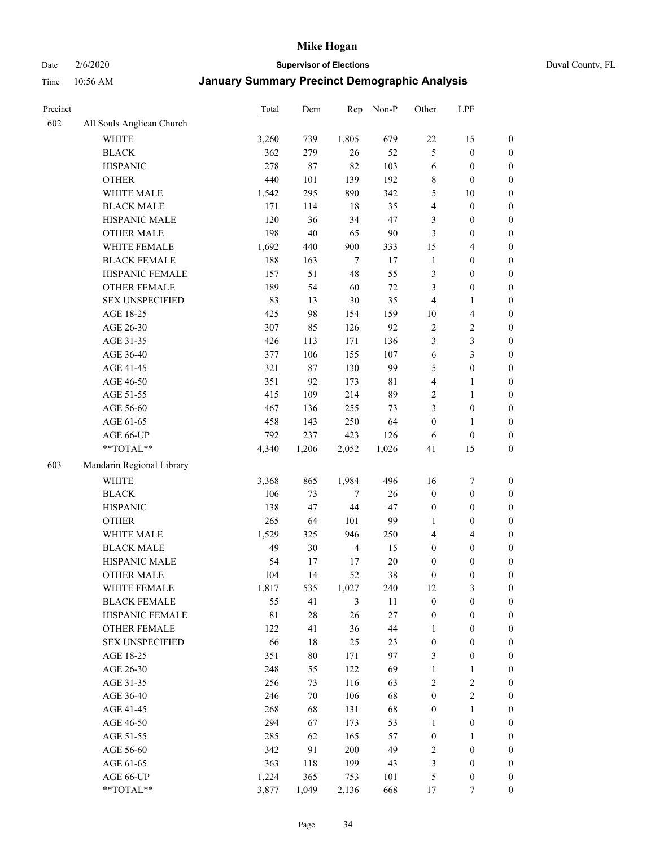Date 2/6/2020 **Supervisor of Elections** Duval County, FL

| Precinct |                                    | <b>Total</b> | Dem    | Rep            | Non-P  | Other            | LPF                     |                  |
|----------|------------------------------------|--------------|--------|----------------|--------|------------------|-------------------------|------------------|
| 602      | All Souls Anglican Church          |              |        |                |        |                  |                         |                  |
|          | <b>WHITE</b>                       | 3,260        | 739    | 1,805          | 679    | $22\,$           | 15                      | 0                |
|          | <b>BLACK</b>                       | 362          | 279    | 26             | 52     | 5                | $\boldsymbol{0}$        | $\boldsymbol{0}$ |
|          | <b>HISPANIC</b>                    | 278          | 87     | 82             | 103    | 6                | $\boldsymbol{0}$        | $\boldsymbol{0}$ |
|          | <b>OTHER</b>                       | 440          | 101    | 139            | 192    | 8                | $\boldsymbol{0}$        | $\boldsymbol{0}$ |
|          | WHITE MALE                         | 1,542        | 295    | 890            | 342    | 5                | $10\,$                  | $\boldsymbol{0}$ |
|          | <b>BLACK MALE</b>                  | 171          | 114    | 18             | 35     | 4                | $\boldsymbol{0}$        | $\boldsymbol{0}$ |
|          | HISPANIC MALE                      | 120          | 36     | 34             | 47     | 3                | $\boldsymbol{0}$        | $\boldsymbol{0}$ |
|          | <b>OTHER MALE</b>                  | 198          | 40     | 65             | 90     | 3                | $\boldsymbol{0}$        | $\boldsymbol{0}$ |
|          | WHITE FEMALE                       | 1,692        | 440    | 900            | 333    | 15               | $\overline{\mathbf{4}}$ | $\boldsymbol{0}$ |
|          | <b>BLACK FEMALE</b>                | 188          | 163    | $\overline{7}$ | 17     | $\mathbf{1}$     | $\boldsymbol{0}$        | $\boldsymbol{0}$ |
|          | HISPANIC FEMALE                    | 157          | 51     | 48             | 55     | 3                | $\boldsymbol{0}$        | $\boldsymbol{0}$ |
|          | <b>OTHER FEMALE</b>                | 189          | 54     | 60             | $72\,$ | 3                | $\boldsymbol{0}$        | $\boldsymbol{0}$ |
|          | <b>SEX UNSPECIFIED</b>             | 83           | 13     | $30\,$         | 35     | $\overline{4}$   | $\mathbf{1}$            | $\boldsymbol{0}$ |
|          | AGE 18-25                          | 425          | 98     | 154            | 159    | $10\,$           | $\overline{\mathbf{4}}$ | $\boldsymbol{0}$ |
|          | AGE 26-30                          | 307          | 85     | 126            | 92     | $\overline{c}$   | $\sqrt{2}$              | $\boldsymbol{0}$ |
|          | AGE 31-35                          | 426          | 113    | 171            | 136    | 3                | $\mathfrak{Z}$          | $\boldsymbol{0}$ |
|          | AGE 36-40                          | 377          | 106    | 155            | 107    | 6                | $\mathfrak{Z}$          | $\boldsymbol{0}$ |
|          | AGE 41-45                          | 321          | 87     | 130            | 99     | 5                | $\boldsymbol{0}$        | $\boldsymbol{0}$ |
|          | AGE 46-50                          | 351          | 92     | 173            | 81     | 4                | $\mathbf{1}$            | $\boldsymbol{0}$ |
|          | AGE 51-55                          | 415          | 109    | 214            | 89     | $\overline{c}$   | $\mathbf{1}$            | $\boldsymbol{0}$ |
|          | AGE 56-60                          | 467          | 136    | 255            | 73     | 3                | $\boldsymbol{0}$        | 0                |
|          | AGE 61-65                          | 458          | 143    | 250            | 64     | $\boldsymbol{0}$ | 1                       | 0                |
|          | AGE 66-UP                          | 792          | 237    | 423            | 126    | 6                | $\boldsymbol{0}$        | $\boldsymbol{0}$ |
|          | **TOTAL**                          | 4,340        | 1,206  | 2,052          | 1,026  | 41               | 15                      | $\boldsymbol{0}$ |
| 603      | Mandarin Regional Library          |              |        |                |        |                  |                         |                  |
|          |                                    |              |        |                |        |                  |                         |                  |
|          | <b>WHITE</b>                       | 3,368        | 865    | 1,984          | 496    | 16               | $\boldsymbol{7}$        | $\boldsymbol{0}$ |
|          | <b>BLACK</b>                       | 106          | 73     | $\overline{7}$ | 26     | $\boldsymbol{0}$ | $\boldsymbol{0}$        | $\boldsymbol{0}$ |
|          | <b>HISPANIC</b>                    | 138          | 47     | $44\,$         | 47     | $\boldsymbol{0}$ | $\boldsymbol{0}$        | $\boldsymbol{0}$ |
|          | <b>OTHER</b>                       | 265          | 64     | 101            | 99     | 1                | $\boldsymbol{0}$        | $\boldsymbol{0}$ |
|          | WHITE MALE                         | 1,529        | 325    | 946            | 250    | 4                | $\overline{4}$          | $\boldsymbol{0}$ |
|          | <b>BLACK MALE</b>                  | 49           | 30     | $\overline{4}$ | 15     | $\boldsymbol{0}$ | $\boldsymbol{0}$        | $\boldsymbol{0}$ |
|          | HISPANIC MALE<br><b>OTHER MALE</b> | 54           | 17     | 17             | $20\,$ | $\boldsymbol{0}$ | $\boldsymbol{0}$        | $\boldsymbol{0}$ |
|          |                                    | 104          | 14     | 52             | 38     | $\boldsymbol{0}$ | $\boldsymbol{0}$        | $\boldsymbol{0}$ |
|          | WHITE FEMALE                       | 1,817        | 535    | 1,027          | 240    | 12               | 3                       | 0                |
|          | <b>BLACK FEMALE</b>                | 55           | 41     | 3              | 11     | $\boldsymbol{0}$ | $\boldsymbol{0}$        | $\boldsymbol{0}$ |
|          | HISPANIC FEMALE                    | $8\sqrt{1}$  | $28\,$ | 26             | 27     | $\boldsymbol{0}$ | $\boldsymbol{0}$        | $\overline{0}$   |
|          | OTHER FEMALE                       | 122          | 41     | 36             | 44     | $\mathbf{1}$     | $\boldsymbol{0}$        | $\overline{0}$   |
|          | <b>SEX UNSPECIFIED</b>             | 66           | 18     | 25             | 23     | $\boldsymbol{0}$ | $\boldsymbol{0}$        | 0                |
|          | AGE 18-25                          | 351          | 80     | 171            | 97     | 3                | $\boldsymbol{0}$        | 0                |
|          | AGE 26-30                          | 248          | 55     | 122            | 69     | $\mathbf{1}$     | $\mathbf{1}$            | 0                |
|          | AGE 31-35                          | 256          | 73     | 116            | 63     | $\overline{c}$   | $\sqrt{2}$              | 0                |
|          | AGE 36-40                          | 246          | 70     | 106            | 68     | $\boldsymbol{0}$ | $\sqrt{2}$              | 0                |
|          | AGE 41-45                          | 268          | 68     | 131            | 68     | $\boldsymbol{0}$ | $\mathbf{1}$            | 0                |
|          | AGE 46-50                          | 294          | 67     | 173            | 53     | $\mathbf{1}$     | $\boldsymbol{0}$        | 0                |
|          | AGE 51-55                          | 285          | 62     | 165            | 57     | $\boldsymbol{0}$ | $\mathbf{1}$            | 0                |
|          | AGE 56-60                          | 342          | 91     | 200            | 49     | $\overline{c}$   | $\boldsymbol{0}$        | $\boldsymbol{0}$ |
|          | AGE 61-65                          | 363          | 118    | 199            | 43     | 3                | $\boldsymbol{0}$        | $\overline{0}$   |
|          | AGE 66-UP                          | 1,224        | 365    | 753            | 101    | 5                | $\boldsymbol{0}$        | 0                |
|          | **TOTAL**                          | 3,877        | 1,049  | 2,136          | 668    | 17               | $\tau$                  | $\boldsymbol{0}$ |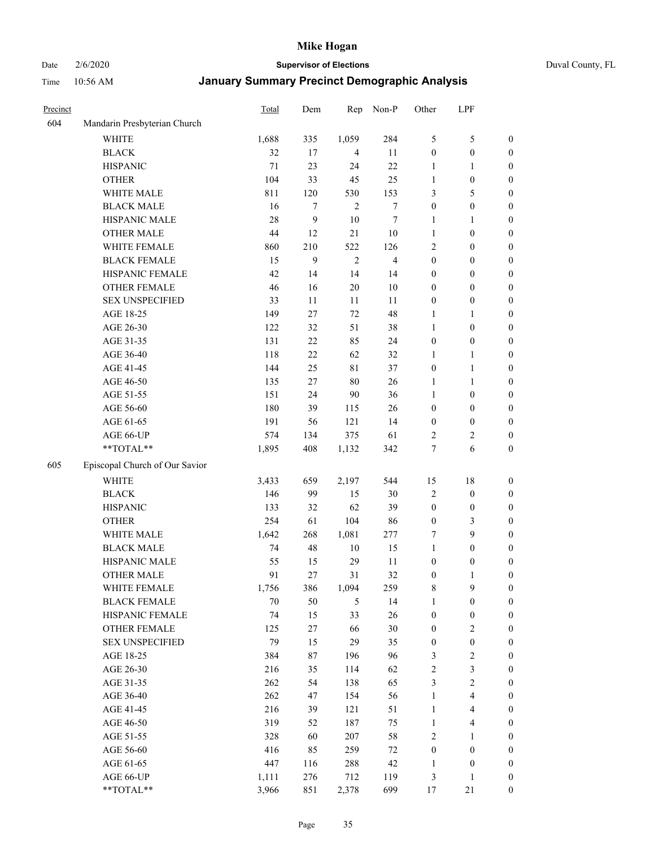Date 2/6/2020 **Supervisor of Elections** Duval County, FL

| Precinct |                                | <b>Total</b> | Dem | Rep            | Non-P                   | Other            | LPF                     |                  |
|----------|--------------------------------|--------------|-----|----------------|-------------------------|------------------|-------------------------|------------------|
| 604      | Mandarin Presbyterian Church   |              |     |                |                         |                  |                         |                  |
|          | <b>WHITE</b>                   | 1,688        | 335 | 1,059          | 284                     | 5                | $\mathfrak s$           | 0                |
|          | <b>BLACK</b>                   | 32           | 17  | 4              | 11                      | $\boldsymbol{0}$ | $\boldsymbol{0}$        | 0                |
|          | <b>HISPANIC</b>                | 71           | 23  | 24             | 22                      | 1                | 1                       | $\boldsymbol{0}$ |
|          | <b>OTHER</b>                   | 104          | 33  | 45             | 25                      | $\mathbf{1}$     | $\boldsymbol{0}$        | $\boldsymbol{0}$ |
|          | WHITE MALE                     | 811          | 120 | 530            | 153                     | 3                | $\mathfrak s$           | $\boldsymbol{0}$ |
|          | <b>BLACK MALE</b>              | 16           | 7   | $\overline{2}$ | $\boldsymbol{7}$        | $\boldsymbol{0}$ | $\boldsymbol{0}$        | $\boldsymbol{0}$ |
|          | HISPANIC MALE                  | 28           | 9   | 10             | $\tau$                  | 1                | $\mathbf{1}$            | $\boldsymbol{0}$ |
|          | <b>OTHER MALE</b>              | 44           | 12  | 21             | $10\,$                  | $\mathbf{1}$     | $\boldsymbol{0}$        | $\boldsymbol{0}$ |
|          | WHITE FEMALE                   | 860          | 210 | 522            | 126                     | 2                | $\boldsymbol{0}$        | $\boldsymbol{0}$ |
|          | <b>BLACK FEMALE</b>            | 15           | 9   | $\sqrt{2}$     | $\overline{\mathbf{4}}$ | $\boldsymbol{0}$ | $\boldsymbol{0}$        | 0                |
|          | HISPANIC FEMALE                | 42           | 14  | 14             | 14                      | $\boldsymbol{0}$ | $\boldsymbol{0}$        | 0                |
|          | <b>OTHER FEMALE</b>            | 46           | 16  | $20\,$         | $10\,$                  | $\boldsymbol{0}$ | $\boldsymbol{0}$        | $\boldsymbol{0}$ |
|          | <b>SEX UNSPECIFIED</b>         | 33           | 11  | 11             | 11                      | $\boldsymbol{0}$ | $\boldsymbol{0}$        | $\boldsymbol{0}$ |
|          | AGE 18-25                      | 149          | 27  | 72             | 48                      | 1                | 1                       | $\boldsymbol{0}$ |
|          | AGE 26-30                      | 122          | 32  | 51             | 38                      | $\mathbf{1}$     | $\boldsymbol{0}$        | $\boldsymbol{0}$ |
|          | AGE 31-35                      | 131          | 22  | 85             | 24                      | $\boldsymbol{0}$ | $\boldsymbol{0}$        | $\boldsymbol{0}$ |
|          | AGE 36-40                      | 118          | 22  | 62             | 32                      | 1                | $\mathbf{1}$            | $\boldsymbol{0}$ |
|          | AGE 41-45                      | 144          | 25  | $8\sqrt{1}$    | 37                      | $\boldsymbol{0}$ | $\mathbf{1}$            | $\boldsymbol{0}$ |
|          | AGE 46-50                      | 135          | 27  | $80\,$         | 26                      | $\mathbf{1}$     | $\mathbf{1}$            | $\boldsymbol{0}$ |
|          | AGE 51-55                      | 151          | 24  | 90             | 36                      | $\mathbf{1}$     | $\boldsymbol{0}$        | $\boldsymbol{0}$ |
|          | AGE 56-60                      | 180          | 39  | 115            | 26                      | $\boldsymbol{0}$ | $\boldsymbol{0}$        | 0                |
|          | AGE 61-65                      | 191          | 56  | 121            | 14                      | $\boldsymbol{0}$ | $\boldsymbol{0}$        | 0                |
|          | AGE 66-UP                      | 574          | 134 | 375            | 61                      | $\overline{c}$   | $\overline{c}$          | $\boldsymbol{0}$ |
|          | **TOTAL**                      | 1,895        | 408 | 1,132          | 342                     | 7                | 6                       | $\boldsymbol{0}$ |
| 605      | Episcopal Church of Our Savior |              |     |                |                         |                  |                         |                  |
|          | <b>WHITE</b>                   | 3,433        | 659 | 2,197          | 544                     | 15               | $18\,$                  | $\boldsymbol{0}$ |
|          | <b>BLACK</b>                   | 146          | 99  | 15             | 30                      | $\sqrt{2}$       | $\boldsymbol{0}$        | $\boldsymbol{0}$ |
|          | <b>HISPANIC</b>                | 133          | 32  | 62             | 39                      | $\boldsymbol{0}$ | $\boldsymbol{0}$        | $\boldsymbol{0}$ |
|          | <b>OTHER</b>                   | 254          | 61  | 104            | 86                      | $\boldsymbol{0}$ | $\mathfrak{Z}$          | $\boldsymbol{0}$ |
|          | WHITE MALE                     | 1,642        | 268 | 1,081          | 277                     | 7                | 9                       | $\boldsymbol{0}$ |
|          | <b>BLACK MALE</b>              | 74           | 48  | $10\,$         | 15                      | $\mathbf{1}$     | $\boldsymbol{0}$        | $\boldsymbol{0}$ |
|          | HISPANIC MALE                  | 55           | 15  | 29             | 11                      | $\boldsymbol{0}$ | $\boldsymbol{0}$        | 0                |
|          | <b>OTHER MALE</b>              | 91           | 27  | 31             | 32                      | $\boldsymbol{0}$ | $\mathbf{1}$            | $\boldsymbol{0}$ |
|          | WHITE FEMALE                   | 1,756        | 386 | 1,094          | 259                     | 8                | 9                       | 0                |
|          | <b>BLACK FEMALE</b>            | 70           | 50  | 5              | 14                      | $\mathbf{1}$     | $\boldsymbol{0}$        | $\boldsymbol{0}$ |
|          | HISPANIC FEMALE                | 74           | 15  | 33             | 26                      | $\boldsymbol{0}$ | $\boldsymbol{0}$        | $\overline{0}$   |
|          | <b>OTHER FEMALE</b>            | 125          | 27  | 66             | 30                      | $\boldsymbol{0}$ | $\sqrt{2}$              | $\overline{0}$   |
|          | <b>SEX UNSPECIFIED</b>         | 79           | 15  | 29             | 35                      | $\boldsymbol{0}$ | $\boldsymbol{0}$        | 0                |
|          | AGE 18-25                      | 384          | 87  | 196            | 96                      | $\mathfrak{Z}$   | $\sqrt{2}$              | 0                |
|          | AGE 26-30                      | 216          | 35  | 114            | 62                      | 2                | $\mathfrak{Z}$          | 0                |
|          | AGE 31-35                      | 262          | 54  | 138            | 65                      | 3                | $\sqrt{2}$              | 0                |
|          | AGE 36-40                      | 262          | 47  | 154            | 56                      | $\mathbf{1}$     | $\overline{\mathbf{4}}$ | 0                |
|          | AGE 41-45                      | 216          | 39  | 121            | 51                      | $\mathbf{1}$     | $\overline{\mathbf{4}}$ | 0                |
|          | AGE 46-50                      | 319          | 52  | 187            | 75                      | $\mathbf{1}$     | $\overline{4}$          | 0                |
|          | AGE 51-55                      | 328          | 60  | 207            | 58                      | $\sqrt{2}$       | $\mathbf{1}$            | 0                |
|          | AGE 56-60                      | 416          | 85  | 259            | $72\,$                  | $\boldsymbol{0}$ | $\boldsymbol{0}$        | $\boldsymbol{0}$ |
|          | AGE 61-65                      | 447          | 116 | 288            | 42                      | 1                | $\boldsymbol{0}$        | $\boldsymbol{0}$ |
|          | AGE 66-UP                      | 1,111        | 276 | 712            | 119                     | 3                | $\mathbf{1}$            | $\boldsymbol{0}$ |
|          | **TOTAL**                      | 3,966        | 851 | 2,378          | 699                     | 17               | $21\,$                  | $\boldsymbol{0}$ |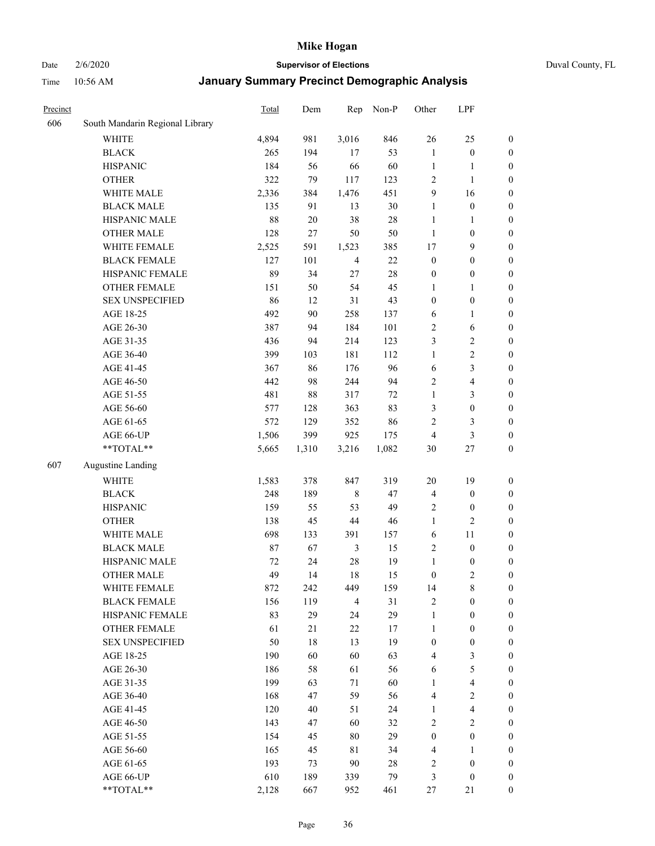## Date 2/6/2020 **Supervisor of Elections** Duval County, FL

| Precinct |                                 | <b>Total</b> | Dem    | Rep            | Non-P  | Other            | LPF                     |                  |
|----------|---------------------------------|--------------|--------|----------------|--------|------------------|-------------------------|------------------|
| 606      | South Mandarin Regional Library |              |        |                |        |                  |                         |                  |
|          | <b>WHITE</b>                    | 4,894        | 981    | 3,016          | 846    | 26               | 25                      | 0                |
|          | <b>BLACK</b>                    | 265          | 194    | 17             | 53     | $\mathbf{1}$     | $\boldsymbol{0}$        | 0                |
|          | <b>HISPANIC</b>                 | 184          | 56     | 66             | 60     | $\mathbf{1}$     | $\mathbf{1}$            | $\boldsymbol{0}$ |
|          | <b>OTHER</b>                    | 322          | 79     | 117            | 123    | $\overline{c}$   | $\mathbf{1}$            | $\boldsymbol{0}$ |
|          | WHITE MALE                      | 2,336        | 384    | 1,476          | 451    | 9                | 16                      | $\boldsymbol{0}$ |
|          | <b>BLACK MALE</b>               | 135          | 91     | 13             | 30     | $\mathbf{1}$     | $\boldsymbol{0}$        | $\boldsymbol{0}$ |
|          | HISPANIC MALE                   | 88           | $20\,$ | 38             | 28     | $\mathbf{1}$     | $\mathbf{1}$            | $\boldsymbol{0}$ |
|          | <b>OTHER MALE</b>               | 128          | 27     | 50             | 50     | $\mathbf{1}$     | $\boldsymbol{0}$        | $\boldsymbol{0}$ |
|          | WHITE FEMALE                    | 2,525        | 591    | 1,523          | 385    | 17               | $\mathbf{9}$            | $\boldsymbol{0}$ |
|          | <b>BLACK FEMALE</b>             | 127          | 101    | $\overline{4}$ | $22\,$ | $\boldsymbol{0}$ | $\boldsymbol{0}$        | 0                |
|          | HISPANIC FEMALE                 | 89           | 34     | 27             | 28     | $\boldsymbol{0}$ | $\boldsymbol{0}$        | 0                |
|          | <b>OTHER FEMALE</b>             | 151          | 50     | 54             | 45     | $\mathbf{1}$     | $\mathbf{1}$            | $\boldsymbol{0}$ |
|          | <b>SEX UNSPECIFIED</b>          | 86           | 12     | 31             | 43     | $\boldsymbol{0}$ | $\boldsymbol{0}$        | $\boldsymbol{0}$ |
|          | AGE 18-25                       | 492          | 90     | 258            | 137    | 6                | $\mathbf{1}$            | $\boldsymbol{0}$ |
|          | AGE 26-30                       | 387          | 94     | 184            | 101    | $\overline{c}$   | 6                       | $\boldsymbol{0}$ |
|          | AGE 31-35                       | 436          | 94     | 214            | 123    | 3                | $\sqrt{2}$              | $\boldsymbol{0}$ |
|          | AGE 36-40                       | 399          | 103    | 181            | 112    | $\mathbf{1}$     | $\sqrt{2}$              | $\boldsymbol{0}$ |
|          | AGE 41-45                       | 367          | 86     | 176            | 96     | 6                | $\mathfrak{Z}$          | $\boldsymbol{0}$ |
|          | AGE 46-50                       | 442          | 98     | 244            | 94     | $\overline{c}$   | $\overline{\mathbf{4}}$ | $\boldsymbol{0}$ |
|          | AGE 51-55                       | 481          | 88     | 317            | $72\,$ | $\mathbf{1}$     | $\mathfrak{Z}$          | $\boldsymbol{0}$ |
|          | AGE 56-60                       | 577          | 128    | 363            | 83     | 3                | $\boldsymbol{0}$        | 0                |
|          | AGE 61-65                       | 572          | 129    | 352            | 86     | $\overline{2}$   | 3                       | $\boldsymbol{0}$ |
|          | AGE 66-UP                       | 1,506        | 399    | 925            | 175    | $\overline{4}$   | $\mathfrak{Z}$          | $\boldsymbol{0}$ |
|          | **TOTAL**                       | 5,665        | 1,310  | 3,216          | 1,082  | 30               | $27\,$                  | $\boldsymbol{0}$ |
| 607      | <b>Augustine Landing</b>        |              |        |                |        |                  |                         |                  |
|          | <b>WHITE</b>                    | 1,583        | 378    | 847            | 319    | $20\,$           | 19                      | $\boldsymbol{0}$ |
|          | <b>BLACK</b>                    | 248          | 189    | $\,$ 8 $\,$    | 47     | 4                | $\boldsymbol{0}$        | $\boldsymbol{0}$ |
|          | <b>HISPANIC</b>                 | 159          | 55     | 53             | 49     | $\overline{c}$   | $\boldsymbol{0}$        | $\boldsymbol{0}$ |
|          | <b>OTHER</b>                    | 138          | 45     | $44\,$         | 46     | $\mathbf{1}$     | $\overline{2}$          | $\boldsymbol{0}$ |
|          | WHITE MALE                      | 698          | 133    | 391            | 157    | 6                | 11                      | $\boldsymbol{0}$ |
|          | <b>BLACK MALE</b>               | 87           | 67     | $\mathfrak{Z}$ | 15     | $\overline{c}$   | $\boldsymbol{0}$        | $\boldsymbol{0}$ |
|          | HISPANIC MALE                   | 72           | 24     | 28             | 19     | $\mathbf{1}$     | $\boldsymbol{0}$        | 0                |
|          | <b>OTHER MALE</b>               | 49           | 14     | 18             | 15     | $\boldsymbol{0}$ | $\overline{2}$          | $\boldsymbol{0}$ |
|          | WHITE FEMALE                    | 872          | 242    | 449            | 159    | 14               | 8                       | 0                |
|          | <b>BLACK FEMALE</b>             | 156          | 119    | $\overline{4}$ | 31     | $\sqrt{2}$       | $\boldsymbol{0}$        | $\boldsymbol{0}$ |
|          | HISPANIC FEMALE                 | 83           | 29     | 24             | 29     | $\mathbf{1}$     | $\boldsymbol{0}$        | $\overline{0}$   |
|          | OTHER FEMALE                    | 61           | 21     | $22\,$         | 17     | $\mathbf{1}$     | $\boldsymbol{0}$        | $\overline{0}$   |
|          | <b>SEX UNSPECIFIED</b>          | 50           | 18     | 13             | 19     | $\boldsymbol{0}$ | $\boldsymbol{0}$        | 0                |
|          | AGE 18-25                       | 190          | 60     | 60             | 63     | 4                | $\mathfrak{Z}$          | $\theta$         |
|          | AGE 26-30                       | 186          | 58     | 61             | 56     | 6                | $\sqrt{5}$              | 0                |
|          | AGE 31-35                       | 199          | 63     | 71             | 60     | $\mathbf{1}$     | $\overline{\mathbf{4}}$ | 0                |
|          | AGE 36-40                       | 168          | 47     | 59             | 56     | 4                | $\sqrt{2}$              | 0                |
|          | AGE 41-45                       | 120          | 40     | 51             | 24     | $\mathbf{1}$     | $\overline{\mathbf{4}}$ | 0                |
|          | AGE 46-50                       | 143          | 47     | 60             | 32     | $\overline{c}$   | $\sqrt{2}$              | 0                |
|          | AGE 51-55                       | 154          | 45     | 80             | 29     | $\boldsymbol{0}$ | $\boldsymbol{0}$        | $\overline{0}$   |
|          | AGE 56-60                       | 165          | 45     | 81             | 34     | 4                | 1                       | $\overline{0}$   |
|          | AGE 61-65                       | 193          | 73     | 90             | $28\,$ | $\overline{c}$   | $\boldsymbol{0}$        | $\overline{0}$   |
|          | AGE 66-UP                       | 610          | 189    | 339            | 79     | 3                | $\boldsymbol{0}$        | $\boldsymbol{0}$ |
|          | **TOTAL**                       | 2,128        | 667    | 952            | 461    | 27               | 21                      | $\boldsymbol{0}$ |
|          |                                 |              |        |                |        |                  |                         |                  |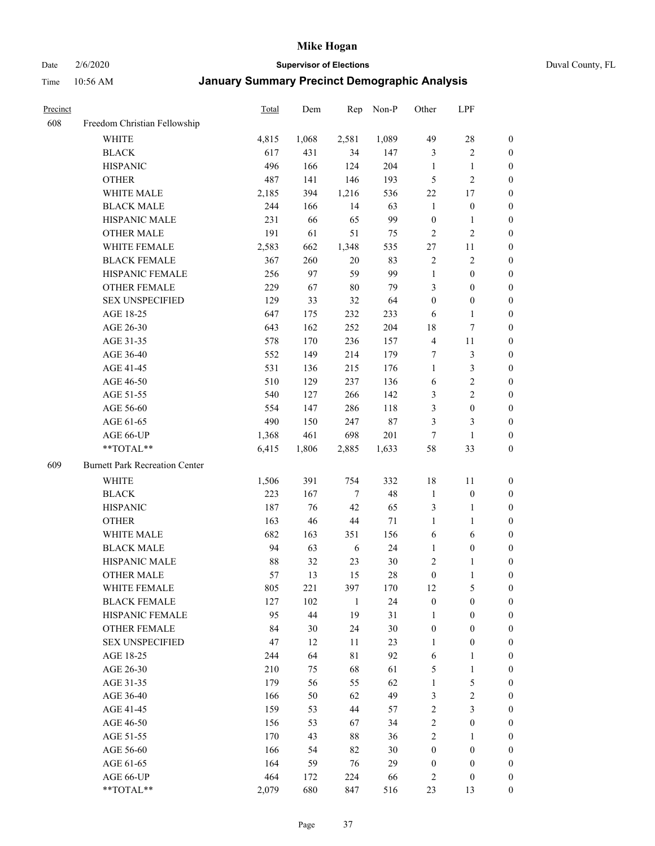Date 2/6/2020 **Supervisor of Elections** Duval County, FL

| Precinct |                                       | <b>Total</b> | Dem   | Rep         | Non-P     | Other                              | LPF               |                  |
|----------|---------------------------------------|--------------|-------|-------------|-----------|------------------------------------|-------------------|------------------|
| 608      | Freedom Christian Fellowship          |              |       |             |           |                                    |                   |                  |
|          | <b>WHITE</b>                          | 4,815        | 1,068 | 2,581       | 1,089     | 49                                 | $28\,$            | 0                |
|          | <b>BLACK</b>                          | 617          | 431   | 34          | 147       | 3                                  | $\sqrt{2}$        | 0                |
|          | <b>HISPANIC</b>                       | 496          | 166   | 124         | 204       | $\mathbf{1}$                       | $\mathbf{1}$      | $\boldsymbol{0}$ |
|          | <b>OTHER</b>                          | 487          | 141   | 146         | 193       | 5                                  | $\sqrt{2}$        | $\boldsymbol{0}$ |
|          | WHITE MALE                            | 2,185        | 394   | 1,216       | 536       | $22\,$                             | 17                | $\boldsymbol{0}$ |
|          | <b>BLACK MALE</b>                     | 244          | 166   | 14          | 63        | $\mathbf{1}$                       | $\boldsymbol{0}$  | $\boldsymbol{0}$ |
|          | HISPANIC MALE                         | 231          | 66    | 65          | 99        | $\boldsymbol{0}$                   | $\mathbf{1}$      | $\boldsymbol{0}$ |
|          | <b>OTHER MALE</b>                     | 191          | 61    | 51          | 75        | $\overline{2}$                     | $\overline{2}$    | $\boldsymbol{0}$ |
|          | WHITE FEMALE                          | 2,583        | 662   | 1,348       | 535       | 27                                 | 11                | $\boldsymbol{0}$ |
|          | <b>BLACK FEMALE</b>                   | 367          | 260   | $20\,$      | 83        | $\overline{c}$                     | $\sqrt{2}$        | 0                |
|          | HISPANIC FEMALE                       | 256          | 97    | 59          | 99        | $\mathbf{1}$                       | $\boldsymbol{0}$  | 0                |
|          | <b>OTHER FEMALE</b>                   | 229          | 67    | $80\,$      | 79        | 3                                  | $\boldsymbol{0}$  | 0                |
|          | <b>SEX UNSPECIFIED</b>                | 129          | 33    | 32          | 64        | $\boldsymbol{0}$                   | $\boldsymbol{0}$  | $\boldsymbol{0}$ |
|          | AGE 18-25                             | 647          | 175   | 232         | 233       | 6                                  | $\mathbf{1}$      | $\boldsymbol{0}$ |
|          | AGE 26-30                             | 643          | 162   | 252         | 204       | 18                                 | 7                 | $\boldsymbol{0}$ |
|          | AGE 31-35                             | 578          | 170   | 236         | 157       | $\overline{4}$                     | 11                | $\boldsymbol{0}$ |
|          | AGE 36-40                             | 552          | 149   | 214         | 179       | 7                                  | $\mathfrak{Z}$    | $\boldsymbol{0}$ |
|          | AGE 41-45                             | 531          | 136   | 215         | 176       | $\mathbf{1}$                       | $\mathfrak{Z}$    | $\boldsymbol{0}$ |
|          | AGE 46-50                             | 510          | 129   | 237         | 136       | 6                                  | $\sqrt{2}$        | $\boldsymbol{0}$ |
|          | AGE 51-55                             | 540          | 127   | 266         | 142       | 3                                  | $\sqrt{2}$        | $\boldsymbol{0}$ |
|          | AGE 56-60                             | 554          | 147   | 286         | 118       | 3                                  | $\boldsymbol{0}$  | 0                |
|          | AGE 61-65                             | 490          | 150   | 247         | $87\,$    | 3                                  | 3                 | 0                |
|          | AGE 66-UP                             | 1,368        | 461   | 698         | 201       | $\overline{7}$                     | $\mathbf{1}$      | $\boldsymbol{0}$ |
|          | **TOTAL**                             | 6,415        | 1,806 | 2,885       | 1,633     | 58                                 | 33                | $\boldsymbol{0}$ |
| 609      | <b>Burnett Park Recreation Center</b> |              |       |             |           |                                    |                   |                  |
|          | <b>WHITE</b>                          | 1,506        | 391   | 754         | 332       | 18                                 | 11                | $\boldsymbol{0}$ |
|          | <b>BLACK</b>                          | 223          | 167   | $\tau$      | 48        | $\mathbf{1}$                       | $\boldsymbol{0}$  | $\boldsymbol{0}$ |
|          | <b>HISPANIC</b>                       | 187          | 76    | 42          | 65        | 3                                  | $\mathbf{1}$      | $\boldsymbol{0}$ |
|          | <b>OTHER</b>                          |              | 46    | $44\,$      |           | $\mathbf{1}$                       |                   |                  |
|          | <b>WHITE MALE</b>                     | 163<br>682   | 163   |             | 71<br>156 | 6                                  | $\mathbf{1}$      | $\boldsymbol{0}$ |
|          | <b>BLACK MALE</b>                     | 94           | 63    | 351         | 24        | $\mathbf{1}$                       | 6                 | $\boldsymbol{0}$ |
|          | HISPANIC MALE                         | $88\,$       | 32    | 6           |           |                                    | $\boldsymbol{0}$  | $\boldsymbol{0}$ |
|          | <b>OTHER MALE</b>                     | 57           | 13    | 23<br>15    | 30<br>28  | $\overline{c}$<br>$\boldsymbol{0}$ | 1<br>$\mathbf{1}$ | 0<br>0           |
|          | WHITE FEMALE                          |              | 221   |             |           | 12                                 | 5                 | 0                |
|          | <b>BLACK FEMALE</b>                   | 805<br>127   | 102   | 397         | 170<br>24 |                                    | $\boldsymbol{0}$  | $\overline{0}$   |
|          | HISPANIC FEMALE                       | 95           | 44    | 1<br>19     | 31        | $\boldsymbol{0}$<br>$\mathbf{1}$   | $\boldsymbol{0}$  | $\overline{0}$   |
|          | <b>OTHER FEMALE</b>                   | 84           | 30    | 24          | 30        | $\boldsymbol{0}$                   | $\boldsymbol{0}$  | $\overline{0}$   |
|          | <b>SEX UNSPECIFIED</b>                | 47           | 12    | 11          | 23        | $\mathbf{1}$                       | $\boldsymbol{0}$  | 0                |
|          | AGE 18-25                             | 244          | 64    | $8\sqrt{1}$ | 92        | 6                                  | $\mathbf{1}$      | 0                |
|          | AGE 26-30                             | 210          | 75    | 68          | 61        | 5                                  | $\mathbf{1}$      | 0                |
|          | AGE 31-35                             | 179          | 56    | 55          | 62        | $\mathbf{1}$                       | $\mathfrak s$     | 0                |
|          | AGE 36-40                             | 166          | 50    | 62          | 49        | 3                                  | $\sqrt{2}$        | 0                |
|          | AGE 41-45                             | 159          | 53    | 44          | 57        | $\sqrt{2}$                         | $\mathfrak{Z}$    | 0                |
|          | AGE 46-50                             | 156          | 53    | 67          | 34        | $\sqrt{2}$                         | $\boldsymbol{0}$  | 0                |
|          | AGE 51-55                             | 170          | 43    | 88          | 36        | $\overline{2}$                     | 1                 | 0                |
|          | AGE 56-60                             | 166          | 54    | 82          | 30        | $\boldsymbol{0}$                   | $\boldsymbol{0}$  | 0                |
|          | AGE 61-65                             | 164          | 59    | 76          | 29        | $\boldsymbol{0}$                   | $\boldsymbol{0}$  | 0                |
|          | AGE 66-UP                             | 464          | 172   | 224         | 66        | 2                                  | $\boldsymbol{0}$  | 0                |
|          | **TOTAL**                             | 2,079        | 680   | 847         | 516       | 23                                 | 13                | $\boldsymbol{0}$ |
|          |                                       |              |       |             |           |                                    |                   |                  |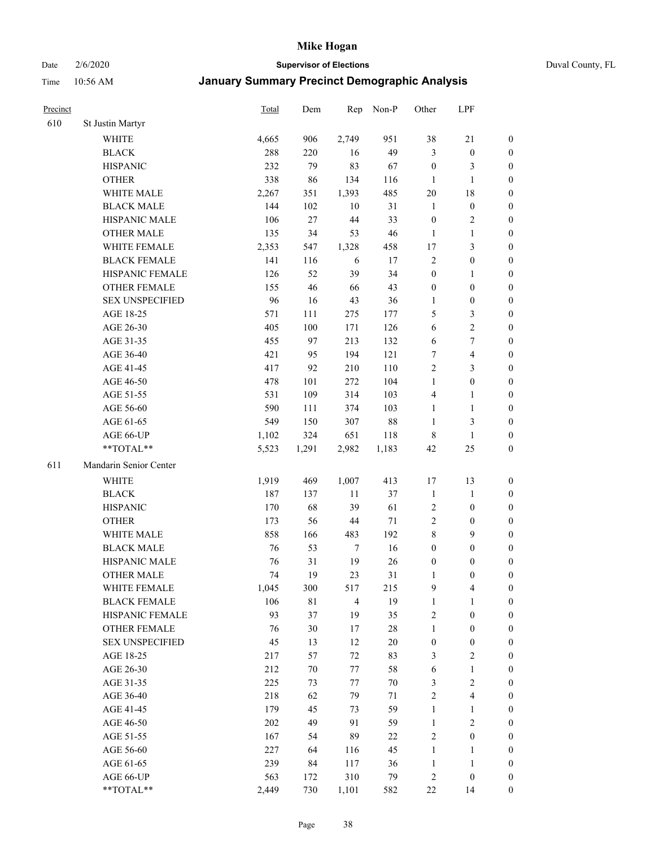Date 2/6/2020 **Supervisor of Elections** Duval County, FL

| Precinct |                        | <b>Total</b> | Dem    | Rep            | Non-P  | Other            | LPF                     |                  |
|----------|------------------------|--------------|--------|----------------|--------|------------------|-------------------------|------------------|
| 610      | St Justin Martyr       |              |        |                |        |                  |                         |                  |
|          | <b>WHITE</b>           | 4,665        | 906    | 2,749          | 951    | 38               | $21\,$                  | 0                |
|          | <b>BLACK</b>           | 288          | 220    | 16             | 49     | 3                | $\boldsymbol{0}$        | 0                |
|          | <b>HISPANIC</b>        | 232          | 79     | 83             | 67     | $\boldsymbol{0}$ | 3                       | $\boldsymbol{0}$ |
|          | <b>OTHER</b>           | 338          | 86     | 134            | 116    | 1                | $\mathbf{1}$            | $\boldsymbol{0}$ |
|          | WHITE MALE             | 2,267        | 351    | 1,393          | 485    | 20               | 18                      | $\boldsymbol{0}$ |
|          | <b>BLACK MALE</b>      | 144          | 102    | 10             | 31     | $\mathbf{1}$     | $\boldsymbol{0}$        | $\boldsymbol{0}$ |
|          | HISPANIC MALE          | 106          | 27     | $44\,$         | 33     | $\boldsymbol{0}$ | $\sqrt{2}$              | $\boldsymbol{0}$ |
|          | <b>OTHER MALE</b>      | 135          | 34     | 53             | 46     | $\mathbf{1}$     | $\mathbf{1}$            | $\boldsymbol{0}$ |
|          | WHITE FEMALE           | 2,353        | 547    | 1,328          | 458    | 17               | $\mathfrak{Z}$          | $\boldsymbol{0}$ |
|          | <b>BLACK FEMALE</b>    | 141          | 116    | 6              | 17     | $\overline{c}$   | $\boldsymbol{0}$        | 0                |
|          | HISPANIC FEMALE        | 126          | 52     | 39             | 34     | $\boldsymbol{0}$ | 1                       | 0                |
|          | <b>OTHER FEMALE</b>    | 155          | 46     | 66             | 43     | $\boldsymbol{0}$ | $\boldsymbol{0}$        | $\boldsymbol{0}$ |
|          | <b>SEX UNSPECIFIED</b> | 96           | 16     | 43             | 36     | $\mathbf{1}$     | $\boldsymbol{0}$        | $\boldsymbol{0}$ |
|          | AGE 18-25              | 571          | 111    | 275            | 177    | 5                | $\mathfrak{Z}$          | $\boldsymbol{0}$ |
|          | AGE 26-30              | 405          | 100    | 171            | 126    | 6                | $\sqrt{2}$              | $\boldsymbol{0}$ |
|          | AGE 31-35              | 455          | 97     | 213            | 132    | 6                | $\boldsymbol{7}$        | $\boldsymbol{0}$ |
|          | AGE 36-40              | 421          | 95     | 194            | 121    | 7                | $\overline{4}$          | $\boldsymbol{0}$ |
|          | AGE 41-45              | 417          | 92     | 210            | 110    | $\overline{2}$   | $\mathfrak{Z}$          | $\boldsymbol{0}$ |
|          | AGE 46-50              | 478          | 101    | 272            | 104    | $\mathbf{1}$     | $\boldsymbol{0}$        | $\boldsymbol{0}$ |
|          | AGE 51-55              | 531          | 109    | 314            | 103    | 4                | 1                       | 0                |
|          | AGE 56-60              | 590          | 111    | 374            | 103    | $\mathbf{1}$     | $\mathbf{1}$            | 0                |
|          | AGE 61-65              | 549          | 150    | 307            | $88\,$ | $\mathbf{1}$     | 3                       | 0                |
|          | AGE 66-UP              | 1,102        | 324    | 651            | 118    | $\,$ 8 $\,$      | $\mathbf{1}$            | $\boldsymbol{0}$ |
|          | **TOTAL**              | 5,523        | 1,291  | 2,982          | 1,183  | 42               | 25                      | $\boldsymbol{0}$ |
| 611      | Mandarin Senior Center |              |        |                |        |                  |                         |                  |
|          | <b>WHITE</b>           | 1,919        | 469    | 1,007          | 413    | 17               | 13                      | $\boldsymbol{0}$ |
|          | <b>BLACK</b>           | 187          | 137    | $11\,$         | 37     | $\mathbf{1}$     | $\mathbf{1}$            | $\boldsymbol{0}$ |
|          | <b>HISPANIC</b>        | 170          | 68     | 39             | 61     | $\overline{c}$   | $\boldsymbol{0}$        | $\boldsymbol{0}$ |
|          | <b>OTHER</b>           | 173          | 56     | $44\,$         | $71\,$ | $\sqrt{2}$       | $\boldsymbol{0}$        | $\boldsymbol{0}$ |
|          | WHITE MALE             | 858          | 166    | 483            | 192    | 8                | 9                       | $\boldsymbol{0}$ |
|          | <b>BLACK MALE</b>      | 76           | 53     | $\overline{7}$ | 16     | $\boldsymbol{0}$ | $\boldsymbol{0}$        | $\boldsymbol{0}$ |
|          | HISPANIC MALE          | 76           | 31     | 19             | $26\,$ | $\boldsymbol{0}$ | $\boldsymbol{0}$        | 0                |
|          | <b>OTHER MALE</b>      | 74           | 19     | 23             | 31     | 1                | $\boldsymbol{0}$        | $\boldsymbol{0}$ |
|          | WHITE FEMALE           | 1,045        | 300    | 517            | 215    | 9                | 4                       | 0                |
|          | <b>BLACK FEMALE</b>    | 106          | 81     | $\overline{4}$ | 19     | $\mathbf{1}$     | $\mathbf{1}$            | $\boldsymbol{0}$ |
|          | HISPANIC FEMALE        | 93           | 37     | 19             | 35     | $\sqrt{2}$       | $\boldsymbol{0}$        | $\overline{0}$   |
|          | OTHER FEMALE           | 76           | 30     | 17             | $28\,$ | $\mathbf{1}$     | $\boldsymbol{0}$        | $\overline{0}$   |
|          | <b>SEX UNSPECIFIED</b> | 45           | 13     | 12             | $20\,$ | $\boldsymbol{0}$ | $\boldsymbol{0}$        | 0                |
|          | AGE 18-25              | 217          | 57     | 72             | 83     | 3                | $\sqrt{2}$              | 0                |
|          | AGE 26-30              | 212          | $70\,$ | 77             | 58     | 6                | $\mathbf{1}$            | 0                |
|          | AGE 31-35              | 225          | 73     | $77\,$         | $70\,$ | 3                | $\sqrt{2}$              | 0                |
|          | AGE 36-40              | 218          | 62     | 79             | 71     | $\sqrt{2}$       | $\overline{\mathbf{4}}$ | 0                |
|          | AGE 41-45              | 179          | 45     | 73             | 59     | $\mathbf{1}$     | $\mathbf{1}$            | 0                |
|          | AGE 46-50              | 202          | 49     | 91             | 59     | $\mathbf{1}$     | $\sqrt{2}$              | 0                |
|          | AGE 51-55              | 167          | 54     | 89             | 22     | $\sqrt{2}$       | $\boldsymbol{0}$        | $\overline{0}$   |
|          | AGE 56-60              | 227          | 64     | 116            | 45     | $\mathbf{1}$     | 1                       | $\boldsymbol{0}$ |
|          | AGE 61-65              | 239          | 84     | 117            | 36     | $\mathbf{1}$     | $\mathbf{1}$            | $\boldsymbol{0}$ |
|          | AGE 66-UP              | 563          | 172    | 310            | 79     | $\overline{c}$   | $\boldsymbol{0}$        | $\boldsymbol{0}$ |
|          | **TOTAL**              | 2,449        | 730    | 1,101          | 582    | $22\,$           | 14                      | $\boldsymbol{0}$ |
|          |                        |              |        |                |        |                  |                         |                  |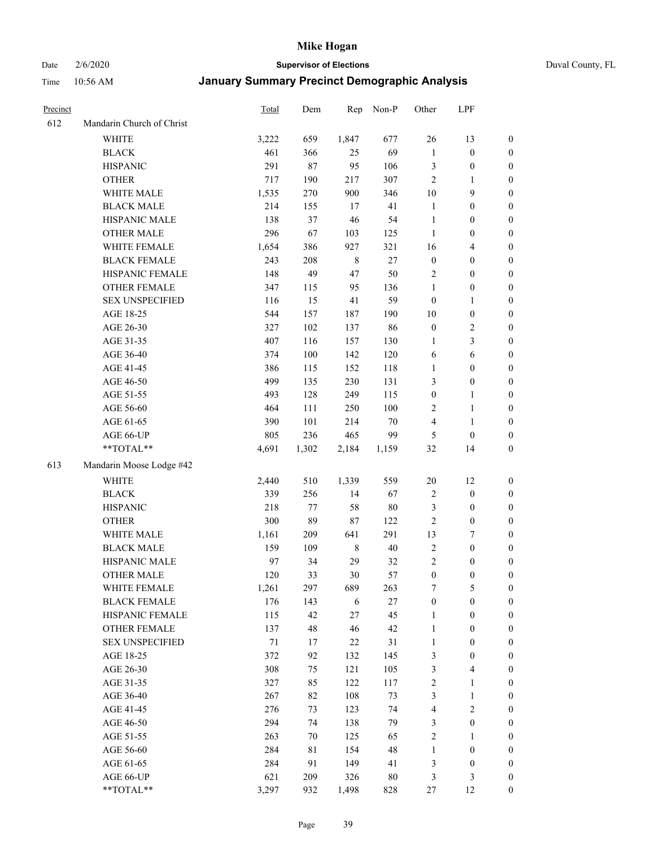Date 2/6/2020 **Supervisor of Elections** Duval County, FL

| Precinct |                           | <b>Total</b> | Dem   | Rep         | Non-P  | Other            | LPF                     |                  |
|----------|---------------------------|--------------|-------|-------------|--------|------------------|-------------------------|------------------|
| 612      | Mandarin Church of Christ |              |       |             |        |                  |                         |                  |
|          | <b>WHITE</b>              | 3,222        | 659   | 1,847       | 677    | 26               | 13                      | 0                |
|          | <b>BLACK</b>              | 461          | 366   | 25          | 69     | $\mathbf{1}$     | $\boldsymbol{0}$        | 0                |
|          | <b>HISPANIC</b>           | 291          | 87    | 95          | 106    | 3                | $\boldsymbol{0}$        | $\boldsymbol{0}$ |
|          | <b>OTHER</b>              | 717          | 190   | 217         | 307    | $\overline{2}$   | 1                       | $\boldsymbol{0}$ |
|          | WHITE MALE                | 1,535        | 270   | 900         | 346    | 10               | 9                       | $\boldsymbol{0}$ |
|          | <b>BLACK MALE</b>         | 214          | 155   | 17          | 41     | $\mathbf{1}$     | $\boldsymbol{0}$        | $\boldsymbol{0}$ |
|          | HISPANIC MALE             | 138          | 37    | 46          | 54     | $\mathbf{1}$     | $\boldsymbol{0}$        | $\boldsymbol{0}$ |
|          | <b>OTHER MALE</b>         | 296          | 67    | 103         | 125    | $\mathbf{1}$     | $\boldsymbol{0}$        | $\boldsymbol{0}$ |
|          | WHITE FEMALE              | 1,654        | 386   | 927         | 321    | 16               | $\overline{\mathbf{4}}$ | $\boldsymbol{0}$ |
|          | <b>BLACK FEMALE</b>       | 243          | 208   | $\,$ 8 $\,$ | $27\,$ | $\boldsymbol{0}$ | $\boldsymbol{0}$        | $\boldsymbol{0}$ |
|          | HISPANIC FEMALE           | 148          | 49    | 47          | 50     | $\overline{c}$   | $\boldsymbol{0}$        | 0                |
|          | <b>OTHER FEMALE</b>       | 347          | 115   | 95          | 136    | $\mathbf{1}$     | $\boldsymbol{0}$        | $\boldsymbol{0}$ |
|          | <b>SEX UNSPECIFIED</b>    | 116          | 15    | 41          | 59     | $\boldsymbol{0}$ | $\mathbf{1}$            | $\boldsymbol{0}$ |
|          | AGE 18-25                 | 544          | 157   | 187         | 190    | $10\,$           | $\boldsymbol{0}$        | $\boldsymbol{0}$ |
|          | AGE 26-30                 | 327          | 102   | 137         | 86     | $\boldsymbol{0}$ | $\sqrt{2}$              | $\boldsymbol{0}$ |
|          | AGE 31-35                 | 407          | 116   | 157         | 130    | $\mathbf{1}$     | $\mathfrak{Z}$          | $\boldsymbol{0}$ |
|          | AGE 36-40                 | 374          | 100   | 142         | 120    | 6                | $\boldsymbol{6}$        | $\boldsymbol{0}$ |
|          | AGE 41-45                 | 386          | 115   | 152         | 118    | $\mathbf{1}$     | $\boldsymbol{0}$        | $\boldsymbol{0}$ |
|          | AGE 46-50                 | 499          | 135   | 230         | 131    | 3                | $\boldsymbol{0}$        | $\boldsymbol{0}$ |
|          | AGE 51-55                 | 493          | 128   | 249         | 115    | $\boldsymbol{0}$ | 1                       | $\boldsymbol{0}$ |
|          | AGE 56-60                 | 464          | 111   | 250         | 100    | $\overline{c}$   | $\mathbf{1}$            | 0                |
|          | AGE 61-65                 | 390          | 101   | 214         | 70     | 4                | $\mathbf{1}$            | 0                |
|          | AGE 66-UP                 | 805          | 236   | 465         | 99     | 5                | $\boldsymbol{0}$        | $\boldsymbol{0}$ |
|          | **TOTAL**                 | 4,691        | 1,302 | 2,184       | 1,159  | 32               | 14                      | $\boldsymbol{0}$ |
| 613      | Mandarin Moose Lodge #42  |              |       |             |        |                  |                         |                  |
|          | <b>WHITE</b>              | 2,440        | 510   | 1,339       | 559    | $20\,$           | 12                      | $\boldsymbol{0}$ |
|          | <b>BLACK</b>              | 339          | 256   | 14          | 67     | $\boldsymbol{2}$ | $\boldsymbol{0}$        | $\boldsymbol{0}$ |
|          | <b>HISPANIC</b>           | 218          | 77    | 58          | 80     | 3                | $\boldsymbol{0}$        | $\boldsymbol{0}$ |
|          | <b>OTHER</b>              | 300          | 89    | $87\,$      | 122    | $\sqrt{2}$       | $\boldsymbol{0}$        | $\boldsymbol{0}$ |
|          | WHITE MALE                | 1,161        | 209   | 641         | 291    | 13               | $\boldsymbol{7}$        | $\boldsymbol{0}$ |
|          | <b>BLACK MALE</b>         | 159          | 109   | $\,$ 8 $\,$ | $40\,$ | $\sqrt{2}$       | $\boldsymbol{0}$        | $\boldsymbol{0}$ |
|          | HISPANIC MALE             | 97           | 34    | 29          | 32     | $\overline{c}$   | $\boldsymbol{0}$        | $\boldsymbol{0}$ |
|          | <b>OTHER MALE</b>         | 120          | 33    | $30\,$      | 57     | $\boldsymbol{0}$ | $\boldsymbol{0}$        | $\boldsymbol{0}$ |
|          | WHITE FEMALE              | 1,261        | 297   | 689         | 263    | 7                | 5                       | 0                |
|          | <b>BLACK FEMALE</b>       | 176          | 143   | 6           | 27     | $\boldsymbol{0}$ | $\boldsymbol{0}$        | $\overline{0}$   |
|          | HISPANIC FEMALE           | 115          | 42    | $27\,$      | 45     | $\mathbf{1}$     | $\boldsymbol{0}$        | $\overline{0}$   |
|          | <b>OTHER FEMALE</b>       | 137          | 48    | 46          | 42     | $\mathbf{1}$     | $\boldsymbol{0}$        | $\overline{0}$   |
|          | <b>SEX UNSPECIFIED</b>    | 71           | 17    | 22          | 31     | $\mathbf{1}$     | $\boldsymbol{0}$        | 0                |
|          | AGE 18-25                 | 372          | 92    | 132         | 145    | $\mathfrak{Z}$   | $\boldsymbol{0}$        | 0                |
|          | AGE 26-30                 | 308          | 75    | 121         | 105    | 3                | $\overline{\mathbf{4}}$ | 0                |
|          | AGE 31-35                 | 327          | 85    | 122         | 117    | $\sqrt{2}$       | $\mathbf{1}$            | 0                |
|          | AGE 36-40                 | 267          | 82    | 108         | 73     | 3                | $\mathbf{1}$            | 0                |
|          | AGE 41-45                 | 276          | 73    | 123         | 74     | $\overline{4}$   | $\overline{2}$          | 0                |
|          | AGE 46-50                 | 294          | 74    | 138         | 79     | 3                | $\boldsymbol{0}$        | 0                |
|          | AGE 51-55                 | 263          | 70    | 125         | 65     | $\sqrt{2}$       | $\mathbf{1}$            | 0                |
|          | AGE 56-60                 | 284          | 81    | 154         | 48     | $\mathbf{1}$     | $\boldsymbol{0}$        | $\boldsymbol{0}$ |
|          | AGE 61-65                 | 284          | 91    | 149         | 41     | 3                | $\boldsymbol{0}$        | $\overline{0}$   |
|          | AGE 66-UP                 | 621          | 209   | 326         | $80\,$ | 3                | $\mathfrak{Z}$          | 0                |
|          | **TOTAL**                 | 3,297        | 932   | 1,498       | 828    | 27               | 12                      | $\boldsymbol{0}$ |
|          |                           |              |       |             |        |                  |                         |                  |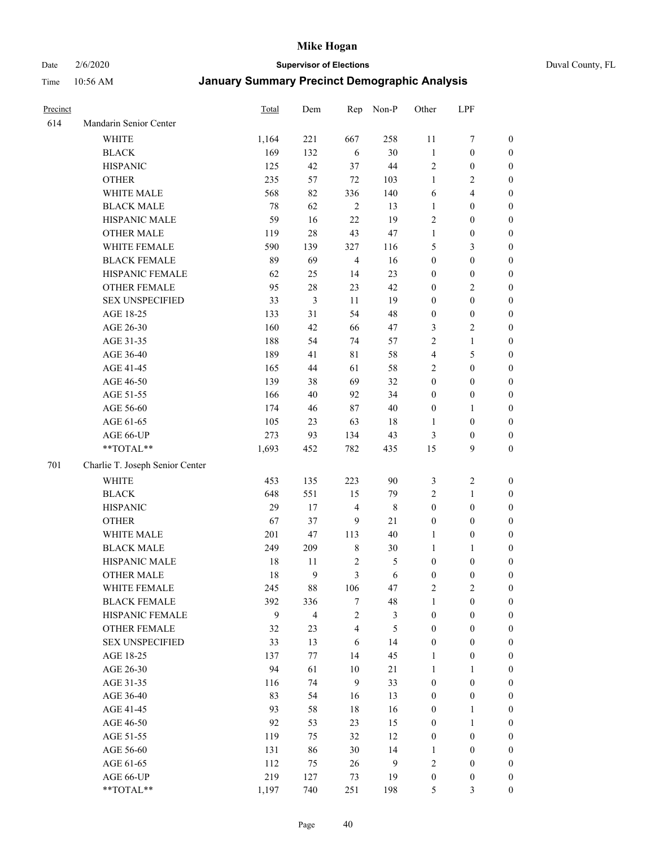# Date 2/6/2020 **Supervisor of Elections** Duval County, FL

| Precinct |                                 | Total  | Dem                     | Rep                     | Non-P       | Other            | LPF              |                  |
|----------|---------------------------------|--------|-------------------------|-------------------------|-------------|------------------|------------------|------------------|
| 614      | Mandarin Senior Center          |        |                         |                         |             |                  |                  |                  |
|          | <b>WHITE</b>                    | 1,164  | 221                     | 667                     | 258         | 11               | $\boldsymbol{7}$ | 0                |
|          | <b>BLACK</b>                    | 169    | 132                     | 6                       | 30          | $\mathbf{1}$     | $\boldsymbol{0}$ | $\boldsymbol{0}$ |
|          | <b>HISPANIC</b>                 | 125    | 42                      | 37                      | 44          | $\sqrt{2}$       | $\boldsymbol{0}$ | $\boldsymbol{0}$ |
|          | <b>OTHER</b>                    | 235    | 57                      | $72\,$                  | 103         | 1                | $\overline{c}$   | $\boldsymbol{0}$ |
|          | WHITE MALE                      | 568    | 82                      | 336                     | 140         | 6                | $\overline{4}$   | $\boldsymbol{0}$ |
|          | <b>BLACK MALE</b>               | $78\,$ | 62                      | $\sqrt{2}$              | 13          | $\mathbf{1}$     | $\boldsymbol{0}$ | $\boldsymbol{0}$ |
|          | HISPANIC MALE                   | 59     | 16                      | 22                      | 19          | $\overline{c}$   | $\boldsymbol{0}$ | $\boldsymbol{0}$ |
|          | <b>OTHER MALE</b>               | 119    | $28\,$                  | 43                      | 47          | $\mathbf{1}$     | $\boldsymbol{0}$ | $\boldsymbol{0}$ |
|          | WHITE FEMALE                    | 590    | 139                     | 327                     | 116         | 5                | $\mathfrak{Z}$   | $\boldsymbol{0}$ |
|          | <b>BLACK FEMALE</b>             | 89     | 69                      | $\overline{4}$          | 16          | $\boldsymbol{0}$ | $\boldsymbol{0}$ | $\boldsymbol{0}$ |
|          | HISPANIC FEMALE                 | 62     | 25                      | 14                      | 23          | $\boldsymbol{0}$ | $\boldsymbol{0}$ | 0                |
|          | <b>OTHER FEMALE</b>             | 95     | 28                      | 23                      | 42          | $\boldsymbol{0}$ | $\sqrt{2}$       | $\boldsymbol{0}$ |
|          | <b>SEX UNSPECIFIED</b>          | 33     | 3                       | 11                      | 19          | $\boldsymbol{0}$ | $\boldsymbol{0}$ | $\boldsymbol{0}$ |
|          | AGE 18-25                       | 133    | 31                      | 54                      | 48          | $\boldsymbol{0}$ | $\boldsymbol{0}$ | $\boldsymbol{0}$ |
|          | AGE 26-30                       | 160    | 42                      | 66                      | 47          | 3                | $\sqrt{2}$       | $\boldsymbol{0}$ |
|          | AGE 31-35                       | 188    | 54                      | 74                      | 57          | $\sqrt{2}$       | $\mathbf{1}$     | $\boldsymbol{0}$ |
|          | AGE 36-40                       | 189    | 41                      | $8\sqrt{1}$             | 58          | 4                | $\mathfrak s$    | $\boldsymbol{0}$ |
|          | AGE 41-45                       | 165    | 44                      | 61                      | 58          | 2                | $\boldsymbol{0}$ | $\boldsymbol{0}$ |
|          | AGE 46-50                       | 139    | 38                      | 69                      | 32          | $\boldsymbol{0}$ | $\boldsymbol{0}$ | $\boldsymbol{0}$ |
|          | AGE 51-55                       | 166    | 40                      | 92                      | 34          | $\boldsymbol{0}$ | $\boldsymbol{0}$ | $\boldsymbol{0}$ |
|          | AGE 56-60                       | 174    | 46                      | 87                      | 40          | $\boldsymbol{0}$ | 1                | 0                |
|          | AGE 61-65                       | 105    | 23                      | 63                      | 18          | $\mathbf{1}$     | $\boldsymbol{0}$ | 0                |
|          | AGE 66-UP                       | 273    | 93                      | 134                     | 43          | 3                | $\boldsymbol{0}$ | $\boldsymbol{0}$ |
|          | **TOTAL**                       | 1,693  | 452                     | 782                     | 435         | 15               | 9                | $\boldsymbol{0}$ |
|          |                                 |        |                         |                         |             |                  |                  |                  |
| 701      | Charlie T. Joseph Senior Center |        |                         |                         |             |                  |                  |                  |
|          | <b>WHITE</b>                    | 453    | 135                     | 223                     | 90          | 3                | $\boldsymbol{2}$ | $\boldsymbol{0}$ |
|          | <b>BLACK</b>                    | 648    | 551                     | 15                      | 79          | $\overline{c}$   | $\mathbf{1}$     | $\boldsymbol{0}$ |
|          | <b>HISPANIC</b>                 | 29     | 17                      | $\overline{\mathbf{4}}$ | $\,$ 8 $\,$ | $\boldsymbol{0}$ | $\boldsymbol{0}$ | $\boldsymbol{0}$ |
|          | <b>OTHER</b>                    | 67     | 37                      | 9                       | 21          | $\boldsymbol{0}$ | $\boldsymbol{0}$ | $\boldsymbol{0}$ |
|          | WHITE MALE                      | 201    | 47                      | 113                     | 40          | $\mathbf{1}$     | $\boldsymbol{0}$ | $\boldsymbol{0}$ |
|          | <b>BLACK MALE</b>               | 249    | 209                     | $\,$ 8 $\,$             | 30          | $\mathbf{1}$     | 1                | $\boldsymbol{0}$ |
|          | HISPANIC MALE                   | 18     | 11                      | $\sqrt{2}$              | 5           | $\boldsymbol{0}$ | $\boldsymbol{0}$ | 0                |
|          | <b>OTHER MALE</b>               | 18     | 9                       | 3                       | 6           | $\boldsymbol{0}$ | $\boldsymbol{0}$ | $\boldsymbol{0}$ |
|          | WHITE FEMALE                    | 245    | 88                      | 106                     | 47          | 2                | $\overline{c}$   | 0                |
|          | <b>BLACK FEMALE</b>             | 392    | 336                     | $\tau$                  | 48          | $\mathbf{1}$     | $\boldsymbol{0}$ | $\overline{0}$   |
|          | HISPANIC FEMALE                 | 9      | $\overline{\mathbf{4}}$ | $\sqrt{2}$              | 3           | $\boldsymbol{0}$ | $\boldsymbol{0}$ | $\overline{0}$   |
|          | <b>OTHER FEMALE</b>             | 32     | 23                      | $\overline{4}$          | 5           | $\boldsymbol{0}$ | $\boldsymbol{0}$ | $\overline{0}$   |
|          | <b>SEX UNSPECIFIED</b>          | 33     | 13                      | 6                       | 14          | $\boldsymbol{0}$ | $\boldsymbol{0}$ | $\overline{0}$   |
|          | AGE 18-25                       | 137    | 77                      | 14                      | 45          | $\mathbf{1}$     | $\boldsymbol{0}$ | $\overline{0}$   |
|          | AGE 26-30                       | 94     | 61                      | 10                      | 21          | $\mathbf{1}$     | $\mathbf{1}$     | $\overline{0}$   |
|          | AGE 31-35                       | 116    | 74                      | 9                       | 33          | $\boldsymbol{0}$ | $\boldsymbol{0}$ | 0                |
|          | AGE 36-40                       | 83     | 54                      | 16                      | 13          | $\boldsymbol{0}$ | $\boldsymbol{0}$ | 0                |
|          | AGE 41-45                       | 93     | 58                      | 18                      | 16          | $\boldsymbol{0}$ | $\mathbf{1}$     | 0                |
|          | AGE 46-50                       | 92     | 53                      | 23                      | 15          | $\boldsymbol{0}$ | $\mathbf{1}$     | 0                |
|          | AGE 51-55                       | 119    | 75                      | 32                      | 12          | $\boldsymbol{0}$ | $\boldsymbol{0}$ | $\overline{0}$   |
|          | AGE 56-60                       | 131    | 86                      | 30                      | 14          | 1                | $\boldsymbol{0}$ | $\overline{0}$   |
|          | AGE 61-65                       | 112    | 75                      | 26                      | 9           | $\overline{c}$   | $\boldsymbol{0}$ | $\overline{0}$   |
|          | AGE 66-UP                       | 219    | 127                     | 73                      | 19          | $\boldsymbol{0}$ | $\boldsymbol{0}$ | $\boldsymbol{0}$ |
|          | **TOTAL**                       | 1,197  | 740                     | 251                     | 198         | 5                | $\mathfrak{Z}$   | $\boldsymbol{0}$ |
|          |                                 |        |                         |                         |             |                  |                  |                  |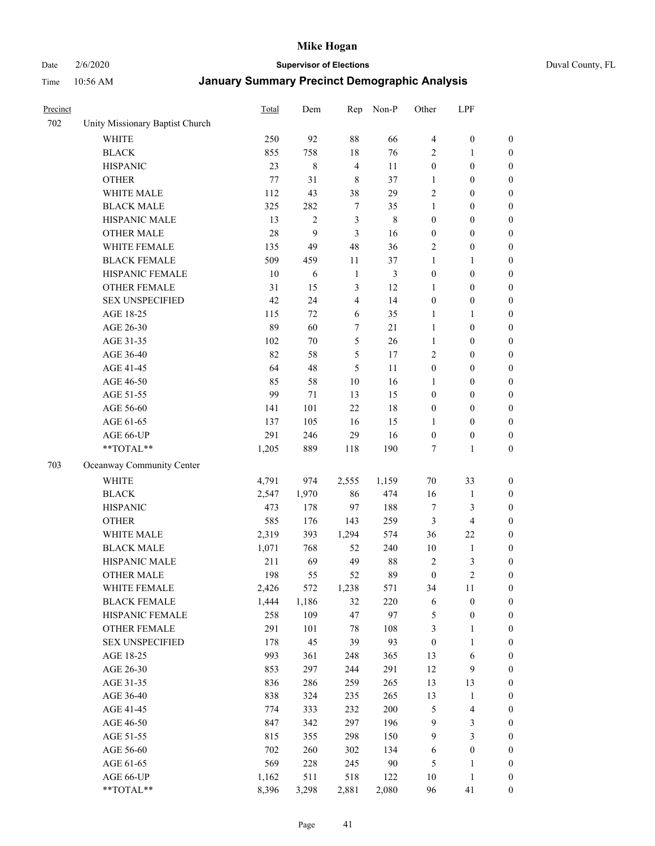#### Date 2/6/2020 **Supervisor of Elections** Duval County, FL

| Precinct |                                 | <b>Total</b> | Dem            | Rep            | Non-P       | Other            | LPF              |                  |
|----------|---------------------------------|--------------|----------------|----------------|-------------|------------------|------------------|------------------|
| 702      | Unity Missionary Baptist Church |              |                |                |             |                  |                  |                  |
|          | <b>WHITE</b>                    | 250          | 92             | 88             | 66          | $\overline{4}$   | $\boldsymbol{0}$ | $\boldsymbol{0}$ |
|          | <b>BLACK</b>                    | 855          | 758            | 18             | 76          | 2                | 1                | $\boldsymbol{0}$ |
|          | <b>HISPANIC</b>                 | 23           | 8              | $\overline{4}$ | 11          | $\boldsymbol{0}$ | $\boldsymbol{0}$ | $\boldsymbol{0}$ |
|          | <b>OTHER</b>                    | 77           | 31             | $\,$ 8 $\,$    | 37          | 1                | $\boldsymbol{0}$ | $\boldsymbol{0}$ |
|          | WHITE MALE                      | 112          | 43             | 38             | 29          | $\overline{c}$   | $\boldsymbol{0}$ | $\boldsymbol{0}$ |
|          | <b>BLACK MALE</b>               | 325          | 282            | $\tau$         | 35          | 1                | $\boldsymbol{0}$ | $\boldsymbol{0}$ |
|          | HISPANIC MALE                   | 13           | $\overline{c}$ | 3              | $\,$ 8 $\,$ | $\boldsymbol{0}$ | $\boldsymbol{0}$ | $\boldsymbol{0}$ |
|          | <b>OTHER MALE</b>               | 28           | 9              | 3              | 16          | $\boldsymbol{0}$ | $\boldsymbol{0}$ | $\boldsymbol{0}$ |
|          | WHITE FEMALE                    | 135          | 49             | 48             | 36          | $\overline{2}$   | $\boldsymbol{0}$ | $\boldsymbol{0}$ |
|          | <b>BLACK FEMALE</b>             | 509          | 459            | 11             | 37          | $\mathbf{1}$     | 1                | $\boldsymbol{0}$ |
|          | HISPANIC FEMALE                 | 10           | 6              | $\mathbf{1}$   | 3           | $\boldsymbol{0}$ | $\boldsymbol{0}$ | $\boldsymbol{0}$ |
|          | <b>OTHER FEMALE</b>             | 31           | 15             | $\mathfrak{Z}$ | 12          | 1                | $\boldsymbol{0}$ | $\boldsymbol{0}$ |
|          | <b>SEX UNSPECIFIED</b>          | 42           | 24             | $\overline{4}$ | 14          | $\boldsymbol{0}$ | $\boldsymbol{0}$ | $\boldsymbol{0}$ |
|          | AGE 18-25                       | 115          | 72             | 6              | 35          | 1                | 1                | $\boldsymbol{0}$ |
|          | AGE 26-30                       | 89           | 60             | 7              | 21          | $\mathbf{1}$     | $\boldsymbol{0}$ | $\boldsymbol{0}$ |
|          | AGE 31-35                       | 102          | 70             | $\sqrt{5}$     | 26          | $\mathbf{1}$     | $\boldsymbol{0}$ | $\boldsymbol{0}$ |
|          | AGE 36-40                       | 82           | 58             | $\mathfrak s$  | 17          | $\overline{2}$   | $\boldsymbol{0}$ | $\boldsymbol{0}$ |
|          | AGE 41-45                       | 64           | 48             | 5              | 11          | $\boldsymbol{0}$ | $\boldsymbol{0}$ | $\boldsymbol{0}$ |
|          | AGE 46-50                       | 85           | 58             | $10\,$         | 16          | $\mathbf{1}$     | $\boldsymbol{0}$ | $\boldsymbol{0}$ |
|          | AGE 51-55                       | 99           | 71             | 13             | 15          | $\boldsymbol{0}$ | $\boldsymbol{0}$ | $\boldsymbol{0}$ |
|          | AGE 56-60                       | 141          | 101            | 22             | 18          | $\boldsymbol{0}$ | $\boldsymbol{0}$ | 0                |
|          | AGE 61-65                       | 137          | 105            | 16             | 15          | 1                | $\boldsymbol{0}$ | $\boldsymbol{0}$ |
|          | AGE 66-UP                       | 291          | 246            | 29             | 16          | $\boldsymbol{0}$ | $\boldsymbol{0}$ | $\boldsymbol{0}$ |
|          | **TOTAL**                       | 1,205        | 889            | 118            | 190         | 7                | $\mathbf{1}$     | $\boldsymbol{0}$ |
| 703      | Oceanway Community Center       |              |                |                |             |                  |                  |                  |
|          | <b>WHITE</b>                    | 4,791        | 974            | 2,555          | 1,159       | $70\,$           | 33               | $\boldsymbol{0}$ |
|          | <b>BLACK</b>                    | 2,547        | 1,970          | 86             | 474         | 16               | $\mathbf{1}$     | $\boldsymbol{0}$ |
|          | <b>HISPANIC</b>                 | 473          | 178            | 97             | 188         | 7                | 3                | $\boldsymbol{0}$ |
|          | <b>OTHER</b>                    | 585          | 176            | 143            | 259         | $\mathfrak{Z}$   | $\overline{4}$   | $\boldsymbol{0}$ |
|          | WHITE MALE                      | 2,319        | 393            | 1,294          | 574         | 36               | 22               | $\boldsymbol{0}$ |
|          | <b>BLACK MALE</b>               | 1,071        | 768            | 52             | 240         | $10\,$           | $\mathbf{1}$     | $\boldsymbol{0}$ |
|          | HISPANIC MALE                   | 211          | 69             | 49             | $88\,$      | $\sqrt{2}$       | 3                | $\boldsymbol{0}$ |
|          | <b>OTHER MALE</b>               | 198          | 55             | 52             | 89          | $\boldsymbol{0}$ | $\overline{2}$   | $\boldsymbol{0}$ |
|          | WHITE FEMALE                    | 2,426        | 572            | 1,238          | 571         | 34               | 11               | 0                |
|          | <b>BLACK FEMALE</b>             | 1,444        | 1,186          | 32             | 220         | 6                | $\boldsymbol{0}$ | $\boldsymbol{0}$ |
|          | HISPANIC FEMALE                 | 258          | 109            | 47             | 97          | 5                | $\boldsymbol{0}$ | $\boldsymbol{0}$ |
|          | OTHER FEMALE                    | 291          | 101            | 78             | 108         | 3                | $\mathbf{1}$     | $\overline{0}$   |
|          | <b>SEX UNSPECIFIED</b>          | 178          | 45             | 39             | 93          | $\boldsymbol{0}$ | $\mathbf{1}$     | 0                |
|          | AGE 18-25                       | 993          | 361            | 248            | 365         | 13               | 6                | 0                |
|          | AGE 26-30                       | 853          | 297            | 244            | 291         | 12               | $\mathbf{9}$     | 0                |
|          | AGE 31-35                       | 836          | 286            | 259            | 265         | 13               | 13               | 0                |
|          | AGE 36-40                       | 838          | 324            | 235            | 265         | 13               | $\mathbf{1}$     | 0                |
|          | AGE 41-45                       | 774          | 333            | 232            | 200         | 5                | $\overline{4}$   | 0                |
|          | AGE 46-50                       | 847          | 342            | 297            | 196         | 9                | 3                | 0                |
|          | AGE 51-55                       | 815          | 355            | 298            | 150         | 9                | $\mathfrak{Z}$   | $\boldsymbol{0}$ |
|          | AGE 56-60                       | 702          | 260            | 302            | 134         | 6                | $\boldsymbol{0}$ | $\boldsymbol{0}$ |
|          | AGE 61-65                       | 569          | 228            | 245            | 90          | 5                | $\mathbf{1}$     | $\boldsymbol{0}$ |
|          | AGE 66-UP                       | 1,162        | 511            | 518            | 122         | 10               | $\mathbf{1}$     | $\boldsymbol{0}$ |
|          | **TOTAL**                       | 8,396        | 3,298          | 2,881          | 2,080       | 96               | 41               | $\boldsymbol{0}$ |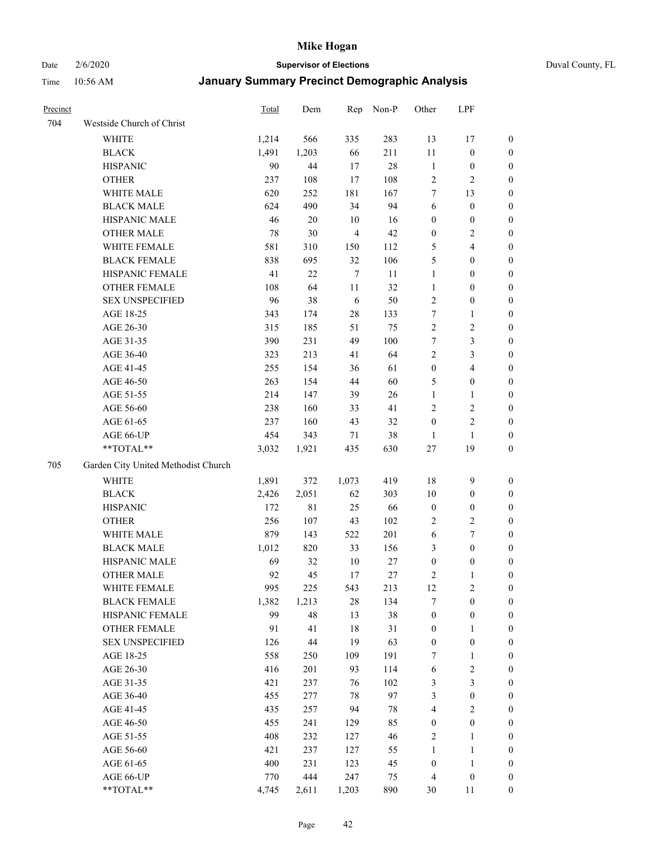# Date 2/6/2020 **Supervisor of Elections** Duval County, FL

| Precinct |                                     | <b>Total</b> | Dem   | Rep            | Non-P  | Other            | LPF                     |                  |
|----------|-------------------------------------|--------------|-------|----------------|--------|------------------|-------------------------|------------------|
| 704      | Westside Church of Christ           |              |       |                |        |                  |                         |                  |
|          | <b>WHITE</b>                        | 1,214        | 566   | 335            | 283    | 13               | 17                      | 0                |
|          | <b>BLACK</b>                        | 1,491        | 1,203 | 66             | 211    | $11\,$           | $\boldsymbol{0}$        | 0                |
|          | <b>HISPANIC</b>                     | 90           | 44    | 17             | $28\,$ | $\,1\,$          | $\boldsymbol{0}$        | 0                |
|          | <b>OTHER</b>                        | 237          | 108   | 17             | 108    | $\overline{c}$   | $\overline{2}$          | $\boldsymbol{0}$ |
|          | WHITE MALE                          | 620          | 252   | 181            | 167    | 7                | 13                      | $\boldsymbol{0}$ |
|          | <b>BLACK MALE</b>                   | 624          | 490   | 34             | 94     | 6                | $\boldsymbol{0}$        | $\boldsymbol{0}$ |
|          | HISPANIC MALE                       | 46           | 20    | 10             | 16     | $\boldsymbol{0}$ | $\boldsymbol{0}$        | $\boldsymbol{0}$ |
|          | <b>OTHER MALE</b>                   | 78           | 30    | $\overline{4}$ | 42     | $\boldsymbol{0}$ | $\overline{c}$          | $\boldsymbol{0}$ |
|          | WHITE FEMALE                        | 581          | 310   | 150            | 112    | 5                | $\overline{\mathbf{4}}$ | $\boldsymbol{0}$ |
|          | <b>BLACK FEMALE</b>                 | 838          | 695   | 32             | 106    | 5                | $\boldsymbol{0}$        | $\boldsymbol{0}$ |
|          | HISPANIC FEMALE                     | 41           | 22    | $\overline{7}$ | 11     | $\mathbf{1}$     | $\boldsymbol{0}$        | 0                |
|          | <b>OTHER FEMALE</b>                 | 108          | 64    | 11             | 32     | $\mathbf{1}$     | $\boldsymbol{0}$        | 0                |
|          | <b>SEX UNSPECIFIED</b>              | 96           | 38    | 6              | 50     | $\sqrt{2}$       | $\boldsymbol{0}$        | $\boldsymbol{0}$ |
|          | AGE 18-25                           | 343          | 174   | $28\,$         | 133    | 7                | 1                       | $\boldsymbol{0}$ |
|          | AGE 26-30                           | 315          | 185   | 51             | 75     | $\overline{c}$   | $\sqrt{2}$              | $\boldsymbol{0}$ |
|          | AGE 31-35                           | 390          | 231   | 49             | 100    | $\boldsymbol{7}$ | $\mathfrak{Z}$          | $\boldsymbol{0}$ |
|          | AGE 36-40                           | 323          | 213   | 41             | 64     | $\overline{2}$   | $\mathfrak{Z}$          | $\boldsymbol{0}$ |
|          | AGE 41-45                           | 255          | 154   | 36             | 61     | $\boldsymbol{0}$ | $\overline{\mathbf{4}}$ | $\boldsymbol{0}$ |
|          | AGE 46-50                           | 263          | 154   | 44             | 60     | 5                | $\boldsymbol{0}$        | $\boldsymbol{0}$ |
|          | AGE 51-55                           | 214          | 147   | 39             | 26     | $\mathbf{1}$     | 1                       | $\boldsymbol{0}$ |
|          | AGE 56-60                           | 238          | 160   | 33             | 41     | $\overline{c}$   | $\sqrt{2}$              | 0                |
|          | AGE 61-65                           | 237          | 160   | 43             | 32     | $\boldsymbol{0}$ | $\sqrt{2}$              | 0                |
|          | AGE 66-UP                           | 454          | 343   | 71             | 38     | 1                | $\mathbf{1}$            | $\boldsymbol{0}$ |
|          | **TOTAL**                           | 3,032        | 1,921 | 435            | 630    | $27\,$           | 19                      | $\boldsymbol{0}$ |
| 705      | Garden City United Methodist Church |              |       |                |        |                  |                         |                  |
|          | <b>WHITE</b>                        | 1,891        | 372   | 1,073          | 419    | 18               | $\mathbf{9}$            | $\boldsymbol{0}$ |
|          | <b>BLACK</b>                        | 2,426        | 2,051 | 62             | 303    | 10               | $\boldsymbol{0}$        | $\boldsymbol{0}$ |
|          | <b>HISPANIC</b>                     | 172          | 81    | 25             | 66     | $\boldsymbol{0}$ | $\boldsymbol{0}$        | $\boldsymbol{0}$ |
|          | <b>OTHER</b>                        | 256          | 107   | 43             | 102    | $\overline{c}$   | $\sqrt{2}$              | $\boldsymbol{0}$ |
|          | WHITE MALE                          | 879          | 143   | 522            | 201    | 6                | $\boldsymbol{7}$        | $\boldsymbol{0}$ |
|          | <b>BLACK MALE</b>                   | 1,012        | 820   | 33             | 156    | 3                | $\boldsymbol{0}$        | $\boldsymbol{0}$ |
|          | HISPANIC MALE                       | 69           | 32    | 10             | 27     | $\boldsymbol{0}$ | $\boldsymbol{0}$        | 0                |
|          | <b>OTHER MALE</b>                   | 92           | 45    | 17             | $27\,$ | 2                | $\mathbf{1}$            | 0                |
|          | WHITE FEMALE                        | 995          | 225   | 543            | 213    | 12               | $\overline{c}$          | 0                |
|          | <b>BLACK FEMALE</b>                 | 1,382        | 1,213 | $28\,$         | 134    | 7                | $\boldsymbol{0}$        | $\boldsymbol{0}$ |
|          | HISPANIC FEMALE                     | 99           | 48    | 13             | 38     | $\boldsymbol{0}$ | $\boldsymbol{0}$        | $\overline{0}$   |
|          | <b>OTHER FEMALE</b>                 | 91           | 41    | 18             | 31     | $\boldsymbol{0}$ | $\mathbf{1}$            | $\overline{0}$   |
|          | <b>SEX UNSPECIFIED</b>              | 126          | 44    | 19             | 63     | $\boldsymbol{0}$ | $\boldsymbol{0}$        | 0                |
|          | AGE 18-25                           | 558          | 250   | 109            | 191    | 7                | $\mathbf{1}$            | 0                |
|          | AGE 26-30                           | 416          | 201   | 93             | 114    | 6                | $\sqrt{2}$              | 0                |
|          | AGE 31-35                           | 421          | 237   | 76             | 102    | 3                | $\mathfrak{Z}$          | 0                |
|          | AGE 36-40                           | 455          | 277   | 78             | 97     | 3                | $\boldsymbol{0}$        | 0                |
|          | AGE 41-45                           | 435          | 257   | 94             | $78\,$ | $\overline{4}$   | $\overline{2}$          | 0                |
|          | AGE 46-50                           | 455          | 241   | 129            | 85     | $\boldsymbol{0}$ | $\boldsymbol{0}$        | 0                |
|          | AGE 51-55                           | 408          | 232   | 127            | 46     | $\sqrt{2}$       | $\mathbf{1}$            | $\boldsymbol{0}$ |
|          | AGE 56-60                           | 421          | 237   | 127            | 55     | 1                | $\mathbf{1}$            | $\boldsymbol{0}$ |
|          | AGE 61-65                           | 400          | 231   | 123            | 45     | $\boldsymbol{0}$ | $\mathbf{1}$            | $\overline{0}$   |
|          | AGE 66-UP                           | 770          | 444   | 247            | 75     | $\overline{4}$   | $\boldsymbol{0}$        | $\boldsymbol{0}$ |
|          | **TOTAL**                           | 4,745        | 2,611 | 1,203          | 890    | 30               | 11                      | $\boldsymbol{0}$ |
|          |                                     |              |       |                |        |                  |                         |                  |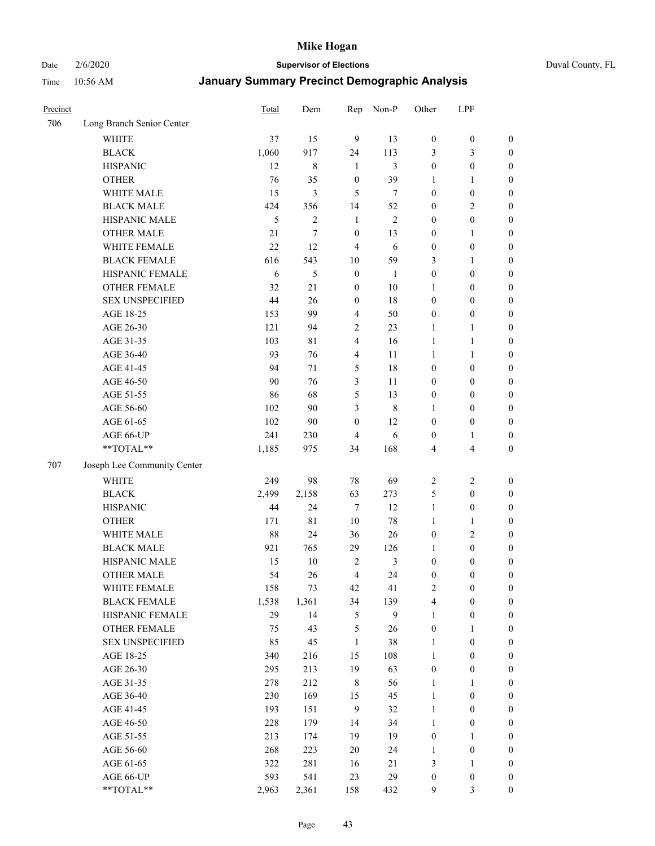Date 2/6/2020 **Supervisor of Elections** Duval County, FL

| Precinct |                             | Total         | Dem            | Rep                     | Non-P          | Other                            | LPF                                  |                                      |
|----------|-----------------------------|---------------|----------------|-------------------------|----------------|----------------------------------|--------------------------------------|--------------------------------------|
| 706      | Long Branch Senior Center   |               |                |                         |                |                                  |                                      |                                      |
|          | <b>WHITE</b>                | 37            | 15             | 9                       | 13             | $\boldsymbol{0}$                 | $\boldsymbol{0}$                     | $\boldsymbol{0}$                     |
|          | <b>BLACK</b>                | 1,060         | 917            | 24                      | 113            | 3                                | 3                                    | $\boldsymbol{0}$                     |
|          | <b>HISPANIC</b>             | 12            | 8              | 1                       | 3              | $\boldsymbol{0}$                 | $\boldsymbol{0}$                     | $\boldsymbol{0}$                     |
|          | <b>OTHER</b>                | 76            | 35             | $\boldsymbol{0}$        | 39             | 1                                | 1                                    | $\boldsymbol{0}$                     |
|          | WHITE MALE                  | 15            | 3              | 5                       | $\tau$         | $\boldsymbol{0}$                 | $\boldsymbol{0}$                     | $\boldsymbol{0}$                     |
|          | <b>BLACK MALE</b>           | 424           | 356            | 14                      | 52             | $\boldsymbol{0}$                 | $\sqrt{2}$                           | $\boldsymbol{0}$                     |
|          | HISPANIC MALE               | $\mathfrak s$ | $\overline{c}$ | $\mathbf{1}$            | $\mathfrak{2}$ | $\boldsymbol{0}$                 | $\boldsymbol{0}$                     | $\boldsymbol{0}$                     |
|          | <b>OTHER MALE</b>           | 21            | 7              | $\boldsymbol{0}$        | 13             | $\boldsymbol{0}$                 | 1                                    | $\boldsymbol{0}$                     |
|          | WHITE FEMALE                | 22            | 12             | $\overline{4}$          | 6              | $\boldsymbol{0}$                 | $\boldsymbol{0}$                     | $\boldsymbol{0}$                     |
|          | <b>BLACK FEMALE</b>         | 616           | 543            | 10                      | 59             | 3                                | $\mathbf{1}$                         | 0                                    |
|          | HISPANIC FEMALE             | 6             | 5              | $\boldsymbol{0}$        | 1              | $\boldsymbol{0}$                 | $\boldsymbol{0}$                     | $\boldsymbol{0}$                     |
|          | <b>OTHER FEMALE</b>         | 32            | 21             | $\boldsymbol{0}$        | $10\,$         | $\mathbf{1}$                     | $\boldsymbol{0}$                     | $\boldsymbol{0}$                     |
|          | <b>SEX UNSPECIFIED</b>      | 44            | 26             | $\boldsymbol{0}$        | 18             | $\boldsymbol{0}$                 | $\boldsymbol{0}$                     | $\boldsymbol{0}$                     |
|          | AGE 18-25                   | 153           | 99             | $\overline{4}$          | 50             | $\boldsymbol{0}$                 | $\boldsymbol{0}$                     | $\boldsymbol{0}$                     |
|          | AGE 26-30                   | 121           | 94             | $\overline{2}$          | 23             | $\mathbf{1}$                     | $\mathbf{1}$                         | $\boldsymbol{0}$                     |
|          | AGE 31-35                   | 103           | 81             | $\overline{\mathbf{4}}$ | 16             | $\mathbf{1}$                     | $\mathbf{1}$                         | $\boldsymbol{0}$                     |
|          | AGE 36-40                   | 93            | 76             | $\overline{4}$          | 11             | $\mathbf{1}$                     | $\mathbf{1}$                         | $\boldsymbol{0}$                     |
|          | AGE 41-45                   | 94            | 71             | 5                       | 18             | $\boldsymbol{0}$                 | $\boldsymbol{0}$                     | $\boldsymbol{0}$                     |
|          | AGE 46-50                   | 90            | 76             | $\mathfrak{Z}$          | 11             | $\boldsymbol{0}$                 | $\boldsymbol{0}$                     | $\boldsymbol{0}$                     |
|          | AGE 51-55                   | 86            | 68             | 5                       | 13             | $\boldsymbol{0}$                 | $\boldsymbol{0}$                     | $\boldsymbol{0}$                     |
|          | AGE 56-60                   | 102           | 90             | 3                       | $\,$ 8 $\,$    | 1                                | $\boldsymbol{0}$                     | $\boldsymbol{0}$                     |
|          | AGE 61-65                   | 102           | 90             | $\boldsymbol{0}$        | 12             | $\boldsymbol{0}$                 | $\boldsymbol{0}$                     | $\boldsymbol{0}$                     |
|          | AGE 66-UP                   | 241           | 230            | $\overline{4}$          | 6              | $\boldsymbol{0}$                 | 1                                    | $\boldsymbol{0}$                     |
|          | **TOTAL**                   | 1,185         | 975            | 34                      | 168            | 4                                | $\overline{\mathbf{4}}$              | $\boldsymbol{0}$                     |
| 707      | Joseph Lee Community Center |               |                |                         |                |                                  |                                      |                                      |
|          | <b>WHITE</b>                | 249           | 98             | $78\,$                  | 69             | $\sqrt{2}$                       | $\sqrt{2}$                           | $\boldsymbol{0}$                     |
|          | <b>BLACK</b>                | 2,499         | 2,158          | 63                      | 273            | 5                                | $\boldsymbol{0}$                     | $\boldsymbol{0}$                     |
|          | <b>HISPANIC</b>             | 44            | 24             | $\overline{7}$          | 12             | $\mathbf{1}$                     | $\boldsymbol{0}$                     | $\boldsymbol{0}$                     |
|          | <b>OTHER</b>                | 171           | $8\sqrt{1}$    | $10\,$                  | 78             | $\mathbf{1}$                     | $\mathbf{1}$                         | $\boldsymbol{0}$                     |
|          | WHITE MALE                  | 88            | 24             | 36                      | 26             | $\boldsymbol{0}$                 | $\overline{2}$                       | $\boldsymbol{0}$                     |
|          | <b>BLACK MALE</b>           | 921           | 765            | 29                      | 126            | 1                                | $\boldsymbol{0}$                     | $\boldsymbol{0}$                     |
|          | HISPANIC MALE               | 15            | 10             | $\overline{c}$          | 3              | $\boldsymbol{0}$                 | $\boldsymbol{0}$                     | 0                                    |
|          | <b>OTHER MALE</b>           | 54            | 26             | $\overline{4}$          | 24             | $\boldsymbol{0}$                 | $\boldsymbol{0}$                     | $\boldsymbol{0}$                     |
|          | WHITE FEMALE                |               | 73             | 42                      | 41             | 2                                | $\boldsymbol{0}$                     | $\boldsymbol{0}$                     |
|          | <b>BLACK FEMALE</b>         | 158<br>1,538  | 1,361          |                         | 139            | 4                                |                                      | $\boldsymbol{0}$                     |
|          | HISPANIC FEMALE             | 29            | 14             | 34<br>$\mathfrak s$     | 9              | $\mathbf{1}$                     | $\boldsymbol{0}$<br>$\boldsymbol{0}$ | $\boldsymbol{0}$                     |
|          | <b>OTHER FEMALE</b>         | 75            | 43             | $\mathfrak s$           | 26             | $\boldsymbol{0}$                 | $\mathbf{1}$                         | $\overline{0}$                       |
|          | <b>SEX UNSPECIFIED</b>      | 85            | 45             | $\mathbf{1}$            | 38             | $\mathbf{1}$                     | $\boldsymbol{0}$                     | $\overline{0}$                       |
|          | AGE 18-25                   | 340           | 216            | 15                      | 108            | $\mathbf{1}$                     | $\boldsymbol{0}$                     | $\theta$                             |
|          | AGE 26-30                   | 295           | 213            | 19                      | 63             | $\boldsymbol{0}$                 | $\boldsymbol{0}$                     | 0                                    |
|          | AGE 31-35                   | 278           | 212            | $\,$ 8 $\,$             | 56             | $\mathbf{1}$                     | $\mathbf{1}$                         | 0                                    |
|          | AGE 36-40                   | 230           | 169            | 15                      | 45             | $\mathbf{1}$                     | $\boldsymbol{0}$                     | 0                                    |
|          | AGE 41-45                   | 193           | 151            | 9                       | 32             | $\mathbf{1}$                     | $\boldsymbol{0}$                     | 0                                    |
|          | AGE 46-50                   | 228           | 179            | 14                      | 34             | $\mathbf{1}$                     | $\boldsymbol{0}$                     | $\boldsymbol{0}$                     |
|          |                             |               |                |                         |                |                                  |                                      |                                      |
|          | AGE 51-55<br>AGE 56-60      | 213<br>268    | 174<br>223     | 19<br>20                | 19<br>24       | $\boldsymbol{0}$<br>$\mathbf{1}$ | 1<br>$\boldsymbol{0}$                | $\boldsymbol{0}$<br>$\boldsymbol{0}$ |
|          | AGE 61-65                   | 322           | 281            | 16                      | 21             | 3                                | $\mathbf{1}$                         | $\boldsymbol{0}$                     |
|          | AGE 66-UP                   | 593           | 541            | 23                      | 29             | $\boldsymbol{0}$                 | $\boldsymbol{0}$                     | $\boldsymbol{0}$                     |
|          | **TOTAL**                   | 2,963         | 2,361          | 158                     | 432            | 9                                | 3                                    | $\boldsymbol{0}$                     |
|          |                             |               |                |                         |                |                                  |                                      |                                      |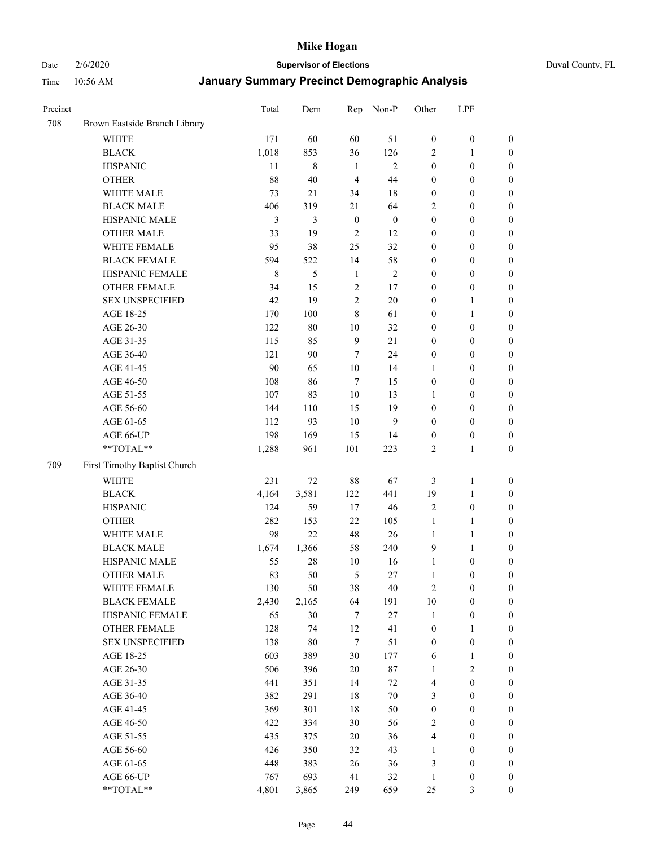Date 2/6/2020 **Supervisor of Elections** Duval County, FL

| Precinct |                               | Total | Dem           | Rep              | Non-P            | Other            | LPF              |                  |
|----------|-------------------------------|-------|---------------|------------------|------------------|------------------|------------------|------------------|
| 708      | Brown Eastside Branch Library |       |               |                  |                  |                  |                  |                  |
|          | <b>WHITE</b>                  | 171   | 60            | 60               | 51               | $\boldsymbol{0}$ | $\boldsymbol{0}$ | $\boldsymbol{0}$ |
|          | <b>BLACK</b>                  | 1,018 | 853           | 36               | 126              | 2                | $\mathbf{1}$     | $\boldsymbol{0}$ |
|          | <b>HISPANIC</b>               | 11    | $\,$ 8 $\,$   | $\mathbf{1}$     | $\overline{2}$   | $\boldsymbol{0}$ | $\boldsymbol{0}$ | $\boldsymbol{0}$ |
|          | <b>OTHER</b>                  | 88    | 40            | $\overline{4}$   | 44               | $\boldsymbol{0}$ | $\boldsymbol{0}$ | $\boldsymbol{0}$ |
|          | WHITE MALE                    | 73    | 21            | 34               | 18               | $\boldsymbol{0}$ | $\boldsymbol{0}$ | $\boldsymbol{0}$ |
|          | <b>BLACK MALE</b>             | 406   | 319           | 21               | 64               | 2                | $\boldsymbol{0}$ | $\boldsymbol{0}$ |
|          | HISPANIC MALE                 | 3     | 3             | $\boldsymbol{0}$ | $\boldsymbol{0}$ | $\boldsymbol{0}$ | $\boldsymbol{0}$ | $\boldsymbol{0}$ |
|          | <b>OTHER MALE</b>             | 33    | 19            | $\sqrt{2}$       | 12               | 0                | $\boldsymbol{0}$ | $\boldsymbol{0}$ |
|          | WHITE FEMALE                  | 95    | 38            | 25               | 32               | 0                | $\boldsymbol{0}$ | $\boldsymbol{0}$ |
|          | <b>BLACK FEMALE</b>           | 594   | 522           | 14               | 58               | $\boldsymbol{0}$ | $\boldsymbol{0}$ | 0                |
|          | HISPANIC FEMALE               | 8     | $\mathfrak s$ | $\mathbf{1}$     | $\sqrt{2}$       | 0                | $\boldsymbol{0}$ | $\boldsymbol{0}$ |
|          | <b>OTHER FEMALE</b>           | 34    | 15            | 2                | 17               | 0                | $\boldsymbol{0}$ | $\boldsymbol{0}$ |
|          | <b>SEX UNSPECIFIED</b>        | 42    | 19            | $\overline{c}$   | 20               | 0                | 1                | $\boldsymbol{0}$ |
|          | AGE 18-25                     | 170   | 100           | 8                | 61               | 0                | $\mathbf{1}$     | $\boldsymbol{0}$ |
|          | AGE 26-30                     | 122   | 80            | 10               | 32               | 0                | $\boldsymbol{0}$ | $\boldsymbol{0}$ |
|          | AGE 31-35                     | 115   | 85            | $\mathbf{9}$     | 21               | 0                | $\boldsymbol{0}$ | $\boldsymbol{0}$ |
|          | AGE 36-40                     | 121   | 90            | $\tau$           | 24               | 0                | $\boldsymbol{0}$ | $\boldsymbol{0}$ |
|          | AGE 41-45                     | 90    | 65            | $10\,$           | 14               | 1                | $\boldsymbol{0}$ | $\boldsymbol{0}$ |
|          | AGE 46-50                     | 108   | 86            | $\tau$           | 15               | $\boldsymbol{0}$ | $\boldsymbol{0}$ | $\boldsymbol{0}$ |
|          | AGE 51-55                     | 107   | 83            | 10               | 13               | 1                | $\boldsymbol{0}$ | 0                |
|          | AGE 56-60                     | 144   | 110           | 15               | 19               | $\boldsymbol{0}$ | $\boldsymbol{0}$ | $\boldsymbol{0}$ |
|          | AGE 61-65                     | 112   | 93            | 10               | 9                | $\boldsymbol{0}$ | $\boldsymbol{0}$ | $\boldsymbol{0}$ |
|          | AGE 66-UP                     | 198   | 169           | 15               | 14               | $\boldsymbol{0}$ | $\boldsymbol{0}$ | $\boldsymbol{0}$ |
|          | **TOTAL**                     | 1,288 | 961           | 101              | 223              | 2                | $\mathbf{1}$     | $\boldsymbol{0}$ |
| 709      | First Timothy Baptist Church  |       |               |                  |                  |                  |                  |                  |
|          | <b>WHITE</b>                  | 231   | 72            | 88               | 67               | 3                | $\mathbf{1}$     | $\boldsymbol{0}$ |
|          | <b>BLACK</b>                  | 4,164 | 3,581         | 122              | 441              | 19               | $\mathbf{1}$     | $\boldsymbol{0}$ |
|          | <b>HISPANIC</b>               | 124   | 59            | 17               | 46               | $\overline{c}$   | $\boldsymbol{0}$ | $\boldsymbol{0}$ |
|          | <b>OTHER</b>                  | 282   | 153           | 22               | 105              | $\mathbf{1}$     | $\mathbf{1}$     | $\boldsymbol{0}$ |
|          | WHITE MALE                    | 98    | 22            | 48               | 26               | $\mathbf{1}$     | $\mathbf{1}$     | $\boldsymbol{0}$ |
|          | <b>BLACK MALE</b>             | 1,674 | 1,366         | 58               | 240              | 9                | $\mathbf{1}$     | $\boldsymbol{0}$ |
|          | HISPANIC MALE                 | 55    | 28            | 10               | 16               | $\mathbf{1}$     | $\boldsymbol{0}$ | 0                |
|          | <b>OTHER MALE</b>             | 83    | 50            | 5                | $27\,$           | $\mathbf{1}$     | $\boldsymbol{0}$ | $\boldsymbol{0}$ |
|          | WHITE FEMALE                  | 130   | 50            | 38               | 40               | 2                | $\boldsymbol{0}$ | $\boldsymbol{0}$ |
|          | <b>BLACK FEMALE</b>           | 2,430 | 2,165         | 64               | 191              | $10\,$           | $\boldsymbol{0}$ | $\boldsymbol{0}$ |
|          | HISPANIC FEMALE               | 65    | 30            | $\tau$           | $27\,$           | 1                | $\boldsymbol{0}$ | $\overline{0}$   |
|          | OTHER FEMALE                  | 128   | 74            | 12               | 41               | $\boldsymbol{0}$ | $\mathbf{1}$     | 0                |
|          | <b>SEX UNSPECIFIED</b>        | 138   | 80            | 7                | 51               | $\boldsymbol{0}$ | $\boldsymbol{0}$ | 0                |
|          | AGE 18-25                     | 603   | 389           | 30               | 177              | 6                | $\mathbf{1}$     | 0                |
|          | AGE 26-30                     | 506   | 396           | $20\,$           | $87\,$           | 1                | $\sqrt{2}$       | 0                |
|          | AGE 31-35                     | 441   | 351           | 14               | 72               | 4                | $\boldsymbol{0}$ | 0                |
|          | AGE 36-40                     | 382   | 291           | 18               | $70\,$           | 3                | $\boldsymbol{0}$ | 0                |
|          | AGE 41-45                     | 369   | 301           | 18               | 50               | $\boldsymbol{0}$ | $\boldsymbol{0}$ | 0                |
|          | AGE 46-50                     | 422   | 334           | 30               | 56               | 2                | $\boldsymbol{0}$ | 0                |
|          | AGE 51-55                     | 435   | 375           | 20               | 36               | 4                | $\boldsymbol{0}$ | $\boldsymbol{0}$ |
|          | AGE 56-60                     | 426   | 350           | 32               | 43               | 1                | $\boldsymbol{0}$ | $\boldsymbol{0}$ |
|          | AGE 61-65                     | 448   | 383           | 26               | 36               | 3                | $\boldsymbol{0}$ | 0                |
|          | AGE 66-UP                     | 767   | 693           | 41               | 32               | $\mathbf{1}$     | $\boldsymbol{0}$ | 0                |
|          | **TOTAL**                     | 4,801 | 3,865         | 249              | 659              | 25               | 3                | $\boldsymbol{0}$ |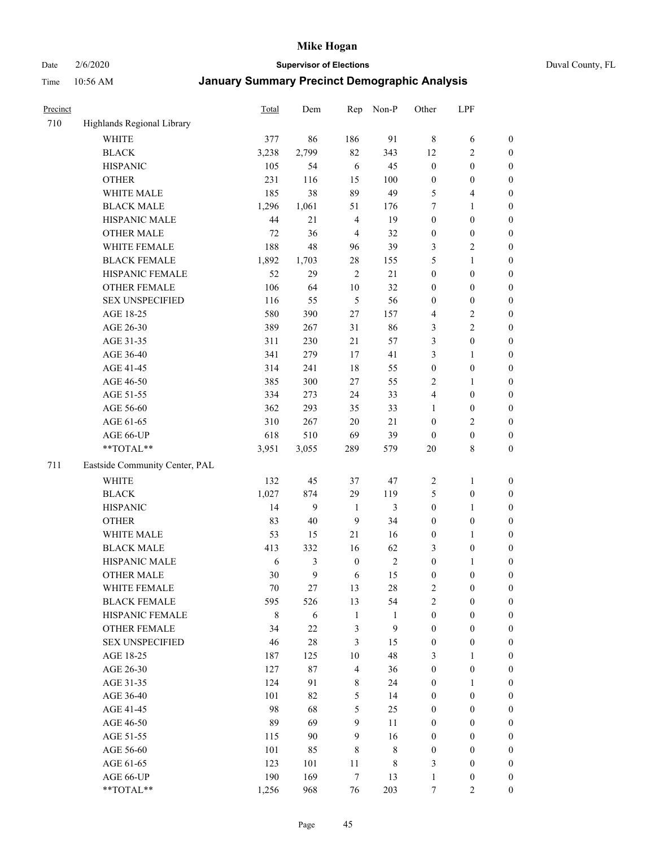Date 2/6/2020 **Supervisor of Elections** Duval County, FL

| Precinct |                                | <b>Total</b> | Dem    | Rep                     | Non-P        | Other            | LPF              |                  |
|----------|--------------------------------|--------------|--------|-------------------------|--------------|------------------|------------------|------------------|
| 710      | Highlands Regional Library     |              |        |                         |              |                  |                  |                  |
|          | <b>WHITE</b>                   | 377          | 86     | 186                     | 91           | $\,$ 8 $\,$      | 6                | 0                |
|          | <b>BLACK</b>                   | 3,238        | 2,799  | 82                      | 343          | 12               | $\sqrt{2}$       | $\boldsymbol{0}$ |
|          | <b>HISPANIC</b>                | 105          | 54     | 6                       | 45           | $\boldsymbol{0}$ | $\boldsymbol{0}$ | $\boldsymbol{0}$ |
|          | <b>OTHER</b>                   | 231          | 116    | 15                      | 100          | $\boldsymbol{0}$ | $\boldsymbol{0}$ | $\boldsymbol{0}$ |
|          | WHITE MALE                     | 185          | 38     | 89                      | 49           | 5                | $\overline{4}$   | $\boldsymbol{0}$ |
|          | <b>BLACK MALE</b>              | 1,296        | 1,061  | 51                      | 176          | 7                | $\mathbf{1}$     | $\boldsymbol{0}$ |
|          | HISPANIC MALE                  | 44           | 21     | $\overline{4}$          | 19           | $\boldsymbol{0}$ | $\boldsymbol{0}$ | $\boldsymbol{0}$ |
|          | <b>OTHER MALE</b>              | 72           | 36     | $\overline{4}$          | 32           | $\boldsymbol{0}$ | $\boldsymbol{0}$ | $\boldsymbol{0}$ |
|          | WHITE FEMALE                   | 188          | 48     | 96                      | 39           | 3                | $\overline{2}$   | $\boldsymbol{0}$ |
|          | <b>BLACK FEMALE</b>            | 1,892        | 1,703  | 28                      | 155          | 5                | $\mathbf{1}$     | $\boldsymbol{0}$ |
|          | HISPANIC FEMALE                | 52           | 29     | $\overline{2}$          | 21           | $\boldsymbol{0}$ | $\boldsymbol{0}$ | $\boldsymbol{0}$ |
|          | <b>OTHER FEMALE</b>            | 106          | 64     | 10                      | 32           | $\boldsymbol{0}$ | $\boldsymbol{0}$ | $\boldsymbol{0}$ |
|          | <b>SEX UNSPECIFIED</b>         | 116          | 55     | 5                       | 56           | $\boldsymbol{0}$ | $\boldsymbol{0}$ | $\boldsymbol{0}$ |
|          | AGE 18-25                      | 580          | 390    | $27\,$                  | 157          | 4                | $\sqrt{2}$       | $\boldsymbol{0}$ |
|          | AGE 26-30                      | 389          | 267    | 31                      | 86           | 3                | $\sqrt{2}$       | $\boldsymbol{0}$ |
|          | AGE 31-35                      | 311          | 230    | 21                      | 57           | 3                | $\boldsymbol{0}$ | $\boldsymbol{0}$ |
|          | AGE 36-40                      | 341          | 279    | 17                      | 41           | 3                | $\mathbf{1}$     | $\boldsymbol{0}$ |
|          | AGE 41-45                      | 314          | 241    | 18                      | 55           | $\boldsymbol{0}$ | $\boldsymbol{0}$ | $\boldsymbol{0}$ |
|          | AGE 46-50                      | 385          | 300    | 27                      | 55           | 2                | 1                | $\boldsymbol{0}$ |
|          | AGE 51-55                      | 334          | 273    | 24                      | 33           | 4                | $\boldsymbol{0}$ | $\boldsymbol{0}$ |
|          | AGE 56-60                      | 362          | 293    | 35                      | 33           | 1                | $\boldsymbol{0}$ | 0                |
|          | AGE 61-65                      | 310          | 267    | 20                      | 21           | $\boldsymbol{0}$ | $\overline{c}$   | 0                |
|          | AGE 66-UP                      | 618          | 510    | 69                      | 39           | $\boldsymbol{0}$ | $\boldsymbol{0}$ | $\boldsymbol{0}$ |
|          | **TOTAL**                      | 3,951        | 3,055  | 289                     | 579          | 20               | $\,$ 8 $\,$      | $\boldsymbol{0}$ |
| 711      | Eastside Community Center, PAL |              |        |                         |              |                  |                  |                  |
|          |                                |              |        |                         |              |                  |                  |                  |
|          | <b>WHITE</b>                   | 132          | 45     | 37                      | 47           | $\overline{c}$   | $\mathbf{1}$     | $\boldsymbol{0}$ |
|          | <b>BLACK</b>                   | 1,027        | 874    | 29                      | 119          | 5                | $\boldsymbol{0}$ | $\boldsymbol{0}$ |
|          | <b>HISPANIC</b>                | 14           | 9      | $\mathbf{1}$            | 3            | $\boldsymbol{0}$ | $\mathbf{1}$     | $\boldsymbol{0}$ |
|          | <b>OTHER</b>                   | 83           | 40     | 9                       | 34           | $\boldsymbol{0}$ | $\boldsymbol{0}$ | $\boldsymbol{0}$ |
|          | WHITE MALE                     | 53           | 15     | 21                      | 16           | $\boldsymbol{0}$ | $\mathbf{1}$     | $\boldsymbol{0}$ |
|          | <b>BLACK MALE</b>              | 413          | 332    | 16                      | 62           | 3                | $\boldsymbol{0}$ | $\boldsymbol{0}$ |
|          | HISPANIC MALE                  | 6            | 3      | $\boldsymbol{0}$        | $\sqrt{2}$   | $\boldsymbol{0}$ | 1                | $\boldsymbol{0}$ |
|          | <b>OTHER MALE</b>              | 30           | 9      | 6                       | 15           | $\boldsymbol{0}$ | $\boldsymbol{0}$ | $\boldsymbol{0}$ |
|          | WHITE FEMALE                   | 70           | 27     | 13                      | 28           | 2                | $\boldsymbol{0}$ | 0                |
|          | <b>BLACK FEMALE</b>            | 595          | 526    | 13                      | 54           | $\overline{c}$   | $\boldsymbol{0}$ | $\overline{0}$   |
|          | HISPANIC FEMALE                | 8            | 6      | $\mathbf{1}$            | $\mathbf{1}$ | $\boldsymbol{0}$ | $\boldsymbol{0}$ | $\overline{0}$   |
|          | <b>OTHER FEMALE</b>            | 34           | $22\,$ | 3                       | 9            | $\boldsymbol{0}$ | $\boldsymbol{0}$ | $\overline{0}$   |
|          | <b>SEX UNSPECIFIED</b>         | 46           | $28\,$ | 3                       | 15           | $\boldsymbol{0}$ | $\boldsymbol{0}$ | $\overline{0}$   |
|          | AGE 18-25                      | 187          | 125    | 10                      | 48           | 3                | $\mathbf{1}$     | $\theta$         |
|          | AGE 26-30                      | 127          | $87\,$ | $\overline{\mathbf{4}}$ | 36           | $\boldsymbol{0}$ | $\boldsymbol{0}$ | $\overline{0}$   |
|          | AGE 31-35                      | 124          | 91     | $\,$ 8 $\,$             | 24           | $\boldsymbol{0}$ | $\mathbf{1}$     | 0                |
|          | AGE 36-40                      | 101          | 82     | 5                       | 14           | $\boldsymbol{0}$ | $\boldsymbol{0}$ | 0                |
|          | AGE 41-45                      | 98           | 68     | 5                       | 25           | $\boldsymbol{0}$ | $\boldsymbol{0}$ | 0                |
|          | AGE 46-50                      | 89           | 69     | 9                       | 11           | $\boldsymbol{0}$ | $\boldsymbol{0}$ | 0                |
|          | AGE 51-55                      | 115          | 90     | 9                       | 16           | $\boldsymbol{0}$ | $\boldsymbol{0}$ | $\overline{0}$   |
|          | AGE 56-60                      | 101          | 85     | $\,$ 8 $\,$             | $\,$ 8 $\,$  | $\boldsymbol{0}$ | $\boldsymbol{0}$ | $\overline{0}$   |
|          | AGE 61-65                      | 123          | 101    | 11                      | 8            | 3                | $\boldsymbol{0}$ | $\overline{0}$   |
|          | AGE 66-UP                      | 190          | 169    | $\boldsymbol{7}$        | 13           | $\mathbf{1}$     | $\boldsymbol{0}$ | $\boldsymbol{0}$ |
|          | **TOTAL**                      | 1,256        | 968    | 76                      | 203          | $\boldsymbol{7}$ | $\overline{c}$   | $\boldsymbol{0}$ |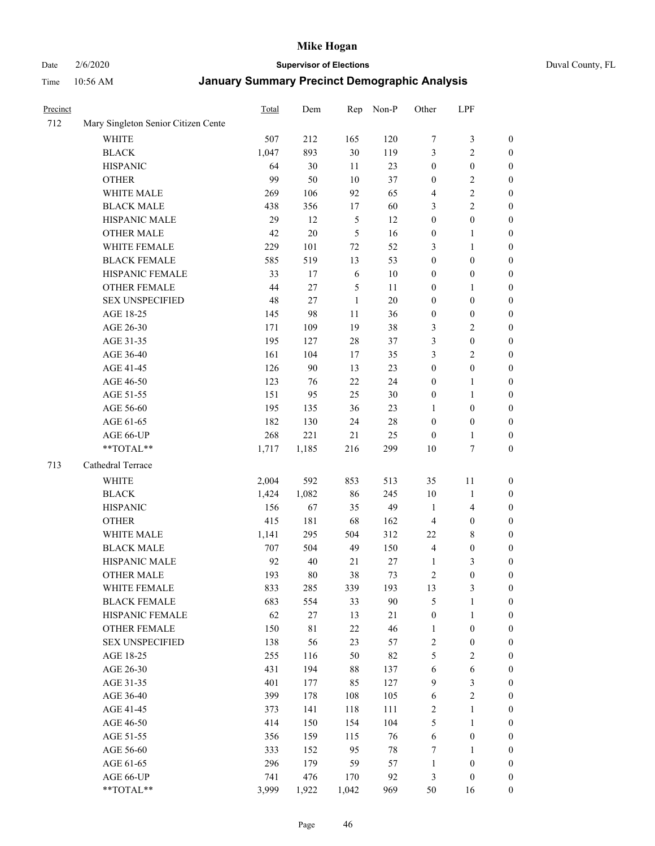Date 2/6/2020 **Supervisor of Elections** Duval County, FL

| Precinct |                                     | <b>Total</b> | Dem    | Rep            | Non-P  | Other            | LPF              |                  |
|----------|-------------------------------------|--------------|--------|----------------|--------|------------------|------------------|------------------|
| 712      | Mary Singleton Senior Citizen Cente |              |        |                |        |                  |                  |                  |
|          | <b>WHITE</b>                        | 507          | 212    | 165            | 120    | 7                | $\mathfrak{Z}$   | $\boldsymbol{0}$ |
|          | <b>BLACK</b>                        | 1,047        | 893    | 30             | 119    | 3                | $\sqrt{2}$       | $\boldsymbol{0}$ |
|          | <b>HISPANIC</b>                     | 64           | 30     | 11             | 23     | $\boldsymbol{0}$ | $\boldsymbol{0}$ | $\boldsymbol{0}$ |
|          | <b>OTHER</b>                        | 99           | 50     | 10             | 37     | $\boldsymbol{0}$ | $\sqrt{2}$       | $\boldsymbol{0}$ |
|          | WHITE MALE                          | 269          | 106    | 92             | 65     | 4                | $\sqrt{2}$       | $\boldsymbol{0}$ |
|          | <b>BLACK MALE</b>                   | 438          | 356    | 17             | 60     | 3                | $\sqrt{2}$       | $\boldsymbol{0}$ |
|          | HISPANIC MALE                       | 29           | 12     | $\sqrt{5}$     | 12     | $\boldsymbol{0}$ | $\boldsymbol{0}$ | $\boldsymbol{0}$ |
|          | <b>OTHER MALE</b>                   | 42           | $20\,$ | $\mathfrak{S}$ | 16     | $\boldsymbol{0}$ | $\mathbf{1}$     | $\boldsymbol{0}$ |
|          | WHITE FEMALE                        | 229          | 101    | 72             | 52     | 3                | $\mathbf{1}$     | $\boldsymbol{0}$ |
|          | <b>BLACK FEMALE</b>                 | 585          | 519    | 13             | 53     | $\boldsymbol{0}$ | $\boldsymbol{0}$ | 0                |
|          | HISPANIC FEMALE                     | 33           | 17     | 6              | 10     | $\boldsymbol{0}$ | $\boldsymbol{0}$ | 0                |
|          | <b>OTHER FEMALE</b>                 | 44           | 27     | $\sqrt{5}$     | 11     | $\boldsymbol{0}$ | 1                | $\boldsymbol{0}$ |
|          | <b>SEX UNSPECIFIED</b>              | 48           | 27     | $\mathbf{1}$   | 20     | $\boldsymbol{0}$ | $\boldsymbol{0}$ | $\boldsymbol{0}$ |
|          | AGE 18-25                           | 145          | 98     | 11             | 36     | $\boldsymbol{0}$ | $\boldsymbol{0}$ | $\boldsymbol{0}$ |
|          | AGE 26-30                           | 171          | 109    | 19             | 38     | 3                | $\sqrt{2}$       | $\boldsymbol{0}$ |
|          | AGE 31-35                           | 195          | 127    | 28             | 37     | 3                | $\boldsymbol{0}$ | $\boldsymbol{0}$ |
|          | AGE 36-40                           | 161          | 104    | 17             | 35     | 3                | $\sqrt{2}$       | $\boldsymbol{0}$ |
|          | AGE 41-45                           | 126          | 90     | 13             | 23     | $\boldsymbol{0}$ | $\boldsymbol{0}$ | $\boldsymbol{0}$ |
|          | AGE 46-50                           | 123          | 76     | 22             | 24     | $\boldsymbol{0}$ | $\mathbf{1}$     | $\boldsymbol{0}$ |
|          | AGE 51-55                           | 151          | 95     | 25             | 30     | $\boldsymbol{0}$ | 1                | $\boldsymbol{0}$ |
|          | AGE 56-60                           | 195          | 135    | 36             | 23     | 1                | $\boldsymbol{0}$ | 0                |
|          | AGE 61-65                           | 182          | 130    | 24             | $28\,$ | $\boldsymbol{0}$ | $\boldsymbol{0}$ | 0                |
|          | AGE 66-UP                           | 268          | 221    | 21             | 25     | $\boldsymbol{0}$ | $\mathbf{1}$     | $\boldsymbol{0}$ |
|          | **TOTAL**                           | 1,717        | 1,185  | 216            | 299    | 10               | $\boldsymbol{7}$ | $\boldsymbol{0}$ |
| 713      | Cathedral Terrace                   |              |        |                |        |                  |                  |                  |
|          | <b>WHITE</b>                        | 2,004        | 592    | 853            | 513    | 35               | 11               | $\boldsymbol{0}$ |
|          | <b>BLACK</b>                        | 1,424        | 1,082  | 86             | 245    | 10               | $\mathbf{1}$     | $\boldsymbol{0}$ |
|          | <b>HISPANIC</b>                     | 156          | 67     | 35             | 49     | $\mathbf{1}$     | $\overline{4}$   | $\boldsymbol{0}$ |
|          | <b>OTHER</b>                        | 415          | 181    | 68             | 162    | $\overline{4}$   | $\boldsymbol{0}$ | $\boldsymbol{0}$ |
|          | WHITE MALE                          | 1,141        | 295    | 504            | 312    | 22               | $\,$ 8 $\,$      | $\boldsymbol{0}$ |
|          | <b>BLACK MALE</b>                   | 707          | 504    | 49             | 150    | $\overline{4}$   | $\boldsymbol{0}$ | $\boldsymbol{0}$ |
|          | HISPANIC MALE                       | 92           | 40     | 21             | $27\,$ | 1                | $\mathfrak{Z}$   | $\boldsymbol{0}$ |
|          | <b>OTHER MALE</b>                   | 193          | $80\,$ | 38             | 73     | $\overline{c}$   | $\boldsymbol{0}$ | $\boldsymbol{0}$ |
|          | WHITE FEMALE                        | 833          | 285    | 339            | 193    | 13               | 3                | 0                |
|          | <b>BLACK FEMALE</b>                 | 683          | 554    | 33             | 90     | 5                | $\mathbf{1}$     | $\boldsymbol{0}$ |
|          | HISPANIC FEMALE                     | 62           | 27     | 13             | $21\,$ | $\boldsymbol{0}$ | $\mathbf{1}$     | $\overline{0}$   |
|          | OTHER FEMALE                        | 150          | 81     | $22\,$         | 46     | $\mathbf{1}$     | $\boldsymbol{0}$ | $\overline{0}$   |
|          | <b>SEX UNSPECIFIED</b>              | 138          | 56     | 23             | 57     | $\overline{c}$   | $\boldsymbol{0}$ | 0                |
|          | AGE 18-25                           | 255          | 116    | 50             | 82     | 5                | $\sqrt{2}$       | $\theta$         |
|          | AGE 26-30                           | 431          | 194    | $88\,$         | 137    | 6                | $\sqrt{6}$       | 0                |
|          | AGE 31-35                           | 401          | 177    | 85             | 127    | 9                | $\mathfrak{Z}$   | 0                |
|          | AGE 36-40                           | 399          | 178    | 108            | 105    | 6                | $\sqrt{2}$       | 0                |
|          | AGE 41-45                           | 373          | 141    | 118            | 111    | $\sqrt{2}$       | $\mathbf{1}$     | 0                |
|          | AGE 46-50                           | 414          | 150    | 154            | 104    | 5                | $\mathbf{1}$     | 0                |
|          | AGE 51-55                           | 356          | 159    | 115            | 76     | 6                | $\boldsymbol{0}$ | 0                |
|          | AGE 56-60                           | 333          | 152    | 95             | $78\,$ | 7                | 1                | $\overline{0}$   |
|          | AGE 61-65                           | 296          | 179    | 59             | 57     | $\mathbf{1}$     | $\boldsymbol{0}$ | $\overline{0}$   |
|          | AGE 66-UP                           | 741          | 476    | 170            | 92     | 3                | $\boldsymbol{0}$ | $\boldsymbol{0}$ |
|          | **TOTAL**                           | 3,999        | 1,922  | 1,042          | 969    | 50               | 16               | $\boldsymbol{0}$ |
|          |                                     |              |        |                |        |                  |                  |                  |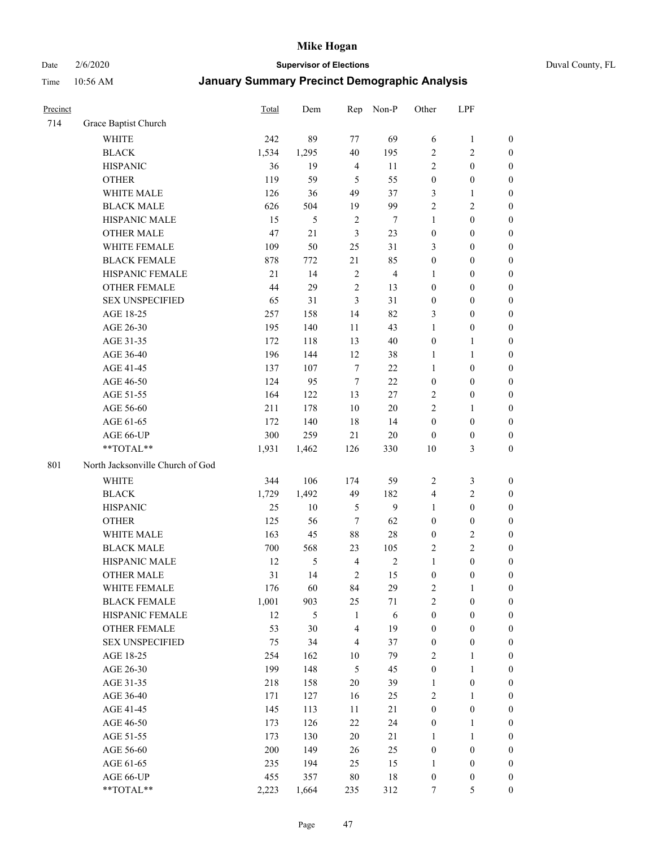Date 2/6/2020 **Supervisor of Elections** Duval County, FL

| Precinct |                                  | <b>Total</b> | Dem   | Rep                     | Non-P          | Other            | LPF              |                  |
|----------|----------------------------------|--------------|-------|-------------------------|----------------|------------------|------------------|------------------|
| 714      | Grace Baptist Church             |              |       |                         |                |                  |                  |                  |
|          | <b>WHITE</b>                     | 242          | 89    | 77                      | 69             | 6                | $\mathbf{1}$     | $\boldsymbol{0}$ |
|          | <b>BLACK</b>                     | 1,534        | 1,295 | 40                      | 195            | $\overline{c}$   | $\sqrt{2}$       | $\boldsymbol{0}$ |
|          | <b>HISPANIC</b>                  | 36           | 19    | $\overline{4}$          | 11             | $\overline{c}$   | $\boldsymbol{0}$ | $\boldsymbol{0}$ |
|          | <b>OTHER</b>                     | 119          | 59    | 5                       | 55             | $\boldsymbol{0}$ | $\boldsymbol{0}$ | $\boldsymbol{0}$ |
|          | WHITE MALE                       | 126          | 36    | 49                      | 37             | 3                | $\mathbf{1}$     | $\boldsymbol{0}$ |
|          | <b>BLACK MALE</b>                | 626          | 504   | 19                      | 99             | $\overline{c}$   | $\sqrt{2}$       | $\boldsymbol{0}$ |
|          | HISPANIC MALE                    | 15           | 5     | $\sqrt{2}$              | 7              | $\mathbf{1}$     | $\boldsymbol{0}$ | $\boldsymbol{0}$ |
|          | <b>OTHER MALE</b>                | 47           | 21    | 3                       | 23             | $\boldsymbol{0}$ | $\boldsymbol{0}$ | $\boldsymbol{0}$ |
|          | WHITE FEMALE                     | 109          | 50    | 25                      | 31             | 3                | $\boldsymbol{0}$ | $\boldsymbol{0}$ |
|          | <b>BLACK FEMALE</b>              | 878          | 772   | 21                      | 85             | $\boldsymbol{0}$ | $\boldsymbol{0}$ | $\boldsymbol{0}$ |
|          | HISPANIC FEMALE                  | 21           | 14    | $\sqrt{2}$              | $\overline{4}$ | 1                | $\boldsymbol{0}$ | 0                |
|          | <b>OTHER FEMALE</b>              | 44           | 29    | $\overline{2}$          | 13             | $\boldsymbol{0}$ | $\boldsymbol{0}$ | $\boldsymbol{0}$ |
|          | <b>SEX UNSPECIFIED</b>           | 65           | 31    | $\mathfrak{Z}$          | 31             | $\boldsymbol{0}$ | $\boldsymbol{0}$ | $\boldsymbol{0}$ |
|          | AGE 18-25                        | 257          | 158   | 14                      | 82             | 3                | $\boldsymbol{0}$ | $\boldsymbol{0}$ |
|          | AGE 26-30                        | 195          | 140   | 11                      | 43             | 1                | $\boldsymbol{0}$ | $\boldsymbol{0}$ |
|          | AGE 31-35                        | 172          | 118   | 13                      | 40             | $\boldsymbol{0}$ | $\mathbf{1}$     | $\boldsymbol{0}$ |
|          | AGE 36-40                        | 196          | 144   | 12                      | 38             | $\mathbf{1}$     | $\mathbf{1}$     | $\boldsymbol{0}$ |
|          | AGE 41-45                        | 137          | 107   | $\overline{7}$          | 22             | $\mathbf{1}$     | $\boldsymbol{0}$ | $\boldsymbol{0}$ |
|          | AGE 46-50                        | 124          | 95    | $\overline{7}$          | 22             | $\boldsymbol{0}$ | $\boldsymbol{0}$ | $\boldsymbol{0}$ |
|          | AGE 51-55                        | 164          | 122   | 13                      | 27             | 2                | $\boldsymbol{0}$ | $\boldsymbol{0}$ |
|          | AGE 56-60                        | 211          | 178   | 10                      | 20             | $\overline{2}$   | 1                | 0                |
|          | AGE 61-65                        | 172          | 140   | 18                      | 14             | $\boldsymbol{0}$ | $\boldsymbol{0}$ | 0                |
|          | AGE 66-UP                        | 300          | 259   | 21                      | $20\,$         | $\boldsymbol{0}$ | $\boldsymbol{0}$ | $\boldsymbol{0}$ |
|          | **TOTAL**                        | 1,931        | 1,462 | 126                     | 330            | 10               | $\mathfrak{Z}$   | $\boldsymbol{0}$ |
| 801      | North Jacksonville Church of God |              |       |                         |                |                  |                  |                  |
|          | <b>WHITE</b>                     | 344          | 106   | 174                     | 59             | $\overline{2}$   | $\mathfrak{Z}$   | $\boldsymbol{0}$ |
|          | <b>BLACK</b>                     | 1,729        | 1,492 | 49                      | 182            | 4                | $\sqrt{2}$       | $\boldsymbol{0}$ |
|          | <b>HISPANIC</b>                  | 25           | 10    | 5                       | 9              | $\mathbf{1}$     | $\boldsymbol{0}$ | $\boldsymbol{0}$ |
|          | <b>OTHER</b>                     | 125          | 56    | $\tau$                  | 62             | $\boldsymbol{0}$ | $\boldsymbol{0}$ | $\boldsymbol{0}$ |
|          | WHITE MALE                       | 163          | 45    | $88\,$                  | 28             | $\boldsymbol{0}$ | $\boldsymbol{2}$ | $\boldsymbol{0}$ |
|          | <b>BLACK MALE</b>                | 700          | 568   | 23                      | 105            | $\overline{2}$   | $\overline{2}$   | $\boldsymbol{0}$ |
|          | HISPANIC MALE                    | 12           | 5     | $\overline{4}$          | $\sqrt{2}$     | $\mathbf{1}$     | $\boldsymbol{0}$ | $\boldsymbol{0}$ |
|          | <b>OTHER MALE</b>                | 31           | 14    | $\overline{c}$          | 15             | $\boldsymbol{0}$ | $\boldsymbol{0}$ | $\boldsymbol{0}$ |
|          | WHITE FEMALE                     | 176          | 60    | 84                      | 29             | 2                | 1                | 0                |
|          | <b>BLACK FEMALE</b>              | 1,001        | 903   | 25                      | 71             | $\boldsymbol{2}$ | $\boldsymbol{0}$ | $\boldsymbol{0}$ |
|          | HISPANIC FEMALE                  | 12           | 5     | $\mathbf{1}$            | 6              | $\boldsymbol{0}$ | $\boldsymbol{0}$ | $\overline{0}$   |
|          | OTHER FEMALE                     | 53           | 30    | $\overline{\mathbf{4}}$ | 19             | $\boldsymbol{0}$ | $\boldsymbol{0}$ | $\overline{0}$   |
|          | <b>SEX UNSPECIFIED</b>           | 75           | 34    | $\overline{4}$          | 37             | $\boldsymbol{0}$ | $\boldsymbol{0}$ | 0                |
|          | AGE 18-25                        | 254          | 162   | 10                      | 79             | $\overline{c}$   | $\mathbf{1}$     | $\overline{0}$   |
|          | AGE 26-30                        | 199          | 148   | $\sqrt{5}$              | 45             | $\boldsymbol{0}$ | $\mathbf{1}$     | 0                |
|          | AGE 31-35                        | 218          | 158   | $20\,$                  | 39             | $\mathbf{1}$     | $\boldsymbol{0}$ | 0                |
|          | AGE 36-40                        | 171          | 127   | 16                      | 25             | $\overline{c}$   | $\mathbf{1}$     | 0                |
|          | AGE 41-45                        | 145          | 113   | 11                      | 21             | $\boldsymbol{0}$ | $\boldsymbol{0}$ | 0                |
|          | AGE 46-50                        | 173          | 126   | 22                      | 24             | $\boldsymbol{0}$ | $\mathbf{1}$     | 0                |
|          | AGE 51-55                        | 173          | 130   | $20\,$                  | 21             | $\mathbf{1}$     | $\mathbf{1}$     | 0                |
|          | AGE 56-60                        | 200          | 149   | 26                      | 25             | $\boldsymbol{0}$ | $\boldsymbol{0}$ | $\boldsymbol{0}$ |
|          | AGE 61-65                        | 235          | 194   | 25                      | 15             | 1                | $\boldsymbol{0}$ | $\boldsymbol{0}$ |
|          | AGE 66-UP                        | 455          | 357   | $80\,$                  | 18             | $\boldsymbol{0}$ | $\boldsymbol{0}$ | $\boldsymbol{0}$ |
|          | **TOTAL**                        | 2,223        | 1,664 | 235                     | 312            | $\tau$           | $\mathfrak s$    | $\boldsymbol{0}$ |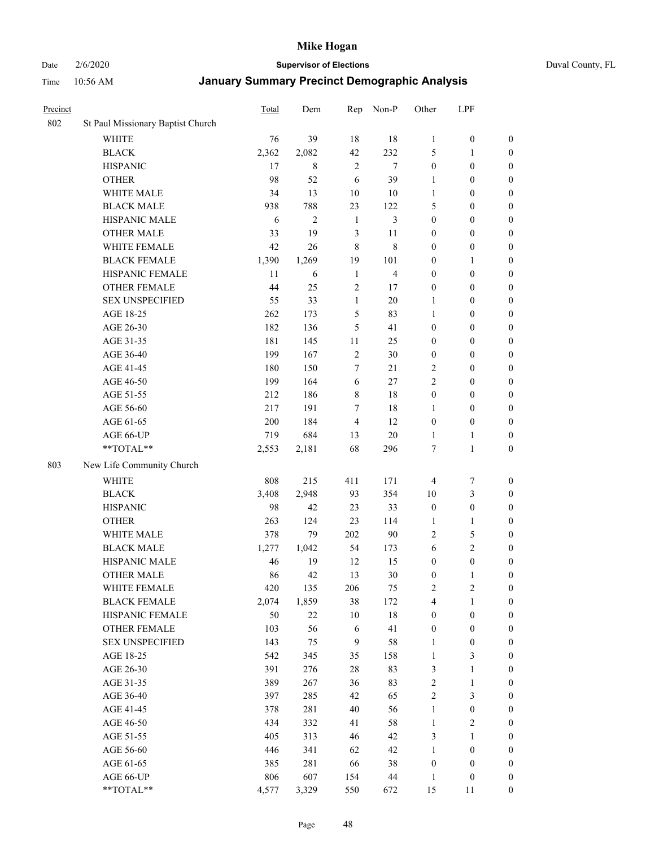Date 2/6/2020 **Supervisor of Elections** Duval County, FL

| Precinct |                                   | <b>Total</b> | Dem            | Rep              | Non-P          | Other            | LPF              |                  |
|----------|-----------------------------------|--------------|----------------|------------------|----------------|------------------|------------------|------------------|
| 802      | St Paul Missionary Baptist Church |              |                |                  |                |                  |                  |                  |
|          | <b>WHITE</b>                      | 76           | 39             | 18               | 18             | $\mathbf{1}$     | $\boldsymbol{0}$ | 0                |
|          | <b>BLACK</b>                      | 2,362        | 2,082          | 42               | 232            | 5                | 1                | $\boldsymbol{0}$ |
|          | <b>HISPANIC</b>                   | 17           | 8              | $\overline{2}$   | $\tau$         | $\boldsymbol{0}$ | $\boldsymbol{0}$ | $\boldsymbol{0}$ |
|          | <b>OTHER</b>                      | 98           | 52             | 6                | 39             | 1                | $\boldsymbol{0}$ | $\boldsymbol{0}$ |
|          | WHITE MALE                        | 34           | 13             | 10               | 10             | 1                | $\boldsymbol{0}$ | $\boldsymbol{0}$ |
|          | <b>BLACK MALE</b>                 | 938          | 788            | 23               | 122            | 5                | $\boldsymbol{0}$ | $\boldsymbol{0}$ |
|          | HISPANIC MALE                     | 6            | $\overline{2}$ | $\mathbf{1}$     | 3              | $\boldsymbol{0}$ | $\boldsymbol{0}$ | $\boldsymbol{0}$ |
|          | <b>OTHER MALE</b>                 | 33           | 19             | 3                | 11             | $\boldsymbol{0}$ | $\boldsymbol{0}$ | $\boldsymbol{0}$ |
|          | WHITE FEMALE                      | 42           | 26             | 8                | 8              | $\boldsymbol{0}$ | $\boldsymbol{0}$ | $\boldsymbol{0}$ |
|          | <b>BLACK FEMALE</b>               | 1,390        | 1,269          | 19               | 101            | $\boldsymbol{0}$ | 1                | $\boldsymbol{0}$ |
|          | HISPANIC FEMALE                   | 11           | 6              | $\mathbf{1}$     | $\overline{4}$ | $\boldsymbol{0}$ | $\boldsymbol{0}$ | 0                |
|          | <b>OTHER FEMALE</b>               | 44           | 25             | $\mathfrak{2}$   | 17             | $\boldsymbol{0}$ | $\boldsymbol{0}$ | $\boldsymbol{0}$ |
|          | <b>SEX UNSPECIFIED</b>            | 55           | 33             | $\mathbf{1}$     | 20             | $\mathbf{1}$     | $\boldsymbol{0}$ | $\boldsymbol{0}$ |
|          | AGE 18-25                         | 262          | 173            | 5                | 83             | 1                | $\boldsymbol{0}$ | $\boldsymbol{0}$ |
|          | AGE 26-30                         | 182          | 136            | 5                | 41             | $\boldsymbol{0}$ | $\boldsymbol{0}$ | $\boldsymbol{0}$ |
|          | AGE 31-35                         | 181          | 145            | 11               | 25             | $\boldsymbol{0}$ | $\boldsymbol{0}$ | $\boldsymbol{0}$ |
|          | AGE 36-40                         | 199          | 167            | $\mathfrak{2}$   | 30             | $\boldsymbol{0}$ | $\boldsymbol{0}$ | $\boldsymbol{0}$ |
|          | AGE 41-45                         | 180          | 150            | 7                | 21             | 2                | $\boldsymbol{0}$ | $\boldsymbol{0}$ |
|          | AGE 46-50                         | 199          | 164            | 6                | 27             | $\overline{c}$   | $\boldsymbol{0}$ | $\boldsymbol{0}$ |
|          | AGE 51-55                         | 212          | 186            | $\,$ 8 $\,$      | $18\,$         | $\boldsymbol{0}$ | $\boldsymbol{0}$ | $\boldsymbol{0}$ |
|          | AGE 56-60                         | 217          | 191            | $\tau$           | 18             | 1                | $\boldsymbol{0}$ | 0                |
|          | AGE 61-65                         | 200          | 184            | $\overline{4}$   | 12             | $\boldsymbol{0}$ | $\boldsymbol{0}$ | $\boldsymbol{0}$ |
|          | AGE 66-UP                         | 719          | 684            | 13               | $20\,$         | $\mathbf{1}$     | $\mathbf{1}$     | $\boldsymbol{0}$ |
|          | **TOTAL**                         | 2,553        | 2,181          | 68               | 296            | 7                | $\mathbf{1}$     | $\boldsymbol{0}$ |
| 803      | New Life Community Church         |              |                |                  |                |                  |                  |                  |
|          | <b>WHITE</b>                      | 808          | 215            | 411              | 171            | 4                | $\boldsymbol{7}$ | $\boldsymbol{0}$ |
|          | <b>BLACK</b>                      | 3,408        | 2,948          | 93               | 354            | 10               | $\mathfrak{Z}$   | $\boldsymbol{0}$ |
|          | <b>HISPANIC</b>                   | 98           | 42             | 23               | 33             | $\boldsymbol{0}$ | $\boldsymbol{0}$ | $\boldsymbol{0}$ |
|          | <b>OTHER</b>                      | 263          | 124            | 23               | 114            | $\mathbf{1}$     | $\mathbf{1}$     | $\boldsymbol{0}$ |
|          | WHITE MALE                        | 378          | 79             | 202              | 90             | $\overline{2}$   | $\sqrt{5}$       | $\boldsymbol{0}$ |
|          | <b>BLACK MALE</b>                 | 1,277        | 1,042          | 54               | 173            | 6                | $\overline{2}$   | $\overline{0}$   |
|          | HISPANIC MALE                     | 46           | 19             | 12               | 15             | $\boldsymbol{0}$ | $\boldsymbol{0}$ | $\boldsymbol{0}$ |
|          | <b>OTHER MALE</b>                 | 86           | 42             | 13               | 30             | $\boldsymbol{0}$ | $\mathbf{1}$     | $\boldsymbol{0}$ |
|          | WHITE FEMALE                      | 420          | 135            | 206              | 75             | 2                | 2                | 0                |
|          | <b>BLACK FEMALE</b>               | 2,074        | 1,859          | 38               | 172            | 4                | $\mathbf{1}$     | $\boldsymbol{0}$ |
|          | HISPANIC FEMALE                   | 50           | 22             | 10               | $18\,$         | $\boldsymbol{0}$ | $\boldsymbol{0}$ | $\overline{0}$   |
|          | <b>OTHER FEMALE</b>               | 103          | 56             | 6                | 41             | $\boldsymbol{0}$ | $\boldsymbol{0}$ | $\overline{0}$   |
|          | <b>SEX UNSPECIFIED</b>            | 143          | 75             | $\boldsymbol{9}$ | 58             | $\mathbf{1}$     | $\boldsymbol{0}$ | 0                |
|          | AGE 18-25                         | 542          | 345            | 35               | 158            | $\mathbf{1}$     | $\mathfrak{Z}$   | $\theta$         |
|          | AGE 26-30                         | 391          | 276            | 28               | 83             | 3                | $\mathbf{1}$     | 0                |
|          | AGE 31-35                         | 389          | 267            | 36               | 83             | $\overline{c}$   | $\mathbf{1}$     | 0                |
|          | AGE 36-40                         | 397          | 285            | 42               | 65             | $\overline{c}$   | $\mathfrak{Z}$   | 0                |
|          | AGE 41-45                         | 378          | 281            | 40               | 56             | $\mathbf{1}$     | $\boldsymbol{0}$ | 0                |
|          | AGE 46-50                         | 434          | 332            | 41               | 58             | $\mathbf{1}$     | $\sqrt{2}$       | 0                |
|          | AGE 51-55                         | 405          | 313            | 46               | 42             | 3                | $\mathbf{1}$     | $\overline{0}$   |
|          | AGE 56-60                         | 446          | 341            | 62               | 42             | $\mathbf{1}$     | $\boldsymbol{0}$ | $\overline{0}$   |
|          | AGE 61-65                         | 385          | 281            | 66               | 38             | $\boldsymbol{0}$ | $\boldsymbol{0}$ | $\boldsymbol{0}$ |
|          | AGE 66-UP                         | 806          | 607            | 154              | 44             | $\mathbf{1}$     | $\boldsymbol{0}$ | $\boldsymbol{0}$ |
|          | **TOTAL**                         | 4,577        | 3,329          | 550              | 672            | 15               | 11               | $\boldsymbol{0}$ |
|          |                                   |              |                |                  |                |                  |                  |                  |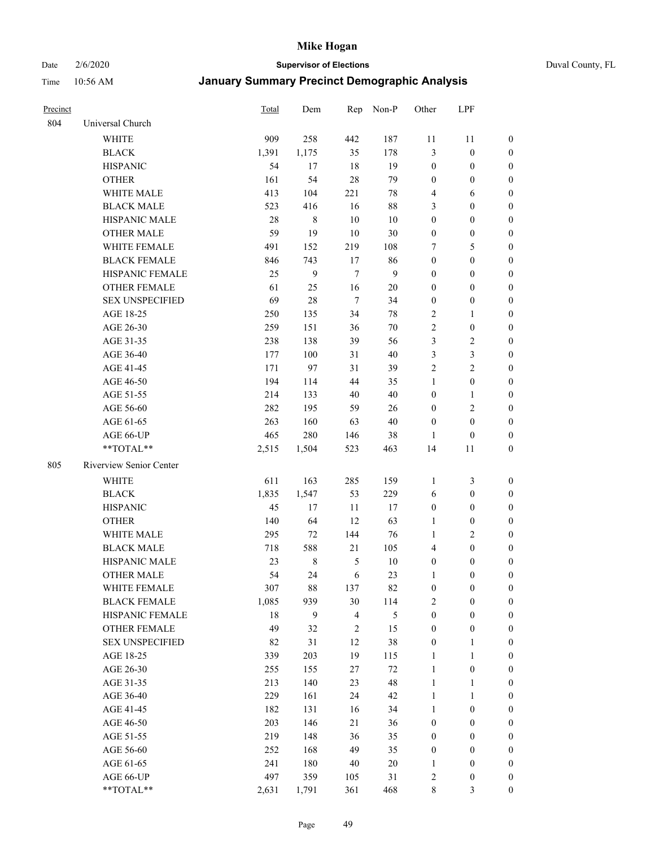Date 2/6/2020 **Supervisor of Elections** Duval County, FL

| <b>Precinct</b> |                         | <b>Total</b> | Dem         | Rep            | Non-P        | Other            | LPF              |                  |
|-----------------|-------------------------|--------------|-------------|----------------|--------------|------------------|------------------|------------------|
| 804             | Universal Church        |              |             |                |              |                  |                  |                  |
|                 | <b>WHITE</b>            | 909          | 258         | 442            | 187          | 11               | 11               | $\boldsymbol{0}$ |
|                 | <b>BLACK</b>            | 1,391        | 1,175       | 35             | 178          | 3                | $\boldsymbol{0}$ | 0                |
|                 | <b>HISPANIC</b>         | 54           | 17          | 18             | 19           | $\boldsymbol{0}$ | $\boldsymbol{0}$ | 0                |
|                 | <b>OTHER</b>            | 161          | 54          | 28             | 79           | $\boldsymbol{0}$ | $\boldsymbol{0}$ | $\boldsymbol{0}$ |
|                 | WHITE MALE              | 413          | 104         | 221            | $78\,$       | 4                | 6                | $\boldsymbol{0}$ |
|                 | <b>BLACK MALE</b>       | 523          | 416         | 16             | $88\,$       | 3                | $\boldsymbol{0}$ | $\boldsymbol{0}$ |
|                 | HISPANIC MALE           | 28           | 8           | 10             | $10\,$       | $\boldsymbol{0}$ | $\boldsymbol{0}$ | $\boldsymbol{0}$ |
|                 | <b>OTHER MALE</b>       | 59           | 19          | 10             | 30           | $\boldsymbol{0}$ | $\boldsymbol{0}$ | $\boldsymbol{0}$ |
|                 | WHITE FEMALE            | 491          | 152         | 219            | 108          | 7                | 5                | $\boldsymbol{0}$ |
|                 | <b>BLACK FEMALE</b>     | 846          | 743         | 17             | 86           | $\boldsymbol{0}$ | $\boldsymbol{0}$ | 0                |
|                 | HISPANIC FEMALE         | 25           | 9           | $\overline{7}$ | $\mathbf{9}$ | $\boldsymbol{0}$ | $\boldsymbol{0}$ | 0                |
|                 | <b>OTHER FEMALE</b>     | 61           | 25          | 16             | $20\,$       | $\boldsymbol{0}$ | $\boldsymbol{0}$ | $\boldsymbol{0}$ |
|                 | <b>SEX UNSPECIFIED</b>  | 69           | 28          | $\overline{7}$ | 34           | $\boldsymbol{0}$ | $\boldsymbol{0}$ | $\boldsymbol{0}$ |
|                 | AGE 18-25               | 250          | 135         | 34             | $78\,$       | $\overline{c}$   | 1                | $\boldsymbol{0}$ |
|                 | AGE 26-30               | 259          | 151         | 36             | 70           | $\sqrt{2}$       | $\boldsymbol{0}$ | $\boldsymbol{0}$ |
|                 | AGE 31-35               | 238          | 138         | 39             | 56           | 3                | $\sqrt{2}$       | $\boldsymbol{0}$ |
|                 | AGE 36-40               | 177          | 100         | 31             | $40\,$       | $\mathfrak{Z}$   | $\mathfrak{Z}$   | $\boldsymbol{0}$ |
|                 | AGE 41-45               | 171          | 97          | 31             | 39           | $\overline{2}$   | $\overline{2}$   | $\boldsymbol{0}$ |
|                 | AGE 46-50               | 194          | 114         | 44             | 35           | $\mathbf{1}$     | $\boldsymbol{0}$ | $\boldsymbol{0}$ |
|                 | AGE 51-55               | 214          | 133         | 40             | 40           | $\boldsymbol{0}$ | 1                | $\boldsymbol{0}$ |
|                 | AGE 56-60               | 282          | 195         | 59             | 26           | $\boldsymbol{0}$ | $\sqrt{2}$       | 0                |
|                 | AGE 61-65               | 263          | 160         | 63             | 40           | $\boldsymbol{0}$ | $\boldsymbol{0}$ | 0                |
|                 | AGE 66-UP               | 465          | 280         | 146            | 38           | 1                | $\boldsymbol{0}$ | $\boldsymbol{0}$ |
|                 | **TOTAL**               | 2,515        | 1,504       | 523            | 463          | 14               | 11               | $\boldsymbol{0}$ |
| 805             | Riverview Senior Center |              |             |                |              |                  |                  |                  |
|                 | <b>WHITE</b>            | 611          | 163         | 285            | 159          | 1                | $\mathfrak{Z}$   | $\boldsymbol{0}$ |
|                 | <b>BLACK</b>            | 1,835        | 1,547       | 53             | 229          | 6                | $\boldsymbol{0}$ | $\boldsymbol{0}$ |
|                 | <b>HISPANIC</b>         | 45           | 17          | 11             | 17           | $\boldsymbol{0}$ | $\boldsymbol{0}$ | $\boldsymbol{0}$ |
|                 | <b>OTHER</b>            | 140          | 64          | 12             | 63           | $\mathbf{1}$     | $\boldsymbol{0}$ | $\boldsymbol{0}$ |
|                 | <b>WHITE MALE</b>       | 295          | 72          | 144            | 76           | $\mathbf{1}$     | $\overline{2}$   | $\boldsymbol{0}$ |
|                 | <b>BLACK MALE</b>       | 718          | 588         | 21             | 105          | 4                | $\boldsymbol{0}$ | $\boldsymbol{0}$ |
|                 | HISPANIC MALE           | 23           | $\,$ 8 $\,$ | 5              | $10\,$       | $\boldsymbol{0}$ | $\boldsymbol{0}$ | 0                |
|                 | <b>OTHER MALE</b>       | 54           | 24          | 6              | 23           | 1                | $\boldsymbol{0}$ | 0                |
|                 | WHITE FEMALE            | 307          | 88          | 137            | 82           | $\boldsymbol{0}$ | $\boldsymbol{0}$ | 0                |
|                 | <b>BLACK FEMALE</b>     | 1,085        | 939         | 30             | 114          | 2                | $\boldsymbol{0}$ | $\boldsymbol{0}$ |
|                 | HISPANIC FEMALE         | 18           | 9           | $\overline{4}$ | 5            | $\boldsymbol{0}$ | $\boldsymbol{0}$ | $\overline{0}$   |
|                 | <b>OTHER FEMALE</b>     | 49           | 32          | $\sqrt{2}$     | 15           | $\boldsymbol{0}$ | $\boldsymbol{0}$ | $\overline{0}$   |
|                 | <b>SEX UNSPECIFIED</b>  | 82           | 31          | 12             | 38           | $\boldsymbol{0}$ | $\mathbf{1}$     | 0                |
|                 | AGE 18-25               | 339          | 203         | 19             | 115          | $\mathbf{1}$     | $\mathbf{1}$     | $\theta$         |
|                 | AGE 26-30               | 255          | 155         | $27\,$         | $72\,$       | $\mathbf{1}$     | $\boldsymbol{0}$ | 0                |
|                 | AGE 31-35               | 213          | 140         | 23             | 48           | $\mathbf{1}$     | $\mathbf{1}$     | 0                |
|                 | AGE 36-40               | 229          | 161         | 24             | 42           | $\mathbf{1}$     | $\mathbf{1}$     | 0                |
|                 | AGE 41-45               | 182          | 131         | 16             | 34           | $\mathbf{1}$     | $\boldsymbol{0}$ | 0                |
|                 | AGE 46-50               | 203          | 146         | 21             | 36           | $\boldsymbol{0}$ | $\boldsymbol{0}$ | 0                |
|                 | AGE 51-55               | 219          | 148         | 36             | 35           | $\boldsymbol{0}$ | $\boldsymbol{0}$ | $\boldsymbol{0}$ |
|                 | AGE 56-60               | 252          | 168         | 49             | 35           | $\boldsymbol{0}$ | $\boldsymbol{0}$ | $\boldsymbol{0}$ |
|                 | AGE 61-65               | 241          | 180         | 40             | 20           | 1                | $\boldsymbol{0}$ | $\boldsymbol{0}$ |
|                 | AGE 66-UP               | 497          | 359         | 105            | 31           | $\overline{c}$   | $\boldsymbol{0}$ | 0                |
|                 | **TOTAL**               | 2,631        | 1,791       | 361            | 468          | $\,$ 8 $\,$      | 3                | $\boldsymbol{0}$ |
|                 |                         |              |             |                |              |                  |                  |                  |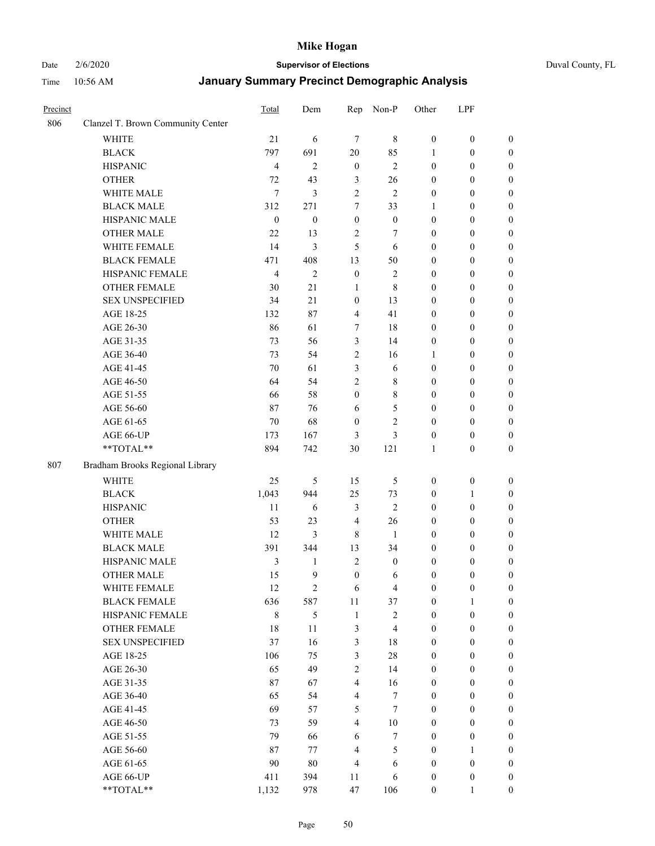# Date 2/6/2020 **Supervisor of Elections** Duval County, FL

| Precinct |                                   | Total            | Dem              | Rep                     | Non-P                   | Other                                | LPF              |                  |
|----------|-----------------------------------|------------------|------------------|-------------------------|-------------------------|--------------------------------------|------------------|------------------|
| 806      | Clanzel T. Brown Community Center |                  |                  |                         |                         |                                      |                  |                  |
|          | <b>WHITE</b>                      | 21               | 6                | $\overline{7}$          | $\,$ 8 $\,$             | $\boldsymbol{0}$                     | $\boldsymbol{0}$ | $\boldsymbol{0}$ |
|          | <b>BLACK</b>                      | 797              | 691              | 20                      | 85                      | 1                                    | $\boldsymbol{0}$ | $\boldsymbol{0}$ |
|          | <b>HISPANIC</b>                   | $\overline{4}$   | $\overline{2}$   | $\boldsymbol{0}$        | $\overline{2}$          | $\boldsymbol{0}$                     | $\boldsymbol{0}$ | $\boldsymbol{0}$ |
|          | <b>OTHER</b>                      | 72               | 43               | 3                       | 26                      | $\boldsymbol{0}$                     | $\boldsymbol{0}$ | $\boldsymbol{0}$ |
|          | WHITE MALE                        | $\tau$           | 3                | $\sqrt{2}$              | $\overline{2}$          | $\boldsymbol{0}$                     | $\boldsymbol{0}$ | $\boldsymbol{0}$ |
|          | <b>BLACK MALE</b>                 | 312              | 271              | 7                       | 33                      | $\mathbf{1}$                         | $\boldsymbol{0}$ | $\boldsymbol{0}$ |
|          | HISPANIC MALE                     | $\boldsymbol{0}$ | $\boldsymbol{0}$ | $\boldsymbol{0}$        | $\boldsymbol{0}$        | $\boldsymbol{0}$                     | $\boldsymbol{0}$ | $\boldsymbol{0}$ |
|          | <b>OTHER MALE</b>                 | 22               | 13               | $\overline{c}$          | $\tau$                  | $\boldsymbol{0}$                     | $\boldsymbol{0}$ | $\boldsymbol{0}$ |
|          | WHITE FEMALE                      | 14               | 3                | 5                       | 6                       | $\boldsymbol{0}$                     | $\boldsymbol{0}$ | $\boldsymbol{0}$ |
|          | <b>BLACK FEMALE</b>               | 471              | 408              | 13                      | 50                      | $\boldsymbol{0}$                     | $\boldsymbol{0}$ | $\boldsymbol{0}$ |
|          | HISPANIC FEMALE                   | $\overline{4}$   | $\mathfrak{2}$   | $\boldsymbol{0}$        | $\sqrt{2}$              | $\boldsymbol{0}$                     | $\boldsymbol{0}$ | $\boldsymbol{0}$ |
|          | <b>OTHER FEMALE</b>               | 30               | 21               | $\mathbf{1}$            | $\,8\,$                 | $\boldsymbol{0}$                     | $\boldsymbol{0}$ | $\boldsymbol{0}$ |
|          | <b>SEX UNSPECIFIED</b>            | 34               | 21               | $\boldsymbol{0}$        | 13                      | $\boldsymbol{0}$                     | $\boldsymbol{0}$ | $\boldsymbol{0}$ |
|          | AGE 18-25                         | 132              | 87               | $\overline{\mathbf{4}}$ | 41                      | $\boldsymbol{0}$                     | $\boldsymbol{0}$ | $\boldsymbol{0}$ |
|          | AGE 26-30                         | 86               | 61               | 7                       | 18                      | $\boldsymbol{0}$                     | $\boldsymbol{0}$ | $\boldsymbol{0}$ |
|          | AGE 31-35                         | 73               | 56               | 3                       | 14                      | $\boldsymbol{0}$                     | $\boldsymbol{0}$ | $\boldsymbol{0}$ |
|          | AGE 36-40                         | 73               | 54               | $\overline{c}$          | 16                      | 1                                    | $\boldsymbol{0}$ | $\boldsymbol{0}$ |
|          | AGE 41-45                         | 70               | 61               | 3                       | 6                       | $\boldsymbol{0}$                     | $\boldsymbol{0}$ | $\boldsymbol{0}$ |
|          | AGE 46-50                         | 64               | 54               | $\sqrt{2}$              | $\,$ 8 $\,$             | $\boldsymbol{0}$                     | $\boldsymbol{0}$ | $\boldsymbol{0}$ |
|          | AGE 51-55                         | 66               | 58               | $\boldsymbol{0}$        | $\,$ 8 $\,$             | $\boldsymbol{0}$                     | $\boldsymbol{0}$ |                  |
|          | AGE 56-60                         | 87               | 76               |                         | $\mathfrak s$           |                                      | $\boldsymbol{0}$ | 0                |
|          | AGE 61-65                         | 70               | 68               | 6<br>$\boldsymbol{0}$   | $\overline{2}$          | $\boldsymbol{0}$<br>$\boldsymbol{0}$ | $\boldsymbol{0}$ | $\boldsymbol{0}$ |
|          |                                   |                  |                  |                         |                         |                                      |                  | $\boldsymbol{0}$ |
|          | AGE 66-UP<br>**TOTAL**            | 173              | 167              | 3                       | 3                       | $\boldsymbol{0}$                     | $\boldsymbol{0}$ | $\boldsymbol{0}$ |
|          |                                   | 894              | 742              | 30                      | 121                     | $\mathbf{1}$                         | $\boldsymbol{0}$ | $\boldsymbol{0}$ |
| 807      | Bradham Brooks Regional Library   |                  |                  |                         |                         |                                      |                  |                  |
|          | <b>WHITE</b>                      | 25               | 5                | 15                      | $\sqrt{5}$              | $\boldsymbol{0}$                     | $\boldsymbol{0}$ | $\boldsymbol{0}$ |
|          | <b>BLACK</b>                      | 1,043            | 944              | 25                      | 73                      | $\boldsymbol{0}$                     | $\mathbf{1}$     | $\boldsymbol{0}$ |
|          | <b>HISPANIC</b>                   | 11               | 6                | $\mathfrak{Z}$          | $\overline{2}$          | $\boldsymbol{0}$                     | $\boldsymbol{0}$ | $\boldsymbol{0}$ |
|          | <b>OTHER</b>                      | 53               | 23               | $\overline{4}$          | 26                      | $\boldsymbol{0}$                     | $\boldsymbol{0}$ | $\boldsymbol{0}$ |
|          | WHITE MALE                        | 12               | 3                | $\,8\,$                 | 1                       | $\boldsymbol{0}$                     | $\boldsymbol{0}$ | $\boldsymbol{0}$ |
|          | <b>BLACK MALE</b>                 | 391              | 344              | 13                      | 34                      | $\boldsymbol{0}$                     | $\boldsymbol{0}$ | $\boldsymbol{0}$ |
|          | HISPANIC MALE                     | 3                | 1                | $\sqrt{2}$              | $\boldsymbol{0}$        | $\boldsymbol{0}$                     | $\boldsymbol{0}$ | 0                |
|          | <b>OTHER MALE</b>                 | 15               | 9                | $\boldsymbol{0}$        | 6                       | $\boldsymbol{0}$                     | $\boldsymbol{0}$ | $\boldsymbol{0}$ |
|          | WHITE FEMALE                      | 12               | $\mathbf{2}$     | 6                       | $\overline{\mathbf{4}}$ | $\boldsymbol{0}$                     | $\boldsymbol{0}$ | $\boldsymbol{0}$ |
|          | <b>BLACK FEMALE</b>               | 636              | 587              | $11\,$                  | 37                      | $\boldsymbol{0}$                     | $\mathbf{1}$     | $\overline{0}$   |
|          | HISPANIC FEMALE                   | 8                | 5                | $\mathbf{1}$            | $\sqrt{2}$              | $\boldsymbol{0}$                     | $\boldsymbol{0}$ | $\overline{0}$   |
|          | <b>OTHER FEMALE</b>               | 18               | 11               | $\mathfrak{Z}$          | $\overline{\mathbf{4}}$ | $\boldsymbol{0}$                     | $\boldsymbol{0}$ | $\overline{0}$   |
|          | <b>SEX UNSPECIFIED</b>            | 37               | 16               | 3                       | 18                      | $\boldsymbol{0}$                     | $\boldsymbol{0}$ | $\overline{0}$   |
|          | AGE 18-25                         | 106              | 75               | 3                       | $28\,$                  | $\boldsymbol{0}$                     | $\boldsymbol{0}$ | $\overline{0}$   |
|          | AGE 26-30                         | 65               | 49               | $\sqrt{2}$              | 14                      | $\boldsymbol{0}$                     | $\boldsymbol{0}$ | 0                |
|          | AGE 31-35                         | 87               | 67               | $\overline{4}$          | 16                      | $\boldsymbol{0}$                     | $\boldsymbol{0}$ | 0                |
|          | AGE 36-40                         | 65               | 54               | $\overline{4}$          | $\tau$                  | $\boldsymbol{0}$                     | $\boldsymbol{0}$ | 0                |
|          | AGE 41-45                         | 69               | 57               | 5                       | $\tau$                  | $\boldsymbol{0}$                     | $\boldsymbol{0}$ | 0                |
|          | AGE 46-50                         | 73               | 59               | $\overline{4}$          | $10\,$                  | $\boldsymbol{0}$                     | $\boldsymbol{0}$ | $\overline{0}$   |
|          | AGE 51-55                         | 79               | 66               | 6                       | 7                       | $\boldsymbol{0}$                     | $\boldsymbol{0}$ | $\boldsymbol{0}$ |
|          | AGE 56-60                         | 87               | 77               | 4                       | $\mathfrak s$           | $\boldsymbol{0}$                     | 1                | $\overline{0}$   |
|          | AGE 61-65                         | 90               | $80\,$           | $\overline{4}$          | 6                       | $\boldsymbol{0}$                     | $\boldsymbol{0}$ | $\boldsymbol{0}$ |
|          | AGE 66-UP                         | 411              | 394              | 11                      | 6                       | $\boldsymbol{0}$                     | $\boldsymbol{0}$ | $\boldsymbol{0}$ |
|          | **TOTAL**                         | 1,132            | 978              | 47                      | 106                     | $\boldsymbol{0}$                     | $\mathbf{1}$     | $\boldsymbol{0}$ |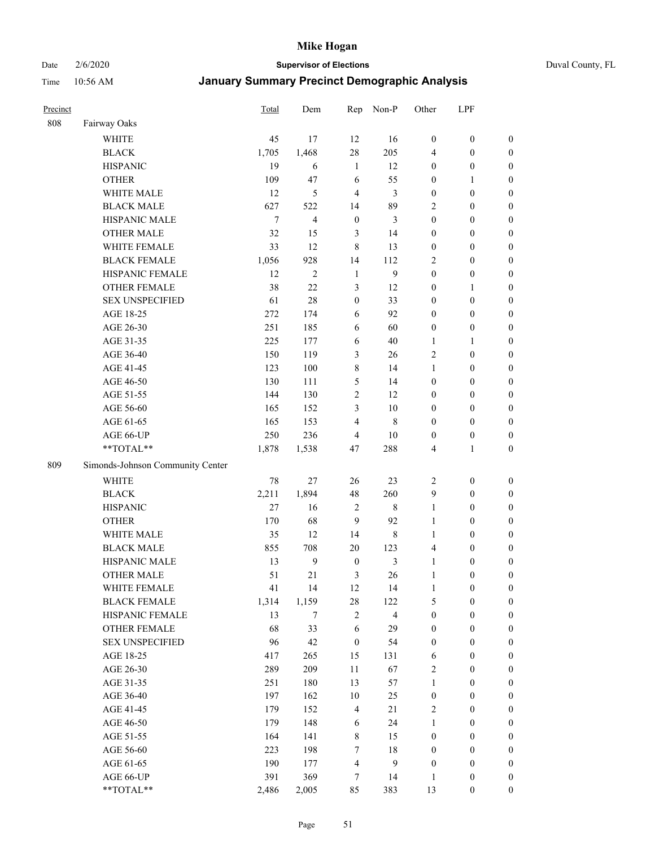Date 2/6/2020 **Supervisor of Elections** Duval County, FL

| Precinct |                                  | Total  | Dem            | Rep                     | Non-P                   | Other            | LPF              |                  |
|----------|----------------------------------|--------|----------------|-------------------------|-------------------------|------------------|------------------|------------------|
| 808      | Fairway Oaks                     |        |                |                         |                         |                  |                  |                  |
|          | <b>WHITE</b>                     | 45     | 17             | 12                      | 16                      | $\boldsymbol{0}$ | $\boldsymbol{0}$ | 0                |
|          | <b>BLACK</b>                     | 1,705  | 1,468          | $28\,$                  | 205                     | 4                | $\boldsymbol{0}$ | $\boldsymbol{0}$ |
|          | <b>HISPANIC</b>                  | 19     | 6              | $\mathbf{1}$            | 12                      | $\boldsymbol{0}$ | $\boldsymbol{0}$ | $\boldsymbol{0}$ |
|          | <b>OTHER</b>                     | 109    | 47             | 6                       | 55                      | $\boldsymbol{0}$ | 1                | $\boldsymbol{0}$ |
|          | WHITE MALE                       | 12     | 5              | $\overline{4}$          | 3                       | $\boldsymbol{0}$ | $\boldsymbol{0}$ | $\boldsymbol{0}$ |
|          | <b>BLACK MALE</b>                | 627    | 522            | 14                      | 89                      | $\overline{c}$   | $\boldsymbol{0}$ | $\boldsymbol{0}$ |
|          | HISPANIC MALE                    | $\tau$ | 4              | $\boldsymbol{0}$        | 3                       | $\boldsymbol{0}$ | $\boldsymbol{0}$ | $\boldsymbol{0}$ |
|          | <b>OTHER MALE</b>                | 32     | 15             | 3                       | 14                      | $\boldsymbol{0}$ | $\boldsymbol{0}$ | $\boldsymbol{0}$ |
|          | WHITE FEMALE                     | 33     | 12             | $\,8\,$                 | 13                      | $\boldsymbol{0}$ | $\boldsymbol{0}$ | $\boldsymbol{0}$ |
|          | <b>BLACK FEMALE</b>              | 1,056  | 928            | 14                      | 112                     | $\overline{c}$   | $\boldsymbol{0}$ | $\boldsymbol{0}$ |
|          | HISPANIC FEMALE                  | 12     | $\overline{c}$ | $\mathbf{1}$            | $\mathbf{9}$            | $\boldsymbol{0}$ | $\boldsymbol{0}$ | $\boldsymbol{0}$ |
|          | <b>OTHER FEMALE</b>              | 38     | 22             | $\mathfrak{Z}$          | 12                      | $\boldsymbol{0}$ | 1                | $\boldsymbol{0}$ |
|          | <b>SEX UNSPECIFIED</b>           | 61     | 28             | $\boldsymbol{0}$        | 33                      | $\boldsymbol{0}$ | $\boldsymbol{0}$ | $\boldsymbol{0}$ |
|          | AGE 18-25                        | 272    | 174            | 6                       | 92                      | $\boldsymbol{0}$ | $\boldsymbol{0}$ | $\boldsymbol{0}$ |
|          | AGE 26-30                        | 251    | 185            | 6                       | 60                      | $\boldsymbol{0}$ | $\boldsymbol{0}$ | $\boldsymbol{0}$ |
|          | AGE 31-35                        | 225    | 177            | 6                       | 40                      | $\mathbf{1}$     | $\mathbf{1}$     | $\boldsymbol{0}$ |
|          | AGE 36-40                        | 150    | 119            | $\mathfrak{Z}$          | 26                      | $\overline{c}$   | $\boldsymbol{0}$ | $\boldsymbol{0}$ |
|          | AGE 41-45                        | 123    | 100            | 8                       | 14                      | $\mathbf{1}$     | $\boldsymbol{0}$ | $\boldsymbol{0}$ |
|          | AGE 46-50                        | 130    | 111            | 5                       | 14                      | $\boldsymbol{0}$ | $\boldsymbol{0}$ | $\boldsymbol{0}$ |
|          | AGE 51-55                        | 144    | 130            | $\sqrt{2}$              | 12                      | $\boldsymbol{0}$ | $\boldsymbol{0}$ | $\boldsymbol{0}$ |
|          | AGE 56-60                        | 165    | 152            | 3                       | 10                      | $\boldsymbol{0}$ | $\boldsymbol{0}$ | 0                |
|          | AGE 61-65                        | 165    | 153            | $\overline{4}$          | $\,$ 8 $\,$             | $\boldsymbol{0}$ | $\boldsymbol{0}$ | $\boldsymbol{0}$ |
|          | AGE 66-UP                        | 250    | 236            | $\overline{4}$          | $10\,$                  | $\boldsymbol{0}$ | $\boldsymbol{0}$ | $\boldsymbol{0}$ |
|          | **TOTAL**                        | 1,878  | 1,538          | 47                      | 288                     | 4                | $\mathbf{1}$     | $\boldsymbol{0}$ |
| 809      | Simonds-Johnson Community Center |        |                |                         |                         |                  |                  |                  |
|          | <b>WHITE</b>                     | 78     | $27\,$         | 26                      | 23                      | $\overline{c}$   | $\boldsymbol{0}$ | $\boldsymbol{0}$ |
|          | <b>BLACK</b>                     | 2,211  | 1,894          | 48                      | 260                     | 9                | $\boldsymbol{0}$ | $\boldsymbol{0}$ |
|          | <b>HISPANIC</b>                  | 27     | 16             | $\sqrt{2}$              | $\,$ 8 $\,$             | $\mathbf{1}$     | $\boldsymbol{0}$ | $\boldsymbol{0}$ |
|          | <b>OTHER</b>                     | 170    | 68             | 9                       | 92                      | $\mathbf{1}$     | $\boldsymbol{0}$ | $\boldsymbol{0}$ |
|          | WHITE MALE                       | 35     | 12             | 14                      | $\,$ 8 $\,$             | $\mathbf{1}$     | $\boldsymbol{0}$ | $\boldsymbol{0}$ |
|          | <b>BLACK MALE</b>                | 855    | 708            | $20\,$                  | 123                     | $\overline{4}$   | $\boldsymbol{0}$ | $\boldsymbol{0}$ |
|          | HISPANIC MALE                    | 13     | $\mathbf{9}$   | $\boldsymbol{0}$        | 3                       | $\mathbf{1}$     | $\boldsymbol{0}$ | $\boldsymbol{0}$ |
|          | <b>OTHER MALE</b>                | 51     | 21             | 3                       | 26                      | $\mathbf{1}$     | $\boldsymbol{0}$ | $\boldsymbol{0}$ |
|          | WHITE FEMALE                     | 41     | 14             | 12                      | 14                      | 1                | $\boldsymbol{0}$ | 0                |
|          | <b>BLACK FEMALE</b>              | 1,314  | 1,159          | $28\,$                  | 122                     | 5                | $\boldsymbol{0}$ | $\boldsymbol{0}$ |
|          | HISPANIC FEMALE                  | 13     | $\tau$         | $\sqrt{2}$              | $\overline{\mathbf{4}}$ | $\boldsymbol{0}$ | $\boldsymbol{0}$ | $\overline{0}$   |
|          | OTHER FEMALE                     | 68     | 33             | 6                       | 29                      | $\boldsymbol{0}$ | $\boldsymbol{0}$ | $\overline{0}$   |
|          | <b>SEX UNSPECIFIED</b>           | 96     | 42             | $\boldsymbol{0}$        | 54                      | $\boldsymbol{0}$ | $\boldsymbol{0}$ | $\overline{0}$   |
|          | AGE 18-25                        | 417    | 265            | 15                      | 131                     | 6                | $\boldsymbol{0}$ | $\overline{0}$   |
|          | AGE 26-30                        | 289    | 209            | 11                      | 67                      | 2                | $\boldsymbol{0}$ | $\overline{0}$   |
|          | AGE 31-35                        | 251    | 180            | 13                      | 57                      | $\mathbf{1}$     | $\boldsymbol{0}$ | $\overline{0}$   |
|          | AGE 36-40                        | 197    | 162            | $10\,$                  | 25                      | $\boldsymbol{0}$ | $\boldsymbol{0}$ | 0                |
|          | AGE 41-45                        | 179    | 152            | $\overline{4}$          | 21                      | $\overline{2}$   | $\boldsymbol{0}$ | 0                |
|          | AGE 46-50                        | 179    | 148            | 6                       | 24                      | 1                | $\boldsymbol{0}$ | $\boldsymbol{0}$ |
|          | AGE 51-55                        | 164    | 141            | $\,$ 8 $\,$             | 15                      | $\boldsymbol{0}$ | $\boldsymbol{0}$ | $\boldsymbol{0}$ |
|          | AGE 56-60                        | 223    | 198            | $\tau$                  | $18\,$                  | $\boldsymbol{0}$ | $\boldsymbol{0}$ | $\boldsymbol{0}$ |
|          | AGE 61-65                        | 190    | 177            | $\overline{\mathbf{4}}$ | 9                       | $\boldsymbol{0}$ | $\boldsymbol{0}$ | $\boldsymbol{0}$ |
|          | AGE 66-UP                        | 391    | 369            | 7                       | 14                      | $\mathbf{1}$     | $\boldsymbol{0}$ | $\boldsymbol{0}$ |
|          | **TOTAL**                        | 2,486  | 2,005          | 85                      | 383                     | 13               | $\boldsymbol{0}$ | $\boldsymbol{0}$ |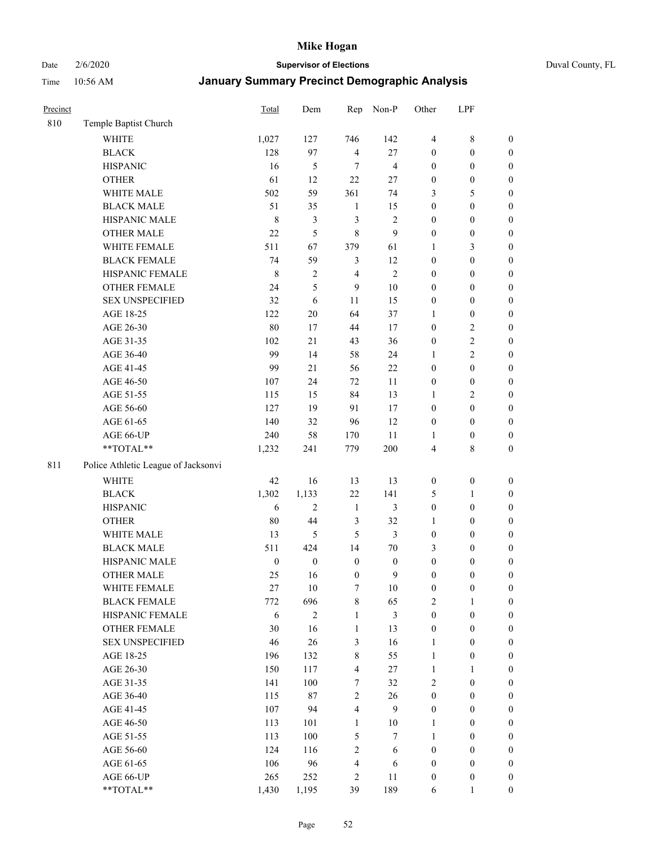# Date 2/6/2020 **Supervisor of Elections** Duval County, FL

| Precinct |                                     | Total            | Dem              | Rep                     | Non-P            | Other            | LPF              |                  |
|----------|-------------------------------------|------------------|------------------|-------------------------|------------------|------------------|------------------|------------------|
| 810      | Temple Baptist Church               |                  |                  |                         |                  |                  |                  |                  |
|          | <b>WHITE</b>                        | 1,027            | 127              | 746                     | 142              | $\overline{4}$   | $\,$ 8 $\,$      | $\boldsymbol{0}$ |
|          | <b>BLACK</b>                        | 128              | 97               | $\overline{4}$          | 27               | $\boldsymbol{0}$ | $\boldsymbol{0}$ | $\boldsymbol{0}$ |
|          | <b>HISPANIC</b>                     | 16               | 5                | 7                       | $\overline{4}$   | $\boldsymbol{0}$ | $\boldsymbol{0}$ | $\boldsymbol{0}$ |
|          | <b>OTHER</b>                        | 61               | 12               | 22                      | 27               | $\boldsymbol{0}$ | $\boldsymbol{0}$ | $\boldsymbol{0}$ |
|          | WHITE MALE                          | 502              | 59               | 361                     | 74               | 3                | 5                | $\boldsymbol{0}$ |
|          | <b>BLACK MALE</b>                   | 51               | 35               | $\mathbf{1}$            | 15               | $\boldsymbol{0}$ | $\boldsymbol{0}$ | $\boldsymbol{0}$ |
|          | HISPANIC MALE                       | $\,8\,$          | 3                | 3                       | $\overline{c}$   | $\boldsymbol{0}$ | $\boldsymbol{0}$ | $\boldsymbol{0}$ |
|          | <b>OTHER MALE</b>                   | 22               | 5                | $\,$ 8 $\,$             | 9                | $\boldsymbol{0}$ | $\boldsymbol{0}$ | $\boldsymbol{0}$ |
|          | WHITE FEMALE                        | 511              | 67               | 379                     | 61               | 1                | $\mathfrak{Z}$   | $\boldsymbol{0}$ |
|          | <b>BLACK FEMALE</b>                 | 74               | 59               | $\mathfrak{Z}$          | 12               | $\boldsymbol{0}$ | $\boldsymbol{0}$ | $\boldsymbol{0}$ |
|          | HISPANIC FEMALE                     | $\,8\,$          | $\overline{2}$   | $\overline{4}$          | $\overline{2}$   | $\boldsymbol{0}$ | $\boldsymbol{0}$ | $\boldsymbol{0}$ |
|          | <b>OTHER FEMALE</b>                 | 24               | 5                | 9                       | 10               | $\boldsymbol{0}$ | $\boldsymbol{0}$ | $\boldsymbol{0}$ |
|          | <b>SEX UNSPECIFIED</b>              | 32               | 6                | 11                      | 15               | $\boldsymbol{0}$ | $\boldsymbol{0}$ | $\boldsymbol{0}$ |
|          | AGE 18-25                           | 122              | $20\,$           | 64                      | 37               | 1                | $\boldsymbol{0}$ | $\boldsymbol{0}$ |
|          | AGE 26-30                           | 80               | 17               | 44                      | 17               | $\boldsymbol{0}$ | $\sqrt{2}$       | $\boldsymbol{0}$ |
|          | AGE 31-35                           | 102              | 21               | 43                      | 36               | $\boldsymbol{0}$ | $\sqrt{2}$       | $\boldsymbol{0}$ |
|          | AGE 36-40                           | 99               | 14               | 58                      | 24               | 1                | $\overline{2}$   | $\boldsymbol{0}$ |
|          | AGE 41-45                           | 99               | 21               | 56                      | 22               | $\boldsymbol{0}$ | $\boldsymbol{0}$ | $\boldsymbol{0}$ |
|          | AGE 46-50                           | 107              | 24               | 72                      | 11               | $\boldsymbol{0}$ | $\boldsymbol{0}$ | $\boldsymbol{0}$ |
|          | AGE 51-55                           | 115              | 15               | 84                      | 13               | 1                | $\sqrt{2}$       | $\boldsymbol{0}$ |
|          | AGE 56-60                           | 127              | 19               | 91                      | 17               | $\boldsymbol{0}$ | $\boldsymbol{0}$ | 0                |
|          | AGE 61-65                           | 140              | 32               | 96                      | 12               | $\boldsymbol{0}$ | $\boldsymbol{0}$ | $\boldsymbol{0}$ |
|          | AGE 66-UP                           | 240              | 58               | 170                     | 11               | 1                | $\boldsymbol{0}$ | $\boldsymbol{0}$ |
|          | **TOTAL**                           | 1,232            | 241              | 779                     | 200              | 4                | $\,$ 8 $\,$      | $\boldsymbol{0}$ |
| 811      | Police Athletic League of Jacksonvi |                  |                  |                         |                  |                  |                  |                  |
|          | <b>WHITE</b>                        |                  |                  |                         |                  |                  |                  |                  |
|          |                                     | 42               | 16               | 13                      | 13               | $\boldsymbol{0}$ | $\boldsymbol{0}$ | $\boldsymbol{0}$ |
|          | <b>BLACK</b>                        | 1,302            | 1,133            | $22\,$                  | 141              | 5                | $\mathbf{1}$     | $\boldsymbol{0}$ |
|          | <b>HISPANIC</b>                     | 6                | $\overline{2}$   | $\mathbf{1}$            | 3                | $\boldsymbol{0}$ | $\boldsymbol{0}$ | $\boldsymbol{0}$ |
|          | <b>OTHER</b>                        | 80               | 44               | $\mathfrak{Z}$          | 32               | 1                | $\boldsymbol{0}$ | $\boldsymbol{0}$ |
|          | WHITE MALE                          | 13               | 5                | 5                       | 3                | $\boldsymbol{0}$ | $\boldsymbol{0}$ | $\boldsymbol{0}$ |
|          | <b>BLACK MALE</b>                   | 511              | 424              | 14                      | $70\,$           | 3                | $\boldsymbol{0}$ | $\boldsymbol{0}$ |
|          | HISPANIC MALE                       | $\boldsymbol{0}$ | $\boldsymbol{0}$ | $\boldsymbol{0}$        | $\boldsymbol{0}$ | $\boldsymbol{0}$ | $\boldsymbol{0}$ | $\boldsymbol{0}$ |
|          | <b>OTHER MALE</b>                   | 25               | 16               | $\boldsymbol{0}$        | 9                | $\boldsymbol{0}$ | $\boldsymbol{0}$ | $\boldsymbol{0}$ |
|          | WHITE FEMALE                        | 27               | 10               | 7                       | 10               | 0                | $\boldsymbol{0}$ | 0                |
|          | <b>BLACK FEMALE</b>                 | 772              | 696              | 8                       | 65               | 2                | $\mathbf{1}$     | $\boldsymbol{0}$ |
|          | HISPANIC FEMALE                     | 6                | $\boldsymbol{2}$ | $\mathbf{1}$            | 3                | $\boldsymbol{0}$ | $\boldsymbol{0}$ | $\overline{0}$   |
|          | <b>OTHER FEMALE</b>                 | 30               | 16               | 1                       | 13               | $\boldsymbol{0}$ | $\boldsymbol{0}$ | $\overline{0}$   |
|          | <b>SEX UNSPECIFIED</b>              | 46               | $26\,$           | 3                       | 16               | $\mathbf{1}$     | $\boldsymbol{0}$ | $\overline{0}$   |
|          | AGE 18-25                           | 196              | 132              | $\,$ 8 $\,$             | 55               | $\mathbf{1}$     | $\boldsymbol{0}$ | $\overline{0}$   |
|          | AGE 26-30                           | 150              | 117              | $\overline{\mathbf{4}}$ | 27               | $\mathbf{1}$     | $\mathbf{1}$     | $\overline{0}$   |
|          | AGE 31-35                           | 141              | 100              | 7                       | 32               | $\overline{c}$   | $\boldsymbol{0}$ | $\overline{0}$   |
|          | AGE 36-40                           | 115              | $87\,$           | $\sqrt{2}$              | 26               | $\boldsymbol{0}$ | $\boldsymbol{0}$ | 0                |
|          | AGE 41-45                           | 107              | 94               | $\overline{\mathbf{4}}$ | 9                | $\boldsymbol{0}$ | $\boldsymbol{0}$ | 0                |
|          | AGE 46-50                           | 113              | 101              | $\mathbf{1}$            | $10\,$           | 1                | $\boldsymbol{0}$ | $\boldsymbol{0}$ |
|          | AGE 51-55                           | 113              | 100              | 5                       | $\tau$           | $\mathbf{1}$     | $\boldsymbol{0}$ | $\boldsymbol{0}$ |
|          | AGE 56-60                           | 124              | 116              | $\sqrt{2}$              | 6                | $\boldsymbol{0}$ | $\boldsymbol{0}$ | $\overline{0}$   |
|          | AGE 61-65                           | 106              | 96               | $\overline{4}$          | 6                | $\boldsymbol{0}$ | $\boldsymbol{0}$ | $\overline{0}$   |
|          | AGE 66-UP                           | 265              | 252              | $\sqrt{2}$              | 11               | $\boldsymbol{0}$ | $\boldsymbol{0}$ | $\boldsymbol{0}$ |
|          | **TOTAL**                           | 1,430            | 1,195            | 39                      | 189              | 6                | $\mathbf{1}$     | $\boldsymbol{0}$ |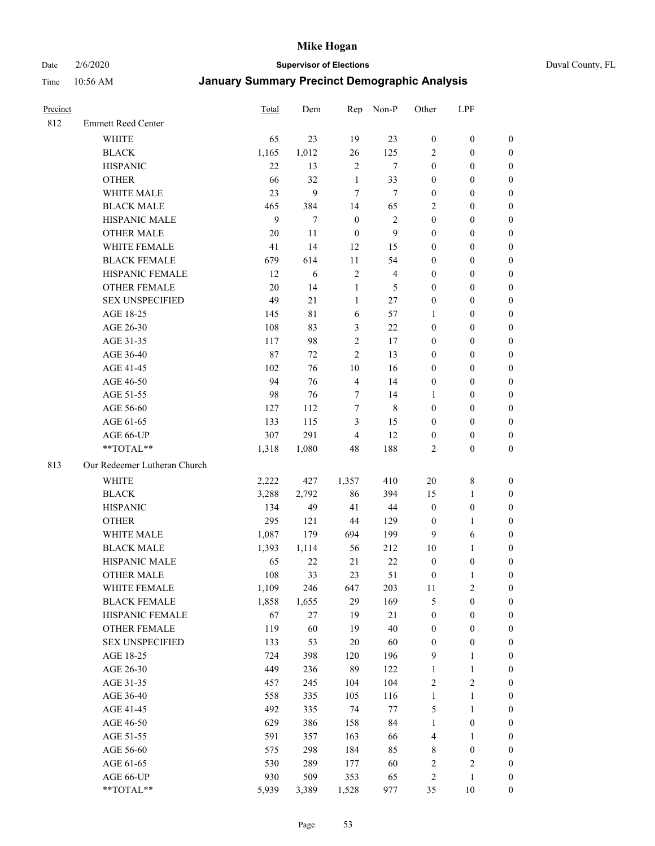Date 2/6/2020 **Supervisor of Elections** Duval County, FL

| Precinct |                              | <b>Total</b> | Dem   | Rep              | Non-P          | Other            | LPF              |                  |
|----------|------------------------------|--------------|-------|------------------|----------------|------------------|------------------|------------------|
| 812      | <b>Emmett Reed Center</b>    |              |       |                  |                |                  |                  |                  |
|          | <b>WHITE</b>                 | 65           | 23    | 19               | 23             | $\boldsymbol{0}$ | $\boldsymbol{0}$ | $\boldsymbol{0}$ |
|          | <b>BLACK</b>                 | 1,165        | 1,012 | 26               | 125            | $\overline{2}$   | $\boldsymbol{0}$ | $\boldsymbol{0}$ |
|          | <b>HISPANIC</b>              | 22           | 13    | $\overline{2}$   | $\tau$         | $\boldsymbol{0}$ | $\boldsymbol{0}$ | $\boldsymbol{0}$ |
|          | <b>OTHER</b>                 | 66           | 32    | $\mathbf{1}$     | 33             | $\boldsymbol{0}$ | $\boldsymbol{0}$ | $\boldsymbol{0}$ |
|          | WHITE MALE                   | 23           | 9     | $7\phantom{.0}$  | 7              | $\boldsymbol{0}$ | $\boldsymbol{0}$ | $\boldsymbol{0}$ |
|          | <b>BLACK MALE</b>            | 465          | 384   | 14               | 65             | $\overline{2}$   | $\boldsymbol{0}$ | $\boldsymbol{0}$ |
|          | HISPANIC MALE                | 9            | 7     | $\boldsymbol{0}$ | 2              | $\boldsymbol{0}$ | $\boldsymbol{0}$ | $\boldsymbol{0}$ |
|          | <b>OTHER MALE</b>            | 20           | 11    | $\boldsymbol{0}$ | 9              | $\boldsymbol{0}$ | $\boldsymbol{0}$ | $\boldsymbol{0}$ |
|          | WHITE FEMALE                 | 41           | 14    | 12               | 15             | $\boldsymbol{0}$ | $\boldsymbol{0}$ | $\boldsymbol{0}$ |
|          | <b>BLACK FEMALE</b>          | 679          | 614   | 11               | 54             | $\boldsymbol{0}$ | $\boldsymbol{0}$ | $\boldsymbol{0}$ |
|          | HISPANIC FEMALE              | 12           | 6     | $\sqrt{2}$       | $\overline{4}$ | $\boldsymbol{0}$ | $\boldsymbol{0}$ | 0                |
|          | <b>OTHER FEMALE</b>          | 20           | 14    | $\mathbf{1}$     | 5              | $\boldsymbol{0}$ | $\boldsymbol{0}$ | $\boldsymbol{0}$ |
|          | <b>SEX UNSPECIFIED</b>       | 49           | 21    | $\mathbf{1}$     | 27             | $\boldsymbol{0}$ | $\boldsymbol{0}$ | $\boldsymbol{0}$ |
|          | AGE 18-25                    | 145          | 81    | 6                | 57             | 1                | $\boldsymbol{0}$ | $\boldsymbol{0}$ |
|          | AGE 26-30                    | 108          | 83    | $\mathfrak{Z}$   | $22\,$         | $\boldsymbol{0}$ | $\boldsymbol{0}$ | $\boldsymbol{0}$ |
|          | AGE 31-35                    | 117          | 98    | $\sqrt{2}$       | 17             | $\boldsymbol{0}$ | $\boldsymbol{0}$ | $\boldsymbol{0}$ |
|          | AGE 36-40                    | 87           | 72    | $\overline{2}$   | 13             | $\boldsymbol{0}$ | $\boldsymbol{0}$ | $\boldsymbol{0}$ |
|          | AGE 41-45                    | 102          | 76    | 10               | 16             | $\boldsymbol{0}$ | $\boldsymbol{0}$ | $\boldsymbol{0}$ |
|          | AGE 46-50                    | 94           | 76    | $\overline{4}$   | 14             | $\boldsymbol{0}$ | $\boldsymbol{0}$ | $\boldsymbol{0}$ |
|          | AGE 51-55                    | 98           | 76    | 7                | 14             | 1                | $\boldsymbol{0}$ | $\boldsymbol{0}$ |
|          | AGE 56-60                    | 127          | 112   | $\tau$           | $\,8\,$        | $\boldsymbol{0}$ | $\boldsymbol{0}$ | 0                |
|          | AGE 61-65                    | 133          | 115   | 3                | 15             | $\boldsymbol{0}$ | $\boldsymbol{0}$ | 0                |
|          | AGE 66-UP                    | 307          | 291   | $\overline{4}$   | 12             | $\boldsymbol{0}$ | $\boldsymbol{0}$ | $\boldsymbol{0}$ |
|          | **TOTAL**                    | 1,318        | 1,080 | 48               | 188            | $\overline{c}$   | $\boldsymbol{0}$ | $\boldsymbol{0}$ |
| 813      | Our Redeemer Lutheran Church |              |       |                  |                |                  |                  |                  |
|          | <b>WHITE</b>                 | 2,222        | 427   | 1,357            | 410            | $20\,$           | $\,$ 8 $\,$      | $\boldsymbol{0}$ |
|          | <b>BLACK</b>                 | 3,288        | 2,792 | 86               | 394            | 15               | $\mathbf{1}$     | $\boldsymbol{0}$ |
|          | <b>HISPANIC</b>              | 134          | 49    | 41               | $44\,$         | $\boldsymbol{0}$ | $\boldsymbol{0}$ | $\boldsymbol{0}$ |
|          | <b>OTHER</b>                 | 295          | 121   | 44               | 129            | $\boldsymbol{0}$ | $\mathbf{1}$     | $\boldsymbol{0}$ |
|          | <b>WHITE MALE</b>            | 1,087        | 179   | 694              | 199            | 9                | 6                | $\boldsymbol{0}$ |
|          | <b>BLACK MALE</b>            | 1,393        | 1,114 | 56               | 212            | $10\,$           | $\mathbf{1}$     | $\boldsymbol{0}$ |
|          | HISPANIC MALE                | 65           | 22    | 21               | $22\,$         | $\boldsymbol{0}$ | $\boldsymbol{0}$ | 0                |
|          | <b>OTHER MALE</b>            | 108          | 33    | 23               | 51             | $\boldsymbol{0}$ | $\mathbf{1}$     | 0                |
|          | WHITE FEMALE                 | 1,109        | 246   | 647              | 203            | 11               | 2                | 0                |
|          | <b>BLACK FEMALE</b>          | 1,858        | 1,655 | 29               | 169            | 5                | $\boldsymbol{0}$ | $\boldsymbol{0}$ |
|          | HISPANIC FEMALE              | 67           | 27    | 19               | 21             | $\boldsymbol{0}$ | $\boldsymbol{0}$ | $\boldsymbol{0}$ |
|          | <b>OTHER FEMALE</b>          | 119          | 60    | 19               | 40             | $\boldsymbol{0}$ | $\boldsymbol{0}$ | $\overline{0}$   |
|          | <b>SEX UNSPECIFIED</b>       | 133          | 53    | $20\,$           | 60             | $\boldsymbol{0}$ | $\boldsymbol{0}$ | $\overline{0}$   |
|          | AGE 18-25                    | 724          | 398   | 120              | 196            | 9                | $\mathbf{1}$     | $\overline{0}$   |
|          | AGE 26-30                    | 449          | 236   | 89               | 122            | $\mathbf{1}$     | $\mathbf{1}$     | $\overline{0}$   |
|          | AGE 31-35                    | 457          | 245   | 104              | 104            | $\sqrt{2}$       | $\sqrt{2}$       | 0                |
|          | AGE 36-40                    | 558          | 335   | 105              | 116            | $\mathbf{1}$     | $\mathbf{1}$     | 0                |
|          | AGE 41-45                    | 492          | 335   | 74               | $77\,$         | 5                | $\mathbf{1}$     | 0                |
|          | AGE 46-50                    | 629          | 386   | 158              | 84             | $\mathbf{1}$     | $\boldsymbol{0}$ | 0                |
|          | AGE 51-55                    | 591          | 357   | 163              | 66             | 4                | $\mathbf{1}$     | 0                |
|          | AGE 56-60                    | 575          | 298   | 184              | 85             | 8                | $\boldsymbol{0}$ | $\boldsymbol{0}$ |
|          | AGE 61-65                    | 530          | 289   | 177              | 60             | $\overline{c}$   | $\sqrt{2}$       | $\boldsymbol{0}$ |
|          | AGE 66-UP                    | 930          | 509   | 353              | 65             | $\overline{c}$   | $\mathbf{1}$     | $\boldsymbol{0}$ |
|          | **TOTAL**                    | 5,939        | 3,389 | 1,528            | 977            | 35               | $10\,$           | $\boldsymbol{0}$ |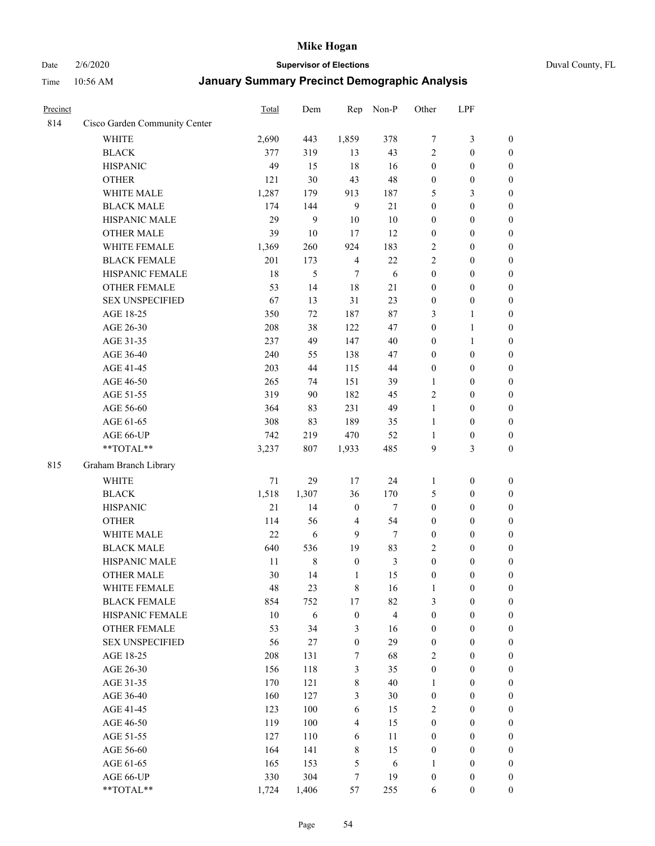# Date 2/6/2020 **Supervisor of Elections** Duval County, FL

| Precinct |                               | <b>Total</b> | Dem         | Rep              | Non-P                   | Other            | LPF              |                  |
|----------|-------------------------------|--------------|-------------|------------------|-------------------------|------------------|------------------|------------------|
| 814      | Cisco Garden Community Center |              |             |                  |                         |                  |                  |                  |
|          | <b>WHITE</b>                  | 2,690        | 443         | 1,859            | 378                     | 7                | $\mathfrak{Z}$   | $\boldsymbol{0}$ |
|          | <b>BLACK</b>                  | 377          | 319         | 13               | 43                      | $\overline{2}$   | $\boldsymbol{0}$ | $\boldsymbol{0}$ |
|          | <b>HISPANIC</b>               | 49           | 15          | 18               | 16                      | $\boldsymbol{0}$ | $\boldsymbol{0}$ | $\boldsymbol{0}$ |
|          | <b>OTHER</b>                  | 121          | 30          | 43               | 48                      | $\boldsymbol{0}$ | $\boldsymbol{0}$ | $\boldsymbol{0}$ |
|          | WHITE MALE                    | 1,287        | 179         | 913              | 187                     | 5                | 3                | $\boldsymbol{0}$ |
|          | <b>BLACK MALE</b>             | 174          | 144         | 9                | 21                      | $\boldsymbol{0}$ | $\boldsymbol{0}$ | $\boldsymbol{0}$ |
|          | HISPANIC MALE                 | 29           | 9           | $10\,$           | 10                      | $\boldsymbol{0}$ | $\boldsymbol{0}$ | $\boldsymbol{0}$ |
|          | <b>OTHER MALE</b>             | 39           | $10\,$      | 17               | 12                      | $\boldsymbol{0}$ | $\boldsymbol{0}$ | $\boldsymbol{0}$ |
|          | WHITE FEMALE                  | 1,369        | 260         | 924              | 183                     | $\overline{c}$   | $\boldsymbol{0}$ | $\boldsymbol{0}$ |
|          | <b>BLACK FEMALE</b>           | 201          | 173         | $\overline{4}$   | 22                      | $\overline{c}$   | $\boldsymbol{0}$ | $\boldsymbol{0}$ |
|          | HISPANIC FEMALE               | 18           | 5           | $\tau$           | 6                       | $\boldsymbol{0}$ | $\boldsymbol{0}$ | $\boldsymbol{0}$ |
|          | <b>OTHER FEMALE</b>           | 53           | 14          | $18\,$           | 21                      | $\boldsymbol{0}$ | $\boldsymbol{0}$ | $\boldsymbol{0}$ |
|          | <b>SEX UNSPECIFIED</b>        | 67           | 13          | 31               | 23                      | $\boldsymbol{0}$ | $\boldsymbol{0}$ | $\boldsymbol{0}$ |
|          | AGE 18-25                     | 350          | 72          | 187              | 87                      | 3                | $\mathbf{1}$     | $\boldsymbol{0}$ |
|          | AGE 26-30                     | 208          | 38          | 122              | 47                      | $\boldsymbol{0}$ | $\mathbf{1}$     | $\boldsymbol{0}$ |
|          | AGE 31-35                     | 237          | 49          | 147              | 40                      | $\boldsymbol{0}$ | $\mathbf{1}$     | $\boldsymbol{0}$ |
|          | AGE 36-40                     | 240          | 55          | 138              | 47                      | $\boldsymbol{0}$ | $\boldsymbol{0}$ | $\boldsymbol{0}$ |
|          | AGE 41-45                     | 203          | 44          | 115              | $44\,$                  | $\boldsymbol{0}$ | $\boldsymbol{0}$ | $\boldsymbol{0}$ |
|          | AGE 46-50                     | 265          | 74          | 151              | 39                      | $\mathbf{1}$     | $\boldsymbol{0}$ | $\boldsymbol{0}$ |
|          | AGE 51-55                     | 319          | 90          | 182              | 45                      | $\overline{c}$   | $\boldsymbol{0}$ | $\boldsymbol{0}$ |
|          | AGE 56-60                     | 364          | 83          | 231              | 49                      | $\mathbf{1}$     | $\boldsymbol{0}$ | 0                |
|          | AGE 61-65                     | 308          | 83          | 189              | 35                      | 1                | $\boldsymbol{0}$ | $\boldsymbol{0}$ |
|          | AGE 66-UP                     | 742          | 219         | 470              | 52                      | $\mathbf{1}$     | $\boldsymbol{0}$ | $\boldsymbol{0}$ |
|          | **TOTAL**                     | 3,237        | 807         | 1,933            | 485                     | 9                | 3                | $\boldsymbol{0}$ |
| 815      | Graham Branch Library         |              |             |                  |                         |                  |                  |                  |
|          | <b>WHITE</b>                  | $71\,$       | 29          | 17               | 24                      | 1                | $\boldsymbol{0}$ | $\boldsymbol{0}$ |
|          | <b>BLACK</b>                  | 1,518        | 1,307       | 36               | 170                     | 5                | $\boldsymbol{0}$ | $\boldsymbol{0}$ |
|          | <b>HISPANIC</b>               | 21           | 14          | $\boldsymbol{0}$ | $\tau$                  | $\boldsymbol{0}$ | $\boldsymbol{0}$ | $\boldsymbol{0}$ |
|          | <b>OTHER</b>                  | 114          | 56          | $\overline{4}$   | 54                      | $\boldsymbol{0}$ | $\boldsymbol{0}$ | $\boldsymbol{0}$ |
|          | WHITE MALE                    | 22           | 6           | 9                | $\tau$                  | $\boldsymbol{0}$ | $\boldsymbol{0}$ | $\boldsymbol{0}$ |
|          | <b>BLACK MALE</b>             | 640          | 536         | 19               | 83                      | $\overline{c}$   | $\boldsymbol{0}$ | $\boldsymbol{0}$ |
|          | HISPANIC MALE                 | 11           | $\,$ 8 $\,$ | $\boldsymbol{0}$ | 3                       | $\boldsymbol{0}$ | $\boldsymbol{0}$ | $\boldsymbol{0}$ |
|          | <b>OTHER MALE</b>             | 30           | 14          | 1                | 15                      | $\boldsymbol{0}$ | $\boldsymbol{0}$ | $\boldsymbol{0}$ |
|          | WHITE FEMALE                  | 48           | 23          | 8                | 16                      | 1                | $\boldsymbol{0}$ | 0                |
|          | <b>BLACK FEMALE</b>           | 854          | 752         | 17               | 82                      | 3                | $\boldsymbol{0}$ | $\boldsymbol{0}$ |
|          | HISPANIC FEMALE               | 10           | 6           | $\boldsymbol{0}$ | $\overline{\mathbf{4}}$ | $\boldsymbol{0}$ | $\boldsymbol{0}$ | $\overline{0}$   |
|          | <b>OTHER FEMALE</b>           | 53           | 34          | $\mathfrak{Z}$   | 16                      | $\boldsymbol{0}$ | $\boldsymbol{0}$ | $\overline{0}$   |
|          | <b>SEX UNSPECIFIED</b>        | 56           | 27          | $\boldsymbol{0}$ | 29                      | $\boldsymbol{0}$ | $\boldsymbol{0}$ | $\overline{0}$   |
|          | AGE 18-25                     | 208          | 131         | 7                | 68                      | $\overline{c}$   | $\boldsymbol{0}$ | $\overline{0}$   |
|          | AGE 26-30                     | 156          | 118         | $\mathfrak{Z}$   | 35                      | $\boldsymbol{0}$ | $\boldsymbol{0}$ | $\overline{0}$   |
|          | AGE 31-35                     | 170          | 121         | $\,$ 8 $\,$      | 40                      | $\mathbf{1}$     | $\boldsymbol{0}$ | $\overline{0}$   |
|          | AGE 36-40                     | 160          | 127         | $\mathfrak{Z}$   | 30                      | $\boldsymbol{0}$ | $\boldsymbol{0}$ | 0                |
|          | AGE 41-45                     | 123          | 100         | 6                | 15                      | 2                | $\boldsymbol{0}$ | 0                |
|          | AGE 46-50                     | 119          | 100         | $\overline{4}$   | 15                      | $\boldsymbol{0}$ | $\boldsymbol{0}$ | $\boldsymbol{0}$ |
|          | AGE 51-55                     | 127          | 110         | 6                | 11                      | $\boldsymbol{0}$ | $\boldsymbol{0}$ | $\overline{0}$   |
|          | AGE 56-60                     | 164          | 141         | $\,$ 8 $\,$      | 15                      | $\boldsymbol{0}$ | $\boldsymbol{0}$ | $\overline{0}$   |
|          | AGE 61-65                     | 165          | 153         | 5                | 6                       | 1                | $\boldsymbol{0}$ | $\boldsymbol{0}$ |
|          | AGE 66-UP                     | 330          | 304         | 7                | 19                      | $\boldsymbol{0}$ | $\boldsymbol{0}$ | $\boldsymbol{0}$ |
|          | **TOTAL**                     | 1,724        | 1,406       | 57               | 255                     | 6                | $\boldsymbol{0}$ | $\boldsymbol{0}$ |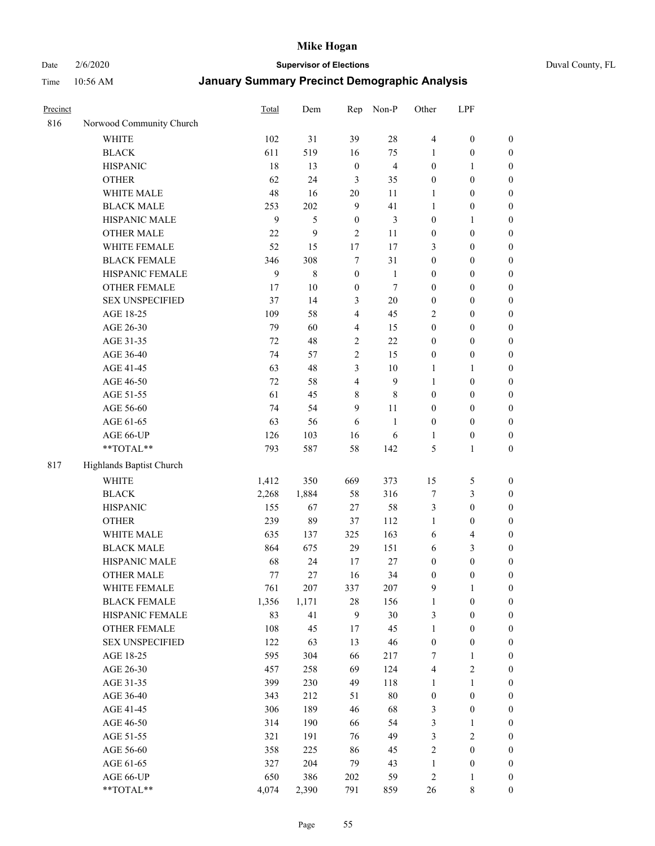Date 2/6/2020 **Supervisor of Elections** Duval County, FL

| Precinct |                          | Total        | Dem          | Rep                     | Non-P          | Other                   | LPF              |                  |
|----------|--------------------------|--------------|--------------|-------------------------|----------------|-------------------------|------------------|------------------|
| 816      | Norwood Community Church |              |              |                         |                |                         |                  |                  |
|          | <b>WHITE</b>             | 102          | 31           | 39                      | 28             | $\overline{4}$          | $\boldsymbol{0}$ | 0                |
|          | <b>BLACK</b>             | 611          | 519          | 16                      | 75             | 1                       | $\boldsymbol{0}$ | $\boldsymbol{0}$ |
|          | <b>HISPANIC</b>          | 18           | 13           | $\boldsymbol{0}$        | $\overline{4}$ | $\boldsymbol{0}$        | $\mathbf{1}$     | $\boldsymbol{0}$ |
|          | <b>OTHER</b>             | 62           | 24           | 3                       | 35             | $\boldsymbol{0}$        | $\boldsymbol{0}$ | $\boldsymbol{0}$ |
|          | WHITE MALE               | 48           | 16           | 20                      | 11             | 1                       | $\boldsymbol{0}$ | $\boldsymbol{0}$ |
|          | <b>BLACK MALE</b>        | 253          | 202          | $\boldsymbol{9}$        | 41             | 1                       | $\boldsymbol{0}$ | $\boldsymbol{0}$ |
|          | HISPANIC MALE            | $\mathbf{9}$ | 5            | $\boldsymbol{0}$        | 3              | $\boldsymbol{0}$        | $\mathbf{1}$     | $\boldsymbol{0}$ |
|          | <b>OTHER MALE</b>        | 22           | 9            | $\overline{2}$          | 11             | $\boldsymbol{0}$        | $\boldsymbol{0}$ | $\boldsymbol{0}$ |
|          | WHITE FEMALE             | 52           | 15           | 17                      | 17             | 3                       | $\boldsymbol{0}$ | $\boldsymbol{0}$ |
|          | <b>BLACK FEMALE</b>      | 346          | 308          | $\tau$                  | 31             | $\boldsymbol{0}$        | $\boldsymbol{0}$ | $\boldsymbol{0}$ |
|          | HISPANIC FEMALE          | 9            | 8            | $\boldsymbol{0}$        | $\mathbf{1}$   | $\boldsymbol{0}$        | $\boldsymbol{0}$ | $\boldsymbol{0}$ |
|          | <b>OTHER FEMALE</b>      | 17           | $10\,$       | $\boldsymbol{0}$        | $\tau$         | $\boldsymbol{0}$        | $\boldsymbol{0}$ | $\boldsymbol{0}$ |
|          | <b>SEX UNSPECIFIED</b>   | 37           | 14           | $\mathfrak{Z}$          | $20\,$         | $\boldsymbol{0}$        | $\boldsymbol{0}$ | $\boldsymbol{0}$ |
|          | AGE 18-25                | 109          | 58           | $\overline{4}$          | 45             | 2                       | $\boldsymbol{0}$ | $\boldsymbol{0}$ |
|          | AGE 26-30                | 79           | 60           | $\overline{4}$          | 15             | $\boldsymbol{0}$        | $\boldsymbol{0}$ | $\boldsymbol{0}$ |
|          | AGE 31-35                | 72           | 48           | $\sqrt{2}$              | 22             | $\boldsymbol{0}$        | $\boldsymbol{0}$ | $\boldsymbol{0}$ |
|          | AGE 36-40                | 74           | 57           | $\sqrt{2}$              | 15             | $\boldsymbol{0}$        | $\boldsymbol{0}$ | $\boldsymbol{0}$ |
|          | AGE 41-45                | 63           | 48           | $\mathfrak{Z}$          | $10\,$         | $\mathbf{1}$            | $\mathbf{1}$     | $\boldsymbol{0}$ |
|          | AGE 46-50                | 72           | 58           | $\overline{\mathbf{4}}$ | $\mathbf{9}$   | $\mathbf{1}$            | $\boldsymbol{0}$ | $\boldsymbol{0}$ |
|          | AGE 51-55                | 61           | 45           | $\,$ 8 $\,$             | $\,$ 8 $\,$    | $\boldsymbol{0}$        | $\boldsymbol{0}$ | $\boldsymbol{0}$ |
|          | AGE 56-60                | 74           | 54           | 9                       | 11             | $\boldsymbol{0}$        | $\boldsymbol{0}$ | 0                |
|          | AGE 61-65                | 63           | 56           | 6                       | 1              | $\boldsymbol{0}$        | $\boldsymbol{0}$ | $\boldsymbol{0}$ |
|          | AGE 66-UP                | 126          | 103          | 16                      | 6              | 1                       | $\boldsymbol{0}$ | $\boldsymbol{0}$ |
|          | **TOTAL**                | 793          | 587          | 58                      | 142            | 5                       | $\mathbf{1}$     | $\boldsymbol{0}$ |
| 817      | Highlands Baptist Church |              |              |                         |                |                         |                  |                  |
|          | <b>WHITE</b>             | 1,412        | 350          | 669                     | 373            | 15                      | $\mathfrak s$    | $\boldsymbol{0}$ |
|          | <b>BLACK</b>             | 2,268        | 1,884        | 58                      | 316            | 7                       | $\mathfrak{Z}$   | $\boldsymbol{0}$ |
|          | <b>HISPANIC</b>          | 155          | 67           | 27                      | 58             | 3                       | $\boldsymbol{0}$ | $\boldsymbol{0}$ |
|          | <b>OTHER</b>             | 239          | 89           | 37                      | 112            | 1                       | $\boldsymbol{0}$ | $\boldsymbol{0}$ |
|          | WHITE MALE               | 635          | 137          | 325                     | 163            | 6                       | $\overline{4}$   | $\boldsymbol{0}$ |
|          | <b>BLACK MALE</b>        | 864          | 675          | 29                      | 151            | 6                       | $\mathfrak{Z}$   | $\boldsymbol{0}$ |
|          | HISPANIC MALE            | 68           | 24           | 17                      | 27             | $\boldsymbol{0}$        | $\boldsymbol{0}$ | $\boldsymbol{0}$ |
|          | <b>OTHER MALE</b>        | 77           | 27           | 16                      | 34             | $\boldsymbol{0}$        | $\boldsymbol{0}$ | $\boldsymbol{0}$ |
|          | WHITE FEMALE             |              |              |                         |                | 9                       | 1                | 0                |
|          | <b>BLACK FEMALE</b>      | 761<br>1,356 | 207<br>1,171 | 337<br>28               | 207<br>156     | $\mathbf{1}$            | $\boldsymbol{0}$ | $\boldsymbol{0}$ |
|          | HISPANIC FEMALE          | 83           | 41           | 9                       | 30             | 3                       | $\boldsymbol{0}$ | $\overline{0}$   |
|          | <b>OTHER FEMALE</b>      | 108          | 45           | 17                      | 45             | $\mathbf{1}$            | $\boldsymbol{0}$ | $\overline{0}$   |
|          | <b>SEX UNSPECIFIED</b>   | 122          | 63           | 13                      | 46             | $\boldsymbol{0}$        | $\boldsymbol{0}$ | 0                |
|          | AGE 18-25                | 595          | 304          | 66                      | 217            | 7                       | $\mathbf{1}$     | $\overline{0}$   |
|          | AGE 26-30                | 457          | 258          | 69                      | 124            | $\overline{\mathbf{4}}$ | $\sqrt{2}$       | 0                |
|          | AGE 31-35                | 399          | 230          | 49                      | 118            | $\mathbf{1}$            | $\mathbf{1}$     | 0                |
|          | AGE 36-40                | 343          | 212          | 51                      | $80\,$         | $\boldsymbol{0}$        | $\boldsymbol{0}$ | 0                |
|          | AGE 41-45                | 306          | 189          | 46                      | 68             | 3                       | $\boldsymbol{0}$ | 0                |
|          | AGE 46-50                | 314          | 190          | 66                      | 54             | 3                       | 1                | 0                |
|          | AGE 51-55                | 321          | 191          | 76                      | 49             | 3                       | $\sqrt{2}$       | $\boldsymbol{0}$ |
|          | AGE 56-60                | 358          | 225          | 86                      | 45             | $\sqrt{2}$              | $\boldsymbol{0}$ | $\boldsymbol{0}$ |
|          | AGE 61-65                | 327          | 204          | 79                      | 43             | $\mathbf{1}$            | $\boldsymbol{0}$ | $\boldsymbol{0}$ |
|          | AGE 66-UP                | 650          | 386          | 202                     | 59             | $\overline{c}$          | $\mathbf{1}$     | $\boldsymbol{0}$ |
|          | **TOTAL**                | 4,074        | 2,390        | 791                     | 859            | 26                      | 8                | $\boldsymbol{0}$ |
|          |                          |              |              |                         |                |                         |                  |                  |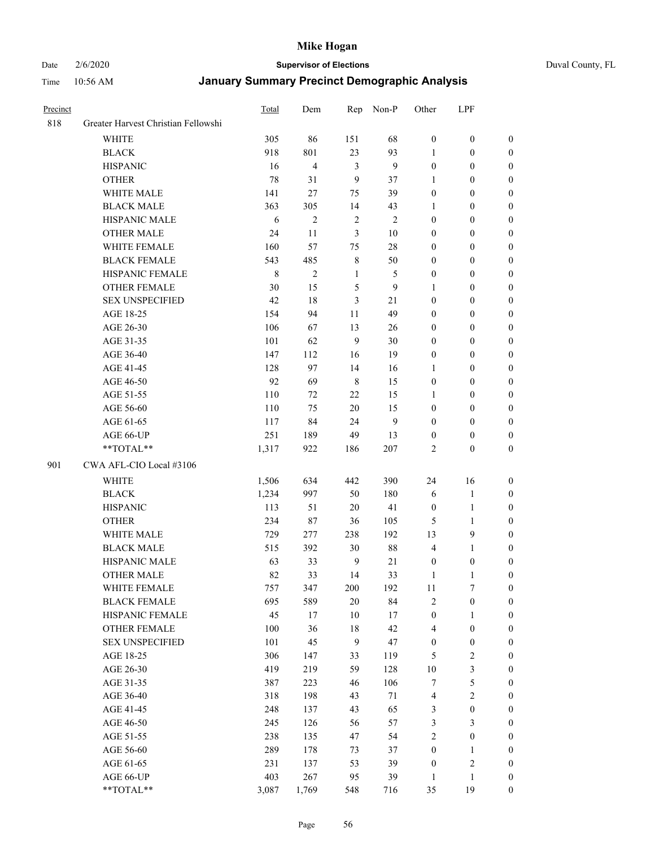#### Date 2/6/2020 **Supervisor of Elections** Duval County, FL

| Precinct |                                     | <b>Total</b> | Dem            | Rep            | Non-P          | Other            | LPF              |                  |
|----------|-------------------------------------|--------------|----------------|----------------|----------------|------------------|------------------|------------------|
| 818      | Greater Harvest Christian Fellowshi |              |                |                |                |                  |                  |                  |
|          | <b>WHITE</b>                        | 305          | 86             | 151            | 68             | $\boldsymbol{0}$ | $\boldsymbol{0}$ | $\boldsymbol{0}$ |
|          | <b>BLACK</b>                        | 918          | 801            | 23             | 93             | 1                | $\boldsymbol{0}$ | 0                |
|          | <b>HISPANIC</b>                     | 16           | 4              | $\mathfrak{Z}$ | 9              | $\boldsymbol{0}$ | $\boldsymbol{0}$ | $\boldsymbol{0}$ |
|          | <b>OTHER</b>                        | 78           | 31             | 9              | 37             | 1                | $\boldsymbol{0}$ | $\boldsymbol{0}$ |
|          | WHITE MALE                          | 141          | 27             | 75             | 39             | $\boldsymbol{0}$ | $\boldsymbol{0}$ | $\boldsymbol{0}$ |
|          | <b>BLACK MALE</b>                   | 363          | 305            | 14             | 43             | 1                | $\boldsymbol{0}$ | $\boldsymbol{0}$ |
|          | HISPANIC MALE                       | 6            | $\overline{c}$ | $\sqrt{2}$     | $\overline{2}$ | $\boldsymbol{0}$ | $\boldsymbol{0}$ | $\boldsymbol{0}$ |
|          | <b>OTHER MALE</b>                   | 24           | 11             | 3              | 10             | $\boldsymbol{0}$ | $\boldsymbol{0}$ | $\boldsymbol{0}$ |
|          | WHITE FEMALE                        | 160          | 57             | 75             | $28\,$         | $\boldsymbol{0}$ | $\boldsymbol{0}$ | $\boldsymbol{0}$ |
|          | <b>BLACK FEMALE</b>                 | 543          | 485            | $\,$ 8 $\,$    | 50             | $\boldsymbol{0}$ | $\boldsymbol{0}$ | 0                |
|          | HISPANIC FEMALE                     | $\,$ 8 $\,$  | $\overline{2}$ | $\mathbf{1}$   | 5              | $\boldsymbol{0}$ | $\boldsymbol{0}$ | 0                |
|          | <b>OTHER FEMALE</b>                 | 30           | 15             | $\sqrt{5}$     | 9              | 1                | $\boldsymbol{0}$ | $\boldsymbol{0}$ |
|          | <b>SEX UNSPECIFIED</b>              | 42           | 18             | 3              | 21             | $\boldsymbol{0}$ | $\boldsymbol{0}$ | $\boldsymbol{0}$ |
|          | AGE 18-25                           | 154          | 94             | 11             | 49             | $\boldsymbol{0}$ | $\boldsymbol{0}$ | $\boldsymbol{0}$ |
|          | AGE 26-30                           | 106          | 67             | 13             | 26             | $\boldsymbol{0}$ | $\boldsymbol{0}$ | $\boldsymbol{0}$ |
|          | AGE 31-35                           | 101          | 62             | 9              | 30             | $\boldsymbol{0}$ | $\boldsymbol{0}$ | $\boldsymbol{0}$ |
|          | AGE 36-40                           | 147          | 112            | 16             | 19             | $\boldsymbol{0}$ | $\boldsymbol{0}$ | $\boldsymbol{0}$ |
|          | AGE 41-45                           | 128          | 97             | 14             | 16             | $\mathbf{1}$     | $\boldsymbol{0}$ | $\boldsymbol{0}$ |
|          | AGE 46-50                           | 92           | 69             | $\,8\,$        | 15             | $\boldsymbol{0}$ | $\boldsymbol{0}$ | $\boldsymbol{0}$ |
|          | AGE 51-55                           | 110          | 72             | $22\,$         | 15             | 1                | $\boldsymbol{0}$ | $\boldsymbol{0}$ |
|          | AGE 56-60                           | 110          | 75             | 20             | 15             | $\boldsymbol{0}$ | $\boldsymbol{0}$ | 0                |
|          | AGE 61-65                           | 117          | 84             | 24             | 9              | $\boldsymbol{0}$ | $\boldsymbol{0}$ | 0                |
|          | AGE 66-UP                           | 251          | 189            | 49             | 13             | $\boldsymbol{0}$ | $\boldsymbol{0}$ | $\boldsymbol{0}$ |
|          | **TOTAL**                           | 1,317        | 922            | 186            | 207            | $\overline{2}$   | $\boldsymbol{0}$ | $\boldsymbol{0}$ |
| 901      | CWA AFL-CIO Local #3106             |              |                |                |                |                  |                  |                  |
|          | <b>WHITE</b>                        | 1,506        | 634            | 442            | 390            | 24               | 16               | $\boldsymbol{0}$ |
|          | <b>BLACK</b>                        | 1,234        | 997            | 50             | 180            | 6                | $\mathbf{1}$     | $\boldsymbol{0}$ |
|          | <b>HISPANIC</b>                     | 113          | 51             | 20             | 41             | $\boldsymbol{0}$ | $\mathbf{1}$     | $\boldsymbol{0}$ |
|          | <b>OTHER</b>                        | 234          | 87             | 36             | 105            | 5                | $\mathbf{1}$     | $\boldsymbol{0}$ |
|          | <b>WHITE MALE</b>                   | 729          | 277            | 238            | 192            | 13               | 9                | $\overline{0}$   |
|          | <b>BLACK MALE</b>                   | 515          | 392            | $30\,$         | $88\,$         | $\overline{4}$   | $\mathbf{1}$     | $\boldsymbol{0}$ |
|          | HISPANIC MALE                       | 63           | 33             | $\mathbf{9}$   | 21             | $\boldsymbol{0}$ | $\boldsymbol{0}$ | 0                |
|          | <b>OTHER MALE</b>                   | 82           | 33             | 14             | 33             | 1                | $\mathbf{1}$     | 0                |
|          | WHITE FEMALE                        | 757          | 347            | 200            | 192            | 11               | 7                | 0                |
|          | <b>BLACK FEMALE</b>                 | 695          | 589            | $20\,$         | 84             | $\sqrt{2}$       | $\boldsymbol{0}$ | $\boldsymbol{0}$ |
|          | HISPANIC FEMALE                     | 45           | 17             | $10\,$         | $17\,$         | $\boldsymbol{0}$ | $\mathbf{1}$     | $\overline{0}$   |
|          | <b>OTHER FEMALE</b>                 | 100          | 36             | $18\,$         | 42             | 4                | $\boldsymbol{0}$ | $\overline{0}$   |
|          | <b>SEX UNSPECIFIED</b>              | 101          | 45             | 9              | 47             | $\boldsymbol{0}$ | $\boldsymbol{0}$ | 0                |
|          | AGE 18-25                           | 306          | 147            | 33             | 119            | 5                | $\sqrt{2}$       | 0                |
|          | AGE 26-30                           | 419          | 219            | 59             | 128            | $10\,$           | $\mathfrak{Z}$   | 0                |
|          | AGE 31-35                           | 387          | 223            | 46             | 106            | 7                | $\sqrt{5}$       | 0                |
|          | AGE 36-40                           | 318          | 198            | 43             | $71\,$         | 4                | $\sqrt{2}$       | 0                |
|          | AGE 41-45                           | 248          | 137            | 43             | 65             | 3                | $\boldsymbol{0}$ | 0                |
|          | AGE 46-50                           | 245          | 126            | 56             | 57             | 3                | $\mathfrak{Z}$   | 0                |
|          | AGE 51-55                           | 238          | 135            | 47             | 54             | $\sqrt{2}$       | $\boldsymbol{0}$ | $\boldsymbol{0}$ |
|          | AGE 56-60                           | 289          | 178            | 73             | 37             | $\boldsymbol{0}$ | 1                | $\overline{0}$   |
|          | AGE 61-65                           | 231          | 137            | 53             | 39             | $\boldsymbol{0}$ | $\sqrt{2}$       | $\overline{0}$   |
|          | AGE 66-UP                           | 403          | 267            | 95             | 39             | $\mathbf{1}$     | $\mathbf{1}$     | $\boldsymbol{0}$ |
|          | **TOTAL**                           | 3,087        | 1,769          | 548            | 716            | 35               | 19               | $\boldsymbol{0}$ |
|          |                                     |              |                |                |                |                  |                  |                  |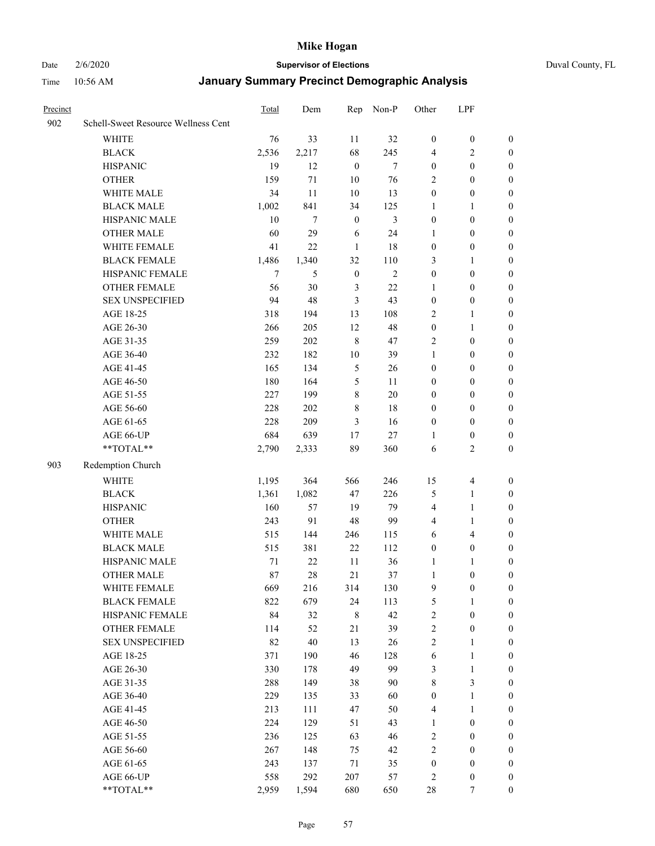#### Date 2/6/2020 **Supervisor of Elections** Duval County, FL

| Precinct |                                     | Total  | Dem   | Rep              | Non-P          | Other            | LPF              |                  |
|----------|-------------------------------------|--------|-------|------------------|----------------|------------------|------------------|------------------|
| 902      | Schell-Sweet Resource Wellness Cent |        |       |                  |                |                  |                  |                  |
|          | <b>WHITE</b>                        | 76     | 33    | 11               | 32             | $\boldsymbol{0}$ | $\boldsymbol{0}$ | $\boldsymbol{0}$ |
|          | <b>BLACK</b>                        | 2,536  | 2,217 | 68               | 245            | 4                | $\overline{c}$   | $\boldsymbol{0}$ |
|          | <b>HISPANIC</b>                     | 19     | 12    | $\boldsymbol{0}$ | $\overline{7}$ | $\boldsymbol{0}$ | $\boldsymbol{0}$ | $\boldsymbol{0}$ |
|          | <b>OTHER</b>                        | 159    | 71    | 10               | 76             | 2                | $\boldsymbol{0}$ | $\boldsymbol{0}$ |
|          | WHITE MALE                          | 34     | 11    | 10               | 13             | $\boldsymbol{0}$ | $\boldsymbol{0}$ | $\boldsymbol{0}$ |
|          | <b>BLACK MALE</b>                   | 1,002  | 841   | 34               | 125            | 1                | $\mathbf{1}$     | $\boldsymbol{0}$ |
|          | HISPANIC MALE                       | 10     | 7     | $\boldsymbol{0}$ | $\mathfrak{Z}$ | $\boldsymbol{0}$ | $\boldsymbol{0}$ | $\boldsymbol{0}$ |
|          | <b>OTHER MALE</b>                   | 60     | 29    | 6                | 24             | 1                | $\boldsymbol{0}$ | $\boldsymbol{0}$ |
|          | WHITE FEMALE                        | 41     | 22    | $\mathbf{1}$     | 18             | $\boldsymbol{0}$ | $\boldsymbol{0}$ | 0                |
|          | <b>BLACK FEMALE</b>                 | 1,486  | 1,340 | 32               | 110            | 3                | 1                | 0                |
|          | HISPANIC FEMALE                     | $\tau$ | 5     | $\boldsymbol{0}$ | $\overline{2}$ | $\boldsymbol{0}$ | $\boldsymbol{0}$ | $\boldsymbol{0}$ |
|          | <b>OTHER FEMALE</b>                 | 56     | 30    | 3                | $22\,$         | 1                | $\boldsymbol{0}$ | $\boldsymbol{0}$ |
|          | <b>SEX UNSPECIFIED</b>              | 94     | 48    | 3                | 43             | $\boldsymbol{0}$ | $\boldsymbol{0}$ | $\boldsymbol{0}$ |
|          | AGE 18-25                           | 318    | 194   | 13               | 108            | 2                | $\mathbf{1}$     | $\boldsymbol{0}$ |
|          | AGE 26-30                           | 266    | 205   | 12               | 48             | $\boldsymbol{0}$ | $\mathbf{1}$     | $\boldsymbol{0}$ |
|          | AGE 31-35                           | 259    | 202   | $\,8\,$          | 47             | $\overline{2}$   | $\boldsymbol{0}$ | $\boldsymbol{0}$ |
|          | AGE 36-40                           | 232    | 182   | 10               | 39             | $\mathbf{1}$     | $\boldsymbol{0}$ | $\boldsymbol{0}$ |
|          | AGE 41-45                           | 165    | 134   | $\mathfrak s$    | 26             | $\boldsymbol{0}$ | $\boldsymbol{0}$ | $\boldsymbol{0}$ |
|          | AGE 46-50                           | 180    | 164   | $\mathfrak s$    | 11             | $\boldsymbol{0}$ | $\boldsymbol{0}$ | $\boldsymbol{0}$ |
|          | AGE 51-55                           | 227    | 199   | $\,$ 8 $\,$      | 20             | $\boldsymbol{0}$ | $\boldsymbol{0}$ | 0                |
|          | AGE 56-60                           | 228    | 202   | $\,$ 8 $\,$      | 18             | $\boldsymbol{0}$ | $\boldsymbol{0}$ | 0                |
|          | AGE 61-65                           | 228    | 209   | 3                | 16             | $\boldsymbol{0}$ | $\boldsymbol{0}$ | $\boldsymbol{0}$ |
|          | AGE 66-UP                           | 684    | 639   | 17               | $27\,$         | 1                | $\boldsymbol{0}$ | $\boldsymbol{0}$ |
|          | $**TOTAL**$                         | 2,790  | 2,333 | 89               | 360            | 6                | $\sqrt{2}$       | $\boldsymbol{0}$ |
| 903      |                                     |        |       |                  |                |                  |                  |                  |
|          | Redemption Church                   |        |       |                  |                |                  |                  |                  |
|          | <b>WHITE</b>                        | 1,195  | 364   | 566              | 246            | 15               | $\overline{4}$   | $\boldsymbol{0}$ |
|          | <b>BLACK</b>                        | 1,361  | 1,082 | 47               | 226            | 5                | $\mathbf{1}$     | $\boldsymbol{0}$ |
|          | <b>HISPANIC</b>                     | 160    | 57    | 19               | 79             | 4                | $\mathbf{1}$     | $\boldsymbol{0}$ |
|          | <b>OTHER</b>                        | 243    | 91    | 48               | 99             | 4                | $\mathbf{1}$     | $\boldsymbol{0}$ |
|          | WHITE MALE                          | 515    | 144   | 246              | 115            | 6                | $\overline{4}$   | $\boldsymbol{0}$ |
|          | <b>BLACK MALE</b>                   | 515    | 381   | 22               | 112            | $\boldsymbol{0}$ | $\boldsymbol{0}$ | $\boldsymbol{0}$ |
|          | HISPANIC MALE                       | 71     | 22    | 11               | 36             | 1                | 1                | 0                |
|          | <b>OTHER MALE</b>                   | 87     | 28    | 21               | 37             | $\mathbf{1}$     | $\boldsymbol{0}$ | $\boldsymbol{0}$ |
|          | WHITE FEMALE                        | 669    | 216   | 314              | 130            | 9                | $\boldsymbol{0}$ | $\boldsymbol{0}$ |
|          | <b>BLACK FEMALE</b>                 | 822    | 679   | 24               | 113            | 5                | 1                | $\boldsymbol{0}$ |
|          | HISPANIC FEMALE                     | 84     | 32    | $\,$ 8 $\,$      | 42             | $\overline{c}$   | $\boldsymbol{0}$ | $\overline{0}$   |
|          | <b>OTHER FEMALE</b>                 | 114    | 52    | 21               | 39             | 2                | $\boldsymbol{0}$ | $\overline{0}$   |
|          | <b>SEX UNSPECIFIED</b>              | 82     | 40    | 13               | 26             | $\overline{c}$   | $\mathbf{1}$     | 0                |
|          | AGE 18-25                           | 371    | 190   | 46               | 128            | 6                | $\mathbf{1}$     | $\theta$         |
|          | AGE 26-30                           | 330    | 178   | 49               | 99             | 3                | $\mathbf{1}$     | 0                |
|          | AGE 31-35                           | 288    | 149   | 38               | 90             | $\,$ $\,$        | $\mathfrak{Z}$   | 0                |
|          | AGE 36-40                           | 229    | 135   | 33               | 60             | $\boldsymbol{0}$ | $\mathbf{1}$     | 0                |
|          | AGE 41-45                           | 213    | 111   | 47               | 50             | 4                | $\mathbf{1}$     | 0                |
|          | AGE 46-50                           | 224    | 129   | 51               | 43             | $\mathbf{1}$     | $\boldsymbol{0}$ | 0                |
|          | AGE 51-55                           | 236    | 125   | 63               | 46             | $\sqrt{2}$       | $\boldsymbol{0}$ | $\boldsymbol{0}$ |
|          | AGE 56-60                           | 267    | 148   | 75               | 42             | 2                | $\boldsymbol{0}$ | $\boldsymbol{0}$ |
|          | AGE 61-65                           | 243    | 137   | 71               | 35             | $\boldsymbol{0}$ | $\boldsymbol{0}$ | $\overline{0}$   |
|          | AGE 66-UP                           | 558    | 292   | 207              | 57             | $\overline{c}$   | $\boldsymbol{0}$ | $\boldsymbol{0}$ |
|          | **TOTAL**                           | 2,959  | 1,594 | 680              | 650            | $28\,$           | $\tau$           | $\boldsymbol{0}$ |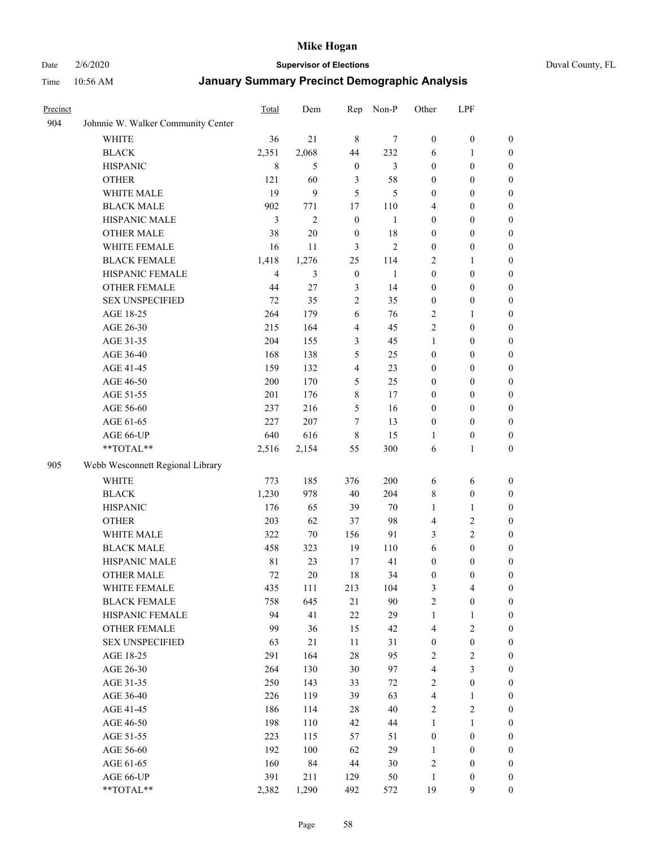#### Date 2/6/2020 **Supervisor of Elections** Duval County, FL

| Precinct |                                    | Total          | Dem            | Rep                     | Non-P          | Other            | LPF              |                  |
|----------|------------------------------------|----------------|----------------|-------------------------|----------------|------------------|------------------|------------------|
| 904      | Johnnie W. Walker Community Center |                |                |                         |                |                  |                  |                  |
|          | <b>WHITE</b>                       | 36             | 21             | $\,8\,$                 | 7              | $\boldsymbol{0}$ | $\boldsymbol{0}$ | $\boldsymbol{0}$ |
|          | <b>BLACK</b>                       | 2,351          | 2,068          | 44                      | 232            | 6                | 1                | $\boldsymbol{0}$ |
|          | <b>HISPANIC</b>                    | $\,$ 8 $\,$    | 5              | $\boldsymbol{0}$        | 3              | $\boldsymbol{0}$ | $\boldsymbol{0}$ | $\boldsymbol{0}$ |
|          | <b>OTHER</b>                       | 121            | 60             | 3                       | 58             | $\boldsymbol{0}$ | $\boldsymbol{0}$ | $\boldsymbol{0}$ |
|          | WHITE MALE                         | 19             | 9              | 5                       | 5              | $\boldsymbol{0}$ | $\boldsymbol{0}$ | $\boldsymbol{0}$ |
|          | <b>BLACK MALE</b>                  | 902            | 771            | 17                      | 110            | 4                | $\boldsymbol{0}$ | $\boldsymbol{0}$ |
|          | HISPANIC MALE                      | 3              | $\overline{c}$ | $\boldsymbol{0}$        | $\mathbf{1}$   | $\boldsymbol{0}$ | $\boldsymbol{0}$ | $\boldsymbol{0}$ |
|          | <b>OTHER MALE</b>                  | 38             | 20             | $\boldsymbol{0}$        | 18             | $\boldsymbol{0}$ | $\boldsymbol{0}$ | $\boldsymbol{0}$ |
|          | WHITE FEMALE                       | 16             | 11             | 3                       | $\mathfrak{2}$ | $\boldsymbol{0}$ | $\boldsymbol{0}$ | $\boldsymbol{0}$ |
|          | <b>BLACK FEMALE</b>                | 1,418          | 1,276          | 25                      | 114            | $\overline{2}$   | 1                | 0                |
|          | HISPANIC FEMALE                    | $\overline{4}$ | 3              | $\boldsymbol{0}$        | 1              | $\boldsymbol{0}$ | $\boldsymbol{0}$ | $\boldsymbol{0}$ |
|          | <b>OTHER FEMALE</b>                | 44             | 27             | $\mathfrak{Z}$          | 14             | $\boldsymbol{0}$ | $\boldsymbol{0}$ | $\boldsymbol{0}$ |
|          | <b>SEX UNSPECIFIED</b>             | 72             | 35             | $\sqrt{2}$              | 35             | $\boldsymbol{0}$ | $\boldsymbol{0}$ | $\boldsymbol{0}$ |
|          | AGE 18-25                          | 264            | 179            | 6                       | 76             | $\overline{c}$   | $\mathbf{1}$     | $\boldsymbol{0}$ |
|          | AGE 26-30                          | 215            | 164            | $\overline{\mathbf{4}}$ | 45             | $\overline{c}$   | $\boldsymbol{0}$ | $\boldsymbol{0}$ |
|          | AGE 31-35                          | 204            | 155            | 3                       | 45             | $\mathbf{1}$     | $\boldsymbol{0}$ | $\boldsymbol{0}$ |
|          | AGE 36-40                          | 168            | 138            | $\mathfrak s$           | 25             | $\boldsymbol{0}$ | $\boldsymbol{0}$ | $\boldsymbol{0}$ |
|          | AGE 41-45                          | 159            | 132            | $\overline{4}$          | 23             | $\boldsymbol{0}$ | $\boldsymbol{0}$ | $\boldsymbol{0}$ |
|          | AGE 46-50                          | 200            | 170            | 5                       | 25             | $\boldsymbol{0}$ | $\boldsymbol{0}$ | $\boldsymbol{0}$ |
|          | AGE 51-55                          | 201            | 176            | $\,8\,$                 | 17             | $\boldsymbol{0}$ | $\boldsymbol{0}$ | 0                |
|          | AGE 56-60                          | 237            | 216            | $\mathfrak s$           | 16             | $\boldsymbol{0}$ | $\boldsymbol{0}$ | 0                |
|          | AGE 61-65                          | 227            | 207            | 7                       | 13             | $\boldsymbol{0}$ | $\boldsymbol{0}$ | $\boldsymbol{0}$ |
|          | AGE 66-UP                          | 640            | 616            | $\,$ 8 $\,$             | 15             | 1                | $\boldsymbol{0}$ | $\boldsymbol{0}$ |
|          | **TOTAL**                          | 2,516          | 2,154          | 55                      | 300            | 6                | $\mathbf{1}$     | $\boldsymbol{0}$ |
| 905      | Webb Wesconnett Regional Library   |                |                |                         |                |                  |                  |                  |
|          | <b>WHITE</b>                       | 773            | 185            | 376                     | 200            | 6                | 6                | $\boldsymbol{0}$ |
|          | <b>BLACK</b>                       | 1,230          | 978            | 40                      | 204            | 8                | $\boldsymbol{0}$ | $\boldsymbol{0}$ |
|          | <b>HISPANIC</b>                    | 176            | 65             | 39                      | 70             | 1                | $\mathbf{1}$     | $\boldsymbol{0}$ |
|          | <b>OTHER</b>                       | 203            | 62             | 37                      | 98             | 4                | $\sqrt{2}$       | $\boldsymbol{0}$ |
|          | WHITE MALE                         | 322            | $70\,$         | 156                     | 91             | 3                | $\overline{2}$   | $\boldsymbol{0}$ |
|          | <b>BLACK MALE</b>                  | 458            | 323            | 19                      | 110            | 6                | $\boldsymbol{0}$ | $\boldsymbol{0}$ |
|          | HISPANIC MALE                      | 81             | 23             | 17                      | 41             | $\boldsymbol{0}$ | $\boldsymbol{0}$ | 0                |
|          | <b>OTHER MALE</b>                  | 72             | 20             | 18                      | 34             | $\boldsymbol{0}$ | $\boldsymbol{0}$ | $\boldsymbol{0}$ |
|          | WHITE FEMALE                       | 435            | 111            | 213                     | 104            | 3                | $\overline{4}$   | $\boldsymbol{0}$ |
|          | <b>BLACK FEMALE</b>                | 758            | 645            | 21                      | 90             | $\sqrt{2}$       | $\boldsymbol{0}$ | $\boldsymbol{0}$ |
|          | HISPANIC FEMALE                    | 94             | 41             | $22\,$                  | 29             | $\mathbf{1}$     | $\mathbf{1}$     | $\boldsymbol{0}$ |
|          | <b>OTHER FEMALE</b>                | 99             | 36             | 15                      | 42             | 4                | $\sqrt{2}$       | $\overline{0}$   |
|          | <b>SEX UNSPECIFIED</b>             | 63             | 21             | 11                      | 31             | $\boldsymbol{0}$ | $\boldsymbol{0}$ | 0                |
|          | AGE 18-25                          | 291            | 164            | $28\,$                  | 95             | $\overline{c}$   | $\sqrt{2}$       | $\overline{0}$   |
|          | AGE 26-30                          | 264            | 130            | $30\,$                  | 97             | 4                | $\mathfrak{Z}$   | 0                |
|          | AGE 31-35                          | 250            | 143            | 33                      | 72             | $\sqrt{2}$       | $\boldsymbol{0}$ | 0                |
|          | AGE 36-40                          | 226            | 119            | 39                      | 63             | $\overline{4}$   | $\mathbf{1}$     | 0                |
|          | AGE 41-45                          | 186            | 114            | 28                      | 40             | $\sqrt{2}$       | $\sqrt{2}$       | 0                |
|          | AGE 46-50                          | 198            | 110            | 42                      | 44             | $\mathbf{1}$     | $\mathbf{1}$     | 0                |
|          | AGE 51-55                          | 223            | 115            | 57                      | 51             | $\boldsymbol{0}$ | $\boldsymbol{0}$ | $\boldsymbol{0}$ |
|          | AGE 56-60                          | 192            | 100            | 62                      | 29             | $\mathbf{1}$     | $\boldsymbol{0}$ | $\boldsymbol{0}$ |
|          | AGE 61-65                          | 160            | 84             | $44\,$                  | 30             | $\overline{c}$   | $\boldsymbol{0}$ | $\boldsymbol{0}$ |
|          | AGE 66-UP                          | 391            | 211            | 129                     | 50             | $\mathbf{1}$     | $\boldsymbol{0}$ | 0                |
|          | **TOTAL**                          | 2,382          | 1,290          | 492                     | 572            | 19               | $\mathbf{9}$     | $\boldsymbol{0}$ |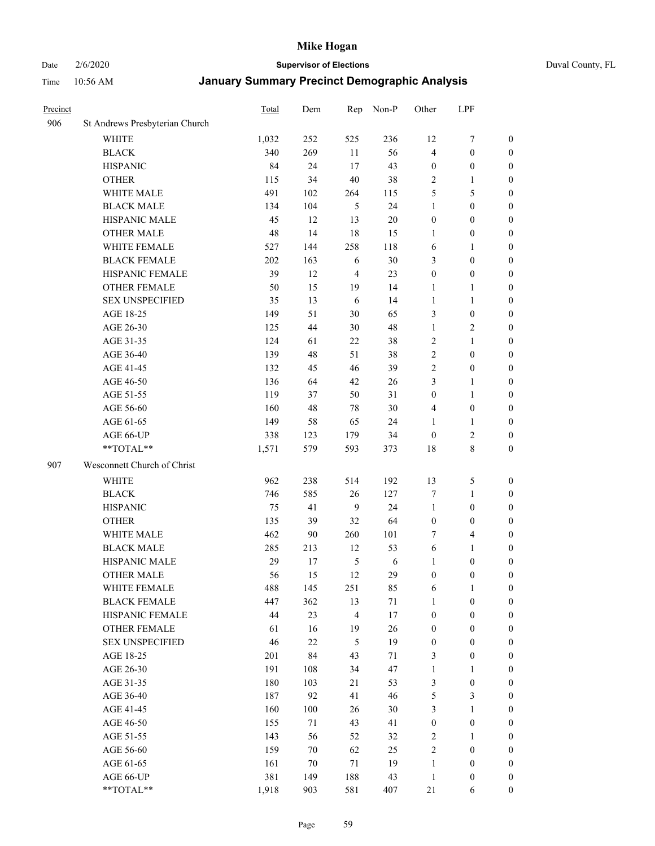# Date 2/6/2020 **Supervisor of Elections** Duval County, FL

| Precinct |                                | Total | Dem | Rep            | Non-P  | Other            | LPF                     |                  |
|----------|--------------------------------|-------|-----|----------------|--------|------------------|-------------------------|------------------|
| 906      | St Andrews Presbyterian Church |       |     |                |        |                  |                         |                  |
|          | <b>WHITE</b>                   | 1,032 | 252 | 525            | 236    | 12               | $\boldsymbol{7}$        | 0                |
|          | <b>BLACK</b>                   | 340   | 269 | 11             | 56     | 4                | $\boldsymbol{0}$        | 0                |
|          | <b>HISPANIC</b>                | 84    | 24  | 17             | 43     | $\boldsymbol{0}$ | $\boldsymbol{0}$        | $\boldsymbol{0}$ |
|          | <b>OTHER</b>                   | 115   | 34  | 40             | 38     | $\overline{2}$   | 1                       | $\boldsymbol{0}$ |
|          | WHITE MALE                     | 491   | 102 | 264            | 115    | 5                | 5                       | $\boldsymbol{0}$ |
|          | <b>BLACK MALE</b>              | 134   | 104 | 5              | 24     | 1                | $\boldsymbol{0}$        | $\boldsymbol{0}$ |
|          | HISPANIC MALE                  | 45    | 12  | 13             | $20\,$ | $\boldsymbol{0}$ | $\boldsymbol{0}$        | $\boldsymbol{0}$ |
|          | <b>OTHER MALE</b>              | 48    | 14  | 18             | 15     | $\mathbf{1}$     | $\boldsymbol{0}$        | $\boldsymbol{0}$ |
|          | WHITE FEMALE                   | 527   | 144 | 258            | 118    | 6                | 1                       | $\boldsymbol{0}$ |
|          | <b>BLACK FEMALE</b>            | 202   | 163 | 6              | 30     | 3                | $\boldsymbol{0}$        | 0                |
|          | HISPANIC FEMALE                | 39    | 12  | $\overline{4}$ | 23     | $\boldsymbol{0}$ | $\boldsymbol{0}$        | 0                |
|          | <b>OTHER FEMALE</b>            | 50    | 15  | 19             | 14     | 1                | 1                       | $\boldsymbol{0}$ |
|          | <b>SEX UNSPECIFIED</b>         | 35    | 13  | 6              | 14     | $\mathbf{1}$     | $\mathbf{1}$            | $\boldsymbol{0}$ |
|          | AGE 18-25                      | 149   | 51  | 30             | 65     | 3                | $\boldsymbol{0}$        | $\boldsymbol{0}$ |
|          | AGE 26-30                      | 125   | 44  | 30             | 48     | $\mathbf{1}$     | $\sqrt{2}$              | $\boldsymbol{0}$ |
|          | AGE 31-35                      | 124   | 61  | 22             | 38     | $\sqrt{2}$       | $\mathbf{1}$            | $\boldsymbol{0}$ |
|          | AGE 36-40                      | 139   | 48  | 51             | 38     | $\overline{c}$   | $\boldsymbol{0}$        | $\boldsymbol{0}$ |
|          | AGE 41-45                      | 132   | 45  | 46             | 39     | $\overline{2}$   | $\boldsymbol{0}$        | $\boldsymbol{0}$ |
|          | AGE 46-50                      | 136   | 64  | 42             | 26     | 3                | $\mathbf{1}$            | $\boldsymbol{0}$ |
|          | AGE 51-55                      | 119   | 37  | 50             | 31     | $\boldsymbol{0}$ | $\mathbf{1}$            | 0                |
|          | AGE 56-60                      | 160   | 48  | 78             | 30     | 4                | $\boldsymbol{0}$        | 0                |
|          | AGE 61-65                      | 149   | 58  | 65             | 24     | 1                | 1                       | 0                |
|          | AGE 66-UP                      | 338   | 123 | 179            | 34     | $\boldsymbol{0}$ | $\sqrt{2}$              | $\boldsymbol{0}$ |
|          | **TOTAL**                      | 1,571 | 579 | 593            | 373    | 18               | $\,$ 8 $\,$             | $\boldsymbol{0}$ |
| 907      | Wesconnett Church of Christ    |       |     |                |        |                  |                         |                  |
|          | <b>WHITE</b>                   | 962   | 238 | 514            | 192    | 13               | $\mathfrak s$           | $\boldsymbol{0}$ |
|          | <b>BLACK</b>                   | 746   | 585 | 26             | 127    | 7                | $\mathbf{1}$            | $\boldsymbol{0}$ |
|          | <b>HISPANIC</b>                | 75    | 41  | 9              | 24     | $\mathbf{1}$     | $\boldsymbol{0}$        | $\boldsymbol{0}$ |
|          | <b>OTHER</b>                   | 135   | 39  | 32             | 64     | $\boldsymbol{0}$ | $\boldsymbol{0}$        | $\boldsymbol{0}$ |
|          | WHITE MALE                     | 462   | 90  | 260            | 101    | 7                | $\overline{\mathbf{4}}$ | $\boldsymbol{0}$ |
|          | <b>BLACK MALE</b>              | 285   | 213 | 12             | 53     | 6                | $\mathbf{1}$            | $\boldsymbol{0}$ |
|          | HISPANIC MALE                  | 29    | 17  | $\mathfrak s$  | 6      | 1                | $\boldsymbol{0}$        | $\boldsymbol{0}$ |
|          | <b>OTHER MALE</b>              | 56    | 15  | 12             | 29     | $\boldsymbol{0}$ | $\boldsymbol{0}$        | $\boldsymbol{0}$ |
|          | WHITE FEMALE                   | 488   | 145 | 251            | 85     | 6                | 1                       | 0                |
|          | <b>BLACK FEMALE</b>            | 447   | 362 | 13             | 71     | $\mathbf{1}$     | $\boldsymbol{0}$        | $\boldsymbol{0}$ |
|          | HISPANIC FEMALE                | 44    | 23  | $\overline{4}$ | $17\,$ | $\boldsymbol{0}$ | $\boldsymbol{0}$        | $\overline{0}$   |
|          | <b>OTHER FEMALE</b>            | 61    | 16  | 19             | 26     | $\boldsymbol{0}$ | $\boldsymbol{0}$        | $\overline{0}$   |
|          | <b>SEX UNSPECIFIED</b>         | 46    | 22  | 5              | 19     | $\boldsymbol{0}$ | $\boldsymbol{0}$        | $\overline{0}$   |
|          | AGE 18-25                      | 201   | 84  | 43             | 71     | 3                | $\boldsymbol{0}$        | $\theta$         |
|          | AGE 26-30                      | 191   | 108 | 34             | 47     | $\mathbf{1}$     | $\mathbf{1}$            | 0                |
|          | AGE 31-35                      | 180   | 103 | $21\,$         | 53     | 3                | $\boldsymbol{0}$        | 0                |
|          | AGE 36-40                      | 187   | 92  | 41             | 46     | 5                | $\mathfrak{Z}$          | 0                |
|          | AGE 41-45                      | 160   | 100 | 26             | 30     | 3                | $\mathbf{1}$            | 0                |
|          | AGE 46-50                      | 155   | 71  | 43             | 41     | $\boldsymbol{0}$ | $\boldsymbol{0}$        | 0                |
|          | AGE 51-55                      | 143   | 56  | 52             | 32     | $\overline{c}$   | $\mathbf{1}$            | 0                |
|          | AGE 56-60                      | 159   | 70  | 62             | 25     | $\sqrt{2}$       | $\boldsymbol{0}$        | $\overline{0}$   |
|          | AGE 61-65                      | 161   | 70  | 71             | 19     | $\mathbf{1}$     | $\boldsymbol{0}$        | $\overline{0}$   |
|          | AGE 66-UP                      | 381   | 149 | 188            | 43     | $\mathbf{1}$     | $\boldsymbol{0}$        | 0                |
|          | **TOTAL**                      | 1,918 | 903 | 581            | 407    | 21               | 6                       | $\boldsymbol{0}$ |
|          |                                |       |     |                |        |                  |                         |                  |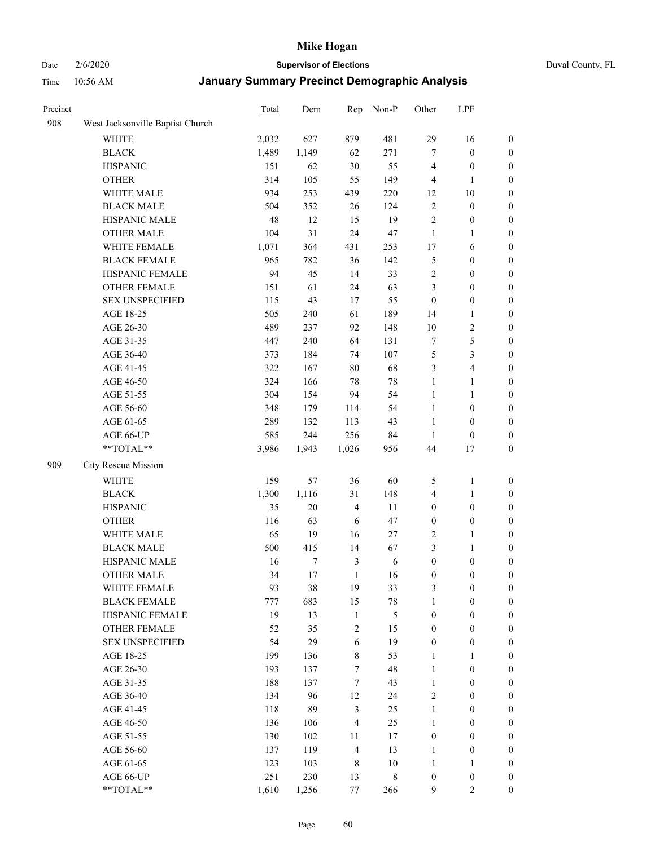# Date 2/6/2020 **Supervisor of Elections** Duval County, FL

| Precinct |                                  | <b>Total</b> | Dem    | Rep              | Non-P       | Other            | LPF                     |                  |
|----------|----------------------------------|--------------|--------|------------------|-------------|------------------|-------------------------|------------------|
| 908      | West Jacksonville Baptist Church |              |        |                  |             |                  |                         |                  |
|          | <b>WHITE</b>                     | 2,032        | 627    | 879              | 481         | 29               | 16                      | 0                |
|          | <b>BLACK</b>                     | 1,489        | 1,149  | 62               | 271         | $\tau$           | $\boldsymbol{0}$        | 0                |
|          | <b>HISPANIC</b>                  | 151          | 62     | $30\,$           | 55          | $\overline{4}$   | $\boldsymbol{0}$        | $\boldsymbol{0}$ |
|          | <b>OTHER</b>                     | 314          | 105    | 55               | 149         | 4                | 1                       | $\boldsymbol{0}$ |
|          | WHITE MALE                       | 934          | 253    | 439              | 220         | 12               | $10\,$                  | $\boldsymbol{0}$ |
|          | <b>BLACK MALE</b>                | 504          | 352    | 26               | 124         | $\sqrt{2}$       | $\boldsymbol{0}$        | $\boldsymbol{0}$ |
|          | HISPANIC MALE                    | 48           | 12     | 15               | 19          | $\overline{c}$   | $\boldsymbol{0}$        | $\boldsymbol{0}$ |
|          | <b>OTHER MALE</b>                | 104          | 31     | 24               | 47          | $\mathbf{1}$     | $\mathbf{1}$            | $\boldsymbol{0}$ |
|          | WHITE FEMALE                     | 1,071        | 364    | 431              | 253         | 17               | 6                       | $\boldsymbol{0}$ |
|          | <b>BLACK FEMALE</b>              | 965          | 782    | 36               | 142         | 5                | $\boldsymbol{0}$        | $\boldsymbol{0}$ |
|          | HISPANIC FEMALE                  | 94           | 45     | 14               | 33          | $\overline{c}$   | $\boldsymbol{0}$        | 0                |
|          | <b>OTHER FEMALE</b>              | 151          | 61     | 24               | 63          | 3                | $\boldsymbol{0}$        | $\boldsymbol{0}$ |
|          | <b>SEX UNSPECIFIED</b>           | 115          | 43     | 17               | 55          | $\boldsymbol{0}$ | $\boldsymbol{0}$        | $\boldsymbol{0}$ |
|          | AGE 18-25                        | 505          | 240    | 61               | 189         | 14               | 1                       | $\boldsymbol{0}$ |
|          | AGE 26-30                        | 489          | 237    | 92               | 148         | 10               | $\sqrt{2}$              | $\boldsymbol{0}$ |
|          | AGE 31-35                        | 447          | 240    | 64               | 131         | 7                | $\sqrt{5}$              | $\boldsymbol{0}$ |
|          | AGE 36-40                        | 373          | 184    | 74               | 107         | 5                | $\mathfrak{Z}$          | $\boldsymbol{0}$ |
|          | AGE 41-45                        | 322          | 167    | $80\,$           | 68          | 3                | $\overline{\mathbf{4}}$ | $\boldsymbol{0}$ |
|          | AGE 46-50                        | 324          | 166    | $78\,$           | $78\,$      | $\mathbf{1}$     | $\mathbf{1}$            | $\boldsymbol{0}$ |
|          | AGE 51-55                        | 304          | 154    | 94               | 54          | $\mathbf{1}$     | $\mathbf{1}$            | $\boldsymbol{0}$ |
|          | AGE 56-60                        | 348          | 179    | 114              | 54          | $\mathbf{1}$     | $\boldsymbol{0}$        | 0                |
|          | AGE 61-65                        | 289          | 132    | 113              | 43          | $\mathbf{1}$     | $\boldsymbol{0}$        | 0                |
|          | AGE 66-UP                        | 585          | 244    | 256              | 84          | $\mathbf{1}$     | $\boldsymbol{0}$        | $\boldsymbol{0}$ |
|          | **TOTAL**                        | 3,986        | 1,943  | 1,026            | 956         | 44               | 17                      | $\boldsymbol{0}$ |
| 909      | City Rescue Mission              |              |        |                  |             |                  |                         |                  |
|          | <b>WHITE</b>                     | 159          | 57     | 36               | 60          | 5                | $\mathbf{1}$            | $\boldsymbol{0}$ |
|          | <b>BLACK</b>                     | 1,300        | 1,116  | 31               | 148         | 4                | $\mathbf{1}$            | $\boldsymbol{0}$ |
|          | <b>HISPANIC</b>                  | 35           | 20     | $\overline{4}$   | 11          | $\boldsymbol{0}$ | $\boldsymbol{0}$        | $\boldsymbol{0}$ |
|          | <b>OTHER</b>                     | 116          | 63     | 6                | 47          | $\boldsymbol{0}$ | $\boldsymbol{0}$        | $\boldsymbol{0}$ |
|          | WHITE MALE                       | 65           | 19     | 16               | 27          | $\sqrt{2}$       | $\mathbf{1}$            | $\boldsymbol{0}$ |
|          | <b>BLACK MALE</b>                | 500          | 415    | 14               | 67          | 3                | $\mathbf{1}$            | $\boldsymbol{0}$ |
|          | HISPANIC MALE                    | 16           | 7      | $\mathfrak{Z}$   | 6           | $\boldsymbol{0}$ | $\boldsymbol{0}$        | 0                |
|          | <b>OTHER MALE</b>                | 34           | $17\,$ | $\mathbf{1}$     | 16          | $\boldsymbol{0}$ | $\boldsymbol{0}$        | $\boldsymbol{0}$ |
|          | WHITE FEMALE                     | 93           | 38     | 19               | 33          | 3                | $\boldsymbol{0}$        | 0                |
|          | <b>BLACK FEMALE</b>              | 777          | 683    | 15               | 78          | $\mathbf{1}$     | $\boldsymbol{0}$        | $\overline{0}$   |
|          | HISPANIC FEMALE                  | 19           | 13     | $\mathbf{1}$     | 5           | $\boldsymbol{0}$ | $\boldsymbol{0}$        | $\overline{0}$   |
|          | <b>OTHER FEMALE</b>              | 52           | 35     | $\sqrt{2}$       | 15          | $\boldsymbol{0}$ | $\boldsymbol{0}$        | $\overline{0}$   |
|          | <b>SEX UNSPECIFIED</b>           | 54           | 29     | $\sqrt{6}$       | 19          | $\boldsymbol{0}$ | $\boldsymbol{0}$        | $\overline{0}$   |
|          | AGE 18-25                        | 199          | 136    | $\,8\,$          | 53          | $\mathbf{1}$     | $\mathbf{1}$            | $\overline{0}$   |
|          | AGE 26-30                        | 193          | 137    | $\boldsymbol{7}$ | 48          | $\mathbf{1}$     | $\boldsymbol{0}$        | 0                |
|          | AGE 31-35                        | 188          | 137    | $\tau$           | 43          | $\mathbf{1}$     | $\boldsymbol{0}$        | 0                |
|          | AGE 36-40                        | 134          | 96     | 12               | 24          | $\overline{c}$   | $\boldsymbol{0}$        | 0                |
|          | AGE 41-45                        | 118          | 89     | $\mathfrak{Z}$   | 25          | $\mathbf{1}$     | $\boldsymbol{0}$        | 0                |
|          | AGE 46-50                        | 136          | 106    | $\overline{4}$   | 25          | 1                | $\boldsymbol{0}$        | 0                |
|          | AGE 51-55                        | 130          | 102    | 11               | 17          | $\boldsymbol{0}$ | $\boldsymbol{0}$        | $\overline{0}$   |
|          | AGE 56-60                        | 137          | 119    | $\overline{4}$   | 13          | 1                | $\boldsymbol{0}$        | $\boldsymbol{0}$ |
|          | AGE 61-65                        | 123          | 103    | $\,$ 8 $\,$      | 10          | $\mathbf{1}$     | 1                       | $\boldsymbol{0}$ |
|          | AGE 66-UP                        | 251          | 230    | 13               | $\,$ 8 $\,$ | $\boldsymbol{0}$ | $\boldsymbol{0}$        | $\boldsymbol{0}$ |
|          | **TOTAL**                        | 1,610        | 1,256  | 77               | 266         | $\mathbf{9}$     | $\overline{c}$          | $\boldsymbol{0}$ |
|          |                                  |              |        |                  |             |                  |                         |                  |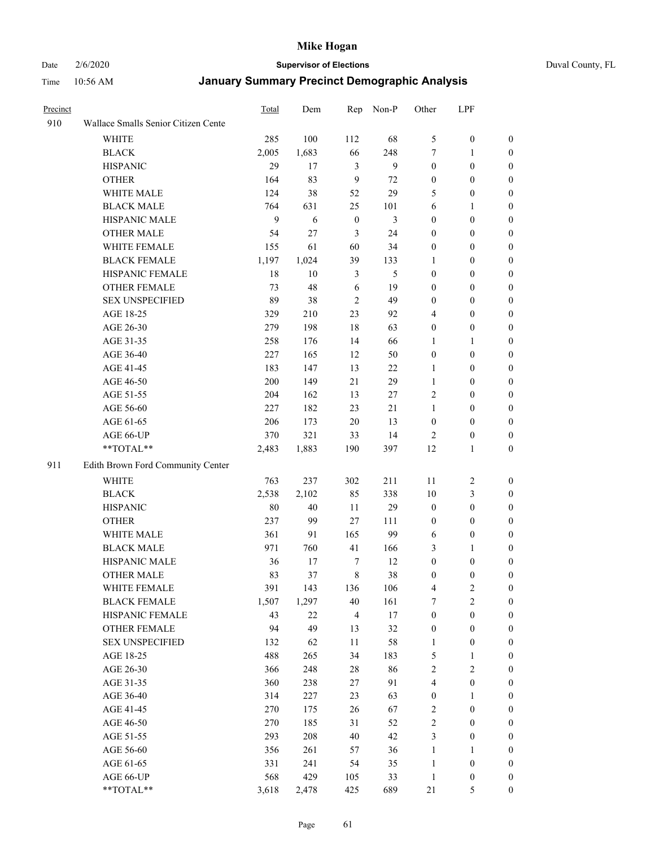# Date 2/6/2020 **Supervisor of Elections** Duval County, FL

| Precinct |                                     | <b>Total</b> | Dem   | Rep              | Non-P  | Other            | LPF              |                  |
|----------|-------------------------------------|--------------|-------|------------------|--------|------------------|------------------|------------------|
| 910      | Wallace Smalls Senior Citizen Cente |              |       |                  |        |                  |                  |                  |
|          | <b>WHITE</b>                        | 285          | 100   | 112              | 68     | 5                | $\boldsymbol{0}$ | 0                |
|          | <b>BLACK</b>                        | 2,005        | 1,683 | 66               | 248    | 7                | 1                | 0                |
|          | <b>HISPANIC</b>                     | 29           | 17    | 3                | 9      | $\boldsymbol{0}$ | $\boldsymbol{0}$ | $\boldsymbol{0}$ |
|          | <b>OTHER</b>                        | 164          | 83    | 9                | 72     | $\boldsymbol{0}$ | $\boldsymbol{0}$ | $\boldsymbol{0}$ |
|          | WHITE MALE                          | 124          | 38    | 52               | 29     | 5                | $\boldsymbol{0}$ | $\boldsymbol{0}$ |
|          | <b>BLACK MALE</b>                   | 764          | 631   | 25               | 101    | 6                | 1                | $\boldsymbol{0}$ |
|          | HISPANIC MALE                       | 9            | 6     | $\boldsymbol{0}$ | 3      | $\boldsymbol{0}$ | $\boldsymbol{0}$ | $\boldsymbol{0}$ |
|          | <b>OTHER MALE</b>                   | 54           | 27    | 3                | 24     | $\boldsymbol{0}$ | $\boldsymbol{0}$ | $\boldsymbol{0}$ |
|          | <b>WHITE FEMALE</b>                 | 155          | 61    | 60               | 34     | $\boldsymbol{0}$ | $\boldsymbol{0}$ | $\boldsymbol{0}$ |
|          | <b>BLACK FEMALE</b>                 | 1,197        | 1,024 | 39               | 133    | 1                | $\boldsymbol{0}$ | 0                |
|          | HISPANIC FEMALE                     | 18           | 10    | 3                | 5      | $\boldsymbol{0}$ | $\boldsymbol{0}$ | 0                |
|          | <b>OTHER FEMALE</b>                 | 73           | 48    | 6                | 19     | $\boldsymbol{0}$ | $\boldsymbol{0}$ | $\boldsymbol{0}$ |
|          | <b>SEX UNSPECIFIED</b>              | 89           | 38    | $\overline{2}$   | 49     | $\boldsymbol{0}$ | $\boldsymbol{0}$ | $\boldsymbol{0}$ |
|          | AGE 18-25                           | 329          | 210   | 23               | 92     | 4                | $\boldsymbol{0}$ | $\boldsymbol{0}$ |
|          | AGE 26-30                           | 279          | 198   | 18               | 63     | $\boldsymbol{0}$ | $\boldsymbol{0}$ | $\boldsymbol{0}$ |
|          | AGE 31-35                           | 258          | 176   | 14               | 66     | 1                | $\mathbf{1}$     | $\boldsymbol{0}$ |
|          | AGE 36-40                           | 227          | 165   | 12               | 50     | $\boldsymbol{0}$ | $\boldsymbol{0}$ | $\boldsymbol{0}$ |
|          | AGE 41-45                           | 183          | 147   | 13               | 22     | $\mathbf{1}$     | $\boldsymbol{0}$ | $\boldsymbol{0}$ |
|          | AGE 46-50                           | 200          | 149   | 21               | 29     | $\mathbf{1}$     | $\boldsymbol{0}$ | $\boldsymbol{0}$ |
|          | AGE 51-55                           | 204          | 162   | 13               | $27\,$ | $\overline{c}$   | $\boldsymbol{0}$ | $\boldsymbol{0}$ |
|          | AGE 56-60                           | 227          | 182   | 23               | 21     | 1                | $\boldsymbol{0}$ | 0                |
|          | AGE 61-65                           | 206          | 173   | 20               | 13     | $\boldsymbol{0}$ | $\boldsymbol{0}$ | 0                |
|          | AGE 66-UP                           | 370          | 321   | 33               | 14     | $\overline{c}$   | $\boldsymbol{0}$ | $\boldsymbol{0}$ |
|          | **TOTAL**                           | 2,483        | 1,883 | 190              | 397    | 12               | $\mathbf{1}$     | $\boldsymbol{0}$ |
| 911      | Edith Brown Ford Community Center   |              |       |                  |        |                  |                  |                  |
|          | <b>WHITE</b>                        | 763          | 237   | 302              | 211    | 11               | $\sqrt{2}$       | $\boldsymbol{0}$ |
|          | <b>BLACK</b>                        | 2,538        | 2,102 | 85               | 338    | 10               | $\mathfrak{Z}$   | $\boldsymbol{0}$ |
|          | <b>HISPANIC</b>                     | 80           | 40    | 11               | 29     | $\boldsymbol{0}$ | $\boldsymbol{0}$ | $\boldsymbol{0}$ |
|          | <b>OTHER</b>                        | 237          | 99    | 27               | 111    | $\boldsymbol{0}$ | $\boldsymbol{0}$ | $\boldsymbol{0}$ |
|          | WHITE MALE                          | 361          | 91    | 165              | 99     | 6                | $\boldsymbol{0}$ | $\boldsymbol{0}$ |
|          | <b>BLACK MALE</b>                   | 971          | 760   | 41               | 166    | 3                | 1                | $\boldsymbol{0}$ |
|          | HISPANIC MALE                       | 36           | 17    | $\tau$           | 12     | $\boldsymbol{0}$ | $\boldsymbol{0}$ | 0                |
|          | <b>OTHER MALE</b>                   | 83           | 37    | $\,8\,$          | 38     | $\boldsymbol{0}$ | $\boldsymbol{0}$ | 0                |
|          | WHITE FEMALE                        | 391          | 143   | 136              | 106    | 4                | $\overline{c}$   | 0                |
|          | <b>BLACK FEMALE</b>                 | 1,507        | 1,297 | 40               | 161    | 7                | $\boldsymbol{2}$ | $\boldsymbol{0}$ |
|          | HISPANIC FEMALE                     | 43           | 22    | $\overline{4}$   | $17\,$ | $\boldsymbol{0}$ | $\boldsymbol{0}$ | $\overline{0}$   |
|          | <b>OTHER FEMALE</b>                 | 94           | 49    | 13               | 32     | $\boldsymbol{0}$ | $\boldsymbol{0}$ | $\overline{0}$   |
|          | <b>SEX UNSPECIFIED</b>              | 132          | 62    | 11               | 58     | $\mathbf{1}$     | $\boldsymbol{0}$ | 0                |
|          | AGE 18-25                           | 488          | 265   | 34               | 183    | 5                | $\mathbf{1}$     | 0                |
|          | AGE 26-30                           | 366          | 248   | $28\,$           | 86     | 2                | $\overline{c}$   | 0                |
|          | AGE 31-35                           | 360          | 238   | 27               | 91     | 4                | $\boldsymbol{0}$ | 0                |
|          | AGE 36-40                           | 314          | 227   | 23               | 63     | $\boldsymbol{0}$ | 1                | 0                |
|          | AGE 41-45                           | 270          | 175   | 26               | 67     | $\overline{c}$   | $\boldsymbol{0}$ | 0                |
|          | AGE 46-50                           | 270          | 185   | 31               | 52     | $\sqrt{2}$       | $\boldsymbol{0}$ | 0                |
|          | AGE 51-55                           | 293          | 208   | 40               | 42     | 3                | $\boldsymbol{0}$ | 0                |
|          | AGE 56-60                           | 356          | 261   | 57               | 36     | $\mathbf{1}$     | 1                | $\overline{0}$   |
|          | AGE 61-65                           | 331          | 241   | 54               | 35     | $\mathbf{1}$     | $\boldsymbol{0}$ | $\overline{0}$   |
|          | AGE 66-UP                           | 568          | 429   | 105              | 33     | $\mathbf{1}$     | $\boldsymbol{0}$ | 0                |
|          | **TOTAL**                           | 3,618        | 2,478 | 425              | 689    | $21\,$           | 5                | $\boldsymbol{0}$ |
|          |                                     |              |       |                  |        |                  |                  |                  |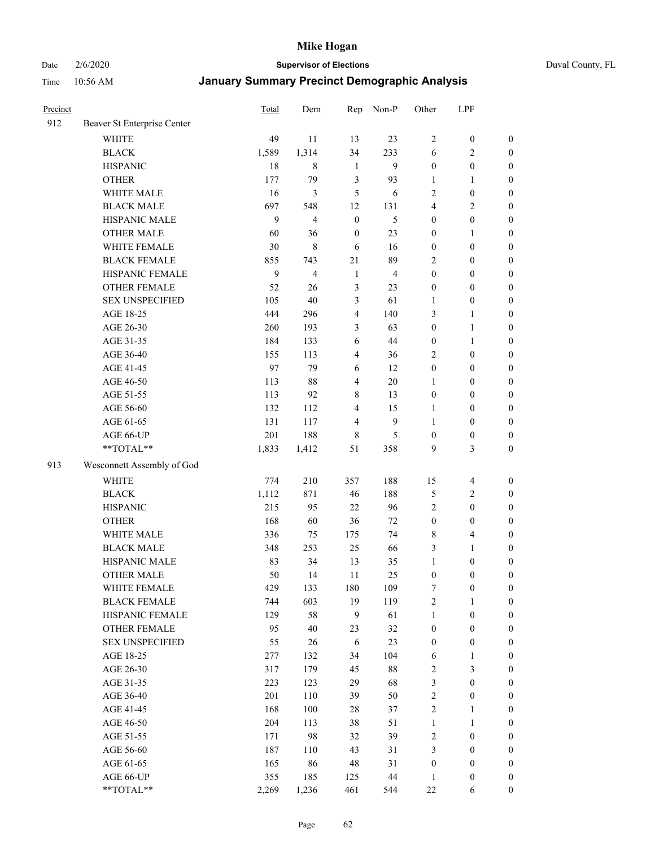Date 2/6/2020 **Supervisor of Elections** Duval County, FL

| Precinct |                             | <b>Total</b> | Dem                     | Rep              | Non-P            | Other            | LPF              |                  |
|----------|-----------------------------|--------------|-------------------------|------------------|------------------|------------------|------------------|------------------|
| 912      | Beaver St Enterprise Center |              |                         |                  |                  |                  |                  |                  |
|          | <b>WHITE</b>                | 49           | 11                      | 13               | 23               | $\overline{c}$   | $\boldsymbol{0}$ | $\boldsymbol{0}$ |
|          | <b>BLACK</b>                | 1,589        | 1,314                   | 34               | 233              | 6                | $\sqrt{2}$       | $\boldsymbol{0}$ |
|          | <b>HISPANIC</b>             | 18           | 8                       | $\mathbf{1}$     | 9                | $\boldsymbol{0}$ | $\boldsymbol{0}$ | $\boldsymbol{0}$ |
|          | <b>OTHER</b>                | 177          | 79                      | $\mathfrak{Z}$   | 93               | 1                | 1                | $\boldsymbol{0}$ |
|          | WHITE MALE                  | 16           | 3                       | 5                | 6                | 2                | $\boldsymbol{0}$ | $\boldsymbol{0}$ |
|          | <b>BLACK MALE</b>           | 697          | 548                     | 12               | 131              | 4                | $\overline{2}$   | $\boldsymbol{0}$ |
|          | HISPANIC MALE               | 9            | $\overline{\mathbf{4}}$ | $\boldsymbol{0}$ | 5                | $\boldsymbol{0}$ | $\boldsymbol{0}$ | $\boldsymbol{0}$ |
|          | <b>OTHER MALE</b>           | 60           | 36                      | $\boldsymbol{0}$ | 23               | $\boldsymbol{0}$ | $\mathbf{1}$     | $\boldsymbol{0}$ |
|          | WHITE FEMALE                | 30           | $\,$ 8 $\,$             | 6                | 16               | $\boldsymbol{0}$ | $\boldsymbol{0}$ | $\boldsymbol{0}$ |
|          | <b>BLACK FEMALE</b>         | 855          | 743                     | 21               | 89               | 2                | $\boldsymbol{0}$ | $\boldsymbol{0}$ |
|          | HISPANIC FEMALE             | 9            | $\overline{4}$          | $\mathbf{1}$     | $\overline{4}$   | $\boldsymbol{0}$ | $\boldsymbol{0}$ | $\boldsymbol{0}$ |
|          | <b>OTHER FEMALE</b>         | 52           | 26                      | $\mathfrak{Z}$   | 23               | $\boldsymbol{0}$ | $\boldsymbol{0}$ | $\boldsymbol{0}$ |
|          | <b>SEX UNSPECIFIED</b>      | 105          | 40                      | 3                | 61               | $\mathbf{1}$     | $\boldsymbol{0}$ | $\boldsymbol{0}$ |
|          | AGE 18-25                   | 444          | 296                     | $\overline{4}$   | 140              | 3                | $\mathbf{1}$     | $\boldsymbol{0}$ |
|          | AGE 26-30                   | 260          | 193                     | 3                | 63               | $\boldsymbol{0}$ | $\mathbf{1}$     | $\boldsymbol{0}$ |
|          | AGE 31-35                   | 184          | 133                     | 6                | 44               | $\boldsymbol{0}$ | $\mathbf{1}$     | $\boldsymbol{0}$ |
|          | AGE 36-40                   | 155          | 113                     | $\overline{4}$   | 36               | 2                | $\boldsymbol{0}$ | $\boldsymbol{0}$ |
|          | AGE 41-45                   | 97           | 79                      | 6                | 12               | $\boldsymbol{0}$ | $\boldsymbol{0}$ | $\boldsymbol{0}$ |
|          | AGE 46-50                   | 113          | $88\,$                  | $\overline{4}$   | $20\,$           | $\mathbf{1}$     | $\boldsymbol{0}$ | $\boldsymbol{0}$ |
|          | AGE 51-55                   | 113          | 92                      | $\,$ 8 $\,$      | 13               | $\boldsymbol{0}$ | $\boldsymbol{0}$ | $\boldsymbol{0}$ |
|          | AGE 56-60                   | 132          | 112                     | $\overline{4}$   | 15               | 1                | $\boldsymbol{0}$ | $\boldsymbol{0}$ |
|          | AGE 61-65                   | 131          | 117                     | $\overline{4}$   | $\boldsymbol{9}$ | 1                | $\boldsymbol{0}$ | $\boldsymbol{0}$ |
|          | AGE 66-UP                   | 201          | 188                     | $\,$ 8 $\,$      | 5                | $\boldsymbol{0}$ | $\boldsymbol{0}$ | $\boldsymbol{0}$ |
|          | **TOTAL**                   | 1,833        | 1,412                   | 51               | 358              | 9                | $\mathfrak{Z}$   | $\boldsymbol{0}$ |
| 913      | Wesconnett Assembly of God  |              |                         |                  |                  |                  |                  |                  |
|          | <b>WHITE</b>                | 774          | 210                     | 357              | 188              | 15               | $\overline{4}$   | $\boldsymbol{0}$ |
|          | <b>BLACK</b>                | 1,112        | 871                     | 46               | 188              | 5                | $\sqrt{2}$       | $\boldsymbol{0}$ |
|          | <b>HISPANIC</b>             | 215          | 95                      | 22               | 96               | 2                | $\boldsymbol{0}$ | $\boldsymbol{0}$ |
|          | <b>OTHER</b>                | 168          | 60                      | 36               | 72               | $\boldsymbol{0}$ | $\boldsymbol{0}$ | $\boldsymbol{0}$ |
|          | WHITE MALE                  | 336          | 75                      | 175              | 74               | 8                | $\overline{4}$   | $\boldsymbol{0}$ |
|          | <b>BLACK MALE</b>           | 348          | 253                     | 25               | 66               | 3                | $\mathbf{1}$     | $\boldsymbol{0}$ |
|          | HISPANIC MALE               | 83           | 34                      | 13               | 35               | $\mathbf{1}$     | $\boldsymbol{0}$ | $\boldsymbol{0}$ |
|          | <b>OTHER MALE</b>           | 50           | 14                      | 11               | 25               | $\boldsymbol{0}$ | $\boldsymbol{0}$ | $\boldsymbol{0}$ |
|          | WHITE FEMALE                | 429          | 133                     | 180              | 109              | 7                | $\boldsymbol{0}$ | 0                |
|          | <b>BLACK FEMALE</b>         | 744          | 603                     | 19               | 119              | 2                | $\mathbf{1}$     | $\boldsymbol{0}$ |
|          | HISPANIC FEMALE             | 129          | 58                      | 9                | 61               | $\mathbf{1}$     | $\boldsymbol{0}$ | $\overline{0}$   |
|          | <b>OTHER FEMALE</b>         | 95           | 40                      | 23               | 32               | $\boldsymbol{0}$ | $\boldsymbol{0}$ | $\overline{0}$   |
|          | <b>SEX UNSPECIFIED</b>      | 55           | 26                      | 6                | 23               | $\boldsymbol{0}$ | $\boldsymbol{0}$ | 0                |
|          | AGE 18-25                   | 277          | 132                     | 34               | 104              | 6                | $\mathbf{1}$     | $\theta$         |
|          | AGE 26-30                   | 317          | 179                     | 45               | $88\,$           | 2                | $\mathfrak{Z}$   | 0                |
|          | AGE 31-35                   | 223          | 123                     | 29               | 68               | 3                | $\boldsymbol{0}$ | 0                |
|          | AGE 36-40                   | 201          | 110                     | 39               | 50               | $\overline{c}$   | $\boldsymbol{0}$ | 0                |
|          | AGE 41-45                   | 168          | 100                     | 28               | 37               | $\overline{c}$   | $\mathbf{1}$     | 0                |
|          | AGE 46-50                   | 204          | 113                     | 38               | 51               | $\mathbf{1}$     | $\mathbf{1}$     | 0                |
|          | AGE 51-55                   | 171          | 98                      | 32               | 39               | 2                | $\boldsymbol{0}$ | 0                |
|          | AGE 56-60                   | 187          | 110                     | 43               | 31               | 3                | $\boldsymbol{0}$ | $\overline{0}$   |
|          | AGE 61-65                   | 165          | 86                      | 48               | 31               | $\boldsymbol{0}$ | $\boldsymbol{0}$ | $\overline{0}$   |
|          | AGE 66-UP                   | 355          | 185                     | 125              | 44               | $\mathbf{1}$     | $\boldsymbol{0}$ | 0                |
|          | **TOTAL**                   | 2,269        | 1,236                   | 461              | 544              | $22\,$           | 6                | $\boldsymbol{0}$ |
|          |                             |              |                         |                  |                  |                  |                  |                  |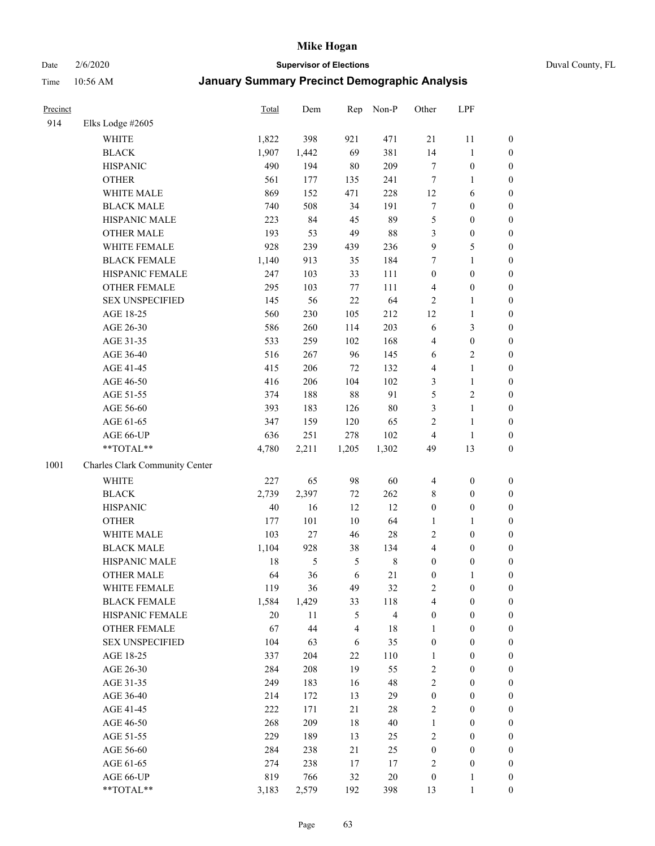Date 2/6/2020 **Supervisor of Elections** Duval County, FL

| Precinct |                                | Total  | Dem           | Rep            | Non-P                   | Other            | LPF              |                  |
|----------|--------------------------------|--------|---------------|----------------|-------------------------|------------------|------------------|------------------|
| 914      | Elks Lodge #2605               |        |               |                |                         |                  |                  |                  |
|          | <b>WHITE</b>                   | 1,822  | 398           | 921            | 471                     | 21               | 11               | 0                |
|          | <b>BLACK</b>                   | 1,907  | 1,442         | 69             | 381                     | 14               | $\mathbf{1}$     | 0                |
|          | <b>HISPANIC</b>                | 490    | 194           | 80             | 209                     | $\tau$           | $\boldsymbol{0}$ | $\boldsymbol{0}$ |
|          | <b>OTHER</b>                   | 561    | 177           | 135            | 241                     | 7                | 1                | $\boldsymbol{0}$ |
|          | WHITE MALE                     | 869    | 152           | 471            | 228                     | 12               | 6                | $\boldsymbol{0}$ |
|          | <b>BLACK MALE</b>              | 740    | 508           | 34             | 191                     | 7                | $\boldsymbol{0}$ | $\boldsymbol{0}$ |
|          | HISPANIC MALE                  | 223    | 84            | 45             | 89                      | 5                | $\boldsymbol{0}$ | $\boldsymbol{0}$ |
|          | <b>OTHER MALE</b>              | 193    | 53            | 49             | 88                      | 3                | $\boldsymbol{0}$ | $\boldsymbol{0}$ |
|          | WHITE FEMALE                   | 928    | 239           | 439            | 236                     | $\mathbf{9}$     | $\sqrt{5}$       | $\boldsymbol{0}$ |
|          | <b>BLACK FEMALE</b>            | 1,140  | 913           | 35             | 184                     | 7                | $\mathbf{1}$     | $\boldsymbol{0}$ |
|          | HISPANIC FEMALE                | 247    | 103           | 33             | 111                     | $\boldsymbol{0}$ | $\boldsymbol{0}$ | $\boldsymbol{0}$ |
|          | <b>OTHER FEMALE</b>            | 295    | 103           | $77 \,$        | 111                     | 4                | $\boldsymbol{0}$ | $\boldsymbol{0}$ |
|          | <b>SEX UNSPECIFIED</b>         | 145    | 56            | 22             | 64                      | $\sqrt{2}$       | $\mathbf{1}$     | $\boldsymbol{0}$ |
|          | AGE 18-25                      | 560    | 230           | 105            | 212                     | 12               | $\mathbf{1}$     | $\boldsymbol{0}$ |
|          | AGE 26-30                      | 586    | 260           | 114            | 203                     | 6                | $\mathfrak{Z}$   | $\boldsymbol{0}$ |
|          | AGE 31-35                      | 533    | 259           | 102            | 168                     | 4                | $\boldsymbol{0}$ | $\boldsymbol{0}$ |
|          | AGE 36-40                      | 516    | 267           | 96             | 145                     | 6                | $\sqrt{2}$       | $\boldsymbol{0}$ |
|          | AGE 41-45                      | 415    | 206           | 72             | 132                     | 4                | $\mathbf{1}$     | $\boldsymbol{0}$ |
|          | AGE 46-50                      | 416    | 206           | 104            | 102                     | 3                | $\mathbf{1}$     | $\boldsymbol{0}$ |
|          | AGE 51-55                      | 374    | 188           | 88             | 91                      | 5                | $\sqrt{2}$       | 0                |
|          | AGE 56-60                      | 393    | 183           | 126            | $80\,$                  | 3                | $\mathbf{1}$     | 0                |
|          | AGE 61-65                      | 347    | 159           | 120            | 65                      | $\overline{c}$   | $\mathbf{1}$     | $\boldsymbol{0}$ |
|          | AGE 66-UP                      | 636    | 251           | 278            | 102                     | $\overline{4}$   | $\mathbf{1}$     | $\boldsymbol{0}$ |
|          | **TOTAL**                      | 4,780  | 2,211         | 1,205          | 1,302                   | 49               | 13               | $\boldsymbol{0}$ |
| 1001     | Charles Clark Community Center |        |               |                |                         |                  |                  |                  |
|          | <b>WHITE</b>                   | 227    | 65            | 98             | 60                      | 4                | $\boldsymbol{0}$ | $\boldsymbol{0}$ |
|          | <b>BLACK</b>                   | 2,739  | 2,397         | $72\,$         | 262                     | 8                | $\boldsymbol{0}$ | $\boldsymbol{0}$ |
|          | <b>HISPANIC</b>                | 40     | 16            | 12             | 12                      | $\boldsymbol{0}$ | $\boldsymbol{0}$ | $\boldsymbol{0}$ |
|          | <b>OTHER</b>                   | 177    | 101           | 10             | 64                      | $\mathbf{1}$     | $\mathbf{1}$     | $\boldsymbol{0}$ |
|          | WHITE MALE                     | 103    | $27\,$        | 46             | $28\,$                  | 2                | $\boldsymbol{0}$ | $\boldsymbol{0}$ |
|          | <b>BLACK MALE</b>              | 1,104  | 928           | 38             | 134                     | 4                | $\boldsymbol{0}$ | $\boldsymbol{0}$ |
|          | HISPANIC MALE                  | 18     | $\mathfrak s$ | 5              | $\,8\,$                 | $\boldsymbol{0}$ | $\boldsymbol{0}$ | $\boldsymbol{0}$ |
|          | <b>OTHER MALE</b>              | 64     | 36            | 6              | 21                      | $\boldsymbol{0}$ | $\mathbf{1}$     | $\boldsymbol{0}$ |
|          | WHITE FEMALE                   | 119    | 36            | 49             | 32                      | 2                | $\boldsymbol{0}$ | 0                |
|          | <b>BLACK FEMALE</b>            | 1,584  | 1,429         | 33             | 118                     | 4                | $\boldsymbol{0}$ | $\boldsymbol{0}$ |
|          | HISPANIC FEMALE                | $20\,$ | 11            | 5              | $\overline{\mathbf{4}}$ | $\boldsymbol{0}$ | $\boldsymbol{0}$ | $\overline{0}$   |
|          | <b>OTHER FEMALE</b>            | 67     | 44            | $\overline{4}$ | $18\,$                  | $\mathbf{1}$     | $\boldsymbol{0}$ | $\overline{0}$   |
|          | <b>SEX UNSPECIFIED</b>         | 104    | 63            | 6              | 35                      | $\boldsymbol{0}$ | $\boldsymbol{0}$ | $\overline{0}$   |
|          | AGE 18-25                      | 337    | 204           | 22             | 110                     | $\mathbf{1}$     | $\boldsymbol{0}$ | $\overline{0}$   |
|          | AGE 26-30                      | 284    | 208           | 19             | 55                      | 2                | $\boldsymbol{0}$ | $\overline{0}$   |
|          | AGE 31-35                      | 249    | 183           | 16             | 48                      | $\overline{c}$   | $\boldsymbol{0}$ | 0                |
|          | AGE 36-40                      | 214    | 172           | 13             | 29                      | $\boldsymbol{0}$ | $\boldsymbol{0}$ | 0                |
|          | AGE 41-45                      | 222    | 171           | 21             | $28\,$                  | 2                | $\boldsymbol{0}$ | 0                |
|          | AGE 46-50                      | 268    | 209           | 18             | 40                      | $\mathbf{1}$     | $\boldsymbol{0}$ | 0                |
|          | AGE 51-55                      | 229    | 189           | 13             | 25                      | 2                | $\boldsymbol{0}$ | $\boldsymbol{0}$ |
|          | AGE 56-60                      | 284    | 238           | $21\,$         | 25                      | $\boldsymbol{0}$ | $\boldsymbol{0}$ | $\overline{0}$   |
|          | AGE 61-65                      | 274    | 238           | 17             | 17                      | $\overline{c}$   | $\boldsymbol{0}$ | $\overline{0}$   |
|          | AGE 66-UP                      | 819    | 766           | 32             | 20                      | $\boldsymbol{0}$ | $\mathbf{1}$     | $\boldsymbol{0}$ |
|          | **TOTAL**                      | 3,183  | 2,579         | 192            | 398                     | 13               | $\mathbf{1}$     | $\boldsymbol{0}$ |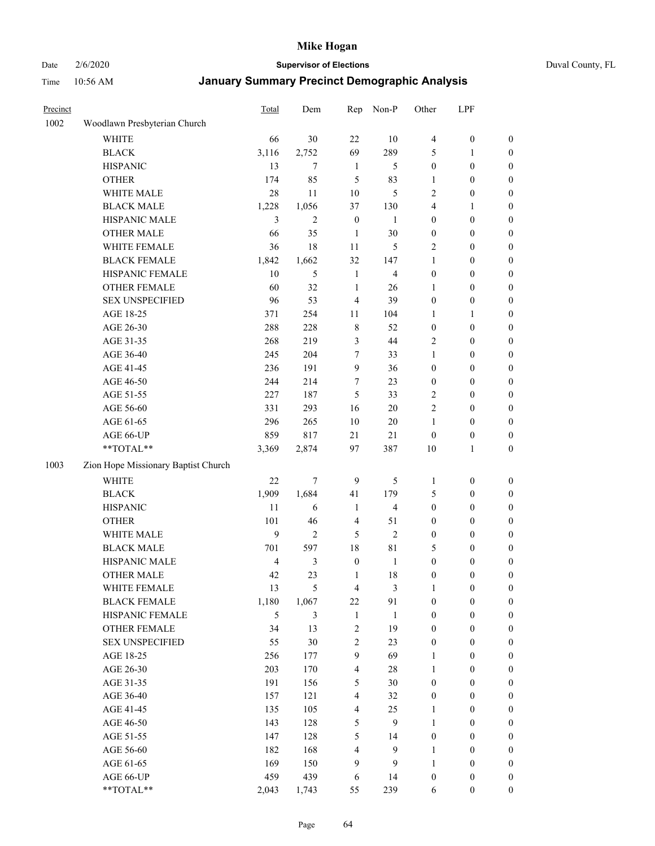### Date 2/6/2020 **Supervisor of Elections** Duval County, FL

| Precinct |                                     | Total | Dem              | Rep                     | Non-P          | Other            | LPF              |                  |
|----------|-------------------------------------|-------|------------------|-------------------------|----------------|------------------|------------------|------------------|
| 1002     | Woodlawn Presbyterian Church        |       |                  |                         |                |                  |                  |                  |
|          | <b>WHITE</b>                        | 66    | 30               | 22                      | 10             | $\overline{4}$   | $\boldsymbol{0}$ | 0                |
|          | <b>BLACK</b>                        | 3,116 | 2,752            | 69                      | 289            | 5                | 1                | $\boldsymbol{0}$ |
|          | <b>HISPANIC</b>                     | 13    | $\tau$           | $\mathbf{1}$            | 5              | $\boldsymbol{0}$ | $\boldsymbol{0}$ | $\boldsymbol{0}$ |
|          | <b>OTHER</b>                        | 174   | 85               | 5                       | 83             | 1                | $\boldsymbol{0}$ | $\boldsymbol{0}$ |
|          | WHITE MALE                          | 28    | 11               | 10                      | 5              | $\overline{c}$   | $\boldsymbol{0}$ | $\boldsymbol{0}$ |
|          | <b>BLACK MALE</b>                   | 1,228 | 1,056            | 37                      | 130            | 4                | 1                | $\boldsymbol{0}$ |
|          | HISPANIC MALE                       | 3     | $\overline{2}$   | $\boldsymbol{0}$        | 1              | 0                | $\boldsymbol{0}$ | $\boldsymbol{0}$ |
|          | <b>OTHER MALE</b>                   | 66    | 35               | $\mathbf{1}$            | 30             | $\boldsymbol{0}$ | $\boldsymbol{0}$ | $\boldsymbol{0}$ |
|          | WHITE FEMALE                        | 36    | 18               | 11                      | 5              | 2                | $\boldsymbol{0}$ | $\boldsymbol{0}$ |
|          | <b>BLACK FEMALE</b>                 | 1,842 | 1,662            | 32                      | 147            | 1                | $\boldsymbol{0}$ | $\boldsymbol{0}$ |
|          | HISPANIC FEMALE                     | 10    | 5                | $\mathbf{1}$            | $\overline{4}$ | $\boldsymbol{0}$ | $\boldsymbol{0}$ | 0                |
|          | OTHER FEMALE                        | 60    | 32               | $\mathbf{1}$            | 26             | 1                | $\boldsymbol{0}$ | $\boldsymbol{0}$ |
|          | <b>SEX UNSPECIFIED</b>              | 96    | 53               | $\overline{4}$          | 39             | $\boldsymbol{0}$ | $\boldsymbol{0}$ | $\boldsymbol{0}$ |
|          | AGE 18-25                           | 371   | 254              | 11                      | 104            | 1                | 1                | $\boldsymbol{0}$ |
|          | AGE 26-30                           | 288   | 228              | 8                       | 52             | $\boldsymbol{0}$ | $\boldsymbol{0}$ | $\boldsymbol{0}$ |
|          | AGE 31-35                           | 268   | 219              | 3                       | 44             | 2                | $\boldsymbol{0}$ | $\boldsymbol{0}$ |
|          | AGE 36-40                           | 245   | 204              | 7                       | 33             | $\mathbf{1}$     | $\boldsymbol{0}$ | $\boldsymbol{0}$ |
|          | AGE 41-45                           | 236   | 191              | 9                       | 36             | $\boldsymbol{0}$ | $\boldsymbol{0}$ | $\boldsymbol{0}$ |
|          | AGE 46-50                           | 244   | 214              | 7                       | 23             | $\boldsymbol{0}$ | $\boldsymbol{0}$ | $\boldsymbol{0}$ |
|          | AGE 51-55                           | 227   | 187              | 5                       | 33             | 2                | $\boldsymbol{0}$ | $\boldsymbol{0}$ |
|          | AGE 56-60                           | 331   | 293              | 16                      | 20             | $\overline{c}$   | $\boldsymbol{0}$ | 0                |
|          | AGE 61-65                           | 296   | 265              | 10                      | 20             | 1                | $\boldsymbol{0}$ | 0                |
|          | AGE 66-UP                           | 859   | 817              | 21                      | 21             | $\boldsymbol{0}$ | $\boldsymbol{0}$ | $\boldsymbol{0}$ |
|          | **TOTAL**                           | 3,369 | 2,874            | 97                      | 387            | 10               | $\mathbf{1}$     | $\boldsymbol{0}$ |
| 1003     | Zion Hope Missionary Baptist Church |       |                  |                         |                |                  |                  |                  |
|          | <b>WHITE</b>                        | 22    | $\boldsymbol{7}$ | 9                       | 5              | $\mathbf{1}$     | $\boldsymbol{0}$ | $\boldsymbol{0}$ |
|          | <b>BLACK</b>                        | 1,909 | 1,684            | 41                      | 179            | 5                | $\boldsymbol{0}$ | $\boldsymbol{0}$ |
|          | <b>HISPANIC</b>                     | 11    | 6                | $\mathbf{1}$            | $\overline{4}$ | $\boldsymbol{0}$ | $\boldsymbol{0}$ | $\boldsymbol{0}$ |
|          | <b>OTHER</b>                        | 101   | 46               | 4                       | 51             | 0                | $\boldsymbol{0}$ | $\boldsymbol{0}$ |
|          | WHITE MALE                          | 9     | $\overline{2}$   | 5                       | $\overline{2}$ | $\boldsymbol{0}$ | $\boldsymbol{0}$ | $\boldsymbol{0}$ |
|          | <b>BLACK MALE</b>                   | 701   | 597              | 18                      | 81             | 5                | $\boldsymbol{0}$ | $\boldsymbol{0}$ |
|          | HISPANIC MALE                       | 4     | $\mathfrak{Z}$   | $\boldsymbol{0}$        | $\mathbf{1}$   | $\boldsymbol{0}$ | $\boldsymbol{0}$ | $\boldsymbol{0}$ |
|          | <b>OTHER MALE</b>                   | 42    | 23               | $\mathbf{1}$            | 18             | $\boldsymbol{0}$ | $\boldsymbol{0}$ | $\boldsymbol{0}$ |
|          | WHITE FEMALE                        | 13    | 5                | 4                       | 3              | 1                | 0                | 0                |
|          | <b>BLACK FEMALE</b>                 | 1,180 | 1,067            | 22                      | 91             | $\boldsymbol{0}$ | $\boldsymbol{0}$ | $\overline{0}$   |
|          | HISPANIC FEMALE                     | 5     | $\mathfrak{Z}$   | $\mathbf{1}$            | $\mathbf{1}$   | $\boldsymbol{0}$ | $\boldsymbol{0}$ | $\overline{0}$   |
|          | OTHER FEMALE                        | 34    | 13               | $\overline{\mathbf{c}}$ | 19             | $\boldsymbol{0}$ | $\boldsymbol{0}$ | $\overline{0}$   |
|          | <b>SEX UNSPECIFIED</b>              | 55    | 30               | 2                       | 23             | $\boldsymbol{0}$ | $\boldsymbol{0}$ | $\overline{0}$   |
|          | AGE 18-25                           | 256   | 177              | 9                       | 69             | 1                | $\boldsymbol{0}$ | $\overline{0}$   |
|          | AGE 26-30                           | 203   | 170              | $\overline{\mathbf{4}}$ | 28             | $\mathbf{1}$     | $\boldsymbol{0}$ | $\overline{0}$   |
|          | AGE 31-35                           | 191   | 156              | 5                       | 30             | 0                | $\boldsymbol{0}$ | 0                |
|          | AGE 36-40                           | 157   | 121              | $\overline{\mathbf{4}}$ | 32             | 0                | $\boldsymbol{0}$ | 0                |
|          | AGE 41-45                           | 135   | 105              | $\overline{\mathbf{4}}$ | 25             | 1                | $\boldsymbol{0}$ | 0                |
|          | AGE 46-50                           | 143   | 128              | 5                       | 9              | 1                | $\boldsymbol{0}$ | 0                |
|          | AGE 51-55                           | 147   | 128              | 5                       | 14             | $\boldsymbol{0}$ | $\boldsymbol{0}$ | $\boldsymbol{0}$ |
|          | AGE 56-60                           | 182   | 168              | 4                       | 9              | $\mathbf{1}$     | $\boldsymbol{0}$ | $\boldsymbol{0}$ |
|          | AGE 61-65                           | 169   | 150              | 9                       | 9              | 1                | $\boldsymbol{0}$ | $\boldsymbol{0}$ |
|          | AGE 66-UP                           | 459   | 439              | 6                       | 14             | $\boldsymbol{0}$ | $\boldsymbol{0}$ | $\boldsymbol{0}$ |
|          | **TOTAL**                           | 2,043 | 1,743            | 55                      | 239            | 6                | $\boldsymbol{0}$ | $\boldsymbol{0}$ |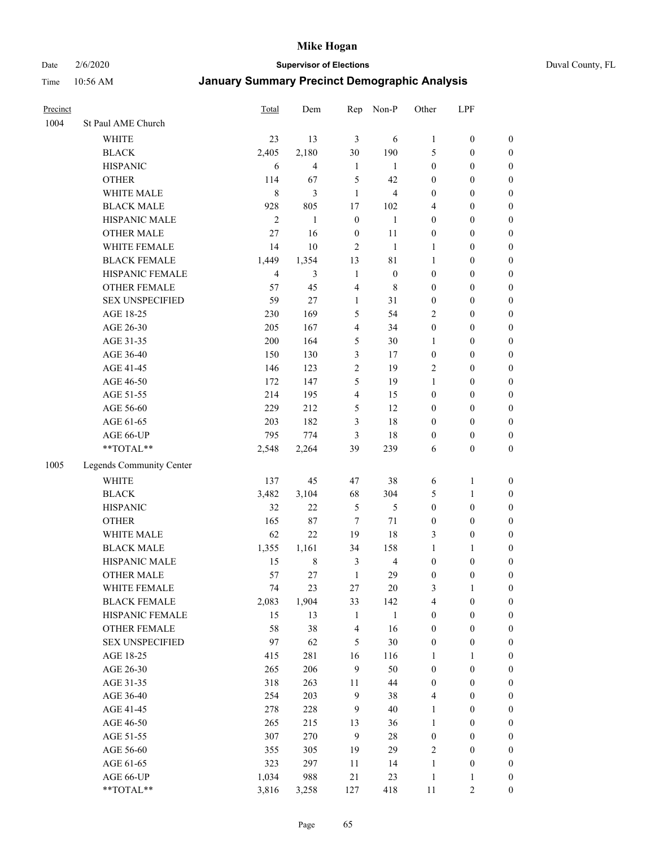Date 2/6/2020 **Supervisor of Elections** Duval County, FL

| Precinct |                          | Total          | Dem                      | Rep                     | Non-P                   | Other            | LPF              |                  |
|----------|--------------------------|----------------|--------------------------|-------------------------|-------------------------|------------------|------------------|------------------|
| 1004     | St Paul AME Church       |                |                          |                         |                         |                  |                  |                  |
|          | <b>WHITE</b>             | 23             | 13                       | $\mathfrak{Z}$          | 6                       | $\mathbf{1}$     | $\boldsymbol{0}$ | $\boldsymbol{0}$ |
|          | <b>BLACK</b>             | 2,405          | 2,180                    | 30                      | 190                     | 5                | $\boldsymbol{0}$ | $\boldsymbol{0}$ |
|          | <b>HISPANIC</b>          | 6              | $\overline{\mathcal{L}}$ | $\mathbf{1}$            | 1                       | $\boldsymbol{0}$ | $\boldsymbol{0}$ | $\boldsymbol{0}$ |
|          | <b>OTHER</b>             | 114            | 67                       | 5                       | 42                      | $\boldsymbol{0}$ | $\boldsymbol{0}$ | $\boldsymbol{0}$ |
|          | WHITE MALE               | 8              | 3                        | $\mathbf{1}$            | $\overline{\mathbf{4}}$ | $\boldsymbol{0}$ | $\boldsymbol{0}$ | $\boldsymbol{0}$ |
|          | <b>BLACK MALE</b>        | 928            | 805                      | 17                      | $102\,$                 | 4                | $\boldsymbol{0}$ | $\boldsymbol{0}$ |
|          | HISPANIC MALE            | $\overline{2}$ | $\mathbf{1}$             | $\boldsymbol{0}$        | $\mathbf{1}$            | $\boldsymbol{0}$ | $\boldsymbol{0}$ | $\boldsymbol{0}$ |
|          | <b>OTHER MALE</b>        | 27             | 16                       | $\boldsymbol{0}$        | 11                      | $\boldsymbol{0}$ | $\boldsymbol{0}$ | $\boldsymbol{0}$ |
|          | WHITE FEMALE             | 14             | 10                       | $\overline{2}$          | $\mathbf{1}$            | 1                | $\boldsymbol{0}$ | $\boldsymbol{0}$ |
|          | <b>BLACK FEMALE</b>      | 1,449          | 1,354                    | 13                      | 81                      | $\mathbf{1}$     | $\boldsymbol{0}$ | $\boldsymbol{0}$ |
|          | HISPANIC FEMALE          | $\overline{4}$ | 3                        | $\mathbf{1}$            | $\boldsymbol{0}$        | $\boldsymbol{0}$ | $\boldsymbol{0}$ | $\boldsymbol{0}$ |
|          | <b>OTHER FEMALE</b>      | 57             | 45                       | $\overline{4}$          | $\,$ 8 $\,$             | $\boldsymbol{0}$ | $\boldsymbol{0}$ | $\boldsymbol{0}$ |
|          | <b>SEX UNSPECIFIED</b>   | 59             | 27                       | $\mathbf{1}$            | 31                      | $\boldsymbol{0}$ | $\boldsymbol{0}$ | $\boldsymbol{0}$ |
|          | AGE 18-25                | 230            | 169                      | 5                       | 54                      | 2                | $\boldsymbol{0}$ | $\boldsymbol{0}$ |
|          | AGE 26-30                | 205            | 167                      | 4                       | 34                      | $\boldsymbol{0}$ | $\boldsymbol{0}$ | $\boldsymbol{0}$ |
|          | AGE 31-35                | 200            | 164                      | 5                       | 30                      | 1                | $\boldsymbol{0}$ | $\boldsymbol{0}$ |
|          | AGE 36-40                | 150            | 130                      | 3                       | 17                      | $\boldsymbol{0}$ | $\boldsymbol{0}$ | $\boldsymbol{0}$ |
|          | AGE 41-45                | 146            | 123                      | $\overline{c}$          | 19                      | 2                | $\boldsymbol{0}$ | $\boldsymbol{0}$ |
|          | AGE 46-50                | 172            | 147                      | 5                       | 19                      | $\mathbf{1}$     | $\boldsymbol{0}$ | $\boldsymbol{0}$ |
|          | AGE 51-55                | 214            | 195                      | $\overline{\mathbf{4}}$ | 15                      | $\boldsymbol{0}$ | $\boldsymbol{0}$ | $\boldsymbol{0}$ |
|          | AGE 56-60                | 229            | 212                      | 5                       | 12                      | $\boldsymbol{0}$ | $\boldsymbol{0}$ | 0                |
|          | AGE 61-65                | 203            | 182                      | 3                       | 18                      | $\boldsymbol{0}$ | $\boldsymbol{0}$ | $\boldsymbol{0}$ |
|          | AGE 66-UP                | 795            | 774                      | 3                       | 18                      | $\boldsymbol{0}$ | $\boldsymbol{0}$ | $\boldsymbol{0}$ |
|          | **TOTAL**                | 2,548          | 2,264                    | 39                      | 239                     | 6                | $\boldsymbol{0}$ | $\boldsymbol{0}$ |
| 1005     | Legends Community Center |                |                          |                         |                         |                  |                  |                  |
|          | <b>WHITE</b>             | 137            | 45                       | 47                      | 38                      | 6                | $\mathbf{1}$     | $\boldsymbol{0}$ |
|          | <b>BLACK</b>             | 3,482          | 3,104                    | 68                      | 304                     | 5                | $\mathbf{1}$     | $\boldsymbol{0}$ |
|          | <b>HISPANIC</b>          | 32             | 22                       | 5                       | 5                       | $\boldsymbol{0}$ | $\boldsymbol{0}$ | $\boldsymbol{0}$ |
|          | <b>OTHER</b>             | 165            | 87                       | $\tau$                  | 71                      | $\boldsymbol{0}$ | $\boldsymbol{0}$ | $\boldsymbol{0}$ |
|          | WHITE MALE               | 62             | 22                       | 19                      | 18                      | 3                | $\boldsymbol{0}$ | $\boldsymbol{0}$ |
|          | <b>BLACK MALE</b>        | 1,355          | 1,161                    | 34                      | 158                     | $\mathbf{1}$     | 1                | $\boldsymbol{0}$ |
|          | HISPANIC MALE            | 15             | $\,$ 8 $\,$              | $\mathfrak{Z}$          | $\overline{4}$          | $\boldsymbol{0}$ | $\boldsymbol{0}$ | $\boldsymbol{0}$ |
|          | <b>OTHER MALE</b>        | 57             | 27                       | $\mathbf{1}$            | 29                      | $\boldsymbol{0}$ | $\boldsymbol{0}$ | $\boldsymbol{0}$ |
|          | WHITE FEMALE             | 74             | 23                       | 27                      | 20                      | 3                | 1                | 0                |
|          | <b>BLACK FEMALE</b>      | 2,083          | 1,904                    | 33                      | 142                     | 4                | $\boldsymbol{0}$ | $\boldsymbol{0}$ |
|          | HISPANIC FEMALE          | 15             | 13                       | $\mathbf{1}$            | $\mathbf{1}$            | $\boldsymbol{0}$ | $\boldsymbol{0}$ | $\overline{0}$   |
|          | OTHER FEMALE             | 58             | 38                       | 4                       | 16                      | $\boldsymbol{0}$ | $\boldsymbol{0}$ | $\overline{0}$   |
|          | <b>SEX UNSPECIFIED</b>   | 97             | 62                       | 5                       | 30                      | $\boldsymbol{0}$ | $\boldsymbol{0}$ | 0                |
|          | AGE 18-25                | 415            | 281                      | 16                      | 116                     | $\mathbf{1}$     | $\mathbf{1}$     | $\overline{0}$   |
|          | AGE 26-30                | 265            | 206                      | 9                       | 50                      | $\boldsymbol{0}$ | $\boldsymbol{0}$ | 0                |
|          | AGE 31-35                | 318            | 263                      | 11                      | 44                      | $\boldsymbol{0}$ | $\boldsymbol{0}$ | 0                |
|          | AGE 36-40                | 254            | 203                      | $\boldsymbol{9}$        | 38                      | 4                | $\boldsymbol{0}$ | 0                |
|          | AGE 41-45                | 278            | 228                      | $\mathbf{9}$            | 40                      | $\mathbf{1}$     | $\boldsymbol{0}$ | 0                |
|          | AGE 46-50                | 265            | 215                      | 13                      | 36                      | $\mathbf{1}$     | $\boldsymbol{0}$ | 0                |
|          | AGE 51-55                | 307            | 270                      | 9                       | $28\,$                  | $\boldsymbol{0}$ | $\boldsymbol{0}$ | $\boldsymbol{0}$ |
|          | AGE 56-60                | 355            | 305                      | 19                      | 29                      | 2                | $\boldsymbol{0}$ | $\boldsymbol{0}$ |
|          | AGE 61-65                | 323            | 297                      | 11                      | 14                      | $\mathbf{1}$     | $\boldsymbol{0}$ | $\boldsymbol{0}$ |
|          | AGE 66-UP                | 1,034          | 988                      | 21                      | 23                      | $\mathbf{1}$     | $\mathbf{1}$     | $\boldsymbol{0}$ |
|          | **TOTAL**                | 3,816          | 3,258                    | 127                     | 418                     | 11               | $\sqrt{2}$       | $\boldsymbol{0}$ |
|          |                          |                |                          |                         |                         |                  |                  |                  |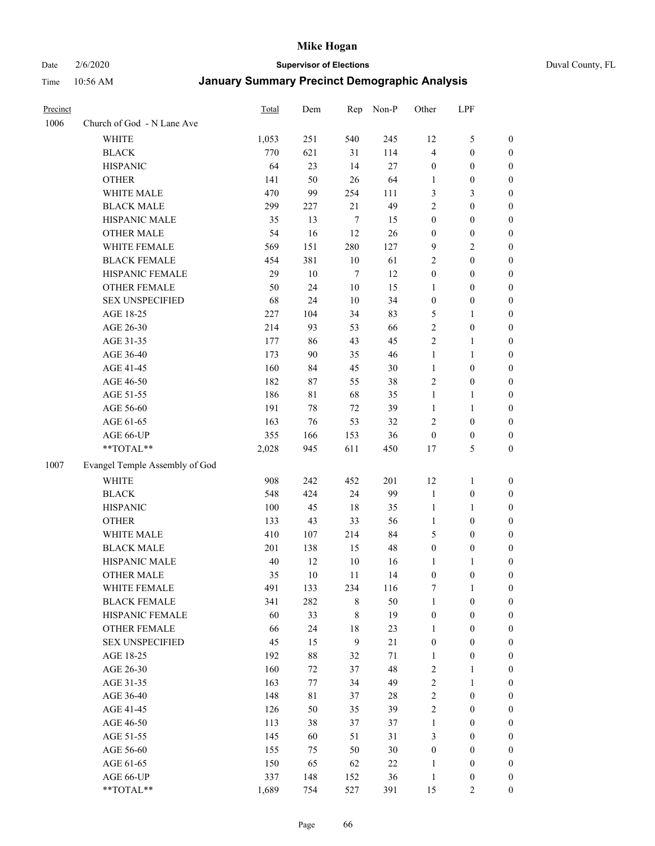Date 2/6/2020 **Supervisor of Elections** Duval County, FL

| Precinct |                                | Total | Dem    | Rep              | Non-P  | Other            | LPF              |                  |
|----------|--------------------------------|-------|--------|------------------|--------|------------------|------------------|------------------|
| 1006     | Church of God - N Lane Ave     |       |        |                  |        |                  |                  |                  |
|          | <b>WHITE</b>                   | 1,053 | 251    | 540              | 245    | 12               | $\mathfrak s$    | 0                |
|          | <b>BLACK</b>                   | 770   | 621    | 31               | 114    | 4                | $\boldsymbol{0}$ | 0                |
|          | <b>HISPANIC</b>                | 64    | 23     | 14               | 27     | $\boldsymbol{0}$ | $\boldsymbol{0}$ | $\boldsymbol{0}$ |
|          | <b>OTHER</b>                   | 141   | 50     | 26               | 64     | 1                | $\boldsymbol{0}$ | $\boldsymbol{0}$ |
|          | WHITE MALE                     | 470   | 99     | 254              | 111    | 3                | $\mathfrak{Z}$   | $\boldsymbol{0}$ |
|          | <b>BLACK MALE</b>              | 299   | 227    | 21               | 49     | $\overline{c}$   | $\boldsymbol{0}$ | $\boldsymbol{0}$ |
|          | HISPANIC MALE                  | 35    | 13     | $\overline{7}$   | 15     | $\boldsymbol{0}$ | $\boldsymbol{0}$ | $\boldsymbol{0}$ |
|          | <b>OTHER MALE</b>              | 54    | 16     | 12               | 26     | $\boldsymbol{0}$ | $\boldsymbol{0}$ | $\boldsymbol{0}$ |
|          | WHITE FEMALE                   | 569   | 151    | 280              | 127    | 9                | $\overline{2}$   | $\boldsymbol{0}$ |
|          | <b>BLACK FEMALE</b>            | 454   | 381    | 10               | 61     | 2                | $\boldsymbol{0}$ | $\boldsymbol{0}$ |
|          | HISPANIC FEMALE                | 29    | 10     | $\tau$           | 12     | $\boldsymbol{0}$ | $\boldsymbol{0}$ | 0                |
|          | OTHER FEMALE                   | 50    | 24     | 10               | 15     | 1                | $\boldsymbol{0}$ | 0                |
|          | <b>SEX UNSPECIFIED</b>         | 68    | 24     | 10               | 34     | $\boldsymbol{0}$ | $\boldsymbol{0}$ | $\boldsymbol{0}$ |
|          | AGE 18-25                      | 227   | 104    | 34               | 83     | 5                | 1                | $\boldsymbol{0}$ |
|          | AGE 26-30                      | 214   | 93     | 53               | 66     | 2                | $\boldsymbol{0}$ | $\boldsymbol{0}$ |
|          | AGE 31-35                      | 177   | 86     | 43               | 45     | $\overline{c}$   | $\mathbf{1}$     | $\boldsymbol{0}$ |
|          | AGE 36-40                      | 173   | 90     | 35               | 46     | $\mathbf{1}$     | $\mathbf{1}$     | $\boldsymbol{0}$ |
|          | AGE 41-45                      | 160   | 84     | 45               | $30\,$ | $\mathbf{1}$     | $\boldsymbol{0}$ | $\boldsymbol{0}$ |
|          | AGE 46-50                      | 182   | 87     | 55               | 38     | 2                | $\boldsymbol{0}$ | $\boldsymbol{0}$ |
|          | AGE 51-55                      | 186   | 81     | 68               | 35     | $\mathbf{1}$     | 1                | 0                |
|          | AGE 56-60                      | 191   | 78     | 72               | 39     | 1                | 1                | 0                |
|          | AGE 61-65                      | 163   | 76     | 53               | 32     | 2                | $\boldsymbol{0}$ | 0                |
|          | AGE 66-UP                      | 355   | 166    | 153              | 36     | $\boldsymbol{0}$ | $\boldsymbol{0}$ | 0                |
|          | **TOTAL**                      | 2,028 | 945    | 611              | 450    | 17               | $\mathfrak s$    | $\boldsymbol{0}$ |
| 1007     | Evangel Temple Assembly of God |       |        |                  |        |                  |                  |                  |
|          | <b>WHITE</b>                   | 908   | 242    | 452              | 201    | 12               | $\mathbf{1}$     | $\boldsymbol{0}$ |
|          | <b>BLACK</b>                   | 548   | 424    | 24               | 99     | $\mathbf{1}$     | $\boldsymbol{0}$ | $\boldsymbol{0}$ |
|          | <b>HISPANIC</b>                | 100   | 45     | 18               | 35     | $\mathbf{1}$     | $\mathbf{1}$     | $\boldsymbol{0}$ |
|          | <b>OTHER</b>                   | 133   | 43     | 33               | 56     | $\mathbf{1}$     | $\boldsymbol{0}$ | $\boldsymbol{0}$ |
|          | WHITE MALE                     | 410   | 107    | 214              | 84     | 5                | $\boldsymbol{0}$ | $\boldsymbol{0}$ |
|          | <b>BLACK MALE</b>              | 201   | 138    | 15               | 48     | $\boldsymbol{0}$ | $\boldsymbol{0}$ | $\boldsymbol{0}$ |
|          | HISPANIC MALE                  | 40    | 12     | 10               | 16     | 1                | 1                | 0                |
|          | <b>OTHER MALE</b>              | 35    | 10     | 11               | 14     | $\boldsymbol{0}$ | $\boldsymbol{0}$ | 0                |
|          | WHITE FEMALE                   | 491   | 133    | 234              | 116    | 7                | 1                | 0                |
|          | <b>BLACK FEMALE</b>            | 341   | 282    | 8                | 50     | $\mathbf{1}$     | $\boldsymbol{0}$ | $\overline{0}$   |
|          | HISPANIC FEMALE                | 60    | 33     | $\,$ 8 $\,$      | 19     | $\boldsymbol{0}$ | $\boldsymbol{0}$ | $\overline{0}$   |
|          | <b>OTHER FEMALE</b>            | 66    | 24     | 18               | 23     | $\mathbf{1}$     | $\boldsymbol{0}$ | $\overline{0}$   |
|          | <b>SEX UNSPECIFIED</b>         | 45    | 15     | $\boldsymbol{9}$ | 21     | $\boldsymbol{0}$ | $\boldsymbol{0}$ | 0                |
|          | AGE 18-25                      | 192   | $88\,$ | 32               | 71     | $\mathbf{1}$     | $\boldsymbol{0}$ | 0                |
|          | AGE 26-30                      | 160   | 72     | 37               | 48     | 2                | $\mathbf{1}$     | 0                |
|          | AGE 31-35                      | 163   | 77     | 34               | 49     | $\overline{c}$   | $\mathbf{1}$     | 0                |
|          | AGE 36-40                      | 148   | 81     | 37               | $28\,$ | $\overline{c}$   | $\boldsymbol{0}$ | 0                |
|          | AGE 41-45                      | 126   | 50     | 35               | 39     | $\overline{c}$   | $\boldsymbol{0}$ | 0                |
|          | AGE 46-50                      | 113   | 38     | 37               | 37     | $\mathbf{1}$     | $\boldsymbol{0}$ | 0                |
|          | AGE 51-55                      | 145   | 60     | 51               | 31     | 3                | $\boldsymbol{0}$ | 0                |
|          | AGE 56-60                      | 155   | 75     | 50               | $30\,$ | $\boldsymbol{0}$ | $\boldsymbol{0}$ | $\overline{0}$   |
|          | AGE 61-65                      | 150   | 65     | 62               | 22     | 1                | $\boldsymbol{0}$ | $\overline{0}$   |
|          | AGE 66-UP                      | 337   | 148    | 152              | 36     | $\mathbf{1}$     | $\boldsymbol{0}$ | 0                |
|          | **TOTAL**                      | 1,689 | 754    | 527              | 391    | 15               | $\overline{c}$   | $\boldsymbol{0}$ |
|          |                                |       |        |                  |        |                  |                  |                  |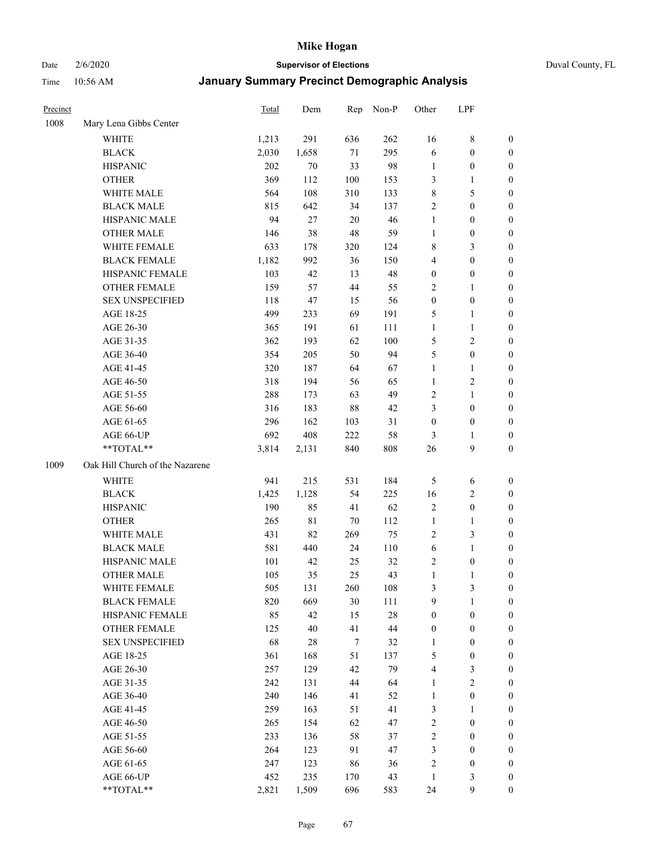# Date 2/6/2020 **Supervisor of Elections** Duval County, FL

| Precinct |                                 | Total | Dem         | Rep    | Non-P | Other                   | LPF              |                  |
|----------|---------------------------------|-------|-------------|--------|-------|-------------------------|------------------|------------------|
| 1008     | Mary Lena Gibbs Center          |       |             |        |       |                         |                  |                  |
|          | <b>WHITE</b>                    | 1,213 | 291         | 636    | 262   | 16                      | $\,$ 8 $\,$      | 0                |
|          | <b>BLACK</b>                    | 2,030 | 1,658       | 71     | 295   | 6                       | $\boldsymbol{0}$ | 0                |
|          | <b>HISPANIC</b>                 | 202   | 70          | 33     | 98    | $\mathbf{1}$            | $\boldsymbol{0}$ | $\boldsymbol{0}$ |
|          | <b>OTHER</b>                    | 369   | 112         | 100    | 153   | 3                       | 1                | $\boldsymbol{0}$ |
|          | WHITE MALE                      | 564   | 108         | 310    | 133   | 8                       | 5                | $\boldsymbol{0}$ |
|          | <b>BLACK MALE</b>               | 815   | 642         | 34     | 137   | $\overline{c}$          | $\boldsymbol{0}$ | $\boldsymbol{0}$ |
|          | HISPANIC MALE                   | 94    | 27          | $20\,$ | 46    | 1                       | $\boldsymbol{0}$ | $\boldsymbol{0}$ |
|          | <b>OTHER MALE</b>               | 146   | 38          | 48     | 59    | 1                       | $\boldsymbol{0}$ | $\boldsymbol{0}$ |
|          | WHITE FEMALE                    | 633   | 178         | 320    | 124   | 8                       | 3                | $\boldsymbol{0}$ |
|          | <b>BLACK FEMALE</b>             | 1,182 | 992         | 36     | 150   | 4                       | $\boldsymbol{0}$ | $\boldsymbol{0}$ |
|          | HISPANIC FEMALE                 | 103   | 42          | 13     | 48    | $\boldsymbol{0}$        | $\boldsymbol{0}$ | $\boldsymbol{0}$ |
|          | <b>OTHER FEMALE</b>             | 159   | 57          | 44     | 55    | $\overline{c}$          | $\mathbf{1}$     | $\boldsymbol{0}$ |
|          | <b>SEX UNSPECIFIED</b>          | 118   | 47          | 15     | 56    | $\boldsymbol{0}$        | $\boldsymbol{0}$ | $\boldsymbol{0}$ |
|          | AGE 18-25                       | 499   | 233         | 69     | 191   | 5                       | $\mathbf{1}$     | $\boldsymbol{0}$ |
|          | AGE 26-30                       | 365   | 191         | 61     | 111   | 1                       | $\mathbf{1}$     | $\boldsymbol{0}$ |
|          | AGE 31-35                       | 362   | 193         | 62     | 100   | 5                       | $\sqrt{2}$       | $\boldsymbol{0}$ |
|          | AGE 36-40                       | 354   | 205         | 50     | 94    | 5                       | $\boldsymbol{0}$ | $\boldsymbol{0}$ |
|          | AGE 41-45                       | 320   | 187         | 64     | 67    | $\mathbf{1}$            | $\mathbf{1}$     | $\boldsymbol{0}$ |
|          | AGE 46-50                       | 318   | 194         | 56     | 65    | 1                       | $\sqrt{2}$       | $\boldsymbol{0}$ |
|          | AGE 51-55                       | 288   | 173         | 63     | 49    | 2                       | $\mathbf{1}$     | $\boldsymbol{0}$ |
|          | AGE 56-60                       | 316   | 183         | 88     | 42    | 3                       | $\boldsymbol{0}$ | 0                |
|          | AGE 61-65                       | 296   | 162         | 103    | 31    | $\boldsymbol{0}$        | $\boldsymbol{0}$ | $\boldsymbol{0}$ |
|          | AGE 66-UP                       | 692   | 408         | 222    | 58    | 3                       | 1                | $\boldsymbol{0}$ |
|          | **TOTAL**                       | 3,814 | 2,131       | 840    | 808   | 26                      | $\boldsymbol{9}$ | $\boldsymbol{0}$ |
| 1009     | Oak Hill Church of the Nazarene |       |             |        |       |                         |                  |                  |
|          | <b>WHITE</b>                    | 941   | 215         | 531    | 184   | 5                       | 6                | $\boldsymbol{0}$ |
|          | <b>BLACK</b>                    | 1,425 | 1,128       | 54     | 225   | 16                      | $\sqrt{2}$       | $\boldsymbol{0}$ |
|          | <b>HISPANIC</b>                 | 190   | 85          | 41     | 62    | 2                       | $\boldsymbol{0}$ | $\boldsymbol{0}$ |
|          | <b>OTHER</b>                    | 265   | $8\sqrt{1}$ | 70     | 112   | $\mathbf{1}$            | 1                | $\boldsymbol{0}$ |
|          | WHITE MALE                      | 431   | 82          | 269    | 75    | $\overline{c}$          | 3                | $\boldsymbol{0}$ |
|          | <b>BLACK MALE</b>               | 581   | 440         | 24     | 110   | 6                       | $\mathbf{1}$     | $\boldsymbol{0}$ |
|          | HISPANIC MALE                   | 101   | 42          | 25     | 32    | $\overline{\mathbf{c}}$ | $\boldsymbol{0}$ | 0                |
|          | <b>OTHER MALE</b>               | 105   | 35          | 25     | 43    | 1                       | $\mathbf{1}$     | $\boldsymbol{0}$ |
|          | WHITE FEMALE                    | 505   | 131         | 260    | 108   | 3                       | 3                | 0                |
|          | <b>BLACK FEMALE</b>             | 820   | 669         | 30     | 111   | 9                       | $\mathbf{1}$     | $\boldsymbol{0}$ |
|          | HISPANIC FEMALE                 | 85    | 42          | 15     | 28    | $\boldsymbol{0}$        | $\boldsymbol{0}$ | $\overline{0}$   |
|          | OTHER FEMALE                    | 125   | 40          | 41     | 44    | 0                       | $\boldsymbol{0}$ | $\overline{0}$   |
|          | <b>SEX UNSPECIFIED</b>          | 68    | 28          | 7      | 32    | 1                       | $\boldsymbol{0}$ | 0                |
|          | AGE 18-25                       | 361   | 168         | 51     | 137   | 5                       | $\boldsymbol{0}$ | $\theta$         |
|          | AGE 26-30                       | 257   | 129         | 42     | 79    | 4                       | 3                | 0                |
|          | AGE 31-35                       | 242   | 131         | 44     | 64    | 1                       | $\sqrt{2}$       | 0                |
|          | AGE 36-40                       | 240   | 146         | 41     | 52    | 1                       | $\boldsymbol{0}$ | 0                |
|          | AGE 41-45                       | 259   | 163         | 51     | 41    | 3                       | $\mathbf{1}$     | 0                |
|          | AGE 46-50                       | 265   | 154         | 62     | 47    | $\mathbf{2}$            | $\boldsymbol{0}$ | 0                |
|          | AGE 51-55                       | 233   | 136         | 58     | 37    | $\mathbf{2}$            | $\boldsymbol{0}$ | 0                |
|          | AGE 56-60                       | 264   | 123         | 91     | 47    | 3                       | $\boldsymbol{0}$ | $\overline{0}$   |
|          | AGE 61-65                       | 247   | 123         | 86     | 36    | $\overline{\mathbf{c}}$ | $\boldsymbol{0}$ | $\overline{0}$   |
|          | AGE 66-UP                       | 452   | 235         | 170    | 43    | 1                       | $\mathfrak{Z}$   | 0                |
|          | **TOTAL**                       | 2,821 | 1,509       | 696    | 583   | 24                      | 9                | $\boldsymbol{0}$ |
|          |                                 |       |             |        |       |                         |                  |                  |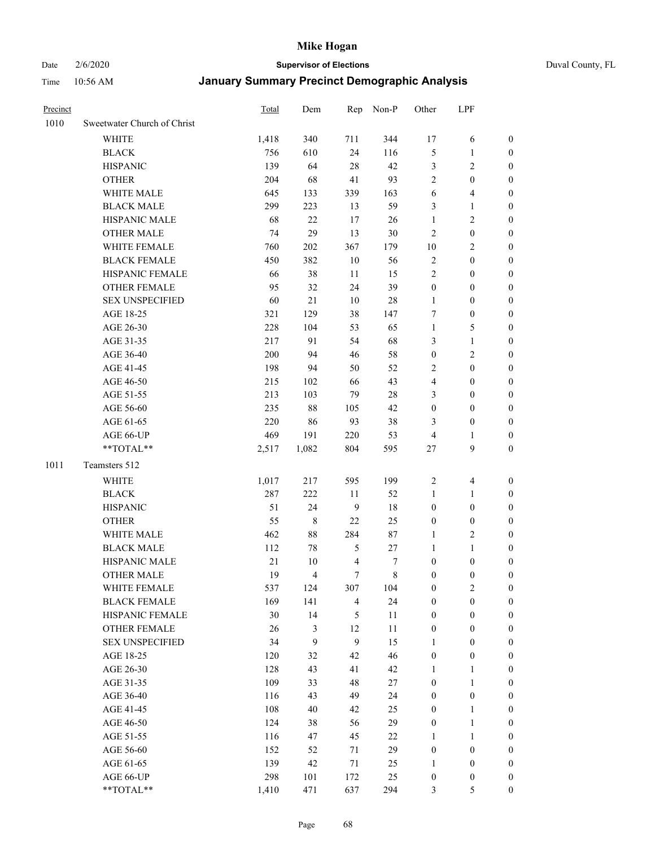# Date 2/6/2020 **Supervisor of Elections** Duval County, FL

| Precinct |                             | Total | Dem                     | Rep                     | Non-P       | Other            | LPF              |                  |
|----------|-----------------------------|-------|-------------------------|-------------------------|-------------|------------------|------------------|------------------|
| 1010     | Sweetwater Church of Christ |       |                         |                         |             |                  |                  |                  |
|          | <b>WHITE</b>                | 1,418 | 340                     | 711                     | 344         | 17               | 6                | 0                |
|          | <b>BLACK</b>                | 756   | 610                     | 24                      | 116         | 5                | $\mathbf{1}$     | $\boldsymbol{0}$ |
|          | <b>HISPANIC</b>             | 139   | 64                      | 28                      | 42          | 3                | $\mathfrak{2}$   | $\boldsymbol{0}$ |
|          | <b>OTHER</b>                | 204   | 68                      | 41                      | 93          | $\overline{c}$   | $\boldsymbol{0}$ | $\boldsymbol{0}$ |
|          | WHITE MALE                  | 645   | 133                     | 339                     | 163         | 6                | $\overline{4}$   | $\boldsymbol{0}$ |
|          | <b>BLACK MALE</b>           | 299   | 223                     | 13                      | 59          | 3                | $\mathbf{1}$     | $\boldsymbol{0}$ |
|          | HISPANIC MALE               | 68    | 22                      | 17                      | 26          | $\mathbf{1}$     | $\sqrt{2}$       | $\boldsymbol{0}$ |
|          | <b>OTHER MALE</b>           | 74    | 29                      | 13                      | $30\,$      | $\overline{2}$   | $\boldsymbol{0}$ | $\boldsymbol{0}$ |
|          | WHITE FEMALE                | 760   | 202                     | 367                     | 179         | $10\,$           | $\overline{2}$   | $\boldsymbol{0}$ |
|          | <b>BLACK FEMALE</b>         | 450   | 382                     | $10\,$                  | 56          | 2                | $\boldsymbol{0}$ | 0                |
|          | HISPANIC FEMALE             | 66    | 38                      | 11                      | 15          | $\overline{c}$   | $\boldsymbol{0}$ | 0                |
|          | <b>OTHER FEMALE</b>         | 95    | 32                      | 24                      | 39          | $\boldsymbol{0}$ | $\boldsymbol{0}$ | $\boldsymbol{0}$ |
|          | <b>SEX UNSPECIFIED</b>      | 60    | 21                      | 10                      | $28\,$      | $\mathbf{1}$     | $\boldsymbol{0}$ | $\boldsymbol{0}$ |
|          | AGE 18-25                   | 321   | 129                     | 38                      | 147         | 7                | $\boldsymbol{0}$ | $\boldsymbol{0}$ |
|          | AGE 26-30                   | 228   | 104                     | 53                      | 65          | $\mathbf{1}$     | $\mathfrak s$    | $\boldsymbol{0}$ |
|          | AGE 31-35                   | 217   | 91                      | 54                      | 68          | 3                | $\mathbf{1}$     | $\boldsymbol{0}$ |
|          | AGE 36-40                   | 200   | 94                      | 46                      | 58          | $\boldsymbol{0}$ | $\sqrt{2}$       | $\boldsymbol{0}$ |
|          | AGE 41-45                   | 198   | 94                      | 50                      | 52          | 2                | $\boldsymbol{0}$ | $\boldsymbol{0}$ |
|          | AGE 46-50                   | 215   | 102                     | 66                      | 43          | 4                | $\boldsymbol{0}$ | $\boldsymbol{0}$ |
|          | AGE 51-55                   | 213   | 103                     | 79                      | $28\,$      | 3                | $\boldsymbol{0}$ | $\boldsymbol{0}$ |
|          | AGE 56-60                   | 235   | 88                      |                         | 42          | $\boldsymbol{0}$ | $\boldsymbol{0}$ |                  |
|          |                             | 220   |                         | 105<br>93               | 38          |                  | $\boldsymbol{0}$ | 0                |
|          | AGE 61-65                   |       | 86                      |                         |             | 3                |                  | $\boldsymbol{0}$ |
|          | AGE 66-UP<br>**TOTAL**      | 469   | 191                     | 220                     | 53          | 4                | 1<br>9           | $\boldsymbol{0}$ |
|          |                             | 2,517 | 1,082                   | 804                     | 595         | $27\,$           |                  | $\boldsymbol{0}$ |
| 1011     | Teamsters 512               |       |                         |                         |             |                  |                  |                  |
|          | <b>WHITE</b>                | 1,017 | 217                     | 595                     | 199         | $\sqrt{2}$       | $\overline{4}$   | $\boldsymbol{0}$ |
|          | <b>BLACK</b>                | 287   | 222                     | 11                      | 52          | $\mathbf{1}$     | $\mathbf{1}$     | $\boldsymbol{0}$ |
|          | <b>HISPANIC</b>             | 51    | 24                      | $\overline{9}$          | 18          | $\boldsymbol{0}$ | $\boldsymbol{0}$ | $\boldsymbol{0}$ |
|          | <b>OTHER</b>                | 55    | $\,$ 8 $\,$             | 22                      | 25          | $\boldsymbol{0}$ | $\boldsymbol{0}$ | $\boldsymbol{0}$ |
|          | WHITE MALE                  | 462   | $88\,$                  | 284                     | 87          | $\mathbf{1}$     | $\overline{2}$   | $\boldsymbol{0}$ |
|          | <b>BLACK MALE</b>           | 112   | 78                      | $\sqrt{5}$              | 27          | $\mathbf{1}$     | $\mathbf{1}$     | $\boldsymbol{0}$ |
|          | HISPANIC MALE               | 21    | 10                      | $\overline{\mathbf{4}}$ | 7           | $\boldsymbol{0}$ | $\boldsymbol{0}$ | 0                |
|          | <b>OTHER MALE</b>           | 19    | $\overline{\mathbf{4}}$ | $\tau$                  | $\,$ 8 $\,$ | $\boldsymbol{0}$ | $\boldsymbol{0}$ | $\boldsymbol{0}$ |
|          | WHITE FEMALE                | 537   | 124                     | 307                     | 104         | 0                | $\overline{c}$   | 0                |
|          | <b>BLACK FEMALE</b>         | 169   | 141                     | $\overline{4}$          | 24          | 0                | $\boldsymbol{0}$ | $\boldsymbol{0}$ |
|          | HISPANIC FEMALE             | 30    | 14                      | 5                       | $11\,$      | $\boldsymbol{0}$ | $\boldsymbol{0}$ | $\overline{0}$   |
|          | OTHER FEMALE                | 26    | $\mathfrak{Z}$          | 12                      | 11          | $\boldsymbol{0}$ | $\boldsymbol{0}$ | $\overline{0}$   |
|          | <b>SEX UNSPECIFIED</b>      | 34    | 9                       | 9                       | 15          | $\mathbf{1}$     | $\boldsymbol{0}$ | 0                |
|          | AGE 18-25                   | 120   | 32                      | 42                      | 46          | $\boldsymbol{0}$ | $\boldsymbol{0}$ | 0                |
|          | AGE 26-30                   | 128   | 43                      | 41                      | 42          | $\mathbf{1}$     | $\mathbf{1}$     | 0                |
|          | AGE 31-35                   | 109   | 33                      | 48                      | $27\,$      | $\boldsymbol{0}$ | $\mathbf{1}$     | 0                |
|          | AGE 36-40                   | 116   | 43                      | 49                      | 24          | $\boldsymbol{0}$ | $\boldsymbol{0}$ | 0                |
|          | AGE 41-45                   | 108   | $40\,$                  | 42                      | 25          | $\boldsymbol{0}$ | $\mathbf{1}$     | 0                |
|          | AGE 46-50                   | 124   | 38                      | 56                      | 29          | $\boldsymbol{0}$ | $\mathbf{1}$     | 0                |
|          | AGE 51-55                   | 116   | 47                      | 45                      | 22          | $\mathbf{1}$     | $\mathbf{1}$     | 0                |
|          | AGE 56-60                   | 152   | 52                      | 71                      | 29          | $\boldsymbol{0}$ | $\boldsymbol{0}$ | $\overline{0}$   |
|          | AGE 61-65                   | 139   | 42                      | 71                      | 25          | $\mathbf{1}$     | $\boldsymbol{0}$ | $\overline{0}$   |
|          | AGE 66-UP                   | 298   | 101                     | 172                     | 25          | $\boldsymbol{0}$ | $\boldsymbol{0}$ | 0                |
|          | **TOTAL**                   | 1,410 | 471                     | 637                     | 294         | 3                | $\sqrt{5}$       | $\boldsymbol{0}$ |
|          |                             |       |                         |                         |             |                  |                  |                  |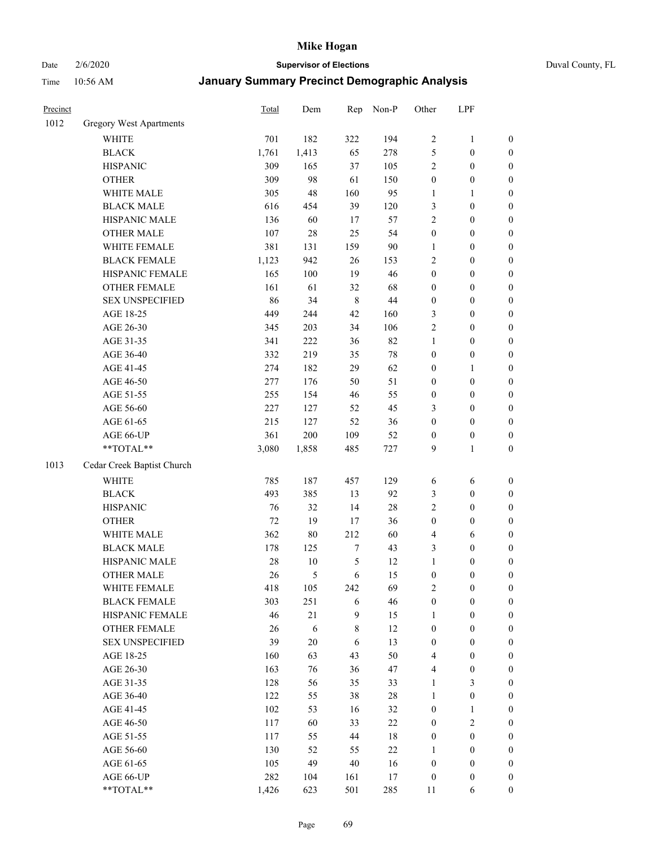# Date 2/6/2020 **Supervisor of Elections** Duval County, FL

| Precinct |                                | Total | Dem    | Rep              | Non-P  | Other            | LPF              |                  |
|----------|--------------------------------|-------|--------|------------------|--------|------------------|------------------|------------------|
| 1012     | <b>Gregory West Apartments</b> |       |        |                  |        |                  |                  |                  |
|          | <b>WHITE</b>                   | 701   | 182    | 322              | 194    | $\sqrt{2}$       | $\mathbf{1}$     | 0                |
|          | <b>BLACK</b>                   | 1,761 | 1,413  | 65               | 278    | $\sqrt{5}$       | $\boldsymbol{0}$ | 0                |
|          | <b>HISPANIC</b>                | 309   | 165    | 37               | 105    | $\overline{2}$   | $\boldsymbol{0}$ | $\boldsymbol{0}$ |
|          | <b>OTHER</b>                   | 309   | 98     | 61               | 150    | $\boldsymbol{0}$ | $\boldsymbol{0}$ | $\boldsymbol{0}$ |
|          | WHITE MALE                     | 305   | 48     | 160              | 95     | $\mathbf{1}$     | $\mathbf{1}$     | $\boldsymbol{0}$ |
|          | <b>BLACK MALE</b>              | 616   | 454    | 39               | 120    | 3                | $\boldsymbol{0}$ | $\boldsymbol{0}$ |
|          | HISPANIC MALE                  | 136   | 60     | 17               | 57     | $\overline{2}$   | $\boldsymbol{0}$ | $\boldsymbol{0}$ |
|          | <b>OTHER MALE</b>              | 107   | $28\,$ | 25               | 54     | $\boldsymbol{0}$ | $\boldsymbol{0}$ | $\boldsymbol{0}$ |
|          | WHITE FEMALE                   | 381   | 131    | 159              | $90\,$ | $\mathbf{1}$     | $\boldsymbol{0}$ | $\boldsymbol{0}$ |
|          | <b>BLACK FEMALE</b>            | 1,123 | 942    | $26\,$           | 153    | 2                | $\boldsymbol{0}$ | $\boldsymbol{0}$ |
|          | HISPANIC FEMALE                | 165   | 100    | 19               | 46     | $\boldsymbol{0}$ | $\boldsymbol{0}$ | $\boldsymbol{0}$ |
|          | <b>OTHER FEMALE</b>            | 161   | 61     | 32               | 68     | $\boldsymbol{0}$ | $\boldsymbol{0}$ | $\boldsymbol{0}$ |
|          | <b>SEX UNSPECIFIED</b>         | 86    | 34     | $\,$ 8 $\,$      | 44     | $\boldsymbol{0}$ | $\boldsymbol{0}$ | $\boldsymbol{0}$ |
|          | AGE 18-25                      | 449   | 244    | 42               | 160    | 3                | $\boldsymbol{0}$ | $\boldsymbol{0}$ |
|          | AGE 26-30                      | 345   | 203    | 34               | 106    | $\overline{c}$   | $\boldsymbol{0}$ | $\boldsymbol{0}$ |
|          | AGE 31-35                      | 341   | 222    | 36               | 82     | $\mathbf{1}$     | $\boldsymbol{0}$ | $\boldsymbol{0}$ |
|          | AGE 36-40                      | 332   | 219    | 35               | 78     | $\boldsymbol{0}$ | $\boldsymbol{0}$ | $\boldsymbol{0}$ |
|          | AGE 41-45                      | 274   | 182    | 29               | 62     | $\boldsymbol{0}$ | $\mathbf{1}$     | $\boldsymbol{0}$ |
|          | AGE 46-50                      | 277   | 176    | 50               | 51     | $\boldsymbol{0}$ | $\boldsymbol{0}$ | $\boldsymbol{0}$ |
|          | AGE 51-55                      | 255   | 154    | 46               | 55     | $\boldsymbol{0}$ | $\boldsymbol{0}$ | $\boldsymbol{0}$ |
|          | AGE 56-60                      | 227   | 127    | 52               | 45     | 3                | $\boldsymbol{0}$ | $\boldsymbol{0}$ |
|          | AGE 61-65                      | 215   | 127    | 52               | 36     | $\boldsymbol{0}$ | $\boldsymbol{0}$ | $\boldsymbol{0}$ |
|          | AGE 66-UP                      | 361   | 200    | 109              | 52     | $\boldsymbol{0}$ | $\boldsymbol{0}$ | $\boldsymbol{0}$ |
|          | **TOTAL**                      | 3,080 | 1,858  | 485              | 727    | 9                | $\mathbf{1}$     | $\boldsymbol{0}$ |
| 1013     | Cedar Creek Baptist Church     |       |        |                  |        |                  |                  |                  |
|          | <b>WHITE</b>                   | 785   | 187    | 457              | 129    | 6                | 6                | $\boldsymbol{0}$ |
|          | <b>BLACK</b>                   | 493   | 385    | 13               | 92     | 3                | $\boldsymbol{0}$ | $\boldsymbol{0}$ |
|          | <b>HISPANIC</b>                | 76    | 32     | 14               | 28     | $\overline{2}$   | $\boldsymbol{0}$ | $\boldsymbol{0}$ |
|          | <b>OTHER</b>                   | 72    | 19     | 17               | 36     | $\boldsymbol{0}$ | $\boldsymbol{0}$ | $\boldsymbol{0}$ |
|          | WHITE MALE                     | 362   | $80\,$ | 212              | 60     | 4                | 6                | $\boldsymbol{0}$ |
|          | <b>BLACK MALE</b>              | 178   | 125    | $\boldsymbol{7}$ | 43     | 3                | $\boldsymbol{0}$ | $\boldsymbol{0}$ |
|          | HISPANIC MALE                  | 28    | $10\,$ | 5                | 12     | $\mathbf{1}$     | $\boldsymbol{0}$ | $\boldsymbol{0}$ |
|          | <b>OTHER MALE</b>              | 26    | 5      | 6                | 15     | $\boldsymbol{0}$ | $\boldsymbol{0}$ | $\boldsymbol{0}$ |
|          | WHITE FEMALE                   | 418   | 105    | 242              | 69     | 2                | 0                | 0                |
|          | <b>BLACK FEMALE</b>            | 303   | 251    | 6                | 46     | $\boldsymbol{0}$ | $\boldsymbol{0}$ | $\overline{0}$   |
|          | HISPANIC FEMALE                | 46    | 21     | 9                | 15     | $\mathbf{1}$     | $\boldsymbol{0}$ | $\overline{0}$   |
|          | <b>OTHER FEMALE</b>            | 26    | 6      | 8                | 12     | $\boldsymbol{0}$ | $\boldsymbol{0}$ | $\overline{0}$   |
|          | <b>SEX UNSPECIFIED</b>         | 39    | $20\,$ | 6                | 13     | $\boldsymbol{0}$ | $\boldsymbol{0}$ | 0                |
|          | AGE 18-25                      | 160   | 63     | 43               | 50     | 4                | $\boldsymbol{0}$ | $\theta$         |
|          | AGE 26-30                      | 163   | 76     | 36               | $47\,$ | 4                | $\boldsymbol{0}$ | 0                |
|          | AGE 31-35                      | 128   | 56     | 35               | 33     | $\mathbf{1}$     | 3                | 0                |
|          | AGE 36-40                      | 122   | 55     | 38               | $28\,$ | $\mathbf{1}$     | $\boldsymbol{0}$ | 0                |
|          | AGE 41-45                      | 102   | 53     | 16               | 32     | $\boldsymbol{0}$ | $\mathbf{1}$     | 0                |
|          | AGE 46-50                      | 117   | 60     | 33               | 22     | $\boldsymbol{0}$ | $\sqrt{2}$       | 0                |
|          | AGE 51-55                      | 117   | 55     | 44               | $18\,$ | $\boldsymbol{0}$ | $\boldsymbol{0}$ | $\overline{0}$   |
|          | AGE 56-60                      | 130   | 52     | 55               | $22\,$ | 1                | $\boldsymbol{0}$ | $\overline{0}$   |
|          | AGE 61-65                      | 105   | 49     | $40\,$           | 16     | $\boldsymbol{0}$ | $\boldsymbol{0}$ | $\overline{0}$   |
|          | AGE 66-UP                      | 282   | 104    | 161              | 17     | $\boldsymbol{0}$ | $\boldsymbol{0}$ | $\boldsymbol{0}$ |
|          | **TOTAL**                      | 1,426 | 623    | 501              | 285    | 11               | 6                | $\boldsymbol{0}$ |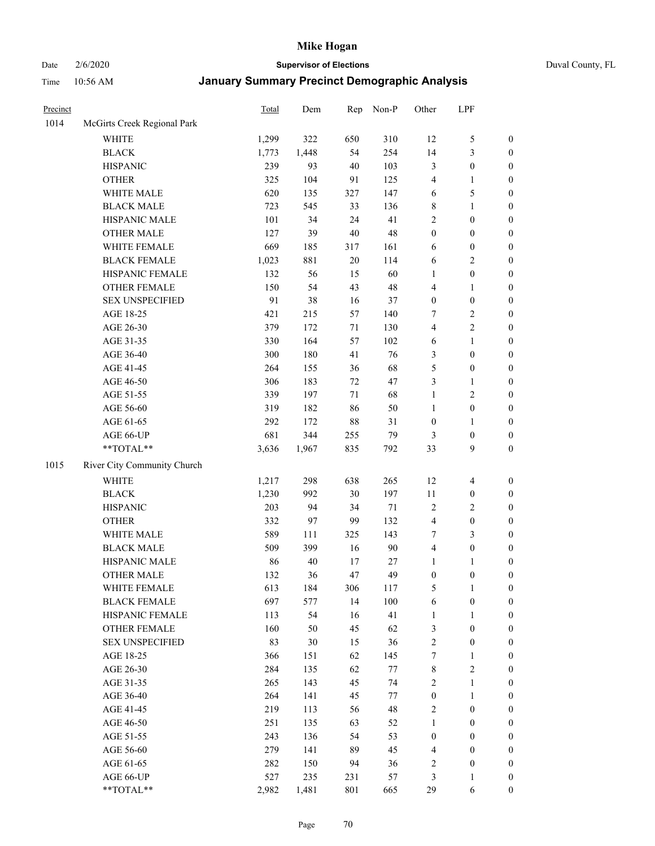Date 2/6/2020 **Supervisor of Elections** Duval County, FL

| Precinct |                             | Total | Dem   | Rep    | Non-P  | Other            | LPF                      |                  |
|----------|-----------------------------|-------|-------|--------|--------|------------------|--------------------------|------------------|
| 1014     | McGirts Creek Regional Park |       |       |        |        |                  |                          |                  |
|          | <b>WHITE</b>                | 1,299 | 322   | 650    | 310    | 12               | $\mathfrak s$            | 0                |
|          | <b>BLACK</b>                | 1,773 | 1,448 | 54     | 254    | 14               | $\mathfrak{Z}$           | $\boldsymbol{0}$ |
|          | <b>HISPANIC</b>             | 239   | 93    | 40     | 103    | 3                | $\boldsymbol{0}$         | $\boldsymbol{0}$ |
|          | <b>OTHER</b>                | 325   | 104   | 91     | 125    | 4                | 1                        | $\boldsymbol{0}$ |
|          | WHITE MALE                  | 620   | 135   | 327    | 147    | 6                | 5                        | $\boldsymbol{0}$ |
|          | <b>BLACK MALE</b>           | 723   | 545   | 33     | 136    | 8                | $\mathbf{1}$             | $\boldsymbol{0}$ |
|          | HISPANIC MALE               | 101   | 34    | 24     | 41     | $\overline{c}$   | $\boldsymbol{0}$         | $\boldsymbol{0}$ |
|          | <b>OTHER MALE</b>           | 127   | 39    | 40     | 48     | $\boldsymbol{0}$ | $\boldsymbol{0}$         | $\boldsymbol{0}$ |
|          | WHITE FEMALE                | 669   | 185   | 317    | 161    | 6                | $\boldsymbol{0}$         | $\boldsymbol{0}$ |
|          | <b>BLACK FEMALE</b>         | 1,023 | 881   | $20\,$ | 114    | 6                | $\sqrt{2}$               | $\boldsymbol{0}$ |
|          | HISPANIC FEMALE             | 132   | 56    | 15     | 60     | $\mathbf{1}$     | $\boldsymbol{0}$         | $\boldsymbol{0}$ |
|          | <b>OTHER FEMALE</b>         | 150   | 54    | 43     | 48     | 4                | $\mathbf{1}$             | $\boldsymbol{0}$ |
|          | <b>SEX UNSPECIFIED</b>      | 91    | 38    | 16     | 37     | $\boldsymbol{0}$ | $\boldsymbol{0}$         | $\boldsymbol{0}$ |
|          | AGE 18-25                   | 421   | 215   | 57     | 140    | 7                | $\sqrt{2}$               | $\boldsymbol{0}$ |
|          | AGE 26-30                   | 379   | 172   | 71     | 130    | 4                | $\sqrt{2}$               | $\boldsymbol{0}$ |
|          | AGE 31-35                   | 330   | 164   | 57     | 102    | 6                | $\mathbf{1}$             | $\boldsymbol{0}$ |
|          | AGE 36-40                   | 300   | 180   | 41     | 76     | 3                | $\boldsymbol{0}$         | $\boldsymbol{0}$ |
|          | AGE 41-45                   | 264   | 155   | 36     | 68     | 5                | $\boldsymbol{0}$         | $\boldsymbol{0}$ |
|          | AGE 46-50                   | 306   | 183   | 72     | 47     | 3                | $\mathbf{1}$             | $\boldsymbol{0}$ |
|          | AGE 51-55                   | 339   | 197   | 71     | 68     | 1                | $\sqrt{2}$               | $\boldsymbol{0}$ |
|          | AGE 56-60                   | 319   | 182   | 86     | 50     | $\mathbf{1}$     | $\boldsymbol{0}$         | $\boldsymbol{0}$ |
|          | AGE 61-65                   | 292   | 172   | $88\,$ | 31     | $\boldsymbol{0}$ | 1                        | $\boldsymbol{0}$ |
|          | AGE 66-UP                   | 681   | 344   | 255    | 79     | 3                | $\boldsymbol{0}$         | $\boldsymbol{0}$ |
|          | **TOTAL**                   | 3,636 | 1,967 | 835    | 792    | 33               | 9                        | $\boldsymbol{0}$ |
| 1015     | River City Community Church |       |       |        |        |                  |                          |                  |
|          | <b>WHITE</b>                | 1,217 | 298   | 638    | 265    | 12               | $\overline{\mathcal{A}}$ | $\boldsymbol{0}$ |
|          | <b>BLACK</b>                | 1,230 | 992   | 30     | 197    | 11               | $\boldsymbol{0}$         | $\boldsymbol{0}$ |
|          | <b>HISPANIC</b>             | 203   | 94    | 34     | $71\,$ | 2                | $\overline{2}$           | $\boldsymbol{0}$ |
|          | <b>OTHER</b>                | 332   | 97    | 99     | 132    | 4                | $\boldsymbol{0}$         | $\boldsymbol{0}$ |
|          | WHITE MALE                  | 589   | 111   | 325    | 143    | 7                | 3                        | $\boldsymbol{0}$ |
|          | <b>BLACK MALE</b>           | 509   | 399   | 16     | 90     | 4                | $\boldsymbol{0}$         | $\boldsymbol{0}$ |
|          | HISPANIC MALE               | 86    | 40    | 17     | 27     | 1                | 1                        | $\boldsymbol{0}$ |
|          | <b>OTHER MALE</b>           | 132   | 36    | 47     | 49     | $\boldsymbol{0}$ | $\boldsymbol{0}$         | $\boldsymbol{0}$ |
|          | WHITE FEMALE                | 613   | 184   | 306    | 117    | 5                | 1                        | 0                |
|          | <b>BLACK FEMALE</b>         | 697   | 577   | 14     | 100    | 6                | $\boldsymbol{0}$         | $\overline{0}$   |
|          | HISPANIC FEMALE             | 113   | 54    | 16     | 41     | 1                | $\mathbf{1}$             | $\overline{0}$   |
|          | OTHER FEMALE                | 160   | 50    | 45     | 62     | 3                | $\boldsymbol{0}$         | $\theta$         |
|          | <b>SEX UNSPECIFIED</b>      | 83    | 30    | 15     | 36     | $\mathbf{2}$     | $\boldsymbol{0}$         | 0                |
|          | AGE 18-25                   | 366   | 151   | 62     | 145    | 7                | $\mathbf{1}$             | 0                |
|          | AGE 26-30                   | 284   | 135   | 62     | 77     | 8                | $\overline{2}$           | 0                |
|          | AGE 31-35                   | 265   | 143   | 45     | 74     | $\overline{c}$   | $\mathbf{1}$             | 0                |
|          | AGE 36-40                   | 264   | 141   | 45     | 77     | $\boldsymbol{0}$ | $\mathbf{1}$             | 0                |
|          | AGE 41-45                   | 219   | 113   | 56     | 48     | 2                | $\boldsymbol{0}$         | 0                |
|          | AGE 46-50                   | 251   | 135   | 63     | 52     | 1                | $\boldsymbol{0}$         | 0                |
|          | AGE 51-55                   | 243   | 136   | 54     | 53     | $\boldsymbol{0}$ | $\boldsymbol{0}$         | 0                |
|          | AGE 56-60                   | 279   | 141   | 89     | 45     | 4                | $\boldsymbol{0}$         | $\overline{0}$   |
|          | AGE 61-65                   | 282   | 150   | 94     | 36     | 2                | $\boldsymbol{0}$         | $\overline{0}$   |
|          | AGE 66-UP                   | 527   | 235   | 231    | 57     | 3                | $\mathbf{1}$             | 0                |
|          | **TOTAL**                   | 2,982 | 1,481 | 801    | 665    | 29               | 6                        | $\boldsymbol{0}$ |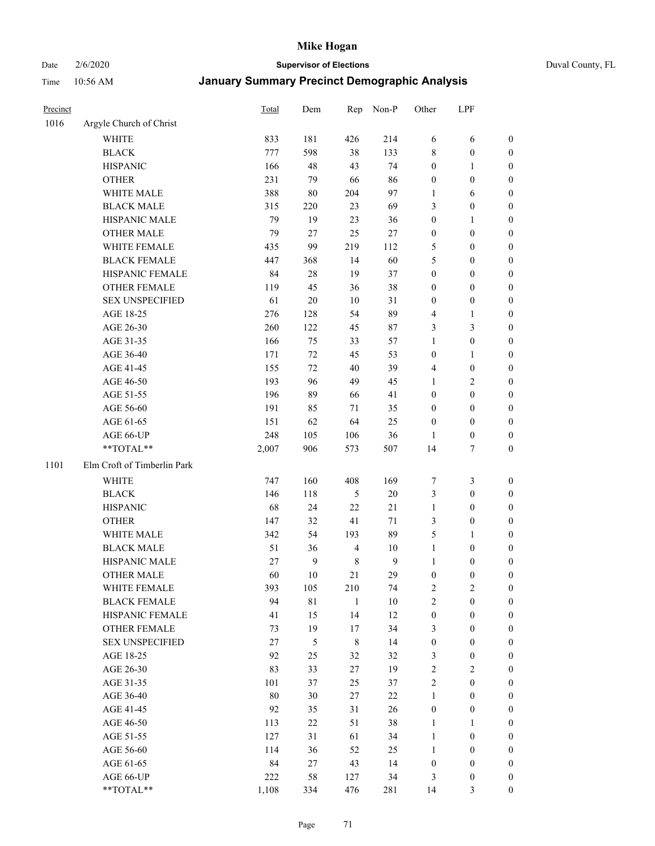# Date 2/6/2020 **Supervisor of Elections** Duval County, FL

| Precinct |                             | Total  | Dem          | Rep            | Non-P        | Other            | LPF              |                  |
|----------|-----------------------------|--------|--------------|----------------|--------------|------------------|------------------|------------------|
| 1016     | Argyle Church of Christ     |        |              |                |              |                  |                  |                  |
|          | <b>WHITE</b>                | 833    | 181          | 426            | 214          | 6                | 6                | 0                |
|          | <b>BLACK</b>                | 777    | 598          | 38             | 133          | 8                | $\boldsymbol{0}$ | 0                |
|          | <b>HISPANIC</b>             | 166    | 48           | 43             | 74           | $\boldsymbol{0}$ | $\mathbf{1}$     | $\boldsymbol{0}$ |
|          | <b>OTHER</b>                | 231    | 79           | 66             | 86           | $\boldsymbol{0}$ | $\boldsymbol{0}$ | $\boldsymbol{0}$ |
|          | WHITE MALE                  | 388    | $80\,$       | 204            | 97           | 1                | 6                | $\boldsymbol{0}$ |
|          | <b>BLACK MALE</b>           | 315    | 220          | 23             | 69           | 3                | $\boldsymbol{0}$ | $\boldsymbol{0}$ |
|          | HISPANIC MALE               | 79     | 19           | 23             | 36           | $\boldsymbol{0}$ | $\mathbf{1}$     | $\boldsymbol{0}$ |
|          | <b>OTHER MALE</b>           | 79     | 27           | 25             | $27\,$       | $\boldsymbol{0}$ | $\boldsymbol{0}$ | $\boldsymbol{0}$ |
|          | WHITE FEMALE                | 435    | 99           | 219            | 112          | 5                | $\boldsymbol{0}$ | $\boldsymbol{0}$ |
|          | <b>BLACK FEMALE</b>         | 447    | 368          | 14             | 60           | 5                | $\boldsymbol{0}$ | $\boldsymbol{0}$ |
|          | HISPANIC FEMALE             | 84     | $28\,$       | 19             | 37           | $\boldsymbol{0}$ | $\boldsymbol{0}$ | $\boldsymbol{0}$ |
|          | <b>OTHER FEMALE</b>         | 119    | 45           | 36             | 38           | 0                | $\boldsymbol{0}$ | $\boldsymbol{0}$ |
|          | <b>SEX UNSPECIFIED</b>      | 61     | $20\,$       | 10             | 31           | $\boldsymbol{0}$ | $\boldsymbol{0}$ | $\boldsymbol{0}$ |
|          | AGE 18-25                   | 276    | 128          | 54             | 89           | 4                | 1                | $\boldsymbol{0}$ |
|          | AGE 26-30                   | 260    | 122          | 45             | $87\,$       | 3                | $\mathfrak{Z}$   | $\boldsymbol{0}$ |
|          | AGE 31-35                   | 166    | 75           | 33             | 57           | $\mathbf{1}$     | $\boldsymbol{0}$ | $\boldsymbol{0}$ |
|          | AGE 36-40                   | 171    | 72           | 45             | 53           | $\boldsymbol{0}$ | $\mathbf{1}$     | $\boldsymbol{0}$ |
|          | AGE 41-45                   | 155    | 72           | 40             | 39           | 4                | $\boldsymbol{0}$ | $\boldsymbol{0}$ |
|          | AGE 46-50                   | 193    | 96           | 49             | 45           | $\mathbf{1}$     | $\overline{2}$   | $\boldsymbol{0}$ |
|          | AGE 51-55                   | 196    | 89           | 66             | 41           | $\boldsymbol{0}$ | $\boldsymbol{0}$ | $\boldsymbol{0}$ |
|          | AGE 56-60                   | 191    | 85           | 71             | 35           | $\boldsymbol{0}$ | $\boldsymbol{0}$ | 0                |
|          | AGE 61-65                   | 151    | 62           | 64             | 25           | $\boldsymbol{0}$ | $\boldsymbol{0}$ | 0                |
|          | AGE 66-UP                   | 248    | 105          | 106            | 36           | 1                | $\boldsymbol{0}$ | $\boldsymbol{0}$ |
|          | **TOTAL**                   | 2,007  | 906          | 573            | 507          | 14               | $\tau$           | $\boldsymbol{0}$ |
| 1101     | Elm Croft of Timberlin Park |        |              |                |              |                  |                  |                  |
|          | <b>WHITE</b>                | 747    | 160          | 408            | 169          | 7                | $\mathfrak{Z}$   | $\boldsymbol{0}$ |
|          | <b>BLACK</b>                | 146    | 118          | $\sqrt{5}$     | $20\,$       | 3                | $\boldsymbol{0}$ | $\boldsymbol{0}$ |
|          | <b>HISPANIC</b>             | 68     | 24           | 22             | 21           | $\mathbf{1}$     | $\boldsymbol{0}$ | $\boldsymbol{0}$ |
|          | <b>OTHER</b>                | 147    | 32           | 41             | 71           | 3                | $\boldsymbol{0}$ | $\boldsymbol{0}$ |
|          | WHITE MALE                  | 342    | 54           | 193            | 89           | 5                | $\mathbf{1}$     | $\boldsymbol{0}$ |
|          | <b>BLACK MALE</b>           | 51     | 36           | $\overline{4}$ | 10           | $\mathbf{1}$     | $\boldsymbol{0}$ | $\boldsymbol{0}$ |
|          | HISPANIC MALE               | 27     | $\mathbf{9}$ | $\,$ 8 $\,$    | $\mathbf{9}$ | $\mathbf{1}$     | $\boldsymbol{0}$ | 0                |
|          | <b>OTHER MALE</b>           | 60     | 10           | 21             | 29           | $\boldsymbol{0}$ | $\boldsymbol{0}$ | $\boldsymbol{0}$ |
|          | WHITE FEMALE                | 393    | 105          | 210            | 74           | 2                | $\overline{c}$   | 0                |
|          | <b>BLACK FEMALE</b>         | 94     | $8\sqrt{1}$  | $\mathbf{1}$   | $10\,$       | $\overline{c}$   | $\boldsymbol{0}$ | $\overline{0}$   |
|          | HISPANIC FEMALE             | 41     | 15           | 14             | 12           | $\boldsymbol{0}$ | $\boldsymbol{0}$ | $\overline{0}$   |
|          | <b>OTHER FEMALE</b>         | 73     | 19           | 17             | 34           | 3                | $\boldsymbol{0}$ | $\overline{0}$   |
|          | <b>SEX UNSPECIFIED</b>      | 27     | 5            | $\,$ $\,$      | 14           | $\boldsymbol{0}$ | $\boldsymbol{0}$ | 0                |
|          | AGE 18-25                   | 92     | 25           | 32             | 32           | 3                | $\boldsymbol{0}$ | 0                |
|          | AGE 26-30                   | 83     | 33           | 27             | 19           | $\overline{c}$   | $\overline{2}$   | 0                |
|          | AGE 31-35                   | 101    | 37           | 25             | 37           | $\overline{c}$   | $\boldsymbol{0}$ | 0                |
|          | AGE 36-40                   | $80\,$ | 30           | 27             | $22\,$       | $\mathbf{1}$     | $\boldsymbol{0}$ | 0                |
|          | AGE 41-45                   | 92     | 35           | 31             | 26           | $\boldsymbol{0}$ | $\boldsymbol{0}$ | 0                |
|          | AGE 46-50                   | 113    | 22           | 51             | 38           | $\mathbf{1}$     | 1                | 0                |
|          | AGE 51-55                   | 127    | 31           | 61             | 34           | $\mathbf{1}$     | $\boldsymbol{0}$ | 0                |
|          | AGE 56-60                   | 114    | 36           | 52             | 25           | $\mathbf{1}$     | $\boldsymbol{0}$ | 0                |
|          | AGE 61-65                   | 84     | $27\,$       | 43             | 14           | $\boldsymbol{0}$ | $\boldsymbol{0}$ | 0                |
|          | AGE 66-UP                   | 222    | 58           | 127            | 34           | 3                | $\boldsymbol{0}$ | 0                |
|          | **TOTAL**                   | 1,108  | 334          | 476            | 281          | 14               | $\mathfrak{Z}$   | $\boldsymbol{0}$ |
|          |                             |        |              |                |              |                  |                  |                  |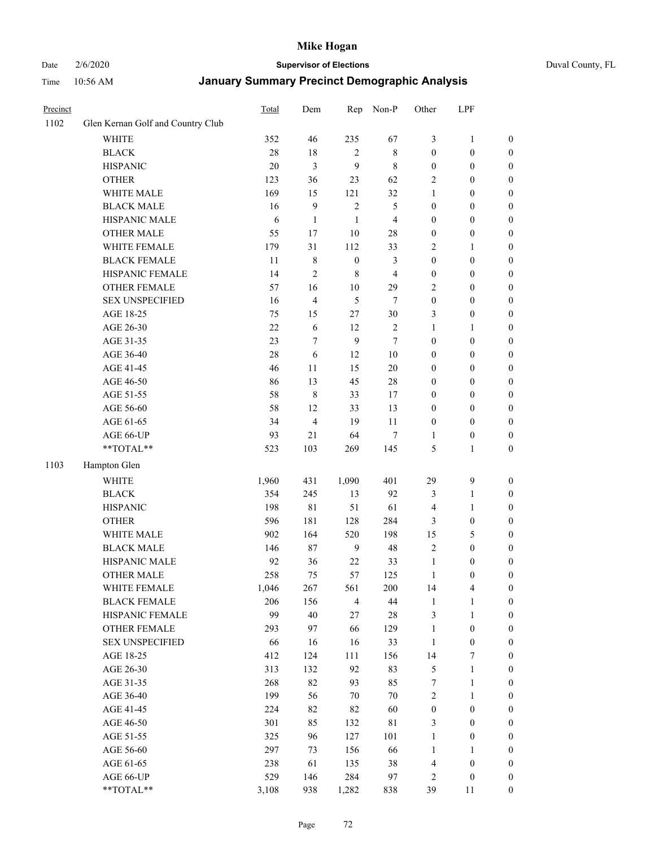# Date 2/6/2020 **Supervisor of Elections** Duval County, FL

| Precinct |                                   | Total      | Dem            | Rep              | Non-P          | Other                 | LPF                              |                  |
|----------|-----------------------------------|------------|----------------|------------------|----------------|-----------------------|----------------------------------|------------------|
| 1102     | Glen Kernan Golf and Country Club |            |                |                  |                |                       |                                  |                  |
|          | <b>WHITE</b>                      | 352        | 46             | 235              | 67             | 3                     | $\mathbf{1}$                     | 0                |
|          | <b>BLACK</b>                      | $28\,$     | $18\,$         | $\overline{c}$   | $\,$ 8 $\,$    | $\boldsymbol{0}$      | $\boldsymbol{0}$                 | 0                |
|          | <b>HISPANIC</b>                   | 20         | $\mathfrak{Z}$ | 9                | $\,$ 8 $\,$    | $\boldsymbol{0}$      | $\boldsymbol{0}$                 | $\boldsymbol{0}$ |
|          | <b>OTHER</b>                      | 123        | 36             | 23               | 62             | 2                     | $\boldsymbol{0}$                 | $\boldsymbol{0}$ |
|          | WHITE MALE                        | 169        | 15             | 121              | 32             | 1                     | $\boldsymbol{0}$                 | $\boldsymbol{0}$ |
|          | <b>BLACK MALE</b>                 | 16         | $\mathbf{9}$   | $\sqrt{2}$       | 5              | $\boldsymbol{0}$      | $\boldsymbol{0}$                 | $\boldsymbol{0}$ |
|          | HISPANIC MALE                     | 6          | $\mathbf{1}$   | $\mathbf{1}$     | $\overline{4}$ | 0                     | $\boldsymbol{0}$                 | $\boldsymbol{0}$ |
|          | <b>OTHER MALE</b>                 | 55         | 17             | $10\,$           | 28             | $\boldsymbol{0}$      | $\boldsymbol{0}$                 | $\boldsymbol{0}$ |
|          | WHITE FEMALE                      | 179        | 31             | 112              | 33             | $\overline{c}$        | $\mathbf{1}$                     | $\boldsymbol{0}$ |
|          | <b>BLACK FEMALE</b>               | 11         | $\,$ 8 $\,$    | $\boldsymbol{0}$ | 3              | $\boldsymbol{0}$      | $\boldsymbol{0}$                 | $\boldsymbol{0}$ |
|          | HISPANIC FEMALE                   | 14         | $\overline{2}$ | 8                | $\overline{4}$ | $\boldsymbol{0}$      | $\boldsymbol{0}$                 | $\boldsymbol{0}$ |
|          | <b>OTHER FEMALE</b>               | 57         | 16             | $10\,$           | 29             | $\overline{c}$        | $\boldsymbol{0}$                 | $\boldsymbol{0}$ |
|          | <b>SEX UNSPECIFIED</b>            | 16         | $\overline{4}$ | 5                | $\tau$         | $\boldsymbol{0}$      | $\boldsymbol{0}$                 | $\boldsymbol{0}$ |
|          | AGE 18-25                         | 75         | 15             | 27               | 30             | 3                     | $\boldsymbol{0}$                 | $\boldsymbol{0}$ |
|          | AGE 26-30                         | $22\,$     | 6              | 12               | $\sqrt{2}$     | 1                     | $\mathbf{1}$                     | $\boldsymbol{0}$ |
|          | AGE 31-35                         | 23         | $\tau$         | 9                | $\tau$         | $\boldsymbol{0}$      | $\boldsymbol{0}$                 | $\boldsymbol{0}$ |
|          | AGE 36-40                         | 28         | 6              | 12               | 10             | $\boldsymbol{0}$      | $\boldsymbol{0}$                 | $\boldsymbol{0}$ |
|          | AGE 41-45                         | 46         | 11             | 15               | $20\,$         | $\boldsymbol{0}$      | $\boldsymbol{0}$                 | $\boldsymbol{0}$ |
|          | AGE 46-50                         | 86         | 13             | 45               | $28\,$         | $\boldsymbol{0}$      | $\boldsymbol{0}$                 | $\boldsymbol{0}$ |
|          | AGE 51-55                         | 58         | $\,$ 8 $\,$    | 33               | 17             | $\boldsymbol{0}$      | $\boldsymbol{0}$                 | $\boldsymbol{0}$ |
|          | AGE 56-60                         | 58         | 12             | 33               | 13             | $\boldsymbol{0}$      | $\boldsymbol{0}$                 | $\boldsymbol{0}$ |
|          | AGE 61-65                         | 34         | $\overline{4}$ | 19               | 11             | $\boldsymbol{0}$      | $\boldsymbol{0}$                 | $\boldsymbol{0}$ |
|          | AGE 66-UP                         | 93         | 21             | 64               | $\tau$         | 1                     | $\boldsymbol{0}$                 | $\boldsymbol{0}$ |
|          | **TOTAL**                         | 523        | 103            | 269              | 145            | 5                     | $\mathbf{1}$                     | $\boldsymbol{0}$ |
| 1103     | Hampton Glen                      |            |                |                  |                |                       |                                  |                  |
|          | <b>WHITE</b>                      | 1,960      | 431            | 1,090            | 401            | 29                    | $\boldsymbol{9}$                 |                  |
|          | <b>BLACK</b>                      | 354        | 245            | 13               | 92             | 3                     |                                  | $\boldsymbol{0}$ |
|          | <b>HISPANIC</b>                   | 198        | 81             | 51               | 61             |                       | $\mathbf{1}$<br>$\mathbf{1}$     | $\boldsymbol{0}$ |
|          |                                   |            |                |                  |                | 4                     |                                  | $\boldsymbol{0}$ |
|          | <b>OTHER</b>                      | 596        | 181            | 128              | 284            | 3                     | $\boldsymbol{0}$                 | $\boldsymbol{0}$ |
|          | WHITE MALE<br><b>BLACK MALE</b>   | 902        | 164<br>87      | 520              | 198<br>48      | 15<br>$\overline{c}$  | 5<br>$\boldsymbol{0}$            | $\boldsymbol{0}$ |
|          |                                   | 146        |                | $\boldsymbol{9}$ |                |                       |                                  | $\boldsymbol{0}$ |
|          | HISPANIC MALE                     | 92         | 36             | $22\,$           | 33             | $\mathbf{1}$          | $\boldsymbol{0}$                 | $\boldsymbol{0}$ |
|          | <b>OTHER MALE</b>                 | 258        | 75             | 57               | 125            | 1                     | $\boldsymbol{0}$                 | $\boldsymbol{0}$ |
|          | WHITE FEMALE                      | 1,046      | 267            | 561              | 200            | 14                    | 4                                | 0                |
|          | <b>BLACK FEMALE</b>               | 206<br>99  | 156            | $\overline{4}$   | 44             | $\mathbf{1}$          | $\mathbf{1}$                     | $\boldsymbol{0}$ |
|          | HISPANIC FEMALE                   |            | $40\,$         | 27               | 28             | 3                     | $\mathbf{1}$                     | $\overline{0}$   |
|          | OTHER FEMALE                      | 293        | 97             | 66               | 129            | 1                     | $\boldsymbol{0}$                 | $\overline{0}$   |
|          | <b>SEX UNSPECIFIED</b>            | 66         | 16             | 16               | 33             | $\mathbf{1}$          | $\boldsymbol{0}$                 | 0<br>$\theta$    |
|          | AGE 18-25                         | 412        | 124            | 111              | 156            | 14                    | 7                                |                  |
|          | AGE 26-30<br>AGE 31-35            | 313<br>268 | 132<br>82      | 92<br>93         | 83<br>85       | 5<br>7                | $\mathbf{1}$                     | 0                |
|          |                                   |            |                |                  |                |                       | $\mathbf{1}$                     | 0                |
|          | AGE 36-40                         | 199<br>224 | 56<br>82       | $70\,$<br>82     | $70\,$<br>60   | 2<br>$\boldsymbol{0}$ | $\mathbf{1}$<br>$\boldsymbol{0}$ | 0                |
|          | AGE 41-45                         |            |                |                  |                |                       |                                  | 0                |
|          | AGE 46-50                         | 301        | 85             | 132              | $8\sqrt{1}$    | 3                     | $\boldsymbol{0}$                 | 0                |
|          | AGE 51-55                         | 325        | 96             | 127              | 101            | $\mathbf{1}$          | $\boldsymbol{0}$                 | $\boldsymbol{0}$ |
|          | AGE 56-60                         | 297        | 73             | 156              | 66             | 1                     | 1                                | $\boldsymbol{0}$ |
|          | AGE 61-65                         | 238        | 61             | 135              | 38             | 4                     | $\boldsymbol{0}$                 | $\overline{0}$   |
|          | AGE 66-UP                         | 529        | 146            | 284              | 97             | 2                     | $\boldsymbol{0}$                 | 0                |
|          | **TOTAL**                         | 3,108      | 938            | 1,282            | 838            | 39                    | 11                               | $\boldsymbol{0}$ |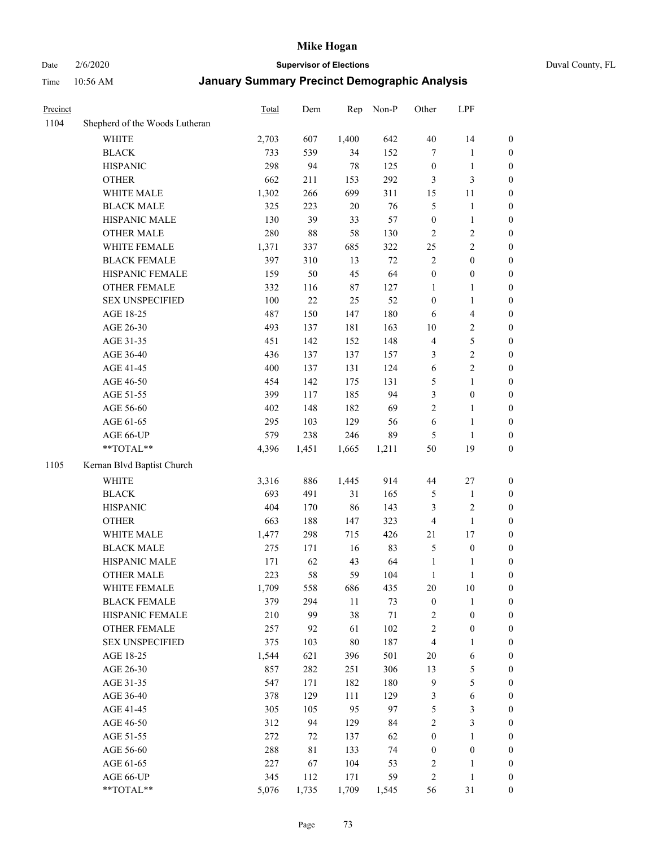Date 2/6/2020 **Supervisor of Elections** Duval County, FL

| Precinct |                                | Total | Dem   | Rep    | Non-P  | Other                   | LPF                     |                  |
|----------|--------------------------------|-------|-------|--------|--------|-------------------------|-------------------------|------------------|
| 1104     | Shepherd of the Woods Lutheran |       |       |        |        |                         |                         |                  |
|          | <b>WHITE</b>                   | 2,703 | 607   | 1,400  | 642    | 40                      | 14                      | 0                |
|          | <b>BLACK</b>                   | 733   | 539   | 34     | 152    | $\tau$                  | $\mathbf{1}$            | 0                |
|          | <b>HISPANIC</b>                | 298   | 94    | 78     | 125    | $\boldsymbol{0}$        | $\mathbf{1}$            | $\boldsymbol{0}$ |
|          | <b>OTHER</b>                   | 662   | 211   | 153    | 292    | 3                       | $\mathfrak{Z}$          | $\boldsymbol{0}$ |
|          | WHITE MALE                     | 1,302 | 266   | 699    | 311    | 15                      | 11                      | $\boldsymbol{0}$ |
|          | <b>BLACK MALE</b>              | 325   | 223   | 20     | 76     | 5                       | $\mathbf{1}$            | $\boldsymbol{0}$ |
|          | HISPANIC MALE                  | 130   | 39    | 33     | 57     | $\boldsymbol{0}$        | $\mathbf{1}$            | $\boldsymbol{0}$ |
|          | <b>OTHER MALE</b>              | 280   | 88    | 58     | 130    | $\overline{c}$          | $\sqrt{2}$              | $\boldsymbol{0}$ |
|          | WHITE FEMALE                   | 1,371 | 337   | 685    | 322    | 25                      | $\sqrt{2}$              | $\boldsymbol{0}$ |
|          | <b>BLACK FEMALE</b>            | 397   | 310   | 13     | $72\,$ | $\mathbf{2}$            | $\boldsymbol{0}$        | $\boldsymbol{0}$ |
|          | HISPANIC FEMALE                | 159   | 50    | 45     | 64     | $\boldsymbol{0}$        | $\boldsymbol{0}$        | $\boldsymbol{0}$ |
|          | OTHER FEMALE                   | 332   | 116   | 87     | 127    | 1                       | $\mathbf{1}$            | $\boldsymbol{0}$ |
|          | <b>SEX UNSPECIFIED</b>         | 100   | 22    | 25     | 52     | $\boldsymbol{0}$        | $\mathbf{1}$            | $\boldsymbol{0}$ |
|          | AGE 18-25                      | 487   | 150   | 147    | 180    | 6                       | $\overline{\mathbf{4}}$ | $\boldsymbol{0}$ |
|          | AGE 26-30                      | 493   | 137   | 181    | 163    | $10\,$                  | $\sqrt{2}$              | $\boldsymbol{0}$ |
|          | AGE 31-35                      | 451   | 142   | 152    | 148    | 4                       | $\sqrt{5}$              | $\boldsymbol{0}$ |
|          | AGE 36-40                      | 436   | 137   | 137    | 157    | 3                       | $\sqrt{2}$              | $\boldsymbol{0}$ |
|          | AGE 41-45                      | 400   | 137   | 131    | 124    | 6                       | $\sqrt{2}$              | $\boldsymbol{0}$ |
|          | AGE 46-50                      | 454   | 142   | 175    | 131    | 5                       | $\mathbf{1}$            | $\boldsymbol{0}$ |
|          | AGE 51-55                      | 399   | 117   | 185    | 94     | 3                       | $\boldsymbol{0}$        | $\boldsymbol{0}$ |
|          | AGE 56-60                      | 402   | 148   | 182    | 69     | $\overline{2}$          | 1                       | 0                |
|          | AGE 61-65                      | 295   | 103   | 129    | 56     | 6                       | $\mathbf{1}$            | $\boldsymbol{0}$ |
|          | AGE 66-UP                      | 579   | 238   | 246    | 89     | 5                       | $\mathbf{1}$            | $\boldsymbol{0}$ |
|          | **TOTAL**                      | 4,396 | 1,451 | 1,665  | 1,211  | 50                      | 19                      | $\boldsymbol{0}$ |
| 1105     | Kernan Blvd Baptist Church     |       |       |        |        |                         |                         |                  |
|          | <b>WHITE</b>                   | 3,316 | 886   | 1,445  | 914    | 44                      | $27\,$                  | $\boldsymbol{0}$ |
|          | <b>BLACK</b>                   | 693   | 491   | 31     | 165    | 5                       | $\mathbf{1}$            | $\boldsymbol{0}$ |
|          | <b>HISPANIC</b>                | 404   | 170   | 86     | 143    | 3                       | $\sqrt{2}$              | $\boldsymbol{0}$ |
|          | <b>OTHER</b>                   | 663   | 188   | 147    | 323    | 4                       | $\mathbf{1}$            | $\boldsymbol{0}$ |
|          | WHITE MALE                     | 1,477 | 298   | 715    | 426    | 21                      | 17                      | $\boldsymbol{0}$ |
|          | <b>BLACK MALE</b>              | 275   | 171   | 16     | 83     | 5                       | $\boldsymbol{0}$        | $\boldsymbol{0}$ |
|          | HISPANIC MALE                  | 171   | 62    | 43     | 64     | 1                       | 1                       | 0                |
|          | <b>OTHER MALE</b>              | 223   | 58    | 59     | 104    | 1                       | $\mathbf{1}$            | $\boldsymbol{0}$ |
|          | WHITE FEMALE                   | 1,709 | 558   | 686    | 435    | 20                      | 10                      | 0                |
|          | <b>BLACK FEMALE</b>            | 379   | 294   | $11\,$ | 73     | $\boldsymbol{0}$        | $\mathbf{1}$            | $\boldsymbol{0}$ |
|          | HISPANIC FEMALE                | 210   | 99    | 38     | $71\,$ | $\overline{\mathbf{c}}$ | $\boldsymbol{0}$        | $\overline{0}$   |
|          | <b>OTHER FEMALE</b>            | 257   | 92    | 61     | 102    | $\overline{\mathbf{c}}$ | $\boldsymbol{0}$        | $\overline{0}$   |
|          | <b>SEX UNSPECIFIED</b>         | 375   | 103   | $80\,$ | 187    | 4                       | $\mathbf{1}$            | 0                |
|          | AGE 18-25                      | 1,544 | 621   | 396    | 501    | $20\,$                  | 6                       | 0                |
|          | AGE 26-30                      | 857   | 282   | 251    | 306    | 13                      | 5                       | 0                |
|          | AGE 31-35                      | 547   | 171   | 182    | 180    | 9                       | 5                       | 0                |
|          | AGE 36-40                      | 378   | 129   | 111    | 129    | 3                       | 6                       | 0                |
|          | AGE 41-45                      | 305   | 105   | 95     | 97     | 5                       | $\mathfrak{Z}$          | 0                |
|          | AGE 46-50                      | 312   | 94    | 129    | 84     | $\mathbf{2}$            | $\mathfrak{Z}$          | 0                |
|          | AGE 51-55                      | 272   | 72    | 137    | 62     | $\boldsymbol{0}$        | $\mathbf{1}$            | 0                |
|          | AGE 56-60                      | 288   | 81    | 133    | 74     | 0                       | $\boldsymbol{0}$        | $\boldsymbol{0}$ |
|          | AGE 61-65                      | 227   | 67    | 104    | 53     | $\overline{\mathbf{c}}$ | 1                       | $\boldsymbol{0}$ |
|          | AGE 66-UP                      | 345   | 112   | 171    | 59     | 2                       | $\mathbf{1}$            | 0                |
|          | **TOTAL**                      | 5,076 | 1,735 | 1,709  | 1,545  | 56                      | 31                      | $\boldsymbol{0}$ |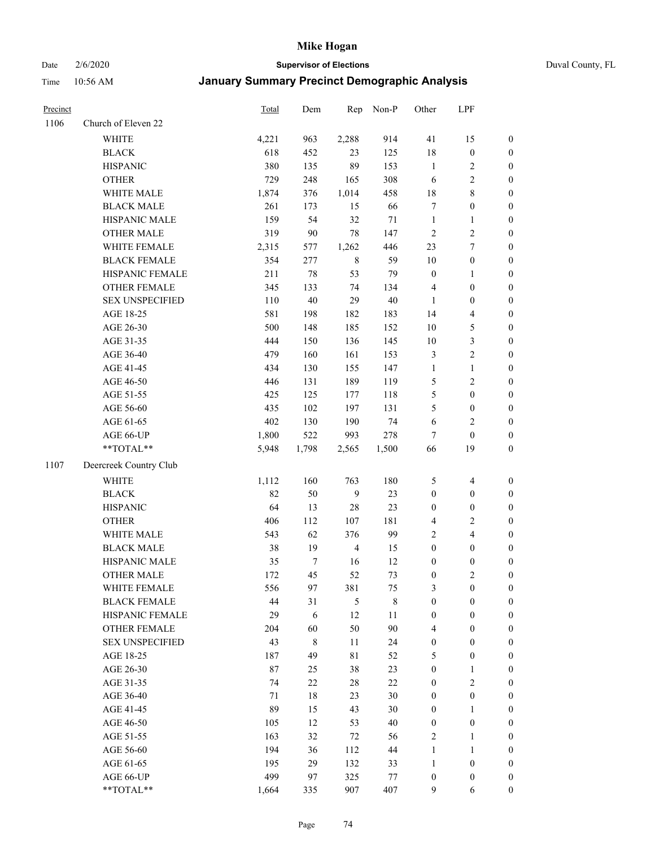#### Date 2/6/2020 **Supervisor of Elections** Duval County, FL

| Precinct |                        | Total | Dem              | Rep            | Non-P       | Other            | LPF                      |                  |
|----------|------------------------|-------|------------------|----------------|-------------|------------------|--------------------------|------------------|
| 1106     | Church of Eleven 22    |       |                  |                |             |                  |                          |                  |
|          | <b>WHITE</b>           | 4,221 | 963              | 2,288          | 914         | 41               | 15                       | 0                |
|          | <b>BLACK</b>           | 618   | 452              | 23             | 125         | 18               | $\boldsymbol{0}$         | $\boldsymbol{0}$ |
|          | <b>HISPANIC</b>        | 380   | 135              | 89             | 153         | $\mathbf{1}$     | $\overline{c}$           | $\boldsymbol{0}$ |
|          | <b>OTHER</b>           | 729   | 248              | 165            | 308         | 6                | $\sqrt{2}$               | $\boldsymbol{0}$ |
|          | WHITE MALE             | 1,874 | 376              | 1,014          | 458         | 18               | $\,$ 8 $\,$              | $\boldsymbol{0}$ |
|          | <b>BLACK MALE</b>      | 261   | 173              | 15             | 66          | 7                | $\boldsymbol{0}$         | $\boldsymbol{0}$ |
|          | HISPANIC MALE          | 159   | 54               | 32             | $71\,$      | $\mathbf{1}$     | $\mathbf{1}$             | $\boldsymbol{0}$ |
|          | <b>OTHER MALE</b>      | 319   | 90               | 78             | 147         | $\overline{c}$   | $\overline{c}$           | $\boldsymbol{0}$ |
|          | WHITE FEMALE           | 2,315 | 577              | 1,262          | 446         | 23               | $\boldsymbol{7}$         | $\boldsymbol{0}$ |
|          | <b>BLACK FEMALE</b>    | 354   | 277              | $\,$ 8 $\,$    | 59          | $10\,$           | $\boldsymbol{0}$         | 0                |
|          | HISPANIC FEMALE        | 211   | 78               | 53             | 79          | $\boldsymbol{0}$ | 1                        | 0                |
|          | OTHER FEMALE           | 345   | 133              | 74             | 134         | 4                | $\boldsymbol{0}$         | $\boldsymbol{0}$ |
|          | <b>SEX UNSPECIFIED</b> | 110   | $40\,$           | 29             | $40\,$      | $\mathbf{1}$     | $\boldsymbol{0}$         | $\boldsymbol{0}$ |
|          | AGE 18-25              | 581   | 198              | 182            | 183         | 14               | $\overline{\mathbf{4}}$  | $\boldsymbol{0}$ |
|          | AGE 26-30              | 500   | 148              | 185            | 152         | 10               | $\mathfrak s$            | $\boldsymbol{0}$ |
|          | AGE 31-35              | 444   | 150              | 136            | 145         | $10\,$           | $\sqrt{3}$               | $\boldsymbol{0}$ |
|          | AGE 36-40              | 479   | 160              | 161            | 153         | 3                | $\sqrt{2}$               | $\boldsymbol{0}$ |
|          | AGE 41-45              | 434   | 130              | 155            | 147         | $\mathbf{1}$     | $\mathbf{1}$             | $\boldsymbol{0}$ |
|          | AGE 46-50              | 446   | 131              | 189            | 119         | 5                | $\sqrt{2}$               | $\boldsymbol{0}$ |
|          | AGE 51-55              | 425   | 125              | 177            | 118         | 5                | $\boldsymbol{0}$         | $\boldsymbol{0}$ |
|          | AGE 56-60              | 435   | 102              | 197            | 131         | 5                | $\boldsymbol{0}$         | 0                |
|          | AGE 61-65              | 402   | 130              | 190            | 74          | 6                | $\sqrt{2}$               | $\boldsymbol{0}$ |
|          | AGE 66-UP              | 1,800 | 522              | 993            | 278         | $\tau$           | $\boldsymbol{0}$         | $\boldsymbol{0}$ |
|          | **TOTAL**              | 5,948 | 1,798            | 2,565          | 1,500       | 66               | 19                       | $\boldsymbol{0}$ |
| 1107     | Deercreek Country Club |       |                  |                |             |                  |                          |                  |
|          | <b>WHITE</b>           | 1,112 | 160              | 763            | 180         | 5                | $\overline{\mathcal{A}}$ | $\boldsymbol{0}$ |
|          | <b>BLACK</b>           | 82    | 50               | $\overline{9}$ | 23          | $\boldsymbol{0}$ | $\boldsymbol{0}$         | $\boldsymbol{0}$ |
|          | <b>HISPANIC</b>        | 64    | 13               | 28             | 23          | $\boldsymbol{0}$ | $\boldsymbol{0}$         | $\boldsymbol{0}$ |
|          | <b>OTHER</b>           | 406   | 112              | 107            | 181         | 4                | $\sqrt{2}$               | $\boldsymbol{0}$ |
|          | WHITE MALE             | 543   | 62               | 376            | 99          | $\overline{c}$   | $\overline{4}$           | $\boldsymbol{0}$ |
|          | <b>BLACK MALE</b>      | 38    | 19               | $\overline{4}$ | 15          | $\boldsymbol{0}$ | $\boldsymbol{0}$         | $\boldsymbol{0}$ |
|          | HISPANIC MALE          | 35    | $\boldsymbol{7}$ | 16             | 12          | $\boldsymbol{0}$ | $\boldsymbol{0}$         | $\boldsymbol{0}$ |
|          | <b>OTHER MALE</b>      | 172   | 45               | 52             | 73          | $\boldsymbol{0}$ | $\mathfrak{2}$           | $\boldsymbol{0}$ |
|          | WHITE FEMALE           | 556   | 97               | 381            | 75          | 3                | 0                        | 0                |
|          | <b>BLACK FEMALE</b>    | 44    | 31               | 5              | $\,$ 8 $\,$ | $\boldsymbol{0}$ | $\boldsymbol{0}$         | $\overline{0}$   |
|          | HISPANIC FEMALE        | 29    | $\sqrt{6}$       | 12             | $11\,$      | $\boldsymbol{0}$ | $\boldsymbol{0}$         | $\overline{0}$   |
|          | <b>OTHER FEMALE</b>    | 204   | 60               | 50             | 90          | 4                | $\boldsymbol{0}$         | $\overline{0}$   |
|          | <b>SEX UNSPECIFIED</b> | 43    | $\,$ 8 $\,$      | 11             | 24          | $\boldsymbol{0}$ | $\boldsymbol{0}$         | 0                |
|          | AGE 18-25              | 187   | 49               | $8\sqrt{1}$    | 52          | 5                | $\boldsymbol{0}$         | 0                |
|          | AGE 26-30              | 87    | 25               | 38             | 23          | $\boldsymbol{0}$ | $\mathbf{1}$             | 0                |
|          | AGE 31-35              | 74    | 22               | $28\,$         | $22\,$      | $\boldsymbol{0}$ | $\sqrt{2}$               | 0                |
|          | AGE 36-40              | 71    | 18               | 23             | $30\,$      | $\boldsymbol{0}$ | $\boldsymbol{0}$         | 0                |
|          | AGE 41-45              | 89    | 15               | 43             | $30\,$      | $\boldsymbol{0}$ | $\mathbf{1}$             | 0                |
|          | AGE 46-50              | 105   | 12               | 53             | 40          | $\boldsymbol{0}$ | $\boldsymbol{0}$         | 0                |
|          | AGE 51-55              | 163   | 32               | $72\,$         | 56          | 2                | $\mathbf{1}$             | 0                |
|          | AGE 56-60              | 194   | 36               | 112            | 44          | $\mathbf{1}$     | $\mathbf{1}$             | 0                |
|          | AGE 61-65              | 195   | 29               | 132            | 33          | 1                | $\boldsymbol{0}$         | 0                |
|          | AGE 66-UP              | 499   | 97               | 325            | 77          | $\boldsymbol{0}$ | $\boldsymbol{0}$         | 0                |
|          | **TOTAL**              | 1,664 | 335              | 907            | 407         | 9                | 6                        | $\boldsymbol{0}$ |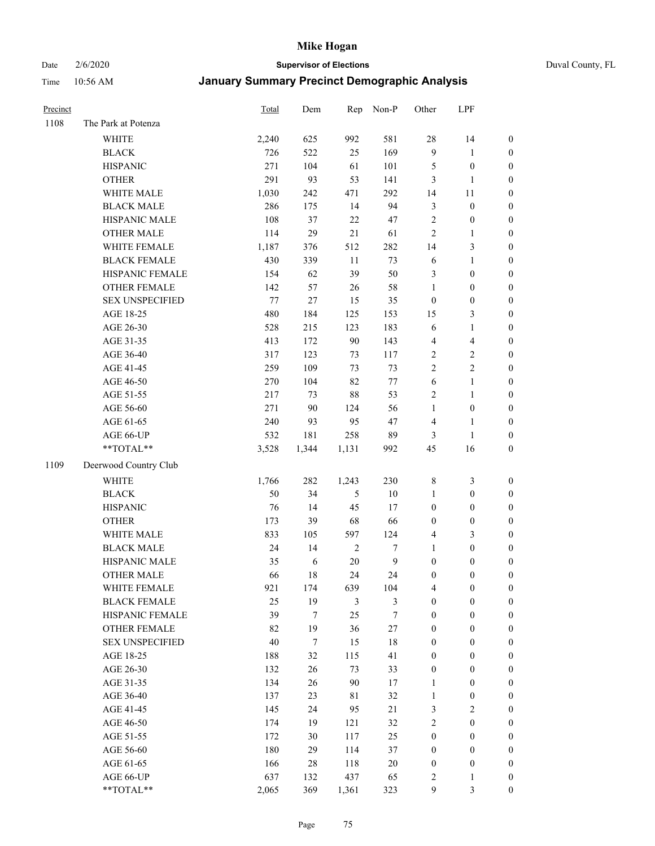Date 2/6/2020 **Supervisor of Elections** Duval County, FL

| Precinct |                        | Total   | Dem              | Rep           | Non-P            | Other            | LPF                     |                  |
|----------|------------------------|---------|------------------|---------------|------------------|------------------|-------------------------|------------------|
| 1108     | The Park at Potenza    |         |                  |               |                  |                  |                         |                  |
|          | <b>WHITE</b>           | 2,240   | 625              | 992           | 581              | 28               | 14                      | 0                |
|          | <b>BLACK</b>           | 726     | 522              | 25            | 169              | $\mathbf{9}$     | $\mathbf{1}$            | $\boldsymbol{0}$ |
|          | <b>HISPANIC</b>        | 271     | 104              | 61            | 101              | 5                | $\boldsymbol{0}$        | $\boldsymbol{0}$ |
|          | <b>OTHER</b>           | 291     | 93               | 53            | 141              | 3                | $\mathbf{1}$            | $\boldsymbol{0}$ |
|          | WHITE MALE             | 1,030   | 242              | 471           | 292              | 14               | 11                      | $\boldsymbol{0}$ |
|          | <b>BLACK MALE</b>      | 286     | 175              | 14            | 94               | 3                | $\boldsymbol{0}$        | $\boldsymbol{0}$ |
|          | HISPANIC MALE          | 108     | 37               | 22            | 47               | $\overline{c}$   | $\boldsymbol{0}$        | $\boldsymbol{0}$ |
|          | <b>OTHER MALE</b>      | 114     | 29               | 21            | 61               | $\overline{c}$   | $\mathbf{1}$            | $\boldsymbol{0}$ |
|          | WHITE FEMALE           | 1,187   | 376              | 512           | 282              | 14               | $\mathfrak{Z}$          | $\boldsymbol{0}$ |
|          | <b>BLACK FEMALE</b>    | 430     | 339              | 11            | 73               | 6                | $\mathbf{1}$            | $\boldsymbol{0}$ |
|          | HISPANIC FEMALE        | 154     | 62               | 39            | 50               | 3                | $\boldsymbol{0}$        | 0                |
|          | OTHER FEMALE           | 142     | 57               | $26\,$        | 58               | 1                | $\boldsymbol{0}$        | $\boldsymbol{0}$ |
|          | <b>SEX UNSPECIFIED</b> | $77 \,$ | 27               | 15            | 35               | $\boldsymbol{0}$ | $\boldsymbol{0}$        | $\boldsymbol{0}$ |
|          | AGE 18-25              | 480     | 184              | 125           | 153              | 15               | $\mathfrak{Z}$          | $\boldsymbol{0}$ |
|          | AGE 26-30              | 528     | 215              | 123           | 183              | 6                | $\mathbf{1}$            | $\boldsymbol{0}$ |
|          | AGE 31-35              | 413     | 172              | 90            | 143              | 4                | $\overline{\mathbf{4}}$ | $\boldsymbol{0}$ |
|          | AGE 36-40              | 317     | 123              | 73            | 117              | 2                | $\sqrt{2}$              | $\boldsymbol{0}$ |
|          | AGE 41-45              | 259     | 109              | 73            | 73               | $\overline{2}$   | $\overline{2}$          | $\boldsymbol{0}$ |
|          | AGE 46-50              | 270     | 104              | 82            | $77\,$           | $\sqrt{6}$       | $\mathbf{1}$            | $\boldsymbol{0}$ |
|          | AGE 51-55              | 217     | 73               | 88            | 53               | 2                | $\mathbf{1}$            | $\boldsymbol{0}$ |
|          | AGE 56-60              | 271     | 90               | 124           | 56               | $\mathbf{1}$     | $\boldsymbol{0}$        | 0                |
|          | AGE 61-65              | 240     | 93               | 95            | 47               | 4                | $\mathbf{1}$            | 0                |
|          | AGE 66-UP              | 532     | 181              | 258           | 89               | 3                | $\mathbf{1}$            | $\boldsymbol{0}$ |
|          | **TOTAL**              | 3,528   | 1,344            | 1,131         | 992              | 45               | 16                      | $\boldsymbol{0}$ |
| 1109     | Deerwood Country Club  |         |                  |               |                  |                  |                         |                  |
|          | <b>WHITE</b>           | 1,766   | 282              | 1,243         | 230              | $\,$ 8 $\,$      | $\mathfrak{Z}$          | $\boldsymbol{0}$ |
|          | <b>BLACK</b>           | 50      | 34               | $\mathfrak s$ | $10\,$           | $\mathbf{1}$     | $\boldsymbol{0}$        | $\boldsymbol{0}$ |
|          | <b>HISPANIC</b>        | 76      | 14               | 45            | 17               | $\boldsymbol{0}$ | $\boldsymbol{0}$        | $\boldsymbol{0}$ |
|          | <b>OTHER</b>           | 173     | 39               | 68            | 66               | $\boldsymbol{0}$ | $\boldsymbol{0}$        | $\boldsymbol{0}$ |
|          | WHITE MALE             | 833     | 105              | 597           | 124              | 4                | $\mathfrak{Z}$          | $\boldsymbol{0}$ |
|          | <b>BLACK MALE</b>      | 24      | 14               | $\sqrt{2}$    | $\boldsymbol{7}$ | $\mathbf{1}$     | $\boldsymbol{0}$        | $\boldsymbol{0}$ |
|          | HISPANIC MALE          | 35      | $\sqrt{6}$       | $20\,$        | $\mathbf{9}$     | $\boldsymbol{0}$ | $\boldsymbol{0}$        | $\boldsymbol{0}$ |
|          | <b>OTHER MALE</b>      | 66      | 18               | 24            | 24               | $\boldsymbol{0}$ | $\boldsymbol{0}$        | $\boldsymbol{0}$ |
|          | WHITE FEMALE           | 921     | 174              | 639           | 104              | 4                | 0                       | 0                |
|          | <b>BLACK FEMALE</b>    | 25      | 19               | 3             | 3                | $\boldsymbol{0}$ | $\boldsymbol{0}$        | $\overline{0}$   |
|          | HISPANIC FEMALE        | 39      | $\boldsymbol{7}$ | 25            | 7                | $\boldsymbol{0}$ | $\boldsymbol{0}$        | $\overline{0}$   |
|          | <b>OTHER FEMALE</b>    | 82      | 19               | 36            | $27\,$           | $\boldsymbol{0}$ | $\boldsymbol{0}$        | $\overline{0}$   |
|          | <b>SEX UNSPECIFIED</b> | 40      | $\boldsymbol{7}$ | 15            | 18               | 0                | $\boldsymbol{0}$        | 0                |
|          | AGE 18-25              | 188     | 32               | 115           | 41               | 0                | $\boldsymbol{0}$        | $\theta$         |
|          | AGE 26-30              | 132     | $26\,$           | 73            | 33               | $\boldsymbol{0}$ | $\boldsymbol{0}$        | 0                |
|          | AGE 31-35              | 134     | 26               | 90            | 17               | $\mathbf{1}$     | $\boldsymbol{0}$        | 0                |
|          | AGE 36-40              | 137     | 23               | 81            | 32               | $\mathbf{1}$     | $\boldsymbol{0}$        | 0                |
|          | AGE 41-45              | 145     | 24               | 95            | 21               | 3                | $\overline{2}$          | 0                |
|          | AGE 46-50              | 174     | 19               | 121           | 32               | 2                | $\boldsymbol{0}$        | 0                |
|          | AGE 51-55              | 172     | $30\,$           | 117           | 25               | $\boldsymbol{0}$ | $\boldsymbol{0}$        | $\overline{0}$   |
|          | AGE 56-60              | 180     | 29               | 114           | 37               | $\boldsymbol{0}$ | $\boldsymbol{0}$        | $\overline{0}$   |
|          | AGE 61-65              | 166     | 28               | 118           | $20\,$           | $\boldsymbol{0}$ | $\boldsymbol{0}$        | $\overline{0}$   |
|          | AGE 66-UP              | 637     | 132              | 437           | 65               | 2                | $\mathbf{1}$            | 0                |
|          | **TOTAL**              | 2,065   | 369              | 1,361         | 323              | 9                | 3                       | $\boldsymbol{0}$ |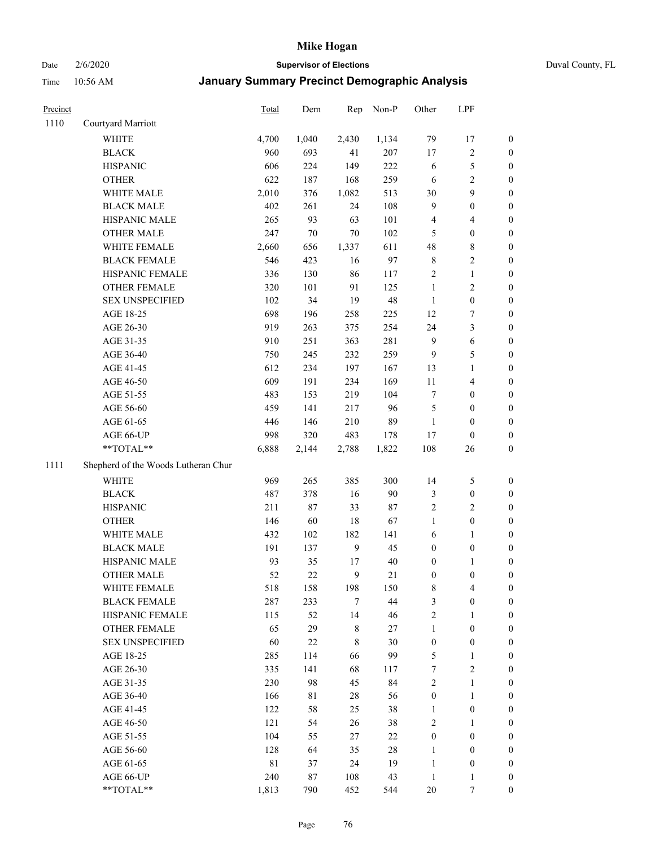Date 2/6/2020 **Supervisor of Elections** Duval County, FL

| Precinct |                                     | Total       | Dem    | Rep          | Non-P  | Other            | LPF                     |                  |
|----------|-------------------------------------|-------------|--------|--------------|--------|------------------|-------------------------|------------------|
| 1110     | Courtyard Marriott                  |             |        |              |        |                  |                         |                  |
|          | <b>WHITE</b>                        | 4,700       | 1,040  | 2,430        | 1,134  | 79               | 17                      | 0                |
|          | <b>BLACK</b>                        | 960         | 693    | 41           | 207    | $17\,$           | $\sqrt{2}$              | 0                |
|          | <b>HISPANIC</b>                     | 606         | 224    | 149          | 222    | 6                | $\mathfrak s$           | $\boldsymbol{0}$ |
|          | <b>OTHER</b>                        | 622         | 187    | 168          | 259    | 6                | $\overline{2}$          | $\boldsymbol{0}$ |
|          | WHITE MALE                          | 2,010       | 376    | 1,082        | 513    | 30               | 9                       | $\boldsymbol{0}$ |
|          | <b>BLACK MALE</b>                   | 402         | 261    | 24           | 108    | 9                | $\boldsymbol{0}$        | $\boldsymbol{0}$ |
|          | HISPANIC MALE                       | 265         | 93     | 63           | 101    | 4                | $\overline{4}$          | $\boldsymbol{0}$ |
|          | <b>OTHER MALE</b>                   | 247         | $70\,$ | 70           | 102    | 5                | $\boldsymbol{0}$        | $\boldsymbol{0}$ |
|          | WHITE FEMALE                        | 2,660       | 656    | 1,337        | 611    | 48               | $\,$ 8 $\,$             | $\boldsymbol{0}$ |
|          | <b>BLACK FEMALE</b>                 | 546         | 423    | 16           | 97     | 8                | $\sqrt{2}$              | 0                |
|          | HISPANIC FEMALE                     | 336         | 130    | 86           | 117    | $\sqrt{2}$       | $\mathbf{1}$            | 0                |
|          | OTHER FEMALE                        | 320         | 101    | 91           | 125    | $\mathbf{1}$     | $\sqrt{2}$              | $\boldsymbol{0}$ |
|          | <b>SEX UNSPECIFIED</b>              | 102         | 34     | 19           | 48     | $\mathbf{1}$     | $\boldsymbol{0}$        | $\boldsymbol{0}$ |
|          | AGE 18-25                           | 698         | 196    | 258          | 225    | 12               | $\boldsymbol{7}$        | $\boldsymbol{0}$ |
|          | AGE 26-30                           | 919         | 263    | 375          | 254    | 24               | $\mathfrak{Z}$          | $\boldsymbol{0}$ |
|          | AGE 31-35                           | 910         | 251    | 363          | 281    | 9                | $\sqrt{6}$              | $\boldsymbol{0}$ |
|          | AGE 36-40                           | 750         | 245    | 232          | 259    | 9                | $\mathfrak s$           | $\boldsymbol{0}$ |
|          | AGE 41-45                           | 612         | 234    | 197          | 167    | 13               | $\mathbf{1}$            | $\boldsymbol{0}$ |
|          | AGE 46-50                           | 609         | 191    | 234          | 169    | $11\,$           | $\overline{\mathbf{4}}$ | $\boldsymbol{0}$ |
|          | AGE 51-55                           | 483         | 153    | 219          | 104    | 7                | $\boldsymbol{0}$        | $\boldsymbol{0}$ |
|          | AGE 56-60                           | 459         | 141    | 217          | 96     | 5                | $\boldsymbol{0}$        | 0                |
|          | AGE 61-65                           | 446         | 146    | 210          | 89     | 1                | $\boldsymbol{0}$        | 0                |
|          | AGE 66-UP                           | 998         | 320    | 483          | 178    | 17               | $\boldsymbol{0}$        | $\boldsymbol{0}$ |
|          | **TOTAL**                           | 6,888       | 2,144  | 2,788        | 1,822  | 108              | 26                      | $\boldsymbol{0}$ |
| 1111     | Shepherd of the Woods Lutheran Chur |             |        |              |        |                  |                         |                  |
|          | <b>WHITE</b>                        | 969         | 265    | 385          | 300    | 14               | $\mathfrak s$           | $\boldsymbol{0}$ |
|          | <b>BLACK</b>                        | 487         | 378    | 16           | 90     | 3                | $\boldsymbol{0}$        | $\boldsymbol{0}$ |
|          | <b>HISPANIC</b>                     | 211         | 87     | 33           | $87\,$ | 2                | $\overline{c}$          | $\boldsymbol{0}$ |
|          | <b>OTHER</b>                        | 146         | 60     | 18           | 67     | $\mathbf{1}$     | $\boldsymbol{0}$        | $\boldsymbol{0}$ |
|          | WHITE MALE                          | 432         | 102    | 182          | 141    | 6                | $\mathbf{1}$            | $\boldsymbol{0}$ |
|          | <b>BLACK MALE</b>                   | 191         | 137    | $\mathbf{9}$ | 45     | $\boldsymbol{0}$ | $\boldsymbol{0}$        | $\boldsymbol{0}$ |
|          | HISPANIC MALE                       | 93          | 35     | 17           | $40\,$ | $\boldsymbol{0}$ | 1                       | 0                |
|          | <b>OTHER MALE</b>                   | 52          | 22     | 9            | 21     | $\boldsymbol{0}$ | $\boldsymbol{0}$        | $\boldsymbol{0}$ |
|          | WHITE FEMALE                        | 518         | 158    | 198          | 150    | 8                | 4                       | 0                |
|          | <b>BLACK FEMALE</b>                 | 287         | 233    | 7            | 44     | 3                | $\boldsymbol{0}$        | $\overline{0}$   |
|          | HISPANIC FEMALE                     | 115         | 52     | 14           | 46     | $\overline{c}$   | 1                       | $\overline{0}$   |
|          | OTHER FEMALE                        | 65          | 29     | 8            | $27\,$ | $\mathbf{1}$     | $\boldsymbol{0}$        | 0                |
|          | <b>SEX UNSPECIFIED</b>              | 60          | $22\,$ | 8            | $30\,$ | $\boldsymbol{0}$ | $\boldsymbol{0}$        | 0                |
|          | AGE 18-25                           | 285         | 114    | 66           | 99     | 5                | $\mathbf{1}$            | 0                |
|          | AGE 26-30                           | 335         | 141    | 68           | 117    | 7                | $\overline{c}$          | 0                |
|          | AGE 31-35                           | 230         | 98     | 45           | 84     | 2                | $\mathbf{1}$            | 0                |
|          | AGE 36-40                           | 166         | 81     | 28           | 56     | $\boldsymbol{0}$ | $\mathbf{1}$            | 0                |
|          | AGE 41-45                           | 122         | 58     | 25           | 38     | $\mathbf{1}$     | $\boldsymbol{0}$        | 0                |
|          | AGE 46-50                           | 121         | 54     | 26           | 38     | 2                | 1                       | 0                |
|          | AGE 51-55                           | 104         | 55     | 27           | $22\,$ | $\boldsymbol{0}$ | $\boldsymbol{0}$        | 0                |
|          | AGE 56-60                           | 128         | 64     | 35           | 28     | 1                | $\boldsymbol{0}$        | 0                |
|          | AGE 61-65                           | $8\sqrt{1}$ | 37     | 24           | 19     | $\mathbf{1}$     | $\boldsymbol{0}$        | 0                |
|          | AGE 66-UP                           | 240         | 87     | 108          | 43     | $\mathbf{1}$     | $\mathbf{1}$            | 0                |
|          | **TOTAL**                           | 1,813       | 790    | 452          | 544    | $20\,$           | 7                       | $\boldsymbol{0}$ |
|          |                                     |             |        |              |        |                  |                         |                  |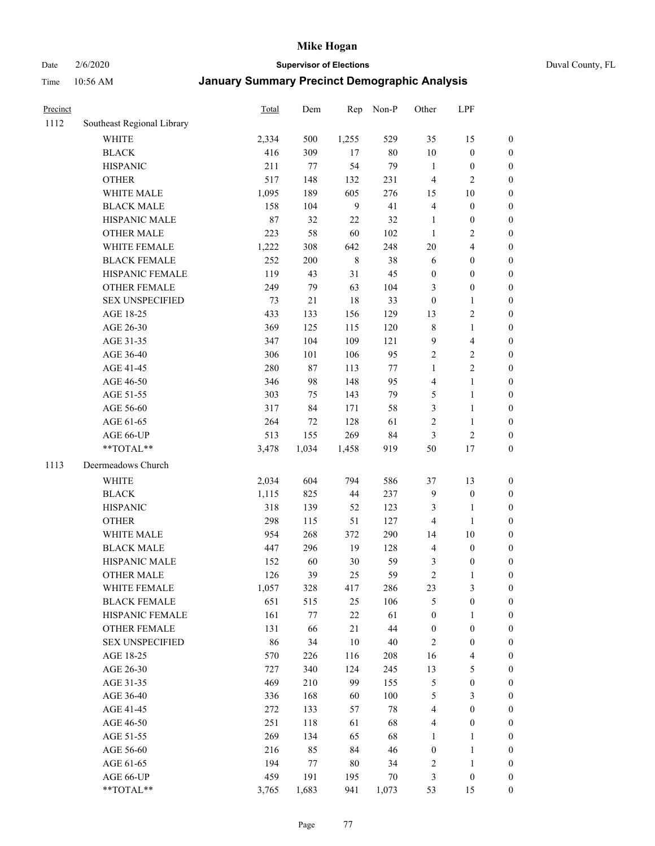# Date 2/6/2020 **Supervisor of Elections** Duval County, FL

| Precinct |                            | Total        | Dem        | Rep         | Non-P         | Other                        | LPF                                |                                      |
|----------|----------------------------|--------------|------------|-------------|---------------|------------------------------|------------------------------------|--------------------------------------|
| 1112     | Southeast Regional Library |              |            |             |               |                              |                                    |                                      |
|          | <b>WHITE</b>               | 2,334        | 500        | 1,255       | 529           | 35                           | 15                                 | 0                                    |
|          | <b>BLACK</b>               | 416          | 309        | 17          | $80\,$        | $10\,$                       | $\boldsymbol{0}$                   | 0                                    |
|          | <b>HISPANIC</b>            | 211          | 77         | 54          | 79            | $\mathbf{1}$                 | $\boldsymbol{0}$                   | $\boldsymbol{0}$                     |
|          | <b>OTHER</b>               | 517          | 148        | 132         | 231           | 4                            | $\overline{c}$                     | $\boldsymbol{0}$                     |
|          | WHITE MALE                 | 1,095        | 189        | 605         | 276           | 15                           | $10\,$                             | $\boldsymbol{0}$                     |
|          | <b>BLACK MALE</b>          | 158          | 104        | 9           | 41            | 4                            | $\boldsymbol{0}$                   | $\boldsymbol{0}$                     |
|          | HISPANIC MALE              | $87\,$       | 32         | 22          | 32            | $\mathbf{1}$                 | $\boldsymbol{0}$                   | $\boldsymbol{0}$                     |
|          | <b>OTHER MALE</b>          | 223          | 58         | 60          | 102           | $\mathbf{1}$                 | $\overline{c}$                     | $\boldsymbol{0}$                     |
|          | WHITE FEMALE               | 1,222        | 308        | 642         | 248           | 20                           | $\overline{4}$                     | $\boldsymbol{0}$                     |
|          | <b>BLACK FEMALE</b>        | 252          | 200        | $\,$ 8 $\,$ | 38            | 6                            | $\boldsymbol{0}$                   | $\boldsymbol{0}$                     |
|          | HISPANIC FEMALE            | 119          | 43         | 31          | 45            | $\boldsymbol{0}$             | $\boldsymbol{0}$                   | $\boldsymbol{0}$                     |
|          | OTHER FEMALE               | 249          | 79         | 63          | 104           | 3                            | $\boldsymbol{0}$                   | $\boldsymbol{0}$                     |
|          | <b>SEX UNSPECIFIED</b>     | 73           | $21\,$     | 18          | 33            | $\boldsymbol{0}$             | $\mathbf{1}$                       | $\boldsymbol{0}$                     |
|          | AGE 18-25                  | 433          | 133        | 156         | 129           | 13                           | $\sqrt{2}$                         | $\boldsymbol{0}$                     |
|          | AGE 26-30                  | 369          | 125        | 115         | 120           | $\,$ $\,$                    | $\mathbf{1}$                       | $\boldsymbol{0}$                     |
|          | AGE 31-35                  | 347          | 104        | 109         | 121           | 9                            | $\overline{\mathbf{4}}$            | $\boldsymbol{0}$                     |
|          | AGE 36-40                  | 306          | 101        | 106         | 95            | $\sqrt{2}$                   | $\sqrt{2}$                         | $\boldsymbol{0}$                     |
|          | AGE 41-45                  | 280          | $87\,$     | 113         | $77\,$        | $\mathbf{1}$                 | $\overline{2}$                     | $\boldsymbol{0}$                     |
|          | AGE 46-50                  | 346          | 98         | 148         | 95            | 4                            | $\mathbf{1}$                       | $\boldsymbol{0}$                     |
|          | AGE 51-55                  | 303          | 75         | 143         | 79            | 5                            | $\mathbf{1}$                       | $\boldsymbol{0}$                     |
|          | AGE 56-60                  | 317          | 84         | 171         | 58            | 3                            | $\mathbf{1}$                       | 0                                    |
|          | AGE 61-65                  | 264          | 72         | 128         | 61            | $\overline{c}$               | $\mathbf{1}$                       | 0                                    |
|          | AGE 66-UP                  | 513          | 155        | 269         | 84            | 3                            | $\sqrt{2}$                         | $\boldsymbol{0}$                     |
|          | **TOTAL**                  | 3,478        | 1,034      | 1,458       | 919           | 50                           | 17                                 | $\boldsymbol{0}$                     |
| 1113     | Deermeadows Church         |              |            |             |               |                              |                                    |                                      |
|          | <b>WHITE</b>               | 2,034        | 604        | 794         | 586           | 37                           | 13                                 | $\boldsymbol{0}$                     |
|          | <b>BLACK</b>               |              | 825        | 44          | 237           | $\mathbf{9}$                 | $\boldsymbol{0}$                   |                                      |
|          | <b>HISPANIC</b>            | 1,115<br>318 | 139        | 52          | 123           | 3                            | $\mathbf{1}$                       | $\boldsymbol{0}$<br>$\boldsymbol{0}$ |
|          | <b>OTHER</b>               | 298          | 115        | 51          | 127           | 4                            | $\mathbf{1}$                       | $\boldsymbol{0}$                     |
|          | WHITE MALE                 | 954          | 268        | 372         | 290           |                              | $10\,$                             |                                      |
|          | <b>BLACK MALE</b>          | 447          | 296        | 19          | 128           | 14                           | $\boldsymbol{0}$                   | $\boldsymbol{0}$<br>$\boldsymbol{0}$ |
|          | HISPANIC MALE              |              | 60         | 30          | 59            | 4                            |                                    |                                      |
|          | <b>OTHER MALE</b>          | 152<br>126   | 39         | 25          | 59            | 3<br>$\overline{c}$          | $\boldsymbol{0}$<br>$\mathbf{1}$   | 0<br>$\boldsymbol{0}$                |
|          |                            |              |            |             |               |                              |                                    |                                      |
|          | WHITE FEMALE               | 1,057        | 328        | 417         | 286           | 23                           | 3                                  | 0                                    |
|          | <b>BLACK FEMALE</b>        | 651          | 515        | 25          | 106           | 5                            | $\boldsymbol{0}$                   | $\boldsymbol{0}$                     |
|          | HISPANIC FEMALE            | 161          | $77\,$     | $22\,$      | 61            | $\boldsymbol{0}$             | 1                                  | $\overline{0}$                       |
|          | OTHER FEMALE               | 131          | 66         | $21\,$      | 44            | $\boldsymbol{0}$             | $\boldsymbol{0}$                   | $\overline{0}$                       |
|          | <b>SEX UNSPECIFIED</b>     | 86           | 34         | 10          | $40\,$        | $\overline{2}$               | $\boldsymbol{0}$                   | 0                                    |
|          | AGE 18-25                  | 570          | 226        | 116         | 208           | 16                           | $\overline{4}$                     | 0                                    |
|          | AGE 26-30                  | 727<br>469   | 340<br>210 | 124<br>99   | 245           | 13<br>5                      | $\mathfrak s$<br>$\boldsymbol{0}$  | 0                                    |
|          | AGE 31-35                  |              |            |             | 155           |                              |                                    | 0                                    |
|          | AGE 36-40                  | 336          | 168        | 60<br>57    | 100<br>$78\,$ | 5<br>$\overline{\mathbf{4}}$ | $\mathfrak{Z}$<br>$\boldsymbol{0}$ | 0                                    |
|          | AGE 41-45                  | 272          | 133        |             |               |                              |                                    | 0                                    |
|          | AGE 46-50                  | 251          | 118        | 61          | 68            | 4                            | $\boldsymbol{0}$                   | 0                                    |
|          | AGE 51-55                  | 269          | 134        | 65          | 68            | 1                            | $\mathbf{1}$                       | 0                                    |
|          | AGE 56-60                  | 216          | 85         | 84          | 46            | $\boldsymbol{0}$             | $\mathbf{1}$                       | 0                                    |
|          | AGE 61-65                  | 194          | 77         | 80          | 34            | 2                            | $\mathbf{1}$                       | 0                                    |
|          | AGE 66-UP                  | 459          | 191        | 195         | 70            | 3                            | $\boldsymbol{0}$                   | 0                                    |
|          | **TOTAL**                  | 3,765        | 1,683      | 941         | 1,073         | 53                           | 15                                 | $\boldsymbol{0}$                     |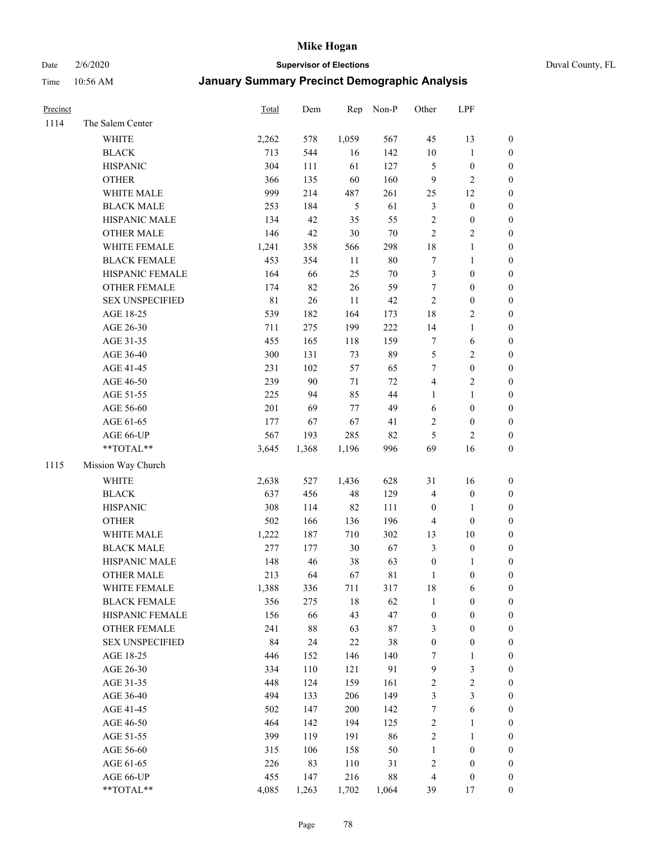Date 2/6/2020 **Supervisor of Elections** Duval County, FL

| Precinct |                        | Total       | Dem    | Rep           | Non-P  | Other            | LPF              |                  |
|----------|------------------------|-------------|--------|---------------|--------|------------------|------------------|------------------|
| 1114     | The Salem Center       |             |        |               |        |                  |                  |                  |
|          | WHITE                  | 2,262       | 578    | 1,059         | 567    | 45               | 13               | 0                |
|          | <b>BLACK</b>           | 713         | 544    | 16            | 142    | $10\,$           | $\mathbf{1}$     | 0                |
|          | <b>HISPANIC</b>        | 304         | 111    | 61            | 127    | 5                | $\boldsymbol{0}$ | $\boldsymbol{0}$ |
|          | <b>OTHER</b>           | 366         | 135    | 60            | 160    | 9                | $\sqrt{2}$       | $\boldsymbol{0}$ |
|          | WHITE MALE             | 999         | 214    | 487           | 261    | 25               | 12               | $\boldsymbol{0}$ |
|          | <b>BLACK MALE</b>      | 253         | 184    | $\mathfrak s$ | 61     | 3                | $\boldsymbol{0}$ | $\boldsymbol{0}$ |
|          | HISPANIC MALE          | 134         | 42     | 35            | 55     | $\overline{c}$   | $\boldsymbol{0}$ | $\boldsymbol{0}$ |
|          | <b>OTHER MALE</b>      | 146         | 42     | $30\,$        | $70\,$ | $\overline{c}$   | $\overline{c}$   | $\boldsymbol{0}$ |
|          | WHITE FEMALE           | 1,241       | 358    | 566           | 298    | 18               | $\mathbf{1}$     | $\boldsymbol{0}$ |
|          | <b>BLACK FEMALE</b>    | 453         | 354    | $11\,$        | $80\,$ | 7                | $\mathbf{1}$     | $\boldsymbol{0}$ |
|          | HISPANIC FEMALE        | 164         | 66     | 25            | $70\,$ | 3                | $\boldsymbol{0}$ | 0                |
|          | OTHER FEMALE           | 174         | 82     | $26\,$        | 59     | $\tau$           | $\boldsymbol{0}$ | $\boldsymbol{0}$ |
|          | <b>SEX UNSPECIFIED</b> | $8\sqrt{1}$ | $26\,$ | $11\,$        | 42     | $\boldsymbol{2}$ | $\boldsymbol{0}$ | $\boldsymbol{0}$ |
|          | AGE 18-25              | 539         | 182    | 164           | 173    | 18               | $\sqrt{2}$       | $\boldsymbol{0}$ |
|          | AGE 26-30              | 711         | 275    | 199           | 222    | 14               | $\mathbf{1}$     | $\boldsymbol{0}$ |
|          | AGE 31-35              | 455         | 165    | 118           | 159    | 7                | 6                | $\boldsymbol{0}$ |
|          | AGE 36-40              | 300         | 131    | 73            | 89     | 5                | $\sqrt{2}$       | $\boldsymbol{0}$ |
|          | AGE 41-45              | 231         | 102    | 57            | 65     | $\boldsymbol{7}$ | $\boldsymbol{0}$ | $\boldsymbol{0}$ |
|          | AGE 46-50              | 239         | 90     | 71            | $72\,$ | 4                | $\sqrt{2}$       | $\boldsymbol{0}$ |
|          | AGE 51-55              | 225         | 94     | 85            | 44     | 1                | $\mathbf{1}$     | $\boldsymbol{0}$ |
|          | AGE 56-60              | 201         | 69     | 77            | 49     | $\sqrt{6}$       | $\boldsymbol{0}$ | 0                |
|          | AGE 61-65              | 177         | 67     | 67            | 41     | 2                | $\boldsymbol{0}$ | 0                |
|          | AGE 66-UP              | 567         | 193    | 285           | 82     | 5                | $\overline{c}$   | $\boldsymbol{0}$ |
|          | **TOTAL**              | 3,645       | 1,368  | 1,196         | 996    | 69               | 16               | $\boldsymbol{0}$ |
| 1115     | Mission Way Church     |             |        |               |        |                  |                  |                  |
|          | <b>WHITE</b>           | 2,638       | 527    | 1,436         | 628    | 31               | 16               | $\boldsymbol{0}$ |
|          | <b>BLACK</b>           | 637         | 456    | 48            | 129    | 4                | $\boldsymbol{0}$ | $\boldsymbol{0}$ |
|          | <b>HISPANIC</b>        | 308         | 114    | 82            | 111    | $\boldsymbol{0}$ | $\mathbf{1}$     | $\boldsymbol{0}$ |
|          | <b>OTHER</b>           | 502         | 166    | 136           | 196    | 4                | $\boldsymbol{0}$ | $\boldsymbol{0}$ |
|          | WHITE MALE             | 1,222       | 187    | 710           | 302    | 13               | 10               | $\boldsymbol{0}$ |
|          | <b>BLACK MALE</b>      | 277         | 177    | 30            | 67     | $\mathfrak{Z}$   | $\boldsymbol{0}$ | $\boldsymbol{0}$ |
|          | HISPANIC MALE          | 148         | 46     | 38            | 63     | $\boldsymbol{0}$ | 1                | 0                |
|          | <b>OTHER MALE</b>      | 213         | 64     | 67            | 81     | $\mathbf{1}$     | $\boldsymbol{0}$ | $\boldsymbol{0}$ |
|          | WHITE FEMALE           | 1,388       | 336    | 711           | 317    | 18               | 6                | 0                |
|          | <b>BLACK FEMALE</b>    | 356         | 275    | 18            | 62     | 1                | $\boldsymbol{0}$ | $\boldsymbol{0}$ |
|          | HISPANIC FEMALE        | 156         | 66     | 43            | 47     | $\boldsymbol{0}$ | $\boldsymbol{0}$ | $\overline{0}$   |
|          | <b>OTHER FEMALE</b>    | 241         | $88\,$ | 63            | $87\,$ | 3                | $\boldsymbol{0}$ | $\overline{0}$   |
|          | <b>SEX UNSPECIFIED</b> | 84          | 24     | 22            | 38     | $\boldsymbol{0}$ | $\boldsymbol{0}$ | 0                |
|          | AGE 18-25              | 446         | 152    | 146           | 140    | 7                | $\mathbf{1}$     | 0                |
|          | AGE 26-30              | 334         | 110    | 121           | 91     | 9                | $\mathfrak z$    | 0                |
|          | AGE 31-35              | 448         | 124    | 159           | 161    | $\overline{c}$   | $\sqrt{2}$       | 0                |
|          | AGE 36-40              | 494         | 133    | 206           | 149    | 3                | $\mathfrak{Z}$   | 0                |
|          | AGE 41-45              | 502         | 147    | 200           | 142    | $\boldsymbol{7}$ | 6                | 0                |
|          | AGE 46-50              | 464         | 142    | 194           | 125    | 2                | $\mathbf{1}$     | 0                |
|          | AGE 51-55              | 399         | 119    | 191           | 86     | 2                | $\mathbf{1}$     | 0                |
|          | AGE 56-60              | 315         | 106    | 158           | 50     | $\mathbf{1}$     | $\boldsymbol{0}$ | 0                |
|          | AGE 61-65              | 226         | 83     | 110           | 31     | 2                | $\boldsymbol{0}$ | 0                |
|          | AGE 66-UP              | 455         | 147    | 216           | $88\,$ | 4                | $\boldsymbol{0}$ | 0                |
|          | **TOTAL**              | 4,085       | 1,263  | 1,702         | 1,064  | 39               | 17               | $\boldsymbol{0}$ |
|          |                        |             |        |               |        |                  |                  |                  |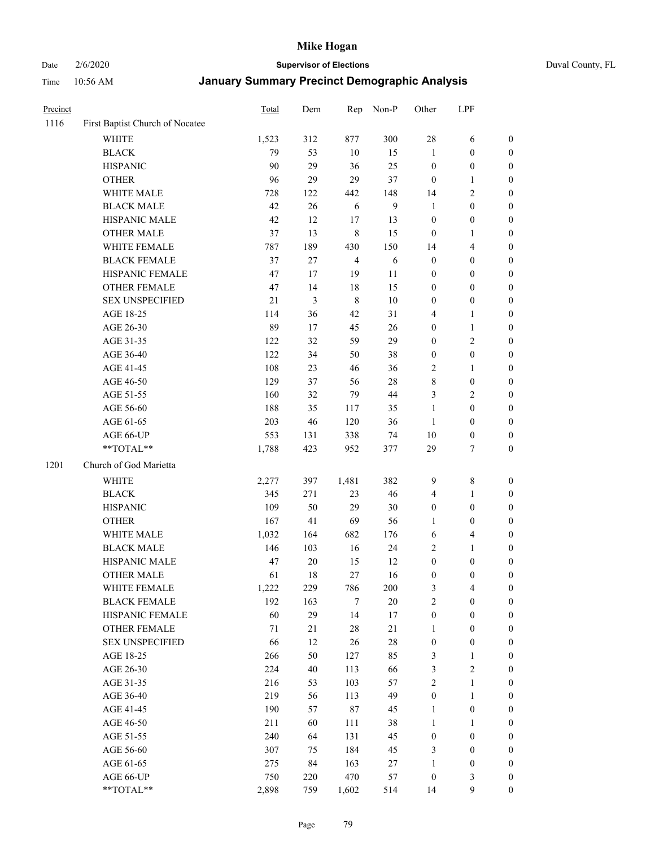Date 2/6/2020 **Supervisor of Elections** Duval County, FL

| Precinct |                                 | Total | Dem            | Rep                     | Non-P        | Other            | LPF              |                  |
|----------|---------------------------------|-------|----------------|-------------------------|--------------|------------------|------------------|------------------|
| 1116     | First Baptist Church of Nocatee |       |                |                         |              |                  |                  |                  |
|          | <b>WHITE</b>                    | 1,523 | 312            | 877                     | 300          | 28               | 6                | 0                |
|          | <b>BLACK</b>                    | 79    | 53             | 10                      | 15           | 1                | $\boldsymbol{0}$ | 0                |
|          | <b>HISPANIC</b>                 | 90    | 29             | 36                      | 25           | $\boldsymbol{0}$ | $\boldsymbol{0}$ | $\boldsymbol{0}$ |
|          | <b>OTHER</b>                    | 96    | 29             | 29                      | 37           | $\boldsymbol{0}$ | 1                | $\boldsymbol{0}$ |
|          | WHITE MALE                      | 728   | 122            | 442                     | 148          | 14               | $\sqrt{2}$       | $\boldsymbol{0}$ |
|          | <b>BLACK MALE</b>               | 42    | 26             | 6                       | $\mathbf{9}$ | 1                | $\boldsymbol{0}$ | $\boldsymbol{0}$ |
|          | HISPANIC MALE                   | 42    | 12             | 17                      | 13           | $\boldsymbol{0}$ | $\boldsymbol{0}$ | $\boldsymbol{0}$ |
|          | <b>OTHER MALE</b>               | 37    | 13             | $\,$ 8 $\,$             | 15           | $\boldsymbol{0}$ | $\mathbf{1}$     | $\boldsymbol{0}$ |
|          | WHITE FEMALE                    | 787   | 189            | 430                     | 150          | 14               | $\overline{4}$   | $\boldsymbol{0}$ |
|          | <b>BLACK FEMALE</b>             | 37    | $27\,$         | $\overline{\mathbf{4}}$ | 6            | $\boldsymbol{0}$ | $\boldsymbol{0}$ | $\boldsymbol{0}$ |
|          | HISPANIC FEMALE                 | 47    | 17             | 19                      | 11           | 0                | $\boldsymbol{0}$ | $\boldsymbol{0}$ |
|          | <b>OTHER FEMALE</b>             | 47    | 14             | 18                      | 15           | 0                | $\boldsymbol{0}$ | $\boldsymbol{0}$ |
|          | <b>SEX UNSPECIFIED</b>          | 21    | $\mathfrak{Z}$ | $\,8\,$                 | 10           | $\boldsymbol{0}$ | $\boldsymbol{0}$ | $\boldsymbol{0}$ |
|          | AGE 18-25                       | 114   | 36             | 42                      | 31           | 4                | $\mathbf{1}$     | $\boldsymbol{0}$ |
|          | AGE 26-30                       | 89    | 17             | 45                      | 26           | $\boldsymbol{0}$ | $\mathbf{1}$     | $\boldsymbol{0}$ |
|          | AGE 31-35                       | 122   | 32             | 59                      | 29           | $\boldsymbol{0}$ | $\sqrt{2}$       | $\boldsymbol{0}$ |
|          | AGE 36-40                       | 122   | 34             | 50                      | 38           | $\boldsymbol{0}$ | $\boldsymbol{0}$ | $\boldsymbol{0}$ |
|          | AGE 41-45                       | 108   | 23             | 46                      | 36           | $\mathbf{2}$     | $\mathbf{1}$     | $\boldsymbol{0}$ |
|          | AGE 46-50                       | 129   | 37             | 56                      | $28\,$       | 8                | $\boldsymbol{0}$ | $\boldsymbol{0}$ |
|          | AGE 51-55                       | 160   | 32             | 79                      | $44\,$       | 3                | $\sqrt{2}$       | $\boldsymbol{0}$ |
|          | AGE 56-60                       | 188   | 35             | 117                     | 35           | $\mathbf{1}$     | $\boldsymbol{0}$ | $\boldsymbol{0}$ |
|          | AGE 61-65                       | 203   | 46             | 120                     | 36           | $\mathbf{1}$     | $\boldsymbol{0}$ | $\boldsymbol{0}$ |
|          | AGE 66-UP                       | 553   | 131            | 338                     | 74           | $10\,$           | $\boldsymbol{0}$ | $\boldsymbol{0}$ |
|          | **TOTAL**                       | 1,788 | 423            | 952                     | 377          | 29               | $\tau$           | $\boldsymbol{0}$ |
| 1201     | Church of God Marietta          |       |                |                         |              |                  |                  |                  |
|          | <b>WHITE</b>                    | 2,277 | 397            | 1,481                   | 382          | 9                | $\,$ 8 $\,$      | $\boldsymbol{0}$ |
|          | <b>BLACK</b>                    | 345   | 271            | 23                      | 46           | 4                | $\mathbf{1}$     | $\boldsymbol{0}$ |
|          | <b>HISPANIC</b>                 | 109   | 50             | 29                      | 30           | $\boldsymbol{0}$ | $\boldsymbol{0}$ | $\boldsymbol{0}$ |
|          | <b>OTHER</b>                    | 167   | 41             | 69                      | 56           | 1                | $\boldsymbol{0}$ | $\boldsymbol{0}$ |
|          | WHITE MALE                      | 1,032 | 164            | 682                     | 176          | 6                | $\overline{4}$   | $\boldsymbol{0}$ |
|          | <b>BLACK MALE</b>               | 146   | 103            | 16                      | 24           | $\overline{c}$   | $\mathbf{1}$     | $\boldsymbol{0}$ |
|          | HISPANIC MALE                   | 47    | $20\,$         | 15                      | 12           | $\boldsymbol{0}$ | $\boldsymbol{0}$ | 0                |
|          | <b>OTHER MALE</b>               | 61    | 18             | 27                      | 16           | 0                | $\boldsymbol{0}$ | $\boldsymbol{0}$ |
|          | WHITE FEMALE                    | 1,222 | 229            | 786                     | 200          | 3                | 4                | 0                |
|          | <b>BLACK FEMALE</b>             | 192   | 163            | $\tau$                  | $20\,$       | $\mathbf{2}$     | $\boldsymbol{0}$ | $\overline{0}$   |
|          | HISPANIC FEMALE                 | 60    | 29             | 14                      | 17           | $\boldsymbol{0}$ | $\boldsymbol{0}$ | $\overline{0}$   |
|          | <b>OTHER FEMALE</b>             | 71    | 21             | $28\,$                  | $21\,$       | 1                | $\boldsymbol{0}$ | 0                |
|          | <b>SEX UNSPECIFIED</b>          | 66    | 12             | 26                      | 28           | $\boldsymbol{0}$ | $\boldsymbol{0}$ | 0                |
|          | AGE 18-25                       | 266   | 50             | 127                     | 85           | 3                | $\mathbf{1}$     | 0                |
|          | AGE 26-30                       | 224   | 40             | 113                     | 66           | 3                | $\overline{2}$   | 0                |
|          | AGE 31-35                       | 216   | 53             | 103                     | 57           | $\overline{c}$   | $\mathbf{1}$     | 0                |
|          | AGE 36-40                       | 219   | 56             | 113                     | 49           | $\boldsymbol{0}$ | $\mathbf{1}$     | 0                |
|          | AGE 41-45                       | 190   | 57             | 87                      | 45           | 1                | $\boldsymbol{0}$ | 0                |
|          | AGE 46-50                       | 211   | 60             | 111                     | 38           | 1                | 1                | 0                |
|          | AGE 51-55                       | 240   | 64             | 131                     | 45           | $\boldsymbol{0}$ | $\boldsymbol{0}$ | 0                |
|          | AGE 56-60                       | 307   | 75             | 184                     | 45           | 3                | $\boldsymbol{0}$ | 0                |
|          | AGE 61-65                       | 275   | 84             | 163                     | 27           | 1                | $\boldsymbol{0}$ | 0                |
|          | AGE 66-UP                       | 750   | 220            | 470                     | 57           | $\boldsymbol{0}$ | $\mathfrak{Z}$   | 0                |
|          | **TOTAL**                       | 2,898 | 759            | 1,602                   | 514          | 14               | 9                | $\boldsymbol{0}$ |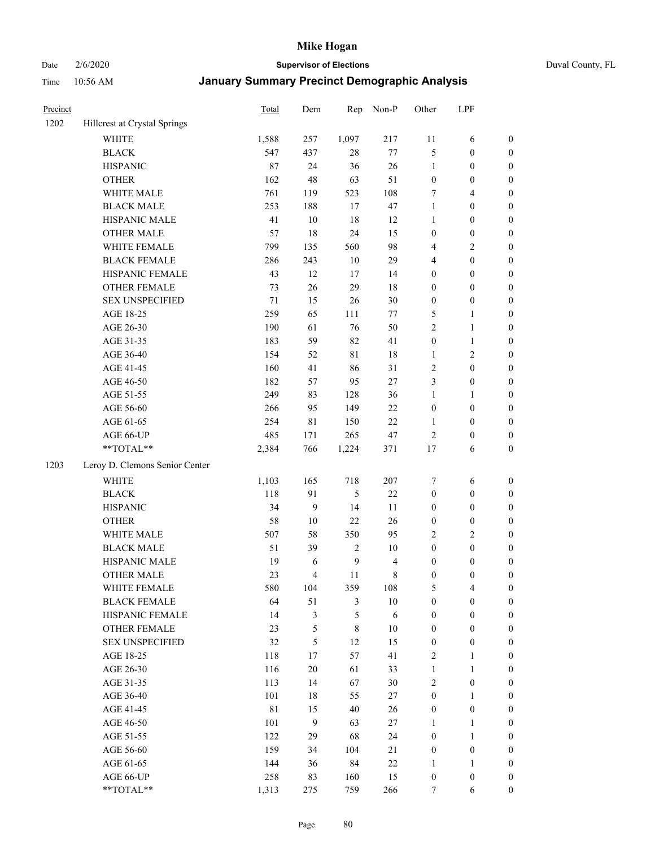# Date 2/6/2020 **Supervisor of Elections** Duval County, FL

| Precinct |                                        | Total | Dem                     | Rep              | Non-P          | Other            | LPF              |                  |
|----------|----------------------------------------|-------|-------------------------|------------------|----------------|------------------|------------------|------------------|
| 1202     | Hillcrest at Crystal Springs           |       |                         |                  |                |                  |                  |                  |
|          | <b>WHITE</b>                           | 1,588 | 257                     | 1,097            | 217            | 11               | 6                | 0                |
|          | <b>BLACK</b>                           | 547   | 437                     | $28\,$           | $77\,$         | 5                | $\boldsymbol{0}$ | $\boldsymbol{0}$ |
|          | <b>HISPANIC</b>                        | 87    | 24                      | 36               | $26\,$         | $\mathbf{1}$     | $\boldsymbol{0}$ | $\boldsymbol{0}$ |
|          | <b>OTHER</b>                           | 162   | 48                      | 63               | 51             | $\boldsymbol{0}$ | $\boldsymbol{0}$ | $\boldsymbol{0}$ |
|          | WHITE MALE                             | 761   | 119                     | 523              | 108            | 7                | $\overline{4}$   | $\boldsymbol{0}$ |
|          | <b>BLACK MALE</b>                      | 253   | 188                     | 17               | 47             | $\mathbf{1}$     | $\boldsymbol{0}$ | $\boldsymbol{0}$ |
|          | HISPANIC MALE                          | 41    | $10\,$                  | 18               | 12             | $\mathbf{1}$     | $\boldsymbol{0}$ | $\boldsymbol{0}$ |
|          | <b>OTHER MALE</b>                      | 57    | 18                      | 24               | 15             | $\boldsymbol{0}$ | $\boldsymbol{0}$ | $\boldsymbol{0}$ |
|          | WHITE FEMALE                           | 799   | 135                     | 560              | 98             | 4                | $\mathfrak{2}$   | $\boldsymbol{0}$ |
|          | <b>BLACK FEMALE</b>                    | 286   | 243                     | $10\,$           | 29             | 4                | $\boldsymbol{0}$ | $\boldsymbol{0}$ |
|          | HISPANIC FEMALE                        | 43    | 12                      | 17               | 14             | $\boldsymbol{0}$ | $\boldsymbol{0}$ | $\boldsymbol{0}$ |
|          | <b>OTHER FEMALE</b>                    | 73    | $26\,$                  | 29               | 18             | $\boldsymbol{0}$ | $\boldsymbol{0}$ | $\boldsymbol{0}$ |
|          | <b>SEX UNSPECIFIED</b>                 | 71    | 15                      | 26               | $30\,$         | $\boldsymbol{0}$ | $\boldsymbol{0}$ | $\boldsymbol{0}$ |
|          | AGE 18-25                              | 259   | 65                      | 111              | $77\,$         | 5                | 1                | $\boldsymbol{0}$ |
|          | AGE 26-30                              | 190   | 61                      | 76               | 50             | 2                | $\mathbf{1}$     | $\boldsymbol{0}$ |
|          | AGE 31-35                              | 183   | 59                      | 82               | 41             | $\boldsymbol{0}$ | $\mathbf{1}$     | $\boldsymbol{0}$ |
|          | AGE 36-40                              | 154   | 52                      | $8\sqrt{1}$      | 18             | 1                | $\sqrt{2}$       | $\boldsymbol{0}$ |
|          | AGE 41-45                              | 160   | 41                      | 86               | 31             | 2                | $\boldsymbol{0}$ | $\boldsymbol{0}$ |
|          | AGE 46-50                              | 182   | 57                      | 95               | $27\,$         | 3                | $\boldsymbol{0}$ | $\boldsymbol{0}$ |
|          | AGE 51-55                              | 249   | 83                      | 128              | 36             | $\mathbf{1}$     | 1                | $\boldsymbol{0}$ |
|          | AGE 56-60                              | 266   | 95                      | 149              | 22             | $\boldsymbol{0}$ | $\boldsymbol{0}$ | 0                |
|          | AGE 61-65                              | 254   | 81                      | 150              | 22             | 1                | $\boldsymbol{0}$ | 0                |
|          | AGE 66-UP                              | 485   | 171                     | 265              | 47             | $\sqrt{2}$       | $\boldsymbol{0}$ | $\boldsymbol{0}$ |
|          | $\mathrm{*}\mathrm{*} \mathrm{TOTAL}*$ | 2,384 | 766                     | 1,224            | 371            | 17               | 6                | $\boldsymbol{0}$ |
| 1203     | Leroy D. Clemons Senior Center         |       |                         |                  |                |                  |                  |                  |
|          | <b>WHITE</b>                           | 1,103 | 165                     | 718              | 207            | 7                | 6                | $\boldsymbol{0}$ |
|          | <b>BLACK</b>                           | 118   | 91                      | 5                | $22\,$         | $\boldsymbol{0}$ | $\boldsymbol{0}$ | $\boldsymbol{0}$ |
|          | <b>HISPANIC</b>                        | 34    | $\mathbf{9}$            | 14               | 11             | $\boldsymbol{0}$ | $\boldsymbol{0}$ | $\boldsymbol{0}$ |
|          | <b>OTHER</b>                           | 58    | $10\,$                  | 22               | 26             | $\boldsymbol{0}$ | $\boldsymbol{0}$ | $\boldsymbol{0}$ |
|          | WHITE MALE                             | 507   | 58                      | 350              | 95             | $\overline{c}$   | $\overline{2}$   | $\boldsymbol{0}$ |
|          | <b>BLACK MALE</b>                      | 51    | 39                      | $\overline{c}$   | $10\,$         | $\boldsymbol{0}$ | $\boldsymbol{0}$ | $\boldsymbol{0}$ |
|          | HISPANIC MALE                          | 19    | 6                       | $\boldsymbol{9}$ | $\overline{4}$ | $\boldsymbol{0}$ | $\boldsymbol{0}$ | $\boldsymbol{0}$ |
|          | <b>OTHER MALE</b>                      | 23    | $\overline{\mathbf{4}}$ | 11               | $\,$ 8 $\,$    | $\boldsymbol{0}$ | $\boldsymbol{0}$ | $\boldsymbol{0}$ |
|          | WHITE FEMALE                           | 580   | 104                     | 359              | 108            | 5                | 4                | 0                |
|          | <b>BLACK FEMALE</b>                    | 64    | 51                      | 3                | $10\,$         | $\boldsymbol{0}$ | $\boldsymbol{0}$ | $\overline{0}$   |
|          | HISPANIC FEMALE                        | 14    | $\mathfrak{Z}$          | 5                | 6              | $\boldsymbol{0}$ | $\boldsymbol{0}$ | $\overline{0}$   |
|          | <b>OTHER FEMALE</b>                    | 23    | $\mathfrak s$           | 8                | $10\,$         | $\boldsymbol{0}$ | $\boldsymbol{0}$ | $\overline{0}$   |
|          | <b>SEX UNSPECIFIED</b>                 | 32    | 5                       | 12               | 15             | $\boldsymbol{0}$ | $\boldsymbol{0}$ | 0                |
|          | AGE 18-25                              | 118   | 17                      | 57               | 41             | 2                | $\mathbf{1}$     | 0                |
|          | AGE 26-30                              | 116   | $20\,$                  | 61               | 33             | $\mathbf{1}$     | $\mathbf{1}$     | 0                |
|          | AGE 31-35                              | 113   | 14                      | 67               | $30\,$         | 2                | $\boldsymbol{0}$ | 0                |
|          | AGE 36-40                              | 101   | $18\,$                  | 55               | $27\,$         | $\boldsymbol{0}$ | $\mathbf{1}$     | 0                |
|          | AGE 41-45                              | 81    | 15                      | 40               | 26             | $\boldsymbol{0}$ | $\boldsymbol{0}$ | 0                |
|          | AGE 46-50                              | 101   | 9                       | 63               | $27\,$         | 1                | 1                | 0                |
|          | AGE 51-55                              | 122   | 29                      | 68               | 24             | $\boldsymbol{0}$ | $\mathbf{1}$     | 0                |
|          | AGE 56-60                              | 159   | 34                      | 104              | 21             | $\boldsymbol{0}$ | $\boldsymbol{0}$ | $\overline{0}$   |
|          | AGE 61-65                              | 144   | 36                      | 84               | $22\,$         | 1                | $\mathbf{1}$     | 0                |
|          | AGE 66-UP                              | 258   | 83                      | 160              | 15             | $\boldsymbol{0}$ | $\boldsymbol{0}$ | 0                |
|          | **TOTAL**                              | 1,313 | 275                     | 759              | 266            | 7                | 6                | $\boldsymbol{0}$ |
|          |                                        |       |                         |                  |                |                  |                  |                  |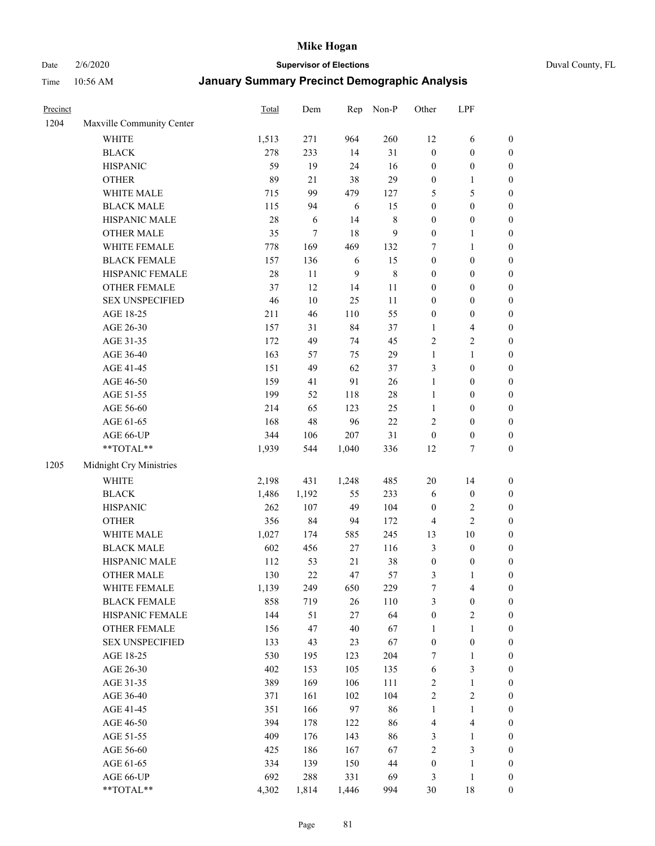Date 2/6/2020 **Supervisor of Elections** Duval County, FL

| Precinct |                                                             | Total  | Dem        | Rep              | Non-P        | Other            | LPF              |                  |
|----------|-------------------------------------------------------------|--------|------------|------------------|--------------|------------------|------------------|------------------|
| 1204     | Maxville Community Center                                   |        |            |                  |              |                  |                  |                  |
|          | <b>WHITE</b>                                                | 1,513  | 271        | 964              | 260          | 12               | 6                | 0                |
|          | <b>BLACK</b>                                                | 278    | 233        | 14               | 31           | $\boldsymbol{0}$ | $\boldsymbol{0}$ | $\boldsymbol{0}$ |
|          | <b>HISPANIC</b>                                             | 59     | 19         | 24               | 16           | $\boldsymbol{0}$ | $\boldsymbol{0}$ | $\boldsymbol{0}$ |
|          | <b>OTHER</b>                                                | 89     | 21         | 38               | 29           | $\boldsymbol{0}$ | 1                | $\boldsymbol{0}$ |
|          | WHITE MALE                                                  | 715    | 99         | 479              | 127          | 5                | $\mathfrak s$    | $\boldsymbol{0}$ |
|          | <b>BLACK MALE</b>                                           | 115    | 94         | 6                | 15           | $\boldsymbol{0}$ | $\boldsymbol{0}$ | $\boldsymbol{0}$ |
|          | HISPANIC MALE                                               | $28\,$ | $\sqrt{6}$ | 14               | $\,$ 8 $\,$  | $\boldsymbol{0}$ | $\boldsymbol{0}$ | $\boldsymbol{0}$ |
|          | <b>OTHER MALE</b>                                           | 35     | $\tau$     | 18               | $\mathbf{9}$ | $\boldsymbol{0}$ | $\mathbf{1}$     | $\boldsymbol{0}$ |
|          | WHITE FEMALE                                                | 778    | 169        | 469              | 132          | 7                | $\mathbf{1}$     | $\boldsymbol{0}$ |
|          | <b>BLACK FEMALE</b>                                         | 157    | 136        | 6                | 15           | $\boldsymbol{0}$ | $\boldsymbol{0}$ | $\boldsymbol{0}$ |
|          | HISPANIC FEMALE                                             | $28\,$ | 11         | $\boldsymbol{9}$ | $\,8\,$      | $\boldsymbol{0}$ | $\boldsymbol{0}$ | 0                |
|          | OTHER FEMALE                                                | 37     | 12         | 14               | $11\,$       | $\boldsymbol{0}$ | $\boldsymbol{0}$ | $\boldsymbol{0}$ |
|          | <b>SEX UNSPECIFIED</b>                                      | 46     | $10\,$     | 25               | 11           | $\boldsymbol{0}$ | $\boldsymbol{0}$ | $\boldsymbol{0}$ |
|          | AGE 18-25                                                   | 211    | 46         | 110              | 55           | $\boldsymbol{0}$ | $\boldsymbol{0}$ | $\boldsymbol{0}$ |
|          | AGE 26-30                                                   | 157    | 31         | 84               | 37           | $\mathbf{1}$     | $\overline{4}$   | $\boldsymbol{0}$ |
|          | AGE 31-35                                                   | 172    | 49         | 74               | 45           | $\sqrt{2}$       | $\sqrt{2}$       | $\boldsymbol{0}$ |
|          | AGE 36-40                                                   | 163    | 57         | 75               | 29           | $\mathbf{1}$     | $\mathbf{1}$     | $\boldsymbol{0}$ |
|          | AGE 41-45                                                   | 151    | 49         | 62               | 37           | 3                | $\boldsymbol{0}$ | $\boldsymbol{0}$ |
|          | AGE 46-50                                                   | 159    | 41         | 91               | 26           | $\mathbf{1}$     | $\boldsymbol{0}$ | $\boldsymbol{0}$ |
|          | AGE 51-55                                                   | 199    | 52         | 118              | $28\,$       | $\mathbf{1}$     | $\boldsymbol{0}$ | $\boldsymbol{0}$ |
|          | AGE 56-60                                                   | 214    | 65         | 123              | 25           | $\mathbf{1}$     | $\boldsymbol{0}$ | 0                |
|          | AGE 61-65                                                   | 168    | 48         | 96               | 22           | $\overline{c}$   | $\boldsymbol{0}$ | 0                |
|          | AGE 66-UP                                                   | 344    | 106        | 207              | 31           | $\boldsymbol{0}$ | $\boldsymbol{0}$ | $\boldsymbol{0}$ |
|          | $\mathrm{*}\mathrm{*} \mathrm{TOTAL} \mathrm{*} \mathrm{*}$ | 1,939  | 544        | 1,040            | 336          | 12               | $\boldsymbol{7}$ | $\boldsymbol{0}$ |
| 1205     | Midnight Cry Ministries                                     |        |            |                  |              |                  |                  |                  |
|          | <b>WHITE</b>                                                | 2,198  | 431        | 1,248            | 485          | $20\,$           | 14               | $\boldsymbol{0}$ |
|          | <b>BLACK</b>                                                | 1,486  | 1,192      | 55               | 233          | 6                | $\boldsymbol{0}$ | $\boldsymbol{0}$ |
|          | <b>HISPANIC</b>                                             | 262    | 107        | 49               | 104          | $\boldsymbol{0}$ | $\sqrt{2}$       | $\boldsymbol{0}$ |
|          | <b>OTHER</b>                                                | 356    | 84         | 94               | 172          | 4                | $\overline{2}$   | $\boldsymbol{0}$ |
|          | WHITE MALE                                                  | 1,027  | 174        | 585              | 245          | 13               | $10\,$           | $\boldsymbol{0}$ |
|          | <b>BLACK MALE</b>                                           | 602    | 456        | $27\,$           | 116          | 3                | $\boldsymbol{0}$ | $\boldsymbol{0}$ |
|          | HISPANIC MALE                                               | 112    | 53         | $21\,$           | $38\,$       | $\boldsymbol{0}$ | $\boldsymbol{0}$ | $\boldsymbol{0}$ |
|          | <b>OTHER MALE</b>                                           | 130    | 22         | 47               | 57           | 3                | $\mathbf{1}$     | $\boldsymbol{0}$ |
|          | WHITE FEMALE                                                | 1,139  | 249        | 650              | 229          | 7                | 4                | 0                |
|          | <b>BLACK FEMALE</b>                                         | 858    | 719        | 26               | 110          | 3                | $\boldsymbol{0}$ | $\boldsymbol{0}$ |
|          | HISPANIC FEMALE                                             | 144    | 51         | $27\,$           | 64           | $\boldsymbol{0}$ | $\sqrt{2}$       | $\overline{0}$   |
|          | OTHER FEMALE                                                | 156    | 47         | 40               | 67           | $\mathbf{1}$     | $\mathbf{1}$     | $\overline{0}$   |
|          | <b>SEX UNSPECIFIED</b>                                      | 133    | 43         | 23               | 67           | $\boldsymbol{0}$ | $\boldsymbol{0}$ | 0                |
|          | AGE 18-25                                                   | 530    | 195        | 123              | 204          | 7                | $\mathbf{1}$     | 0                |
|          | AGE 26-30                                                   | 402    | 153        | 105              | 135          | 6                | $\mathfrak{Z}$   | 0                |
|          | AGE 31-35                                                   | 389    | 169        | 106              | 111          | 2                | $\mathbf{1}$     | 0                |
|          | AGE 36-40                                                   | 371    | 161        | 102              | 104          | $\overline{c}$   | $\sqrt{2}$       | 0                |
|          | AGE 41-45                                                   | 351    | 166        | 97               | 86           | $\mathbf{1}$     | $\mathbf{1}$     | 0                |
|          | AGE 46-50                                                   | 394    | 178        | 122              | 86           | 4                | $\overline{4}$   | 0                |
|          | AGE 51-55                                                   | 409    | 176        | 143              | 86           | 3                | $\mathbf{1}$     | $\boldsymbol{0}$ |
|          | AGE 56-60                                                   | 425    | 186        | 167              | 67           | $\overline{c}$   | $\mathfrak{Z}$   | $\boldsymbol{0}$ |
|          | AGE 61-65                                                   | 334    | 139        | 150              | 44           | $\boldsymbol{0}$ | $\mathbf{1}$     | $\boldsymbol{0}$ |
|          | AGE 66-UP                                                   | 692    | 288        | 331              | 69           | 3                | $\mathbf{1}$     | $\boldsymbol{0}$ |
|          | **TOTAL**                                                   | 4,302  | 1,814      | 1,446            | 994          | 30               | 18               | $\boldsymbol{0}$ |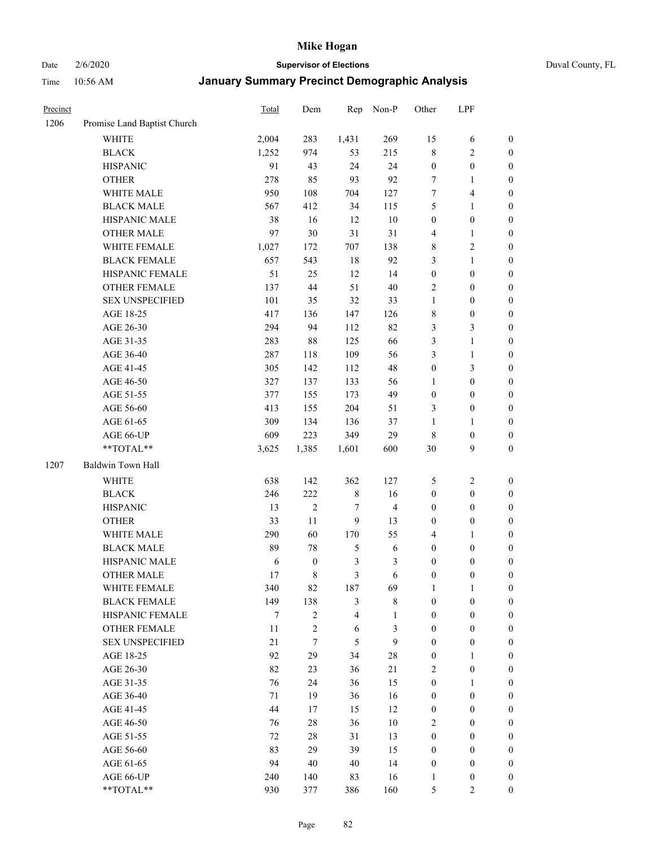Date 2/6/2020 **Supervisor of Elections** Duval County, FL

| Precinct |                             | Total | Dem              | Rep            | Non-P          | Other            | LPF              |                  |
|----------|-----------------------------|-------|------------------|----------------|----------------|------------------|------------------|------------------|
| 1206     | Promise Land Baptist Church |       |                  |                |                |                  |                  |                  |
|          | <b>WHITE</b>                | 2,004 | 283              | 1,431          | 269            | 15               | 6                | 0                |
|          | <b>BLACK</b>                | 1,252 | 974              | 53             | 215            | 8                | $\sqrt{2}$       | $\boldsymbol{0}$ |
|          | <b>HISPANIC</b>             | 91    | 43               | 24             | 24             | $\boldsymbol{0}$ | $\boldsymbol{0}$ | $\boldsymbol{0}$ |
|          | <b>OTHER</b>                | 278   | 85               | 93             | 92             | 7                | 1                | $\boldsymbol{0}$ |
|          | WHITE MALE                  | 950   | 108              | 704            | 127            | 7                | $\overline{4}$   | $\boldsymbol{0}$ |
|          | <b>BLACK MALE</b>           | 567   | 412              | 34             | 115            | 5                | $\mathbf{1}$     | $\boldsymbol{0}$ |
|          | HISPANIC MALE               | 38    | 16               | 12             | $10\,$         | $\boldsymbol{0}$ | $\boldsymbol{0}$ | $\boldsymbol{0}$ |
|          | <b>OTHER MALE</b>           | 97    | 30               | 31             | 31             | 4                | $\mathbf{1}$     | $\boldsymbol{0}$ |
|          | WHITE FEMALE                | 1,027 | 172              | 707            | 138            | 8                | $\sqrt{2}$       | $\boldsymbol{0}$ |
|          | <b>BLACK FEMALE</b>         | 657   | 543              | 18             | 92             | 3                | $\mathbf{1}$     | $\boldsymbol{0}$ |
|          | HISPANIC FEMALE             | 51    | 25               | 12             | 14             | $\boldsymbol{0}$ | $\boldsymbol{0}$ | $\boldsymbol{0}$ |
|          | <b>OTHER FEMALE</b>         | 137   | 44               | 51             | $40\,$         | $\overline{2}$   | $\boldsymbol{0}$ | $\boldsymbol{0}$ |
|          | <b>SEX UNSPECIFIED</b>      | 101   | 35               | 32             | 33             | $\mathbf{1}$     | $\boldsymbol{0}$ | $\boldsymbol{0}$ |
|          | AGE 18-25                   | 417   | 136              | 147            | 126            | 8                | $\boldsymbol{0}$ | $\boldsymbol{0}$ |
|          | AGE 26-30                   | 294   | 94               | 112            | 82             | 3                | $\mathfrak{Z}$   | $\boldsymbol{0}$ |
|          | AGE 31-35                   | 283   | $88\,$           | 125            | 66             | 3                | $\mathbf{1}$     | $\boldsymbol{0}$ |
|          | AGE 36-40                   | 287   | 118              | 109            | 56             | 3                | $\mathbf{1}$     | $\boldsymbol{0}$ |
|          | AGE 41-45                   | 305   | 142              | 112            | 48             | $\boldsymbol{0}$ | $\mathfrak{Z}$   | $\boldsymbol{0}$ |
|          | AGE 46-50                   | 327   | 137              | 133            | 56             | $\mathbf{1}$     | $\boldsymbol{0}$ | $\boldsymbol{0}$ |
|          | AGE 51-55                   | 377   | 155              | 173            | 49             | $\boldsymbol{0}$ | $\boldsymbol{0}$ | $\boldsymbol{0}$ |
|          | AGE 56-60                   | 413   | 155              | 204            | 51             | 3                | $\boldsymbol{0}$ | 0                |
|          | AGE 61-65                   | 309   | 134              | 136            | 37             | $\mathbf{1}$     | 1                | $\boldsymbol{0}$ |
|          | AGE 66-UP                   | 609   | 223              | 349            | 29             | 8                | $\boldsymbol{0}$ | $\boldsymbol{0}$ |
|          | **TOTAL**                   | 3,625 | 1,385            | 1,601          | 600            | 30               | 9                | $\boldsymbol{0}$ |
| 1207     | Baldwin Town Hall           |       |                  |                |                |                  |                  |                  |
|          | <b>WHITE</b>                | 638   | 142              | 362            | 127            | 5                | $\boldsymbol{2}$ | $\boldsymbol{0}$ |
|          | <b>BLACK</b>                | 246   | 222              | $\,$ 8 $\,$    | 16             | $\boldsymbol{0}$ | $\boldsymbol{0}$ | $\boldsymbol{0}$ |
|          | <b>HISPANIC</b>             | 13    | $\overline{2}$   | 7              | $\overline{4}$ | $\boldsymbol{0}$ | $\boldsymbol{0}$ | $\boldsymbol{0}$ |
|          | <b>OTHER</b>                | 33    | 11               | 9              | 13             | $\boldsymbol{0}$ | $\boldsymbol{0}$ | $\boldsymbol{0}$ |
|          | WHITE MALE                  | 290   | 60               | 170            | 55             | 4                | $\mathbf{1}$     | $\boldsymbol{0}$ |
|          | <b>BLACK MALE</b>           | 89    | 78               | $\mathfrak s$  | $\sqrt{6}$     | $\boldsymbol{0}$ | $\boldsymbol{0}$ | $\boldsymbol{0}$ |
|          | HISPANIC MALE               | 6     | $\boldsymbol{0}$ | $\mathfrak{Z}$ | 3              | $\boldsymbol{0}$ | $\boldsymbol{0}$ | $\boldsymbol{0}$ |
|          | <b>OTHER MALE</b>           | 17    | 8                | 3              | 6              | $\boldsymbol{0}$ | $\boldsymbol{0}$ | $\boldsymbol{0}$ |
|          | WHITE FEMALE                | 340   | 82               | 187            | 69             | 1                | 1                | 0                |
|          | <b>BLACK FEMALE</b>         | 149   | 138              | 3              | $\,$ 8 $\,$    | $\boldsymbol{0}$ | $\boldsymbol{0}$ | $\overline{0}$   |
|          | HISPANIC FEMALE             | 7     | $\overline{c}$   | $\overline{4}$ | $\mathbf{1}$   | $\boldsymbol{0}$ | $\boldsymbol{0}$ | $\overline{0}$   |
|          | <b>OTHER FEMALE</b>         | 11    | 2                | 6              | $\mathfrak{Z}$ | $\boldsymbol{0}$ | $\boldsymbol{0}$ | $\overline{0}$   |
|          | <b>SEX UNSPECIFIED</b>      | 21    | $\tau$           | 5              | 9              | $\boldsymbol{0}$ | $\boldsymbol{0}$ | $\overline{0}$   |
|          | AGE 18-25                   | 92    | 29               | 34             | $28\,$         | $\boldsymbol{0}$ | $\mathbf{1}$     | $\overline{0}$   |
|          | AGE 26-30                   | 82    | 23               | 36             | 21             | 2                | $\boldsymbol{0}$ | $\overline{0}$   |
|          | AGE 31-35                   | 76    | 24               | 36             | 15             | $\boldsymbol{0}$ | $\mathbf{1}$     | 0                |
|          | AGE 36-40                   | 71    | 19               | 36             | 16             | $\boldsymbol{0}$ | $\boldsymbol{0}$ | 0                |
|          | AGE 41-45                   | 44    | 17               | 15             | 12             | $\boldsymbol{0}$ | $\boldsymbol{0}$ | 0                |
|          | AGE 46-50                   | 76    | $28\,$           | 36             | $10\,$         | 2                | $\boldsymbol{0}$ | 0                |
|          | AGE 51-55                   | 72    | 28               | 31             | 13             | $\boldsymbol{0}$ | $\boldsymbol{0}$ | $\overline{0}$   |
|          | AGE 56-60                   | 83    | 29               | 39             | 15             | $\boldsymbol{0}$ | $\boldsymbol{0}$ | $\overline{0}$   |
|          | AGE 61-65                   | 94    | 40               | 40             | 14             | $\boldsymbol{0}$ | $\boldsymbol{0}$ | $\overline{0}$   |
|          | AGE 66-UP                   | 240   | 140              | 83             | 16             | $\mathbf{1}$     | $\boldsymbol{0}$ | $\boldsymbol{0}$ |
|          | **TOTAL**                   | 930   | 377              | 386            | 160            | 5                | $\overline{c}$   | $\boldsymbol{0}$ |
|          |                             |       |                  |                |                |                  |                  |                  |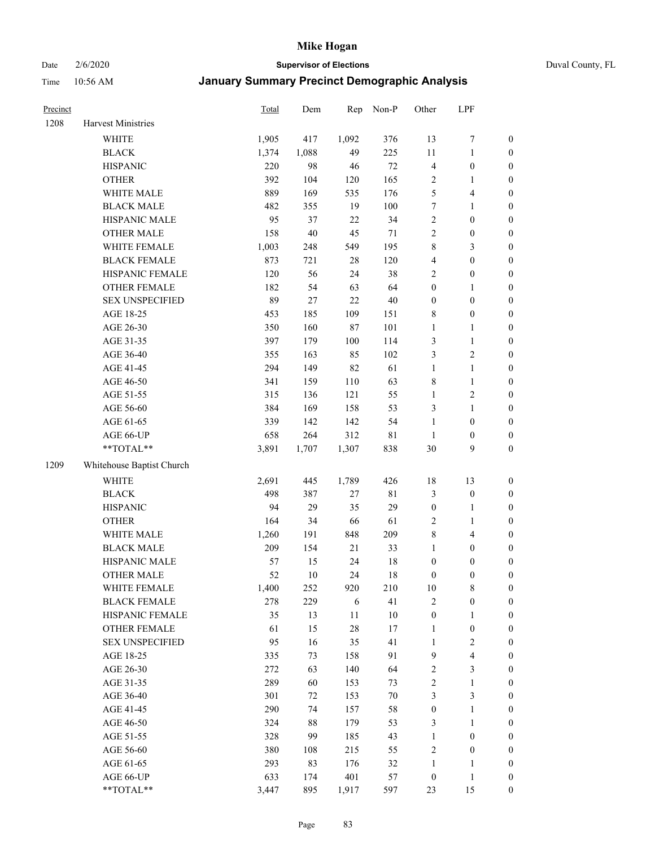# Date 2/6/2020 **Supervisor of Elections** Duval County, FL

| Precinct |                                     | Total | Dem      | Rep         | Non-P       | Other            | LPF                              |                  |
|----------|-------------------------------------|-------|----------|-------------|-------------|------------------|----------------------------------|------------------|
| 1208     | Harvest Ministries                  |       |          |             |             |                  |                                  |                  |
|          | <b>WHITE</b>                        | 1,905 | 417      | 1,092       | 376         | 13               | $\boldsymbol{7}$                 | 0                |
|          | <b>BLACK</b>                        | 1,374 | 1,088    | 49          | 225         | 11               | $\mathbf{1}$                     | $\boldsymbol{0}$ |
|          | <b>HISPANIC</b>                     | 220   | 98       | 46          | $72\,$      | 4                | $\boldsymbol{0}$                 | $\boldsymbol{0}$ |
|          | <b>OTHER</b>                        | 392   | 104      | 120         | 165         | 2                | 1                                | $\boldsymbol{0}$ |
|          | WHITE MALE                          | 889   | 169      | 535         | 176         | 5                | $\overline{4}$                   | $\boldsymbol{0}$ |
|          | <b>BLACK MALE</b>                   | 482   | 355      | 19          | 100         | $\boldsymbol{7}$ | $\mathbf{1}$                     | $\boldsymbol{0}$ |
|          | HISPANIC MALE                       | 95    | 37       | 22          | 34          | $\sqrt{2}$       | $\boldsymbol{0}$                 | $\boldsymbol{0}$ |
|          | <b>OTHER MALE</b>                   | 158   | 40       | 45          | 71          | 2                | $\boldsymbol{0}$                 | $\boldsymbol{0}$ |
|          | WHITE FEMALE                        | 1,003 | 248      | 549         | 195         | $\,$ $\,$        | $\mathfrak{Z}$                   | $\boldsymbol{0}$ |
|          | <b>BLACK FEMALE</b>                 | 873   | 721      | 28          | 120         | 4                | $\boldsymbol{0}$                 | $\boldsymbol{0}$ |
|          | HISPANIC FEMALE                     | 120   | 56       | 24          | 38          | $\overline{2}$   | $\boldsymbol{0}$                 | 0                |
|          | OTHER FEMALE                        | 182   | 54       | 63          | 64          | $\boldsymbol{0}$ | 1                                | $\boldsymbol{0}$ |
|          | <b>SEX UNSPECIFIED</b>              | 89    | 27       | 22          | $40\,$      | $\boldsymbol{0}$ | $\boldsymbol{0}$                 | $\boldsymbol{0}$ |
|          | AGE 18-25                           | 453   | 185      | 109         | 151         | 8                | $\boldsymbol{0}$                 | $\boldsymbol{0}$ |
|          | AGE 26-30                           | 350   | 160      | 87          | 101         | $\mathbf{1}$     | $\mathbf{1}$                     | $\boldsymbol{0}$ |
|          | AGE 31-35                           | 397   | 179      | 100         | 114         | 3                | $\mathbf{1}$                     | $\boldsymbol{0}$ |
|          | AGE 36-40                           | 355   | 163      | 85          | 102         | 3                | $\sqrt{2}$                       | $\boldsymbol{0}$ |
|          | AGE 41-45                           | 294   | 149      | 82          | 61          | $\mathbf{1}$     | $\mathbf{1}$                     | $\boldsymbol{0}$ |
|          | AGE 46-50                           | 341   | 159      | 110         | 63          | 8                | $\mathbf{1}$                     | $\boldsymbol{0}$ |
|          | AGE 51-55                           | 315   | 136      | 121         | 55          | $\mathbf{1}$     | $\sqrt{2}$                       | $\boldsymbol{0}$ |
|          | AGE 56-60                           | 384   | 169      | 158         | 53          | 3                | $\mathbf{1}$                     | 0                |
|          | AGE 61-65                           | 339   | 142      | 142         | 54          | $\mathbf{1}$     | $\boldsymbol{0}$                 | $\boldsymbol{0}$ |
|          | AGE 66-UP                           | 658   | 264      | 312         | $8\sqrt{1}$ | $\mathbf{1}$     | $\boldsymbol{0}$                 | $\boldsymbol{0}$ |
|          | **TOTAL**                           | 3,891 | 1,707    | 1,307       | 838         | 30               | 9                                | $\boldsymbol{0}$ |
| 1209     | Whitehouse Baptist Church           |       |          |             |             |                  |                                  |                  |
|          | <b>WHITE</b>                        | 2,691 | 445      | 1,789       | 426         | 18               | 13                               | $\boldsymbol{0}$ |
|          | <b>BLACK</b>                        | 498   | 387      | $27\,$      | 81          | 3                | $\boldsymbol{0}$                 | $\boldsymbol{0}$ |
|          | <b>HISPANIC</b>                     | 94    | 29       | 35          | 29          | $\boldsymbol{0}$ | $\mathbf{1}$                     | $\boldsymbol{0}$ |
|          | <b>OTHER</b>                        | 164   | 34       | 66          | 61          | $\sqrt{2}$       | $\mathbf{1}$                     | $\boldsymbol{0}$ |
|          | WHITE MALE                          | 1,260 | 191      | 848         | 209         | 8                | $\overline{4}$                   | $\boldsymbol{0}$ |
|          | <b>BLACK MALE</b>                   | 209   | 154      | 21          | 33          | $\mathbf{1}$     | $\boldsymbol{0}$                 | $\boldsymbol{0}$ |
|          | HISPANIC MALE                       | 57    | 15       | 24          | $18\,$      | $\boldsymbol{0}$ | $\boldsymbol{0}$                 | $\boldsymbol{0}$ |
|          | <b>OTHER MALE</b>                   | 52    | 10       | 24          | 18          | $\boldsymbol{0}$ | $\boldsymbol{0}$                 | $\boldsymbol{0}$ |
|          |                                     | 1,400 | 252      |             | 210         |                  | 8                                | 0                |
|          | WHITE FEMALE<br><b>BLACK FEMALE</b> | 278   | 229      | 920         | 41          | 10<br>2          |                                  | $\boldsymbol{0}$ |
|          | HISPANIC FEMALE                     | 35    | 13       | 6<br>$11\,$ | $10\,$      | $\boldsymbol{0}$ | $\boldsymbol{0}$<br>$\mathbf{1}$ | $\overline{0}$   |
|          | OTHER FEMALE                        | 61    | 15       | 28          | 17          | $\mathbf{1}$     | $\boldsymbol{0}$                 | $\overline{0}$   |
|          | <b>SEX UNSPECIFIED</b>              | 95    | 16       | 35          | 41          | $\mathbf{1}$     | $\overline{2}$                   | 0                |
|          | AGE 18-25                           | 335   | 73       | 158         | 91          | 9                | $\overline{\mathbf{4}}$          | 0                |
|          | AGE 26-30                           | 272   | 63       | 140         | 64          | 2                | $\mathfrak{Z}$                   | 0                |
|          | AGE 31-35                           | 289   | 60       | 153         | 73          | $\overline{c}$   | $\mathbf{1}$                     | 0                |
|          | AGE 36-40                           | 301   |          | 153         | $70\,$      | 3                | $\mathfrak{Z}$                   |                  |
|          | AGE 41-45                           | 290   | 72<br>74 | 157         | 58          | $\boldsymbol{0}$ | $\mathbf{1}$                     | 0<br>0           |
|          |                                     |       |          |             |             |                  |                                  |                  |
|          | AGE 46-50                           | 324   | 88       | 179         | 53          | 3                | $\mathbf{1}$                     | 0                |
|          | AGE 51-55                           | 328   | 99       | 185         | 43          | $\mathbf{1}$     | $\boldsymbol{0}$                 | 0                |
|          | AGE 56-60                           | 380   | 108      | 215         | 55          | $\overline{c}$   | $\boldsymbol{0}$                 | $\overline{0}$   |
|          | AGE 61-65                           | 293   | 83       | 176         | 32          | $\mathbf{1}$     | 1                                | $\boldsymbol{0}$ |
|          | AGE 66-UP                           | 633   | 174      | 401         | 57          | $\boldsymbol{0}$ | $\mathbf{1}$                     | $\boldsymbol{0}$ |
|          | **TOTAL**                           | 3,447 | 895      | 1,917       | 597         | 23               | 15                               | $\boldsymbol{0}$ |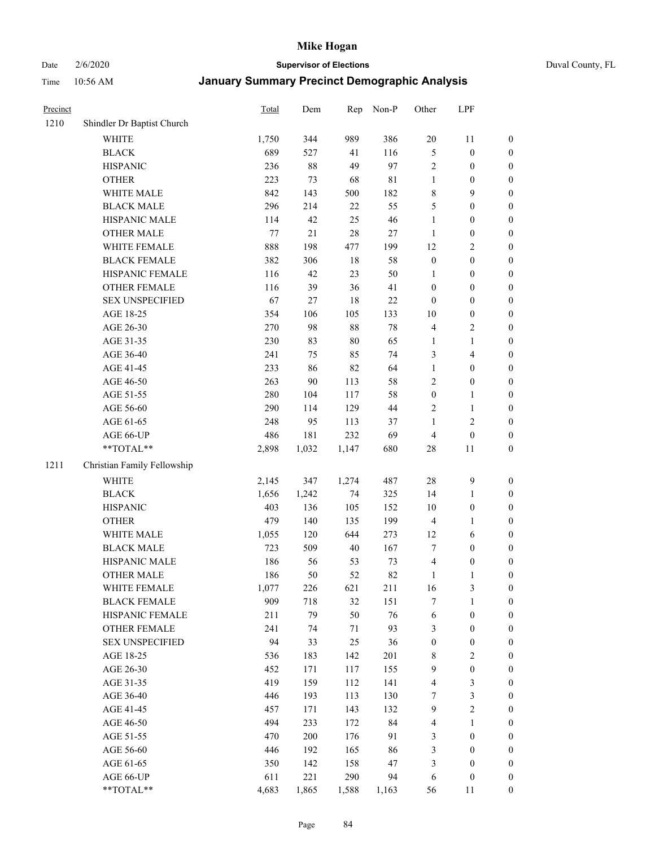# Date 2/6/2020 **Supervisor of Elections** Duval County, FL

| Precinct |                             | Total | Dem    | Rep   | Non-P       | Other            | LPF                      |                  |
|----------|-----------------------------|-------|--------|-------|-------------|------------------|--------------------------|------------------|
| 1210     | Shindler Dr Baptist Church  |       |        |       |             |                  |                          |                  |
|          | <b>WHITE</b>                | 1,750 | 344    | 989   | 386         | $20\,$           | 11                       | 0                |
|          | <b>BLACK</b>                | 689   | 527    | 41    | 116         | 5                | $\boldsymbol{0}$         | $\boldsymbol{0}$ |
|          | <b>HISPANIC</b>             | 236   | $88\,$ | 49    | 97          | 2                | $\boldsymbol{0}$         | $\boldsymbol{0}$ |
|          | <b>OTHER</b>                | 223   | 73     | 68    | $8\sqrt{1}$ | $\mathbf{1}$     | $\boldsymbol{0}$         | $\boldsymbol{0}$ |
|          | WHITE MALE                  | 842   | 143    | 500   | 182         | 8                | 9                        | $\boldsymbol{0}$ |
|          | <b>BLACK MALE</b>           | 296   | 214    | 22    | 55          | 5                | $\boldsymbol{0}$         | $\boldsymbol{0}$ |
|          | HISPANIC MALE               | 114   | 42     | 25    | 46          | $\mathbf{1}$     | $\boldsymbol{0}$         | $\boldsymbol{0}$ |
|          | <b>OTHER MALE</b>           | 77    | $21\,$ | 28    | $27\,$      | $\mathbf{1}$     | $\boldsymbol{0}$         | $\boldsymbol{0}$ |
|          | WHITE FEMALE                | 888   | 198    | 477   | 199         | 12               | $\sqrt{2}$               | $\boldsymbol{0}$ |
|          | <b>BLACK FEMALE</b>         | 382   | 306    | 18    | 58          | $\boldsymbol{0}$ | $\boldsymbol{0}$         | $\boldsymbol{0}$ |
|          | HISPANIC FEMALE             | 116   | 42     | 23    | 50          | 1                | $\boldsymbol{0}$         | $\boldsymbol{0}$ |
|          | <b>OTHER FEMALE</b>         | 116   | 39     | 36    | 41          | $\boldsymbol{0}$ | $\boldsymbol{0}$         | $\boldsymbol{0}$ |
|          | <b>SEX UNSPECIFIED</b>      | 67    | 27     | 18    | $22\,$      | $\boldsymbol{0}$ | $\boldsymbol{0}$         | $\boldsymbol{0}$ |
|          | AGE 18-25                   | 354   | 106    | 105   | 133         | $10\,$           | $\boldsymbol{0}$         | $\boldsymbol{0}$ |
|          | AGE 26-30                   | 270   | 98     | 88    | $78\,$      | 4                | $\sqrt{2}$               | $\boldsymbol{0}$ |
|          | AGE 31-35                   | 230   | 83     | 80    | 65          | $\mathbf{1}$     | $\mathbf{1}$             | $\boldsymbol{0}$ |
|          | AGE 36-40                   | 241   | 75     | 85    | 74          | 3                | $\overline{\mathcal{A}}$ | $\boldsymbol{0}$ |
|          | AGE 41-45                   | 233   | 86     | 82    | 64          | $\mathbf{1}$     | $\boldsymbol{0}$         | $\boldsymbol{0}$ |
|          | AGE 46-50                   | 263   | 90     | 113   | 58          | 2                | $\boldsymbol{0}$         | $\boldsymbol{0}$ |
|          | AGE 51-55                   | 280   | 104    | 117   | 58          | $\boldsymbol{0}$ | 1                        | $\boldsymbol{0}$ |
|          | AGE 56-60                   | 290   | 114    | 129   | 44          | 2                | $\mathbf{1}$             | 0                |
|          | AGE 61-65                   | 248   | 95     | 113   | 37          | 1                | $\sqrt{2}$               | $\boldsymbol{0}$ |
|          | AGE 66-UP                   | 486   | 181    | 232   | 69          | 4                | $\boldsymbol{0}$         | $\boldsymbol{0}$ |
|          | **TOTAL**                   | 2,898 | 1,032  | 1,147 | 680         | 28               | 11                       | $\boldsymbol{0}$ |
| 1211     | Christian Family Fellowship |       |        |       |             |                  |                          |                  |
|          | <b>WHITE</b>                | 2,145 | 347    | 1,274 | 487         | 28               | $\boldsymbol{9}$         | $\boldsymbol{0}$ |
|          | <b>BLACK</b>                | 1,656 | 1,242  | 74    | 325         | 14               | $\mathbf{1}$             | $\boldsymbol{0}$ |
|          | <b>HISPANIC</b>             | 403   | 136    | 105   | 152         | 10               | $\boldsymbol{0}$         | $\boldsymbol{0}$ |
|          | <b>OTHER</b>                | 479   | 140    | 135   | 199         | 4                | $\mathbf{1}$             | $\boldsymbol{0}$ |
|          | WHITE MALE                  | 1,055 | 120    | 644   | 273         | 12               | 6                        | $\boldsymbol{0}$ |
|          | <b>BLACK MALE</b>           | 723   | 509    | 40    | 167         | 7                | $\boldsymbol{0}$         | $\boldsymbol{0}$ |
|          | HISPANIC MALE               | 186   | 56     | 53    | 73          | 4                | $\boldsymbol{0}$         | $\boldsymbol{0}$ |
|          | <b>OTHER MALE</b>           | 186   | 50     | 52    | 82          | $\mathbf{1}$     | $\mathbf{1}$             | $\boldsymbol{0}$ |
|          | WHITE FEMALE                | 1,077 | 226    | 621   | 211         | 16               | 3                        | 0                |
|          | <b>BLACK FEMALE</b>         | 909   | 718    | 32    | 151         | 7                | $\mathbf{1}$             | $\boldsymbol{0}$ |
|          | HISPANIC FEMALE             | 211   | 79     | 50    | 76          | 6                | $\boldsymbol{0}$         | $\overline{0}$   |
|          | <b>OTHER FEMALE</b>         | 241   | 74     | 71    | 93          | 3                | $\boldsymbol{0}$         | 0                |
|          | <b>SEX UNSPECIFIED</b>      | 94    | 33     | 25    | 36          | $\boldsymbol{0}$ | $\boldsymbol{0}$         | 0                |
|          | AGE 18-25                   | 536   | 183    | 142   | 201         | 8                | $\sqrt{2}$               | 0                |
|          | AGE 26-30                   | 452   | 171    | 117   | 155         | 9                | $\boldsymbol{0}$         | 0                |
|          | AGE 31-35                   | 419   | 159    | 112   | 141         | 4                | $\mathfrak z$            | 0                |
|          | AGE 36-40                   | 446   | 193    | 113   | 130         | 7                | $\sqrt{3}$               | 0                |
|          | AGE 41-45                   | 457   | 171    | 143   | 132         | 9                | $\sqrt{2}$               | 0                |
|          | AGE 46-50                   | 494   | 233    | 172   | 84          | 4                | $\mathbf{1}$             | 0                |
|          | AGE 51-55                   | 470   | 200    | 176   | 91          | 3                | $\boldsymbol{0}$         | 0                |
|          | AGE 56-60                   | 446   | 192    | 165   | 86          | 3                | $\boldsymbol{0}$         | 0                |
|          | AGE 61-65                   | 350   | 142    | 158   | 47          | 3                | $\boldsymbol{0}$         | 0                |
|          | AGE 66-UP                   | 611   | 221    | 290   | 94          | 6                | $\boldsymbol{0}$         | 0                |
|          | **TOTAL**                   | 4,683 | 1,865  | 1,588 | 1,163       | 56               | 11                       | $\boldsymbol{0}$ |
|          |                             |       |        |       |             |                  |                          |                  |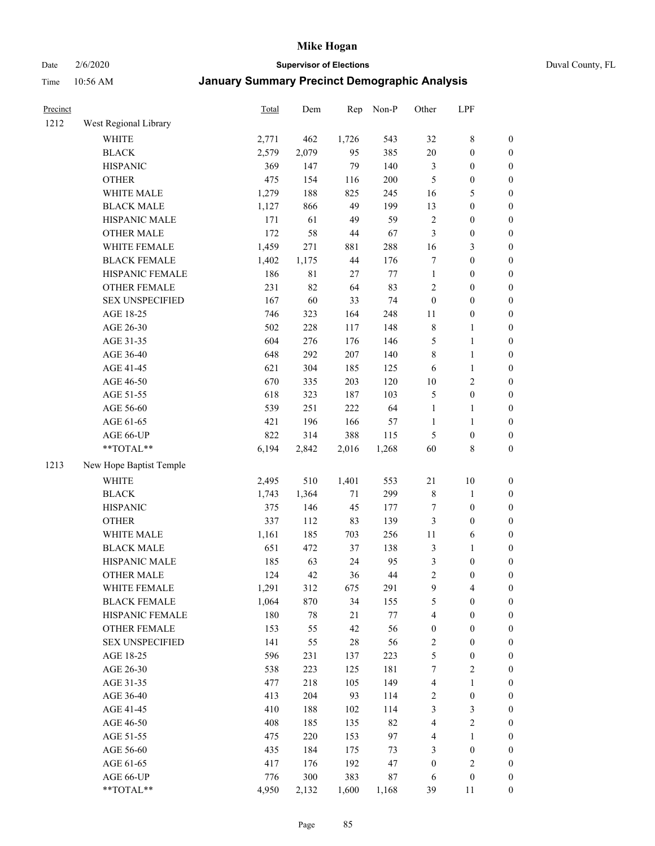# Date 2/6/2020 **Supervisor of Elections** Duval County, FL

| Precinct |                         | <b>Total</b> | Dem    | Rep    | Non-P  | Other                   | LPF              |                  |
|----------|-------------------------|--------------|--------|--------|--------|-------------------------|------------------|------------------|
| 1212     | West Regional Library   |              |        |        |        |                         |                  |                  |
|          | <b>WHITE</b>            | 2,771        | 462    | 1,726  | 543    | 32                      | $\,$ 8 $\,$      | 0                |
|          | <b>BLACK</b>            | 2,579        | 2,079  | 95     | 385    | $20\,$                  | $\boldsymbol{0}$ | $\boldsymbol{0}$ |
|          | <b>HISPANIC</b>         | 369          | 147    | 79     | 140    | 3                       | $\boldsymbol{0}$ | $\boldsymbol{0}$ |
|          | <b>OTHER</b>            | 475          | 154    | 116    | 200    | 5                       | $\boldsymbol{0}$ | $\boldsymbol{0}$ |
|          | WHITE MALE              | 1,279        | 188    | 825    | 245    | 16                      | 5                | $\boldsymbol{0}$ |
|          | <b>BLACK MALE</b>       | 1,127        | 866    | 49     | 199    | 13                      | $\boldsymbol{0}$ | $\boldsymbol{0}$ |
|          | HISPANIC MALE           | 171          | 61     | 49     | 59     | $\sqrt{2}$              | $\boldsymbol{0}$ | $\boldsymbol{0}$ |
|          | <b>OTHER MALE</b>       | 172          | 58     | $44\,$ | 67     | 3                       | $\boldsymbol{0}$ | $\boldsymbol{0}$ |
|          | WHITE FEMALE            | 1,459        | 271    | 881    | 288    | 16                      | $\mathfrak{Z}$   | $\boldsymbol{0}$ |
|          | <b>BLACK FEMALE</b>     | 1,402        | 1,175  | 44     | 176    | 7                       | $\boldsymbol{0}$ | $\boldsymbol{0}$ |
|          | HISPANIC FEMALE         | 186          | 81     | 27     | $77\,$ | $\mathbf{1}$            | $\boldsymbol{0}$ | 0                |
|          | OTHER FEMALE            | 231          | 82     | 64     | 83     | $\overline{2}$          | $\boldsymbol{0}$ | $\boldsymbol{0}$ |
|          | <b>SEX UNSPECIFIED</b>  | 167          | 60     | 33     | 74     | $\boldsymbol{0}$        | $\boldsymbol{0}$ | $\boldsymbol{0}$ |
|          | AGE 18-25               | 746          | 323    | 164    | 248    | $11\,$                  | $\boldsymbol{0}$ | $\boldsymbol{0}$ |
|          | AGE 26-30               | 502          | 228    | 117    | 148    | 8                       | $\mathbf{1}$     | $\boldsymbol{0}$ |
|          | AGE 31-35               | 604          | 276    | 176    | 146    | 5                       | $\mathbf{1}$     | $\boldsymbol{0}$ |
|          | AGE 36-40               | 648          | 292    | 207    | 140    | 8                       | $\mathbf{1}$     | $\boldsymbol{0}$ |
|          | AGE 41-45               | 621          | 304    | 185    | 125    | 6                       | $\mathbf{1}$     | $\boldsymbol{0}$ |
|          | AGE 46-50               | 670          | 335    | 203    | 120    | $10\,$                  | $\sqrt{2}$       | $\boldsymbol{0}$ |
|          | AGE 51-55               | 618          | 323    | 187    | 103    | 5                       | $\boldsymbol{0}$ | $\boldsymbol{0}$ |
|          | AGE 56-60               | 539          | 251    | 222    | 64     | $\mathbf{1}$            | 1                | 0                |
|          | AGE 61-65               | 421          | 196    | 166    | 57     | $\mathbf{1}$            | $\mathbf{1}$     | 0                |
|          | AGE 66-UP               | 822          | 314    | 388    | 115    | 5                       | $\boldsymbol{0}$ | $\boldsymbol{0}$ |
|          | **TOTAL**               | 6,194        | 2,842  | 2,016  | 1,268  | 60                      | $\,$ 8 $\,$      | $\boldsymbol{0}$ |
| 1213     | New Hope Baptist Temple |              |        |        |        |                         |                  |                  |
|          | <b>WHITE</b>            | 2,495        | 510    | 1,401  | 553    | 21                      | $10\,$           | $\boldsymbol{0}$ |
|          | <b>BLACK</b>            | 1,743        | 1,364  | 71     | 299    | $\,$ $\,$               | $\mathbf{1}$     | $\boldsymbol{0}$ |
|          | <b>HISPANIC</b>         | 375          | 146    | 45     | 177    | 7                       | $\boldsymbol{0}$ | $\boldsymbol{0}$ |
|          | <b>OTHER</b>            | 337          | 112    | 83     | 139    | 3                       | $\boldsymbol{0}$ | $\boldsymbol{0}$ |
|          | WHITE MALE              | 1,161        | 185    | 703    | 256    | $11\,$                  | 6                | $\boldsymbol{0}$ |
|          | <b>BLACK MALE</b>       | 651          | 472    | 37     | 138    | 3                       | $\mathbf{1}$     | $\boldsymbol{0}$ |
|          | HISPANIC MALE           | 185          | 63     | 24     | 95     | 3                       | $\boldsymbol{0}$ | $\boldsymbol{0}$ |
|          | <b>OTHER MALE</b>       | 124          | 42     | 36     | $44\,$ | $\overline{c}$          | $\boldsymbol{0}$ | $\boldsymbol{0}$ |
|          | WHITE FEMALE            | 1,291        | 312    | 675    | 291    | 9                       | 4                | 0                |
|          | <b>BLACK FEMALE</b>     | 1,064        | 870    | 34     | 155    | 5                       | $\boldsymbol{0}$ | $\boldsymbol{0}$ |
|          | HISPANIC FEMALE         | 180          | $78\,$ | 21     | $77\,$ | 4                       | $\boldsymbol{0}$ | $\overline{0}$   |
|          | OTHER FEMALE            | 153          | 55     | 42     | 56     | $\boldsymbol{0}$        | $\boldsymbol{0}$ | $\overline{0}$   |
|          | <b>SEX UNSPECIFIED</b>  | 141          | 55     | 28     | 56     | 2                       | $\boldsymbol{0}$ | 0                |
|          | AGE 18-25               | 596          | 231    | 137    | 223    | 5                       | $\boldsymbol{0}$ | 0                |
|          | AGE 26-30               | 538          | 223    | 125    | 181    | 7                       | $\sqrt{2}$       | 0                |
|          | AGE 31-35               | 477          | 218    | 105    | 149    | 4                       | $\mathbf{1}$     | 0                |
|          | AGE 36-40               | 413          | 204    | 93     | 114    | $\overline{\mathbf{c}}$ | $\boldsymbol{0}$ | 0                |
|          | AGE 41-45               | 410          | 188    | 102    | 114    | 3                       | 3                | 0                |
|          | AGE 46-50               | 408          | 185    | 135    | 82     | 4                       | $\sqrt{2}$       | 0                |
|          | AGE 51-55               | 475          | 220    | 153    | 97     | 4                       | $\mathbf{1}$     | 0                |
|          | AGE 56-60               | 435          | 184    | 175    | 73     | 3                       | $\boldsymbol{0}$ | 0                |
|          | AGE 61-65               | 417          | 176    | 192    | 47     | $\boldsymbol{0}$        | $\sqrt{2}$       | 0                |
|          | AGE 66-UP               | 776          | 300    | 383    | $87\,$ | 6                       | $\boldsymbol{0}$ | 0                |
|          | **TOTAL**               | 4,950        | 2,132  | 1,600  | 1,168  | 39                      | 11               | $\boldsymbol{0}$ |
|          |                         |              |        |        |        |                         |                  |                  |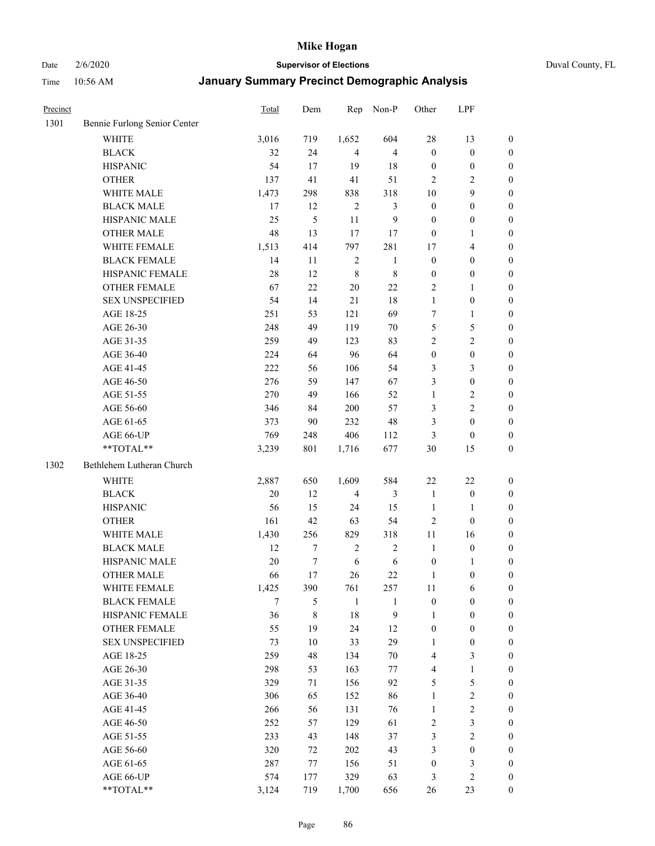Date 2/6/2020 **Supervisor of Elections** Duval County, FL

| Precinct |                              | <b>Total</b> | Dem    | Rep            | Non-P          | Other            | LPF                     |                  |
|----------|------------------------------|--------------|--------|----------------|----------------|------------------|-------------------------|------------------|
| 1301     | Bennie Furlong Senior Center |              |        |                |                |                  |                         |                  |
|          | <b>WHITE</b>                 | 3,016        | 719    | 1,652          | 604            | 28               | 13                      | 0                |
|          | <b>BLACK</b>                 | 32           | 24     | $\overline{4}$ | $\overline{4}$ | $\boldsymbol{0}$ | $\boldsymbol{0}$        | $\boldsymbol{0}$ |
|          | <b>HISPANIC</b>              | 54           | 17     | 19             | 18             | $\boldsymbol{0}$ | $\boldsymbol{0}$        | $\boldsymbol{0}$ |
|          | <b>OTHER</b>                 | 137          | 41     | 41             | 51             | 2                | $\overline{c}$          | $\boldsymbol{0}$ |
|          | WHITE MALE                   | 1,473        | 298    | 838            | 318            | 10               | 9                       | $\boldsymbol{0}$ |
|          | <b>BLACK MALE</b>            | 17           | 12     | $\sqrt{2}$     | $\mathfrak{Z}$ | $\boldsymbol{0}$ | $\boldsymbol{0}$        | $\boldsymbol{0}$ |
|          | HISPANIC MALE                | 25           | 5      | 11             | 9              | $\boldsymbol{0}$ | $\boldsymbol{0}$        | $\boldsymbol{0}$ |
|          | <b>OTHER MALE</b>            | 48           | 13     | 17             | 17             | $\boldsymbol{0}$ | $\mathbf{1}$            | $\boldsymbol{0}$ |
|          | WHITE FEMALE                 | 1,513        | 414    | 797            | 281            | 17               | $\overline{\mathbf{4}}$ | $\boldsymbol{0}$ |
|          | <b>BLACK FEMALE</b>          | 14           | 11     | $\sqrt{2}$     | $\mathbf{1}$   | $\boldsymbol{0}$ | $\boldsymbol{0}$        | 0                |
|          | HISPANIC FEMALE              | 28           | 12     | $\,8\,$        | $\,$ 8 $\,$    | $\boldsymbol{0}$ | $\boldsymbol{0}$        | 0                |
|          | <b>OTHER FEMALE</b>          | 67           | 22     | 20             | 22             | $\overline{2}$   | 1                       | $\boldsymbol{0}$ |
|          | <b>SEX UNSPECIFIED</b>       | 54           | 14     | 21             | 18             | $\mathbf{1}$     | $\boldsymbol{0}$        | $\boldsymbol{0}$ |
|          | AGE 18-25                    | 251          | 53     | 121            | 69             | 7                | $\mathbf{1}$            | $\boldsymbol{0}$ |
|          | AGE 26-30                    | 248          | 49     | 119            | 70             | 5                | $\mathfrak s$           | $\boldsymbol{0}$ |
|          | AGE 31-35                    | 259          | 49     | 123            | 83             | $\overline{c}$   | $\sqrt{2}$              | $\boldsymbol{0}$ |
|          | AGE 36-40                    | 224          | 64     | 96             | 64             | $\boldsymbol{0}$ | $\boldsymbol{0}$        | $\boldsymbol{0}$ |
|          | AGE 41-45                    | 222          | 56     | 106            | 54             | 3                | $\mathfrak{Z}$          | $\boldsymbol{0}$ |
|          | AGE 46-50                    | 276          | 59     | 147            | 67             | 3                | $\boldsymbol{0}$        | $\boldsymbol{0}$ |
|          | AGE 51-55                    | 270          | 49     | 166            | 52             | $\mathbf{1}$     | $\sqrt{2}$              | $\boldsymbol{0}$ |
|          | AGE 56-60                    | 346          | 84     | 200            | 57             | 3                | $\overline{2}$          | 0                |
|          | AGE 61-65                    | 373          | 90     | 232            | 48             | 3                | $\boldsymbol{0}$        | 0                |
|          | AGE 66-UP                    | 769          | 248    | 406            | 112            | 3                | $\boldsymbol{0}$        | $\boldsymbol{0}$ |
|          | **TOTAL**                    | 3,239        | 801    | 1,716          | 677            | 30               | 15                      | $\boldsymbol{0}$ |
| 1302     | Bethlehem Lutheran Church    |              |        |                |                |                  |                         |                  |
|          | <b>WHITE</b>                 | 2,887        | 650    | 1,609          | 584            | 22               | $22\,$                  | $\boldsymbol{0}$ |
|          | <b>BLACK</b>                 | $20\,$       | 12     | $\overline{4}$ | $\mathfrak{Z}$ | $\mathbf{1}$     | $\boldsymbol{0}$        | $\boldsymbol{0}$ |
|          | <b>HISPANIC</b>              | 56           | 15     | 24             | 15             | $\mathbf{1}$     | $\mathbf{1}$            | $\boldsymbol{0}$ |
|          | <b>OTHER</b>                 | 161          | 42     | 63             | 54             | $\overline{c}$   | $\boldsymbol{0}$        | $\boldsymbol{0}$ |
|          | WHITE MALE                   | 1,430        | 256    | 829            | 318            | $11\,$           | 16                      | $\boldsymbol{0}$ |
|          | <b>BLACK MALE</b>            | 12           | $\tau$ | $\sqrt{2}$     | $\overline{2}$ | $\mathbf{1}$     | $\boldsymbol{0}$        | $\boldsymbol{0}$ |
|          | HISPANIC MALE                | $20\,$       | $\tau$ | 6              | $\sqrt{6}$     | $\boldsymbol{0}$ | 1                       | 0                |
|          | <b>OTHER MALE</b>            | 66           | 17     | 26             | 22             | $\mathbf{1}$     | $\boldsymbol{0}$        | $\boldsymbol{0}$ |
|          | WHITE FEMALE                 | 1,425        | 390    | 761            | 257            | 11               | 6                       | 0                |
|          | <b>BLACK FEMALE</b>          | 7            | 5      | $\mathbf{1}$   | 1              | $\boldsymbol{0}$ | $\boldsymbol{0}$        | $\boldsymbol{0}$ |
|          | HISPANIC FEMALE              | 36           | 8      | 18             | 9              | 1                | $\boldsymbol{0}$        | $\overline{0}$   |
|          | <b>OTHER FEMALE</b>          | 55           | 19     | 24             | 12             | $\boldsymbol{0}$ | $\boldsymbol{0}$        | $\overline{0}$   |
|          | <b>SEX UNSPECIFIED</b>       | 73           | 10     | 33             | 29             | 1                | $\boldsymbol{0}$        | 0                |
|          | AGE 18-25                    | 259          | 48     | 134            | $70\,$         | 4                | $\mathfrak{Z}$          | $\overline{0}$   |
|          | AGE 26-30                    | 298          | 53     | 163            | 77             | $\overline{4}$   | $\mathbf{1}$            | $\overline{0}$   |
|          | AGE 31-35                    | 329          | 71     | 156            | 92             | 5                | $\sqrt{5}$              | 0                |
|          | AGE 36-40                    | 306          | 65     | 152            | 86             | $\mathbf{1}$     | $\sqrt{2}$              | 0                |
|          | AGE 41-45                    | 266          | 56     | 131            | 76             | $\mathbf{1}$     | $\sqrt{2}$              | 0                |
|          | AGE 46-50                    | 252          | 57     | 129            | 61             | 2                | $\mathfrak{Z}$          | 0                |
|          | AGE 51-55                    | 233          | 43     | 148            | 37             | 3                | $\overline{2}$          | $\overline{0}$   |
|          | AGE 56-60                    | 320          | 72     | 202            | 43             | 3                | $\boldsymbol{0}$        | $\overline{0}$   |
|          | AGE 61-65                    | 287          | 77     | 156            | 51             | $\boldsymbol{0}$ | $\mathfrak{Z}$          | $\overline{0}$   |
|          | AGE 66-UP                    | 574          | 177    | 329            | 63             | 3                | $\overline{2}$          | $\boldsymbol{0}$ |
|          | **TOTAL**                    | 3,124        | 719    | 1,700          | 656            | 26               | 23                      | $\boldsymbol{0}$ |
|          |                              |              |        |                |                |                  |                         |                  |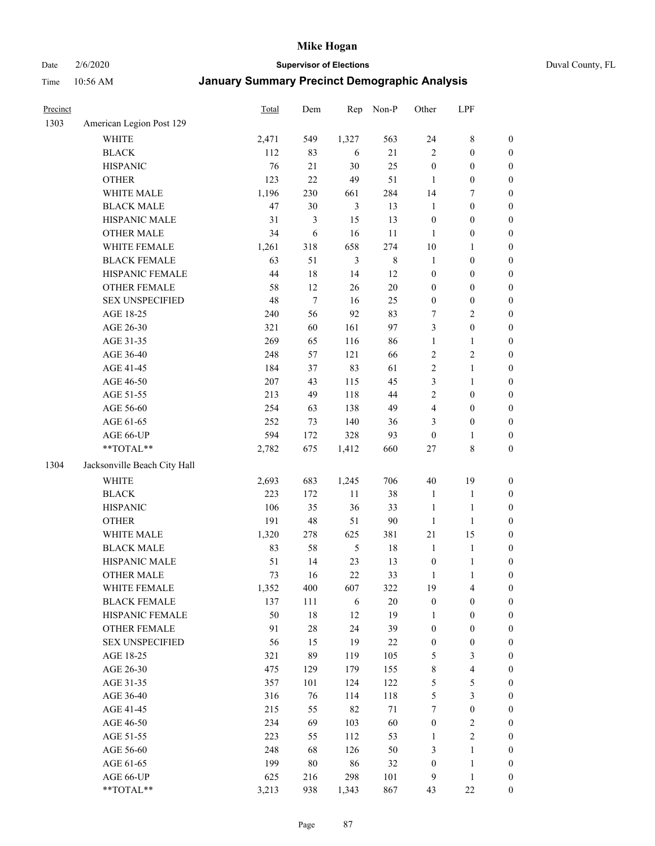Date 2/6/2020 **Supervisor of Elections** Duval County, FL

| Precinct |                                        | Total   | Dem            | Rep            | Non-P       | Other            | LPF                     |                  |
|----------|----------------------------------------|---------|----------------|----------------|-------------|------------------|-------------------------|------------------|
| 1303     | American Legion Post 129               |         |                |                |             |                  |                         |                  |
|          | <b>WHITE</b>                           | 2,471   | 549            | 1,327          | 563         | 24               | $\,$ 8 $\,$             | 0                |
|          | <b>BLACK</b>                           | 112     | 83             | 6              | 21          | $\overline{c}$   | $\boldsymbol{0}$        | $\boldsymbol{0}$ |
|          | <b>HISPANIC</b>                        | 76      | 21             | 30             | 25          | $\boldsymbol{0}$ | $\boldsymbol{0}$        | $\boldsymbol{0}$ |
|          | <b>OTHER</b>                           | 123     | 22             | 49             | 51          | 1                | $\boldsymbol{0}$        | $\boldsymbol{0}$ |
|          | WHITE MALE                             | 1,196   | 230            | 661            | 284         | 14               | 7                       | $\boldsymbol{0}$ |
|          | <b>BLACK MALE</b>                      | 47      | 30             | $\mathfrak{Z}$ | 13          | $\mathbf{1}$     | $\boldsymbol{0}$        | $\boldsymbol{0}$ |
|          | HISPANIC MALE                          | 31      | $\mathfrak{Z}$ | 15             | 13          | $\boldsymbol{0}$ | $\boldsymbol{0}$        | $\boldsymbol{0}$ |
|          | <b>OTHER MALE</b>                      | 34      | 6              | 16             | 11          | $\mathbf{1}$     | $\boldsymbol{0}$        | $\boldsymbol{0}$ |
|          | WHITE FEMALE                           | 1,261   | 318            | 658            | 274         | $10\,$           | 1                       | $\boldsymbol{0}$ |
|          | <b>BLACK FEMALE</b>                    | 63      | 51             | $\mathfrak{Z}$ | $\,$ 8 $\,$ | $\mathbf{1}$     | $\boldsymbol{0}$        | $\boldsymbol{0}$ |
|          | HISPANIC FEMALE                        | 44      | 18             | 14             | 12          | $\boldsymbol{0}$ | $\boldsymbol{0}$        | $\boldsymbol{0}$ |
|          | OTHER FEMALE                           | 58      | 12             | 26             | $20\,$      | $\boldsymbol{0}$ | $\boldsymbol{0}$        | $\boldsymbol{0}$ |
|          | <b>SEX UNSPECIFIED</b>                 | 48      | $\tau$         | 16             | 25          | $\boldsymbol{0}$ | $\boldsymbol{0}$        | $\boldsymbol{0}$ |
|          | AGE 18-25                              | 240     | 56             | 92             | 83          | 7                | $\sqrt{2}$              | $\boldsymbol{0}$ |
|          | AGE 26-30                              | 321     | 60             | 161            | 97          | 3                | $\boldsymbol{0}$        | $\boldsymbol{0}$ |
|          | AGE 31-35                              | 269     | 65             | 116            | 86          | $\mathbf{1}$     | $\mathbf{1}$            | $\boldsymbol{0}$ |
|          | AGE 36-40                              | 248     | 57             | 121            | 66          | $\overline{c}$   | $\sqrt{2}$              | $\boldsymbol{0}$ |
|          | AGE 41-45                              | 184     | 37             | 83             | 61          | $\overline{c}$   | $\mathbf{1}$            | $\boldsymbol{0}$ |
|          | AGE 46-50                              | $207\,$ | 43             | 115            | 45          | 3                | $\mathbf{1}$            | $\boldsymbol{0}$ |
|          | AGE 51-55                              | 213     | 49             | 118            | 44          | 2                | $\boldsymbol{0}$        | $\boldsymbol{0}$ |
|          | AGE 56-60                              | 254     | 63             | 138            | 49          | 4                | $\boldsymbol{0}$        | 0                |
|          | AGE 61-65                              | 252     | 73             | 140            | 36          | 3                | $\boldsymbol{0}$        | $\boldsymbol{0}$ |
|          | AGE 66-UP                              | 594     | 172            | 328            | 93          | $\boldsymbol{0}$ | 1                       | $\boldsymbol{0}$ |
|          | $\mathrm{*}\mathrm{*} \mathrm{TOTAL}*$ | 2,782   | 675            | 1,412          | 660         | $27\,$           | $\,$ 8 $\,$             | $\boldsymbol{0}$ |
| 1304     | Jacksonville Beach City Hall           |         |                |                |             |                  |                         |                  |
|          | <b>WHITE</b>                           | 2,693   | 683            | 1,245          | 706         | $40\,$           | 19                      | $\boldsymbol{0}$ |
|          | <b>BLACK</b>                           | 223     | 172            | $11\,$         | 38          | $\mathbf{1}$     | $\mathbf{1}$            | $\boldsymbol{0}$ |
|          | <b>HISPANIC</b>                        | 106     | 35             | 36             | 33          | $\mathbf{1}$     | $\mathbf{1}$            | $\boldsymbol{0}$ |
|          | <b>OTHER</b>                           | 191     | 48             | 51             | $90\,$      | $\mathbf{1}$     | $\mathbf{1}$            | $\boldsymbol{0}$ |
|          | WHITE MALE                             | 1,320   | 278            | 625            | 381         | 21               | 15                      | $\boldsymbol{0}$ |
|          | <b>BLACK MALE</b>                      | 83      | 58             | $\sqrt{5}$     | 18          | $\mathbf{1}$     | $\mathbf{1}$            | $\boldsymbol{0}$ |
|          | HISPANIC MALE                          | 51      | 14             | 23             | 13          | $\boldsymbol{0}$ | $\mathbf{1}$            | 0                |
|          | <b>OTHER MALE</b>                      | 73      | 16             | 22             | 33          | $\mathbf{1}$     | $\mathbf{1}$            | $\boldsymbol{0}$ |
|          | WHITE FEMALE                           | 1,352   | 400            | 607            | 322         | 19               | 4                       | 0                |
|          | <b>BLACK FEMALE</b>                    | 137     | 111            | 6              | $20\,$      | $\boldsymbol{0}$ | $\boldsymbol{0}$        | $\overline{0}$   |
|          | HISPANIC FEMALE                        | 50      | $18\,$         | 12             | 19          | 1                | $\boldsymbol{0}$        | $\overline{0}$   |
|          | <b>OTHER FEMALE</b>                    | 91      | $28\,$         | 24             | 39          | $\boldsymbol{0}$ | $\boldsymbol{0}$        | $\overline{0}$   |
|          | <b>SEX UNSPECIFIED</b>                 | 56      | 15             | 19             | $22\,$      | $\boldsymbol{0}$ | $\boldsymbol{0}$        | 0                |
|          | AGE 18-25                              | 321     | 89             | 119            | 105         | 5                | $\mathfrak{Z}$          | 0                |
|          | AGE 26-30                              | 475     | 129            | 179            | 155         | 8                | $\overline{\mathbf{4}}$ | 0                |
|          | AGE 31-35                              | 357     | 101            | 124            | 122         | 5                | 5                       | 0                |
|          | AGE 36-40                              | 316     | 76             | 114            | 118         | 5                | $\mathfrak{Z}$          | 0                |
|          | AGE 41-45                              | 215     | 55             | 82             | $71\,$      | $\tau$           | $\boldsymbol{0}$        | 0                |
|          | AGE 46-50                              | 234     | 69             | 103            | 60          | $\boldsymbol{0}$ | $\sqrt{2}$              | 0                |
|          | AGE 51-55                              | 223     | 55             | 112            | 53          | $\mathbf{1}$     | $\sqrt{2}$              | $\overline{0}$   |
|          | AGE 56-60                              | 248     | 68             | 126            | 50          | 3                | 1                       | $\boldsymbol{0}$ |
|          | AGE 61-65                              | 199     | $80\,$         | 86             | 32          | $\boldsymbol{0}$ | $\mathbf{1}$            | $\boldsymbol{0}$ |
|          | AGE 66-UP                              | 625     | 216            | 298            | 101         | 9                | $\mathbf{1}$            | $\boldsymbol{0}$ |
|          | **TOTAL**                              | 3,213   | 938            | 1,343          | 867         | 43               | $22\,$                  | $\boldsymbol{0}$ |
|          |                                        |         |                |                |             |                  |                         |                  |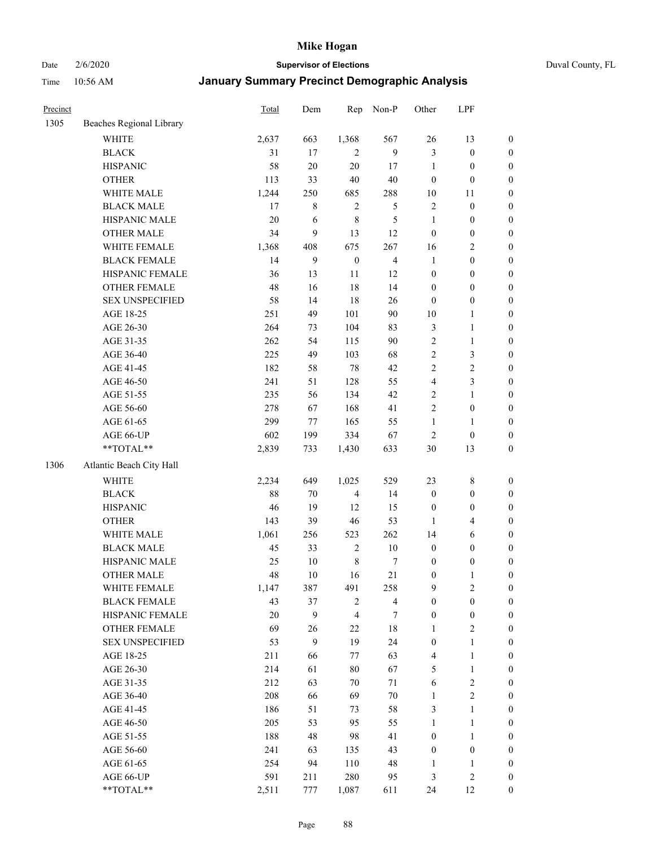Date 2/6/2020 **Supervisor of Elections** Duval County, FL

| Precinct |                          | Total | Dem    | Rep              | Non-P                   | Other            | LPF              |                  |
|----------|--------------------------|-------|--------|------------------|-------------------------|------------------|------------------|------------------|
| 1305     | Beaches Regional Library |       |        |                  |                         |                  |                  |                  |
|          | <b>WHITE</b>             | 2,637 | 663    | 1,368            | 567                     | 26               | 13               | 0                |
|          | <b>BLACK</b>             | 31    | 17     | 2                | 9                       | 3                | $\boldsymbol{0}$ | $\boldsymbol{0}$ |
|          | <b>HISPANIC</b>          | 58    | $20\,$ | 20               | 17                      | $\mathbf{1}$     | $\boldsymbol{0}$ | $\boldsymbol{0}$ |
|          | <b>OTHER</b>             | 113   | 33     | 40               | 40                      | $\boldsymbol{0}$ | $\boldsymbol{0}$ | $\boldsymbol{0}$ |
|          | WHITE MALE               | 1,244 | 250    | 685              | 288                     | $10\,$           | 11               | $\boldsymbol{0}$ |
|          | <b>BLACK MALE</b>        | 17    | 8      | $\sqrt{2}$       | 5                       | $\overline{c}$   | $\boldsymbol{0}$ | $\boldsymbol{0}$ |
|          | HISPANIC MALE            | 20    | 6      | $\,$ 8 $\,$      | $\sqrt{5}$              | $\mathbf{1}$     | $\boldsymbol{0}$ | $\boldsymbol{0}$ |
|          | <b>OTHER MALE</b>        | 34    | 9      | 13               | 12                      | $\boldsymbol{0}$ | $\boldsymbol{0}$ | $\boldsymbol{0}$ |
|          | WHITE FEMALE             | 1,368 | 408    | 675              | 267                     | 16               | $\boldsymbol{2}$ | $\boldsymbol{0}$ |
|          | <b>BLACK FEMALE</b>      | 14    | 9      | $\boldsymbol{0}$ | $\overline{\mathbf{4}}$ | $\mathbf{1}$     | $\boldsymbol{0}$ | $\boldsymbol{0}$ |
|          | HISPANIC FEMALE          | 36    | 13     | 11               | 12                      | $\boldsymbol{0}$ | $\boldsymbol{0}$ | $\boldsymbol{0}$ |
|          | <b>OTHER FEMALE</b>      | 48    | 16     | 18               | 14                      | $\boldsymbol{0}$ | $\boldsymbol{0}$ | $\boldsymbol{0}$ |
|          | <b>SEX UNSPECIFIED</b>   | 58    | 14     | 18               | $26\,$                  | $\boldsymbol{0}$ | $\boldsymbol{0}$ | $\boldsymbol{0}$ |
|          | AGE 18-25                | 251   | 49     | 101              | 90                      | $10\,$           | $\mathbf{1}$     | $\boldsymbol{0}$ |
|          | AGE 26-30                | 264   | 73     | 104              | 83                      | 3                | $\mathbf{1}$     | $\boldsymbol{0}$ |
|          | AGE 31-35                | 262   | 54     | 115              | 90                      | $\overline{c}$   | $\mathbf{1}$     | $\boldsymbol{0}$ |
|          | AGE 36-40                | 225   | 49     | 103              | 68                      | $\overline{c}$   | $\mathfrak{Z}$   | $\boldsymbol{0}$ |
|          | AGE 41-45                | 182   | 58     | 78               | 42                      | 2                | $\sqrt{2}$       | $\boldsymbol{0}$ |
|          | AGE 46-50                | 241   | 51     | 128              | 55                      | 4                | $\mathfrak{Z}$   | $\boldsymbol{0}$ |
|          | AGE 51-55                | 235   | 56     | 134              | 42                      | 2                | $\mathbf{1}$     | $\boldsymbol{0}$ |
|          | AGE 56-60                | 278   | 67     | 168              | 41                      | $\overline{2}$   | $\boldsymbol{0}$ | 0                |
|          | AGE 61-65                | 299   | 77     | 165              | 55                      | $\mathbf{1}$     | 1                | 0                |
|          | AGE 66-UP                | 602   | 199    | 334              | 67                      | $\overline{c}$   | $\boldsymbol{0}$ | $\boldsymbol{0}$ |
|          | **TOTAL**                | 2,839 | 733    | 1,430            | 633                     | $30\,$           | 13               | $\boldsymbol{0}$ |
| 1306     | Atlantic Beach City Hall |       |        |                  |                         |                  |                  |                  |
|          | <b>WHITE</b>             | 2,234 | 649    | 1,025            | 529                     | 23               | $\,$ 8 $\,$      | $\boldsymbol{0}$ |
|          | <b>BLACK</b>             | 88    | 70     | $\overline{4}$   | 14                      | $\boldsymbol{0}$ | $\boldsymbol{0}$ | $\boldsymbol{0}$ |
|          | <b>HISPANIC</b>          | 46    | 19     | 12               | 15                      | $\boldsymbol{0}$ | $\boldsymbol{0}$ | $\boldsymbol{0}$ |
|          | <b>OTHER</b>             | 143   | 39     | 46               | 53                      | 1                | $\overline{4}$   | $\boldsymbol{0}$ |
|          | WHITE MALE               | 1,061 | 256    | 523              | 262                     | 14               | $\sqrt{6}$       | $\boldsymbol{0}$ |
|          | <b>BLACK MALE</b>        | 45    | 33     | $\sqrt{2}$       | $10\,$                  | $\boldsymbol{0}$ | $\boldsymbol{0}$ | $\boldsymbol{0}$ |
|          | HISPANIC MALE            | 25    | $10\,$ | $\,$ 8 $\,$      | 7                       | $\boldsymbol{0}$ | $\boldsymbol{0}$ | $\boldsymbol{0}$ |
|          | <b>OTHER MALE</b>        | 48    | 10     | 16               | 21                      | $\boldsymbol{0}$ | $\mathbf{1}$     | $\boldsymbol{0}$ |
|          | WHITE FEMALE             | 1,147 | 387    | 491              | 258                     | 9                | 2                | 0                |
|          | <b>BLACK FEMALE</b>      | 43    | 37     | $\overline{c}$   | $\overline{4}$          | $\boldsymbol{0}$ | $\boldsymbol{0}$ | $\boldsymbol{0}$ |
|          | HISPANIC FEMALE          | 20    | 9      | $\overline{4}$   | $\tau$                  | $\boldsymbol{0}$ | $\boldsymbol{0}$ | $\overline{0}$   |
|          | OTHER FEMALE             | 69    | 26     | 22               | 18                      | $\mathbf{1}$     | $\sqrt{2}$       | 0                |
|          | <b>SEX UNSPECIFIED</b>   | 53    | 9      | 19               | 24                      | $\boldsymbol{0}$ | $\mathbf{1}$     | 0                |
|          | AGE 18-25                | 211   | 66     | 77               | 63                      | 4                | $\mathbf{1}$     | 0                |
|          | AGE 26-30                | 214   | 61     | 80               | 67                      | 5                | $\mathbf{1}$     | 0                |
|          | AGE 31-35                | 212   | 63     | 70               | $71\,$                  | 6                | $\sqrt{2}$       | 0                |
|          | AGE 36-40                | 208   | 66     | 69               | $70\,$                  | $\mathbf{1}$     | $\sqrt{2}$       | 0                |
|          | AGE 41-45                | 186   | 51     | 73               | 58                      | 3                | $\mathbf{1}$     | 0                |
|          | AGE 46-50                | 205   | 53     | 95               | 55                      | $\mathbf{1}$     | $\mathbf{1}$     | 0                |
|          | AGE 51-55                | 188   | 48     | 98               | 41                      | $\boldsymbol{0}$ | $\mathbf{1}$     | 0                |
|          | AGE 56-60                | 241   | 63     | 135              | 43                      | $\boldsymbol{0}$ | $\boldsymbol{0}$ | 0                |
|          | AGE 61-65                | 254   | 94     | 110              | 48                      | 1                | 1                | 0                |
|          | AGE 66-UP                | 591   | 211    | 280              | 95                      | 3                | $\sqrt{2}$       | 0                |
|          | **TOTAL**                | 2,511 | 777    | 1,087            | 611                     | 24               | 12               | $\boldsymbol{0}$ |
|          |                          |       |        |                  |                         |                  |                  |                  |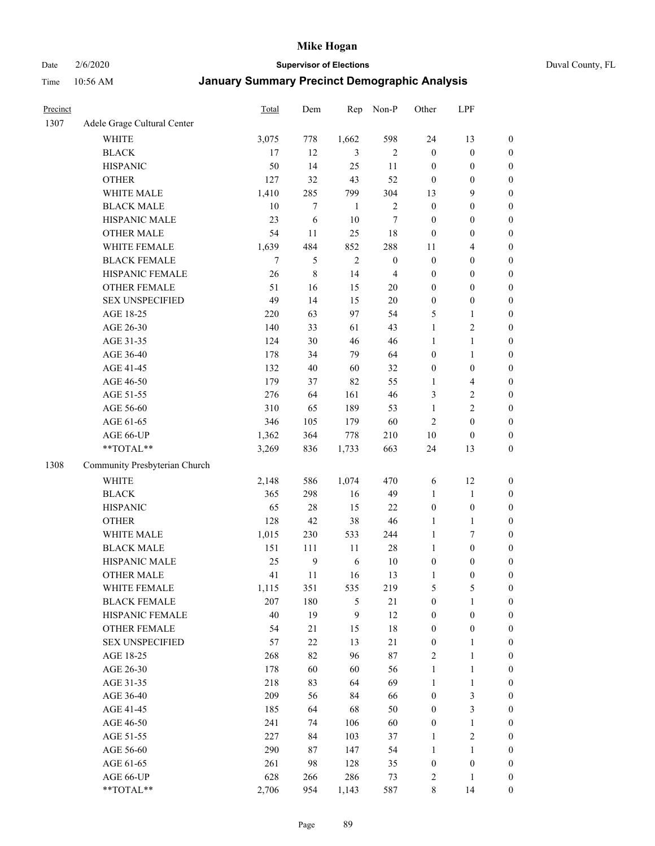Date 2/6/2020 **Supervisor of Elections** Duval County, FL

| Precinct |                               | Total  | Dem          | Rep          | Non-P            | Other            | LPF              |                  |
|----------|-------------------------------|--------|--------------|--------------|------------------|------------------|------------------|------------------|
| 1307     | Adele Grage Cultural Center   |        |              |              |                  |                  |                  |                  |
|          | <b>WHITE</b>                  | 3,075  | 778          | 1,662        | 598              | 24               | 13               | $\boldsymbol{0}$ |
|          | <b>BLACK</b>                  | 17     | 12           | 3            | 2                | $\boldsymbol{0}$ | $\boldsymbol{0}$ | $\boldsymbol{0}$ |
|          | <b>HISPANIC</b>               | 50     | 14           | 25           | $11\,$           | $\boldsymbol{0}$ | $\boldsymbol{0}$ | $\boldsymbol{0}$ |
|          | <b>OTHER</b>                  | 127    | 32           | 43           | 52               | $\boldsymbol{0}$ | $\boldsymbol{0}$ | $\boldsymbol{0}$ |
|          | WHITE MALE                    | 1,410  | 285          | 799          | 304              | 13               | 9                | $\boldsymbol{0}$ |
|          | <b>BLACK MALE</b>             | 10     | $\tau$       | $\mathbf{1}$ | $\sqrt{2}$       | $\boldsymbol{0}$ | $\boldsymbol{0}$ | $\boldsymbol{0}$ |
|          | HISPANIC MALE                 | 23     | 6            | 10           | $\tau$           | $\boldsymbol{0}$ | $\boldsymbol{0}$ | $\boldsymbol{0}$ |
|          | <b>OTHER MALE</b>             | 54     | 11           | 25           | 18               | $\boldsymbol{0}$ | $\boldsymbol{0}$ | $\boldsymbol{0}$ |
|          | WHITE FEMALE                  | 1,639  | 484          | 852          | 288              | 11               | $\overline{4}$   | $\boldsymbol{0}$ |
|          | <b>BLACK FEMALE</b>           | $\tau$ | 5            | $\sqrt{2}$   | $\boldsymbol{0}$ | $\boldsymbol{0}$ | $\boldsymbol{0}$ | $\boldsymbol{0}$ |
|          | HISPANIC FEMALE               | 26     | $\,$ 8 $\,$  | 14           | $\overline{4}$   | $\boldsymbol{0}$ | $\boldsymbol{0}$ | $\boldsymbol{0}$ |
|          | <b>OTHER FEMALE</b>           | 51     | 16           | 15           | $20\,$           | $\boldsymbol{0}$ | $\boldsymbol{0}$ | $\boldsymbol{0}$ |
|          | <b>SEX UNSPECIFIED</b>        | 49     | 14           | 15           | $20\,$           | $\boldsymbol{0}$ | $\boldsymbol{0}$ | $\boldsymbol{0}$ |
|          | AGE 18-25                     | 220    | 63           | 97           | 54               | 5                | $\mathbf{1}$     | $\boldsymbol{0}$ |
|          | AGE 26-30                     | 140    | 33           | 61           | 43               | $\mathbf{1}$     | $\sqrt{2}$       | $\boldsymbol{0}$ |
|          | AGE 31-35                     | 124    | 30           | 46           | 46               | $\mathbf{1}$     | $\mathbf{1}$     | $\boldsymbol{0}$ |
|          | AGE 36-40                     | 178    | 34           | 79           | 64               | $\boldsymbol{0}$ | $\mathbf{1}$     | $\boldsymbol{0}$ |
|          | AGE 41-45                     | 132    | 40           | 60           | 32               | $\boldsymbol{0}$ | $\boldsymbol{0}$ | $\boldsymbol{0}$ |
|          | AGE 46-50                     | 179    | 37           | 82           | 55               | 1                | $\overline{4}$   | $\boldsymbol{0}$ |
|          | AGE 51-55                     | 276    | 64           | 161          | 46               | 3                | $\sqrt{2}$       | $\boldsymbol{0}$ |
|          | AGE 56-60                     | 310    | 65           | 189          | 53               | $\mathbf{1}$     | $\sqrt{2}$       | 0                |
|          | AGE 61-65                     | 346    | 105          | 179          | 60               | $\overline{2}$   | $\boldsymbol{0}$ | $\boldsymbol{0}$ |
|          | AGE 66-UP                     | 1,362  | 364          | 778          | 210              | $10\,$           | $\boldsymbol{0}$ | $\boldsymbol{0}$ |
|          | **TOTAL**                     | 3,269  | 836          | 1,733        | 663              | 24               | 13               | $\boldsymbol{0}$ |
| 1308     | Community Presbyterian Church |        |              |              |                  |                  |                  |                  |
|          | <b>WHITE</b>                  | 2,148  | 586          | 1,074        | 470              | 6                | 12               | $\boldsymbol{0}$ |
|          | <b>BLACK</b>                  | 365    | 298          | 16           | 49               | $\mathbf{1}$     | $\mathbf{1}$     | $\boldsymbol{0}$ |
|          | <b>HISPANIC</b>               | 65     | 28           | 15           | 22               | $\boldsymbol{0}$ | $\boldsymbol{0}$ | $\boldsymbol{0}$ |
|          | <b>OTHER</b>                  | 128    | 42           | 38           | 46               | $\mathbf{1}$     | $\mathbf{1}$     | $\boldsymbol{0}$ |
|          | WHITE MALE                    | 1,015  | 230          | 533          | 244              | $\mathbf{1}$     | $\tau$           | $\boldsymbol{0}$ |
|          | <b>BLACK MALE</b>             | 151    | 111          | 11           | $28\,$           | $\mathbf{1}$     | $\boldsymbol{0}$ | $\boldsymbol{0}$ |
|          | HISPANIC MALE                 | 25     | $\mathbf{9}$ | 6            | $10\,$           | $\boldsymbol{0}$ | $\boldsymbol{0}$ | $\boldsymbol{0}$ |
|          | <b>OTHER MALE</b>             | 41     | 11           | 16           | 13               | $\mathbf{1}$     | $\boldsymbol{0}$ | $\boldsymbol{0}$ |
|          | WHITE FEMALE                  | 1,115  | 351          | 535          | 219              | 5                | 5                | 0                |
|          | <b>BLACK FEMALE</b>           | 207    | 180          | 5            | 21               | $\boldsymbol{0}$ | $\mathbf{1}$     | $\boldsymbol{0}$ |
|          | HISPANIC FEMALE               | 40     | 19           | $\mathbf{9}$ | 12               | $\boldsymbol{0}$ | $\boldsymbol{0}$ | $\overline{0}$   |
|          | <b>OTHER FEMALE</b>           | 54     | 21           | 15           | 18               | $\boldsymbol{0}$ | $\boldsymbol{0}$ | 0                |
|          | <b>SEX UNSPECIFIED</b>        | 57     | $22\,$       | 13           | $21\,$           | $\boldsymbol{0}$ | $\mathbf{1}$     | 0                |
|          | AGE 18-25                     | 268    | 82           | 96           | 87               | 2                | $\mathbf{1}$     | 0                |
|          | AGE 26-30                     | 178    | 60           | 60           | 56               | $\mathbf{1}$     | $\mathbf{1}$     | 0                |
|          | AGE 31-35                     | 218    | 83           | 64           | 69               | $\mathbf{1}$     | $\mathbf{1}$     | 0                |
|          | AGE 36-40                     | 209    | 56           | 84           | 66               | $\boldsymbol{0}$ | $\mathfrak{Z}$   | 0                |
|          | AGE 41-45                     | 185    | 64           | 68           | 50               | $\boldsymbol{0}$ | $\mathfrak{Z}$   | 0                |
|          | AGE 46-50                     | 241    | 74           | 106          | 60               | $\boldsymbol{0}$ | $\mathbf{1}$     | 0                |
|          | AGE 51-55                     | 227    | 84           | 103          | 37               | 1                | $\sqrt{2}$       | 0                |
|          | AGE 56-60                     | 290    | 87           | 147          | 54               | 1                | 1                | 0                |
|          | AGE 61-65                     | 261    | 98           | 128          | 35               | $\boldsymbol{0}$ | $\boldsymbol{0}$ | 0                |
|          | AGE 66-UP                     | 628    | 266          | 286          | 73               | 2                | $\mathbf{1}$     | 0                |
|          | **TOTAL**                     | 2,706  | 954          | 1,143        | 587              | 8                | 14               | $\boldsymbol{0}$ |
|          |                               |        |              |              |                  |                  |                  |                  |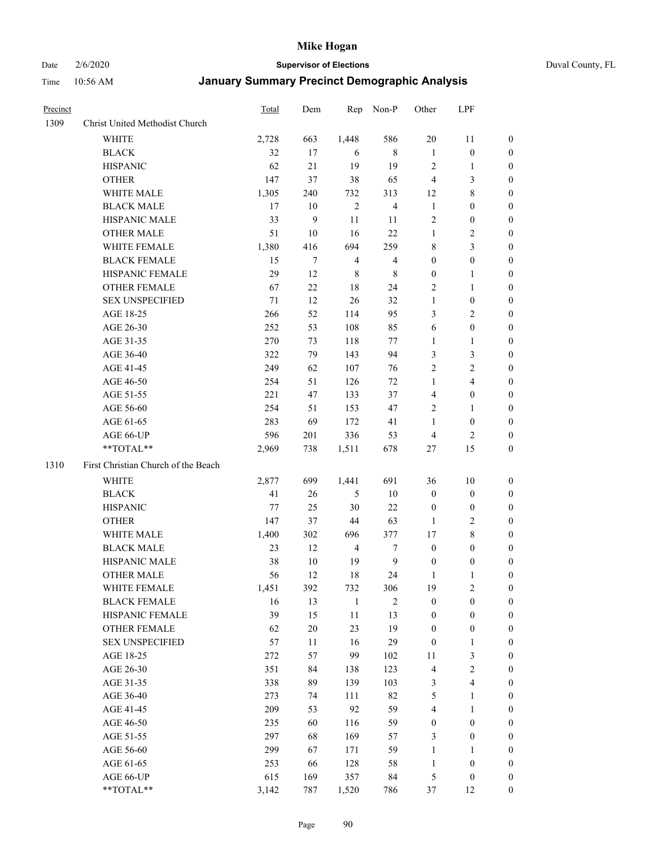Date 2/6/2020 **Supervisor of Elections** Duval County, FL

| Precinct |                                     | Total | Dem    | Rep            | Non-P                   | Other                   | LPF                     |                  |
|----------|-------------------------------------|-------|--------|----------------|-------------------------|-------------------------|-------------------------|------------------|
| 1309     | Christ United Methodist Church      |       |        |                |                         |                         |                         |                  |
|          | <b>WHITE</b>                        | 2,728 | 663    | 1,448          | 586                     | $20\,$                  | 11                      | 0                |
|          | <b>BLACK</b>                        | 32    | 17     | 6              | 8                       | $\mathbf{1}$            | $\boldsymbol{0}$        | 0                |
|          | <b>HISPANIC</b>                     | 62    | 21     | 19             | 19                      | $\overline{2}$          | $\mathbf{1}$            | 0                |
|          | <b>OTHER</b>                        | 147   | 37     | 38             | 65                      | 4                       | $\mathfrak{Z}$          | $\boldsymbol{0}$ |
|          | WHITE MALE                          | 1,305 | 240    | 732            | 313                     | 12                      | $\,$ 8 $\,$             | $\boldsymbol{0}$ |
|          | <b>BLACK MALE</b>                   | 17    | 10     | $\overline{2}$ | $\overline{\mathbf{4}}$ | $\mathbf{1}$            | $\boldsymbol{0}$        | $\boldsymbol{0}$ |
|          | HISPANIC MALE                       | 33    | 9      | $11\,$         | 11                      | 2                       | $\boldsymbol{0}$        | $\boldsymbol{0}$ |
|          | <b>OTHER MALE</b>                   | 51    | 10     | 16             | 22                      | $\mathbf{1}$            | $\overline{c}$          | $\boldsymbol{0}$ |
|          | WHITE FEMALE                        | 1,380 | 416    | 694            | 259                     | 8                       | $\mathfrak{Z}$          | $\boldsymbol{0}$ |
|          | <b>BLACK FEMALE</b>                 | 15    | 7      | $\overline{4}$ | $\overline{4}$          | $\boldsymbol{0}$        | $\boldsymbol{0}$        | 0                |
|          | HISPANIC FEMALE                     | 29    | 12     | $\,$ 8 $\,$    | $\,$ 8 $\,$             | $\boldsymbol{0}$        | 1                       | 0                |
|          | OTHER FEMALE                        | 67    | 22     | 18             | 24                      | 2                       | $\mathbf{1}$            | 0                |
|          | <b>SEX UNSPECIFIED</b>              | 71    | 12     | 26             | 32                      | $\mathbf{1}$            | $\boldsymbol{0}$        | $\boldsymbol{0}$ |
|          | AGE 18-25                           | 266   | 52     | 114            | 95                      | 3                       | $\sqrt{2}$              | $\boldsymbol{0}$ |
|          | AGE 26-30                           | 252   | 53     | 108            | 85                      | 6                       | $\boldsymbol{0}$        | $\boldsymbol{0}$ |
|          | AGE 31-35                           | 270   | 73     | 118            | 77                      | $\mathbf{1}$            | $\mathbf{1}$            | $\boldsymbol{0}$ |
|          | AGE 36-40                           | 322   | 79     | 143            | 94                      | 3                       | $\mathfrak{Z}$          | $\boldsymbol{0}$ |
|          | AGE 41-45                           | 249   | 62     | 107            | 76                      | 2                       | $\overline{c}$          | $\overline{0}$   |
|          | AGE 46-50                           | 254   | 51     | 126            | 72                      | $\mathbf{1}$            | $\overline{\mathbf{4}}$ | $\boldsymbol{0}$ |
|          | AGE 51-55                           | 221   | 47     | 133            | 37                      | $\overline{4}$          | $\boldsymbol{0}$        | 0                |
|          | AGE 56-60                           | 254   | 51     | 153            | 47                      | 2                       | 1                       | 0                |
|          | AGE 61-65                           | 283   | 69     | 172            | 41                      | 1                       | $\boldsymbol{0}$        | 0                |
|          | AGE 66-UP                           | 596   | 201    | 336            | 53                      | $\overline{4}$          | $\overline{2}$          | 0                |
|          | **TOTAL**                           | 2,969 | 738    | 1,511          | 678                     | 27                      | 15                      | $\boldsymbol{0}$ |
| 1310     | First Christian Church of the Beach |       |        |                |                         |                         |                         |                  |
|          | <b>WHITE</b>                        | 2,877 | 699    | 1,441          | 691                     | 36                      | 10                      | $\boldsymbol{0}$ |
|          | <b>BLACK</b>                        | 41    | $26\,$ | $\mathfrak{S}$ | $10\,$                  | $\boldsymbol{0}$        | $\boldsymbol{0}$        | $\boldsymbol{0}$ |
|          | <b>HISPANIC</b>                     | 77    | 25     | 30             | 22                      | $\boldsymbol{0}$        | $\boldsymbol{0}$        | $\boldsymbol{0}$ |
|          | <b>OTHER</b>                        | 147   | 37     | 44             | 63                      | 1                       | $\sqrt{2}$              | $\overline{0}$   |
|          | WHITE MALE                          | 1,400 | 302    | 696            | 377                     | 17                      | $\,$ 8 $\,$             | $\overline{0}$   |
|          | <b>BLACK MALE</b>                   | 23    | 12     | $\overline{4}$ | 7                       | $\boldsymbol{0}$        | $\boldsymbol{0}$        | $\boldsymbol{0}$ |
|          | HISPANIC MALE                       | 38    | $10\,$ | 19             | $\overline{9}$          | $\boldsymbol{0}$        | $\boldsymbol{0}$        | 0                |
|          | <b>OTHER MALE</b>                   | 56    | 12     | 18             | 24                      | $\mathbf{1}$            | 1                       | 0                |
|          | WHITE FEMALE                        | 1,451 | 392    | 732            | 306                     | 19                      | 2                       | 0                |
|          | <b>BLACK FEMALE</b>                 | 16    | 13     | $\mathbf{1}$   | $\overline{c}$          | $\boldsymbol{0}$        | $\boldsymbol{0}$        | $\overline{0}$   |
|          | HISPANIC FEMALE                     | 39    | 15     | $11\,$         | 13                      | $\boldsymbol{0}$        | $\boldsymbol{0}$        | $\overline{0}$   |
|          | OTHER FEMALE                        | 62    | $20\,$ | 23             | 19                      | $\boldsymbol{0}$        | $\boldsymbol{0}$        | $\overline{0}$   |
|          | <b>SEX UNSPECIFIED</b>              | 57    | 11     | 16             | 29                      | $\boldsymbol{0}$        | $\mathbf{1}$            | 0                |
|          | AGE 18-25                           | 272   | 57     | 99             | 102                     | 11                      | $\mathfrak{Z}$          | 0                |
|          | AGE 26-30                           | 351   | 84     | 138            | 123                     | 4                       | $\sqrt{2}$              | 0                |
|          | AGE 31-35                           | 338   | 89     | 139            | 103                     | 3                       | $\overline{\mathbf{4}}$ | 0                |
|          | AGE 36-40                           | 273   | 74     | 111            | 82                      | 5                       | $\mathbf{1}$            | 0                |
|          | AGE 41-45                           | 209   | 53     | 92             | 59                      | $\overline{\mathbf{4}}$ | $\mathbf{1}$            | 0                |
|          | AGE 46-50                           | 235   | 60     | 116            | 59                      | $\boldsymbol{0}$        | $\boldsymbol{0}$        | 0                |
|          | AGE 51-55                           | 297   | 68     | 169            | 57                      | 3                       | $\boldsymbol{0}$        | 0                |
|          | AGE 56-60                           | 299   | 67     | 171            | 59                      | $\mathbf{1}$            | 1                       | $\overline{0}$   |
|          | AGE 61-65                           | 253   | 66     | 128            | 58                      | $\mathbf{1}$            | $\boldsymbol{0}$        | $\overline{0}$   |
|          | AGE 66-UP                           | 615   | 169    | 357            | 84                      | 5                       | $\boldsymbol{0}$        | 0                |
|          | **TOTAL**                           | 3,142 | 787    | 1,520          | 786                     | 37                      | 12                      | $\boldsymbol{0}$ |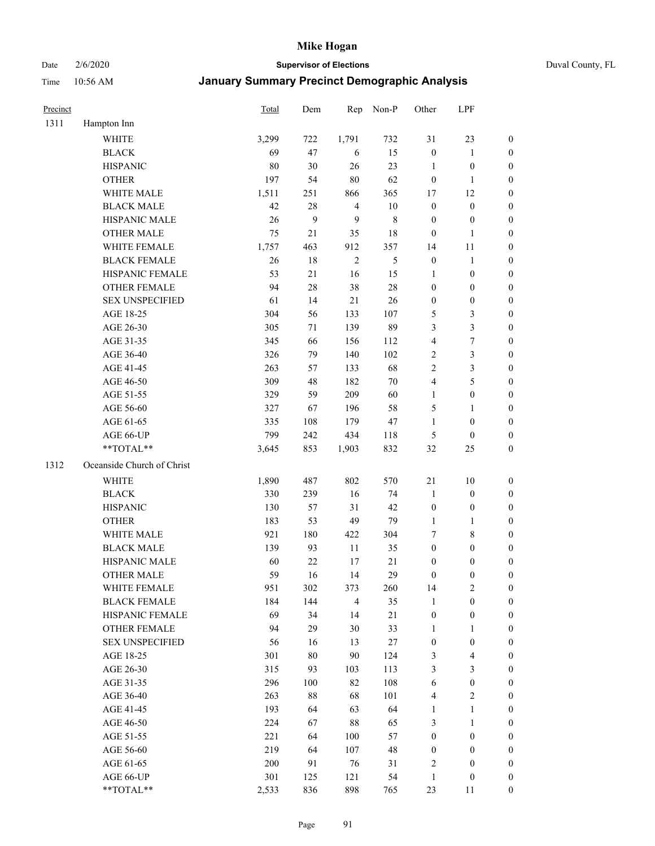Date 2/6/2020 **Supervisor of Elections** Duval County, FL

| Precinct |                            | Total | Dem    | Rep            | Non-P         | Other            | LPF              |                  |
|----------|----------------------------|-------|--------|----------------|---------------|------------------|------------------|------------------|
| 1311     | Hampton Inn                |       |        |                |               |                  |                  |                  |
|          | <b>WHITE</b>               | 3,299 | 722    | 1,791          | 732           | 31               | 23               | 0                |
|          | <b>BLACK</b>               | 69    | 47     | 6              | 15            | $\boldsymbol{0}$ | $\mathbf{1}$     | 0                |
|          | <b>HISPANIC</b>            | 80    | 30     | 26             | 23            | $\mathbf{1}$     | $\boldsymbol{0}$ | $\boldsymbol{0}$ |
|          | <b>OTHER</b>               | 197   | 54     | $80\,$         | 62            | $\boldsymbol{0}$ | 1                | $\boldsymbol{0}$ |
|          | WHITE MALE                 | 1,511 | 251    | 866            | 365           | 17               | 12               | $\boldsymbol{0}$ |
|          | <b>BLACK MALE</b>          | 42    | 28     | $\overline{4}$ | 10            | $\boldsymbol{0}$ | $\boldsymbol{0}$ | $\boldsymbol{0}$ |
|          | HISPANIC MALE              | 26    | 9      | 9              | $\,$ 8 $\,$   | $\boldsymbol{0}$ | $\boldsymbol{0}$ | $\boldsymbol{0}$ |
|          | <b>OTHER MALE</b>          | 75    | 21     | 35             | 18            | $\boldsymbol{0}$ | $\mathbf{1}$     | $\boldsymbol{0}$ |
|          | WHITE FEMALE               | 1,757 | 463    | 912            | 357           | 14               | 11               | $\boldsymbol{0}$ |
|          | <b>BLACK FEMALE</b>        | 26    | 18     | $\sqrt{2}$     | $\mathfrak s$ | $\boldsymbol{0}$ | $\mathbf{1}$     | 0                |
|          | HISPANIC FEMALE            | 53    | 21     | 16             | 15            | 1                | $\boldsymbol{0}$ | 0                |
|          | <b>OTHER FEMALE</b>        | 94    | $28\,$ | 38             | $28\,$        | $\boldsymbol{0}$ | $\boldsymbol{0}$ | $\boldsymbol{0}$ |
|          | <b>SEX UNSPECIFIED</b>     | 61    | 14     | 21             | 26            | $\boldsymbol{0}$ | $\boldsymbol{0}$ | $\boldsymbol{0}$ |
|          | AGE 18-25                  | 304   | 56     | 133            | 107           | 5                | $\mathfrak{Z}$   | $\boldsymbol{0}$ |
|          | AGE 26-30                  | 305   | 71     | 139            | 89            | 3                | $\mathfrak{Z}$   | $\boldsymbol{0}$ |
|          | AGE 31-35                  | 345   | 66     | 156            | 112           | 4                | $\boldsymbol{7}$ | $\boldsymbol{0}$ |
|          | AGE 36-40                  | 326   | 79     | 140            | 102           | 2                | $\mathfrak{Z}$   | $\boldsymbol{0}$ |
|          | AGE 41-45                  | 263   | 57     | 133            | 68            | $\overline{c}$   | 3                | $\boldsymbol{0}$ |
|          | AGE 46-50                  | 309   | 48     | 182            | $70\,$        | 4                | 5                | $\boldsymbol{0}$ |
|          | AGE 51-55                  | 329   | 59     | 209            | 60            | $\mathbf{1}$     | $\boldsymbol{0}$ | $\boldsymbol{0}$ |
|          | AGE 56-60                  | 327   | 67     | 196            | 58            | 5                | 1                | 0                |
|          | AGE 61-65                  | 335   | 108    | 179            | 47            | 1                | $\boldsymbol{0}$ | $\boldsymbol{0}$ |
|          | AGE 66-UP                  | 799   | 242    | 434            | 118           | 5                | $\boldsymbol{0}$ | $\boldsymbol{0}$ |
|          | **TOTAL**                  | 3,645 | 853    | 1,903          | 832           | 32               | 25               | $\boldsymbol{0}$ |
| 1312     | Oceanside Church of Christ |       |        |                |               |                  |                  |                  |
|          | <b>WHITE</b>               | 1,890 | 487    | 802            | 570           | 21               | 10               | $\boldsymbol{0}$ |
|          | <b>BLACK</b>               | 330   | 239    | 16             | 74            | $\mathbf{1}$     | $\boldsymbol{0}$ | $\boldsymbol{0}$ |
|          | <b>HISPANIC</b>            | 130   | 57     | 31             | 42            | $\boldsymbol{0}$ | $\boldsymbol{0}$ | $\boldsymbol{0}$ |
|          | <b>OTHER</b>               | 183   | 53     | 49             | 79            | $\mathbf{1}$     | $\mathbf{1}$     | $\boldsymbol{0}$ |
|          | WHITE MALE                 | 921   | 180    | 422            | 304           | 7                | $\,$ 8 $\,$      | $\boldsymbol{0}$ |
|          | <b>BLACK MALE</b>          | 139   | 93     | $11\,$         | 35            | $\boldsymbol{0}$ | $\boldsymbol{0}$ | $\boldsymbol{0}$ |
|          | HISPANIC MALE              | 60    | 22     | 17             | $21\,$        | $\boldsymbol{0}$ | $\boldsymbol{0}$ | $\boldsymbol{0}$ |
|          | <b>OTHER MALE</b>          | 59    | 16     | 14             | 29            | $\boldsymbol{0}$ | $\boldsymbol{0}$ | $\boldsymbol{0}$ |
|          | WHITE FEMALE               | 951   | 302    | 373            | 260           | 14               | $\overline{c}$   | 0                |
|          | <b>BLACK FEMALE</b>        | 184   | 144    | $\overline{4}$ | 35            | 1                | $\boldsymbol{0}$ | $\overline{0}$   |
|          | HISPANIC FEMALE            | 69    | 34     | 14             | 21            | $\boldsymbol{0}$ | $\boldsymbol{0}$ | $\overline{0}$   |
|          | <b>OTHER FEMALE</b>        | 94    | 29     | 30             | 33            | $\mathbf{1}$     | $\mathbf{1}$     | $\overline{0}$   |
|          | <b>SEX UNSPECIFIED</b>     | 56    | 16     | 13             | 27            | $\boldsymbol{0}$ | $\boldsymbol{0}$ | 0                |
|          | AGE 18-25                  | 301   | $80\,$ | 90             | 124           | 3                | $\overline{4}$   | 0                |
|          | AGE 26-30                  | 315   | 93     | 103            | 113           | 3                | $\mathfrak{Z}$   | 0                |
|          | AGE 31-35                  | 296   | 100    | 82             | 108           | 6                | $\boldsymbol{0}$ | 0                |
|          | AGE 36-40                  | 263   | $88\,$ | 68             | 101           | 4                | $\sqrt{2}$       | 0                |
|          | AGE 41-45                  | 193   | 64     | 63             | 64            | $\mathbf{1}$     | $\mathbf{1}$     | 0                |
|          | AGE 46-50                  | 224   | 67     | 88             | 65            | 3                | $\mathbf{1}$     | 0                |
|          | AGE 51-55                  | 221   | 64     | 100            | 57            | $\boldsymbol{0}$ | $\boldsymbol{0}$ | 0                |
|          | AGE 56-60                  | 219   | 64     | 107            | 48            | $\boldsymbol{0}$ | $\boldsymbol{0}$ | 0                |
|          | AGE 61-65                  | 200   | 91     | 76             | 31            | 2                | $\boldsymbol{0}$ | $\overline{0}$   |
|          | AGE 66-UP                  | 301   | 125    | 121            | 54            | $\mathbf{1}$     | $\boldsymbol{0}$ | 0                |
|          | **TOTAL**                  | 2,533 | 836    | 898            | 765           | 23               | 11               | $\boldsymbol{0}$ |
|          |                            |       |        |                |               |                  |                  |                  |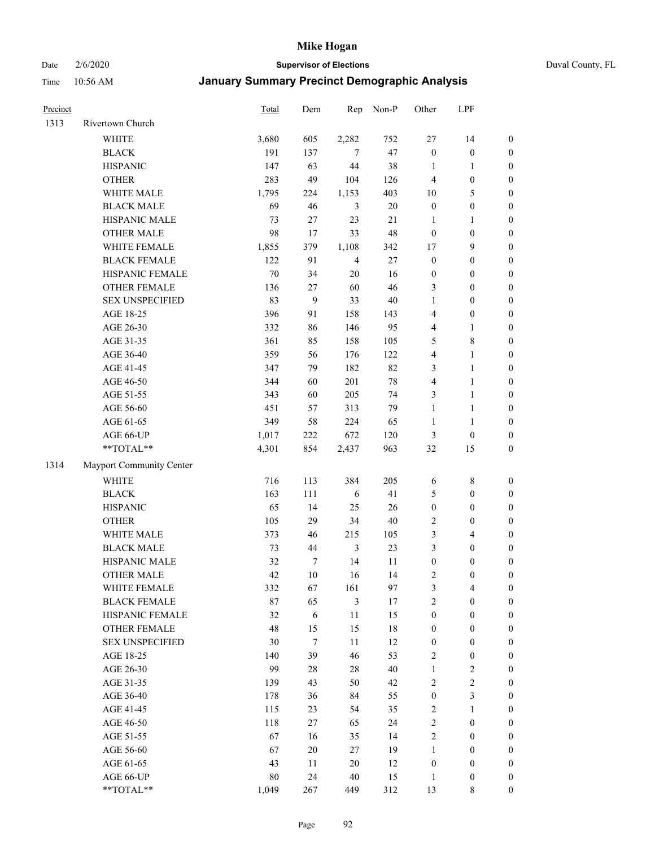Date 2/6/2020 **Supervisor of Elections** Duval County, FL

| Precinct |                          | Total  | Dem              | Rep            | Non-P  | Other            | LPF              |                  |
|----------|--------------------------|--------|------------------|----------------|--------|------------------|------------------|------------------|
| 1313     | Rivertown Church         |        |                  |                |        |                  |                  |                  |
|          | <b>WHITE</b>             | 3,680  | 605              | 2,282          | 752    | $27\,$           | 14               | $\boldsymbol{0}$ |
|          | <b>BLACK</b>             | 191    | 137              | 7              | 47     | $\boldsymbol{0}$ | $\boldsymbol{0}$ | $\boldsymbol{0}$ |
|          | <b>HISPANIC</b>          | 147    | 63               | 44             | 38     | $\mathbf{1}$     | 1                | $\boldsymbol{0}$ |
|          | <b>OTHER</b>             | 283    | 49               | 104            | 126    | 4                | $\boldsymbol{0}$ | $\boldsymbol{0}$ |
|          | WHITE MALE               | 1,795  | 224              | 1,153          | 403    | 10               | 5                | $\boldsymbol{0}$ |
|          | <b>BLACK MALE</b>        | 69     | 46               | $\mathfrak{Z}$ | $20\,$ | $\boldsymbol{0}$ | $\boldsymbol{0}$ | $\boldsymbol{0}$ |
|          | HISPANIC MALE            | 73     | 27               | 23             | 21     | $\mathbf{1}$     | $\mathbf{1}$     | $\boldsymbol{0}$ |
|          | <b>OTHER MALE</b>        | 98     | 17               | 33             | 48     | $\boldsymbol{0}$ | $\boldsymbol{0}$ | $\boldsymbol{0}$ |
|          | WHITE FEMALE             | 1,855  | 379              | 1,108          | 342    | 17               | $\mathbf{9}$     | $\boldsymbol{0}$ |
|          | <b>BLACK FEMALE</b>      | 122    | 91               | $\overline{4}$ | $27\,$ | $\boldsymbol{0}$ | $\boldsymbol{0}$ | $\boldsymbol{0}$ |
|          | HISPANIC FEMALE          | 70     | 34               | $20\,$         | 16     | $\boldsymbol{0}$ | $\boldsymbol{0}$ | 0                |
|          | <b>OTHER FEMALE</b>      | 136    | 27               | 60             | 46     | 3                | $\boldsymbol{0}$ | $\boldsymbol{0}$ |
|          | <b>SEX UNSPECIFIED</b>   | 83     | 9                | 33             | $40\,$ | $\mathbf{1}$     | $\boldsymbol{0}$ | $\boldsymbol{0}$ |
|          | AGE 18-25                | 396    | 91               | 158            | 143    | 4                | $\boldsymbol{0}$ | $\boldsymbol{0}$ |
|          | AGE 26-30                | 332    | 86               | 146            | 95     | 4                | $\mathbf{1}$     | $\boldsymbol{0}$ |
|          | AGE 31-35                | 361    | 85               | 158            | 105    | 5                | $8\,$            | $\boldsymbol{0}$ |
|          | AGE 36-40                | 359    | 56               | 176            | 122    | 4                | $\mathbf{1}$     | $\boldsymbol{0}$ |
|          | AGE 41-45                | 347    | 79               | 182            | 82     | 3                | $\mathbf{1}$     | $\boldsymbol{0}$ |
|          | AGE 46-50                | 344    | 60               | 201            | $78\,$ | 4                | $\mathbf{1}$     | $\boldsymbol{0}$ |
|          | AGE 51-55                | 343    | 60               | 205            | 74     | 3                | $\mathbf{1}$     | 0                |
|          | AGE 56-60                | 451    | 57               | 313            | 79     | $\mathbf{1}$     | $\mathbf{1}$     | 0                |
|          | AGE 61-65                | 349    | 58               | 224            | 65     | $\mathbf{1}$     | $\mathbf{1}$     | 0                |
|          | AGE 66-UP                | 1,017  | 222              | 672            | 120    | 3                | $\boldsymbol{0}$ | $\boldsymbol{0}$ |
|          | **TOTAL**                | 4,301  | 854              | 2,437          | 963    | 32               | 15               | $\boldsymbol{0}$ |
| 1314     | Mayport Community Center |        |                  |                |        |                  |                  |                  |
|          | <b>WHITE</b>             | 716    | 113              | 384            | 205    | 6                | $\,$ 8 $\,$      | $\boldsymbol{0}$ |
|          | <b>BLACK</b>             | 163    | 111              | 6              | 41     | 5                | $\boldsymbol{0}$ | $\boldsymbol{0}$ |
|          | <b>HISPANIC</b>          | 65     | 14               | 25             | 26     | $\boldsymbol{0}$ | $\boldsymbol{0}$ | $\boldsymbol{0}$ |
|          | <b>OTHER</b>             | 105    | 29               | 34             | $40\,$ | 2                | $\boldsymbol{0}$ | $\boldsymbol{0}$ |
|          | WHITE MALE               | 373    | 46               | 215            | 105    | 3                | $\overline{4}$   | $\boldsymbol{0}$ |
|          | <b>BLACK MALE</b>        | 73     | 44               | $\mathfrak{Z}$ | 23     | 3                | $\boldsymbol{0}$ | $\boldsymbol{0}$ |
|          | HISPANIC MALE            | 32     | $\boldsymbol{7}$ | 14             | 11     | $\boldsymbol{0}$ | $\boldsymbol{0}$ | $\boldsymbol{0}$ |
|          | <b>OTHER MALE</b>        | 42     | 10               | 16             | 14     | 2                | $\boldsymbol{0}$ | $\boldsymbol{0}$ |
|          | WHITE FEMALE             | 332    | 67               | 161            | 97     | 3                | 4                | 0                |
|          | <b>BLACK FEMALE</b>      | 87     | 65               | 3              | 17     | 2                | $\boldsymbol{0}$ | $\overline{0}$   |
|          | HISPANIC FEMALE          | 32     | 6                | 11             | 15     | $\boldsymbol{0}$ | $\boldsymbol{0}$ | $\overline{0}$   |
|          | OTHER FEMALE             | 48     | 15               | 15             | 18     | $\boldsymbol{0}$ | $\boldsymbol{0}$ | 0                |
|          | <b>SEX UNSPECIFIED</b>   | 30     | $\boldsymbol{7}$ | $11\,$         | 12     | $\boldsymbol{0}$ | $\boldsymbol{0}$ | 0                |
|          | AGE 18-25                | 140    | 39               | 46             | 53     | 2                | $\boldsymbol{0}$ | 0                |
|          | AGE 26-30                | 99     | $28\,$           | 28             | 40     | $\mathbf{1}$     | $\boldsymbol{2}$ | 0                |
|          | AGE 31-35                | 139    | 43               | 50             | 42     | 2                | $\sqrt{2}$       | 0                |
|          | AGE 36-40                | 178    | 36               | 84             | 55     | $\boldsymbol{0}$ | $\mathfrak{Z}$   | 0                |
|          | AGE 41-45                | 115    | 23               | 54             | 35     | 2                | $\mathbf{1}$     | 0                |
|          | AGE 46-50                | 118    | 27               | 65             | 24     | 2                | $\boldsymbol{0}$ | 0                |
|          | AGE 51-55                | 67     | 16               | 35             | 14     | $\overline{c}$   | $\boldsymbol{0}$ | 0                |
|          | AGE 56-60                | 67     | $20\,$           | 27             | 19     | 1                | $\boldsymbol{0}$ | 0                |
|          | AGE 61-65                | 43     | 11               | 20             | 12     | $\boldsymbol{0}$ | $\boldsymbol{0}$ | 0                |
|          | AGE 66-UP                | $80\,$ | 24               | 40             | 15     | $\mathbf{1}$     | $\boldsymbol{0}$ | 0                |
|          | **TOTAL**                | 1,049  | 267              | 449            | 312    | 13               | $\,$ 8 $\,$      | $\boldsymbol{0}$ |
|          |                          |        |                  |                |        |                  |                  |                  |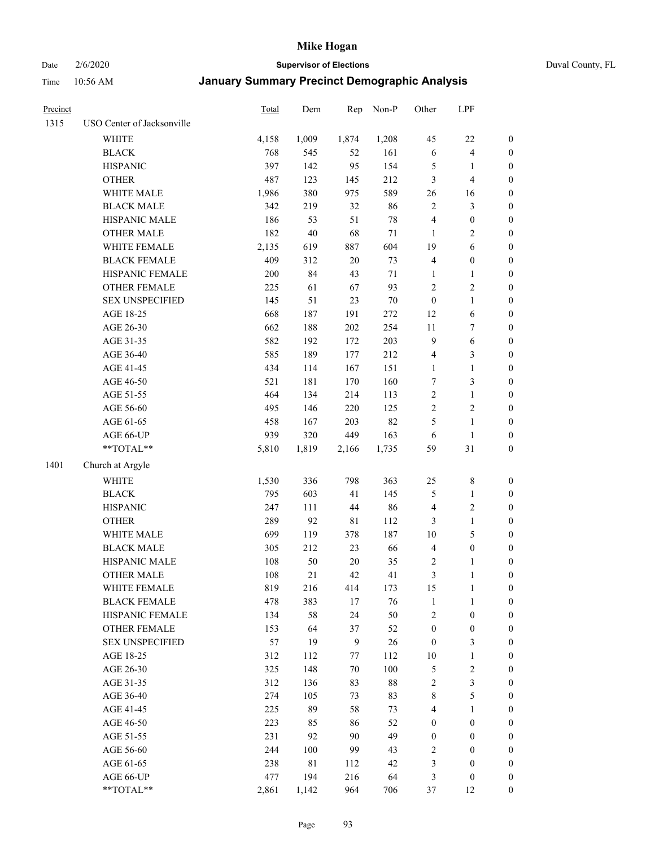Date 2/6/2020 **Supervisor of Elections** Duval County, FL

| Precinct |                            | Total      | Dem         | Rep          | Non-P    | Other            | LPF                               |                                      |
|----------|----------------------------|------------|-------------|--------------|----------|------------------|-----------------------------------|--------------------------------------|
| 1315     | USO Center of Jacksonville |            |             |              |          |                  |                                   |                                      |
|          | WHITE                      | 4,158      | 1,009       | 1,874        | 1,208    | 45               | $22\,$                            | 0                                    |
|          | <b>BLACK</b>               | 768        | 545         | 52           | 161      | $\sqrt{6}$       | $\overline{4}$                    | 0                                    |
|          | <b>HISPANIC</b>            | 397        | 142         | 95           | 154      | 5                | $\mathbf{1}$                      | $\boldsymbol{0}$                     |
|          | <b>OTHER</b>               | 487        | 123         | 145          | 212      | 3                | $\overline{4}$                    | $\boldsymbol{0}$                     |
|          | WHITE MALE                 | 1,986      | 380         | 975          | 589      | 26               | 16                                | $\boldsymbol{0}$                     |
|          | <b>BLACK MALE</b>          | 342        | 219         | 32           | 86       | $\overline{c}$   | $\mathfrak{Z}$                    | $\boldsymbol{0}$                     |
|          | HISPANIC MALE              | 186        | 53          | 51           | 78       | 4                | $\boldsymbol{0}$                  | $\boldsymbol{0}$                     |
|          | <b>OTHER MALE</b>          | 182        | 40          | 68           | $71\,$   | $\mathbf{1}$     | $\overline{2}$                    | $\boldsymbol{0}$                     |
|          | WHITE FEMALE               | 2,135      | 619         | 887          | 604      | 19               | 6                                 | $\boldsymbol{0}$                     |
|          | <b>BLACK FEMALE</b>        | 409        | 312         | $20\,$       | 73       | 4                | $\boldsymbol{0}$                  | 0                                    |
|          | HISPANIC FEMALE            | 200        | 84          | 43           | $71\,$   | 1                | 1                                 | 0                                    |
|          | OTHER FEMALE               | 225        | 61          | 67           | 93       | 2                | $\sqrt{2}$                        | $\boldsymbol{0}$                     |
|          | <b>SEX UNSPECIFIED</b>     | 145        | 51          | 23           | 70       | $\boldsymbol{0}$ | $\mathbf{1}$                      | $\boldsymbol{0}$                     |
|          | AGE 18-25                  | 668        | 187         | 191          | $272\,$  | 12               | 6                                 | $\boldsymbol{0}$                     |
|          | AGE 26-30                  | 662        | 188         | 202          | 254      | 11               | $\boldsymbol{7}$                  | $\boldsymbol{0}$                     |
|          | AGE 31-35                  | 582        | 192         | 172          | 203      | 9                | 6                                 | $\boldsymbol{0}$                     |
|          | AGE 36-40                  | 585        | 189         | 177          | 212      | 4                | 3                                 | $\boldsymbol{0}$                     |
|          | AGE 41-45                  | 434        | 114         | 167          | 151      | $\mathbf{1}$     | $\mathbf{1}$                      | $\boldsymbol{0}$                     |
|          | AGE 46-50                  | 521        | 181         | 170          | 160      | 7                | $\mathfrak{Z}$                    | $\boldsymbol{0}$                     |
|          | AGE 51-55                  | 464        | 134         | 214          | 113      | $\mathbf{2}$     | $\mathbf{1}$                      | 0                                    |
|          | AGE 56-60                  | 495        | 146         | 220          | 125      | $\overline{2}$   | $\sqrt{2}$                        | 0                                    |
|          | AGE 61-65                  | 458        | 167         | 203          | 82       | 5                | $\mathbf{1}$                      | 0                                    |
|          | AGE 66-UP                  | 939        | 320         | 449          | 163      | 6                | $\mathbf{1}$                      | $\boldsymbol{0}$                     |
|          | **TOTAL**                  | 5,810      | 1,819       | 2,166        | 1,735    | 59               | 31                                | $\boldsymbol{0}$                     |
| 1401     | Church at Argyle           |            |             |              |          |                  |                                   |                                      |
|          | <b>WHITE</b>               | 1,530      | 336         | 798          | 363      | 25               | $\,$ $\,$                         | $\boldsymbol{0}$                     |
|          | <b>BLACK</b>               | 795        | 603         | 41           | 145      | 5                | $\mathbf{1}$                      |                                      |
|          | <b>HISPANIC</b>            | 247        | 111         | 44           | 86       | 4                | $\sqrt{2}$                        | $\boldsymbol{0}$<br>$\boldsymbol{0}$ |
|          | <b>OTHER</b>               | 289        | 92          | $8\sqrt{1}$  | 112      |                  | $\mathbf{1}$                      | $\boldsymbol{0}$                     |
|          | WHITE MALE                 |            |             |              |          | 3                |                                   |                                      |
|          | <b>BLACK MALE</b>          | 699        | 119<br>212  | 378<br>23    | 187      | 10               | $\mathfrak s$<br>$\boldsymbol{0}$ | $\boldsymbol{0}$                     |
|          |                            | 305        |             |              | 66       | 4                |                                   | $\boldsymbol{0}$                     |
|          | HISPANIC MALE              | 108<br>108 | 50<br>21    | $20\,$<br>42 | 35<br>41 | 2<br>3           | 1                                 | 0                                    |
|          | <b>OTHER MALE</b>          |            |             |              |          |                  | 1                                 | $\boldsymbol{0}$                     |
|          | WHITE FEMALE               | 819        | 216         | 414          | 173      | 15               | 1                                 | 0                                    |
|          | <b>BLACK FEMALE</b>        | 478        | 383         | 17           | 76       | $\mathbf{1}$     | $\mathbf{1}$                      | $\boldsymbol{0}$                     |
|          | HISPANIC FEMALE            | 134        | 58          | 24           | 50       | $\overline{c}$   | $\boldsymbol{0}$                  | $\overline{0}$                       |
|          | <b>OTHER FEMALE</b>        | 153        | 64          | 37           | 52       | $\boldsymbol{0}$ | $\boldsymbol{0}$                  | $\overline{0}$                       |
|          | <b>SEX UNSPECIFIED</b>     | 57         | 19          | $\mathbf{9}$ | 26       | $\boldsymbol{0}$ | $\mathfrak{Z}$                    | 0                                    |
|          | AGE 18-25                  | 312        | 112         | 77           | 112      | 10               | $\mathbf{1}$                      | 0                                    |
|          | AGE 26-30                  | 325        | 148         | 70           | 100      | 5                | $\sqrt{2}$                        | 0                                    |
|          | AGE 31-35                  | 312        | 136         | 83           | $88\,$   | $\overline{c}$   | $\mathfrak{Z}$                    | 0                                    |
|          | AGE 36-40                  | 274        | 105         | 73           | 83       | 8                | 5                                 | 0                                    |
|          | AGE 41-45                  | 225        | 89          | 58           | 73       | 4                | $\mathbf{1}$                      | 0                                    |
|          | AGE 46-50                  | 223        | 85          | 86           | 52       | 0                | $\boldsymbol{0}$                  | 0                                    |
|          | AGE 51-55                  | 231        | 92          | 90           | 49       | $\boldsymbol{0}$ | $\boldsymbol{0}$                  | 0                                    |
|          | AGE 56-60                  | 244        | 100         | 99           | 43       | 2                | $\boldsymbol{0}$                  | $\overline{0}$                       |
|          | AGE 61-65                  | 238        | $8\sqrt{1}$ | 112          | 42       | 3                | $\boldsymbol{0}$                  | $\overline{0}$                       |
|          | AGE 66-UP                  | 477        | 194         | 216          | 64       | 3                | $\boldsymbol{0}$                  | 0                                    |
|          | **TOTAL**                  | 2,861      | 1,142       | 964          | 706      | 37               | 12                                | $\boldsymbol{0}$                     |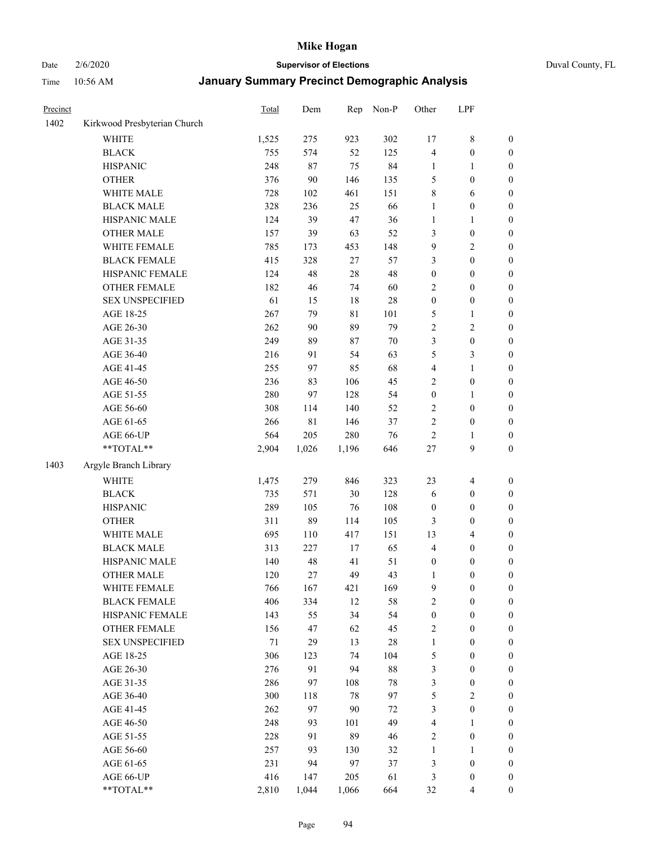Date 2/6/2020 **Supervisor of Elections** Duval County, FL

| Precinct |                              | Total | Dem   | Rep    | Non-P | Other            | LPF              |                  |
|----------|------------------------------|-------|-------|--------|-------|------------------|------------------|------------------|
| 1402     | Kirkwood Presbyterian Church |       |       |        |       |                  |                  |                  |
|          | <b>WHITE</b>                 | 1,525 | 275   | 923    | 302   | 17               | $\,$ 8 $\,$      | 0                |
|          | <b>BLACK</b>                 | 755   | 574   | 52     | 125   | 4                | $\boldsymbol{0}$ | 0                |
|          | <b>HISPANIC</b>              | 248   | 87    | 75     | 84    | 1                | $\mathbf{1}$     | $\boldsymbol{0}$ |
|          | <b>OTHER</b>                 | 376   | 90    | 146    | 135   | 5                | $\boldsymbol{0}$ | $\boldsymbol{0}$ |
|          | WHITE MALE                   | 728   | 102   | 461    | 151   | 8                | 6                | $\boldsymbol{0}$ |
|          | <b>BLACK MALE</b>            | 328   | 236   | 25     | 66    | 1                | $\boldsymbol{0}$ | $\boldsymbol{0}$ |
|          | HISPANIC MALE                | 124   | 39    | 47     | 36    | 1                | $\mathbf{1}$     | $\boldsymbol{0}$ |
|          | <b>OTHER MALE</b>            | 157   | 39    | 63     | 52    | 3                | $\boldsymbol{0}$ | $\boldsymbol{0}$ |
|          | WHITE FEMALE                 | 785   | 173   | 453    | 148   | 9                | $\sqrt{2}$       | $\boldsymbol{0}$ |
|          | <b>BLACK FEMALE</b>          | 415   | 328   | 27     | 57    | 3                | $\boldsymbol{0}$ | $\boldsymbol{0}$ |
|          | HISPANIC FEMALE              | 124   | 48    | 28     | 48    | $\boldsymbol{0}$ | $\boldsymbol{0}$ | $\boldsymbol{0}$ |
|          | <b>OTHER FEMALE</b>          | 182   | 46    | 74     | 60    | $\overline{c}$   | $\boldsymbol{0}$ | $\boldsymbol{0}$ |
|          | <b>SEX UNSPECIFIED</b>       | 61    | 15    | 18     | 28    | $\boldsymbol{0}$ | $\boldsymbol{0}$ | $\boldsymbol{0}$ |
|          | AGE 18-25                    | 267   | 79    | 81     | 101   | 5                | $\mathbf{1}$     | $\boldsymbol{0}$ |
|          | AGE 26-30                    | 262   | 90    | 89     | 79    | $\overline{c}$   | $\sqrt{2}$       | $\boldsymbol{0}$ |
|          | AGE 31-35                    | 249   | 89    | 87     | 70    | 3                | $\boldsymbol{0}$ | $\boldsymbol{0}$ |
|          | AGE 36-40                    | 216   | 91    | 54     | 63    | 5                | 3                | $\boldsymbol{0}$ |
|          | AGE 41-45                    | 255   | 97    | 85     | 68    | 4                | $\mathbf{1}$     | $\boldsymbol{0}$ |
|          | AGE 46-50                    | 236   | 83    | 106    | 45    | $\overline{c}$   | $\boldsymbol{0}$ | $\boldsymbol{0}$ |
|          | AGE 51-55                    | 280   | 97    | 128    | 54    | $\boldsymbol{0}$ | 1                | $\boldsymbol{0}$ |
|          | AGE 56-60                    | 308   | 114   | 140    | 52    | $\mathbf{2}$     | $\boldsymbol{0}$ | 0                |
|          | AGE 61-65                    | 266   | 81    | 146    | 37    | $\overline{c}$   | $\boldsymbol{0}$ | $\boldsymbol{0}$ |
|          | AGE 66-UP                    | 564   | 205   | 280    | 76    | $\mathbf{2}$     | 1                | $\boldsymbol{0}$ |
|          | **TOTAL**                    | 2,904 | 1,026 | 1,196  | 646   | $27\,$           | $\boldsymbol{9}$ | $\boldsymbol{0}$ |
| 1403     | Argyle Branch Library        |       |       |        |       |                  |                  |                  |
|          | <b>WHITE</b>                 | 1,475 | 279   | 846    | 323   | 23               | $\overline{4}$   | $\boldsymbol{0}$ |
|          | <b>BLACK</b>                 | 735   | 571   | 30     | 128   | 6                | $\boldsymbol{0}$ | $\boldsymbol{0}$ |
|          | <b>HISPANIC</b>              | 289   | 105   | 76     | 108   | $\boldsymbol{0}$ | $\boldsymbol{0}$ | $\boldsymbol{0}$ |
|          | <b>OTHER</b>                 | 311   | 89    | 114    | 105   | 3                | $\boldsymbol{0}$ | $\boldsymbol{0}$ |
|          | WHITE MALE                   | 695   | 110   | 417    | 151   | 13               | $\overline{4}$   | $\boldsymbol{0}$ |
|          | <b>BLACK MALE</b>            | 313   | 227   | 17     | 65    | $\overline{4}$   | $\boldsymbol{0}$ | $\boldsymbol{0}$ |
|          | HISPANIC MALE                | 140   | 48    | 41     | 51    | $\boldsymbol{0}$ | $\boldsymbol{0}$ | $\boldsymbol{0}$ |
|          | <b>OTHER MALE</b>            | 120   | 27    | 49     | 43    | 1                | $\boldsymbol{0}$ | $\boldsymbol{0}$ |
|          | WHITE FEMALE                 | 766   | 167   | 421    | 169   | 9                | 0                | 0                |
|          | <b>BLACK FEMALE</b>          | 406   | 334   | 12     | 58    | $\mathbf{2}$     | $\boldsymbol{0}$ | $\overline{0}$   |
|          | HISPANIC FEMALE              | 143   | 55    | 34     | 54    | $\boldsymbol{0}$ | $\boldsymbol{0}$ | $\overline{0}$   |
|          | <b>OTHER FEMALE</b>          | 156   | 47    | 62     | 45    | 2                | $\boldsymbol{0}$ | $\overline{0}$   |
|          | <b>SEX UNSPECIFIED</b>       | 71    | 29    | 13     | 28    | $\mathbf{1}$     | $\boldsymbol{0}$ | 0                |
|          | AGE 18-25                    | 306   | 123   | 74     | 104   | 5                | $\boldsymbol{0}$ | $\theta$         |
|          | AGE 26-30                    | 276   | 91    | 94     | 88    | 3                | $\boldsymbol{0}$ | 0                |
|          | AGE 31-35                    | 286   | 97    | 108    | 78    | 3                | $\boldsymbol{0}$ | 0                |
|          | AGE 36-40                    | 300   | 118   | $78\,$ | 97    | 5                | $\sqrt{2}$       | 0                |
|          | AGE 41-45                    | 262   | 97    | 90     | 72    | 3                | $\boldsymbol{0}$ | 0                |
|          | AGE 46-50                    | 248   | 93    | 101    | 49    | 4                | 1                | 0                |
|          | AGE 51-55                    | 228   | 91    | 89     | 46    | 2                | $\boldsymbol{0}$ | 0                |
|          | AGE 56-60                    | 257   | 93    | 130    | 32    | 1                | 1                | 0                |
|          | AGE 61-65                    | 231   | 94    | 97     | 37    | 3                | $\boldsymbol{0}$ | 0                |
|          | AGE 66-UP                    | 416   | 147   | 205    | 61    | 3                | $\boldsymbol{0}$ | 0                |
|          | **TOTAL**                    | 2,810 | 1,044 | 1,066  | 664   | 32               | $\overline{4}$   | $\boldsymbol{0}$ |
|          |                              |       |       |        |       |                  |                  |                  |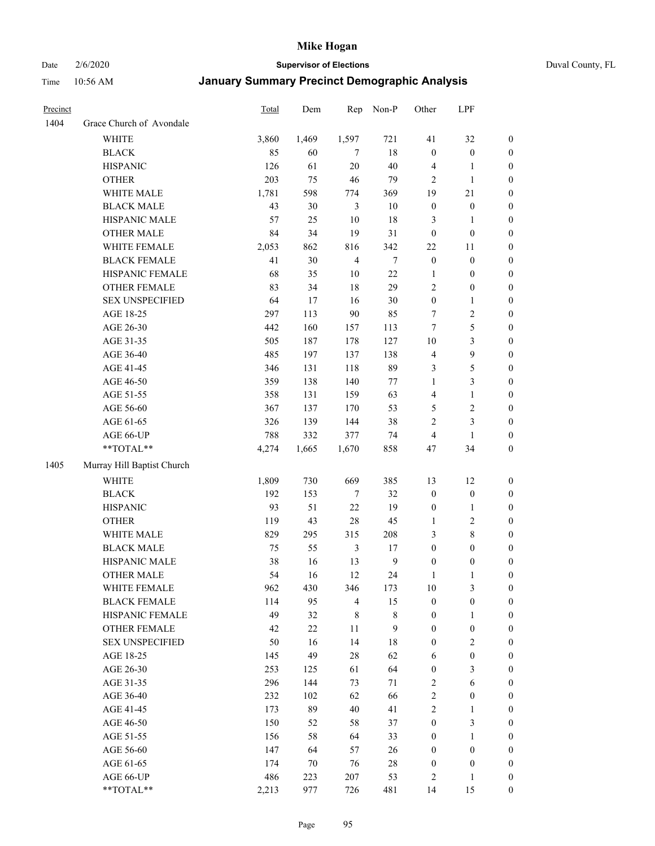# Date 2/6/2020 **Supervisor of Elections** Duval County, FL

| Precinct |                            | Total | Dem    | Rep            | Non-P          | Other            | LPF              |                  |
|----------|----------------------------|-------|--------|----------------|----------------|------------------|------------------|------------------|
| 1404     | Grace Church of Avondale   |       |        |                |                |                  |                  |                  |
|          | <b>WHITE</b>               | 3,860 | 1,469  | 1,597          | 721            | 41               | 32               | 0                |
|          | <b>BLACK</b>               | 85    | 60     | $\overline{7}$ | 18             | $\boldsymbol{0}$ | $\boldsymbol{0}$ | 0                |
|          | <b>HISPANIC</b>            | 126   | 61     | 20             | 40             | 4                | $\mathbf{1}$     | $\boldsymbol{0}$ |
|          | <b>OTHER</b>               | 203   | 75     | 46             | 79             | $\overline{2}$   | $\mathbf{1}$     | $\boldsymbol{0}$ |
|          | WHITE MALE                 | 1,781 | 598    | 774            | 369            | 19               | $21\,$           | $\boldsymbol{0}$ |
|          | <b>BLACK MALE</b>          | 43    | 30     | $\mathfrak{Z}$ | 10             | $\boldsymbol{0}$ | $\boldsymbol{0}$ | $\boldsymbol{0}$ |
|          | HISPANIC MALE              | 57    | 25     | 10             | 18             | 3                | $\mathbf{1}$     | $\boldsymbol{0}$ |
|          | <b>OTHER MALE</b>          | 84    | 34     | 19             | 31             | $\boldsymbol{0}$ | $\boldsymbol{0}$ | $\boldsymbol{0}$ |
|          | WHITE FEMALE               | 2,053 | 862    | 816            | 342            | 22               | 11               | $\boldsymbol{0}$ |
|          | <b>BLACK FEMALE</b>        | 41    | 30     | $\overline{4}$ | 7              | $\boldsymbol{0}$ | $\boldsymbol{0}$ | 0                |
|          | HISPANIC FEMALE            | 68    | 35     | 10             | $22\,$         | 1                | $\boldsymbol{0}$ | 0                |
|          | OTHER FEMALE               | 83    | 34     | 18             | 29             | 2                | $\boldsymbol{0}$ | $\boldsymbol{0}$ |
|          | <b>SEX UNSPECIFIED</b>     | 64    | 17     | 16             | $30\,$         | $\boldsymbol{0}$ | $\mathbf{1}$     | $\boldsymbol{0}$ |
|          | AGE 18-25                  | 297   | 113    | 90             | 85             | 7                | $\sqrt{2}$       | $\boldsymbol{0}$ |
|          | AGE 26-30                  | 442   | 160    | 157            | 113            | 7                | $\mathfrak s$    | $\boldsymbol{0}$ |
|          | AGE 31-35                  | 505   | 187    | 178            | 127            | $10\,$           | $\mathfrak{Z}$   | $\boldsymbol{0}$ |
|          | AGE 36-40                  | 485   | 197    | 137            | 138            | 4                | $\mathbf{9}$     | $\boldsymbol{0}$ |
|          | AGE 41-45                  | 346   | 131    | 118            | 89             | 3                | $\sqrt{5}$       | $\boldsymbol{0}$ |
|          | AGE 46-50                  | 359   | 138    | 140            | $77\,$         | $\mathbf{1}$     | $\mathfrak{Z}$   | $\boldsymbol{0}$ |
|          | AGE 51-55                  | 358   | 131    | 159            | 63             | 4                | $\mathbf{1}$     | $\boldsymbol{0}$ |
|          | AGE 56-60                  | 367   | 137    | 170            | 53             | 5                | $\sqrt{2}$       | 0                |
|          | AGE 61-65                  | 326   | 139    | 144            | 38             | 2                | $\mathfrak{Z}$   | $\boldsymbol{0}$ |
|          | AGE 66-UP                  | 788   | 332    | 377            | 74             | 4                | $\mathbf{1}$     | $\boldsymbol{0}$ |
|          | **TOTAL**                  | 4,274 | 1,665  | 1,670          | 858            | 47               | 34               | $\boldsymbol{0}$ |
| 1405     | Murray Hill Baptist Church |       |        |                |                |                  |                  |                  |
|          | <b>WHITE</b>               | 1,809 | 730    | 669            | 385            | 13               | 12               | $\boldsymbol{0}$ |
|          | <b>BLACK</b>               | 192   | 153    | 7              | 32             | $\boldsymbol{0}$ | $\boldsymbol{0}$ | $\boldsymbol{0}$ |
|          | <b>HISPANIC</b>            | 93    | 51     | 22             | 19             | $\boldsymbol{0}$ | $\mathbf{1}$     | $\boldsymbol{0}$ |
|          | <b>OTHER</b>               | 119   | 43     | 28             | 45             | $\mathbf{1}$     | $\sqrt{2}$       | $\boldsymbol{0}$ |
|          | WHITE MALE                 | 829   | 295    | 315            | 208            | 3                | $\,$ 8 $\,$      | $\boldsymbol{0}$ |
|          | <b>BLACK MALE</b>          | 75    | 55     | $\mathfrak{Z}$ | 17             | $\boldsymbol{0}$ | $\boldsymbol{0}$ | $\boldsymbol{0}$ |
|          | HISPANIC MALE              | 38    | 16     | 13             | $\overline{9}$ | $\boldsymbol{0}$ | $\boldsymbol{0}$ | 0                |
|          | <b>OTHER MALE</b>          | 54    | 16     | 12             | 24             | $\mathbf{1}$     | $\mathbf{1}$     | $\boldsymbol{0}$ |
|          | WHITE FEMALE               | 962   | 430    | 346            | 173            | 10               | 3                | 0                |
|          | <b>BLACK FEMALE</b>        | 114   | 95     | $\overline{4}$ | 15             | $\boldsymbol{0}$ | $\boldsymbol{0}$ | $\boldsymbol{0}$ |
|          | HISPANIC FEMALE            | 49    | 32     | $\,$ 8 $\,$    | $\,$ 8 $\,$    | $\boldsymbol{0}$ | $\mathbf{1}$     | $\overline{0}$   |
|          | OTHER FEMALE               | 42    | $22\,$ | $11\,$         | 9              | $\boldsymbol{0}$ | $\boldsymbol{0}$ | $\overline{0}$   |
|          | <b>SEX UNSPECIFIED</b>     | 50    | 16     | 14             | 18             | $\boldsymbol{0}$ | $\overline{2}$   | 0                |
|          | AGE 18-25                  | 145   | 49     | 28             | 62             | 6                | $\boldsymbol{0}$ | $\theta$         |
|          | AGE 26-30                  | 253   | 125    | 61             | 64             | $\boldsymbol{0}$ | $\mathfrak{Z}$   | 0                |
|          | AGE 31-35                  | 296   | 144    | 73             | 71             | 2                | 6                | 0                |
|          | AGE 36-40                  | 232   | 102    | 62             | 66             | $\overline{c}$   | $\boldsymbol{0}$ | 0                |
|          | AGE 41-45                  | 173   | 89     | 40             | 41             | $\overline{c}$   | 1                | 0                |
|          | AGE 46-50                  | 150   | 52     | 58             | 37             | $\boldsymbol{0}$ | $\mathfrak{Z}$   | 0                |
|          | AGE 51-55                  | 156   | 58     | 64             | 33             | $\boldsymbol{0}$ | $\mathbf{1}$     | 0                |
|          | AGE 56-60                  | 147   | 64     | 57             | 26             | $\boldsymbol{0}$ | $\boldsymbol{0}$ | $\overline{0}$   |
|          | AGE 61-65                  | 174   | 70     | 76             | $28\,$         | $\boldsymbol{0}$ | $\boldsymbol{0}$ | $\boldsymbol{0}$ |
|          | AGE 66-UP                  | 486   | 223    | 207            | 53             | 2                | $\mathbf{1}$     | 0                |
|          | **TOTAL**                  | 2,213 | 977    | 726            | 481            | 14               | 15               | $\boldsymbol{0}$ |
|          |                            |       |        |                |                |                  |                  |                  |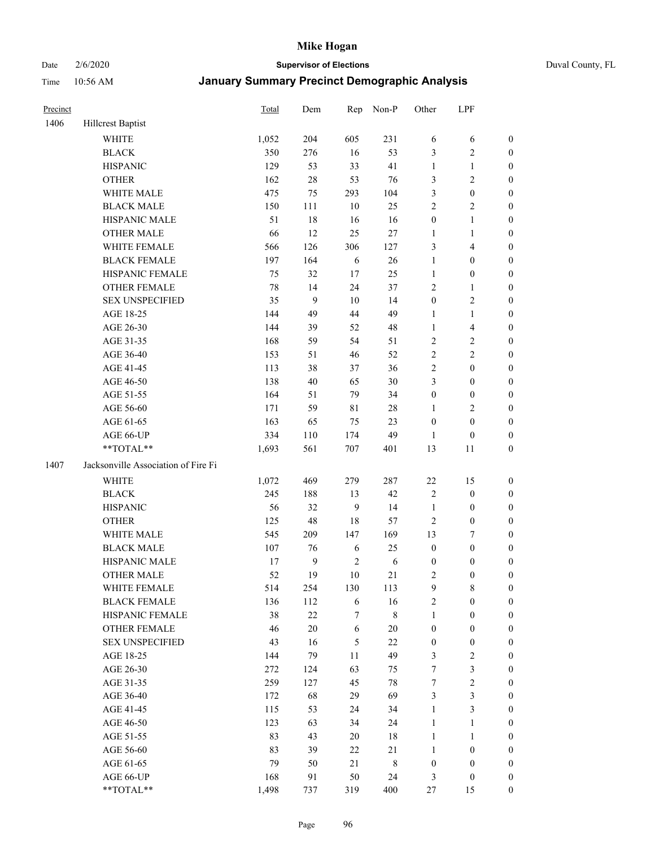#### Date 2/6/2020 **Supervisor of Elections** Duval County, FL

| Precinct |                                     | Total | Dem          | Rep         | Non-P       | Other            | LPF              |                  |
|----------|-------------------------------------|-------|--------------|-------------|-------------|------------------|------------------|------------------|
| 1406     | Hillcrest Baptist                   |       |              |             |             |                  |                  |                  |
|          | <b>WHITE</b>                        | 1,052 | 204          | 605         | 231         | 6                | 6                | 0                |
|          | <b>BLACK</b>                        | 350   | 276          | 16          | 53          | 3                | $\sqrt{2}$       | $\boldsymbol{0}$ |
|          | <b>HISPANIC</b>                     | 129   | 53           | 33          | 41          | $\mathbf{1}$     | $\mathbf{1}$     | $\boldsymbol{0}$ |
|          | <b>OTHER</b>                        | 162   | $28\,$       | 53          | 76          | 3                | $\sqrt{2}$       | $\boldsymbol{0}$ |
|          | WHITE MALE                          | 475   | 75           | 293         | 104         | 3                | $\boldsymbol{0}$ | $\boldsymbol{0}$ |
|          | <b>BLACK MALE</b>                   | 150   | 111          | 10          | 25          | $\overline{c}$   | $\sqrt{2}$       | $\boldsymbol{0}$ |
|          | HISPANIC MALE                       | 51    | 18           | 16          | 16          | $\boldsymbol{0}$ | $\mathbf{1}$     | $\boldsymbol{0}$ |
|          | <b>OTHER MALE</b>                   | 66    | 12           | 25          | $27\,$      | $\mathbf{1}$     | $\mathbf{1}$     | $\boldsymbol{0}$ |
|          | WHITE FEMALE                        | 566   | 126          | 306         | 127         | 3                | $\overline{4}$   | $\boldsymbol{0}$ |
|          | <b>BLACK FEMALE</b>                 | 197   | 164          | 6           | $26\,$      | $\mathbf{1}$     | $\boldsymbol{0}$ | 0                |
|          | HISPANIC FEMALE                     | 75    | 32           | 17          | 25          | $\mathbf{1}$     | $\boldsymbol{0}$ | 0                |
|          | <b>OTHER FEMALE</b>                 | 78    | 14           | 24          | 37          | 2                | $\mathbf{1}$     | $\boldsymbol{0}$ |
|          | <b>SEX UNSPECIFIED</b>              | 35    | 9            | 10          | 14          | $\boldsymbol{0}$ | $\sqrt{2}$       | $\boldsymbol{0}$ |
|          | AGE 18-25                           | 144   | 49           | 44          | 49          | $\mathbf{1}$     | $\mathbf{1}$     | $\boldsymbol{0}$ |
|          | AGE 26-30                           | 144   | 39           | 52          | 48          | $\mathbf{1}$     | $\overline{4}$   | $\boldsymbol{0}$ |
|          | AGE 31-35                           | 168   | 59           | 54          | 51          | $\overline{c}$   | $\sqrt{2}$       | $\boldsymbol{0}$ |
|          | AGE 36-40                           | 153   | 51           | 46          | 52          | $\overline{c}$   | $\sqrt{2}$       | $\boldsymbol{0}$ |
|          | AGE 41-45                           | 113   | 38           | 37          | 36          | 2                | $\boldsymbol{0}$ | $\boldsymbol{0}$ |
|          | AGE 46-50                           | 138   | $40\,$       | 65          | $30\,$      | 3                | $\boldsymbol{0}$ | $\boldsymbol{0}$ |
|          | AGE 51-55                           | 164   | 51           | 79          | 34          | $\boldsymbol{0}$ | $\boldsymbol{0}$ | $\boldsymbol{0}$ |
|          | AGE 56-60                           | 171   | 59           | $8\sqrt{1}$ | $28\,$      | 1                | $\sqrt{2}$       | 0                |
|          | AGE 61-65                           | 163   | 65           | 75          | 23          | $\boldsymbol{0}$ | $\boldsymbol{0}$ | $\boldsymbol{0}$ |
|          | AGE 66-UP                           | 334   | 110          | 174         | 49          | $\mathbf{1}$     | $\boldsymbol{0}$ | $\boldsymbol{0}$ |
|          | **TOTAL**                           | 1,693 | 561          | 707         | 401         | 13               | 11               | $\boldsymbol{0}$ |
| 1407     | Jacksonville Association of Fire Fi |       |              |             |             |                  |                  |                  |
|          | <b>WHITE</b>                        | 1,072 | 469          | 279         | 287         | $22\,$           | 15               | $\boldsymbol{0}$ |
|          | <b>BLACK</b>                        | 245   | 188          | 13          | 42          | 2                | $\boldsymbol{0}$ | $\boldsymbol{0}$ |
|          | <b>HISPANIC</b>                     | 56    | 32           | 9           | 14          | $\mathbf{1}$     | $\boldsymbol{0}$ | $\boldsymbol{0}$ |
|          | <b>OTHER</b>                        | 125   | 48           | 18          | 57          | $\overline{c}$   | $\boldsymbol{0}$ | $\boldsymbol{0}$ |
|          | WHITE MALE                          | 545   | 209          | 147         | 169         | 13               | $\boldsymbol{7}$ | $\boldsymbol{0}$ |
|          | <b>BLACK MALE</b>                   | 107   | 76           | 6           | 25          | $\boldsymbol{0}$ | $\boldsymbol{0}$ | $\boldsymbol{0}$ |
|          | HISPANIC MALE                       | 17    | $\mathbf{9}$ | $\sqrt{2}$  | $\sqrt{6}$  | $\boldsymbol{0}$ | $\boldsymbol{0}$ | $\boldsymbol{0}$ |
|          | <b>OTHER MALE</b>                   | 52    | 19           | 10          | 21          | 2                | $\boldsymbol{0}$ | $\boldsymbol{0}$ |
|          | WHITE FEMALE                        | 514   | 254          | 130         | 113         | 9                | 8                | 0                |
|          | <b>BLACK FEMALE</b>                 | 136   | 112          | 6           | 16          | $\overline{c}$   | $\boldsymbol{0}$ | $\overline{0}$   |
|          | HISPANIC FEMALE                     | 38    | $22\,$       | 7           | 8           | $\mathbf{1}$     | $\boldsymbol{0}$ | $\overline{0}$   |
|          | OTHER FEMALE                        | 46    | $20\,$       | 6           | $20\,$      | $\boldsymbol{0}$ | $\boldsymbol{0}$ | $\overline{0}$   |
|          | <b>SEX UNSPECIFIED</b>              | 43    | 16           | 5           | 22          | $\boldsymbol{0}$ | $\boldsymbol{0}$ | 0                |
|          | AGE 18-25                           | 144   | 79           | 11          | 49          | 3                | $\sqrt{2}$       | 0                |
|          | AGE 26-30                           | 272   | 124          | 63          | 75          | 7                | $\mathfrak{Z}$   | 0                |
|          | AGE 31-35                           | 259   | 127          | 45          | $78\,$      | 7                | $\sqrt{2}$       | 0                |
|          | AGE 36-40                           | 172   | 68           | 29          | 69          | 3                | $\mathfrak{Z}$   | 0                |
|          | AGE 41-45                           | 115   | 53           | 24          | 34          | $\mathbf{1}$     | $\mathfrak{Z}$   | 0                |
|          | AGE 46-50                           | 123   | 63           | 34          | 24          | $\mathbf{1}$     | $\mathbf{1}$     | 0                |
|          | AGE 51-55                           | 83    | 43           | $20\,$      | 18          | $\mathbf{1}$     | $\mathbf{1}$     | 0                |
|          | AGE 56-60                           | 83    | 39           | 22          | 21          | $\mathbf{1}$     | $\boldsymbol{0}$ | 0                |
|          | AGE 61-65                           | 79    | 50           | 21          | $\,$ 8 $\,$ | $\boldsymbol{0}$ | $\boldsymbol{0}$ | $\overline{0}$   |
|          | AGE 66-UP                           | 168   | 91           | 50          | 24          | 3                | $\boldsymbol{0}$ | 0                |
|          | **TOTAL**                           | 1,498 | 737          | 319         | 400         | 27               | 15               | $\boldsymbol{0}$ |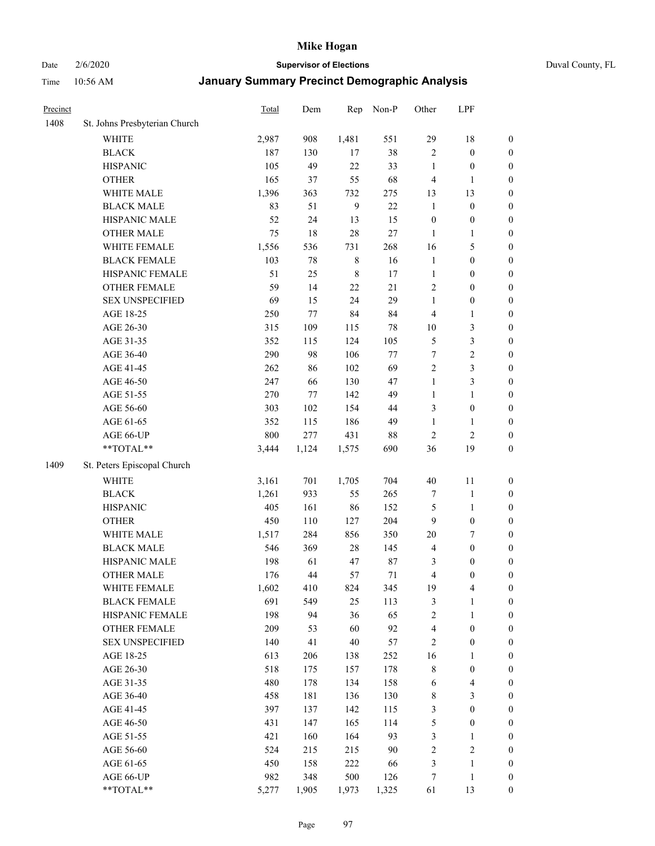Date 2/6/2020 **Supervisor of Elections** Duval County, FL

| Precinct |                               | Total | Dem    | Rep          | Non-P  | Other            | LPF                     |                  |
|----------|-------------------------------|-------|--------|--------------|--------|------------------|-------------------------|------------------|
| 1408     | St. Johns Presbyterian Church |       |        |              |        |                  |                         |                  |
|          | <b>WHITE</b>                  | 2,987 | 908    | 1,481        | 551    | 29               | 18                      | 0                |
|          | <b>BLACK</b>                  | 187   | 130    | 17           | 38     | $\sqrt{2}$       | $\boldsymbol{0}$        | 0                |
|          | <b>HISPANIC</b>               | 105   | 49     | 22           | 33     | $\mathbf{1}$     | $\boldsymbol{0}$        | $\boldsymbol{0}$ |
|          | <b>OTHER</b>                  | 165   | 37     | 55           | 68     | 4                | 1                       | $\boldsymbol{0}$ |
|          | WHITE MALE                    | 1,396 | 363    | 732          | 275    | 13               | 13                      | $\boldsymbol{0}$ |
|          | <b>BLACK MALE</b>             | 83    | 51     | $\mathbf{9}$ | 22     | $\mathbf{1}$     | $\boldsymbol{0}$        | $\boldsymbol{0}$ |
|          | HISPANIC MALE                 | 52    | 24     | 13           | 15     | $\boldsymbol{0}$ | $\boldsymbol{0}$        | $\boldsymbol{0}$ |
|          | <b>OTHER MALE</b>             | 75    | $18\,$ | 28           | $27\,$ | $\mathbf{1}$     | $\mathbf{1}$            | $\boldsymbol{0}$ |
|          | WHITE FEMALE                  | 1,556 | 536    | 731          | 268    | 16               | $\mathfrak s$           | $\boldsymbol{0}$ |
|          | <b>BLACK FEMALE</b>           | 103   | 78     | $\,$ 8 $\,$  | 16     | $\mathbf{1}$     | $\boldsymbol{0}$        | $\boldsymbol{0}$ |
|          | HISPANIC FEMALE               | 51    | 25     | $\,$ 8 $\,$  | 17     | $\mathbf{1}$     | $\boldsymbol{0}$        | 0                |
|          | OTHER FEMALE                  | 59    | 14     | 22           | 21     | $\sqrt{2}$       | $\boldsymbol{0}$        | $\boldsymbol{0}$ |
|          | <b>SEX UNSPECIFIED</b>        | 69    | 15     | 24           | 29     | $\mathbf{1}$     | $\boldsymbol{0}$        | $\boldsymbol{0}$ |
|          | AGE 18-25                     | 250   | 77     | 84           | 84     | 4                | $\mathbf{1}$            | $\boldsymbol{0}$ |
|          | AGE 26-30                     | 315   | 109    | 115          | $78\,$ | $10\,$           | $\mathfrak{Z}$          | $\boldsymbol{0}$ |
|          | AGE 31-35                     | 352   | 115    | 124          | 105    | 5                | $\mathfrak z$           | $\boldsymbol{0}$ |
|          | AGE 36-40                     | 290   | 98     | 106          | 77     | $\boldsymbol{7}$ | $\sqrt{2}$              | $\boldsymbol{0}$ |
|          | AGE 41-45                     | 262   | 86     | 102          | 69     | $\overline{2}$   | $\mathfrak{Z}$          | $\boldsymbol{0}$ |
|          | AGE 46-50                     | 247   | 66     | 130          | 47     | $\mathbf{1}$     | $\mathfrak{Z}$          | $\boldsymbol{0}$ |
|          | AGE 51-55                     | 270   | 77     | 142          | 49     | $\mathbf{1}$     | $\mathbf{1}$            | $\boldsymbol{0}$ |
|          | AGE 56-60                     | 303   | 102    | 154          | 44     | 3                | $\boldsymbol{0}$        | 0                |
|          | AGE 61-65                     | 352   | 115    | 186          | 49     | $\mathbf{1}$     | 1                       | 0                |
|          | AGE 66-UP                     | 800   | 277    | 431          | 88     | $\sqrt{2}$       | $\sqrt{2}$              | $\boldsymbol{0}$ |
|          | **TOTAL**                     | 3,444 | 1,124  | 1,575        | 690    | 36               | 19                      | $\boldsymbol{0}$ |
| 1409     | St. Peters Episcopal Church   |       |        |              |        |                  |                         |                  |
|          | <b>WHITE</b>                  | 3,161 | 701    | 1,705        | 704    | $40\,$           | 11                      | $\boldsymbol{0}$ |
|          | <b>BLACK</b>                  | 1,261 | 933    | 55           | 265    | 7                | 1                       | $\boldsymbol{0}$ |
|          | <b>HISPANIC</b>               | 405   | 161    | 86           | 152    | 5                | $\mathbf{1}$            | $\boldsymbol{0}$ |
|          | <b>OTHER</b>                  | 450   | 110    | 127          | 204    | 9                | $\boldsymbol{0}$        | $\boldsymbol{0}$ |
|          | WHITE MALE                    | 1,517 | 284    | 856          | 350    | $20\,$           | $\boldsymbol{7}$        | $\boldsymbol{0}$ |
|          | <b>BLACK MALE</b>             | 546   | 369    | $28\,$       | 145    | 4                | $\boldsymbol{0}$        | $\boldsymbol{0}$ |
|          | HISPANIC MALE                 | 198   | 61     | 47           | $87\,$ | 3                | $\boldsymbol{0}$        | $\boldsymbol{0}$ |
|          | <b>OTHER MALE</b>             | 176   | 44     | 57           | 71     | 4                | $\boldsymbol{0}$        | $\boldsymbol{0}$ |
|          | WHITE FEMALE                  | 1,602 | 410    | 824          | 345    | 19               | 4                       | 0                |
|          | <b>BLACK FEMALE</b>           | 691   | 549    | 25           | 113    | 3                | $\mathbf{1}$            | $\boldsymbol{0}$ |
|          | HISPANIC FEMALE               | 198   | 94     | 36           | 65     | $\overline{c}$   | $\mathbf{1}$            | $\boldsymbol{0}$ |
|          | <b>OTHER FEMALE</b>           | 209   | 53     | 60           | 92     | 4                | $\boldsymbol{0}$        | $\overline{0}$   |
|          | <b>SEX UNSPECIFIED</b>        | 140   | 41     | 40           | 57     | 2                | $\boldsymbol{0}$        | 0                |
|          | AGE 18-25                     | 613   | 206    | 138          | 252    | 16               | $\mathbf{1}$            | $\overline{0}$   |
|          | AGE 26-30                     | 518   | 175    | 157          | 178    | 8                | $\boldsymbol{0}$        | 0                |
|          | AGE 31-35                     | 480   | 178    | 134          | 158    | 6                | $\overline{\mathbf{4}}$ | 0                |
|          | AGE 36-40                     | 458   | 181    | 136          | 130    | 8                | $\mathfrak{Z}$          | 0                |
|          | AGE 41-45                     | 397   | 137    | 142          | 115    | 3                | $\boldsymbol{0}$        | 0                |
|          | AGE 46-50                     | 431   | 147    | 165          | 114    | 5                | $\boldsymbol{0}$        | 0                |
|          | AGE 51-55                     | 421   | 160    | 164          | 93     | 3                | $\mathbf{1}$            | 0                |
|          | AGE 56-60                     | 524   | 215    | 215          | 90     | $\overline{c}$   | $\sqrt{2}$              | $\boldsymbol{0}$ |
|          | AGE 61-65                     | 450   | 158    | 222          | 66     | 3                | $\mathbf{1}$            | $\boldsymbol{0}$ |
|          | AGE 66-UP                     | 982   | 348    | 500          | 126    | 7                | $\mathbf{1}$            | $\boldsymbol{0}$ |
|          | **TOTAL**                     | 5,277 | 1,905  | 1,973        | 1,325  | 61               | 13                      | $\boldsymbol{0}$ |
|          |                               |       |        |              |        |                  |                         |                  |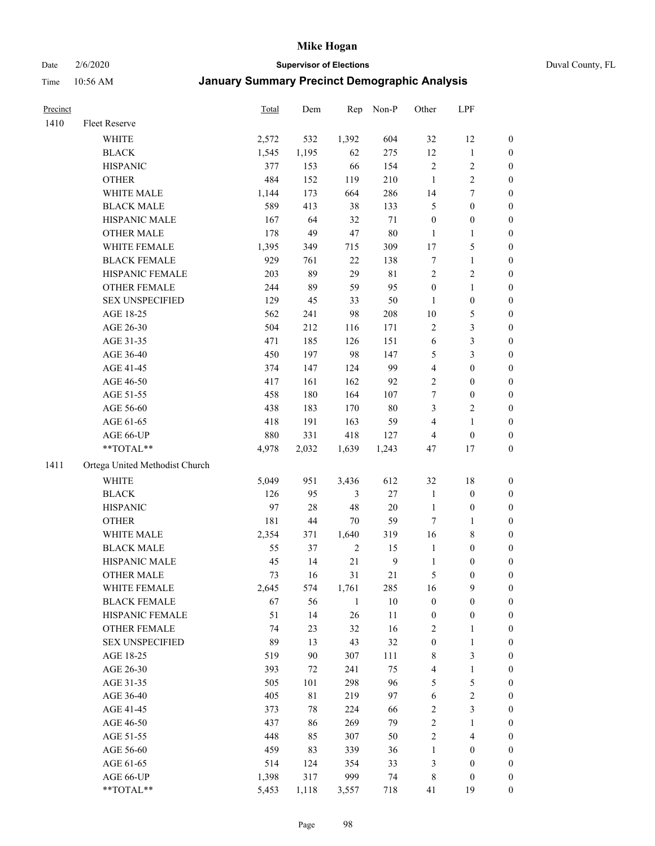Date 2/6/2020 **Supervisor of Elections** Duval County, FL

| Precinct |                                | Total | Dem   | Rep          | Non-P            | Other                   | LPF              |                  |
|----------|--------------------------------|-------|-------|--------------|------------------|-------------------------|------------------|------------------|
| 1410     | Fleet Reserve                  |       |       |              |                  |                         |                  |                  |
|          | <b>WHITE</b>                   | 2,572 | 532   | 1,392        | 604              | 32                      | 12               | 0                |
|          | <b>BLACK</b>                   | 1,545 | 1,195 | 62           | 275              | 12                      | $\mathbf{1}$     | 0                |
|          | <b>HISPANIC</b>                | 377   | 153   | 66           | 154              | $\sqrt{2}$              | $\sqrt{2}$       | 0                |
|          | <b>OTHER</b>                   | 484   | 152   | 119          | 210              | $\mathbf{1}$            | $\sqrt{2}$       | $\boldsymbol{0}$ |
|          | WHITE MALE                     | 1,144 | 173   | 664          | 286              | 14                      | 7                | $\boldsymbol{0}$ |
|          | <b>BLACK MALE</b>              | 589   | 413   | 38           | 133              | 5                       | $\boldsymbol{0}$ | $\boldsymbol{0}$ |
|          | HISPANIC MALE                  | 167   | 64    | 32           | 71               | $\boldsymbol{0}$        | $\boldsymbol{0}$ | $\boldsymbol{0}$ |
|          | <b>OTHER MALE</b>              | 178   | 49    | 47           | 80               | $\mathbf{1}$            | $\mathbf{1}$     | $\boldsymbol{0}$ |
|          | WHITE FEMALE                   | 1,395 | 349   | 715          | 309              | 17                      | 5                | $\boldsymbol{0}$ |
|          | <b>BLACK FEMALE</b>            | 929   | 761   | 22           | 138              | 7                       | $\mathbf{1}$     | 0                |
|          | HISPANIC FEMALE                | 203   | 89    | 29           | $8\sqrt{1}$      | $\mathbf{2}$            | $\sqrt{2}$       | 0                |
|          | OTHER FEMALE                   | 244   | 89    | 59           | 95               | $\boldsymbol{0}$        | $\mathbf{1}$     | 0                |
|          | <b>SEX UNSPECIFIED</b>         | 129   | 45    | 33           | 50               | $\mathbf{1}$            | $\boldsymbol{0}$ | $\boldsymbol{0}$ |
|          | AGE 18-25                      | 562   | 241   | 98           | 208              | $10\,$                  | $\mathfrak s$    | $\boldsymbol{0}$ |
|          | AGE 26-30                      | 504   | 212   | 116          | 171              | 2                       | $\mathfrak{Z}$   | $\boldsymbol{0}$ |
|          | AGE 31-35                      | 471   | 185   | 126          | 151              | 6                       | 3                | $\boldsymbol{0}$ |
|          | AGE 36-40                      | 450   | 197   | 98           | 147              | 5                       | 3                | $\boldsymbol{0}$ |
|          | AGE 41-45                      | 374   | 147   | 124          | 99               | 4                       | $\boldsymbol{0}$ | $\boldsymbol{0}$ |
|          | AGE 46-50                      | 417   | 161   | 162          | 92               | $\overline{c}$          | $\boldsymbol{0}$ | $\boldsymbol{0}$ |
|          | AGE 51-55                      | 458   | 180   | 164          | 107              | 7                       | $\boldsymbol{0}$ | 0                |
|          | AGE 56-60                      | 438   | 183   | 170          | 80               | 3                       | $\sqrt{2}$       | 0                |
|          | AGE 61-65                      | 418   | 191   | 163          | 59               | 4                       | $\mathbf{1}$     | 0                |
|          | AGE 66-UP                      | 880   | 331   | 418          | 127              | 4                       | $\boldsymbol{0}$ | $\boldsymbol{0}$ |
|          | **TOTAL**                      | 4,978 | 2,032 | 1,639        | 1,243            | 47                      | 17               | $\boldsymbol{0}$ |
| 1411     | Ortega United Methodist Church |       |       |              |                  |                         |                  |                  |
|          | <b>WHITE</b>                   | 5,049 | 951   | 3,436        | 612              | 32                      | 18               | $\boldsymbol{0}$ |
|          | <b>BLACK</b>                   | 126   | 95    | 3            | $27\,$           | $\mathbf{1}$            | $\boldsymbol{0}$ | $\boldsymbol{0}$ |
|          | <b>HISPANIC</b>                | 97    | 28    | 48           | 20               | $\mathbf{1}$            | $\boldsymbol{0}$ | $\boldsymbol{0}$ |
|          | <b>OTHER</b>                   | 181   | 44    | 70           | 59               | $\tau$                  | $\mathbf{1}$     | $\boldsymbol{0}$ |
|          | WHITE MALE                     | 2,354 | 371   | 1,640        | 319              | 16                      | $\,$ 8 $\,$      | $\boldsymbol{0}$ |
|          | <b>BLACK MALE</b>              | 55    | 37    | $\sqrt{2}$   | 15               | $\mathbf{1}$            | $\boldsymbol{0}$ | $\boldsymbol{0}$ |
|          | HISPANIC MALE                  | 45    | 14    | 21           | $\boldsymbol{9}$ | $\mathbf{1}$            | $\boldsymbol{0}$ | 0                |
|          | <b>OTHER MALE</b>              | 73    | 16    | 31           | 21               | 5                       | $\boldsymbol{0}$ | $\boldsymbol{0}$ |
|          | WHITE FEMALE                   | 2,645 | 574   | 1,761        | 285              | 16                      | 9                | 0                |
|          | <b>BLACK FEMALE</b>            | 67    | 56    | $\mathbf{1}$ | 10               | $\boldsymbol{0}$        | $\boldsymbol{0}$ | $\boldsymbol{0}$ |
|          | HISPANIC FEMALE                | 51    | 14    | 26           | 11               | $\boldsymbol{0}$        | $\boldsymbol{0}$ | $\overline{0}$   |
|          | OTHER FEMALE                   | 74    | 23    | 32           | 16               | $\overline{\mathbf{c}}$ | $\mathbf{1}$     | $\overline{0}$   |
|          | <b>SEX UNSPECIFIED</b>         | 89    | 13    | 43           | 32               | $\boldsymbol{0}$        | $\mathbf{1}$     | 0                |
|          | AGE 18-25                      | 519   | 90    | 307          | 111              | 8                       | 3                | 0                |
|          | AGE 26-30                      | 393   | 72    | 241          | 75               | 4                       | $\mathbf{1}$     | 0                |
|          | AGE 31-35                      | 505   | 101   | 298          | 96               | 5                       | 5                | 0                |
|          | AGE 36-40                      | 405   | 81    | 219          | 97               | 6                       | $\sqrt{2}$       | 0                |
|          | AGE 41-45                      | 373   | 78    | 224          | 66               | 2                       | $\mathfrak{Z}$   | 0                |
|          | AGE 46-50                      | 437   | 86    | 269          | 79               | $\overline{c}$          | $\mathbf{1}$     | 0                |
|          | AGE 51-55                      | 448   | 85    | 307          | 50               | 2                       | $\overline{4}$   | 0                |
|          | AGE 56-60                      | 459   | 83    | 339          | 36               | $\mathbf{1}$            | $\boldsymbol{0}$ | 0                |
|          | AGE 61-65                      | 514   | 124   | 354          | 33               | 3                       | $\boldsymbol{0}$ | $\boldsymbol{0}$ |
|          | AGE 66-UP                      | 1,398 | 317   | 999          | 74               | 8                       | $\boldsymbol{0}$ | 0                |
|          | **TOTAL**                      | 5,453 | 1,118 | 3,557        | 718              | 41                      | 19               | $\boldsymbol{0}$ |
|          |                                |       |       |              |                  |                         |                  |                  |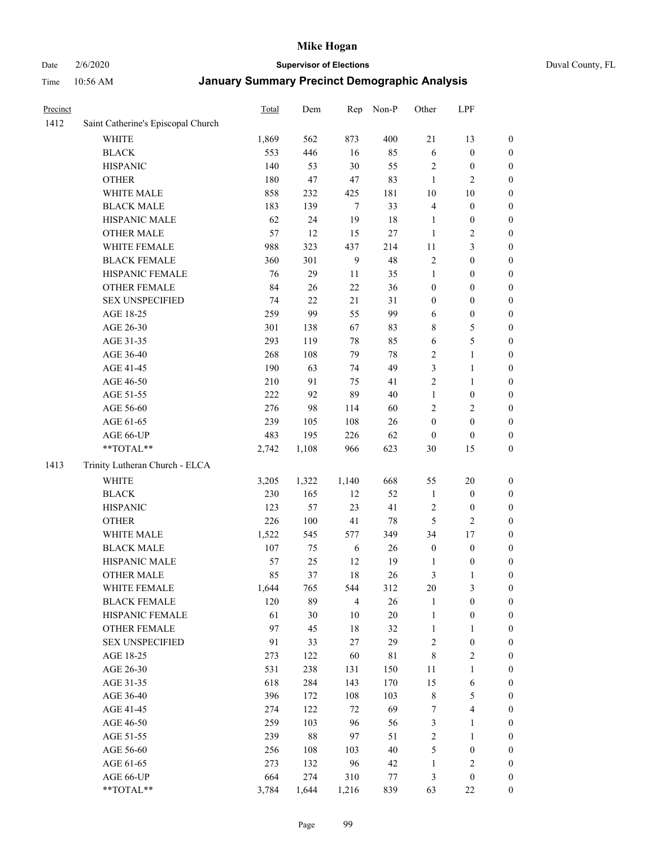# Date 2/6/2020 **Supervisor of Elections** Duval County, FL

| Precinct |                                    | Total   | Dem   | Rep            | Non-P   | Other            | LPF              |                  |
|----------|------------------------------------|---------|-------|----------------|---------|------------------|------------------|------------------|
| 1412     | Saint Catherine's Episcopal Church |         |       |                |         |                  |                  |                  |
|          | <b>WHITE</b>                       | 1,869   | 562   | 873            | 400     | 21               | 13               | 0                |
|          | <b>BLACK</b>                       | 553     | 446   | 16             | 85      | 6                | $\boldsymbol{0}$ | 0                |
|          | <b>HISPANIC</b>                    | 140     | 53    | 30             | 55      | $\overline{c}$   | $\boldsymbol{0}$ | $\boldsymbol{0}$ |
|          | <b>OTHER</b>                       | 180     | 47    | 47             | 83      | $\mathbf{1}$     | $\overline{2}$   | $\boldsymbol{0}$ |
|          | WHITE MALE                         | 858     | 232   | 425            | 181     | $10\,$           | 10               | $\boldsymbol{0}$ |
|          | <b>BLACK MALE</b>                  | 183     | 139   | $\tau$         | 33      | 4                | $\boldsymbol{0}$ | $\boldsymbol{0}$ |
|          | HISPANIC MALE                      | 62      | 24    | 19             | 18      | 1                | $\boldsymbol{0}$ | $\boldsymbol{0}$ |
|          | <b>OTHER MALE</b>                  | 57      | 12    | 15             | $27\,$  | $\mathbf{1}$     | $\overline{c}$   | $\boldsymbol{0}$ |
|          | WHITE FEMALE                       | 988     | 323   | 437            | 214     | $11\,$           | $\mathfrak{Z}$   | $\boldsymbol{0}$ |
|          | <b>BLACK FEMALE</b>                | 360     | 301   | $\mathbf{9}$   | 48      | 2                | $\boldsymbol{0}$ | $\boldsymbol{0}$ |
|          | HISPANIC FEMALE                    | 76      | 29    | 11             | 35      | $\mathbf{1}$     | $\boldsymbol{0}$ | $\boldsymbol{0}$ |
|          | <b>OTHER FEMALE</b>                | 84      | 26    | 22             | 36      | $\boldsymbol{0}$ | $\boldsymbol{0}$ | $\boldsymbol{0}$ |
|          | <b>SEX UNSPECIFIED</b>             | 74      | 22    | 21             | 31      | $\boldsymbol{0}$ | $\boldsymbol{0}$ | $\boldsymbol{0}$ |
|          | AGE 18-25                          | 259     | 99    | 55             | 99      | 6                | $\boldsymbol{0}$ | $\boldsymbol{0}$ |
|          | AGE 26-30                          | 301     | 138   | 67             | 83      | 8                | $\mathfrak s$    | $\boldsymbol{0}$ |
|          | AGE 31-35                          | 293     | 119   | 78             | 85      | 6                | 5                | $\boldsymbol{0}$ |
|          | AGE 36-40                          | 268     | 108   | 79             | 78      | $\overline{c}$   | $\mathbf{1}$     | $\boldsymbol{0}$ |
|          | AGE 41-45                          | 190     | 63    | 74             | 49      | 3                | $\mathbf{1}$     | $\boldsymbol{0}$ |
|          | AGE 46-50                          | 210     | 91    | 75             | 41      | $\overline{2}$   | $\mathbf{1}$     | $\boldsymbol{0}$ |
|          | AGE 51-55                          | 222     | 92    | 89             | $40\,$  | $\mathbf{1}$     | $\boldsymbol{0}$ | $\boldsymbol{0}$ |
|          | AGE 56-60                          | 276     | 98    | 114            | 60      | $\overline{c}$   | $\overline{c}$   | $\boldsymbol{0}$ |
|          | AGE 61-65                          | 239     | 105   | 108            | $26\,$  | $\boldsymbol{0}$ | $\boldsymbol{0}$ | $\boldsymbol{0}$ |
|          | AGE 66-UP                          | 483     | 195   | 226            | 62      | $\boldsymbol{0}$ | $\boldsymbol{0}$ | $\boldsymbol{0}$ |
|          | **TOTAL**                          | 2,742   | 1,108 | 966            | 623     | 30               | 15               | $\boldsymbol{0}$ |
| 1413     | Trinity Lutheran Church - ELCA     |         |       |                |         |                  |                  |                  |
|          | <b>WHITE</b>                       | 3,205   | 1,322 | 1,140          | 668     | 55               | 20               | $\boldsymbol{0}$ |
|          | <b>BLACK</b>                       | 230     | 165   | 12             | 52      | $\mathbf{1}$     | $\boldsymbol{0}$ | $\boldsymbol{0}$ |
|          | <b>HISPANIC</b>                    | 123     | 57    | 23             | 41      | 2                | $\boldsymbol{0}$ | $\boldsymbol{0}$ |
|          | <b>OTHER</b>                       | 226     | 100   | 41             | 78      | 5                | $\overline{2}$   | $\boldsymbol{0}$ |
|          | WHITE MALE                         | 1,522   | 545   | 577            | 349     | 34               | 17               | $\boldsymbol{0}$ |
|          | <b>BLACK MALE</b>                  | $107\,$ | 75    | $\sqrt{6}$     | 26      | $\boldsymbol{0}$ | $\boldsymbol{0}$ | $\boldsymbol{0}$ |
|          | HISPANIC MALE                      | 57      | 25    | 12             | 19      | 1                | $\boldsymbol{0}$ | 0                |
|          | <b>OTHER MALE</b>                  | 85      | 37    | 18             | 26      | 3                | $\mathbf{1}$     | $\boldsymbol{0}$ |
|          | WHITE FEMALE                       | 1,644   | 765   | 544            | 312     | 20               | 3                | 0                |
|          | <b>BLACK FEMALE</b>                | 120     | 89    | $\overline{4}$ | 26      | 1                | $\boldsymbol{0}$ | $\boldsymbol{0}$ |
|          | HISPANIC FEMALE                    | 61      | 30    | $10\,$         | 20      | 1                | $\boldsymbol{0}$ | $\overline{0}$   |
|          | OTHER FEMALE                       | 97      | 45    | 18             | 32      | 1                | $\mathbf{1}$     | $\overline{0}$   |
|          | <b>SEX UNSPECIFIED</b>             | 91      | 33    | 27             | 29      | 2                | $\boldsymbol{0}$ | 0                |
|          | AGE 18-25                          | 273     | 122   | 60             | 81      | 8                | $\sqrt{2}$       | 0                |
|          | AGE 26-30                          | 531     | 238   | 131            | 150     | 11               | $\mathbf{1}$     | 0                |
|          | AGE 31-35                          | 618     | 284   | 143            | 170     | 15               | 6                | 0                |
|          | AGE 36-40                          | 396     | 172   | 108            | 103     | 8                | $\mathfrak s$    | 0                |
|          | AGE 41-45                          | 274     | 122   | 72             | 69      | 7                | $\overline{4}$   | 0                |
|          | AGE 46-50                          | 259     | 103   | 96             | 56      | 3                | $\mathbf{1}$     | 0                |
|          | AGE 51-55                          | 239     | 88    | 97             | 51      | $\mathbf{2}$     | $\mathbf{1}$     | 0                |
|          | AGE 56-60                          | 256     | 108   | 103            | 40      | 5                | $\boldsymbol{0}$ | 0                |
|          | AGE 61-65                          | 273     | 132   | 96             | 42      | 1                | $\sqrt{2}$       | 0                |
|          | AGE 66-UP                          | 664     | 274   | 310            | $77 \,$ | 3                | $\boldsymbol{0}$ | 0                |
|          | **TOTAL**                          | 3,784   | 1,644 | 1,216          | 839     | 63               | $22\,$           | $\boldsymbol{0}$ |
|          |                                    |         |       |                |         |                  |                  |                  |